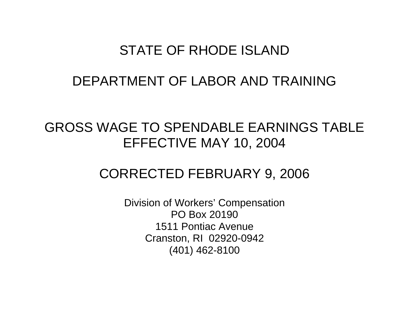## STATE OF RHODE ISLAND

## DEPARTMENT OF LABOR AND TRAINING

# GROSS WAGE TO SPENDABLE EARNINGS TABLE EFFECTIVE MAY 10, 2004

## CORRECTED FEBRUARY 9, 2006

Division of Workers' Compensation PO Box 20190 1511 Pontiac Avenue Cranston, RI 02920-0942 (401) 462-8100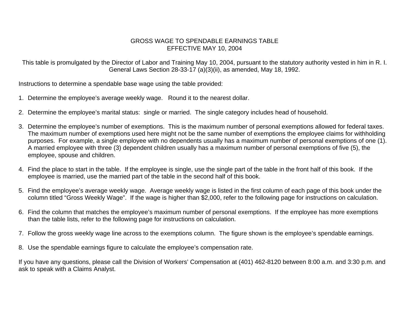### GROSS WAGE TO SPENDABLE EARNINGS TABLE EFFECTIVE MAY 10, 2004

This table is promulgated by the Director of Labor and Training May 10, 2004, pursuant to the statutory authority vested in him in R. I. General Laws Section 28-33-17 (a)(3)(ii), as amended, May 18, 1992.

Instructions to determine a spendable base wage using the table provided:

- 1. Determine the employee's average weekly wage. Round it to the nearest dollar.
- 2. Determine the employee's marital status: single or married. The single category includes head of household.
- 3. Determine the employee's number of exemptions. This is the maximum number of personal exemptions allowed for federal taxes. The maximum number of exemptions used here might not be the same number of exemptions the employee claims for withholding purposes. For example, a single employee with no dependents usually has a maximum number of personal exemptions of one (1). A married employee with three (3) dependent children usually has a maximum number of personal exemptions of five (5), the employee, spouse and children.
- 4. Find the place to start in the table. If the employee is single, use the single part of the table in the front half of this book. If the employee is married, use the married part of the table in the second half of this book.
- 5. Find the employee's average weekly wage. Average weekly wage is listed in the first column of each page of this book under the column titled "Gross Weekly Wage". If the wage is higher than \$2,000, refer to the following page for instructions on calculation.
- 6. Find the column that matches the employee's maximum number of personal exemptions. If the employee has more exemptions than the table lists, refer to the following page for instructions on calculation.
- 7. Follow the gross weekly wage line across to the exemptions column. The figure shown is the employee's spendable earnings.
- 8. Use the spendable earnings figure to calculate the employee's compensation rate.

If you have any questions, please call the Division of Workers' Compensation at (401) 462-8120 between 8:00 a.m. and 3:30 p.m. and ask to speak with a Claims Analyst.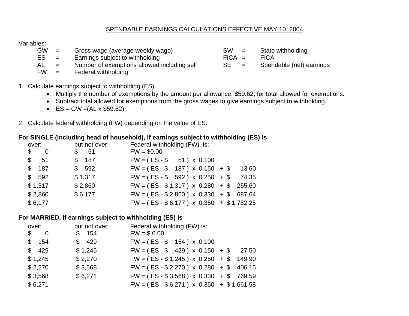### SPENDABLE EARNINGS CALCULATIONS EFFECTIVE MAY 10, 2004

## Variables:

| GW |  | Gross wage (average weekly wage) |  |  | SW |
|----|--|----------------------------------|--|--|----|
|----|--|----------------------------------|--|--|----|

- 
- $ES =$  Earnings subject to withholding  $B =$  FICA = FICA = FICA = Number of exemptions allowed including self  $SE =$  Spendable (net) earnings  $=$  Number of exemptions allowed including self
- FW = Federal withholding
- $=$  State withholding
- -

- 1. Calculate earnings subject to withholding (ES).
	- Multiply the number of exemptions by the amount per allowance, \$59.62, for total allowed for exemptions.
	- Subtract total allowed for exemptions from the gross wages to give earnings subject to withholding.
	- $ES = GW (AL \times $59.62)$
- 2. Calculate federal withholding (FW) depending on the value of ES:

## **For SINGLE (including head of household), if earnings subject to withholding (ES) is**

| over:                                      | but not over: | Federal withholding (FW) is:                  |       |
|--------------------------------------------|---------------|-----------------------------------------------|-------|
| $\mathfrak{F}$<br>$\overline{\phantom{0}}$ | 51<br>\$      | $FW = $0.00$                                  |       |
| \$51                                       | \$187         | $FW = (ES - $ 51) \times 0.100$               |       |
| \$187                                      | \$592         | $FW = (ES - $ 187) \times 0.150 + $$          | 13.60 |
| \$592                                      | \$1,317       | $FW = (ES - $ 592) \times 0.250 + $$          | 74.35 |
| \$1,317                                    | \$2,860       | $FW = (ES - $1,317) \times 0.280 + $255.60$   |       |
| \$2,860                                    | \$6,177       | $FW = (ES - $2,860) \times 0.330 + $687.64$   |       |
| \$6,177                                    |               | $FW = (ES - $6,177) \times 0.350 + $1,782.25$ |       |

## **For MARRIED, if earnings subject to withholding (ES) is**

| over:                         | but not over: | Federal withholding (FW) is:                  |       |
|-------------------------------|---------------|-----------------------------------------------|-------|
| \$<br>$\overline{\mathbf{0}}$ | \$154         | $FW = $0.00$                                  |       |
| \$154                         | \$429         | $FW = (ES - $ 154) \times 0.100$              |       |
| \$ 429                        | \$1,245       | $FW = (ES - $ 429) \times 0.150 + $$          | 27.50 |
| \$1,245                       | \$2,270       | $FW = (ES - $1,245) \times 0.250 + $149.90$   |       |
| \$2,270                       | \$3,568       | $FW = (ES - $2,270) \times 0.280 + $406.15$   |       |
| \$3,568                       | \$6,271       | $FW = (ES - $3,568) \times 0.330 + $769.59$   |       |
| \$6,271                       |               | $FW = (ES - $6,271) \times 0.350 + $1,661.58$ |       |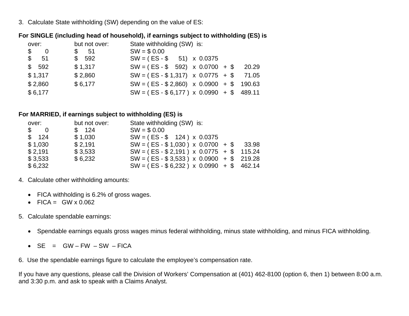3. Calculate State withholding (SW) depending on the value of ES:

## **For SINGLE (including head of household), if earnings subject to withholding (ES) is**

| over:            | but not over:                                                                                                                                                                                                                                                                                                                                                                                                                                                                                                                  | State withholding (SW) is:                   |       |
|------------------|--------------------------------------------------------------------------------------------------------------------------------------------------------------------------------------------------------------------------------------------------------------------------------------------------------------------------------------------------------------------------------------------------------------------------------------------------------------------------------------------------------------------------------|----------------------------------------------|-------|
| \$<br>- 0        | $\textcolor{red}{\textbf{\$}}\ \textcolor{red}{\textbf{\$}}\ \textcolor{red}{\textbf{\$}}\ \textcolor{red}{\textbf{\$}}\ \textcolor{red}{\textbf{\$}}\ \textcolor{red}{\textbf{\$}}\ \textcolor{red}{\textbf{\$}}\ \textcolor{red}{\textbf{\$}}\ \textcolor{red}{\textbf{\$}}\ \textcolor{red}{\textbf{\$}}\ \textcolor{red}{\textbf{\$}}\ \textcolor{red}{\textbf{\$}}\ \textcolor{red}{\textbf{\$}}\ \textcolor{red}{\textbf{\$}}\ \textcolor{red}{\textbf{\$}}\ \textcolor{red}{\textbf{\$}}\ \textcolor{red}{\textbf{\$}}$ | $SW = $0.00$                                 |       |
| $\frac{1}{2}$ 51 | \$592                                                                                                                                                                                                                                                                                                                                                                                                                                                                                                                          | $SW = (ES - $ 51) \times 0.0375$             |       |
| \$592            | \$1,317                                                                                                                                                                                                                                                                                                                                                                                                                                                                                                                        | $SW = (ES - $ 592) \times 0.0700 + $$        | 20.29 |
| \$1,317          | \$2,860                                                                                                                                                                                                                                                                                                                                                                                                                                                                                                                        | $SW = (ES - $1,317) \times 0.0775 + $$       | 71.05 |
| \$2,860          | \$6,177                                                                                                                                                                                                                                                                                                                                                                                                                                                                                                                        | $SW = (ES - $2,860) \times 0.0900 + $190.63$ |       |
| \$6,177          |                                                                                                                                                                                                                                                                                                                                                                                                                                                                                                                                | $SW = (ES - $6,177) \times 0.0990 + $489.11$ |       |

## **For MARRIED, if earnings subject to withholding (ES) is**

| over:                                        | but not over: | State withholding (SW) is:                   |  |
|----------------------------------------------|---------------|----------------------------------------------|--|
| $\begin{matrix} 1 & 0 \\ 0 & 1 \end{matrix}$ | \$ 124        | $SW = $0.00$                                 |  |
| \$ 124                                       | \$1,030       | $SW = (ES - $ 124) \times 0.0375$            |  |
| \$1,030                                      | \$2,191       | $SW = (ES - $1,030) \times 0.0700 + $33.98$  |  |
| \$2,191                                      | \$3,533       | $SW = (ES - $2,191) \times 0.0775 + $115.24$ |  |
| \$3,533                                      | \$6,232       | $SW = (ES - $3,533) \times 0.0900 + $219.28$ |  |
| \$6,232                                      |               | $SW = (ES - $6,232) \times 0.0990 + $462.14$ |  |

- 4. Calculate other withholding amounts:
	- FICA withholding is 6.2% of gross wages.
	- FICA =  $GW \times 0.062$
- 5. Calculate spendable earnings:
	- Spendable earnings equals gross wages minus federal withholding, minus state withholding, and minus FICA withholding.
	- $\bullet$  SE = GW-FW-SW-FICA

6. Use the spendable earnings figure to calculate the employee's compensation rate.

If you have any questions, please call the Division of Workers' Compensation at (401) 462-8100 (option 6, then 1) between 8:00 a.m. and 3:30 p.m. and ask to speak with a Claims Analyst.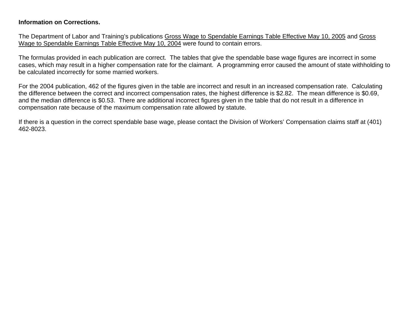## **Information on Corrections.**

The Department of Labor and Training's publications Gross Wage to Spendable Earnings Table Effective May 10, 2005 and Gross Wage to Spendable Earnings Table Effective May 10, 2004 were found to contain errors.

The formulas provided in each publication are correct. The tables that give the spendable base wage figures are incorrect in some cases, which may result in a higher compensation rate for the claimant. A programming error caused the amount of state withholding to be calculated incorrectly for some married workers.

For the 2004 publication, 462 of the figures given in the table are incorrect and result in an increased compensation rate. Calculating the difference between the correct and incorrect compensation rates, the highest difference is \$2.82. The mean difference is \$0.69, and the median difference is \$0.53. There are additional incorrect figures given in the table that do not result in a difference in compensation rate because of the maximum compensation rate allowed by statute.

If there is a question in the correct spendable base wage, please contact the Division of Workers' Compensation claims staff at (401) 462-8023.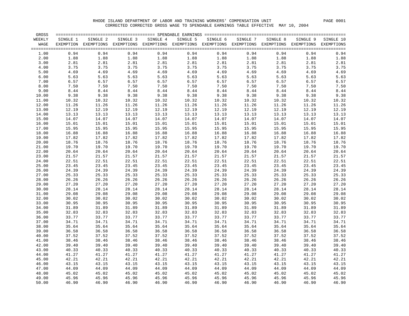| <b>GROSS</b>   |                |                                                                                                              |                |                                                                                                                                                                |                                               |                                                |                                                                                |          |                |                              |
|----------------|----------------|--------------------------------------------------------------------------------------------------------------|----------------|----------------------------------------------------------------------------------------------------------------------------------------------------------------|-----------------------------------------------|------------------------------------------------|--------------------------------------------------------------------------------|----------|----------------|------------------------------|
| WEEKLY         | SINGLE 1       | SINGLE 2                                                                                                     | SINGLE 3       | SINGLE 4                                                                                                                                                       | SINGLE 5                                      | SINGLE 6                                       | SINGLE 7                                                                       | SINGLE 8 | SINGLE 9       | SINGLE 10                    |
| WAGE           |                | EXEMPTION EXEMPTIONS EXEMPTIONS EXEMPTIONS EXEMPTIONS EXEMPTIONS EXEMPTIONS EXEMPTIONS EXEMPTIONS EXEMPTIONS |                |                                                                                                                                                                |                                               |                                                |                                                                                |          |                |                              |
| 1.00           | 0.94           | 0.94                                                                                                         | 0.94           | 0.94                                                                                                                                                           | 0.94                                          | 0.94                                           | 0.94                                                                           | 0.94     | 0.94           | $\ensuremath{0}$ .<br><br>94 |
| 2.00           | 1.88           | 1.88                                                                                                         |                |                                                                                                                                                                | 1.88                                          |                                                |                                                                                | 1.88     | 1.88           | 1.88                         |
| 3.00           | 2.81           | 2.81                                                                                                         |                | $\begin{array}{ccc} \texttt{0.94} & \texttt{0.94} \\ 1.88 & \texttt{1.88} \\ 2.81 & \texttt{2.81} \\ 3.75 & \texttt{3.75} \\ 4.69 & \texttt{4.69} \end{array}$ | 2.81                                          | $0.94$<br>$1.88$<br>$2.81$<br>$3.75$<br>$4.69$ |                                                                                | 2.81     | 2.81           | 2.81                         |
| 4.00           | 3.75           | 3.75                                                                                                         |                |                                                                                                                                                                | 3.75                                          |                                                |                                                                                | 3.75     | 3.75           | 3.75                         |
| 5.00           | 4.69           | 4.69                                                                                                         |                |                                                                                                                                                                | 4.69                                          |                                                |                                                                                | 4.69     | 4.69           | 4.69                         |
| 6.00           | 5.63           | 5.63                                                                                                         | 5.63           | 5.63                                                                                                                                                           | $\begin{array}{c} 1 \\ 1 \end{array}$<br>5.63 |                                                | $\begin{array}{l} 1.88 \\ 2.81 \\ 3.75 \\ 4.69 \\ 5.63 \\ 6.57 \\ \end{array}$ | 5.63     | 5.63           | 5.63                         |
| 7.00           | 6.57           | 6.57                                                                                                         | 6.57           | 6.57                                                                                                                                                           | 6.57                                          |                                                | $5.63$<br>$6.57$                                                               | 6.57     | 6.57           | 6.57                         |
| 8.00           | 7.50           | $\begin{array}{ccc} & t & \\ 7 & . & \\ 8 & .44 \\ 9 & .9 & .38 \\ 10 & .32 \\ 11 & . & \end{array}$         | 7.50           | 7.50                                                                                                                                                           | 7.50                                          | 7.50                                           | 7.50                                                                           | 7.50     | 7.50           | 7.50                         |
| 9.00           | 8.44           |                                                                                                              | 8.44           |                                                                                                                                                                | 8.44                                          | 8.44                                           | 8.44                                                                           | 8.44     | 8.44           | $\bf 8.44$                   |
| 10.00          | 9.38           |                                                                                                              | 9.38           | $8.44$<br>$9.38$<br>$10.32$<br>$11.26$                                                                                                                         | 9.38                                          | 9.38                                           | 9.38                                                                           | 9.38     | 9.38           | 9.38                         |
| 11.00          | 10.32          |                                                                                                              | 10.32          |                                                                                                                                                                | 10.32                                         | 10.32                                          | 10.32                                                                          | 10.32    | 10.32          | 10.32                        |
| 12.00          | 11.26          |                                                                                                              | 11.26          |                                                                                                                                                                | 11.26                                         | 11.26                                          | 11.26                                                                          | 11.26    | 11.26          | 11.26                        |
| 13.00          | 12.19          | 12.19                                                                                                        | 12.19          | 12.19                                                                                                                                                          | 12.19                                         | 12.19                                          | 12.19                                                                          | 12.19    | 12.19          | 12.19                        |
| 14.00          | 13.13          |                                                                                                              | 13.13          | 13.13                                                                                                                                                          | 13.13                                         | 13.13                                          | 13.13                                                                          | 13.13    | 13.13          | 13.13                        |
|                |                | 13.13                                                                                                        |                |                                                                                                                                                                |                                               | 14.07                                          | 14.07                                                                          | 14.07    |                |                              |
| 15.00<br>16.00 | 14.07<br>15.01 | 14.07<br>15.01                                                                                               | 14.07<br>15.01 | 14.07<br>15.01                                                                                                                                                 | 14.07<br>15.01                                | 15.01                                          | 15.01                                                                          | 15.01    | 14.07<br>15.01 | 14.07<br>15.01               |
|                | 15.95          | 15.01<br>15.95                                                                                               | 15.95          |                                                                                                                                                                |                                               | 15.95                                          |                                                                                | 15.95    |                | 15.95                        |
| 17.00          |                |                                                                                                              |                | 15.95                                                                                                                                                          | 15.95                                         |                                                | 15.95                                                                          |          | 15.95          |                              |
| 18.00          | 16.88          | 16.88                                                                                                        | 16.88          | 16.88                                                                                                                                                          | 16.88                                         | 16.88                                          | 16.88                                                                          | 16.88    | 16.88          | 16.88                        |
| 19.00          | 17.82          | 17.82                                                                                                        | 17.82          | 17.82                                                                                                                                                          | 17.82                                         | 17.82                                          | 17.82                                                                          | 17.82    | 17.82          | 17.82                        |
| 20.00          | 18.76          | 18.76                                                                                                        | 18.76          | 18.76                                                                                                                                                          | 18.76                                         | 18.76                                          | 18.76                                                                          | 18.76    | 18.76          | 18.76                        |
| 21.00          | 19.70          | 19.70                                                                                                        | 19.70          | 19.70                                                                                                                                                          | 19.70                                         | 19.70                                          | 19.70                                                                          | 19.70    | 19.70          | 19.70                        |
| 22.00          | 20.64          | 20.64                                                                                                        | 20.64          | 20.64                                                                                                                                                          | 20.64                                         | 20.64                                          | 20.64                                                                          | 20.64    | 20.64          | 20.64                        |
| 23.00          | 21.57          | 21.57                                                                                                        | 21.57          | 21.57                                                                                                                                                          | 21.57                                         | 21.57                                          | 21.57                                                                          | 21.57    | 21.57          | 21.57                        |
| 24.00          | 22.51          | 22.51                                                                                                        | 22.51          | 22.51                                                                                                                                                          | 22.51                                         | 22.51                                          | 22.51                                                                          | 22.51    | 22.51          | 22.51                        |
| 25.00          | 23.45          | 23.45                                                                                                        | 23.45          | 23.45                                                                                                                                                          | 23.45                                         | 23.45                                          | 23.45                                                                          | 23.45    | 23.45          | 23.45                        |
| 26.00          | 24.39          | 24.39                                                                                                        | 24.39          | 24.39                                                                                                                                                          | 24.39                                         | 24.39                                          | 24.39                                                                          | 24.39    | 24.39          | 24.39                        |
| 27.00          | 25.33          | 25.33                                                                                                        | 25.33          | 25.33                                                                                                                                                          | 25.33                                         | 25.33                                          | 25.33                                                                          | 25.33    | 25.33          | 25.33                        |
| 28.00          | 26.26          | 26.26                                                                                                        | 26.26          | 26.26                                                                                                                                                          | 26.26                                         | 26.26                                          | 26.26                                                                          | 26.26    | 26.26          | 26.26                        |
| 29.00          | 27.20          | 27.20                                                                                                        | 27.20          | 27.20                                                                                                                                                          | 27.20                                         | 27.20                                          | 27.20                                                                          | 27.20    | 27.20          | 27.20                        |
| 30.00          | 28.14          | 28.14                                                                                                        | 28.14          | 28.14                                                                                                                                                          | 28.14                                         | 28.14                                          | 28.14                                                                          | 28.14    | 28.14          | 28.14                        |
| 31.00          | 29.08          | 29.08                                                                                                        | 29.08          | 29.08                                                                                                                                                          | 29.08                                         | 29.08                                          | 29.08                                                                          | 29.08    | 29.08          | 29.08                        |
| 32.00          | 30.02          | 30.02                                                                                                        | 30.02          | 30.02                                                                                                                                                          | 30.02                                         | 30.02                                          | 30.02                                                                          | 30.02    | 30.02          | 30.02                        |
| 33.00          | 30.95          | 30.95                                                                                                        | 30.95          | 30.95                                                                                                                                                          | 30.95                                         | 30.95                                          | 30.95                                                                          | 30.95    | 30.95          | 30.95                        |
| 34.00          | 31.89          | 31.89                                                                                                        | 31.89          | 31.89                                                                                                                                                          | 31.89                                         | 31.89                                          | 31.89                                                                          | 31.89    | 31.89          | 31.89                        |
| 35.00          | 32.83          | 32.83                                                                                                        | 32.83          | 32.83                                                                                                                                                          | 32.83                                         | 32.83                                          | 32.83                                                                          | 32.83    | 32.83          | 32.83                        |
| 36.00          | 33.77          | 33.77                                                                                                        | 33.77          | 33.77                                                                                                                                                          | 33.77                                         | 33.77                                          | 33.77                                                                          | 33.77    | 33.77          | 33.77                        |
| 37.00          | 34.71          | 34.71                                                                                                        | 34.71          | 34.71                                                                                                                                                          | 34.71                                         | 34.71                                          | 34.71                                                                          | 34.71    | 34.71          | 34.71                        |
| 38.00          | 35.64          | 35.64                                                                                                        | 35.64          | 35.64                                                                                                                                                          | 35.64                                         | 35.64                                          | 35.64                                                                          | 35.64    | 35.64          | 35.64                        |
| 39.00          | 36.58          | 36.58                                                                                                        | 36.58          | 36.58                                                                                                                                                          | 36.58                                         | 36.58                                          | 36.58                                                                          | 36.58    | 36.58          | 36.58                        |
| 40.00          | 37.52          | 37.52                                                                                                        | 37.52          | 37.52                                                                                                                                                          | 37.52                                         | 37.52                                          | 37.52                                                                          | 37.52    | 37.52          | 37.52                        |
| 41.00          | 38.46          | 38.46                                                                                                        | 38.46          | 38.46                                                                                                                                                          | 38.46                                         | 38.46                                          | 38.46                                                                          | 38.46    | 38.46          | 38.46                        |
| 42.00          | 39.40          | 39.40                                                                                                        | 39.40          | 39.40                                                                                                                                                          | 39.40                                         | 39.40                                          | 39.40                                                                          | 39.40    | 39.40          | 39.40                        |
| 43.00          | 40.33          | 40.33                                                                                                        | 40.33          | 40.33                                                                                                                                                          | 40.33                                         | 40.33                                          | 40.33                                                                          | 40.33    | 40.33          | 40.33                        |
| 44.00          | 41.27          | 41.27                                                                                                        | 41.27          | 41.27                                                                                                                                                          | 41.27                                         | 41.27                                          | 41.27                                                                          | 41.27    | 41.27          | 41.27                        |
| 45.00          | 42.21          | 42.21                                                                                                        | 42.21          | 42.21                                                                                                                                                          | 42.21                                         | 42.21                                          | 42.21                                                                          | 42.21    | 42.21          | 42.21                        |
| 46.00          | 43.15          | 43.15                                                                                                        | 43.15          | 43.15                                                                                                                                                          | 43.15                                         | 43.15                                          | 43.15                                                                          | 43.15    | 43.15          | 43.15                        |
| 47.00          | 44.09          |                                                                                                              | 44.09          |                                                                                                                                                                | 44.09                                         | 44.09                                          | 44.09                                                                          | 44.09    | 44.09          | 44.09                        |
| 48.00          | 45.02          | 44.09<br>45.02                                                                                               | 45.02          | $44.09$<br>$45.02$                                                                                                                                             | 45.02                                         | 45.02                                          | 45.02                                                                          | 45.02    | 45.02          | 45.02                        |
| 49.00          | 45.96          | 45.96                                                                                                        | 45.96          | 45.96                                                                                                                                                          | 45.96                                         | 45.96                                          | 45.96                                                                          | 45.96    | 45.96          | 45.96                        |
| 50.00          | 46.90          | 46.90                                                                                                        | 46.90          | 46.90                                                                                                                                                          | 46.90                                         |                                                | 46.90 46.90                                                                    | 46.90    | 46.90          | 46.90                        |
|                |                |                                                                                                              |                |                                                                                                                                                                |                                               |                                                |                                                                                |          |                |                              |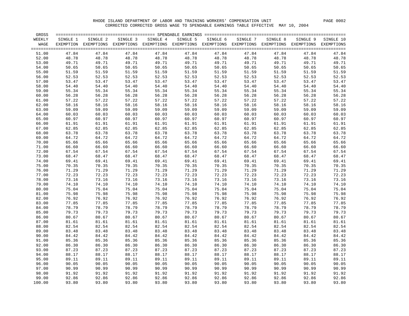| GROSS  |          |                                                                                                              |          |          |          |          |          |          |          |           |
|--------|----------|--------------------------------------------------------------------------------------------------------------|----------|----------|----------|----------|----------|----------|----------|-----------|
| WEEKLY | SINGLE 1 | SINGLE 2                                                                                                     | SINGLE 3 | SINGLE 4 | SINGLE 5 | SINGLE 6 | SINGLE 7 | SINGLE 8 | SINGLE 9 | SINGLE 10 |
| WAGE   |          | EXEMPTION EXEMPTIONS EXEMPTIONS EXEMPTIONS EXEMPTIONS EXEMPTIONS EXEMPTIONS EXEMPTIONS EXEMPTIONS EXEMPTIONS |          |          |          |          |          |          |          |           |
|        |          |                                                                                                              |          |          |          |          |          |          |          |           |
| 51.00  | 47.84    | 47.84                                                                                                        | 47.84    | 47.84    | 47.84    | 47.84    | 47.84    | 47.84    | 47.84    | 47.84     |
| 52.00  | 48.78    | 48.78                                                                                                        | 48.78    | 48.78    | 48.78    | 48.78    | 48.78    | 48.78    | 48.78    | 48.78     |
| 53.00  | 49.71    | 49.71                                                                                                        | 49.71    | 49.71    | 49.71    | 49.71    | 49.71    | 49.71    | 49.71    | 49.71     |
| 54.00  | 50.65    | 50.65                                                                                                        | 50.65    | 50.65    | 50.65    | 50.65    | 50.65    | 50.65    | 50.65    | 50.65     |
| 55.00  | 51.59    | 51.59                                                                                                        | 51.59    | 51.59    | 51.59    | 51.59    | 51.59    | 51.59    | 51.59    | 51.59     |
| 56.00  | 52.53    | 52.53                                                                                                        | 52.53    | 52.53    | 52.53    | 52.53    | 52.53    | 52.53    | 52.53    | 52.53     |
| 57.00  | 53.47    | 53.47                                                                                                        | 53.47    | 53.47    | 53.47    | 53.47    | 53.47    | 53.47    | 53.47    | 53.47     |
| 58.00  | 54.40    | 54.40                                                                                                        | 54.40    | 54.40    | 54.40    | 54.40    | 54.40    | 54.40    | 54.40    | 54.40     |
| 59.00  | 55.34    | 55.34                                                                                                        | 55.34    | 55.34    | 55.34    | 55.34    | 55.34    | 55.34    | 55.34    | 55.34     |
| 60.00  | 56.28    | 56.28                                                                                                        | 56.28    | 56.28    | 56.28    | 56.28    | 56.28    | 56.28    | 56.28    | 56.28     |
| 61.00  | 57.22    | 57.22                                                                                                        | 57.22    | 57.22    | 57.22    | 57.22    | 57.22    | 57.22    | 57.22    | 57.22     |
| 62.00  | 58.16    | 58.16                                                                                                        | 58.16    | 58.16    | 58.16    | 58.16    | 58.16    | 58.16    | 58.16    | 58.16     |
| 63.00  | 59.09    | 59.09                                                                                                        | 59.09    | 59.09    | 59.09    | 59.09    | 59.09    | 59.09    | 59.09    | 59.09     |
| 64.00  | 60.03    | 60.03                                                                                                        | 60.03    | 60.03    | 60.03    | 60.03    | 60.03    | 60.03    | 60.03    | 60.03     |
| 65.00  | 60.97    | 60.97                                                                                                        | 60.97    | 60.97    | 60.97    | 60.97    | 60.97    | 60.97    | 60.97    | 60.97     |
| 66.00  | 61.91    | 61.91                                                                                                        | 61.91    | 61.91    | 61.91    | 61.91    | 61.91    | 61.91    | 61.91    | 61.91     |
| 67.00  | 62.85    | 62.85                                                                                                        | 62.85    | 62.85    | 62.85    | 62.85    | 62.85    | 62.85    | 62.85    | 62.85     |
| 68.00  | 63.78    | 63.78                                                                                                        | 63.78    | 63.78    | 63.78    | 63.78    | 63.78    | 63.78    | 63.78    | 63.78     |
| 69.00  | 64.72    | 64.72                                                                                                        | 64.72    | 64.72    | 64.72    | 64.72    | 64.72    | 64.72    | 64.72    | 64.72     |
| 70.00  | 65.66    | 65.66                                                                                                        | 65.66    | 65.66    | 65.66    | 65.66    | 65.66    | 65.66    | 65.66    | 65.66     |
| 71.00  | 66.60    | 66.60                                                                                                        | 66.60    | 66.60    | 66.60    | 66.60    | 66.60    | 66.60    | 66.60    | 66.60     |
| 72.00  | 67.54    | 67.54                                                                                                        | 67.54    | 67.54    | 67.54    | 67.54    | 67.54    | 67.54    | 67.54    | 67.54     |
| 73.00  | 68.47    | 68.47                                                                                                        | 68.47    | 68.47    | 68.47    | 68.47    | 68.47    | 68.47    | 68.47    | 68.47     |
| 74.00  | 69.41    | 69.41                                                                                                        | 69.41    | 69.41    | 69.41    | 69.41    | 69.41    | 69.41    | 69.41    | 69.41     |
| 75.00  | 70.35    | 70.35                                                                                                        | 70.35    | 70.35    | 70.35    | 70.35    | 70.35    | 70.35    | 70.35    | 70.35     |
| 76.00  | 71.29    | 71.29                                                                                                        | 71.29    | 71.29    | 71.29    | 71.29    | 71.29    | 71.29    | 71.29    | 71.29     |
| 77.00  | 72.23    | 72.23                                                                                                        | 72.23    | 72.23    | 72.23    | 72.23    | 72.23    | 72.23    | 72.23    | 72.23     |
| 78.00  | 73.16    | 73.16                                                                                                        | 73.16    | 73.16    | 73.16    | 73.16    | 73.16    | 73.16    | 73.16    | 73.16     |
| 79.00  | 74.10    | 74.10                                                                                                        | 74.10    | 74.10    | 74.10    | 74.10    | 74.10    | 74.10    | 74.10    | 74.10     |
| 80.00  | 75.04    | 75.04                                                                                                        | 75.04    | 75.04    | 75.04    | 75.04    | 75.04    | 75.04    | 75.04    | 75.04     |
| 81.00  | 75.98    | 75.98                                                                                                        | 75.98    | 75.98    | 75.98    | 75.98    | 75.98    | 75.98    | 75.98    | 75.98     |
| 82.00  | 76.92    | 76.92                                                                                                        | 76.92    | 76.92    | 76.92    | 76.92    | 76.92    | 76.92    | 76.92    | 76.92     |
| 83.00  | 77.85    | 77.85                                                                                                        | 77.85    | 77.85    | 77.85    | 77.85    | 77.85    | 77.85    | 77.85    | 77.85     |
| 84.00  | 78.79    | 78.79                                                                                                        | 78.79    | 78.79    | 78.79    | 78.79    | 78.79    | 78.79    | 78.79    | 78.79     |
| 85.00  | 79.73    | 79.73                                                                                                        | 79.73    | 79.73    | 79.73    | 79.73    | 79.73    | 79.73    | 79.73    | 79.73     |
| 86.00  | 80.67    | 80.67                                                                                                        | 80.67    | 80.67    | 80.67    | 80.67    | 80.67    | 80.67    | 80.67    | 80.67     |
| 87.00  | 81.61    | 81.61                                                                                                        | 81.61    | 81.61    | 81.61    | 81.61    | 81.61    | 81.61    | 81.61    | 81.61     |
| 88.00  | 82.54    | 82.54                                                                                                        | 82.54    | 82.54    | 82.54    | 82.54    | 82.54    | 82.54    | 82.54    | 82.54     |
| 89.00  | 83.48    | 83.48                                                                                                        | 83.48    | 83.48    | 83.48    | 83.48    | 83.48    | 83.48    | 83.48    | 83.48     |
| 90.00  | 84.42    | 84.42                                                                                                        | 84.42    | 84.42    | 84.42    | 84.42    | 84.42    | 84.42    | 84.42    | 84.42     |
| 91.00  | 85.36    | 85.36                                                                                                        | 85.36    | 85.36    | 85.36    | 85.36    | 85.36    | 85.36    | 85.36    | 85.36     |
| 92.00  | 86.30    | 86.30                                                                                                        | 86.30    | 86.30    | 86.30    | 86.30    | 86.30    | 86.30    | 86.30    | 86.30     |
| 93.00  | 87.23    | 87.23                                                                                                        | 87.23    | 87.23    | 87.23    | 87.23    | 87.23    | 87.23    | 87.23    | 87.23     |
| 94.00  | 88.17    | 88.17                                                                                                        | 88.17    | 88.17    | 88.17    | 88.17    | 88.17    | 88.17    | 88.17    | 88.17     |
| 95.00  | 89.11    | 89.11                                                                                                        | 89.11    | 89.11    | 89.11    | 89.11    | 89.11    | 89.11    | 89.11    | 89.11     |
| 96.00  | 90.05    | 90.05                                                                                                        | 90.05    | 90.05    | 90.05    | 90.05    | 90.05    | 90.05    | 90.05    | 90.05     |
| 97.00  | 90.99    | 90.99                                                                                                        | 90.99    | 90.99    | 90.99    | 90.99    | 90.99    | 90.99    | 90.99    | 90.99     |
| 98.00  | 91.92    | 91.92                                                                                                        | 91.92    | 91.92    | 91.92    | 91.92    | 91.92    | 91.92    | 91.92    | 91.92     |
| 99.00  | 92.86    | 92.86                                                                                                        | 92.86    | 92.86    | 92.86    | 92.86    | 92.86    | 92.86    | 92.86    | 92.86     |
| 100.00 | 93.80    | 93.80                                                                                                        | 93.80    | 93.80    | 93.80    | 93.80    | 93.80    | 93.80    | 93.80    | 93.80     |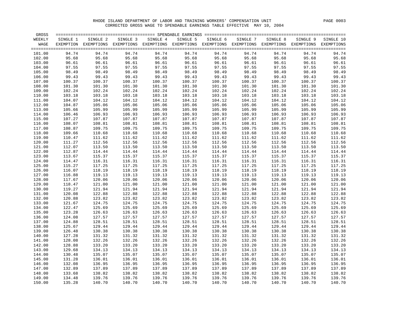| GROSS            |                  |                                                                                                              |                  |                  |                  |                  |                  |                  |                  | $=$ $=$ $=$ $=$  |
|------------------|------------------|--------------------------------------------------------------------------------------------------------------|------------------|------------------|------------------|------------------|------------------|------------------|------------------|------------------|
| WEEKLY           | SINGLE 1         | SINGLE 2                                                                                                     | SINGLE 3         | SINGLE 4         | SINGLE 5         | SINGLE 6         | SINGLE 7         | SINGLE 8         | SINGLE 9         | SINGLE 10        |
| WAGE             |                  | EXEMPTION EXEMPTIONS EXEMPTIONS EXEMPTIONS EXEMPTIONS EXEMPTIONS EXEMPTIONS EXEMPTIONS EXEMPTIONS EXEMPTIONS |                  |                  |                  |                  |                  |                  |                  |                  |
| 101.00           | 94.74            | 94.74                                                                                                        | 94.74            | 94.74            | 94.74            | 94.74            | 94.74            | 94.74            | 94.74            | 94.74            |
| 102.00           | 95.68            | 95.68                                                                                                        | 95.68            | 95.68            | 95.68            | 95.68            | 95.68            | 95.68            | 95.68            | 95.68            |
| 103.00           | 96.61            | 96.61                                                                                                        | 96.61            | 96.61            | 96.61            | 96.61            | 96.61            | 96.61            | 96.61            | 96.61            |
| 104.00           | 97.55            | 97.55                                                                                                        | 97.55            | 97.55            | 97.55            | 97.55            | 97.55            | 97.55            | 97.55            | 97.55            |
| 105.00           | 98.49            | 98.49                                                                                                        | 98.49            | 98.49            | 98.49            | 98.49            | 98.49            | 98.49            | 98.49            | 98.49            |
| 106.00           | 99.43            | 99.43                                                                                                        | 99.43            | 99.43            | 99.43            | 99.43            | 99.43            | 99.43            | 99.43            | 99.43            |
| 107.00           | 100.37           | 100.37                                                                                                       | 100.37           | 100.37           | 100.37           | 100.37           | 100.37           | 100.37           | 100.37           | 100.37           |
| 108.00           | 101.30           | 101.30                                                                                                       | 101.30           | 101.30           | 101.30           | 101.30           | 101.30           | 101.30           | 101.30           | 101.30           |
| 109.00           | 102.24           | 102.24                                                                                                       | 102.24           | 102.24           | 102.24           | 102.24           | 102.24           | 102.24           | 102.24           | 102.24           |
| 110.00           | 103.18           | 103.18                                                                                                       | 103.18           | 103.18           | 103.18           | 103.18           | 103.18           | 103.18           | 103.18           | 103.18           |
| 111.00           | 104.07           | 104.12                                                                                                       | 104.12           | 104.12           | 104.12           | 104.12           | 104.12           | 104.12           | 104.12           | 104.12           |
| 112.00           | 104.87           | 105.06                                                                                                       | 105.06           | 105.06           | 105.06           | 105.06           | 105.06           | 105.06           | 105.06           | 105.06           |
| 113.00           | 105.66           | 105.99                                                                                                       | 105.99           | 105.99           | 105.99           | 105.99           | 105.99           | 105.99           | 105.99           | 105.99           |
| 114.00           | 106.46           | 106.93                                                                                                       | 106.93           | 106.93           | 106.93           | 106.93           | 106.93           | 106.93           | 106.93           | 106.93           |
| 115.00           | 107.27           | 107.87                                                                                                       | 107.87           | 107.87           | 107.87           | 107.87           | 107.87           | 107.87           | 107.87           | 107.87           |
| 116.00           | 108.07           | 108.81                                                                                                       | 108.81           | 108.81           | 108.81           | 108.81           | 108.81           | 108.81           | 108.81           | 108.81           |
| 117.00           | 108.87           | 109.75                                                                                                       | 109.75           | 109.75           | 109.75           | 109.75           | 109.75           | 109.75           | 109.75           | 109.75           |
| 118.00           | 109.66           | 110.68                                                                                                       | 110.68           | 110.68           | 110.68           | 110.68           | 110.68           | 110.68           | 110.68           | 110.68           |
| 119.00           | 110.47           | 111.62                                                                                                       | 111.62           | 111.62           | 111.62           | 111.62           | 111.62           | 111.62           | 111.62           | 111.62           |
| 120.00           | 111.27           | 112.56                                                                                                       | 112.56           | 112.56           | 112.56           | 112.56           | 112.56           | 112.56           | 112.56           | 112.56           |
| 121.00           | 112.07           | 113.50                                                                                                       | 113.50           | 113.50           | 113.50           | 113.50           | 113.50           | 113.50           | 113.50           | 113.50           |
| 122.00           | 112.87           | 114.44                                                                                                       | 114.44           | 114.44           | 114.44           | 114.44           | 114.44           | 114.44           | 114.44           | 114.44           |
| 123.00           | 113.67           | 115.37                                                                                                       | 115.37           | 115.37           | 115.37           | 115.37           | 115.37           | 115.37           | 115.37           | 115.37           |
| 124.00           | 114.47           | 116.31                                                                                                       | 116.31           | 116.31           | 116.31           | 116.31           | 116.31           | 116.31           | 116.31           | 116.31           |
| 125.00           | 115.27           | 117.25                                                                                                       | 117.25           | 117.25           | 117.25           | 117.25           | 117.25           | 117.25           | 117.25           | 117.25           |
| 126.00           | 116.07           | 118.19                                                                                                       | 118.19           | 118.19           | 118.19           | 118.19           | 118.19           | 118.19           | 118.19           | 118.19           |
| 127.00           | 116.88           | 119.13                                                                                                       | 119.13           | 119.13           | 119.13           | 119.13           | 119.13           | 119.13           | 119.13           | 119.13           |
| 128.00           | 117.67           | 120.06                                                                                                       | 120.06           | 120.06           | 120.06           | 120.06           | 120.06           | 120.06           | 120.06           | 120.06           |
| 129.00           | 118.47           | 121.00                                                                                                       | 121.00           | 121.00           | 121.00           | 121.00           | 121.00           | 121.00           | 121.00           | 121.00           |
| 130.00           | 119.27           | 121.94                                                                                                       | 121.94           | 121.94           | 121.94           | 121.94           | 121.94           | 121.94           | 121.94           | 121.94           |
| 131.00           | 120.08           | 122.88                                                                                                       | 122.88           | 122.88           | 122.88           | 122.88           | 122.88           | 122.88           | 122.88           | 122.88           |
| 132.00           | 120.88           | 123.82                                                                                                       | 123.82           | 123.82           | 123.82           | 123.82           | 123.82           | 123.82           | 123.82           | 123.82           |
| 133.00           | 121.67           | 124.75                                                                                                       | 124.75           | 124.75           | 124.75           | 124.75           | 124.75           | 124.75           | 124.75           | 124.75           |
| 134.00           | 122.47           | 125.69                                                                                                       | 125.69           | 125.69           | 125.69           | 125.69           | 125.69           | 125.69           | 125.69           | 125.69           |
| 135.00           | 123.28           | 126.63                                                                                                       | 126.63           | 126.63           | 126.63           | 126.63           | 126.63           | 126.63           | 126.63           | 126.63           |
| 136.00           | 124.08           | 127.57                                                                                                       | 127.57           | 127.57           | 127.57           | 127.57           | 127.57           | 127.57           | 127.57           | 127.57           |
| 137.00           | 124.88           | 128.51                                                                                                       | 128.51           | 128.51           | 128.51           | 128.51           | 128.51           | 128.51           | 128.51           | 128.51           |
| 138.00           | 125.67           | 129.44                                                                                                       | 129.44           | 129.44           | 129.44           | 129.44           | 129.44           | 129.44           | 129.44           | 129.44           |
| 139.00           | 126.48<br>127.28 | 130.38                                                                                                       | 130.38<br>131.32 | 130.38<br>131.32 | 130.38<br>131.32 | 130.38<br>131.32 | 130.38<br>131.32 | 130.38<br>131.32 | 130.38<br>131.32 | 130.38<br>131.32 |
| 140.00           |                  | 131.32                                                                                                       |                  |                  |                  |                  |                  |                  |                  |                  |
| 141.00           | 128.08           | 132.26                                                                                                       | 132.26           | 132.26           | 132.26           | 132.26           | 132.26           | 132.26           | 132.26           | 132.26           |
| 142.00           | 128.88           | 133.20                                                                                                       | 133.20           | 133.20           | 133.20           | 133.20           | 133.20           | 133.20           | 133.20           | 133.20           |
| 143.00<br>144.00 | 129.68<br>130.48 | 134.13<br>135.07                                                                                             | 134.13<br>135.07 | 134.13<br>135.07 | 134.13<br>135.07 | 134.13<br>135.07 | 134.13<br>135.07 | 134.13<br>135.07 | 134.13<br>135.07 | 134.13<br>135.07 |
|                  | 131.28           |                                                                                                              | 136.01           | 136.01           |                  | 136.01           | 136.01           | 136.01           | 136.01           | 136.01           |
| 145.00<br>146.00 | 132.08           | 136.01<br>136.95                                                                                             | 136.95           | 136.95           | 136.01<br>136.95 | 136.95           | 136.95           | 136.95           | 136.95           | 136.95           |
| 147.00           | 132.89           | 137.89                                                                                                       | 137.89           | 137.89           | 137.89           | 137.89           | 137.89           | 137.89           | 137.89           | 137.89           |
| 148.00           | 133.68           | 138.82                                                                                                       | 138.82           | 138.82           | 138.82           | 138.82           | 138.82           | 138.82           | 138.82           | 138.82           |
| 149.00           | 134.48           | 139.76                                                                                                       | 139.76           | 139.76           | 139.76           | 139.76           | 139.76           | 139.76           | 139.76           | 139.76           |
| 150.00           | 135.28           | 140.70                                                                                                       | 140.70           | 140.70           | 140.70           | 140.70           | 140.70           | 140.70           | 140.70           | 140.70           |
|                  |                  |                                                                                                              |                  |                  |                  |                  |                  |                  |                  |                  |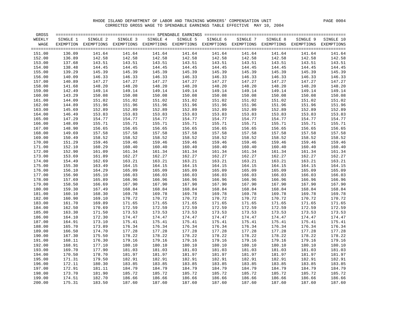| GROSS  |          |                                                                                                              |          |          |          |          |          |          |          |           |
|--------|----------|--------------------------------------------------------------------------------------------------------------|----------|----------|----------|----------|----------|----------|----------|-----------|
| WEEKLY | SINGLE 1 | SINGLE 2                                                                                                     | SINGLE 3 | SINGLE 4 | SINGLE 5 | SINGLE 6 | SINGLE 7 | SINGLE 8 | SINGLE 9 | SINGLE 10 |
| WAGE   |          | EXEMPTION EXEMPTIONS EXEMPTIONS EXEMPTIONS EXEMPTIONS EXEMPTIONS EXEMPTIONS EXEMPTIONS EXEMPTIONS EXEMPTIONS |          |          |          |          |          |          |          |           |
|        |          |                                                                                                              |          |          |          |          |          |          |          |           |
| 151.00 | 136.09   | 141.64                                                                                                       | 141.64   | 141.64   | 141.64   | 141.64   | 141.64   | 141.64   | 141.64   | 141.64    |
| 152.00 | 136.89   | 142.58                                                                                                       | 142.58   | 142.58   | 142.58   | 142.58   | 142.58   | 142.58   | 142.58   | 142.58    |
| 153.00 | 137.68   | 143.51                                                                                                       | 143.51   | 143.51   | 143.51   | 143.51   | 143.51   | 143.51   | 143.51   | 143.51    |
| 154.00 | 138.48   | 144.45                                                                                                       | 144.45   | 144.45   | 144.45   | 144.45   | 144.45   | 144.45   | 144.45   | 144.45    |
| 155.00 | 139.29   | 145.39                                                                                                       | 145.39   | 145.39   | 145.39   | 145.39   | 145.39   | 145.39   | 145.39   | 145.39    |
| 156.00 | 140.09   | 146.33                                                                                                       | 146.33   | 146.33   | 146.33   | 146.33   | 146.33   | 146.33   | 146.33   | 146.33    |
| 157.00 | 140.89   | 147.27                                                                                                       | 147.27   | 147.27   | 147.27   | 147.27   | 147.27   | 147.27   | 147.27   | 147.27    |
| 158.00 | 141.68   | 148.20                                                                                                       | 148.20   | 148.20   | 148.20   | 148.20   | 148.20   | 148.20   | 148.20   | 148.20    |
| 159.00 | 142.49   | 149.14                                                                                                       | 149.14   | 149.14   | 149.14   | 149.14   | 149.14   | 149.14   | 149.14   | 149.14    |
| 160.00 | 143.29   | 150.08                                                                                                       | 150.08   | 150.08   | 150.08   | 150.08   | 150.08   | 150.08   | 150.08   | 150.08    |
| 161.00 | 144.09   | 151.02                                                                                                       | 151.02   | 151.02   | 151.02   | 151.02   | 151.02   | 151.02   | 151.02   | 151.02    |
| 162.00 | 144.89   | 151.96                                                                                                       | 151.96   | 151.96   | 151.96   | 151.96   | 151.96   | 151.96   | 151.96   | 151.96    |
| 163.00 | 145.69   | 152.89                                                                                                       | 152.89   | 152.89   | 152.89   | 152.89   | 152.89   | 152.89   | 152.89   | 152.89    |
| 164.00 | 146.49   | 153.83                                                                                                       | 153.83   | 153.83   | 153.83   | 153.83   | 153.83   | 153.83   | 153.83   | 153.83    |
| 165.00 | 147.29   | 154.77                                                                                                       | 154.77   | 154.77   | 154.77   | 154.77   | 154.77   | 154.77   | 154.77   | 154.77    |
| 166.00 | 148.09   | 155.71                                                                                                       | 155.71   | 155.71   | 155.71   | 155.71   | 155.71   | 155.71   | 155.71   | 155.71    |
| 167.00 | 148.90   | 156.65                                                                                                       | 156.65   | 156.65   | 156.65   | 156.65   | 156.65   | 156.65   | 156.65   | 156.65    |
| 168.00 | 149.69   | 157.58                                                                                                       | 157.58   | 157.58   | 157.58   | 157.58   | 157.58   | 157.58   | 157.58   | 157.58    |
| 169.00 | 150.49   | 158.52                                                                                                       | 158.52   | 158.52   | 158.52   | 158.52   | 158.52   | 158.52   | 158.52   | 158.52    |
| 170.00 | 151.29   | 159.46                                                                                                       | 159.46   | 159.46   | 159.46   | 159.46   | 159.46   | 159.46   | 159.46   | 159.46    |
| 171.00 | 152.10   | 160.29                                                                                                       | 160.40   | 160.40   | 160.40   | 160.40   | 160.40   | 160.40   | 160.40   | 160.40    |
| 172.00 | 152.90   | 161.09                                                                                                       | 161.34   | 161.34   | 161.34   | 161.34   | 161.34   | 161.34   | 161.34   | 161.34    |
| 173.00 | 153.69   | 161.89                                                                                                       | 162.27   | 162.27   | 162.27   | 162.27   | 162.27   | 162.27   | 162.27   | 162.27    |
| 174.00 | 154.49   | 162.69                                                                                                       | 163.21   | 163.21   | 163.21   | 163.21   | 163.21   | 163.21   | 163.21   | 163.21    |
| 175.00 | 155.30   | 163.49                                                                                                       | 164.15   | 164.15   | 164.15   | 164.15   | 164.15   | 164.15   | 164.15   | 164.15    |
| 176.00 | 156.10   | 164.29                                                                                                       | 165.09   | 165.09   | 165.09   | 165.09   | 165.09   | 165.09   | 165.09   | 165.09    |
| 177.00 | 156.90   | 165.10                                                                                                       | 166.03   | 166.03   | 166.03   | 166.03   | 166.03   | 166.03   | 166.03   | 166.03    |
| 178.00 | 157.69   | 165.89                                                                                                       | 166.96   | 166.96   | 166.96   | 166.96   | 166.96   | 166.96   | 166.96   | 166.96    |
| 179.00 | 158.50   | 166.69                                                                                                       | 167.90   | 167.90   | 167.90   | 167.90   | 167.90   | 167.90   | 167.90   | 167.90    |
| 180.00 | 159.30   | 167.49                                                                                                       | 168.84   | 168.84   | 168.84   | 168.84   | 168.84   | 168.84   | 168.84   | 168.84    |
| 181.00 | 160.10   | 168.30                                                                                                       | 169.78   | 169.78   | 169.78   | 169.78   | 169.78   | 169.78   | 169.78   | 169.78    |
| 182.00 | 160.90   | 169.10                                                                                                       | 170.72   | 170.72   | 170.72   | 170.72   | 170.72   | 170.72   | 170.72   | 170.72    |
| 183.00 | 161.70   | 169.89                                                                                                       | 171.65   | 171.65   | 171.65   | 171.65   | 171.65   | 171.65   | 171.65   | 171.65    |
| 184.00 | 162.50   | 170.69                                                                                                       | 172.59   | 172.59   | 172.59   | 172.59   | 172.59   | 172.59   | 172.59   | 172.59    |
| 185.00 | 163.30   | 171.50                                                                                                       | 173.53   | 173.53   | 173.53   | 173.53   | 173.53   | 173.53   | 173.53   | 173.53    |
| 186.00 | 164.10   | 172.30                                                                                                       | 174.47   | 174.47   | 174.47   | 174.47   | 174.47   | 174.47   | 174.47   | 174.47    |
| 187.00 | 164.91   | 173.10                                                                                                       | 175.41   | 175.41   | 175.41   | 175.41   | 175.41   | 175.41   | 175.41   | 175.41    |
| 188.00 | 165.70   | 173.89                                                                                                       | 176.34   | 176.34   | 176.34   | 176.34   | 176.34   | 176.34   | 176.34   | 176.34    |
| 189.00 | 166.50   | 174.70                                                                                                       | 177.28   | 177.28   | 177.28   | 177.28   | 177.28   | 177.28   | 177.28   | 177.28    |
| 190.00 | 167.30   | 175.50                                                                                                       | 178.22   | 178.22   | 178.22   | 178.22   | 178.22   | 178.22   | 178.22   | 178.22    |
| 191.00 | 168.11   | 176.30                                                                                                       | 179.16   | 179.16   | 179.16   | 179.16   | 179.16   | 179.16   | 179.16   | 179.16    |
| 192.00 | 168.91   | 177.10                                                                                                       | 180.10   | 180.10   | 180.10   | 180.10   | 180.10   | 180.10   | 180.10   | 180.10    |
| 193.00 | 169.70   | 177.90                                                                                                       | 181.03   | 181.03   | 181.03   | 181.03   | 181.03   | 181.03   | 181.03   | 181.03    |
| 194.00 | 170.50   | 178.70                                                                                                       | 181.97   | 181.97   | 181.97   | 181.97   | 181.97   | 181.97   | 181.97   | 181.97    |
| 195.00 | 171.31   | 179.50                                                                                                       | 182.91   | 182.91   | 182.91   | 182.91   | 182.91   | 182.91   | 182.91   | 182.91    |
| 196.00 | 172.11   | 180.30                                                                                                       | 183.85   | 183.85   | 183.85   | 183.85   | 183.85   | 183.85   | 183.85   | 183.85    |
| 197.00 | 172.91   | 181.11                                                                                                       | 184.79   | 184.79   | 184.79   | 184.79   | 184.79   | 184.79   | 184.79   | 184.79    |
| 198.00 | 173.70   | 181.90                                                                                                       | 185.72   | 185.72   | 185.72   | 185.72   | 185.72   | 185.72   | 185.72   | 185.72    |
| 199.00 | 174.51   | 182.70                                                                                                       | 186.66   | 186.66   | 186.66   | 186.66   | 186.66   | 186.66   | 186.66   | 186.66    |
| 200.00 | 175.31   | 183.50                                                                                                       | 187.60   | 187.60   | 187.60   | 187.60   | 187.60   | 187.60   | 187.60   | 187.60    |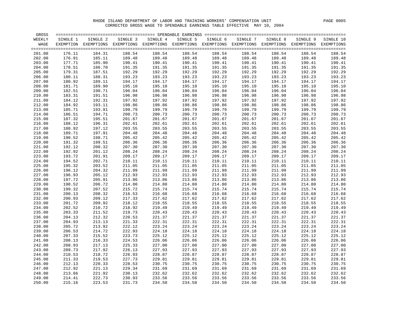| GROSS            |                  |                                                                                                              |                  |                  |                  |                  |                  |                  |                  | $=$ $=$ $=$ $=$  |
|------------------|------------------|--------------------------------------------------------------------------------------------------------------|------------------|------------------|------------------|------------------|------------------|------------------|------------------|------------------|
| WEEKLY           | SINGLE 1         | SINGLE 2                                                                                                     | SINGLE 3         | SINGLE 4         | SINGLE 5         | SINGLE 6         | SINGLE 7         | SINGLE 8         | SINGLE 9         | SINGLE 10        |
| WAGE             |                  | EXEMPTION EXEMPTIONS EXEMPTIONS EXEMPTIONS EXEMPTIONS EXEMPTIONS EXEMPTIONS EXEMPTIONS EXEMPTIONS EXEMPTIONS |                  |                  |                  |                  |                  |                  |                  |                  |
|                  |                  |                                                                                                              |                  |                  |                  |                  |                  |                  |                  |                  |
| 201.00           | 176.11           | 184.31                                                                                                       | 188.54           | 188.54           | 188.54           | 188.54           | 188.54           | 188.54           | 188.54           | 188.54           |
| 202.00           | 176.91           | 185.11                                                                                                       | 189.48           | 189.48           | 189.48           | 189.48           | 189.48           | 189.48           | 189.48           | 189.48           |
| 203.00           | 177.71           | 185.90                                                                                                       | 190.41           | 190.41           | 190.41           | 190.41           | 190.41           | 190.41           | 190.41           | 190.41           |
| 204.00           | 178.51           | 186.70                                                                                                       | 191.35           | 191.35           | 191.35           | 191.35           | 191.35           | 191.35           | 191.35           | 191.35           |
| 205.00           | 179.31           | 187.51                                                                                                       | 192.29           | 192.29           | 192.29           | 192.29           | 192.29           | 192.29           | 192.29           | 192.29           |
| 206.00           | 180.11           | 188.31                                                                                                       | 193.23           | 193.23           | 193.23           | 193.23           | 193.23           | 193.23           | 193.23           | 193.23           |
| 207.00           | 180.92           | 189.11                                                                                                       | 194.17           | 194.17           | 194.17           | 194.17           | 194.17           | 194.17           | 194.17           | 194.17           |
| 208.00           | 181.71           | 189.90                                                                                                       | 195.10           | 195.10           | 195.10           | 195.10           | 195.10           | 195.10           | 195.10           | 195.10           |
| 209.00           | 182.51           | 190.71                                                                                                       | 196.04           | 196.04           | 196.04           | 196.04           | 196.04           | 196.04           | 196.04           | 196.04           |
| 210.00           | 183.31           | 191.51                                                                                                       | 196.98           | 196.98           | 196.98           | 196.98           | 196.98           | 196.98           | 196.98           | 196.98           |
| 211.00           | 184.12           | 192.31                                                                                                       | 197.92           | 197.92           | 197.92           | 197.92           | 197.92           | 197.92           | 197.92           | 197.92           |
| 212.00           | 184.92           | 193.11                                                                                                       | 198.86           | 198.86           | 198.86           | 198.86           | 198.86           | 198.86           | 198.86           | 198.86           |
| 213.00           | 185.71           | 193.91                                                                                                       | 199.79           | 199.79           | 199.79           | 199.79           | 199.79           | 199.79           | 199.79           | 199.79           |
| 214.00           | 186.51           | 194.71                                                                                                       | 200.73           | 200.73           | 200.73           | 200.73           | 200.73           | 200.73           | 200.73           | 200.73           |
| 215.00           | 187.32           | 195.51                                                                                                       | 201.67           | 201.67           | 201.67           | 201.67           | 201.67           | 201.67           | 201.67           | 201.67           |
| 216.00           | 188.12           | 196.31                                                                                                       | 202.61           | 202.61           | 202.61           | 202.61           | 202.61           | 202.61           | 202.61           | 202.61           |
| 217.00           | 188.92           | 197.12                                                                                                       | 203.55           | 203.55           | 203.55           | 203.55           | 203.55           | 203.55           | 203.55           | 203.55           |
| 218.00           | 189.71           | 197.91                                                                                                       | 204.48           | 204.48           | 204.48           | 204.48           | 204.48           | 204.48           | 204.48           | 204.48           |
| 219.00           | 190.52           | 198.71                                                                                                       | 205.42           | 205.42           | 205.42           | 205.42           | 205.42           | 205.42           | 205.42           | 205.42           |
| 220.00           | 191.32           | 199.51                                                                                                       | 206.36           | 206.36           | 206.36           | 206.36           | 206.36           | 206.36           | 206.36           | 206.36           |
| 221.00           | 192.12           | 200.32                                                                                                       | 207.30           | 207.30           | 207.30           | 207.30           | 207.30           | 207.30           | 207.30           | 207.30           |
| 222.00           | 192.92           | 201.12                                                                                                       | 208.24           | 208.24           | 208.24           | 208.24           | 208.24           | 208.24           | 208.24           | 208.24           |
| 223.00           | 193.72           | 201.91                                                                                                       | 209.17           | 209.17           | 209.17           | 209.17           | 209.17           | 209.17           | 209.17           | 209.17           |
| 224.00           | 194.52           | 202.71                                                                                                       | 210.11           | 210.11           | 210.11           | 210.11           | 210.11           | 210.11           | 210.11           | 210.11           |
| 225.00           | 195.32           | 203.52                                                                                                       | 211.05           | 211.05           | 211.05           | 211.05           | 211.05           | 211.05           | 211.05           | 211.05           |
| 226.00           | 196.12           | 204.32                                                                                                       | 211.99           | 211.99           | 211.99           | 211.99           | 211.99           | 211.99           | 211.99           | 211.99           |
| 227.00           | 196.93           | 205.12                                                                                                       | 212.93           | 212.93           | 212.93           | 212.93           | 212.93           | 212.93           | 212.93           | 212.93           |
| 228.00           | 197.72           | 205.91                                                                                                       | 213.86           | 213.86           | 213.86           | 213.86           | 213.86           | 213.86           | 213.86           | 213.86           |
| 229.00           | 198.52           | 206.72                                                                                                       | 214.80           | 214.80           | 214.80           | 214.80           | 214.80           | 214.80           | 214.80           | 214.80           |
| 230.00           | 199.32           | 207.52                                                                                                       | 215.72           | 215.74           | 215.74           | 215.74           | 215.74           | 215.74           | 215.74           | 215.74           |
| 231.00           | 200.13           | 208.32                                                                                                       | 216.53           | 216.68           | 216.68           | 216.68           | 216.68           | 216.68           | 216.68           | 216.68           |
| 232.00           | 200.93           | 209.12                                                                                                       | 217.33           | 217.62           | 217.62           | 217.62           | 217.62           | 217.62           | 217.62           | 217.62           |
| 233.00           | 201.72           | 209.92                                                                                                       | 218.12           | 218.55           | 218.55           | 218.55           | 218.55           | 218.55           | 218.55           | 218.55           |
| 234.00           | 202.52           | 210.72                                                                                                       | 218.92           | 219.49           | 219.49           | 219.49           | 219.49           | 219.49           | 219.49           | 219.49           |
| 235.00           | 203.33           | 211.52                                                                                                       | 219.73           | 220.43           | 220.43           | 220.43           | 220.43           | 220.43           | 220.43           | 220.43           |
| 236.00           | 204.13           | 212.32                                                                                                       | 220.53           | 221.37           | 221.37           | 221.37           | 221.37           | 221.37           | 221.37           | 221.37           |
| 237.00           | 204.93           | 213.13                                                                                                       | 221.33           | 222.31           | 222.31           | 222.31           | 222.31           | 222.31           | 222.31           | 222.31           |
| 238.00           | 205.72           | 213.92                                                                                                       | 222.12           | 223.24           | 223.24           | 223.24           | 223.24           | 223.24           | 223.24           | 223.24           |
| 239.00           | 206.53           | 214.72                                                                                                       | 222.93           | 224.18           | 224.18           | 224.18           | 224.18           | 224.18           | 224.18           | 224.18           |
| 240.00           | 207.33           | 215.52                                                                                                       | 223.73           | 225.12           | 225.12           | 225.12           | 225.12           | 225.12           | 225.12           | 225.12           |
| 241.00           | 208.13           | 216.33                                                                                                       | 224.53           | 226.06           | 226.06           | 226.06           | 226.06           | 226.06           | 226.06           | 226.06           |
| 242.00           | 208.93           | 217.13                                                                                                       | 225.33           | 227.00           | 227.00           | 227.00           | 227.00           | 227.00           | 227.00           | 227.00           |
| 243.00           | 209.73           | 217.92                                                                                                       | 226.13           | 227.93           | 227.93           | 227.93           | 227.93           | 227.93           | 227.93           | 227.93           |
| 244.00           | 210.53           | 218.72                                                                                                       | 226.93           | 228.87           | 228.87           | 228.87           | 228.87           | 228.87           | 228.87           | 228.87           |
| 245.00           | 211.33           | 219.53                                                                                                       | 227.73           | 229.81           | 229.81           | 229.81           | 229.81           | 229.81           | 229.81           | 229.81           |
| 246.00           | 212.13           | 220.33                                                                                                       | 228.53           | 230.75           | 230.75           | 230.75           | 230.75           | 230.75           | 230.75           | 230.75           |
| 247.00           | 212.92           | 221.13                                                                                                       | 229.34           | 231.69           | 231.69           | 231.69           | 231.69           | 231.69           | 231.69           | 231.69           |
| 248.00           | 213.66           | 221.92                                                                                                       | 230.13           | 232.62           | 232.62           | 232.62           | 232.62           | 232.62           | 232.62           | 232.62           |
| 249.00<br>250.00 | 214.41<br>215.16 | 222.73<br>223.53                                                                                             | 230.93<br>231.73 | 233.56<br>234.50 | 233.56<br>234.50 | 233.56<br>234.50 | 233.56<br>234.50 | 233.56<br>234.50 | 233.56<br>234.50 | 233.56<br>234.50 |
|                  |                  |                                                                                                              |                  |                  |                  |                  |                  |                  |                  |                  |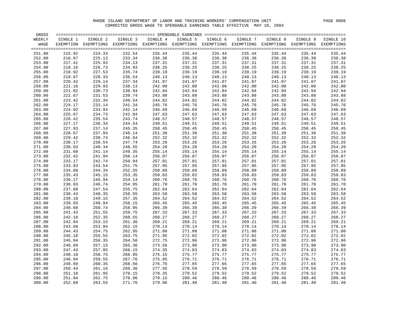| GROSS  |          |                                                                                                              | ============================== SPENDABLE EARNINGS                    ================ |          |          |          |          |          |          |                 |
|--------|----------|--------------------------------------------------------------------------------------------------------------|---------------------------------------------------------------------------------------|----------|----------|----------|----------|----------|----------|-----------------|
| WEEKLY | SINGLE 1 | SINGLE 2                                                                                                     | SINGLE 3                                                                              | SINGLE 4 | SINGLE 5 | SINGLE 6 | SINGLE 7 | SINGLE 8 | SINGLE 9 | SINGLE 10       |
| WAGE   |          | EXEMPTION EXEMPTIONS EXEMPTIONS EXEMPTIONS EXEMPTIONS EXEMPTIONS EXEMPTIONS EXEMPTIONS EXEMPTIONS EXEMPTIONS |                                                                                       |          |          |          |          |          |          |                 |
|        |          |                                                                                                              |                                                                                       |          |          |          |          |          |          | $=$ $=$ $=$ $=$ |
| 251.00 | 215.92   | 224.33                                                                                                       | 232.54                                                                                | 235.44   | 235.44   | 235.44   | 235.44   | 235.44   | 235.44   | 235.44          |
| 252.00 | 216.67   | 225.13                                                                                                       | 233.34                                                                                | 236.38   | 236.38   | 236.38   | 236.38   | 236.38   | 236.38   | 236.38          |
| 253.00 | 217.41   | 225.93                                                                                                       | 234.13                                                                                | 237.31   | 237.31   | 237.31   | 237.31   | 237.31   | 237.31   | 237.31          |
| 254.00 | 218.16   | 226.73                                                                                                       | 234.93                                                                                | 238.25   | 238.25   | 238.25   | 238.25   | 238.25   | 238.25   | 238.25          |
| 255.00 | 218.92   | 227.53                                                                                                       | 235.74                                                                                | 239.19   | 239.19   | 239.19   | 239.19   | 239.19   | 239.19   | 239.19          |
| 256.00 | 219.67   | 228.33                                                                                                       | 236.54                                                                                | 240.13   | 240.13   | 240.13   | 240.13   | 240.13   | 240.13   | 240.13          |
| 257.00 | 220.42   | 229.14                                                                                                       | 237.34                                                                                | 241.07   | 241.07   | 241.07   | 241.07   | 241.07   | 241.07   | 241.07          |
| 258.00 | 221.16   | 229.93                                                                                                       | 238.13                                                                                | 242.00   | 242.00   | 242.00   | 242.00   | 242.00   | 242.00   | 242.00          |
| 259.00 | 221.92   | 230.73                                                                                                       | 238.94                                                                                | 242.94   | 242.94   | 242.94   | 242.94   | 242.94   | 242.94   | 242.94          |
| 260.00 | 222.67   | 231.53                                                                                                       | 239.74                                                                                | 243.88   | 243.88   | 243.88   | 243.88   | 243.88   | 243.88   | 243.88          |
| 261.00 | 223.42   | 232.34                                                                                                       | 240.54                                                                                | 244.82   | 244.82   | 244.82   | 244.82   | 244.82   | 244.82   | 244.82          |
| 262.00 | 224.17   | 233.14                                                                                                       | 241.34                                                                                | 245.76   | 245.76   | 245.76   | 245.76   | 245.76   | 245.76   | 245.76          |
| 263.00 | 224.92   | 233.93                                                                                                       | 242.14                                                                                | 246.69   | 246.69   | 246.69   | 246.69   | 246.69   | 246.69   | 246.69          |
| 264.00 | 225.67   | 234.73                                                                                                       | 242.94                                                                                | 247.63   | 247.63   | 247.63   | 247.63   | 247.63   | 247.63   | 247.63          |
| 265.00 | 226.42   | 235.54                                                                                                       | 243.74                                                                                | 248.57   | 248.57   | 248.57   | 248.57   | 248.57   | 248.57   | 248.57          |
| 266.00 | 227.17   | 236.34                                                                                                       | 244.54                                                                                | 249.51   | 249.51   | 249.51   | 249.51   | 249.51   | 249.51   | 249.51          |
| 267.00 | 227.93   | 237.14                                                                                                       | 245.35                                                                                | 250.45   | 250.45   | 250.45   | 250.45   | 250.45   | 250.45   | 250.45          |
| 268.00 | 228.67   | 237.93                                                                                                       | 246.14                                                                                | 251.38   | 251.38   | 251.38   | 251.38   | 251.38   | 251.38   | 251.38          |
| 269.00 | 229.42   | 238.74                                                                                                       | 246.94                                                                                | 252.32   | 252.32   | 252.32   | 252.32   | 252.32   | 252.32   | 252.32          |
| 270.00 | 230.17   | 239.54                                                                                                       | 247.74                                                                                | 253.26   | 253.26   | 253.26   | 253.26   | 253.26   | 253.26   | 253.26          |
| 271.00 | 230.93   | 240.34                                                                                                       | 248.55                                                                                | 254.20   | 254.20   | 254.20   | 254.20   | 254.20   | 254.20   | 254.20          |
| 272.00 | 231.68   | 241.14                                                                                                       | 249.35                                                                                | 255.14   | 255.14   | 255.14   | 255.14   | 255.14   | 255.14   | 255.14          |
| 273.00 | 232.42   | 241.94                                                                                                       | 250.14                                                                                | 256.07   | 256.07   | 256.07   | 256.07   | 256.07   | 256.07   | 256.07          |
| 274.00 | 233.17   | 242.74                                                                                                       | 250.94                                                                                | 257.01   | 257.01   | 257.01   | 257.01   | 257.01   | 257.01   | 257.01          |
| 275.00 | 233.93   | 243.54                                                                                                       | 251.75                                                                                | 257.95   | 257.95   | 257.95   | 257.95   | 257.95   | 257.95   | 257.95          |
| 276.00 | 234.68   | 244.34                                                                                                       | 252.55                                                                                | 258.89   | 258.89   | 258.89   | 258.89   | 258.89   | 258.89   | 258.89          |
| 277.00 | 235.43   | 245.15                                                                                                       | 253.35                                                                                | 259.83   | 259.83   | 259.83   | 259.83   | 259.83   | 259.83   | 259.83          |
| 278.00 | 236.17   | 245.94                                                                                                       | 254.14                                                                                | 260.76   | 260.76   | 260.76   | 260.76   | 260.76   | 260.76   | 260.76          |
| 279.00 | 236.93   | 246.74                                                                                                       | 254.95                                                                                | 261.70   | 261.70   | 261.70   | 261.70   | 261.70   | 261.70   | 261.70          |
| 280.00 | 237.68   | 247.54                                                                                                       | 255.75                                                                                | 262.64   | 262.64   | 262.64   | 262.64   | 262.64   | 262.64   | 262.64          |
| 281.00 | 238.43   | 248.35                                                                                                       | 256.55                                                                                | 263.58   | 263.58   | 263.58   | 263.58   | 263.58   | 263.58   | 263.58          |
| 282.00 | 239.18   | 249.15                                                                                                       | 257.35                                                                                | 264.52   | 264.52   | 264.52   | 264.52   | 264.52   | 264.52   | 264.52          |
| 283.00 | 239.93   | 249.94                                                                                                       | 258.15                                                                                | 265.45   | 265.45   | 265.45   | 265.45   | 265.45   | 265.45   | 265.45          |
| 284.00 | 240.68   | 250.74                                                                                                       | 258.95                                                                                | 266.39   | 266.39   | 266.39   | 266.39   | 266.39   | 266.39   | 266.39          |
| 285.00 | 241.43   | 251.55                                                                                                       | 259.75                                                                                | 267.33   | 267.33   | 267.33   | 267.33   | 267.33   | 267.33   | 267.33          |
| 286.00 | 242.18   | 252.35                                                                                                       | 260.55                                                                                | 268.27   | 268.27   | 268.27   | 268.27   | 268.27   | 268.27   | 268.27          |
| 287.00 | 242.94   | 253.15                                                                                                       | 261.36                                                                                | 269.21   | 269.21   | 269.21   | 269.21   | 269.21   | 269.21   | 269.21          |
| 288.00 | 243.68   | 253.94                                                                                                       | 262.15                                                                                | 270.14   | 270.14   | 270.14   | 270.14   | 270.14   | 270.14   | 270.14          |
| 289.00 | 244.43   | 254.75                                                                                                       | 262.95                                                                                | 271.08   | 271.08   | 271.08   | 271.08   | 271.08   | 271.08   | 271.08          |
| 290.00 | 245.18   | 255.55                                                                                                       | 263.75                                                                                | 271.95   | 272.02   | 272.02   | 272.02   | 272.02   | 272.02   | 272.02          |
| 291.00 | 245.94   | 256.35                                                                                                       | 264.56                                                                                | 272.75   | 272.96   | 272.96   | 272.96   | 272.96   | 272.96   | 272.96          |
| 292.00 | 246.69   | 257.15                                                                                                       | 265.36                                                                                | 273.56   | 273.90   | 273.90   | 273.90   | 273.90   | 273.90   | 273.90          |
| 293.00 | 247.43   | 257.95                                                                                                       | 266.15                                                                                | 274.35   | 274.83   | 274.83   | 274.83   | 274.83   | 274.83   | 274.83          |
| 294.00 | 248.18   | 258.75                                                                                                       | 266.95                                                                                | 275.15   | 275.77   | 275.77   | 275.77   | 275.77   | 275.77   | 275.77          |
| 295.00 | 248.94   | 259.55                                                                                                       | 267.76                                                                                | 275.95   | 276.71   | 276.71   | 276.71   | 276.71   | 276.71   | 276.71          |
| 296.00 | 249.69   | 260.35                                                                                                       | 268.56                                                                                | 276.76   | 277.65   | 277.65   | 277.65   | 277.65   | 277.65   | 277.65          |
| 297.00 | 250.44   | 261.16                                                                                                       | 269.36                                                                                | 277.56   | 278.59   | 278.59   | 278.59   | 278.59   | 278.59   | 278.59          |
| 298.00 | 251.18   | 261.95                                                                                                       | 270.15                                                                                | 278.35   | 279.52   | 279.52   | 279.52   | 279.52   | 279.52   | 279.52          |
| 299.00 | 251.94   | 262.75                                                                                                       | 270.96                                                                                | 279.15   | 280.46   | 280.46   | 280.46   | 280.46   | 280.46   | 280.46          |
| 300.00 | 252.69   | 263.55                                                                                                       | 271.76                                                                                | 279.96   | 281.40   | 281.40   | 281.40   | 281.40   | 281.40   | 281.40          |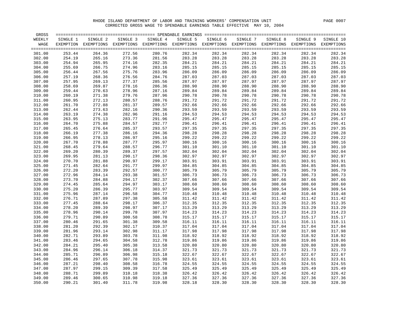| GROSS  |          |                                                                                                              |          |          |          |          |          |          |          |           |
|--------|----------|--------------------------------------------------------------------------------------------------------------|----------|----------|----------|----------|----------|----------|----------|-----------|
| WEEKLY | SINGLE 1 | SINGLE 2                                                                                                     | SINGLE 3 | SINGLE 4 | SINGLE 5 | SINGLE 6 | SINGLE 7 | SINGLE 8 | SINGLE 9 | SINGLE 10 |
| WAGE   |          | EXEMPTION EXEMPTIONS EXEMPTIONS EXEMPTIONS EXEMPTIONS EXEMPTIONS EXEMPTIONS EXEMPTIONS EXEMPTIONS EXEMPTIONS |          |          |          |          |          |          |          |           |
|        |          |                                                                                                              |          |          |          |          |          |          |          | $====$    |
| 301.00 | 253.44   | 264.36                                                                                                       | 272.56   | 280.76   | 282.34   | 282.34   | 282.34   | 282.34   | 282.34   | 282.34    |
| 302.00 | 254.19   | 265.16                                                                                                       | 273.36   | 281.56   | 283.28   | 283.28   | 283.28   | 283.28   | 283.28   | 283.28    |
| 303.00 | 254.94   | 265.95                                                                                                       | 274.16   | 282.35   | 284.21   | 284.21   | 284.21   | 284.21   | 284.21   | 284.21    |
| 304.00 | 255.69   | 266.75                                                                                                       | 274.96   | 283.16   | 285.15   | 285.15   | 285.15   | 285.15   | 285.15   | 285.15    |
| 305.00 | 256.44   | 267.56                                                                                                       | 275.76   | 283.96   | 286.09   | 286.09   | 286.09   | 286.09   | 286.09   | 286.09    |
| 306.00 | 257.19   | 268.36                                                                                                       | 276.56   | 284.76   | 287.03   | 287.03   | 287.03   | 287.03   | 287.03   | 287.03    |
| 307.00 | 257.95   | 269.13                                                                                                       | 277.37   | 285.56   | 287.97   | 287.97   | 287.97   | 287.97   | 287.97   | 287.97    |
| 308.00 | 258.69   | 269.87                                                                                                       | 278.16   | 286.36   | 288.90   | 288.90   | 288.90   | 288.90   | 288.90   | 288.90    |
| 309.00 | 259.44   | 270.63                                                                                                       | 278.96   | 287.16   | 289.84   | 289.84   | 289.84   | 289.84   | 289.84   | 289.84    |
| 310.00 | 260.19   | 271.38                                                                                                       | 279.76   | 287.96   | 290.78   | 290.78   | 290.78   | 290.78   | 290.78   | 290.78    |
| 311.00 | 260.95   | 272.13                                                                                                       | 280.57   | 288.76   | 291.72   | 291.72   | 291.72   | 291.72   | 291.72   | 291.72    |
| 312.00 | 261.70   | 272.88                                                                                                       | 281.37   | 289.57   | 292.66   | 292.66   | 292.66   | 292.66   | 292.66   | 292.66    |
| 313.00 | 262.44   | 273.63                                                                                                       | 282.16   | 290.36   | 293.59   | 293.59   | 293.59   | 293.59   | 293.59   | 293.59    |
| 314.00 | 263.19   | 274.38                                                                                                       | 282.96   | 291.16   | 294.53   | 294.53   | 294.53   | 294.53   | 294.53   | 294.53    |
| 315.00 | 263.95   | 275.13                                                                                                       | 283.77   | 291.96   | 295.47   | 295.47   | 295.47   | 295.47   | 295.47   | 295.47    |
| 316.00 | 264.70   | 275.88                                                                                                       | 284.57   | 292.77   | 296.41   | 296.41   | 296.41   | 296.41   | 296.41   | 296.41    |
| 317.00 | 265.45   | 276.64                                                                                                       | 285.37   | 293.57   | 297.35   | 297.35   | 297.35   | 297.35   | 297.35   | 297.35    |
| 318.00 | 266.19   | 277.38                                                                                                       | 286.16   | 294.36   | 298.28   | 298.28   | 298.28   | 298.28   | 298.28   | 298.28    |
| 319.00 | 266.95   | 278.13                                                                                                       | 286.97   | 295.16   | 299.22   | 299.22   | 299.22   | 299.22   | 299.22   | 299.22    |
| 320.00 | 267.70   | 278.88                                                                                                       | 287.77   | 295.97   | 300.16   | 300.16   | 300.16   | 300.16   | 300.16   | 300.16    |
| 321.00 | 268.45   | 279.64                                                                                                       | 288.57   | 296.77   | 301.10   | 301.10   | 301.10   | 301.10   | 301.10   | 301.10    |
| 322.00 | 269.20   | 280.39                                                                                                       | 289.37   | 297.57   | 302.04   | 302.04   | 302.04   | 302.04   | 302.04   | 302.04    |
| 323.00 | 269.95   | 281.13                                                                                                       | 290.17   | 298.36   | 302.97   | 302.97   | 302.97   | 302.97   | 302.97   | 302.97    |
| 324.00 | 270.70   | 281.88                                                                                                       | 290.97   | 299.17   | 303.91   | 303.91   | 303.91   | 303.91   | 303.91   | 303.91    |
| 325.00 | 271.45   | 282.64                                                                                                       | 291.77   | 299.97   | 304.85   | 304.85   | 304.85   | 304.85   | 304.85   | 304.85    |
| 326.00 | 272.20   | 283.39                                                                                                       | 292.57   | 300.77   | 305.79   | 305.79   | 305.79   | 305.79   | 305.79   | 305.79    |
| 327.00 | 272.96   | 284.14                                                                                                       | 293.38   | 301.57   | 306.73   | 306.73   | 306.73   | 306.73   | 306.73   | 306.73    |
| 328.00 | 273.70   | 284.88                                                                                                       | 294.17   | 302.37   | 307.66   | 307.66   | 307.66   | 307.66   | 307.66   | 307.66    |
| 329.00 | 274.45   | 285.64                                                                                                       | 294.97   | 303.17   | 308.60   | 308.60   | 308.60   | 308.60   | 308.60   | 308.60    |
| 330.00 | 275.20   | 286.39                                                                                                       | 295.77   | 303.97   | 309.54   | 309.54   | 309.54   | 309.54   | 309.54   | 309.54    |
| 331.00 | 275.96   | 287.14                                                                                                       | 296.58   | 304.77   | 310.48   | 310.48   | 310.48   | 310.48   | 310.48   | 310.48    |
| 332.00 | 276.71   | 287.89                                                                                                       | 297.38   | 305.58   | 311.42   | 311.42   | 311.42   | 311.42   | 311.42   | 311.42    |
| 333.00 | 277.45   | 288.64                                                                                                       | 298.17   | 306.37   | 312.35   | 312.35   | 312.35   | 312.35   | 312.35   | 312.35    |
| 334.00 | 278.20   | 289.39                                                                                                       | 298.97   | 307.17   | 313.29   | 313.29   | 313.29   | 313.29   | 313.29   | 313.29    |
| 335.00 | 278.96   | 290.14                                                                                                       | 299.78   | 307.97   | 314.23   | 314.23   | 314.23   | 314.23   | 314.23   | 314.23    |
| 336.00 | 279.71   | 290.89                                                                                                       | 300.58   | 308.78   | 315.17   | 315.17   | 315.17   | 315.17   | 315.17   | 315.17    |
| 337.00 | 280.46   | 291.65                                                                                                       | 301.38   | 309.58   | 316.11   | 316.11   | 316.11   | 316.11   | 316.11   | 316.11    |
| 338.00 | 281.20   | 292.39                                                                                                       | 302.17   | 310.37   | 317.04   | 317.04   | 317.04   | 317.04   | 317.04   | 317.04    |
| 339.00 | 281.96   | 293.14                                                                                                       | 302.98   | 311.17   | 317.98   | 317.98   | 317.98   | 317.98   | 317.98   | 317.98    |
| 340.00 | 282.71   | 293.89                                                                                                       | 303.78   | 311.98   | 318.92   | 318.92   | 318.92   | 318.92   | 318.92   | 318.92    |
| 341.00 | 283.46   | 294.65                                                                                                       | 304.58   | 312.78   | 319.86   | 319.86   | 319.86   | 319.86   | 319.86   | 319.86    |
| 342.00 | 284.21   | 295.40                                                                                                       | 305.38   | 313.58   | 320.80   | 320.80   | 320.80   | 320.80   | 320.80   | 320.80    |
| 343.00 | 284.96   | 296.14                                                                                                       | 306.18   | 314.37   | 321.73   | 321.73   | 321.73   | 321.73   | 321.73   | 321.73    |
| 344.00 | 285.71   | 296.89                                                                                                       | 306.98   | 315.18   | 322.67   | 322.67   | 322.67   | 322.67   | 322.67   | 322.67    |
| 345.00 | 286.46   | 297.65                                                                                                       | 307.78   | 315.98   | 323.61   | 323.61   | 323.61   | 323.61   | 323.61   | 323.61    |
| 346.00 | 287.21   | 298.40                                                                                                       | 308.58   | 316.78   | 324.55   | 324.55   | 324.55   | 324.55   | 324.55   | 324.55    |
| 347.00 | 287.97   | 299.15                                                                                                       | 309.39   | 317.58   | 325.49   | 325.49   | 325.49   | 325.49   | 325.49   | 325.49    |
| 348.00 | 288.71   | 299.89                                                                                                       | 310.18   | 318.38   | 326.42   | 326.42   | 326.42   | 326.42   | 326.42   | 326.42    |
| 349.00 | 289.46   | 300.65                                                                                                       | 310.98   | 319.18   | 327.36   | 327.36   | 327.36   | 327.36   | 327.36   | 327.36    |
| 350.00 | 290.21   | 301.40                                                                                                       | 311.78   | 319.98   | 328.18   | 328.30   | 328.30   | 328.30   | 328.30   | 328.30    |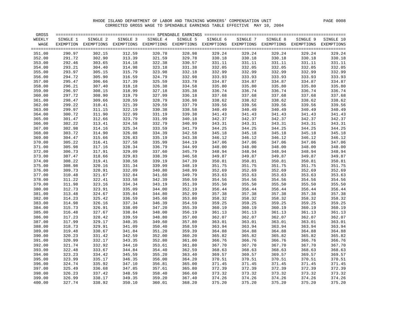| GROSS            |                  |                                                                                                              |                  |                  |                  |                  |                  |                  |                  | $=$ $=$ $=$ $=$  |
|------------------|------------------|--------------------------------------------------------------------------------------------------------------|------------------|------------------|------------------|------------------|------------------|------------------|------------------|------------------|
| WEEKLY           | SINGLE 1         | SINGLE 2                                                                                                     | SINGLE 3         | SINGLE 4         | SINGLE 5         | SINGLE 6         | SINGLE 7         | SINGLE 8         | SINGLE 9         | SINGLE 10        |
| WAGE             |                  | EXEMPTION EXEMPTIONS EXEMPTIONS EXEMPTIONS EXEMPTIONS EXEMPTIONS EXEMPTIONS EXEMPTIONS EXEMPTIONS EXEMPTIONS |                  |                  |                  |                  |                  |                  |                  |                  |
| 351.00           | 290.97           | 302.15                                                                                                       | 312.59           | 320.78           | 328.98           | 329.24           | 329.24           | 329.24           | 329.24           | 329.24           |
| 352.00           | 291.72           | 302.90                                                                                                       | 313.39           | 321.59           | 329.78           | 330.18           | 330.18           | 330.18           | 330.18           | 330.18           |
| 353.00           | 292.46           | 303.65                                                                                                       | 314.18           | 322.38           | 330.57           | 331.11           | 331.11           | 331.11           | 331.11           | 331.11           |
| 354.00           | 293.21           | 304.40                                                                                                       | 314.98           | 323.18           | 331.38           | 332.05           | 332.05           | 332.05           | 332.05           | 332.05           |
| 355.00           | 293.97           | 305.15                                                                                                       | 315.79           | 323.98           | 332.18           | 332.99           | 332.99           | 332.99           | 332.99           | 332.99           |
| 356.00           | 294.72           | 305.90                                                                                                       | 316.59           | 324.79           | 332.98           | 333.93           | 333.93           | 333.93           | 333.93           | 333.93           |
| 357.00           | 295.47           | 306.66                                                                                                       | 317.39           | 325.59           | 333.78           | 334.87           | 334.87           | 334.87           | 334.87           | 334.87           |
| 358.00           | 296.21           | 307.40                                                                                                       | 318.18           | 326.38           | 334.58           | 335.80           | 335.80           | 335.80           | 335.80           | 335.80           |
| 359.00           | 296.97           | 308.15                                                                                                       | 318.99           | 327.18           | 335.38           | 336.74           | 336.74           | 336.74           | 336.74           | 336.74           |
| 360.00           | 297.72           | 308.90                                                                                                       | 319.79           | 327.99           | 336.18           | 337.68           | 337.68           | 337.68           | 337.68           | 337.68           |
| 361.00           | 298.47           | 309.66                                                                                                       | 320.59           | 328.79           | 336.98           | 338.62           | 338.62           | 338.62           | 338.62           | 338.62           |
| 362.00           | 299.22           | 310.41                                                                                                       | 321.39           | 329.59           | 337.79           | 339.56           | 339.56           | 339.56           | 339.56           | 339.56           |
| 363.00           | 299.97           | 311.15                                                                                                       | 322.19           | 330.38           | 338.58           | 340.49           | 340.49           | 340.49           | 340.49           | 340.49           |
| 364.00           | 300.72           | 311.90                                                                                                       | 322.99           | 331.19           | 339.38           | 341.43           | 341.43           | 341.43           | 341.43           | 341.43           |
| 365.00           | 301.47           | 312.66                                                                                                       | 323.79           | 331.99           | 340.18           | 342.37           | 342.37           | 342.37           | 342.37           | 342.37           |
| 366.00           | 302.22           | 313.41                                                                                                       | 324.58           | 332.79           | 340.99           | 343.31           | 343.31           | 343.31           | 343.31           | 343.31           |
| 367.00           | 302.98           | 314.16                                                                                                       | 325.34           | 333.59           | 341.79           | 344.25           | 344.25           | 344.25           | 344.25           | 344.25           |
| 368.00           | 303.72           | 314.90                                                                                                       | 326.08           | 334.39           | 342.58           | 345.18           | 345.18           | 345.18           | 345.18           | 345.18           |
| 369.00           | 304.47           | 315.66                                                                                                       | 326.83           | 335.19           | 343.38           | 346.12           | 346.12           | 346.12           | 346.12           | 346.12           |
| 370.00           | 305.22           | 316.41                                                                                                       | 327.58           | 335.99           | 344.19           | 347.06           | 347.06           | 347.06           | 347.06           | 347.06           |
| 371.00           | 305.98           | 317.16                                                                                                       | 328.34           | 336.79           | 344.99           | 348.00           | 348.00           | 348.00           | 348.00           | 348.00           |
| 372.00           | 306.73           | 317.91                                                                                                       | 329.09           | 337.60           | 345.79           | 348.94           | 348.94           | 348.94           | 348.94           | 348.94           |
| 373.00           | 307.47           | 318.66                                                                                                       | 329.83           | 338.39           | 346.58           | 349.87           | 349.87           | 349.87           | 349.87           | 349.87           |
| 374.00           | 308.22           | 319.41                                                                                                       | 330.58           | 339.19           | 347.39           | 350.81           | 350.81           | 350.81           | 350.81           | 350.81           |
| 375.00           | 308.98           | 320.16                                                                                                       | 331.34           | 339.99           | 348.19           | 351.75           | 351.75           | 351.75           | 351.75           | 351.75           |
| 376.00           | 309.73           | 320.91                                                                                                       | 332.09           | 340.80           | 348.99           | 352.69           | 352.69           | 352.69           | 352.69           | 352.69           |
| 377.00           | 310.48           | 321.67                                                                                                       | 332.84           | 341.60           | 349.79           | 353.63           | 353.63           | 353.63           | 353.63           | 353.63           |
| 378.00           | 311.22           | 322.41                                                                                                       | 333.58           | 342.39           | 350.59           | 354.56           | 354.56           | 354.56           | 354.56           | 354.56           |
| 379.00           | 311.98           | 323.16                                                                                                       | 334.34           | 343.19           | 351.39           | 355.50           | 355.50           | 355.50           | 355.50           | 355.50           |
| 380.00           | 312.73           | 323.91                                                                                                       | 335.09           | 344.00           | 352.19           | 356.44           | 356.44           | 356.44           | 356.44           | 356.44           |
| 381.00           | 313.48           | 324.67                                                                                                       | 335.84           | 344.80           | 352.99           | 357.38           | 357.38           | 357.38           | 357.38<br>358.32 | 357.38           |
| 382.00           | 314.23<br>314.98 | 325.42                                                                                                       | 336.59           | 345.60<br>346.39 | 353.80           | 358.32           | 358.32           | 358.32           |                  | 358.32           |
| 383.00<br>384.00 | 315.73           | 326.16<br>326.91                                                                                             | 337.34<br>338.09 | 347.20           | 354.59<br>355.39 | 359.25<br>360.19 | 359.25<br>360.19 | 359.25<br>360.19 | 359.25<br>360.19 | 359.25<br>360.19 |
| 385.00           | 316.48           | 327.67                                                                                                       | 338.84           | 348.00           | 356.19           | 361.13           | 361.13           | 361.13           | 361.13           | 361.13           |
| 386.00           | 317.23           | 328.42                                                                                                       | 339.59           | 348.80           | 357.00           | 362.07           | 362.07           | 362.07           | 362.07           | 362.07           |
| 387.00           | 317.99           | 329.17                                                                                                       | 340.35           | 349.60           | 357.80           | 363.01           | 363.01           | 363.01           | 363.01           | 363.01           |
| 388.00           | 318.73           | 329.91                                                                                                       | 341.09           | 350.40           | 358.59           | 363.94           | 363.94           | 363.94           | 363.94           | 363.94           |
| 389.00           | 319.48           | 330.67                                                                                                       | 341.84           | 351.20           | 359.39           | 364.88           | 364.88           | 364.88           | 364.88           | 364.88           |
| 390.00           | 320.23           | 331.42                                                                                                       | 342.59           | 352.00           | 360.20           | 365.82           | 365.82           | 365.82           | 365.82           | 365.82           |
| 391.00           | 320.99           | 332.17                                                                                                       | 343.35           | 352.80           | 361.00           | 366.76           | 366.76           | 366.76           | 366.76           | 366.76           |
| 392.00           | 321.74           | 332.92                                                                                                       | 344.10           | 353.61           | 361.80           | 367.70           | 367.70           | 367.70           | 367.70           | 367.70           |
| 393.00           | 322.48           | 333.67                                                                                                       | 344.84           | 354.40           | 362.59           | 368.63           | 368.63           | 368.63           | 368.63           | 368.63           |
| 394.00           | 323.23           | 334.42                                                                                                       | 345.59           | 355.20           | 363.40           | 369.57           | 369.57           | 369.57           | 369.57           | 369.57           |
| 395.00           | 323.99           | 335.17                                                                                                       | 346.35           | 356.00           | 364.20           | 370.51           | 370.51           | 370.51           | 370.51           | 370.51           |
| 396.00           | 324.74           | 335.92                                                                                                       | 347.10           | 356.81           | 365.00           | 371.45           | 371.45           | 371.45           | 371.45           | 371.45           |
| 397.00           | 325.49           | 336.68                                                                                                       | 347.85           | 357.61           | 365.80           | 372.39           | 372.39           | 372.39           | 372.39           | 372.39           |
| 398.00           | 326.23           | 337.42                                                                                                       | 348.59           | 358.40           | 366.60           | 373.32           | 373.32           | 373.32           | 373.32           | 373.32           |
| 399.00           | 326.99           | 338.17                                                                                                       | 349.35           | 359.20           | 367.40           | 374.26           | 374.26           | 374.26           | 374.26           | 374.26           |
| 400.00           | 327.74           | 338.92                                                                                                       | 350.10           | 360.01           | 368.20           | 375.20           | 375.20           | 375.20           | 375.20           | 375.20           |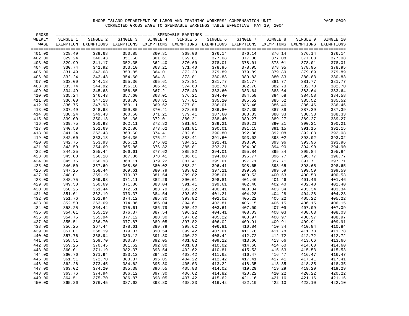| GROSS  |          |                                                                                                              |          |          |          |          |          |          |          | $=$ $=$ $=$ $=$ |
|--------|----------|--------------------------------------------------------------------------------------------------------------|----------|----------|----------|----------|----------|----------|----------|-----------------|
| WEEKLY | SINGLE 1 | SINGLE 2                                                                                                     | SINGLE 3 | SINGLE 4 | SINGLE 5 | SINGLE 6 | SINGLE 7 | SINGLE 8 | SINGLE 9 | SINGLE 10       |
| WAGE   |          | EXEMPTION EXEMPTIONS EXEMPTIONS EXEMPTIONS EXEMPTIONS EXEMPTIONS EXEMPTIONS EXEMPTIONS EXEMPTIONS EXEMPTIONS |          |          |          |          |          |          |          |                 |
|        |          |                                                                                                              |          |          |          |          |          |          |          |                 |
| 401.00 | 328.49   | 339.68                                                                                                       | 350.85   | 360.81   | 369.00   | 376.14   | 376.14   | 376.14   | 376.14   | 376.14          |
| 402.00 | 329.24   | 340.43                                                                                                       | 351.60   | 361.61   | 369.81   | 377.08   | 377.08   | 377.08   | 377.08   | 377.08          |
| 403.00 | 329.99   | 341.17                                                                                                       | 352.35   | 362.40   | 370.60   | 378.01   | 378.01   | 378.01   | 378.01   | 378.01          |
| 404.00 | 330.74   | 341.92                                                                                                       | 353.10   | 363.21   | 371.40   | 378.95   | 378.95   | 378.95   | 378.95   | 378.95          |
| 405.00 | 331.49   | 342.68                                                                                                       | 353.85   | 364.01   | 372.20   | 379.89   | 379.89   | 379.89   | 379.89   | 379.89          |
| 406.00 | 332.24   | 343.43                                                                                                       | 354.60   | 364.81   | 373.01   | 380.83   | 380.83   | 380.83   | 380.83   | 380.83          |
| 407.00 | 333.00   | 344.18                                                                                                       | 355.36   | 365.61   | 373.81   | 381.77   | 381.77   | 381.77   | 381.77   | 381.77          |
| 408.00 | 333.74   | 344.92                                                                                                       | 356.10   | 366.41   | 374.60   | 382.70   | 382.70   | 382.70   | 382.70   | 382.70          |
| 409.00 | 334.49   | 345.68                                                                                                       | 356.85   | 367.21   | 375.40   | 383.60   | 383.64   | 383.64   | 383.64   | 383.64          |
| 410.00 | 335.24   | 346.43                                                                                                       | 357.60   | 368.01   | 376.21   | 384.40   | 384.58   | 384.58   | 384.58   | 384.58          |
| 411.00 | 336.00   | 347.18                                                                                                       | 358.36   | 368.81   | 377.01   | 385.20   | 385.52   | 385.52   | 385.52   | 385.52          |
| 412.00 | 336.75   | 347.93                                                                                                       | 359.11   | 369.62   | 377.81   | 386.01   | 386.46   | 386.46   | 386.46   | 386.46          |
| 413.00 | 337.49   | 348.68                                                                                                       | 359.85   | 370.41   | 378.60   | 386.80   | 387.39   | 387.39   | 387.39   | 387.39          |
| 414.00 | 338.24   | 349.43                                                                                                       | 360.60   | 371.21   | 379.41   | 387.60   | 388.33   | 388.33   | 388.33   | 388.33          |
| 415.00 | 339.00   | 350.18                                                                                                       | 361.36   | 372.01   | 380.21   | 388.40   | 389.27   | 389.27   | 389.27   | 389.27          |
| 416.00 | 339.75   | 350.93                                                                                                       | 362.11   | 372.82   | 381.01   | 389.21   | 390.21   | 390.21   | 390.21   | 390.21          |
| 417.00 | 340.50   | 351.69                                                                                                       | 362.86   | 373.62   | 381.81   | 390.01   | 391.15   | 391.15   | 391.15   | 391.15          |
| 418.00 | 341.24   | 352.43                                                                                                       | 363.60   | 374.41   | 382.61   | 390.80   | 392.08   | 392.08   | 392.08   | 392.08          |
| 419.00 | 342.00   | 353.18                                                                                                       | 364.36   | 375.21   | 383.41   | 391.60   | 393.02   | 393.02   | 393.02   | 393.02          |
| 420.00 | 342.75   | 353.93                                                                                                       | 365.11   | 376.02   | 384.21   | 392.41   | 393.96   | 393.96   | 393.96   | 393.96          |
| 421.00 | 343.50   | 354.69                                                                                                       | 365.86   | 376.82   | 385.01   | 393.21   | 394.90   | 394.90   | 394.90   | 394.90          |
| 422.00 | 344.25   | 355.44                                                                                                       | 366.61   | 377.62   | 385.82   | 394.01   | 395.84   | 395.84   | 395.84   | 395.84          |
| 423.00 | 345.00   | 356.18                                                                                                       | 367.36   | 378.41   | 386.61   | 394.80   | 396.77   | 396.77   | 396.77   | 396.77          |
| 424.00 | 345.75   | 356.93                                                                                                       | 368.11   | 379.22   | 387.41   | 395.61   | 397.71   | 397.71   | 397.71   | 397.71          |
| 425.00 | 346.50   | 357.69                                                                                                       | 368.86   | 380.02   | 388.21   | 396.41   | 398.65   | 398.65   | 398.65   | 398.65          |
| 426.00 | 347.25   | 358.44                                                                                                       | 369.61   | 380.79   | 389.02   | 397.21   | 399.59   | 399.59   | 399.59   | 399.59          |
| 427.00 | 348.01   | 359.19                                                                                                       | 370.37   | 381.54   | 389.82   | 398.01   | 400.53   | 400.53   | 400.53   | 400.53          |
| 428.00 | 348.75   | 359.93                                                                                                       | 371.11   | 382.29   | 390.61   | 398.81   | 401.46   | 401.46   | 401.46   | 401.46          |
| 429.00 | 349.50   | 360.69                                                                                                       | 371.86   | 383.04   | 391.41   | 399.61   | 402.40   | 402.40   | 402.40   | 402.40          |
| 430.00 | 350.25   | 361.44                                                                                                       | 372.61   | 383.79   | 392.22   | 400.41   | 403.34   | 403.34   | 403.34   | 403.34          |
| 431.00 | 351.01   | 362.19                                                                                                       | 373.37   | 384.54   | 393.02   | 401.21   | 404.28   | 404.28   | 404.28   | 404.28          |
| 432.00 | 351.76   | 362.94                                                                                                       | 374.12   | 385.30   | 393.82   | 402.02   | 405.22   | 405.22   | 405.22   | 405.22          |
| 433.00 | 352.50   | 363.69                                                                                                       | 374.86   | 386.04   | 394.61   | 402.81   | 406.15   | 406.15   | 406.15   | 406.15          |
| 434.00 | 353.25   | 364.44                                                                                                       | 375.61   | 386.79   | 395.42   | 403.61   | 407.09   | 407.09   | 407.09   | 407.09          |
| 435.00 | 354.01   | 365.19                                                                                                       | 376.37   | 387.54   | 396.22   | 404.41   | 408.03   | 408.03   | 408.03   | 408.03          |
| 436.00 | 354.76   | 365.94                                                                                                       | 377.12   | 388.30   | 397.02   | 405.22   | 408.97   | 408.97   | 408.97   | 408.97          |
| 437.00 | 355.51   | 366.70                                                                                                       | 377.87   | 389.05   | 397.82   | 406.02   | 409.91   | 409.91   | 409.91   | 409.91          |
| 438.00 | 356.25   | 367.44                                                                                                       | 378.61   | 389.79   | 398.62   | 406.81   | 410.84   | 410.84   | 410.84   | 410.84          |
| 439.00 | 357.01   | 368.19                                                                                                       | 379.37   | 390.54   | 399.42   | 407.61   | 411.78   | 411.78   | 411.78   | 411.78          |
| 440.00 | 357.76   | 368.94                                                                                                       | 380.12   | 391.30   | 400.22   | 408.42   | 412.72   | 412.72   | 412.72   | 412.72          |
| 441.00 | 358.51   | 369.70                                                                                                       | 380.87   | 392.05   | 401.02   | 409.22   | 413.66   | 413.66   | 413.66   | 413.66          |
| 442.00 | 359.26   | 370.45                                                                                                       | 381.62   | 392.80   | 401.83   | 410.02   | 414.60   | 414.60   | 414.60   | 414.60          |
| 443.00 | 360.01   | 371.19                                                                                                       | 382.37   | 393.54   | 402.62   | 410.81   | 415.53   | 415.53   | 415.53   | 415.53          |
| 444.00 | 360.76   | 371.94                                                                                                       | 383.12   | 394.30   | 403.42   | 411.62   | 416.47   | 416.47   | 416.47   | 416.47          |
| 445.00 | 361.51   | 372.70                                                                                                       | 383.87   | 395.05   | 404.22   | 412.42   | 417.41   | 417.41   | 417.41   | 417.41          |
| 446.00 | 362.26   | 373.45                                                                                                       | 384.62   | 395.80   | 405.03   | 413.22   | 418.35   | 418.35   | 418.35   | 418.35          |
| 447.00 | 363.02   | 374.20                                                                                                       | 385.38   | 396.55   | 405.83   | 414.02   | 419.29   | 419.29   | 419.29   | 419.29          |
| 448.00 | 363.76   | 374.94                                                                                                       | 386.12   | 397.30   | 406.62   | 414.82   | 420.22   | 420.22   | 420.22   | 420.22          |
| 449.00 | 364.51   | 375.70                                                                                                       | 386.87   | 398.05   | 407.42   | 415.62   | 421.16   | 421.16   | 421.16   | 421.16          |
| 450.00 | 365.26   | 376.45                                                                                                       | 387.62   | 398.80   | 408.23   | 416.42   | 422.10   | 422.10   | 422.10   | 422.10          |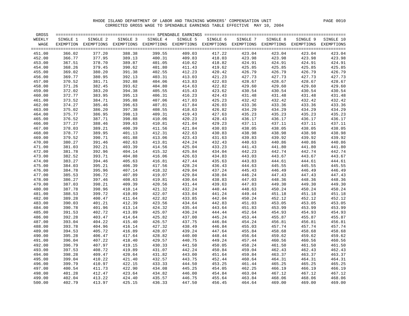| GROSS            |                  |                                                                                                              |                  |                  |                  |                  |                  |                  |                  | $=$ $=$ $=$ $=$  |
|------------------|------------------|--------------------------------------------------------------------------------------------------------------|------------------|------------------|------------------|------------------|------------------|------------------|------------------|------------------|
| WEEKLY           | SINGLE 1         | SINGLE 2                                                                                                     | SINGLE 3         | SINGLE 4         | SINGLE 5         | SINGLE 6         | SINGLE 7         | SINGLE 8         | SINGLE 9         | SINGLE 10        |
| WAGE             |                  | EXEMPTION EXEMPTIONS EXEMPTIONS EXEMPTIONS EXEMPTIONS EXEMPTIONS EXEMPTIONS EXEMPTIONS EXEMPTIONS EXEMPTIONS |                  |                  |                  |                  |                  |                  |                  |                  |
| 451.00           | 366.02           | 377.20                                                                                                       | 388.38           | 399.55           | 409.03           | 417.22           | 423.04           | 423.04           | 423.04           | 423.04           |
| 452.00           | 366.77           | 377.95                                                                                                       | 389.13           | 400.31           | 409.83           | 418.03           | 423.98           | 423.98           | 423.98           | 423.98           |
| 453.00           | 367.51           | 378.70                                                                                                       | 389.87           | 401.05           | 410.62           | 418.82           | 424.91           | 424.91           | 424.91           | 424.91           |
| 454.00           | 368.26           | 379.45                                                                                                       | 390.62           | 401.80           | 411.43           | 419.62           | 425.85           | 425.85           | 425.85           | 425.85           |
| 455.00           | 369.02           | 380.20                                                                                                       | 391.38           | 402.55           | 412.23           | 420.42           | 426.79           | 426.79           | 426.79           | 426.79           |
| 456.00           | 369.77           | 380.95                                                                                                       | 392.13           | 403.31           | 413.03           | 421.23           | 427.73           | 427.73           | 427.73           | 427.73           |
| 457.00           | 370.52           | 381.71                                                                                                       | 392.88           | 404.06           | 413.83           | 422.03           | 428.67           | 428.67           | 428.67           | 428.67           |
| 458.00           | 371.26           | 382.45                                                                                                       | 393.62           | 404.80           | 414.63           | 422.82           | 429.60           | 429.60           | 429.60           | 429.60           |
| 459.00           | 372.02           | 383.20                                                                                                       | 394.38           | 405.55           | 415.43           | 423.62           | 430.54           | 430.54           | 430.54           | 430.54           |
| 460.00           | 372.77           | 383.95                                                                                                       | 395.13           | 406.31           | 416.23           | 424.43           | 431.48           | 431.48           | 431.48           | 431.48           |
| 461.00           | 373.52           | 384.71                                                                                                       | 395.88           | 407.06           | 417.03           | 425.23           | 432.42           | 432.42           | 432.42           | 432.42           |
| 462.00           | 374.27           | 385.46                                                                                                       | 396.63           | 407.81           | 417.84           | 426.03           | 433.36           | 433.36           | 433.36           | 433.36           |
| 463.00           | 375.02           | 386.20                                                                                                       | 397.38           | 408.55           | 418.63           | 426.82           | 434.29           | 434.29           | 434.29           | 434.29           |
| 464.00           | 375.77           | 386.95                                                                                                       | 398.13           | 409.31           | 419.43           | 427.63           | 435.23           | 435.23           | 435.23           | 435.23           |
| 465.00           | 376.52           | 387.71                                                                                                       | 398.88           | 410.06           | 420.23           | 428.43           | 436.17           | 436.17           | 436.17           | 436.17           |
| 466.00           | 377.27           | 388.46                                                                                                       | 399.63           | 410.81           | 421.04           | 429.23           | 437.11           | 437.11           | 437.11           | 437.11           |
| 467.00           | 378.03           | 389.21                                                                                                       | 400.39           | 411.56           | 421.84           | 430.03           | 438.05           | 438.05           | 438.05           | 438.05           |
| 468.00           | 378.77           | 389.95                                                                                                       | 401.13           | 412.31           | 422.63           | 430.83           | 438.98           | 438.98           | 438.98           | 438.98           |
| 469.00           | 379.52           | 390.71                                                                                                       | 401.88           | 413.06           | 423.43           | 431.63           | 439.83           | 439.92           | 439.92           | 439.92           |
| 470.00           | 380.27           | 391.46                                                                                                       | 402.63           | 413.81           | 424.24           | 432.43           | 440.63           | 440.86           | 440.86           | 440.86           |
| 471.00           | 381.03           | 392.21                                                                                                       | 403.39           | 414.56           | 425.04           | 433.23           | 441.43           | 441.80           | 441.80           | 441.80           |
| 472.00           | 381.78           | 392.96                                                                                                       | 404.14           | 415.32           | 425.84           | 434.04           | 442.23           | 442.74           | 442.74           | 442.74           |
| 473.00           | 382.52           | 393.71                                                                                                       | 404.88           | 416.06           | 426.63           | 434.83           | 443.03           | 443.67           | 443.67           | 443.67           |
| 474.00           | 383.27           | 394.46                                                                                                       | 405.63           | 416.81           | 427.44           | 435.63           | 443.83           | 444.61           | 444.61           | 444.61           |
| 475.00           | 384.03           | 395.21                                                                                                       | 406.39           | 417.56           | 428.24           | 436.43           | 444.63           | 445.55           | 445.55           | 445.55           |
| 476.00           | 384.78           | 395.96                                                                                                       | 407.14           | 418.32           | 429.04           | 437.24           | 445.43           | 446.49           | 446.49           | 446.49           |
| 477.00           | 385.53           | 396.72                                                                                                       | 407.89           | 419.07           | 429.84           | 438.04           | 446.24           | 447.43           | 447.43           | 447.43           |
| 478.00           | 386.27           | 397.46                                                                                                       | 408.63           | 419.81           | 430.64           | 438.83           | 447.03           | 448.36           | 448.36           | 448.36           |
| 479.00<br>480.00 | 387.03<br>387.78 | 398.21                                                                                                       | 409.39<br>410.14 | 420.56<br>421.32 | 431.44<br>432.24 | 439.63<br>440.44 | 447.83<br>448.63 | 449.30<br>450.24 | 449.30<br>450.24 | 449.30<br>450.24 |
| 481.00           | 388.53           | 398.96<br>399.72                                                                                             | 410.89           | 422.07           | 433.04           | 441.24           | 449.44           | 451.18           | 451.18           | 451.18           |
| 482.00           | 389.28           | 400.47                                                                                                       | 411.64           | 422.82           | 433.85           | 442.04           | 450.24           | 452.12           | 452.12           | 452.12           |
| 483.00           | 390.03           | 401.21                                                                                                       | 412.39           | 423.56           | 434.64           | 442.83           | 451.03           | 453.05           | 453.05           | 453.05           |
| 484.00           | 390.78           | 401.96                                                                                                       | 413.14           | 424.32           | 435.44           | 443.64           | 451.83           | 453.99           | 453.99           | 453.99           |
| 485.00           | 391.53           | 402.72                                                                                                       | 413.89           | 425.07           | 436.24           | 444.44           | 452.64           | 454.93           | 454.93           | 454.93           |
| 486.00           | 392.28           | 403.47                                                                                                       | 414.64           | 425.82           | 437.00           | 445.24           | 453.44           | 455.87           | 455.87           | 455.87           |
| 487.00           | 393.04           | 404.22                                                                                                       | 415.40           | 426.57           | 437.75           | 446.04           | 454.24           | 456.81           | 456.81           | 456.81           |
| 488.00           | 393.78           | 404.96                                                                                                       | 416.14           | 427.32           | 438.49           | 446.84           | 455.03           | 457.74           | 457.74           | 457.74           |
| 489.00           | 394.53           | 405.72                                                                                                       | 416.89           | 428.07           | 439.24           | 447.64           | 455.84           | 458.68           | 458.68           | 458.68           |
| 490.00           | 395.28           | 406.47                                                                                                       | 417.64           | 428.82           | 440.00           | 448.44           | 456.64           | 459.62           | 459.62           | 459.62           |
| 491.00           | 396.04           | 407.22                                                                                                       | 418.40           | 429.57           | 440.75           | 449.24           | 457.44           | 460.56           | 460.56           | 460.56           |
| 492.00           | 396.79           | 407.97                                                                                                       | 419.15           | 430.33           | 441.50           | 450.05           | 458.24           | 461.50           | 461.50           | 461.50           |
| 493.00           | 397.53           | 408.72                                                                                                       | 419.89           | 431.07           | 442.24           | 450.84           | 459.04           | 462.43           | 462.43           | 462.43           |
| 494.00           | 398.28           | 409.47                                                                                                       | 420.64           | 431.82           | 443.00           | 451.64           | 459.84           | 463.37           | 463.37           | 463.37           |
| 495.00           | 399.04           | 410.22                                                                                                       | 421.40           | 432.57           | 443.75           | 452.44           | 460.64           | 464.31           | 464.31           | 464.31           |
| 496.00           | 399.79           | 410.97                                                                                                       | 422.15           | 433.33           | 444.50           | 453.25           | 461.44           | 465.25           | 465.25           | 465.25           |
| 497.00           | 400.54           | 411.73                                                                                                       | 422.90           | 434.08           | 445.25           | 454.05           | 462.25           | 466.19           | 466.19           | 466.19           |
| 498.00           | 401.28           | 412.47                                                                                                       | 423.64           | 434.82           | 446.00           | 454.84           | 463.04           | 467.12           | 467.12           | 467.12           |
| 499.00           | 402.04           | 413.22                                                                                                       | 424.40           | 435.57           | 446.75           | 455.64           | 463.84           | 468.06           | 468.06           | 468.06           |
| 500.00           | 402.79           | 413.97                                                                                                       | 425.15           | 436.33           | 447.50           | 456.45           | 464.64           | 469.00           | 469.00           | 469.00           |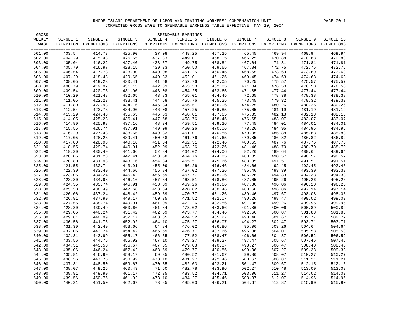| GROSS  |          |                                                                                                   | ============================== SPENDABLE EARNINGS |          |          | ================ |          |          |          |            |
|--------|----------|---------------------------------------------------------------------------------------------------|---------------------------------------------------|----------|----------|------------------|----------|----------|----------|------------|
| WEEKLY | SINGLE 1 | SINGLE 2                                                                                          | SINGLE 3                                          | SINGLE 4 | SINGLE 5 | SINGLE 6         | SINGLE 7 | SINGLE 8 | SINGLE 9 | SINGLE 10  |
| WAGE   |          | EXEMPTION EXEMPTIONS EXEMPTIONS EXEMPTIONS EXEMPTIONS EXEMPTIONS EXEMPTIONS EXEMPTIONS EXEMPTIONS |                                                   |          |          |                  |          |          |          | EXEMPTIONS |
| 501.00 | 403.54   | 414.73                                                                                            | 425.90                                            | 437.08   | 448.25   | 457.25           | 465.45   | 469.94   | 469.94   | 469.94     |
| 502.00 | 404.29   | 415.48                                                                                            | 426.65                                            | 437.83   | 449.01   | 458.05           | 466.25   | 470.88   | 470.88   | 470.88     |
| 503.00 | 405.04   | 416.22                                                                                            | 427.40                                            | 438.57   | 449.75   | 458.84           | 467.04   | 471.81   | 471.81   | 471.81     |
| 504.00 | 405.79   | 416.97                                                                                            | 428.15                                            | 439.33   | 450.50   | 459.65           | 467.84   | 472.75   | 472.75   | 472.75     |
| 505.00 | 406.54   | 417.73                                                                                            | 428.90                                            | 440.08   | 451.25   | 460.45           | 468.65   | 473.69   | 473.69   | 473.69     |
| 506.00 | 407.29   | 418.48                                                                                            | 429.65                                            | 440.83   | 452.01   | 461.25           | 469.45   | 474.63   | 474.63   | 474.63     |
| 507.00 | 408.05   | 419.23                                                                                            | 430.41                                            | 441.58   | 452.76   | 462.05           | 470.25   | 475.57   | 475.57   | 475.57     |
| 508.00 | 408.79   | 419.97                                                                                            | 431.15                                            | 442.33   | 453.50   | 462.85           | 471.04   | 476.50   | 476.50   | 476.50     |
| 509.00 | 409.54   | 420.73                                                                                            | 431.90                                            | 443.08   | 454.25   | 463.65           | 471.85   | 477.44   | 477.44   | 477.44     |
| 510.00 | 410.29   | 421.48                                                                                            | 432.65                                            | 443.83   | 455.01   | 464.45           | 472.65   | 478.38   | 478.38   | 478.38     |
| 511.00 | 411.05   | 422.23                                                                                            | 433.41                                            | 444.58   | 455.76   | 465.25           | 473.45   | 479.32   | 479.32   | 479.32     |
| 512.00 | 411.80   | 422.98                                                                                            | 434.16                                            | 445.34   | 456.51   | 466.06           | 474.25   | 480.26   | 480.26   | 480.26     |
| 513.00 | 412.54   | 423.73                                                                                            | 434.90                                            | 446.08   | 457.25   | 466.85           | 475.05   | 481.19   | 481.19   | 481.19     |
| 514.00 | 413.29   | 424.48                                                                                            | 435.65                                            | 446.83   | 458.01   | 467.65           | 475.85   | 482.13   | 482.13   | 482.13     |
| 515.00 | 414.05   | 425.23                                                                                            | 436.41                                            | 447.58   | 458.76   | 468.45           | 476.65   | 483.07   | 483.07   | 483.07     |
| 516.00 | 414.80   | 425.98                                                                                            | 437.16                                            | 448.34   | 459.51   | 469.26           | 477.45   | 484.01   | 484.01   | 484.01     |
| 517.00 | 415.55   | 426.74                                                                                            | 437.91                                            | 449.09   | 460.26   | 470.06           | 478.26   | 484.95   | 484.95   | 484.95     |
| 518.00 | 416.29   | 427.48                                                                                            | 438.65                                            | 449.83   | 461.01   | 470.85           | 479.05   | 485.88   | 485.88   | 485.88     |
| 519.00 | 417.05   | 428.23                                                                                            | 439.41                                            | 450.58   | 461.76   | 471.65           | 479.85   | 486.82   | 486.82   | 486.82     |
| 520.00 | 417.80   | 428.98                                                                                            | 440.16                                            | 451.34   | 462.51   | 472.46           | 480.65   | 487.76   | 487.76   | 487.76     |
| 521.00 | 418.55   | 429.74                                                                                            | 440.91                                            | 452.09   | 463.26   | 473.26           | 481.46   | 488.70   | 488.70   | 488.70     |
| 522.00 | 419.30   | 430.49                                                                                            | 441.66                                            | 452.84   | 464.02   | 474.06           | 482.26   | 489.64   | 489.64   | 489.64     |
| 523.00 | 420.05   | 431.23                                                                                            | 442.41                                            | 453.58   | 464.76   | 474.85           | 483.05   | 490.57   | 490.57   | 490.57     |
| 524.00 | 420.80   | 431.98                                                                                            | 443.16                                            | 454.34   | 465.51   | 475.66           | 483.85   | 491.51   | 491.51   | 491.51     |
| 525.00 | 421.55   | 432.74                                                                                            | 443.91                                            | 455.09   | 466.26   | 476.46           | 484.66   | 492.45   | 492.45   | 492.45     |
| 526.00 | 422.30   | 433.49                                                                                            | 444.66                                            | 455.84   | 467.02   | 477.26           | 485.46   | 493.39   | 493.39   | 493.39     |
| 527.00 | 423.06   | 434.24                                                                                            | 445.42                                            | 456.59   | 467.77   | 478.06           | 486.26   | 494.33   | 494.33   | 494.33     |
| 528.00 | 423.80   | 434.98                                                                                            | 446.16                                            | 457.34   | 468.51   | 478.86           | 487.05   | 495.26   | 495.26   | 495.26     |
| 529.00 | 424.55   | 435.74                                                                                            | 446.91                                            | 458.09   | 469.26   | 479.66           | 487.86   | 496.06   | 496.20   | 496.20     |
| 530.00 | 425.30   | 436.49                                                                                            | 447.66                                            | 458.84   | 470.02   | 480.46           | 488.66   | 496.86   | 497.14   | 497.14     |
| 531.00 | 426.06   | 437.24                                                                                            | 448.42                                            | 459.59   | 470.77   | 481.26           | 489.46   | 497.67   | 498.08   | 498.08     |
| 532.00 | 426.81   | 437.99                                                                                            | 449.17                                            | 460.35   | 471.52   | 482.07           | 490.26   | 498.47   | 499.02   | 499.02     |
| 533.00 | 427.55   | 438.74                                                                                            | 449.91                                            | 461.09   | 472.26   | 482.86           | 491.06   | 499.26   | 499.95   | 499.95     |
| 534.00 | 428.30   | 439.49                                                                                            | 450.66                                            | 461.84   | 473.02   | 483.66           | 491.86   | 500.06   | 500.89   | 500.89     |
| 535.00 | 429.06   | 440.24                                                                                            | 451.42                                            | 462.59   | 473.77   | 484.46           | 492.66   | 500.87   | 501.83   | 501.83     |
| 536.00 | 429.81   | 440.99                                                                                            | 452.17                                            | 463.35   | 474.52   | 485.27           | 493.46   | 501.67   | 502.77   | 502.77     |
| 537.00 | 430.56   | 441.75                                                                                            | 452.92                                            | 464.10   | 475.27   | 486.07           | 494.27   | 502.47   | 503.71   | 503.71     |
| 538.00 | 431.30   | 442.49                                                                                            | 453.66                                            | 464.84   | 476.02   | 486.86           | 495.06   | 503.26   | 504.64   | 504.64     |
| 539.00 | 432.06   | 443.24                                                                                            | 454.42                                            | 465.59   | 476.77   | 487.66           | 495.86   | 504.07   | 505.58   | 505.58     |
| 540.00 | 432.81   | 443.99                                                                                            | 455.17                                            | 466.35   | 477.52   | 488.47           | 496.66   | 504.87   | 506.52   | 506.52     |
| 541.00 | 433.56   | 444.75                                                                                            | 455.92                                            | 467.10   | 478.27   | 489.27           | 497.47   | 505.67   | 507.46   | 507.46     |
| 542.00 | 434.31   | 445.50                                                                                            | 456.67                                            | 467.85   | 479.03   | 490.07           | 498.27   | 506.47   | 508.40   | 508.40     |
| 543.00 | 435.06   | 446.24                                                                                            | 457.42                                            | 468.59   | 479.77   | 490.86           | 499.06   | 507.27   | 509.33   | 509.33     |
| 544.00 | 435.81   | 446.99                                                                                            | 458.17                                            | 469.35   | 480.52   | 491.67           | 499.86   | 508.07   | 510.27   | 510.27     |
| 545.00 | 436.56   | 447.75                                                                                            | 458.92                                            | 470.10   | 481.27   | 492.46           | 500.67   | 508.87   | 511.21   | 511.21     |
| 546.00 | 437.31   | 448.50                                                                                            | 459.67                                            | 470.85   | 482.03   | 493.21           | 501.47   | 509.67   | 512.15   | 512.15     |
| 547.00 | 438.07   | 449.25                                                                                            | 460.43                                            | 471.60   | 482.78   | 493.96           | 502.27   | 510.48   | 513.09   | 513.09     |
| 548.00 | 438.81   | 449.99                                                                                            | 461.17                                            | 472.35   | 483.52   | 494.71           | 503.06   | 511.27   | 514.02   | 514.02     |
| 549.00 | 439.56   | 450.75                                                                                            | 461.92                                            | 473.10   | 484.27   | 495.46           | 503.87   | 512.07   | 514.96   | 514.96     |
| 550.00 | 440.31   | 451.50                                                                                            | 462.67                                            | 473.85   | 485.03   | 496.21           | 504.67   | 512.87   | 515.90   | 515.90     |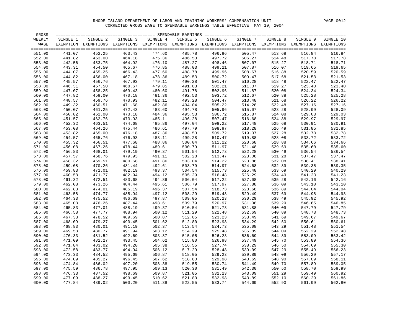| WEEKLY           | SINGLE 1         | SINGLE 2                                                                                          | SINGLE 3         | SINGLE 4         | SINGLE 5         | SINGLE 6         | SINGLE 7         | SINGLE 8         | SINGLE 9         | SINGLE 10        |
|------------------|------------------|---------------------------------------------------------------------------------------------------|------------------|------------------|------------------|------------------|------------------|------------------|------------------|------------------|
| WAGE             |                  | EXEMPTION EXEMPTIONS EXEMPTIONS EXEMPTIONS EXEMPTIONS EXEMPTIONS EXEMPTIONS EXEMPTIONS EXEMPTIONS |                  |                  |                  |                  |                  |                  |                  | EXEMPTIONS       |
|                  | 441.07           | 452.25                                                                                            | 463.43           |                  | 485.78           | 496.96           |                  | 513.68           |                  | $=$ $=$ $=$ $=$  |
| 551.00           |                  |                                                                                                   |                  | 474.60           |                  |                  | 505.47           |                  | 516.84           | 516.84           |
| 552.00<br>553.00 | 441.82<br>442.56 | 453.00<br>453.75                                                                                  | 464.18<br>464.92 | 475.36<br>476.10 | 486.53<br>487.27 | 497.72<br>498.46 | 506.27<br>507.07 | 514.48<br>515.27 | 517.78<br>518.71 | 517.78<br>518.71 |
| 554.00           | 443.31           | 454.50                                                                                            | 465.67           | 476.85           | 488.03           | 499.21           | 507.87           | 516.07           | 519.65           | 519.65           |
| 555.00           | 444.07           | 455.25                                                                                            | 466.43           | 477.60           | 488.78           | 499.96           | 508.67           | 516.88           | 520.59           | 520.59           |
| 556.00           | 444.82           | 456.00                                                                                            | 467.18           | 478.36           | 489.53           | 500.72           | 509.47           | 517.68           | 521.53           | 521.53           |
| 557.00           | 445.57           | 456.76                                                                                            | 467.93           | 479.11           | 490.28           | 501.47           | 510.28           | 518.48           | 522.47           | 522.47           |
| 558.00           | 446.31           | 457.50                                                                                            | 468.67           | 479.85           | 491.03           | 502.21           | 511.07           | 519.27           | 523.40           | 523.40           |
| 559.00           | 447.07           | 458.25                                                                                            | 469.43           | 480.60           | 491.78           | 502.96           | 511.87           | 520.08           | 524.34           | 524.34           |
| 560.00           | 447.82           | 459.00                                                                                            | 470.18           | 481.36           | 492.53           | 503.72           | 512.67           | 520.88           | 525.28           | 525.28           |
| 561.00           | 448.57           | 459.76                                                                                            | 470.93           | 482.11           | 493.28           | 504.47           | 513.48           | 521.68           | 526.22           | 526.22           |
| 562.00           | 449.32           | 460.51                                                                                            | 471.68           | 482.86           | 494.04           | 505.22           | 514.28           | 522.48           | 527.16           | 527.16           |
| 563.00           | 450.07           | 461.25                                                                                            | 472.43           | 483.60           | 494.78           | 505.96           | 515.07           | 523.28           | 528.09           | 528.09           |
| 564.00           | 450.82           | 462.00                                                                                            | 473.18           | 484.36           | 495.53           | 506.72           | 515.87           | 524.08           | 529.03           | 529.03           |
| 565.00           | 451.57           | 462.76                                                                                            | 473.93           | 485.11           | 496.28           | 507.47           | 516.68           | 524.88           | 529.97           | 529.97           |
| 566.00           | 452.32           | 463.51                                                                                            | 474.68           | 485.86           | 497.04           | 508.22           | 517.48           | 525.68           | 530.91           | 530.91           |
| 567.00           | 453.08           | 464.26                                                                                            | 475.44           | 486.61           | 497.79           | 508.97           | 518.28           | 526.49           | 531.85           | 531.85           |
| 568.00           | 453.82           | 465.00                                                                                            | 476.18           | 487.36           | 498.53           | 509.72           | 519.07           | 527.28           | 532.78           | 532.78           |
| 569.00           | 454.57           | 465.76                                                                                            | 476.93           | 488.11           | 499.28           | 510.47           | 519.88           | 528.08           | 533.72           | 533.72           |
| 570.00           | 455.32           | 466.51                                                                                            | 477.68           | 488.86           | 500.04           | 511.22           | 520.68           | 528.88           | 534.66           | 534.66           |
| 571.00           | 456.08           | 467.26                                                                                            | 478.44           | 489.61           | 500.79           | 511.97           | 521.48           | 529.69           | 535.60           | 535.60           |
| 572.00           | 456.83           | 468.01                                                                                            | 479.19           | 490.37           | 501.54           | 512.73           | 522.28           | 530.49           | 536.54           | 536.54           |
| 573.00           | 457.57           | 468.76                                                                                            | 479.93           | 491.11           | 502.28           | 513.47           | 523.08           | 531.28           | 537.47           | 537.47           |
| 574.00           | 458.32           | 469.51                                                                                            | 480.68           | 491.86           | 503.04           | 514.22           | 523.88           | 532.08           | 538.41           | 538.41           |
| 575.00           | 459.08           | 470.26                                                                                            | 481.44           | 492.61           | 503.79           | 514.97           | 524.68           | 532.89           | 539.35           | 539.35           |
| 576.00           | 459.83           | 471.01                                                                                            | 482.19           | 493.37           | 504.54           | 515.73           | 525.48           | 533.69           | 540.29           | 540.29           |
| 577.00           | 460.58           | 471.77                                                                                            | 482.94           | 494.12           | 505.29           | 516.48           | 526.29           | 534.49           | 541.23           | 541.23           |
| 578.00           | 461.32           | 472.51                                                                                            | 483.68           | 494.86           | 506.04           | 517.22           | 527.08           | 535.28           | 542.16           | 542.16           |
| 579.00           | 462.08           | 473.26                                                                                            | 484.44           | 495.61           | 506.79           | 517.97           | 527.88           | 536.09           | 543.10           | 543.10           |
| 580.00           | 462.83           | 474.01                                                                                            | 485.19           | 496.37           | 507.54           | 518.73           | 528.68           | 536.89           | 544.04           | 544.04           |
| 581.00           | 463.58           | 474.77                                                                                            | 485.94           | 497.12           | 508.29           | 519.48           | 529.49           | 537.69           | 544.98           | 544.98           |
| 582.00           | 464.33           | 475.52                                                                                            | 486.69           | 497.87           | 509.05           | 520.23           | 530.29           | 538.49           | 545.92           | 545.92           |
| 583.00           | 465.08           | 476.26                                                                                            | 487.44           | 498.61           | 509.79           | 520.97           | 531.08           | 539.29           | 546.85           | 546.85           |
| 584.00           | 465.83           | 477.01                                                                                            | 488.19           | 499.37           | 510.54           | 521.73           | 531.88           | 540.09           | 547.79           | 547.79           |
| 585.00           | 466.58           | 477.77                                                                                            | 488.94           | 500.12           | 511.29           | 522.48           | 532.69           | 540.89           | 548.73           | 548.73           |
| 586.00           | 467.33           | 478.52                                                                                            | 489.69           | 500.87           | 512.05           | 523.23           | 533.49           | 541.69           | 549.67           | 549.67           |
| 587.00           | 468.09           | 479.27                                                                                            | 490.45           | 501.62           | 512.80           | 523.98           | 534.29           | 542.50           | 550.61           | 550.61           |
| 588.00           | 468.83           | 480.01                                                                                            | 491.19           | 502.37           | 513.54           | 524.73           | 535.08           | 543.29           | 551.48           | 551.54           |
| 589.00           | 469.58           | 480.77                                                                                            | 491.94           | 503.12           | 514.29           | 525.48           | 535.89           | 544.09           | 552.29           | 552.48           |
| 590.00           | 470.33           | 481.52                                                                                            | 492.69           | 503.87           | 515.05           | 526.23           | 536.69           | 544.89           | 553.09           | 553.42           |
| 591.00           | 471.09           | 482.27                                                                                            | 493.45           | 504.62           | 515.80           | 526.98           | 537.49           | 545.70           | 553.89           | 554.36           |
| 592.00           | 471.84           | 483.02                                                                                            | 494.20           | 505.38           | 516.55           | 527.74           | 538.29           | 546.50           | 554.69           | 555.30           |
| 593.00           | 472.58           | 483.77                                                                                            | 494.94           | 506.12           | 517.29           | 528.48           | 539.09           | 547.29           | 555.49           | 556.23           |
| 594.00           | 473.33           | 484.52                                                                                            | 495.69           | 506.87           | 518.05           | 529.23           | 539.89           | 548.09           | 556.29           | 557.17           |
| 595.00           | 474.09           | 485.27                                                                                            | 496.45           | 507.62           | 518.80           | 529.98           | 540.69           | 548.90           | 557.09           | 558.11           |
| 596.00           | 474.84           | 486.02                                                                                            | 497.20           | 508.38           | 519.55           | 530.74           | 541.49           | 549.70           | 557.89           | 559.05           |
| 597.00           | 475.59           | 486.78                                                                                            | 497.95           | 509.13           | 520.30           | 531.49           | 542.30           | 550.50           | 558.70           | 559.99           |
| 598.00           | 476.33           | 487.52                                                                                            | 498.69           | 509.87           | 521.05           | 532.23           | 543.09           | 551.29           | 559.49           | 560.92           |
| 599.00           | 477.09           | 488.27                                                                                            | 499.45           | 510.62           | 521.80           | 532.98           | 543.89           | 552.10           | 560.29           | 561.86           |
| 600.00           | 477.84           | 489.02                                                                                            | 500.20           | 511.38           | 522.55           | 533.74           | 544.69           | 552.90           | 561.09           | 562.80           |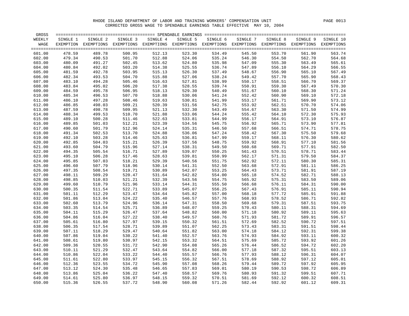| GROSS  |          |                                                                                                   |          |          | ===================== SPENDABLE EARNINGS ============= |          |          |          |          |            |
|--------|----------|---------------------------------------------------------------------------------------------------|----------|----------|--------------------------------------------------------|----------|----------|----------|----------|------------|
| WEEKLY | SINGLE 1 | SINGLE 2                                                                                          | SINGLE 3 | SINGLE 4 | SINGLE 5                                               | SINGLE 6 | SINGLE 7 | SINGLE 8 | SINGLE 9 | SINGLE 10  |
| WAGE   |          | EXEMPTION EXEMPTIONS EXEMPTIONS EXEMPTIONS EXEMPTIONS EXEMPTIONS EXEMPTIONS EXEMPTIONS EXEMPTIONS |          |          |                                                        |          |          |          |          | EXEMPTIONS |
| 601.00 | 478.59   | 489.78                                                                                            | 500.95   | 512.13   | 523.30                                                 | 534.49   | 545.50   | 553.70   | 561.90   | 563.74     |
| 602.00 | 479.34   | 490.53                                                                                            | 501.70   | 512.88   | 524.06                                                 | 535.24   | 546.30   | 554.50   | 562.70   | 564.68     |
| 603.00 | 480.09   | 491.27                                                                                            | 502.45   | 513.62   | 524.80                                                 | 535.98   | 547.09   | 555.30   | 563.49   | 565.61     |
| 604.00 | 480.84   | 492.02                                                                                            | 503.20   | 514.38   | 525.55                                                 | 536.74   | 547.89   | 556.10   | 564.29   | 566.55     |
| 605.00 | 481.59   | 492.78                                                                                            | 503.95   | 515.13   | 526.30                                                 | 537.49   | 548.67   | 556.90   | 565.10   | 567.49     |
| 606.00 | 482.34   | 493.53                                                                                            | 504.70   | 515.88   | 527.06                                                 | 538.24   | 549.42   | 557.70   | 565.90   | 568.43     |
| 607.00 | 483.10   | 494.28                                                                                            | 505.46   | 516.63   | 527.81                                                 | 538.99   | 550.17   | 558.51   | 566.70   | 569.37     |
| 608.00 | 483.84   | 495.02                                                                                            | 506.20   | 517.38   | 528.55                                                 | 539.74   | 550.91   | 559.30   | 567.49   | 570.30     |
| 609.00 | 484.59   | 495.78                                                                                            | 506.95   | 518.13   | 529.30                                                 | 540.49   | 551.67   | 560.10   | 568.30   | 571.24     |
| 610.00 | 485.34   | 496.53                                                                                            | 507.70   | 518.88   | 530.06                                                 | 541.24   | 552.42   | 560.90   | 569.10   | 572.18     |
| 611.00 | 486.10   | 497.28                                                                                            | 508.46   | 519.63   | 530.81                                                 | 541.99   | 553.17   | 561.71   | 569.90   | 573.12     |
| 612.00 | 486.85   | 498.03                                                                                            | 509.21   | 520.39   | 531.56                                                 | 542.75   | 553.92   | 562.51   | 570.70   | 574.06     |
| 613.00 | 487.59   | 498.78                                                                                            | 509.95   | 521.13   | 532.30                                                 | 543.49   | 554.67   | 563.30   | 571.50   | 574.99     |
| 614.00 | 488.34   | 499.53                                                                                            | 510.70   | 521.88   | 533.06                                                 | 544.24   | 555.42   | 564.10   | 572.30   | 575.93     |
| 615.00 | 489.10   | 500.28                                                                                            | 511.46   | 522.63   | 533.81                                                 | 544.99   | 556.17   | 564.91   | 573.10   | 576.87     |
| 616.00 | 489.85   | 501.03                                                                                            | 512.21   | 523.39   | 534.56                                                 | 545.75   | 556.92   | 565.71   | 573.90   | 577.81     |
| 617.00 | 490.60   | 501.79                                                                                            | 512.96   | 524.14   | 535.31                                                 | 546.50   | 557.68   | 566.51   | 574.71   | 578.75     |
| 618.00 | 491.34   | 502.53                                                                                            | 513.70   | 524.88   | 536.06                                                 | 547.24   | 558.42   | 567.30   | 575.50   | 579.68     |
| 619.00 | 492.10   | 503.28                                                                                            | 514.46   | 525.63   | 536.81                                                 | 547.99   | 559.17   | 568.11   | 576.30   | 580.62     |
| 620.00 | 492.85   | 504.03                                                                                            | 515.21   | 526.39   | 537.56                                                 | 548.75   | 559.92   | 568.91   | 577.10   | 581.56     |
| 621.00 | 493.60   | 504.79                                                                                            | 515.96   | 527.14   | 538.31                                                 | 549.50   | 560.68   | 569.71   | 577.91   | 582.50     |
| 622.00 | 494.35   | 505.54                                                                                            | 516.71   | 527.89   | 539.07                                                 | 550.25   | 561.43   | 570.51   | 578.71   | 583.44     |
| 623.00 | 495.10   | 506.28                                                                                            | 517.46   | 528.63   | 539.81                                                 | 550.99   | 562.17   | 571.31   | 579.50   | 584.37     |
| 624.00 | 495.85   | 507.03                                                                                            | 518.21   | 529.39   | 540.56                                                 | 551.75   | 562.92   | 572.11   | 580.30   | 585.31     |
| 625.00 | 496.60   | 507.79                                                                                            | 518.96   | 530.14   | 541.31                                                 | 552.50   | 563.68   | 572.91   | 581.11   | 586.25     |
| 626.00 | 497.35   | 508.54                                                                                            | 519.71   | 530.89   | 542.07                                                 | 553.25   | 564.43   | 573.71   | 581.91   | 587.19     |
| 627.00 | 498.11   | 509.29                                                                                            | 520.47   | 531.64   | 542.82                                                 | 554.00   | 565.18   | 574.52   | 582.71   | 588.13     |
| 628.00 | 498.85   | 510.03                                                                                            | 521.21   | 532.39   | 543.56                                                 | 554.75   | 565.92   | 575.31   | 583.50   | 589.06     |
| 629.00 | 499.60   | 510.79                                                                                            | 521.96   | 533.14   | 544.31                                                 | 555.50   | 566.68   | 576.11   | 584.31   | 590.00     |
| 630.00 | 500.35   | 511.54                                                                                            | 522.71   | 533.89   | 545.07                                                 | 556.25   | 567.43   | 576.91   | 585.11   | 590.94     |
| 631.00 | 501.11   | 512.29                                                                                            | 523.47   | 534.64   | 545.82                                                 | 557.00   | 568.18   | 577.72   | 585.91   | 591.88     |
| 632.00 | 501.86   | 513.04                                                                                            | 524.22   | 535.40   | 546.57                                                 | 557.76   | 568.93   | 578.52   | 586.71   | 592.82     |
| 633.00 | 502.60   | 513.79                                                                                            | 524.96   | 536.14   | 547.31                                                 | 558.50   | 569.68   | 579.31   | 587.51   | 593.75     |
| 634.00 | 503.35   | 514.54                                                                                            | 525.71   | 536.89   | 548.07                                                 | 559.25   | 570.43   | 580.11   | 588.31   | 594.69     |
| 635.00 | 504.11   | 515.29                                                                                            | 526.47   | 537.64   | 548.82                                                 | 560.00   | 571.18   | 580.92   | 589.11   | 595.63     |
| 636.00 | 504.86   | 516.04                                                                                            | 527.22   | 538.40   | 549.57                                                 | 560.76   | 571.93   | 581.72   | 589.91   | 596.57     |
| 637.00 | 505.61   | 516.80                                                                                            | 527.97   | 539.15   | 550.32                                                 | 561.51   | 572.69   | 582.52   | 590.72   | 597.51     |
| 638.00 | 506.35   | 517.54                                                                                            | 528.71   | 539.89   | 551.07                                                 | 562.25   | 573.43   | 583.31   | 591.51   | 598.44     |
| 639.00 | 507.11   | 518.29                                                                                            | 529.47   | 540.64   | 551.82                                                 | 563.00   | 574.18   | 584.12   | 592.31   | 599.38     |
| 640.00 | 507.86   | 519.04                                                                                            | 530.22   | 541.40   | 552.57                                                 | 563.76   | 574.93   | 584.92   | 593.11   | 600.32     |
| 641.00 | 508.61   | 519.80                                                                                            | 530.97   | 542.15   | 553.32                                                 | 564.51   | 575.69   | 585.72   | 593.92   | 601.26     |
| 642.00 | 509.36   | 520.55                                                                                            | 531.72   | 542.90   | 554.08                                                 | 565.26   | 576.44   | 586.52   | 594.72   | 602.20     |
| 643.00 | 510.11   | 521.29                                                                                            | 532.47   | 543.64   | 554.82                                                 | 566.00   | 577.18   | 587.32   | 595.51   | 603.13     |
| 644.00 | 510.86   | 522.04                                                                                            | 533.22   | 544.40   | 555.57                                                 | 566.76   | 577.93   | 588.12   | 596.31   | 604.07     |
| 645.00 | 511.61   | 522.80                                                                                            | 533.97   | 545.15   | 556.32                                                 | 567.51   | 578.69   | 588.92   | 597.12   | 605.01     |
| 646.00 | 512.36   | 523.55                                                                                            | 534.72   | 545.90   | 557.08                                                 | 568.26   | 579.44   | 589.72   | 597.92   | 605.95     |
| 647.00 | 513.12   | 524.30                                                                                            | 535.48   | 546.65   | 557.83                                                 | 569.01   | 580.19   | 590.53   | 598.72   | 606.89     |
| 648.00 | 513.86   | 525.04                                                                                            | 536.22   | 547.40   | 558.57                                                 | 569.76   | 580.93   | 591.32   | 599.51   | 607.71     |
| 649.00 | 514.61   | 525.80                                                                                            | 536.97   | 548.15   | 559.32                                                 | 570.51   | 581.69   | 592.12   | 600.32   | 608.51     |
| 650.00 | 515.36   | 526.55                                                                                            | 537.72   | 548.90   | 560.08                                                 | 571.26   | 582.44   | 592.92   | 601.12   | 609.31     |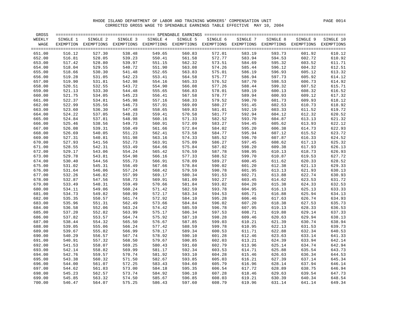| GROSS  |          |                                                                                                              |          |          |          |          |          |          |          | $=$ $=$ $=$ $=$ |
|--------|----------|--------------------------------------------------------------------------------------------------------------|----------|----------|----------|----------|----------|----------|----------|-----------------|
| WEEKLY | SINGLE 1 | SINGLE 2                                                                                                     | SINGLE 3 | SINGLE 4 | SINGLE 5 | SINGLE 6 | SINGLE 7 | SINGLE 8 | SINGLE 9 | SINGLE 10       |
| WAGE   |          | EXEMPTION EXEMPTIONS EXEMPTIONS EXEMPTIONS EXEMPTIONS EXEMPTIONS EXEMPTIONS EXEMPTIONS EXEMPTIONS EXEMPTIONS |          |          |          |          |          |          |          |                 |
|        |          |                                                                                                              |          |          |          |          |          |          |          | $====$          |
| 651.00 | 516.12   | 527.30                                                                                                       | 538.48   | 549.65   | 560.83   | 572.01   | 583.19   | 593.73   | 601.92   | 610.12          |
| 652.00 | 516.81   | 528.05                                                                                                       | 539.23   | 550.41   | 561.58   | 572.77   | 583.94   | 594.53   | 602.72   | 610.92          |
| 653.00 | 517.42   | 528.80                                                                                                       | 539.97   | 551.15   | 562.32   | 573.51   | 584.69   | 595.32   | 603.52   | 611.71          |
| 654.00 | 518.04   | 529.55                                                                                                       | 540.72   | 551.90   | 563.08   | 574.26   | 585.44   | 596.12   | 604.32   | 612.51          |
| 655.00 | 518.66   | 530.30                                                                                                       | 541.48   | 552.65   | 563.83   | 575.01   | 586.19   | 596.93   | 605.12   | 613.32          |
| 656.00 | 519.28   | 531.05                                                                                                       | 542.23   | 553.41   | 564.58   | 575.77   | 586.94   | 597.73   | 605.92   | 614.12          |
| 657.00 | 519.90   | 531.81                                                                                                       | 542.98   | 554.16   | 565.33   | 576.52   | 587.70   | 598.53   | 606.73   | 614.92          |
| 658.00 | 520.51   | 532.55                                                                                                       | 543.72   | 554.90   | 566.08   | 577.26   | 588.44   | 599.32   | 607.52   | 615.71          |
| 659.00 | 521.13   | 533.30                                                                                                       | 544.48   | 555.65   | 566.83   | 578.01   | 589.19   | 600.13   | 608.32   | 616.52          |
| 660.00 | 521.75   | 534.05                                                                                                       | 545.23   | 556.41   | 567.58   | 578.77   | 589.94   | 600.93   | 609.12   | 617.32          |
| 661.00 | 522.37   | 534.81                                                                                                       | 545.98   | 557.16   | 568.33   | 579.52   | 590.70   | 601.73   | 609.93   | 618.12          |
| 662.00 | 522.99   | 535.56                                                                                                       | 546.73   | 557.91   | 569.09   | 580.27   | 591.45   | 602.53   | 610.73   | 618.92          |
| 663.00 | 523.60   | 536.30                                                                                                       | 547.48   | 558.65   | 569.83   | 581.01   | 592.19   | 603.33   | 611.52   | 619.72          |
| 664.00 | 524.22   | 537.05                                                                                                       | 548.23   | 559.41   | 570.58   | 581.77   | 592.94   | 604.12   | 612.32   | 620.52          |
| 665.00 | 524.84   | 537.81                                                                                                       | 548.98   | 560.16   | 571.33   | 582.52   | 593.70   | 604.87   | 613.13   | 621.32          |
| 666.00 | 525.46   | 538.56                                                                                                       | 549.73   | 560.91   | 572.09   | 583.27   | 594.45   | 605.62   | 613.93   | 622.12          |
| 667.00 | 526.08   | 539.31                                                                                                       | 550.49   | 561.66   | 572.84   | 584.02   | 595.20   | 606.38   | 614.73   | 622.93          |
| 668.00 | 526.69   | 540.05                                                                                                       | 551.23   | 562.41   | 573.58   | 584.77   | 595.94   | 607.12   | 615.52   | 623.72          |
| 669.00 | 527.31   | 540.81                                                                                                       | 551.98   | 563.16   | 574.33   | 585.52   | 596.70   | 607.87   | 616.33   | 624.52          |
| 670.00 | 527.93   | 541.56                                                                                                       | 552.73   | 563.91   | 575.09   | 586.27   | 597.45   | 608.62   | 617.13   | 625.32          |
| 671.00 | 528.55   | 542.31                                                                                                       | 553.49   | 564.66   | 575.84   | 587.02   | 598.20   | 609.38   | 617.93   | 626.13          |
| 672.00 | 529.17   | 543.06                                                                                                       | 554.24   | 565.42   | 576.59   | 587.78   | 598.95   | 610.13   | 618.73   | 626.93          |
| 673.00 | 529.78   | 543.81                                                                                                       | 554.98   | 566.16   | 577.33   | 588.52   | 599.70   | 610.87   | 619.53   | 627.72          |
| 674.00 | 530.40   | 544.56                                                                                                       | 555.73   | 566.91   | 578.09   | 589.27   | 600.45   | 611.62   | 620.33   | 628.52          |
| 675.00 | 531.02   | 545.31                                                                                                       | 556.49   | 567.66   | 578.84   | 590.02   | 601.20   | 612.38   | 621.13   | 629.33          |
| 676.00 | 531.64   | 546.06                                                                                                       | 557.24   | 568.42   | 579.59   | 590.78   | 601.95   | 613.13   | 621.93   | 630.13          |
| 677.00 | 532.26   | 546.82                                                                                                       | 557.99   | 569.17   | 580.34   | 591.53   | 602.71   | 613.88   | 622.74   | 630.93          |
| 678.00 | 532.87   | 547.56                                                                                                       | 558.73   | 569.91   | 581.09   | 592.27   | 603.45   | 614.62   | 623.53   | 631.72          |
| 679.00 | 533.49   | 548.31                                                                                                       | 559.49   | 570.66   | 581.84   | 593.02   | 604.20   | 615.38   | 624.33   | 632.53          |
| 680.00 | 534.11   | 549.06                                                                                                       | 560.24   | 571.42   | 582.59   | 593.78   | 604.95   | 616.13   | 625.13   | 633.33          |
| 681.00 | 534.73   | 549.82                                                                                                       | 560.99   | 572.17   | 583.34   | 594.53   | 605.71   | 616.88   | 625.94   | 634.13          |
| 682.00 | 535.35   | 550.57                                                                                                       | 561.74   | 572.92   | 584.10   | 595.28   | 606.46   | 617.63   | 626.74   | 634.93          |
| 683.00 | 535.96   | 551.31                                                                                                       | 562.49   | 573.66   | 584.84   | 596.02   | 607.20   | 618.38   | 627.53   | 635.73          |
| 684.00 | 536.58   | 552.06                                                                                                       | 563.24   | 574.42   | 585.59   | 596.78   | 607.95   | 619.13   | 628.33   | 636.53          |
| 685.00 | 537.20   | 552.82                                                                                                       | 563.99   | 575.17   | 586.34   | 597.53   | 608.71   | 619.88   | 629.14   | 637.33          |
| 686.00 | 537.82   | 553.57                                                                                                       | 564.74   | 575.92   | 587.10   | 598.28   | 609.46   | 620.63   | 629.94   | 638.13          |
| 687.00 | 538.44   | 554.32                                                                                                       | 565.50   | 576.67   | 587.85   | 599.03   | 610.21   | 621.39   | 630.74   | 638.94          |
| 688.00 | 539.05   | 555.06                                                                                                       | 566.24   | 577.42   | 588.59   | 599.78   | 610.95   | 622.13   | 631.53   | 639.73          |
| 689.00 | 539.67   | 555.82                                                                                                       | 566.99   | 578.17   | 589.34   | 600.53   | 611.71   | 622.88   | 632.34   | 640.53          |
| 690.00 | 540.29   | 556.57                                                                                                       | 567.74   | 578.92   | 590.10   | 601.28   | 612.46   | 623.63   | 633.14   | 641.33          |
| 691.00 | 540.91   | 557.32                                                                                                       | 568.50   | 579.67   | 590.85   | 602.03   | 613.21   | 624.39   | 633.94   | 642.14          |
| 692.00 | 541.53   | 558.07                                                                                                       | 569.25   | 580.43   | 591.60   | 602.79   | 613.96   | 625.14   | 634.74   | 642.94          |
| 693.00 | 542.14   | 558.82                                                                                                       | 569.99   | 581.17   | 592.34   | 603.53   | 614.71   | 625.88   | 635.54   | 643.73          |
| 694.00 | 542.76   | 559.57                                                                                                       | 570.74   | 581.92   | 593.10   | 604.28   | 615.46   | 626.63   | 636.34   | 644.53          |
| 695.00 | 543.38   | 560.32                                                                                                       | 571.50   | 582.67   | 593.85   | 605.03   | 616.21   | 627.39   | 637.14   | 645.34          |
| 696.00 | 544.00   | 561.07                                                                                                       | 572.25   | 583.43   | 594.60   | 605.79   | 616.96   | 628.14   | 637.94   | 646.14          |
| 697.00 | 544.62   | 561.83                                                                                                       | 573.00   | 584.18   | 595.35   | 606.54   | 617.72   | 628.89   | 638.75   | 646.94          |
| 698.00 | 545.23   | 562.57                                                                                                       | 573.74   | 584.92   | 596.10   | 607.28   | 618.46   | 629.63   | 639.54   | 647.73          |
| 699.00 | 545.85   | 563.32                                                                                                       | 574.50   | 585.67   | 596.85   | 608.03   | 619.21   | 630.39   | 640.34   | 648.54          |
| 700.00 | 546.47   | 564.07                                                                                                       | 575.25   | 586.43   | 597.60   | 608.79   | 619.96   | 631.14   | 641.14   | 649.34          |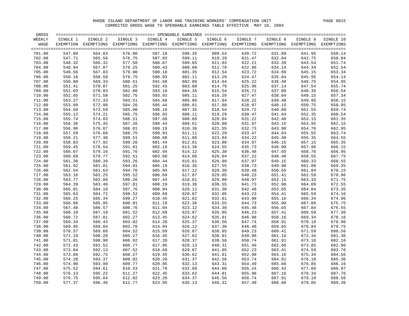| GROSS            |                  |                  |                  |                  |                  |                                                                                                              |                  |                  |                  | =====                     |
|------------------|------------------|------------------|------------------|------------------|------------------|--------------------------------------------------------------------------------------------------------------|------------------|------------------|------------------|---------------------------|
| WEEKLY           | SINGLE 1         | SINGLE 2         | SINGLE 3         | SINGLE 4         | SINGLE 5         | SINGLE 6                                                                                                     | SINGLE 7         | SINGLE 8         | SINGLE 9         | SINGLE 10                 |
| WAGE             |                  |                  |                  |                  |                  | EXEMPTION EXEMPTIONS EXEMPTIONS EXEMPTIONS EXEMPTIONS EXEMPTIONS EXEMPTIONS EXEMPTIONS EXEMPTIONS EXEMPTIONS |                  |                  |                  |                           |
| 701.00           | 547.09           | 564.83           | 576.00           | 587.18           | 598.35           | 609.54                                                                                                       | 620.72           | 631.89           | 641.95           | $=$ $=$ $=$ $=$<br>650.14 |
| 702.00           | 547.71           | 565.58           | 576.75           | 587.93           | 599.11           | 610.29                                                                                                       | 621.47           | 632.64           | 642.75           | 650.94                    |
| 703.00           | 548.32           | 566.32           | 577.50           | 588.67           | 599.85           | 611.03                                                                                                       | 622.21           | 633.39           | 643.54           | 651.74                    |
| 704.00           | 548.94           | 567.07           | 578.25           | 589.43           | 600.60           | 611.79                                                                                                       | 622.96           | 634.14           | 644.34           | 652.54                    |
| 705.00           | 549.56           | 567.83           | 579.00           | 590.18           | 601.35           | 612.54                                                                                                       | 623.72           | 634.89           | 645.15           | 653.34                    |
| 706.00           | 550.18           | 568.58           | 579.75           | 590.93           | 602.11           | 613.29                                                                                                       | 624.47           | 635.64           | 645.95           | 654.14                    |
| 707.00           | 550.80           | 569.33           | 580.51           | 591.68           | 602.86           | 614.04                                                                                                       | 625.22           | 636.40           | 646.75           | 654.95                    |
| 708.00           | 551.41           | 570.07           | 581.25           | 592.43           | 603.60           | 614.79                                                                                                       | 625.96           | 637.14           | 647.54           | 655.74                    |
| 709.00           | 552.03           | 570.83           | 582.00           | 593.18           | 604.35           | 615.54                                                                                                       | 626.72           | 637.89           | 648.35           | 656.54                    |
| 710.00           | 552.65           | 571.58           | 582.75           | 593.93           | 605.11           | 616.29                                                                                                       | 627.47           | 638.64           | 649.15           | 657.34                    |
| 711.00           | 553.27           | 572.33           | 583.51           | 594.68           | 605.86           | 617.04                                                                                                       | 628.22           | 639.40           | 649.95           | 658.15                    |
| 712.00           | 553.89           | 572.98           | 584.26           | 595.44           | 606.61           | 617.80                                                                                                       | 628.97           | 640.15           | 650.75           | 658.95                    |
| 713.00           | 554.50           | 573.59           | 585.00           | 596.18           | 607.35           | 618.54                                                                                                       | 629.72           | 640.89           | 651.55           | 659.74                    |
| 714.00           | 555.12           | 574.21           | 585.75           | 596.93           | 608.11           | 619.29                                                                                                       | 630.47           | 641.64           | 652.35           | 660.54                    |
| 715.00           | 555.74           | 574.83           | 586.51           | 597.68           | 608.86           | 620.04                                                                                                       | 631.22           | 642.40           | 653.15           | 661.35                    |
| 716.00           | 556.36           | 575.45           | 587.26           | 598.44           | 609.61           | 620.80                                                                                                       | 631.97           | 643.15           | 653.95           | 662.15                    |
| 717.00           | 556.98           | 576.07           | 588.01           | 599.19           | 610.36           | 621.55                                                                                                       | 632.73           | 643.90           | 654.76           | 662.95                    |
| 718.00           | 557.59           | 576.68           | 588.75           | 599.93           | 611.11           | 622.29                                                                                                       | 633.47           | 644.64           | 655.55           | 663.74                    |
| 719.00           | 558.21           | 577.30           | 589.51           | 600.68           | 611.86           | 623.04                                                                                                       | 634.22           | 645.40           | 656.35           | 664.55                    |
| 720.00           | 558.83           | 577.92           | 590.26           | 601.44           | 612.61           | 623.80                                                                                                       | 634.97           | 646.15           | 657.15           | 665.35                    |
| 721.00           | 559.45           | 578.54           | 591.01           | 602.19           | 613.36           | 624.55                                                                                                       | 635.73           | 646.90           | 657.96           | 666.15                    |
| 722.00           | 560.07           | 579.16           | 591.76           | 602.94           | 614.12           | 625.30                                                                                                       | 636.48           | 647.65           | 658.76           | 666.95                    |
| 723.00           | 560.68           | 579.77           | 592.51           | 603.68           | 614.86           | 626.04                                                                                                       | 637.22           | 648.40           | 659.55           | 667.75                    |
| 724.00           | 561.30           | 580.39           | 593.26           | 604.44           | 615.61           | 626.80                                                                                                       | 637.97           | 649.15           | 660.33           | 668.55                    |
| 725.00           | 561.92           | 581.01           | 594.01           | 605.19           | 616.36           | 627.55                                                                                                       | 638.73           | 649.90           | 661.09           | 669.35                    |
| 726.00           | 562.54           | 581.63           | 594.76           | 605.94           | 617.12           | 628.30                                                                                                       | 639.48           | 650.65           | 661.84           | 670.15                    |
| 727.00           | 563.16           | 582.25           | 595.52           | 606.69           | 617.87           | 629.05                                                                                                       | 640.23           | 651.41           | 662.59           | 670.96                    |
| 728.00           | 563.77           | 582.86           | 596.26           | 607.44           | 618.61           | 629.80                                                                                                       | 640.97           | 652.15           | 663.33           | 671.75                    |
| 729.00           | 564.39           | 583.48           | 597.01           | 608.19           | 619.36           | 630.55                                                                                                       | 641.73           | 652.90           | 664.09           | 672.55                    |
| 730.00           | 565.01           | 584.10           | 597.76           | 608.94           | 620.12           | 631.30                                                                                                       | 642.48           | 653.65           | 664.84           | 673.35                    |
| 731.00           | 565.63           | 584.72           | 598.52           | 609.69           | 620.87           | 632.05                                                                                                       | 643.23           | 654.41           | 665.59           | 674.16                    |
| 732.00           | 566.25           | 585.34           | 599.27           | 610.45           | 621.62           | 632.81                                                                                                       | 643.98           | 655.16           | 666.34           | 674.96                    |
| 733.00           | 566.86           | 585.95           | 600.01           | 611.19           | 622.36           | 633.55                                                                                                       | 644.73           | 655.90           | 667.09           | 675.75                    |
| 734.00           | 567.48           | 586.57           | 600.76           | 611.94           | 623.12           | 634.30                                                                                                       | 645.48           | 656.65           | 667.84           | 676.55                    |
| 735.00           | 568.10           | 587.19           | 601.52           | 612.69           | 623.87           | 635.05                                                                                                       | 646.23           | 657.41           | 668.59           | 677.36                    |
| 736.00           | 568.72           | 587.81           | 602.27           | 613.45           | 624.62           | 635.81                                                                                                       | 646.98           | 658.16           | 669.34           | 678.16                    |
| 737.00           | 569.34           | 588.43           | 603.02           | 614.20           | 625.37           | 636.56                                                                                                       | 647.74           | 658.91           | 670.10           | 678.96                    |
| 738.00           | 569.95           | 589.04           | 603.76           | 614.94           | 626.12           | 637.30                                                                                                       | 648.48           | 659.65           | 670.84           | 679.75                    |
| 739.00           | 570.57           | 589.66           | 604.52           | 615.69           | 626.87           | 638.05                                                                                                       | 649.23           | 660.41           | 671.59           | 680.56                    |
| 740.00           | 571.19           | 590.28           | 605.27           | 616.45           | 627.62           | 638.81                                                                                                       | 649.98           | 661.16           | 672.34           | 681.36                    |
| 741.00           | 571.81           | 590.90           | 606.02           | 617.20           | 628.37           | 639.56                                                                                                       | 650.74           | 661.91           | 673.10           | 682.16                    |
| 742.00           | 572.43           | 591.52           | 606.77           | 617.95           | 629.13           | 640.31                                                                                                       | 651.49           | 662.66           | 673.85           | 682.96                    |
| 743.00           | 573.04           | 592.13           | 607.52           | 618.69           | 629.87           | 641.05                                                                                                       | 652.23           | 663.41           | 674.59           | 683.76                    |
| 744.00           | 573.66           | 592.75           | 608.27           | 619.45           | 630.62           | 641.81                                                                                                       | 652.98           | 664.16           | 675.34           | 684.56                    |
| 745.00           | 574.28           | 593.37           | 609.02           | 620.20           | 631.37           | 642.56                                                                                                       | 653.74           | 664.91           | 676.10           | 685.36                    |
| 746.00           | 574.90           | 593.99           | 609.77           | 620.95           | 632.13           | 643.31                                                                                                       | 654.49           | 665.66           | 676.85           | 686.16                    |
| 747.00           | 575.52<br>576.13 | 594.61           | 610.53<br>611.27 | 621.70<br>622.45 | 632.88           | 644.06<br>644.81                                                                                             | 655.24           | 666.42<br>667.16 | 677.60<br>678.34 | 686.97                    |
| 748.00<br>749.00 | 576.75           | 595.22<br>595.84 | 612.02           | 623.20           | 633.62<br>634.37 | 645.56                                                                                                       | 655.98<br>656.74 | 667.91           | 679.10           | 687.76<br>688.56          |
| 750.00           | 577.37           | 596.46           | 612.77           | 623.95           | 635.13           | 646.31                                                                                                       | 657.49           | 668.66           | 679.85           | 689.36                    |
|                  |                  |                  |                  |                  |                  |                                                                                                              |                  |                  |                  |                           |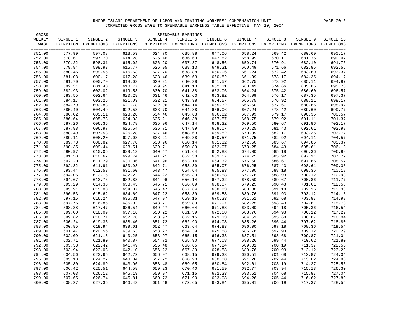| GROSS  |          |                                                                                                              |          |          |          |          |          |          |          | $=$ $=$ $=$ $=$         |
|--------|----------|--------------------------------------------------------------------------------------------------------------|----------|----------|----------|----------|----------|----------|----------|-------------------------|
| WEEKLY | SINGLE 1 | SINGLE 2                                                                                                     | SINGLE 3 | SINGLE 4 | SINGLE 5 | SINGLE 6 | SINGLE 7 | SINGLE 8 | SINGLE 9 | SINGLE 10               |
| WAGE   |          | EXEMPTION EXEMPTIONS EXEMPTIONS EXEMPTIONS EXEMPTIONS EXEMPTIONS EXEMPTIONS EXEMPTIONS EXEMPTIONS EXEMPTIONS |          |          |          |          |          |          |          |                         |
| 751.00 | 577.99   | 597.08                                                                                                       | 613.53   | 624.70   | 635.88   | 647.06   | 658.24   | 669.42   | 680.60   | $=$ = $=$ $=$<br>690.17 |
| 752.00 | 578.61   | 597.70                                                                                                       | 614.28   | 625.46   | 636.63   | 647.82   | 658.99   | 670.17   | 681.35   | 690.97                  |
| 753.00 | 579.22   | 598.31                                                                                                       | 615.02   | 626.20   | 637.37   | 648.56   | 659.74   | 670.91   | 682.10   | 691.76                  |
| 754.00 | 579.84   | 598.93                                                                                                       | 615.77   | 626.95   | 638.13   | 649.31   | 660.49   | 671.66   | 682.85   | 692.56                  |
| 755.00 | 580.46   | 599.55                                                                                                       | 616.53   | 627.70   | 638.88   | 650.06   | 661.24   | 672.42   | 683.60   | 693.37                  |
| 756.00 | 581.08   | 600.17                                                                                                       | 617.28   | 628.46   | 639.63   | 650.82   | 661.99   | 673.17   | 684.35   | 694.17                  |
| 757.00 | 581.70   | 600.79                                                                                                       | 618.03   | 629.21   | 640.38   | 651.57   | 662.75   | 673.92   | 685.11   | 694.97                  |
| 758.00 | 582.31   | 601.40                                                                                                       | 618.77   | 629.95   | 641.13   | 652.31   | 663.49   | 674.66   | 685.85   | 695.76                  |
| 759.00 | 582.93   | 602.02                                                                                                       | 619.53   | 630.70   | 641.88   | 653.06   | 664.24   | 675.42   | 686.60   | 696.57                  |
| 760.00 | 583.55   | 602.64                                                                                                       | 620.28   | 631.46   | 642.63   | 653.82   | 664.99   | 676.17   | 687.35   | 697.37                  |
| 761.00 | 584.17   | 603.26                                                                                                       | 621.03   | 632.21   | 643.38   | 654.57   | 665.75   | 676.92   | 688.11   | 698.17                  |
| 762.00 | 584.79   | 603.88                                                                                                       | 621.78   | 632.96   | 644.14   | 655.32   | 666.50   | 677.67   | 688.86   | 698.97                  |
| 763.00 | 585.40   | 604.49                                                                                                       | 622.53   | 633.70   | 644.88   | 656.06   | 667.24   | 678.42   | 689.60   | 699.77                  |
| 764.00 | 586.02   | 605.11                                                                                                       | 623.28   | 634.46   | 645.63   | 656.82   | 667.99   | 679.17   | 690.35   | 700.57                  |
| 765.00 | 586.64   | 605.73                                                                                                       | 624.03   | 635.21   | 646.38   | 657.57   | 668.75   | 679.92   | 691.11   | 701.37                  |
| 766.00 | 587.26   | 606.35                                                                                                       | 624.78   | 635.96   | 647.14   | 658.32   | 669.50   | 680.67   | 691.86   | 702.17                  |
| 767.00 | 587.88   | 606.97                                                                                                       | 625.54   | 636.71   | 647.89   | 659.07   | 670.25   | 681.43   | 692.61   | 702.98                  |
| 768.00 | 588.49   | 607.58                                                                                                       | 626.28   | 637.46   | 648.63   | 659.82   | 670.99   | 682.17   | 693.35   | 703.77                  |
| 769.00 | 589.11   | 608.20                                                                                                       | 627.03   | 638.21   | 649.38   | 660.57   | 671.75   | 682.92   | 694.11   | 704.57                  |
| 770.00 | 589.73   | 608.82                                                                                                       | 627.78   | 638.96   | 650.14   | 661.32   | 672.50   | 683.67   | 694.86   | 705.37                  |
| 771.00 | 590.35   | 609.44                                                                                                       | 628.51   | 639.71   | 650.89   | 662.07   | 673.25   | 684.43   | 695.61   | 706.18                  |
| 772.00 | 590.97   | 610.06                                                                                                       | 629.13   | 640.47   | 651.64   | 662.83   | 674.00   | 685.18   | 696.36   | 706.98                  |
| 773.00 | 591.58   | 610.67                                                                                                       | 629.74   | 641.21   | 652.38   | 663.57   | 674.75   | 685.92   | 697.11   | 707.77                  |
| 774.00 | 592.20   | 611.29                                                                                                       | 630.36   | 641.96   | 653.14   | 664.32   | 675.50   | 686.67   | 697.86   | 708.57                  |
| 775.00 | 592.82   | 611.91                                                                                                       | 630.98   | 642.71   | 653.89   | 665.07   | 676.25   | 687.43   | 698.61   | 709.38                  |
| 776.00 | 593.44   | 612.53                                                                                                       | 631.60   | 643.47   | 654.64   | 665.83   | 677.00   | 688.18   | 699.36   | 710.18                  |
| 777.00 | 594.06   | 613.15                                                                                                       | 632.22   | 644.22   | 655.39   | 666.58   | 677.76   | 688.93   | 700.12   | 710.98                  |
| 778.00 | 594.67   | 613.76                                                                                                       | 632.83   | 644.96   | 656.14   | 667.32   | 678.50   | 689.67   | 700.86   | 711.77                  |
| 779.00 | 595.29   | 614.38                                                                                                       | 633.45   | 645.71   | 656.89   | 668.07   | 679.25   | 690.43   | 701.61   | 712.58                  |
| 780.00 | 595.91   | 615.00                                                                                                       | 634.07   | 646.47   | 657.64   | 668.83   | 680.00   | 691.18   | 702.36   | 713.38                  |
| 781.00 | 596.53   | 615.62                                                                                                       | 634.69   | 647.22   | 658.39   | 669.58   | 680.76   | 691.93   | 703.12   | 714.18                  |
| 782.00 | 597.15   | 616.24                                                                                                       | 635.31   | 647.97   | 659.15   | 670.33   | 681.51   | 692.68   | 703.87   | 714.98                  |
| 783.00 | 597.76   | 616.85                                                                                                       | 635.92   | 648.71   | 659.89   | 671.07   | 682.25   | 693.43   | 704.61   | 715.78                  |
| 784.00 | 598.38   | 617.47                                                                                                       | 636.54   | 649.47   | 660.64   | 671.83   | 683.00   | 694.18   | 705.36   | 716.54                  |
| 785.00 | 599.00   | 618.09                                                                                                       | 637.16   | 650.22   | 661.39   | 672.58   | 683.76   | 694.93   | 706.12   | 717.29                  |
| 786.00 | 599.62   | 618.71                                                                                                       | 637.78   | 650.97   | 662.15   | 673.33   | 684.51   | 695.68   | 706.87   | 718.04                  |
| 787.00 | 600.24   | 619.33                                                                                                       | 638.40   | 651.72   | 662.90   | 674.08   | 685.26   | 696.44   | 707.62   | 718.80                  |
| 788.00 | 600.85   | 619.94                                                                                                       | 639.01   | 652.47   | 663.64   | 674.83   | 686.00   | 697.18   | 708.36   | 719.54                  |
| 789.00 | 601.47   | 620.56                                                                                                       | 639.63   | 653.22   | 664.39   | 675.58   | 686.76   | 697.93   | 709.12   | 720.29                  |
| 790.00 | 602.09   | 621.18                                                                                                       | 640.25   | 653.97   | 665.15   | 676.33   | 687.51   | 698.68   | 709.87   | 721.04                  |
| 791.00 | 602.71   | 621.80                                                                                                       | 640.87   | 654.72   | 665.90   | 677.08   | 688.26   | 699.44   | 710.62   | 721.80                  |
| 792.00 | 603.33   | 622.42                                                                                                       | 641.49   | 655.48   | 666.65   | 677.84   | 689.01   | 700.19   | 711.37   | 722.55                  |
| 793.00 | 603.94   | 623.03                                                                                                       | 642.10   | 656.22   | 667.39   | 678.58   | 689.76   | 700.93   | 712.12   | 723.29                  |
| 794.00 | 604.56   | 623.65                                                                                                       | 642.72   | 656.97   | 668.15   | 679.33   | 690.51   | 701.68   | 712.87   | 724.04                  |
| 795.00 | 605.18   | 624.27                                                                                                       | 643.34   | 657.72   | 668.90   | 680.08   | 691.26   | 702.44   | 713.62   | 724.80                  |
| 796.00 | 605.80   | 624.89                                                                                                       | 643.96   | 658.48   | 669.65   | 680.84   | 692.01   | 703.19   | 714.37   | 725.55                  |
| 797.00 | 606.42   | 625.51                                                                                                       | 644.58   | 659.23   | 670.40   | 681.59   | 692.77   | 703.94   | 715.13   | 726.30                  |
| 798.00 | 607.03   | 626.12                                                                                                       | 645.19   | 659.97   | 671.15   | 682.33   | 693.51   | 704.68   | 715.87   | 727.04                  |
| 799.00 | 607.65   | 626.74                                                                                                       | 645.81   | 660.72   | 671.90   | 683.08   | 694.26   | 705.44   | 716.62   | 727.80                  |
| 800.00 | 608.27   | 627.36                                                                                                       | 646.43   | 661.48   | 672.65   | 683.84   | 695.01   | 706.19   | 717.37   | 728.55                  |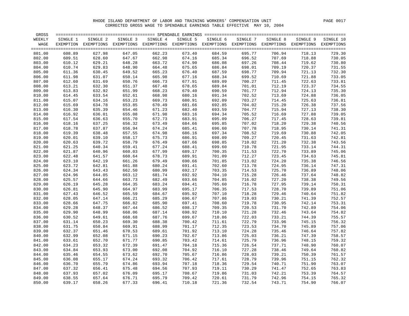| GROSS            |                  |                                                                                                              |                  |                  |                  |                  |                  |                  |                  | $=$ $=$ $=$ $=$  |
|------------------|------------------|--------------------------------------------------------------------------------------------------------------|------------------|------------------|------------------|------------------|------------------|------------------|------------------|------------------|
| WEEKLY           | SINGLE 1         | SINGLE 2                                                                                                     | SINGLE 3         | SINGLE 4         | SINGLE 5         | SINGLE 6         | SINGLE 7         | SINGLE 8         | SINGLE 9         | SINGLE 10        |
| WAGE             |                  | EXEMPTION EXEMPTIONS EXEMPTIONS EXEMPTIONS EXEMPTIONS EXEMPTIONS EXEMPTIONS EXEMPTIONS EXEMPTIONS EXEMPTIONS |                  |                  |                  |                  |                  |                  |                  |                  |
|                  |                  |                                                                                                              |                  |                  |                  |                  |                  |                  |                  | $=$ $=$ $=$      |
| 801.00           | 608.89           | 627.98                                                                                                       | 647.05           | 662.23           | 673.40           | 684.59           | 695.77           | 706.94           | 718.13           | 729.30           |
| 802.00           | 609.51           | 628.60                                                                                                       | 647.67           | 662.98           | 674.16           | 685.34           | 696.52           | 707.69           | 718.88           | 730.05           |
| 803.00           | 610.12           | 629.21                                                                                                       | 648.28           | 663.72           | 674.90           | 686.08           | 697.26           | 708.44           | 719.62           | 730.80           |
| 804.00           | 610.74           | 629.83                                                                                                       | 648.90           | 664.48           | 675.65           | 686.84           | 698.01           | 709.19           | 720.37           | 731.55           |
| 805.00           | 611.36           | 630.45                                                                                                       | 649.52           | 665.23           | 676.40           | 687.59           | 698.77           | 709.94           | 721.13           | 732.30           |
| 806.00           | 611.98           | 631.07                                                                                                       | 650.14           | 665.98           | 677.16           | 688.34           | 699.52           | 710.69           | 721.88           | 733.05           |
| 807.00           | 612.60           | 631.69                                                                                                       | 650.76           | 666.73           | 677.91           | 689.09           | 700.27           | 711.45           | 722.63           | 733.81           |
| 808.00           | 613.21           | 632.30                                                                                                       | 651.37           | 667.48           | 678.65           | 689.84           | 701.01           | 712.19           | 723.37           | 734.55           |
| 809.00           | 613.83           | 632.92                                                                                                       | 651.99           | 668.23           | 679.40           | 690.59           | 701.77           | 712.94           | 724.13           | 735.30           |
| 810.00           | 614.45           | 633.54                                                                                                       | 652.61           | 668.98           | 680.16           | 691.34           | 702.52           | 713.69           | 724.88           | 736.05           |
| 811.00           | 615.07           | 634.16                                                                                                       | 653.23           | 669.73           | 680.91           | 692.09           | 703.27           | 714.45           | 725.63           | 736.81           |
| 812.00           | 615.69           | 634.78                                                                                                       | 653.85           | 670.49           | 681.66           | 692.85           | 704.02           | 715.20           | 726.38           | 737.56           |
| 813.00           | 616.30           | 635.39                                                                                                       | 654.46           | 671.23           | 682.40           | 693.59           | 704.77           | 715.94           | 727.13           | 738.30           |
| 814.00           | 616.92           | 636.01                                                                                                       | 655.08           | 671.98           | 683.16           | 694.34           | 705.52           | 716.69           | 727.88           | 739.05           |
| 815.00           | 617.54           | 636.63                                                                                                       | 655.70           | 672.73           | 683.91           | 695.09           | 706.27           | 717.45           | 728.63           | 739.81           |
| 816.00           | 618.16           | 637.25                                                                                                       | 656.32           | 673.49           | 684.66           | 695.85           | 707.02           | 718.20           | 729.38           | 740.56           |
| 817.00           | 618.78           | 637.87                                                                                                       | 656.94           | 674.24           | 685.41           | 696.60           | 707.78           | 718.95           | 730.14           | 741.31           |
| 818.00           | 619.39           | 638.48                                                                                                       | 657.55           | 674.98           | 686.16           | 697.34           | 708.52           | 719.69           | 730.88           | 742.05           |
| 819.00           | 620.01           | 639.10                                                                                                       | 658.17           | 675.73           | 686.91           | 698.09           | 709.27           | 720.45           | 731.63           | 742.81           |
| 820.00           | 620.63           | 639.72                                                                                                       | 658.79           | 676.49           | 687.66           | 698.85           | 710.02           | 721.20           | 732.38           | 743.56           |
| 821.00           | 621.25           | 640.34                                                                                                       | 659.41           | 677.24           | 688.41           | 699.60           | 710.78           | 721.95           | 733.14           | 744.31           |
| 822.00           | 621.87           | 640.96                                                                                                       | 660.03           | 677.99           | 689.17           | 700.35           | 711.53           | 722.70           | 733.89           | 745.06           |
| 823.00           | 622.48           | 641.57                                                                                                       | 660.64           | 678.73           | 689.91           | 701.09           | 712.27           | 723.45           | 734.63           | 745.81           |
| 824.00           | 623.10           | 642.19                                                                                                       | 661.26           | 679.49           | 690.66           | 701.85           | 713.02           | 724.20           | 735.38           | 746.56           |
| 825.00           | 623.72           | 642.81                                                                                                       | 661.88           | 680.24           | 691.41           | 702.60           | 713.78           | 724.95           | 736.14           | 747.31           |
| 826.00           | 624.34           | 643.43                                                                                                       | 662.50           | 680.99           | 692.17           | 703.35           | 714.53           | 725.70           | 736.89           | 748.06           |
| 827.00           | 624.96           | 644.05                                                                                                       | 663.12           | 681.74           | 692.92           | 704.10           | 715.28           | 726.46           | 737.64           | 748.82           |
| 828.00           | 625.57           | 644.66                                                                                                       | 663.73           | 682.49           | 693.66           | 704.85           | 716.02           | 727.20           | 738.38           | 749.56           |
| 829.00           | 626.19           | 645.28                                                                                                       | 664.35           | 683.24           | 694.41           | 705.60           | 716.78           | 727.95           | 739.14           | 750.31           |
| 830.00           | 626.81           | 645.90                                                                                                       | 664.97           | 683.99           | 695.17           | 706.35           | 717.53           | 728.70           | 739.89           | 751.06           |
| 831.00           | 627.43           | 646.52                                                                                                       | 665.59           | 684.67           | 695.92           | 707.10           | 718.28           | 729.46           | 740.64           | 751.82           |
| 832.00           | 628.05           | 647.14                                                                                                       | 666.21           | 685.29           | 696.67           | 707.86           | 719.03           | 730.21           | 741.39           | 752.57           |
| 833.00           | 628.66           | 647.75                                                                                                       | 666.82           | 685.90           | 697.41           | 708.60           | 719.78           | 730.95           | 742.14           | 753.31           |
| 834.00           | 629.28           | 648.37                                                                                                       | 667.44           | 686.52           | 698.17           | 709.35           | 720.53           | 731.70           | 742.89           | 754.06           |
| 835.00           | 629.90<br>630.52 | 648.99                                                                                                       | 668.06           | 687.14<br>687.76 | 698.92           | 710.10<br>710.86 | 721.28<br>722.03 | 732.46<br>733.21 | 743.64<br>744.39 | 754.82<br>755.57 |
| 836.00           |                  | 649.61                                                                                                       | 668.68           |                  | 699.67           |                  |                  |                  |                  |                  |
| 837.00           | 631.14           | 650.23                                                                                                       | 669.30           | 688.38           | 700.42           | 711.61           | 722.79           | 733.96           | 745.15           | 756.32           |
| 838.00           | 631.75           | 650.84                                                                                                       | 669.91           | 688.99<br>689.61 | 701.17           | 712.35           | 723.53           | 734.70<br>735.46 | 745.89<br>746.64 | 757.06<br>757.82 |
| 839.00           | 632.37<br>632.99 | 651.46                                                                                                       | 670.53<br>671.15 | 690.23           | 701.92<br>702.67 | 713.10<br>713.86 | 724.28<br>725.03 | 736.21           | 747.39           | 758.57           |
| 840.00           |                  | 652.08                                                                                                       |                  |                  |                  |                  |                  |                  |                  |                  |
| 841.00           | 633.61           | 652.70                                                                                                       | 671.77           | 690.85           | 703.42           | 714.61           | 725.79           | 736.96           | 748.15           | 759.32           |
| 842.00           | 634.23           | 653.32                                                                                                       | 672.39           | 691.47<br>692.08 | 704.18           | 715.36           | 726.54           | 737.71           | 748.90           | 760.07           |
| 843.00           | 634.84           | 653.93                                                                                                       | 673.00           | 692.70           | 704.92           | 716.10<br>716.86 | 727.28           | 738.46<br>739.21 | 749.64<br>750.39 | 760.82           |
| 844.00           | 635.46<br>636.08 | 654.55                                                                                                       | 673.62<br>674.24 | 693.32           | 705.67<br>706.42 | 717.61           | 728.03<br>728.79 | 739.96           |                  | 761.57           |
| 845.00<br>846.00 | 636.70           | 655.17<br>655.79                                                                                             | 674.86           | 693.94           | 707.18           | 718.36           | 729.54           | 740.71           | 751.15<br>751.90 | 762.32<br>763.07 |
| 847.00           | 637.32           | 656.41                                                                                                       | 675.48           | 694.56           | 707.93           | 719.11           | 730.29           | 741.47           | 752.65           | 763.83           |
| 848.00           | 637.93           | 657.02                                                                                                       | 676.09           | 695.17           | 708.67           | 719.86           | 731.03           | 742.21           | 753.39           | 764.57           |
| 849.00           | 638.55           | 657.64                                                                                                       | 676.71           | 695.79           | 709.42           | 720.61           | 731.79           | 742.96           | 754.15           | 765.32           |
| 850.00           | 639.17           | 658.26                                                                                                       | 677.33           | 696.41           | 710.18           | 721.36           | 732.54           | 743.71           | 754.90           | 766.07           |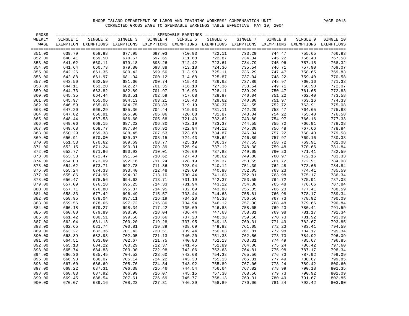| GROSS  |          |                                                                                                   |          |          |          |          |          |          |          |            |
|--------|----------|---------------------------------------------------------------------------------------------------|----------|----------|----------|----------|----------|----------|----------|------------|
| WEEKLY | SINGLE 1 | SINGLE 2                                                                                          | SINGLE 3 | SINGLE 4 | SINGLE 5 | SINGLE 6 | SINGLE 7 | SINGLE 8 | SINGLE 9 | SINGLE 10  |
| WAGE   |          | EXEMPTION EXEMPTIONS EXEMPTIONS EXEMPTIONS EXEMPTIONS EXEMPTIONS EXEMPTIONS EXEMPTIONS EXEMPTIONS |          |          |          |          |          |          |          | EXEMPTIONS |
|        |          |                                                                                                   |          |          |          |          |          |          |          | $== == =$  |
| 851.00 | 639.79   | 658.88                                                                                            | 677.95   | 697.03   | 710.93   | 722.11   | 733.29   | 744.47   | 755.65   | 766.83     |
| 852.00 | 640.41   | 659.50                                                                                            | 678.57   | 697.65   | 711.68   | 722.87   | 734.04   | 745.22   | 756.40   | 767.58     |
| 853.00 | 641.02   | 660.11                                                                                            | 679.18   | 698.26   | 712.42   | 723.61   | 734.79   | 745.96   | 757.15   | 768.32     |
| 854.00 | 641.64   | 660.73                                                                                            | 679.80   | 698.88   | 713.18   | 724.36   | 735.54   | 746.71   | 757.90   | 769.07     |
| 855.00 | 642.26   | 661.35                                                                                            | 680.42   | 699.50   | 713.93   | 725.11   | 736.29   | 747.47   | 758.65   | 769.83     |
| 856.00 | 642.88   | 661.97                                                                                            | 681.04   | 700.12   | 714.68   | 725.87   | 737.04   | 748.22   | 759.40   | 770.58     |
| 857.00 | 643.50   | 662.59                                                                                            | 681.66   | 700.74   | 715.43   | 726.62   | 737.80   | 748.97   | 760.16   | 771.33     |
| 858.00 | 644.11   | 663.20                                                                                            | 682.27   | 701.35   | 716.18   | 727.36   | 738.54   | 749.71   | 760.90   | 772.07     |
| 859.00 | 644.73   | 663.82                                                                                            | 682.89   | 701.97   | 716.93   | 728.11   | 739.29   | 750.47   | 761.65   | 772.83     |
| 860.00 | 645.35   | 664.44                                                                                            | 683.51   | 702.59   | 717.68   | 728.87   | 740.04   | 751.22   | 762.40   | 773.58     |
| 861.00 | 645.97   | 665.06                                                                                            | 684.13   | 703.21   | 718.43   | 729.62   | 740.80   | 751.97   | 763.16   | 774.33     |
| 862.00 | 646.59   | 665.68                                                                                            | 684.75   | 703.83   | 719.19   | 730.37   | 741.55   | 752.72   | 763.91   | 775.08     |
| 863.00 | 647.20   | 666.29                                                                                            | 685.36   | 704.44   | 719.93   | 731.11   | 742.29   | 753.47   | 764.65   | 775.83     |
| 864.00 | 647.82   | 666.91                                                                                            | 685.98   | 705.06   | 720.68   | 731.87   | 743.04   | 754.22   | 765.40   | 776.58     |
| 865.00 | 648.44   | 667.53                                                                                            | 686.60   | 705.68   | 721.43   | 732.62   | 743.80   | 754.97   | 766.16   | 777.33     |
| 866.00 | 649.06   | 668.15                                                                                            | 687.22   | 706.30   | 722.19   | 733.37   | 744.55   | 755.72   | 766.91   | 778.08     |
| 867.00 | 649.68   | 668.77                                                                                            | 687.84   | 706.92   | 722.94   | 734.12   | 745.30   | 756.48   | 767.66   | 778.84     |
| 868.00 | 650.29   | 669.38                                                                                            | 688.45   | 707.53   | 723.68   | 734.87   | 746.04   | 757.22   | 768.40   | 779.58     |
| 869.00 | 650.91   | 670.00                                                                                            | 689.07   | 708.15   | 724.43   | 735.62   | 746.80   | 757.97   | 769.16   | 780.33     |
| 870.00 | 651.53   | 670.62                                                                                            | 689.69   | 708.77   | 725.19   | 736.37   | 747.55   | 758.72   | 769.91   | 781.08     |
| 871.00 | 652.15   | 671.24                                                                                            | 690.31   | 709.39   | 725.94   | 737.12   | 748.30   | 759.48   | 770.66   | 781.84     |
| 872.00 | 652.77   | 671.86                                                                                            | 690.93   | 710.01   | 726.69   | 737.88   | 749.05   | 760.23   | 771.41   | 782.59     |
| 873.00 | 653.38   | 672.47                                                                                            | 691.54   | 710.62   | 727.43   | 738.62   | 749.80   | 760.97   | 772.16   | 783.33     |
| 874.00 | 654.00   | 673.09                                                                                            | 692.16   | 711.24   | 728.19   | 739.37   | 750.55   | 761.72   | 772.91   | 784.08     |
| 875.00 | 654.62   | 673.71                                                                                            | 692.78   | 711.86   | 728.94   | 740.12   | 751.30   | 762.48   | 773.66   | 784.84     |
| 876.00 | 655.24   | 674.33                                                                                            | 693.40   | 712.48   | 729.69   | 740.88   | 752.05   | 763.23   | 774.41   | 785.59     |
| 877.00 | 655.86   | 674.95                                                                                            | 694.02   | 713.10   | 730.44   | 741.63   | 752.81   | 763.98   | 775.17   | 786.34     |
| 878.00 | 656.47   | 675.56                                                                                            | 694.63   | 713.71   | 731.19   | 742.37   | 753.55   | 764.72   | 775.91   | 787.08     |
| 879.00 | 657.09   | 676.18                                                                                            | 695.25   | 714.33   | 731.94   | 743.12   | 754.30   | 765.48   | 776.66   | 787.84     |
| 880.00 | 657.71   | 676.80                                                                                            | 695.87   | 714.95   | 732.69   | 743.88   | 755.05   | 766.23   | 777.41   | 788.59     |
| 881.00 | 658.33   | 677.42                                                                                            | 696.49   | 715.57   | 733.44   | 744.63   | 755.81   | 766.98   | 778.17   | 789.34     |
| 882.00 | 658.95   | 678.04                                                                                            | 697.11   | 716.19   | 734.20   | 745.38   | 756.56   | 767.73   | 778.92   | 790.09     |
| 883.00 | 659.56   | 678.65                                                                                            | 697.72   | 716.80   | 734.94   | 746.12   | 757.30   | 768.48   | 779.66   | 790.84     |
| 884.00 | 660.18   | 679.27                                                                                            | 698.34   | 717.42   | 735.69   | 746.88   | 758.05   | 769.23   | 780.41   | 791.59     |
| 885.00 | 660.80   | 679.89                                                                                            | 698.96   | 718.04   | 736.44   | 747.63   | 758.81   | 769.98   | 781.17   | 792.34     |
| 886.00 | 661.42   | 680.51                                                                                            | 699.58   | 718.66   | 737.20   | 748.38   | 759.56   | 770.73   | 781.92   | 793.09     |
| 887.00 | 662.04   | 681.13                                                                                            | 700.20   | 719.28   | 737.95   | 749.13   | 760.31   | 771.49   | 782.67   | 793.85     |
| 888.00 | 662.65   | 681.74                                                                                            | 700.81   | 719.89   | 738.69   | 749.88   | 761.05   | 772.23   | 783.41   | 794.59     |
| 889.00 | 663.27   | 682.36                                                                                            | 701.43   | 720.51   | 739.44   | 750.63   | 761.81   | 772.98   | 784.17   | 795.34     |
| 890.00 | 663.89   | 682.98                                                                                            | 702.05   | 721.13   | 740.20   | 751.38   | 762.56   | 773.73   | 784.92   | 796.09     |
| 891.00 | 664.51   | 683.60                                                                                            | 702.67   | 721.75   | 740.83   | 752.13   | 763.31   | 774.49   | 785.67   | 796.85     |
| 892.00 | 665.13   | 684.22                                                                                            | 703.29   | 722.37   | 741.45   | 752.89   | 764.06   | 775.24   | 786.42   | 797.60     |
| 893.00 | 665.74   | 684.83                                                                                            | 703.90   | 722.98   | 742.06   | 753.63   | 764.81   | 775.98   | 787.17   | 798.34     |
| 894.00 | 666.36   | 685.45                                                                                            | 704.52   | 723.60   | 742.68   | 754.38   | 765.56   | 776.73   | 787.92   | 799.09     |
| 895.00 | 666.98   | 686.07                                                                                            | 705.14   | 724.22   | 743.30   | 755.13   | 766.31   | 777.49   | 788.67   | 799.85     |
| 896.00 | 667.60   | 686.69                                                                                            | 705.76   | 724.84   | 743.92   | 755.89   | 767.06   | 778.24   | 789.42   | 800.60     |
| 897.00 | 668.22   | 687.31                                                                                            | 706.38   | 725.46   | 744.54   | 756.64   | 767.82   | 778.99   | 790.18   | 801.35     |
| 898.00 | 668.83   | 687.92                                                                                            | 706.99   | 726.07   | 745.15   | 757.38   | 768.56   | 779.73   | 790.92   | 802.09     |
| 899.00 | 669.45   | 688.54                                                                                            | 707.61   | 726.69   | 745.77   | 758.13   | 769.31   | 780.49   | 791.67   | 802.85     |
| 900.00 | 670.07   | 689.16                                                                                            | 708.23   | 727.31   | 746.39   | 758.89   | 770.06   | 781.24   | 792.42   | 803.60     |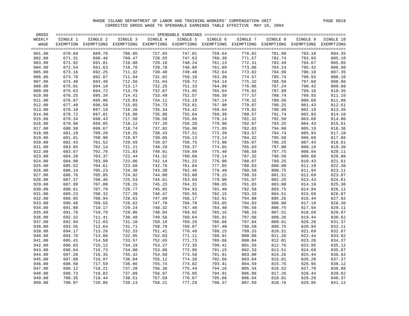| GROSS            |                  |                                                                                                              |                  |                  |                  |                  |                  |                  |                  | $=$ $=$ $=$      |
|------------------|------------------|--------------------------------------------------------------------------------------------------------------|------------------|------------------|------------------|------------------|------------------|------------------|------------------|------------------|
| WEEKLY           | SINGLE 1         | SINGLE 2                                                                                                     | SINGLE 3         | SINGLE 4         | SINGLE 5         | SINGLE 6         | SINGLE 7         | SINGLE 8         | SINGLE 9         | SINGLE 10        |
| WAGE             |                  | EXEMPTION EXEMPTIONS EXEMPTIONS EXEMPTIONS EXEMPTIONS EXEMPTIONS EXEMPTIONS EXEMPTIONS EXEMPTIONS EXEMPTIONS |                  |                  |                  |                  |                  |                  |                  |                  |
|                  |                  |                                                                                                              |                  |                  |                  |                  |                  |                  |                  | $=$ $=$ $=$ $=$  |
| 901.00           | 670.69           | 689.78                                                                                                       | 708.85           | 727.93           | 747.01           | 759.64           | 770.82           | 781.99           | 793.18           | 804.35           |
| 902.00           | 671.31           | 690.40                                                                                                       | 709.47           | 728.55           | 747.63           | 760.39           | 771.57           | 782.74           | 793.93           | 805.10           |
| 903.00           | 671.92           | 691.01                                                                                                       | 710.08           | 729.16           | 748.24           | 761.13           | 772.31           | 783.49           | 794.67           | 805.85           |
| 904.00           | 672.54           | 691.63                                                                                                       | 710.70           | 729.78           | 748.86           | 761.89           | 773.06           | 784.24           | 795.42           | 806.60           |
| 905.00           | 673.16           | 692.25                                                                                                       | 711.32           | 730.40           | 749.48           | 762.64           | 773.82           | 784.99           | 796.18           | 807.35           |
| 906.00           | 673.78           | 692.87                                                                                                       | 711.94           | 731.02           | 750.10           | 763.39           | 774.57           | 785.74           | 796.93           | 808.10           |
| 907.00           | 674.40           | 693.49                                                                                                       | 712.56           | 731.64           | 750.72           | 764.14           | 775.32           | 786.50           | 797.68           | 808.86           |
| 908.00           | 675.01           | 694.10                                                                                                       | 713.17           | 732.25           | 751.33           | 764.89           | 776.06           | 787.24           | 798.42           | 809.60           |
| 909.00           | 675.63           | 694.72                                                                                                       | 713.79           | 732.87           | 751.95           | 765.64           | 776.82           | 787.99           | 799.18           | 810.35           |
| 910.00           | 676.25           | 695.34                                                                                                       | 714.41           | 733.49           | 752.57           | 766.39           | 777.57           | 788.74           | 799.93           | 811.10           |
| 911.00           | 676.87           | 695.96                                                                                                       | 715.03           | 734.11           | 753.19           | 767.14           | 778.32           | 789.50           | 800.68           | 811.86           |
| 912.00           | 677.49           | 696.58                                                                                                       | 715.65           | 734.73           | 753.81           | 767.90           | 779.07           | 790.25           | 801.43           | 812.61           |
| 913.00           | 678.10           | 697.19                                                                                                       | 716.26           | 735.34           | 754.42           | 768.64           | 779.82           | 790.99           | 802.18           | 813.35           |
| 914.00           | 678.72           | 697.81                                                                                                       | 716.88           | 735.96           | 755.04           | 769.39           | 780.57           | 791.74           | 802.93           | 814.10           |
| 915.00           | 679.34           | 698.43                                                                                                       | 717.50           | 736.58           | 755.66           | 770.14           | 781.32           | 792.50           | 803.68           | 814.86           |
| 916.00           | 679.96           | 699.05                                                                                                       | 718.12           | 737.20           | 756.28           | 770.90           | 782.07           | 793.25           | 804.43           | 815.61           |
| 917.00           | 680.58           | 699.67                                                                                                       | 718.74           | 737.82           | 756.90           | 771.65           | 782.83           | 794.00           | 805.19           | 816.36           |
| 918.00           | 681.19           | 700.28                                                                                                       | 719.35           | 738.43           | 757.51           | 772.39           | 783.57           | 794.74           | 805.93           | 817.10           |
| 919.00           | 681.81           | 700.90                                                                                                       | 719.97           | 739.05           | 758.13           | 773.14           | 784.32           | 795.50           | 806.68           | 817.86           |
| 920.00           | 682.43           | 701.52                                                                                                       | 720.59           | 739.67           | 758.75           | 773.90           | 785.07           | 796.25           | 807.43           | 818.61           |
| 921.00           | 683.05           | 702.14                                                                                                       | 721.21           | 740.29           | 759.37           | 774.65           | 785.83           | 797.00           | 808.19           | 819.36           |
| 922.00           | 683.67           | 702.76                                                                                                       | 721.83           | 740.91           | 759.99           | 775.40           | 786.58           | 797.75           | 808.94           | 820.11           |
| 923.00           | 684.28           | 703.37                                                                                                       | 722.44           | 741.52           | 760.60           | 776.14           | 787.32           | 798.50           | 809.68           | 820.86           |
| 924.00           | 684.90           | 703.99                                                                                                       | 723.06           | 742.14           | 761.22           | 776.90           | 788.07           | 799.25           | 810.43           | 821.61           |
| 925.00           | 685.52           | 704.61                                                                                                       | 723.68           | 742.76           | 761.84           | 777.65           | 788.83           | 800.00           | 811.19           | 822.36           |
| 926.00           | 686.14           | 705.23                                                                                                       | 724.30           | 743.38           | 762.46           | 778.40           | 789.58           | 800.75           | 811.94           | 823.11           |
| 927.00           | 686.76           | 705.85                                                                                                       | 724.92           | 744.00           | 763.08           | 779.15           | 790.33           | 801.51           | 812.69           | 823.87           |
| 928.00           | 687.37           | 706.46                                                                                                       | 725.53           | 744.61           | 763.69           | 779.90           | 791.07           | 802.25           | 813.43           | 824.61           |
| 929.00           | 687.99           | 707.08<br>707.70                                                                                             | 726.15<br>726.77 | 745.23<br>745.85 | 764.31           | 780.65<br>781.40 | 791.83<br>792.58 | 803.00<br>803.75 | 814.19<br>814.94 | 825.36<br>826.11 |
| 930.00           | 688.61           |                                                                                                              |                  |                  | 764.93           |                  |                  |                  |                  |                  |
| 931.00           | 689.23           | 708.32                                                                                                       | 727.39           | 746.47           | 765.55           | 782.15           | 793.33           | 804.51           | 815.69           | 826.87           |
| 932.00           | 689.85           | 708.94                                                                                                       | 728.01           | 747.09           | 766.17           | 782.91           | 794.08           | 805.26           | 816.44           | 827.62           |
| 933.00           | 690.46           | 709.55                                                                                                       | 728.62           | 747.70           | 766.78           | 783.65           | 794.83           | 806.00           | 817.19           | 828.36           |
| 934.00           | 691.08           | 710.17                                                                                                       | 729.24           | 748.32           | 767.40           | 784.40           | 795.58           | 806.75           | 817.94           | 829.11           |
| 935.00<br>936.00 | 691.70<br>692.32 | 710.79                                                                                                       | 729.86<br>730.48 | 748.94<br>749.56 | 768.02<br>768.64 | 785.15<br>785.91 | 796.33           | 807.51<br>808.26 | 818.69<br>819.44 | 829.87           |
|                  | 692.94           | 711.41                                                                                                       |                  | 750.18           |                  | 786.66           | 797.08           | 809.01           |                  | 830.62           |
| 937.00           |                  | 712.03                                                                                                       | 731.10           | 750.79           | 769.26           |                  | 797.84           |                  | 820.20           | 831.37           |
| 938.00           | 693.55<br>694.17 | 712.64                                                                                                       | 731.71<br>732.33 | 751.41           | 769.87           | 787.40           | 798.58           | 809.75           | 820.94<br>821.69 | 832.11           |
| 939.00<br>940.00 | 694.79           | 713.26<br>713.88                                                                                             | 732.95           | 752.03           | 770.49<br>771.11 | 788.15<br>788.91 | 799.33<br>800.08 | 810.51<br>811.26 | 822.44           | 832.87<br>833.62 |
| 941.00           | 695.41           | 714.50                                                                                                       | 733.57           | 752.65           | 771.73           | 789.66           | 800.84           | 812.01           | 823.20           | 834.37           |
|                  |                  |                                                                                                              |                  |                  |                  |                  |                  |                  |                  |                  |
| 942.00<br>943.00 | 696.03<br>696.64 | 715.12<br>715.73                                                                                             | 734.19<br>734.80 | 753.27<br>753.88 | 772.35<br>772.96 | 790.41<br>791.15 | 801.59<br>802.33 | 812.76<br>813.51 | 823.95<br>824.69 | 835.12<br>835.87 |
| 944.00           | 697.26           | 716.35                                                                                                       | 735.42           | 754.50           | 773.58           | 791.91           | 803.08           | 814.26           | 825.44           | 836.62           |
| 945.00           | 697.88           | 716.97                                                                                                       | 736.04           | 755.12           | 774.20           | 792.66           | 803.84           | 815.01           | 826.20           | 837.37           |
|                  | 698.50           | 717.59                                                                                                       | 736.66           | 755.74           | 774.82           | 793.41           | 804.59           | 815.76           | 826.95           | 838.12           |
| 946.00<br>947.00 | 699.12           | 718.21                                                                                                       | 737.28           | 756.36           | 775.44           | 794.16           | 805.34           | 816.52           | 827.70           | 838.88           |
| 948.00           | 699.73           | 718.82                                                                                                       | 737.89           | 756.97           | 776.05           | 794.91           | 806.08           | 817.26           | 828.44           | 839.62           |
| 949.00           | 700.35           | 719.44                                                                                                       | 738.51           | 757.59           | 776.67           | 795.66           | 806.84           | 818.01           | 829.20           | 840.37           |
| 950.00           | 700.97           | 720.06                                                                                                       | 739.13           | 758.21           | 777.29           | 796.37           | 807.59           | 818.76           | 829.95           | 841.12           |
|                  |                  |                                                                                                              |                  |                  |                  |                  |                  |                  |                  |                  |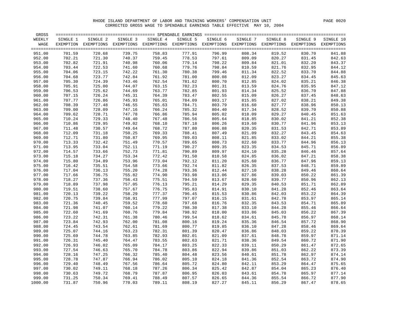| GROSS   |          |                                                                                                              |          |          |          |          |          |          |          | $=$ $=$ $=$ $=$       |
|---------|----------|--------------------------------------------------------------------------------------------------------------|----------|----------|----------|----------|----------|----------|----------|-----------------------|
| WEEKLY  | SINGLE 1 | SINGLE 2                                                                                                     | SINGLE 3 | SINGLE 4 | SINGLE 5 | SINGLE 6 | SINGLE 7 | SINGLE 8 | SINGLE 9 | SINGLE 10             |
| WAGE    |          | EXEMPTION EXEMPTIONS EXEMPTIONS EXEMPTIONS EXEMPTIONS EXEMPTIONS EXEMPTIONS EXEMPTIONS EXEMPTIONS EXEMPTIONS |          |          |          |          |          |          |          |                       |
| 951.00  | 701.59   | 720.68                                                                                                       | 739.75   | 758.83   | 777.91   | 796.99   | 808.34   | 819.52   | 830.70   | $=$ $=$ $=$<br>841.88 |
| 952.00  | 702.21   | 721.30                                                                                                       | 740.37   | 759.45   | 778.53   | 797.61   | 809.09   | 820.27   | 831.45   | 842.63                |
| 953.00  | 702.82   | 721.91                                                                                                       | 740.98   | 760.06   | 779.14   | 798.22   | 809.84   | 821.01   | 832.20   | 843.37                |
| 954.00  | 703.44   | 722.53                                                                                                       | 741.60   | 760.68   | 779.76   | 798.84   | 810.59   | 821.76   | 832.95   | 844.12                |
| 955.00  | 704.06   | 723.15                                                                                                       | 742.22   | 761.30   | 780.38   | 799.46   | 811.34   | 822.52   | 833.70   | 844.88                |
| 956.00  | 704.68   | 723.77                                                                                                       | 742.84   | 761.92   | 781.00   | 800.08   | 812.09   | 823.27   | 834.45   | 845.63                |
| 957.00  | 705.30   | 724.39                                                                                                       | 743.46   | 762.54   | 781.62   | 800.70   | 812.85   | 824.02   | 835.21   | 846.38                |
| 958.00  | 705.91   | 725.00                                                                                                       | 744.07   | 763.15   | 782.23   | 801.31   | 813.59   | 824.76   | 835.95   | 847.12                |
| 959.00  | 706.53   | 725.62                                                                                                       | 744.69   | 763.77   | 782.85   | 801.93   | 814.34   | 825.52   | 836.70   | 847.88                |
| 960.00  | 707.15   | 726.24                                                                                                       | 745.31   | 764.39   | 783.47   | 802.55   | 815.09   | 826.27   | 837.45   | 848.63                |
| 961.00  | 707.77   | 726.86                                                                                                       | 745.93   | 765.01   | 784.09   | 803.17   | 815.85   | 827.02   | 838.21   | 849.38                |
| 962.00  | 708.39   | 727.48                                                                                                       | 746.55   | 765.63   | 784.71   | 803.79   | 816.60   | 827.77   | 838.96   | 850.13                |
| 963.00  | 709.00   | 728.09                                                                                                       | 747.16   | 766.24   | 785.32   | 804.40   | 817.34   | 828.52   | 839.70   | 850.88                |
| 964.00  | 709.62   | 728.71                                                                                                       | 747.78   | 766.86   | 785.94   | 805.02   | 818.09   | 829.27   | 840.45   | 851.63                |
| 965.00  | 710.24   | 729.33                                                                                                       | 748.40   | 767.48   | 786.56   | 805.64   | 818.85   | 830.02   | 841.21   | 852.38                |
| 966.00  | 710.86   | 729.95                                                                                                       | 749.02   | 768.10   | 787.18   | 806.26   | 819.60   | 830.77   | 841.96   | 853.13                |
| 967.00  | 711.48   | 730.57                                                                                                       | 749.64   | 768.72   | 787.80   | 806.88   | 820.35   | 831.53   | 842.71   | 853.89                |
| 968.00  | 712.09   | 731.18                                                                                                       | 750.25   | 769.33   | 788.41   | 807.49   | 821.09   | 832.27   | 843.45   | 854.63                |
| 969.00  | 712.71   | 731.80                                                                                                       | 750.87   | 769.95   | 789.03   | 808.11   | 821.85   | 833.02   | 844.21   | 855.38                |
| 970.00  | 713.33   | 732.42                                                                                                       | 751.49   | 770.57   | 789.65   | 808.73   | 822.60   | 833.77   | 844.96   | 856.13                |
| 971.00  | 713.95   | 733.04                                                                                                       | 752.11   | 771.19   | 790.27   | 809.35   | 823.35   | 834.53   | 845.71   | 856.89                |
| 972.00  | 714.57   | 733.66                                                                                                       | 752.73   | 771.81   | 790.89   | 809.97   | 824.10   | 835.28   | 846.46   | 857.64                |
| 973.00  | 715.18   | 734.27                                                                                                       | 753.34   | 772.42   | 791.50   | 810.58   | 824.85   | 836.02   | 847.21   | 858.38                |
| 974.00  | 715.80   | 734.89                                                                                                       | 753.96   | 773.04   | 792.12   | 811.20   | 825.60   | 836.77   | 847.96   | 859.13                |
| 975.00  | 716.42   | 735.51                                                                                                       | 754.58   | 773.66   | 792.74   | 811.82   | 826.35   | 837.53   | 848.71   | 859.89                |
| 976.00  | 717.04   | 736.13                                                                                                       | 755.20   | 774.28   | 793.36   | 812.44   | 827.10   | 838.28   | 849.46   | 860.64                |
| 977.00  | 717.66   | 736.75                                                                                                       | 755.82   | 774.90   | 793.98   | 813.06   | 827.86   | 839.03   | 850.22   | 861.39                |
| 978.00  | 718.27   | 737.36                                                                                                       | 756.43   | 775.51   | 794.59   | 813.67   | 828.60   | 839.77   | 850.96   | 862.13                |
| 979.00  | 718.89   | 737.98                                                                                                       | 757.05   | 776.13   | 795.21   | 814.29   | 829.35   | 840.53   | 851.71   | 862.89                |
| 980.00  | 719.51   | 738.60                                                                                                       | 757.67   | 776.75   | 795.83   | 814.91   | 830.10   | 841.28   | 852.46   | 863.64                |
| 981.00  | 720.13   | 739.22                                                                                                       | 758.29   | 777.37   | 796.45   | 815.53   | 830.86   | 842.03   | 853.22   | 864.39                |
| 982.00  | 720.75   | 739.84                                                                                                       | 758.91   | 777.99   | 797.07   | 816.15   | 831.61   | 842.78   | 853.97   | 865.14                |
| 983.00  | 721.36   | 740.45                                                                                                       | 759.52   | 778.60   | 797.68   | 816.76   | 832.35   | 843.53   | 854.71   | 865.89                |
| 984.00  | 721.98   | 741.07                                                                                                       | 760.14   | 779.22   | 798.30   | 817.38   | 833.10   | 844.28   | 855.46   | 866.64                |
| 985.00  | 722.60   | 741.69                                                                                                       | 760.76   | 779.84   | 798.92   | 818.00   | 833.86   | 845.03   | 856.22   | 867.39                |
| 986.00  | 723.22   | 742.31                                                                                                       | 761.38   | 780.46   | 799.54   | 818.62   | 834.61   | 845.78   | 856.97   | 868.14                |
| 987.00  | 723.84   | 742.93                                                                                                       | 762.00   | 781.08   | 800.16   | 819.24   | 835.36   | 846.54   | 857.72   | 868.90                |
|         | 724.45   |                                                                                                              |          | 781.69   |          | 819.85   |          | 847.28   | 858.46   | 869.64                |
| 988.00  |          | 743.54                                                                                                       | 762.61   |          | 800.77   |          | 836.10   |          |          |                       |
| 989.00  | 725.07   | 744.16                                                                                                       | 763.23   | 782.31   | 801.39   | 820.47   | 836.86   | 848.03   | 859.22   | 870.39                |
| 990.00  | 725.69   | 744.78                                                                                                       | 763.85   | 782.93   | 802.01   | 821.09   | 837.61   | 848.78   | 859.97   | 871.14                |
| 991.00  | 726.31   | 745.40                                                                                                       | 764.47   | 783.55   | 802.63   | 821.71   | 838.36   | 849.54   | 860.72   | 871.90                |
| 992.00  | 726.93   | 746.02                                                                                                       | 765.09   | 784.17   | 803.25   | 822.33   | 839.11   | 850.29   | 861.47   | 872.65                |
| 993.00  | 727.54   | 746.63                                                                                                       | 765.70   | 784.78   | 803.86   | 822.94   | 839.86   | 851.03   | 862.22   | 873.39                |
| 994.00  | 728.16   | 747.25                                                                                                       | 766.32   | 785.40   | 804.48   | 823.56   | 840.61   | 851.78   | 862.97   | 874.14                |
| 995.00  | 728.78   | 747.87                                                                                                       | 766.94   | 786.02   | 805.10   | 824.18   | 841.36   | 852.54   | 863.72   | 874.90                |
| 996.00  | 729.40   | 748.49                                                                                                       | 767.56   | 786.64   | 805.72   | 824.80   | 842.11   | 853.29   | 864.47   | 875.65                |
| 997.00  | 730.02   | 749.11                                                                                                       | 768.18   | 787.26   | 806.34   | 825.42   | 842.87   | 854.04   | 865.23   | 876.40                |
| 998.00  | 730.63   | 749.72                                                                                                       | 768.79   | 787.87   | 806.95   | 826.03   | 843.61   | 854.78   | 865.97   | 877.14                |
| 999.00  | 731.25   | 750.34                                                                                                       | 769.41   | 788.49   | 807.57   | 826.65   | 844.36   | 855.54   | 866.72   | 877.90                |
| 1000.00 | 731.87   | 750.96                                                                                                       | 770.03   | 789.11   | 808.19   | 827.27   | 845.11   | 856.29   | 867.47   | 878.65                |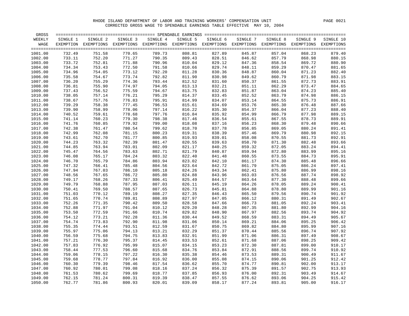| GROSS              |                  |                                                                                                              |                  |                  |          |                  |          |                  |          |                  |
|--------------------|------------------|--------------------------------------------------------------------------------------------------------------|------------------|------------------|----------|------------------|----------|------------------|----------|------------------|
| WEEKLY             | SINGLE 1         | SINGLE 2                                                                                                     | SINGLE 3         | SINGLE 4         | SINGLE 5 | SINGLE 6         | SINGLE 7 | SINGLE 8         | SINGLE 9 | SINGLE 10        |
| WAGE               |                  | EXEMPTION EXEMPTIONS EXEMPTIONS EXEMPTIONS EXEMPTIONS EXEMPTIONS EXEMPTIONS EXEMPTIONS EXEMPTIONS EXEMPTIONS |                  |                  |          |                  |          |                  |          |                  |
| 1001.00            | 732.49           | 751.58                                                                                                       | 770.65           | 789.73           | 808.81   | 827.89           | 845.87   | 857.04           | 868.23   | $====$<br>879.40 |
| 1002.00            | 733.11           | 752.20                                                                                                       | 771.27           | 790.35           | 809.43   | 828.51           | 846.62   | 857.79           | 868.98   | 880.15           |
| 1003.00            | 733.72           | 752.81                                                                                                       | 771.88           | 790.96           | 810.04   | 829.12           | 847.36   | 858.54           | 869.72   | 880.90           |
| 1004.00            | 734.34           | 753.43                                                                                                       | 772.50           | 791.58           | 810.66   | 829.74           | 848.11   | 859.29           | 870.47   | 881.65           |
| 1005.00            | 734.96           | 754.05                                                                                                       | 773.12           | 792.20           | 811.28   | 830.36           | 848.87   | 860.04           | 871.23   | 882.40           |
| 1006.00            | 735.58           | 754.67                                                                                                       | 773.74           | 792.82           | 811.90   | 830.98           | 849.62   | 860.79           | 871.98   | 883.15           |
| 1007.00            | 736.20           | 755.29                                                                                                       | 774.36           | 793.44           | 812.52   | 831.60           | 850.37   | 861.55           | 872.73   | 883.91           |
| 1008.00            | 736.81           | 755.90                                                                                                       | 774.97           | 794.05           | 813.13   | 832.21           | 851.11   | 862.29           | 873.47   | 884.65           |
| 1009.00            | 737.43           | 756.52                                                                                                       | 775.59           | 794.67           | 813.75   | 832.83           | 851.87   | 863.04           | 874.23   | 885.40           |
| 1010.00            | 738.05           | 757.14                                                                                                       | 776.21           | 795.29           | 814.37   | 833.45           | 852.52   | 863.79           | 874.98   | 886.15           |
| 1011.00            | 738.67           | 757.76                                                                                                       | 776.83           | 795.91           | 814.99   | 834.07           | 853.14   | 864.55           | 875.73   | 886.91           |
| 1012.00            | 739.29           | 758.38                                                                                                       | 777.45           | 796.53           | 815.61   | 834.69           | 853.76   | 865.30           | 876.48   | 887.66           |
| 1013.00            | 739.90           | 758.99                                                                                                       | 778.06           | 797.14           | 816.22   | 835.30           | 854.37   | 866.04           | 877.23   | 888.40           |
| 1014.00            | 740.52           | 759.61                                                                                                       | 778.68           | 797.76           | 816.84   | 835.92           | 854.99   | 866.79           | 877.98   |                  |
|                    |                  |                                                                                                              |                  |                  |          |                  |          |                  |          | 889.15           |
| 1015.00            | 741.14<br>741.76 | 760.23<br>760.85                                                                                             | 779.30           | 798.38           | 817.46   | 836.54           | 855.61   | 867.55           | 878.73   | 889.91           |
| 1016.00<br>1017.00 | 742.38           | 761.47                                                                                                       | 779.92<br>780.54 | 799.00<br>799.62 | 818.08   | 837.16<br>837.78 | 856.23   | 868.30<br>869.05 | 879.48   | 890.66           |
|                    |                  |                                                                                                              |                  |                  | 818.70   |                  | 856.85   |                  | 880.24   | 891.41           |
| 1018.00            | 742.99           | 762.08                                                                                                       | 781.15           | 800.23           | 819.31   | 838.39           | 857.46   | 869.79           | 880.98   | 892.15           |
| 1019.00            | 743.61           | 762.70                                                                                                       | 781.77           | 800.85           | 819.93   | 839.01           | 858.08   | 870.55           | 881.73   | 892.91           |
| 1020.00            | 744.23           | 763.32                                                                                                       | 782.39           | 801.47           | 820.55   | 839.63           | 858.70   | 871.30           | 882.48   | 893.66           |
| 1021.00            | 744.85           | 763.94                                                                                                       | 783.01           | 802.09           | 821.17   | 840.25           | 859.32   | 872.05           | 883.24   | 894.41           |
| 1022.00            | 745.47           | 764.56                                                                                                       | 783.63           | 802.71           | 821.79   | 840.87           | 859.94   | 872.80           | 883.99   | 895.16           |
| 1023.00            | 746.08           | 765.17                                                                                                       | 784.24           | 803.32           | 822.40   | 841.48           | 860.55   | 873.55           | 884.73   | 895.91           |
| 1024.00            | 746.70           | 765.79                                                                                                       | 784.86           | 803.94           | 823.02   | 842.10           | 861.17   | 874.30<br>875.05 | 885.48   | 896.66           |
| 1025.00            | 747.32           | 766.41                                                                                                       | 785.48           | 804.56           | 823.64   | 842.72           | 861.79   |                  | 886.24   | 897.41           |
| 1026.00            | 747.94           | 767.03                                                                                                       | 786.10           | 805.18           | 824.26   | 843.34           | 862.41   | 875.80           | 886.99   | 898.16           |
| 1027.00            | 748.56           | 767.65                                                                                                       | 786.72           | 805.80           | 824.88   | 843.96           | 863.03   | 876.56           | 887.74   | 898.92           |
| 1028.00            | 749.17           | 768.26                                                                                                       | 787.33           | 806.41           | 825.49   | 844.57           | 863.64   | 877.30           | 888.48   | 899.66           |
| 1029.00            | 749.79           | 768.88                                                                                                       | 787.95           | 807.03           | 826.11   | 845.19           | 864.26   | 878.05           | 889.24   | 900.41           |
| 1030.00            | 750.41           | 769.50                                                                                                       | 788.57           | 807.65           | 826.73   | 845.81           | 864.88   | 878.80           | 889.99   | 901.16           |
| 1031.00            | 751.03           | 770.12                                                                                                       | 789.19           | 808.27           | 827.35   | 846.43           | 865.50   | 879.56           | 890.74   | 901.92           |
| 1032.00            | 751.65           | 770.74                                                                                                       | 789.81           | 808.89           | 827.97   | 847.05           | 866.12   | 880.31           | 891.49   | 902.67           |
| 1033.00            | 752.26           | 771.35                                                                                                       | 790.42           | 809.50           | 828.58   | 847.66           | 866.73   | 881.05           | 892.24   | 903.41           |
| 1034.00            | 752.88           | 771.97                                                                                                       | 791.04           | 810.12           | 829.20   | 848.28           | 867.35   | 881.80           | 892.99   | 904.16           |
| 1035.00            | 753.50           | 772.59                                                                                                       | 791.66           | 810.74           | 829.82   | 848.90           | 867.97   | 882.56           | 893.74   | 904.92           |
| 1036.00            | 754.12           | 773.21                                                                                                       | 792.28           | 811.36           | 830.44   | 849.52           | 868.59   | 883.31           | 894.49   | 905.67           |
| 1037.00            | 754.74           | 773.83                                                                                                       | 792.90           | 811.98           | 831.06   | 850.14           | 869.21   | 884.06           | 895.25   | 906.42           |
| 1038.00            | 755.35           | 774.44                                                                                                       | 793.51           | 812.59           | 831.67   | 850.75           | 869.82   | 884.80           | 895.99   | 907.16           |
| 1039.00            | 755.97           | 775.06                                                                                                       | 794.13           | 813.21           | 832.29   | 851.37           | 870.44   | 885.56           | 896.74   | 907.92           |
| 1040.00            | 756.59           | 775.68                                                                                                       | 794.75           | 813.83           | 832.91   | 851.99           | 871.06   | 886.31           | 897.49   | 908.67           |
| 1041.00            | 757.21           | 776.30                                                                                                       | 795.37           | 814.45           | 833.53   | 852.61           | 871.68   | 887.06           | 898.25   | 909.42           |
| 1042.00            | 757.83           | 776.92                                                                                                       | 795.99           | 815.07           | 834.15   | 853.23           | 872.30   | 887.81           | 899.00   | 910.17           |
| 1043.00            | 758.44           | 777.53                                                                                                       | 796.60           | 815.68           | 834.76   | 853.84           | 872.91   | 888.56           | 899.74   | 910.92           |
| 1044.00            | 759.06           | 778.15                                                                                                       | 797.22           | 816.30           | 835.38   | 854.46           | 873.53   | 889.31           | 900.49   | 911.67           |
| 1045.00            | 759.68           | 778.77                                                                                                       | 797.84           | 816.92           | 836.00   | 855.08           | 874.15   | 890.06           | 901.25   | 912.42           |
| 1046.00            | 760.30           | 779.39                                                                                                       | 798.46           | 817.54           | 836.62   | 855.70           | 874.77   | 890.81           | 902.00   | 913.17           |
| 1047.00            | 760.92           | 780.01                                                                                                       | 799.08           | 818.16           | 837.24   | 856.32           | 875.39   | 891.57           | 902.75   | 913.93           |
| 1048.00            | 761.53           | 780.62                                                                                                       | 799.69           | 818.77           | 837.85   | 856.93           | 876.00   | 892.31           | 903.49   | 914.67           |
| 1049.00            | 762.15           | 781.24                                                                                                       | 800.31           | 819.39           | 838.47   | 857.55           | 876.62   | 893.06           | 904.25   | 915.42           |
| 1050.00            | 762.77           | 781.86                                                                                                       | 800.93           | 820.01           | 839.09   | 858.17           | 877.24   | 893.81           | 905.00   | 916.17           |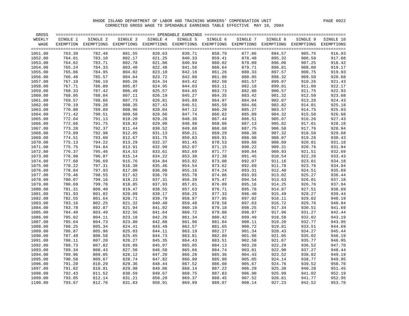| GROSS   |          |                                                                                                              |          |          |          |          |          |          |          |           |
|---------|----------|--------------------------------------------------------------------------------------------------------------|----------|----------|----------|----------|----------|----------|----------|-----------|
| WEEKLY  | SINGLE 1 | SINGLE 2                                                                                                     | SINGLE 3 | SINGLE 4 | SINGLE 5 | SINGLE 6 | SINGLE 7 | SINGLE 8 | SINGLE 9 | SINGLE 10 |
| WAGE    |          | EXEMPTION EXEMPTIONS EXEMPTIONS EXEMPTIONS EXEMPTIONS EXEMPTIONS EXEMPTIONS EXEMPTIONS EXEMPTIONS EXEMPTIONS |          |          |          |          |          |          |          |           |
|         |          |                                                                                                              |          |          |          |          |          |          |          | $====$    |
| 1051.00 | 763.39   | 782.48                                                                                                       | 801.55   | 820.63   | 839.71   | 858.79   | 877.86   | 894.57   | 905.75   | 916.93    |
| 1052.00 | 764.01   | 783.10                                                                                                       | 802.17   | 821.25   | 840.33   | 859.41   | 878.48   | 895.32   | 906.50   | 917.68    |
| 1053.00 | 764.62   | 783.71                                                                                                       | 802.78   | 821.86   | 840.94   | 860.02   | 879.09   | 896.06   | 907.25   | 918.42    |
| 1054.00 | 765.24   | 784.33                                                                                                       | 803.40   | 822.48   | 841.56   | 860.64   | 879.71   | 896.81   | 908.00   | 919.17    |
| 1055.00 | 765.86   | 784.95                                                                                                       | 804.02   | 823.10   | 842.18   | 861.26   | 880.33   | 897.57   | 908.75   | 919.93    |
| 1056.00 | 766.48   | 785.57                                                                                                       | 804.64   | 823.72   | 842.80   | 861.88   | 880.95   | 898.32   | 909.50   | 920.68    |
| 1057.00 | 767.10   | 786.19                                                                                                       | 805.26   | 824.34   | 843.42   | 862.50   | 881.57   | 899.07   | 910.26   | 921.43    |
| 1058.00 | 767.71   | 786.80                                                                                                       | 805.87   | 824.95   | 844.03   | 863.11   | 882.18   | 899.81   | 911.00   | 922.17    |
| 1059.00 | 768.33   | 787.42                                                                                                       | 806.49   | 825.57   | 844.65   | 863.73   | 882.80   | 900.57   | 911.75   | 922.93    |
| 1060.00 | 768.95   | 788.04                                                                                                       | 807.11   | 826.19   | 845.27   | 864.35   | 883.42   | 901.32   | 912.50   | 923.68    |
| 1061.00 | 769.57   | 788.66                                                                                                       | 807.73   | 826.81   | 845.89   | 864.97   | 884.04   | 902.07   | 913.26   | 924.43    |
| 1062.00 | 770.19   | 789.28                                                                                                       | 808.35   | 827.43   | 846.51   | 865.59   | 884.66   | 902.82   | 914.01   | 925.18    |
| 1063.00 | 770.80   | 789.89                                                                                                       | 808.96   | 828.04   | 847.12   | 866.20   | 885.27   | 903.57   | 914.75   | 925.93    |
| 1064.00 | 771.42   | 790.51                                                                                                       | 809.58   | 828.66   | 847.74   | 866.82   | 885.89   | 904.32   | 915.50   | 926.68    |
| 1065.00 | 772.04   | 791.13                                                                                                       | 810.20   | 829.28   | 848.36   | 867.44   | 886.51   | 905.07   | 916.26   | 927.43    |
| 1066.00 | 772.66   | 791.75                                                                                                       | 810.82   | 829.90   | 848.98   | 868.06   | 887.13   | 905.82   | 917.01   | 928.18    |
| 1067.00 | 773.28   | 792.37                                                                                                       | 811.44   | 830.52   | 849.60   | 868.68   | 887.75   | 906.58   | 917.76   | 928.94    |
| 1068.00 | 773.89   | 792.98                                                                                                       | 812.05   | 831.13   | 850.21   | 869.29   | 888.36   | 907.32   | 918.50   | 929.68    |
| 1069.00 | 774.51   | 793.60                                                                                                       | 812.67   | 831.75   | 850.83   | 869.91   | 888.98   | 908.07   | 919.26   | 930.43    |
| 1070.00 | 775.13   | 794.22                                                                                                       | 813.29   | 832.37   | 851.45   | 870.53   | 889.60   | 908.69   | 920.01   | 931.18    |
| 1071.00 | 775.75   | 794.84                                                                                                       | 813.91   | 832.99   | 852.07   | 871.15   | 890.22   | 909.31   | 920.76   | 931.94    |
| 1072.00 | 776.37   | 795.46                                                                                                       | 814.53   | 833.61   | 852.69   | 871.77   | 890.84   | 909.93   | 921.51   | 932.69    |
| 1073.00 | 776.98   | 796.07                                                                                                       | 815.14   | 834.22   | 853.30   | 872.38   | 891.45   | 910.54   | 922.26   | 933.43    |
| 1074.00 | 777.60   | 796.69                                                                                                       | 815.76   | 834.84   | 853.92   | 873.00   | 892.07   | 911.16   | 923.01   | 934.18    |
| 1075.00 | 778.22   | 797.31                                                                                                       | 816.38   | 835.46   | 854.54   | 873.62   | 892.69   | 911.78   | 923.76   | 934.94    |
| 1076.00 | 778.84   | 797.93                                                                                                       | 817.00   | 836.08   | 855.16   | 874.24   | 893.31   | 912.40   | 924.51   | 935.69    |
| 1077.00 | 779.46   | 798.55                                                                                                       | 817.62   | 836.70   | 855.78   | 874.86   | 893.93   | 913.02   | 925.27   | 936.44    |
| 1078.00 | 780.07   | 799.16                                                                                                       | 818.23   | 837.31   | 856.39   | 875.47   | 894.54   | 913.63   | 926.01   | 937.18    |
| 1079.00 | 780.69   | 799.78                                                                                                       | 818.85   | 837.93   | 857.01   | 876.09   | 895.16   | 914.25   | 926.76   | 937.94    |
| 1080.00 | 781.31   | 800.40                                                                                                       | 819.47   | 838.55   | 857.63   | 876.71   | 895.78   | 914.87   | 927.51   | 938.69    |
| 1081.00 | 781.93   | 801.02                                                                                                       | 820.09   | 839.17   | 858.25   | 877.33   | 896.40   | 915.49   | 928.27   | 939.44    |
| 1082.00 | 782.55   | 801.64                                                                                                       | 820.71   | 839.79   | 858.87   | 877.95   | 897.02   | 916.11   | 929.02   | 940.19    |
| 1083.00 | 783.16   | 802.25                                                                                                       | 821.32   | 840.40   | 859.48   | 878.56   | 897.63   | 916.72   | 929.76   | 940.94    |
| 1084.00 | 783.78   | 802.87                                                                                                       | 821.94   | 841.02   | 860.10   | 879.18   | 898.25   | 917.34   | 930.51   | 941.69    |
| 1085.00 | 784.40   | 803.49                                                                                                       | 822.56   | 841.64   | 860.72   | 879.80   | 898.87   | 917.96   | 931.27   | 942.44    |
| 1086.00 | 785.02   | 804.11                                                                                                       | 823.18   | 842.26   | 861.34   | 880.42   | 899.49   | 918.58   | 932.02   | 943.19    |
| 1087.00 | 785.64   | 804.73                                                                                                       | 823.80   | 842.88   | 861.96   | 881.04   | 900.11   | 919.20   | 932.77   | 943.95    |
| 1088.00 | 786.25   | 805.34                                                                                                       | 824.41   | 843.49   | 862.57   | 881.65   | 900.72   | 919.81   | 933.51   | 944.69    |
| 1089.00 | 786.87   | 805.96                                                                                                       | 825.03   | 844.11   | 863.19   | 882.27   | 901.34   | 920.43   | 934.27   | 945.44    |
| 1090.00 | 787.49   | 806.58                                                                                                       | 825.65   | 844.73   | 863.81   | 882.89   | 901.96   | 921.05   | 935.02   | 946.19    |
| 1091.00 | 788.11   | 807.20                                                                                                       | 826.27   | 845.35   | 864.43   | 883.51   | 902.58   | 921.67   | 935.77   | 946.95    |
| 1092.00 | 788.73   | 807.82                                                                                                       | 826.89   | 845.97   | 865.05   | 884.13   | 903.20   | 922.29   | 936.52   | 947.70    |
| 1093.00 | 789.34   | 808.43                                                                                                       | 827.50   | 846.58   | 865.66   | 884.74   | 903.81   | 922.90   | 937.27   | 948.44    |
| 1094.00 | 789.96   | 809.05                                                                                                       | 828.12   | 847.20   | 866.28   | 885.36   | 904.43   | 923.52   | 938.02   | 949.19    |
| 1095.00 | 790.58   | 809.67                                                                                                       | 828.74   | 847.82   | 866.90   | 885.98   | 905.05   | 924.14   | 938.77   | 949.95    |
| 1096.00 | 791.20   | 810.29                                                                                                       | 829.36   | 848.44   | 867.52   | 886.60   | 905.67   | 924.76   | 939.52   | 950.70    |
| 1097.00 | 791.82   | 810.91                                                                                                       | 829.98   | 849.06   | 868.14   | 887.22   | 906.29   | 925.38   | 940.28   | 951.45    |
| 1098.00 | 792.43   | 811.52                                                                                                       | 830.59   | 849.67   | 868.75   | 887.83   | 906.90   | 925.99   | 941.02   | 952.19    |
| 1099.00 | 793.05   | 812.14                                                                                                       | 831.21   | 850.29   | 869.37   | 888.45   | 907.52   | 926.61   | 941.77   | 952.95    |
| 1100.00 | 793.67   | 812.76                                                                                                       | 831.83   | 850.91   | 869.99   | 889.07   | 908.14   | 927.23   | 942.52   | 953.70    |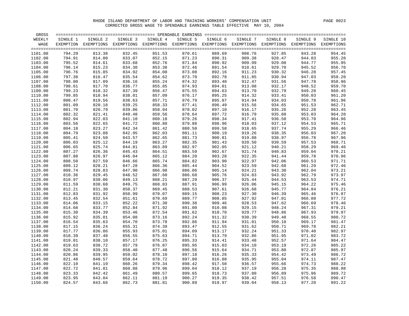| GROSS   |          |                                                                                                              |          |          |          |          |          |          |          |           |
|---------|----------|--------------------------------------------------------------------------------------------------------------|----------|----------|----------|----------|----------|----------|----------|-----------|
| WEEKLY  | SINGLE 1 | SINGLE 2                                                                                                     | SINGLE 3 | SINGLE 4 | SINGLE 5 | SINGLE 6 | SINGLE 7 | SINGLE 8 | SINGLE 9 | SINGLE 10 |
| WAGE    |          | EXEMPTION EXEMPTIONS EXEMPTIONS EXEMPTIONS EXEMPTIONS EXEMPTIONS EXEMPTIONS EXEMPTIONS EXEMPTIONS EXEMPTIONS |          |          |          |          |          |          |          |           |
|         |          |                                                                                                              |          |          |          |          |          |          |          |           |
| 1101.00 | 794.29   | 813.38                                                                                                       | 832.45   | 851.53   | 870.61   | 889.69   | 908.76   | 927.85   | 943.28   | 954.45    |
| 1102.00 | 794.91   | 814.00                                                                                                       | 833.07   | 852.15   | 871.23   | 890.31   | 909.38   | 928.47   | 944.03   | 955.20    |
| 1103.00 | 795.52   | 814.61                                                                                                       | 833.68   | 852.76   | 871.84   | 890.92   | 909.99   | 929.08   | 944.77   | 955.95    |
| 1104.00 | 796.14   | 815.23                                                                                                       | 834.30   | 853.38   | 872.46   | 891.54   | 910.61   | 929.70   | 945.52   | 956.70    |
| 1105.00 | 796.76   | 815.85                                                                                                       | 834.92   | 854.00   | 873.08   | 892.16   | 911.23   | 930.32   | 946.28   | 957.45    |
| 1106.00 | 797.38   | 816.47                                                                                                       | 835.54   | 854.62   | 873.70   | 892.78   | 911.85   | 930.94   | 947.03   | 958.20    |
| 1107.00 | 798.00   | 817.09                                                                                                       | 836.16   | 855.24   | 874.32   | 893.40   | 912.47   | 931.56   | 947.78   | 958.96    |
| 1108.00 | 798.61   | 817.70                                                                                                       | 836.77   | 855.85   | 874.93   | 894.01   | 913.08   | 932.17   | 948.52   | 959.70    |
| 1109.00 | 799.23   | 818.32                                                                                                       | 837.39   | 856.47   | 875.55   | 894.63   | 913.70   | 932.79   | 949.28   | 960.45    |
| 1110.00 | 799.85   | 818.94                                                                                                       | 838.01   | 857.09   | 876.17   | 895.25   | 914.32   | 933.41   | 950.03   | 961.20    |
| 1111.00 | 800.47   | 819.56                                                                                                       | 838.63   | 857.71   | 876.79   | 895.87   | 914.94   | 934.03   | 950.78   | 961.96    |
| 1112.00 | 801.09   | 820.18                                                                                                       | 839.25   | 858.33   | 877.41   | 896.49   | 915.56   | 934.65   | 951.53   | 962.71    |
| 1113.00 | 801.70   | 820.79                                                                                                       | 839.86   | 858.94   | 878.02   | 897.10   | 916.17   | 935.26   | 952.28   | 963.45    |
| 1114.00 | 802.32   | 821.41                                                                                                       | 840.48   | 859.56   | 878.64   | 897.72   | 916.79   | 935.88   | 953.03   | 964.20    |
| 1115.00 | 802.94   | 822.03                                                                                                       | 841.10   | 860.18   | 879.26   | 898.34   | 917.41   | 936.50   | 953.78   | 964.96    |
| 1116.00 | 803.56   | 822.65                                                                                                       | 841.72   | 860.80   | 879.88   | 898.96   | 918.03   | 937.12   | 954.53   | 965.71    |
| 1117.00 | 804.18   | 823.27                                                                                                       | 842.34   | 861.42   | 880.50   | 899.58   | 918.65   | 937.74   | 955.29   | 966.46    |
| 1118.00 | 804.79   | 823.88                                                                                                       | 842.95   | 862.03   | 881.11   | 900.19   | 919.26   | 938.35   | 956.03   | 967.20    |
| 1119.00 | 805.41   | 824.50                                                                                                       | 843.57   | 862.65   | 881.73   | 900.81   | 919.88   | 938.97   | 956.78   | 967.96    |
| 1120.00 | 806.03   | 825.12                                                                                                       | 844.19   | 863.27   | 882.35   | 901.43   | 920.50   | 939.59   | 957.53   | 968.71    |
| 1121.00 | 806.65   | 825.74                                                                                                       | 844.81   | 863.89   | 882.97   | 902.05   | 921.12   | 940.21   | 958.29   | 969.46    |
| 1122.00 | 807.27   | 826.36                                                                                                       | 845.43   | 864.51   | 883.59   | 902.67   | 921.74   | 940.83   | 959.04   | 970.21    |
| 1123.00 | 807.88   | 826.97                                                                                                       | 846.04   | 865.12   | 884.20   | 903.28   | 922.35   | 941.44   | 959.78   | 970.96    |
| 1124.00 | 808.50   | 827.59                                                                                                       | 846.66   | 865.74   | 884.82   | 903.90   | 922.97   | 942.06   | 960.53   | 971.71    |
| 1125.00 | 809.12   | 828.21                                                                                                       | 847.28   | 866.36   | 885.44   | 904.52   | 923.59   | 942.68   | 961.29   | 972.46    |
| 1126.00 | 809.74   | 828.83                                                                                                       | 847.90   | 866.98   | 886.06   | 905.14   | 924.21   | 943.30   | 962.04   | 973.21    |
| 1127.00 | 810.36   | 829.45                                                                                                       | 848.52   | 867.60   | 886.68   | 905.76   | 924.83   | 943.92   | 962.79   | 973.97    |
| 1128.00 | 810.97   | 830.06                                                                                                       | 849.13   | 868.21   | 887.29   | 906.37   | 925.44   | 944.53   | 963.53   | 974.71    |
| 1129.00 | 811.59   | 830.68                                                                                                       | 849.75   | 868.83   | 887.91   | 906.99   | 926.06   | 945.15   | 964.22   | 975.46    |
| 1130.00 | 812.21   | 831.30                                                                                                       | 850.37   | 869.45   | 888.53   | 907.61   | 926.68   | 945.77   | 964.84   | 976.21    |
| 1131.00 | 812.83   | 831.92                                                                                                       | 850.99   | 870.07   | 889.15   | 908.23   | 927.30   | 946.39   | 965.46   | 976.97    |
| 1132.00 | 813.45   | 832.54                                                                                                       | 851.61   | 870.69   | 889.77   | 908.85   | 927.92   | 947.01   | 966.08   | 977.72    |
| 1133.00 | 814.06   | 833.15                                                                                                       | 852.22   | 871.30   | 890.38   | 909.46   | 928.53   | 947.62   | 966.69   | 978.46    |
| 1134.00 | 814.68   | 833.77                                                                                                       | 852.84   | 871.92   | 891.00   | 910.08   | 929.15   | 948.24   | 967.31   | 979.21    |
| 1135.00 | 815.30   | 834.39                                                                                                       | 853.46   | 872.54   | 891.62   | 910.70   | 929.77   | 948.86   | 967.93   | 979.97    |
| 1136.00 | 815.92   | 835.01                                                                                                       | 854.08   | 873.16   | 892.24   | 911.32   | 930.39   | 949.48   | 968.55   | 980.72    |
| 1137.00 | 816.54   | 835.63                                                                                                       | 854.70   | 873.78   | 892.86   | 911.94   | 931.01   | 950.10   | 969.17   | 981.47    |
| 1138.00 | 817.15   | 836.24                                                                                                       | 855.31   | 874.39   | 893.47   | 912.55   | 931.62   | 950.71   | 969.78   | 982.21    |
| 1139.00 | 817.77   | 836.86                                                                                                       | 855.93   | 875.01   | 894.09   | 913.17   | 932.24   | 951.33   | 970.40   | 982.97    |
| 1140.00 | 818.39   | 837.48                                                                                                       | 856.55   | 875.63   | 894.71   | 913.79   | 932.86   | 951.95   | 971.02   | 983.72    |
| 1141.00 | 819.01   | 838.10                                                                                                       | 857.17   | 876.25   | 895.33   | 914.41   | 933.48   | 952.57   | 971.64   | 984.47    |
| 1142.00 | 819.63   | 838.72                                                                                                       | 857.79   | 876.87   | 895.95   | 915.03   | 934.10   | 953.19   | 972.26   | 985.22    |
| 1143.00 | 820.24   | 839.33                                                                                                       | 858.40   | 877.48   | 896.56   | 915.64   | 934.71   | 953.80   | 972.87   | 985.97    |
| 1144.00 | 820.86   | 839.95                                                                                                       | 859.02   | 878.10   | 897.18   | 916.26   | 935.33   | 954.42   | 973.49   | 986.72    |
| 1145.00 | 821.48   | 840.57                                                                                                       | 859.64   | 878.72   | 897.80   | 916.88   | 935.95   | 955.04   | 974.11   | 987.47    |
| 1146.00 | 822.10   | 841.19                                                                                                       | 860.26   | 879.34   | 898.42   | 917.50   | 936.57   | 955.66   | 974.73   | 988.22    |
| 1147.00 | 822.72   | 841.81                                                                                                       | 860.88   | 879.96   | 899.04   | 918.12   | 937.19   | 956.28   | 975.35   | 988.98    |
| 1148.00 | 823.33   | 842.42                                                                                                       | 861.49   | 880.57   | 899.65   | 918.73   | 937.80   | 956.89   | 975.96   | 989.72    |
| 1149.00 | 823.95   | 843.04                                                                                                       | 862.11   | 881.19   | 900.27   | 919.35   | 938.42   | 957.51   | 976.58   | 990.47    |
| 1150.00 | 824.57   | 843.66                                                                                                       | 862.73   | 881.81   | 900.89   | 919.97   | 939.04   | 958.13   | 977.20   | 991.22    |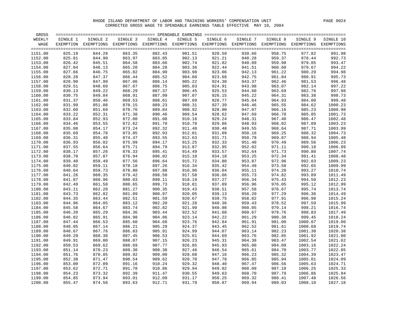| GROSS   |          |                                                                                                              |          |          |          |          |          |          |          |                 |
|---------|----------|--------------------------------------------------------------------------------------------------------------|----------|----------|----------|----------|----------|----------|----------|-----------------|
| WEEKLY  | SINGLE 1 | SINGLE 2                                                                                                     | SINGLE 3 | SINGLE 4 | SINGLE 5 | SINGLE 6 | SINGLE 7 | SINGLE 8 | SINGLE 9 | SINGLE 10       |
| WAGE    |          | EXEMPTION EXEMPTIONS EXEMPTIONS EXEMPTIONS EXEMPTIONS EXEMPTIONS EXEMPTIONS EXEMPTIONS EXEMPTIONS EXEMPTIONS |          |          |          |          |          |          |          |                 |
|         |          |                                                                                                              |          |          |          |          |          |          |          | $=$ $=$ $=$ $=$ |
| 1151.00 | 825.19   | 844.28                                                                                                       | 863.35   | 882.43   | 901.51   | 920.59   | 939.66   | 958.75   | 977.82   | 991.98          |
| 1152.00 | 825.81   | 844.90                                                                                                       | 863.97   | 883.05   | 902.13   | 921.21   | 940.28   | 959.37   | 978.44   | 992.73          |
| 1153.00 | 826.42   | 845.51                                                                                                       | 864.58   | 883.66   | 902.74   | 921.82   | 940.89   | 959.98   | 979.05   | 993.47          |
| 1154.00 | 827.04   | 846.13                                                                                                       | 865.20   | 884.28   | 903.36   | 922.44   | 941.51   | 960.60   | 979.67   | 994.22          |
| 1155.00 | 827.66   | 846.75                                                                                                       | 865.82   | 884.90   | 903.98   | 923.06   | 942.13   | 961.22   | 980.29   | 994.98          |
| 1156.00 | 828.28   | 847.37                                                                                                       | 866.44   | 885.52   | 904.60   | 923.68   | 942.75   | 961.84   | 980.91   | 995.73          |
| 1157.00 | 828.90   | 847.99                                                                                                       | 867.06   | 886.14   | 905.22   | 924.30   | 943.37   | 962.46   | 981.53   | 996.48          |
| 1158.00 | 829.51   | 848.60                                                                                                       | 867.67   | 886.75   | 905.83   | 924.91   | 943.98   | 963.07   | 982.14   | 997.22          |
| 1159.00 | 830.13   | 849.22                                                                                                       | 868.29   | 887.37   | 906.45   | 925.53   | 944.60   | 963.69   | 982.76   | 997.98          |
| 1160.00 | 830.75   | 849.84                                                                                                       | 868.91   | 887.99   | 907.07   | 926.15   | 945.22   | 964.31   | 983.38   | 998.73          |
| 1161.00 | 831.37   | 850.46                                                                                                       | 869.53   | 888.61   | 907.69   | 926.77   | 945.84   | 964.93   | 984.00   | 999.48          |
| 1162.00 | 831.99   | 851.08                                                                                                       | 870.15   | 889.23   | 908.31   | 927.39   | 946.46   | 965.55   | 984.62   | 1000.23         |
| 1163.00 | 832.60   | 851.69                                                                                                       | 870.76   | 889.84   | 908.92   | 928.00   | 947.07   | 966.16   | 985.23   | 1000.98         |
| 1164.00 | 833.22   | 852.31                                                                                                       | 871.38   | 890.46   | 909.54   | 928.62   | 947.69   | 966.78   | 985.85   | 1001.73         |
| 1165.00 | 833.84   | 852.93                                                                                                       | 872.00   | 891.08   | 910.16   | 929.24   | 948.31   | 967.40   | 986.47   | 1002.48         |
| 1166.00 | 834.46   | 853.55                                                                                                       | 872.62   | 891.70   | 910.78   | 929.86   | 948.93   | 968.02   | 987.09   | 1003.23         |
| 1167.00 | 835.08   | 854.17                                                                                                       | 873.24   | 892.32   | 911.40   | 930.48   | 949.55   | 968.64   | 987.71   | 1003.99         |
| 1168.00 | 835.69   | 854.78                                                                                                       | 873.85   | 892.93   | 912.01   | 931.09   | 950.16   | 969.25   | 988.32   | 1004.73         |
| 1169.00 | 836.31   | 855.40                                                                                                       | 874.47   | 893.55   | 912.63   | 931.71   | 950.78   | 969.87   | 988.94   | 1005.48         |
| 1170.00 | 836.93   | 856.02                                                                                                       | 875.09   | 894.17   | 913.25   | 932.33   | 951.40   | 970.49   | 989.56   | 1006.23         |
| 1171.00 | 837.55   | 856.64                                                                                                       | 875.71   | 894.79   | 913.87   | 932.95   | 952.02   | 971.11   | 990.18   | 1006.99         |
| 1172.00 | 838.17   | 857.26                                                                                                       | 876.33   | 895.41   | 914.49   | 933.57   | 952.64   | 971.73   | 990.80   | 1007.74         |
| 1173.00 | 838.78   | 857.87                                                                                                       | 876.94   | 896.02   | 915.10   | 934.18   | 953.25   | 972.34   | 991.41   | 1008.48         |
| 1174.00 | 839.40   | 858.49                                                                                                       | 877.56   | 896.64   | 915.72   | 934.80   | 953.87   | 972.96   | 992.03   | 1009.23         |
| 1175.00 | 840.02   | 859.11                                                                                                       | 878.18   | 897.26   | 916.34   | 935.42   | 954.49   | 973.58   | 992.65   | 1009.99         |
| 1176.00 | 840.64   | 859.73                                                                                                       | 878.80   | 897.88   | 916.96   | 936.04   | 955.11   | 974.20   | 993.27   | 1010.74         |
| 1177.00 | 841.26   | 860.35                                                                                                       | 879.42   | 898.50   | 917.58   | 936.66   | 955.73   | 974.82   | 993.89   | 1011.49         |
| 1178.00 | 841.87   | 860.96                                                                                                       | 880.03   | 899.11   | 918.19   | 937.27   | 956.34   | 975.43   | 994.50   | 1012.23         |
| 1179.00 | 842.49   | 861.58                                                                                                       | 880.65   | 899.73   | 918.81   | 937.89   | 956.96   | 976.05   | 995.12   | 1012.99         |
| 1180.00 | 843.11   | 862.20                                                                                                       | 881.27   | 900.35   | 919.43   | 938.51   | 957.58   | 976.67   | 995.74   | 1013.74         |
| 1181.00 | 843.73   | 862.82                                                                                                       | 881.89   | 900.97   | 920.05   | 939.13   | 958.20   | 977.29   | 996.36   | 1014.49         |
| 1182.00 | 844.35   | 863.44                                                                                                       | 882.51   | 901.59   | 920.67   | 939.75   | 958.82   | 977.91   | 996.98   | 1015.24         |
| 1183.00 | 844.96   | 864.05                                                                                                       | 883.12   | 902.20   | 921.28   | 940.36   | 959.43   | 978.52   | 997.59   | 1015.99         |
| 1184.00 | 845.58   | 864.67                                                                                                       | 883.74   | 902.82   | 921.90   | 940.98   | 960.05   | 979.14   | 998.21   | 1016.74         |
| 1185.00 | 846.20   | 865.29                                                                                                       | 884.36   | 903.44   | 922.52   | 941.60   | 960.67   | 979.76   | 998.83   | 1017.49         |
| 1186.00 | 846.82   | 865.91                                                                                                       | 884.98   | 904.06   | 923.14   | 942.22   | 961.29   | 980.38   | 999.45   | 1018.24         |
| 1187.00 | 847.44   | 866.53                                                                                                       | 885.60   | 904.68   | 923.76   | 942.84   | 961.91   | 981.00   | 1000.07  | 1019.00         |
| 1188.00 | 848.05   | 867.14                                                                                                       | 886.21   | 905.29   | 924.37   | 943.45   | 962.52   | 981.61   | 1000.68  | 1019.74         |
| 1189.00 | 848.67   | 867.76                                                                                                       | 886.83   | 905.91   | 924.99   | 944.07   | 963.14   | 982.23   | 1001.30  | 1020.38         |
| 1190.00 | 849.29   | 868.38                                                                                                       | 887.45   | 906.53   | 925.61   | 944.69   | 963.76   | 982.85   | 1001.92  | 1021.00         |
| 1191.00 | 849.91   | 869.00                                                                                                       | 888.07   | 907.15   | 926.23   | 945.31   | 964.38   | 983.47   | 1002.54  | 1021.62         |
| 1192.00 | 850.53   | 869.62                                                                                                       | 888.69   | 907.77   | 926.85   | 945.93   | 965.00   | 984.09   | 1003.16  | 1022.24         |
| 1193.00 | 851.14   | 870.23                                                                                                       | 889.30   | 908.38   | 927.46   | 946.54   | 965.61   | 984.70   | 1003.77  | 1022.85         |
| 1194.00 | 851.76   | 870.85                                                                                                       | 889.92   | 909.00   | 928.08   | 947.16   | 966.23   | 985.32   | 1004.39  | 1023.47         |
| 1195.00 | 852.38   | 871.47                                                                                                       | 890.54   | 909.62   | 928.70   | 947.78   | 966.85   | 985.94   | 1005.01  | 1024.09         |
| 1196.00 | 853.00   | 872.09                                                                                                       | 891.16   | 910.24   | 929.32   | 948.40   | 967.47   | 986.56   | 1005.63  | 1024.71         |
| 1197.00 | 853.62   | 872.71                                                                                                       | 891.78   | 910.86   | 929.94   | 949.02   | 968.09   | 987.18   | 1006.25  | 1025.33         |
| 1198.00 | 854.23   | 873.32                                                                                                       | 892.39   | 911.47   | 930.55   | 949.63   | 968.70   | 987.79   | 1006.86  | 1025.94         |
| 1199.00 | 854.85   | 873.94                                                                                                       | 893.01   | 912.09   | 931.17   | 950.25   | 969.32   | 988.41   | 1007.48  | 1026.56         |
| 1200.00 | 855.47   | 874.56                                                                                                       | 893.63   | 912.71   | 931.79   | 950.87   | 969.94   | 989.03   | 1008.10  | 1027.18         |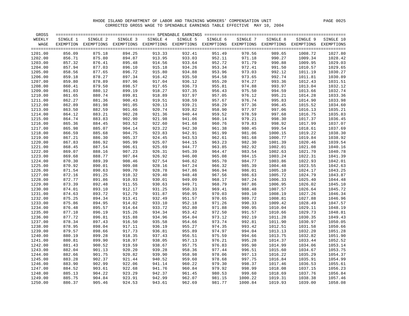| GROSS   |          |                                                                                                              |          |          |          |          |          |          |          |           |
|---------|----------|--------------------------------------------------------------------------------------------------------------|----------|----------|----------|----------|----------|----------|----------|-----------|
| WEEKLY  | SINGLE 1 | SINGLE 2                                                                                                     | SINGLE 3 | SINGLE 4 | SINGLE 5 | SINGLE 6 | SINGLE 7 | SINGLE 8 | SINGLE 9 | SINGLE 10 |
| WAGE    |          | EXEMPTION EXEMPTIONS EXEMPTIONS EXEMPTIONS EXEMPTIONS EXEMPTIONS EXEMPTIONS EXEMPTIONS EXEMPTIONS EXEMPTIONS |          |          |          |          |          |          |          |           |
|         |          |                                                                                                              |          |          |          |          |          |          |          |           |
| 1201.00 | 856.09   | 875.18                                                                                                       | 894.25   | 913.33   | 932.41   | 951.49   | 970.56   | 989.65   | 1008.72  | 1027.80   |
| 1202.00 | 856.71   | 875.80                                                                                                       | 894.87   | 913.95   | 933.03   | 952.11   | 971.18   | 990.27   | 1009.34  | 1028.42   |
| 1203.00 | 857.32   | 876.41                                                                                                       | 895.48   | 914.56   | 933.64   | 952.72   | 971.79   | 990.88   | 1009.95  | 1029.03   |
| 1204.00 | 857.94   | 877.03                                                                                                       | 896.10   | 915.18   | 934.26   | 953.34   | 972.41   | 991.50   | 1010.57  | 1029.65   |
| 1205.00 | 858.56   | 877.65                                                                                                       | 896.72   | 915.80   | 934.88   | 953.96   | 973.03   | 992.12   | 1011.19  | 1030.27   |
| 1206.00 | 859.18   | 878.27                                                                                                       | 897.34   | 916.42   | 935.50   | 954.58   | 973.65   | 992.74   | 1011.81  | 1030.89   |
| 1207.00 | 859.80   | 878.89                                                                                                       | 897.96   | 917.04   | 936.12   | 955.20   | 974.27   | 993.36   | 1012.43  | 1031.51   |
| 1208.00 | 860.41   | 879.50                                                                                                       | 898.57   | 917.65   | 936.73   | 955.81   | 974.88   | 993.97   | 1013.04  | 1032.12   |
| 1209.00 | 861.03   | 880.12                                                                                                       | 899.19   | 918.27   | 937.35   | 956.43   | 975.50   | 994.59   | 1013.66  | 1032.74   |
| 1210.00 | 861.65   | 880.74                                                                                                       | 899.81   | 918.89   | 937.97   | 957.05   | 976.12   | 995.21   | 1014.28  | 1033.36   |
| 1211.00 | 862.27   | 881.36                                                                                                       | 900.43   | 919.51   | 938.59   | 957.67   | 976.74   | 995.83   | 1014.90  | 1033.98   |
| 1212.00 | 862.89   | 881.98                                                                                                       | 901.05   | 920.13   | 939.21   | 958.29   | 977.36   | 996.45   | 1015.52  | 1034.60   |
| 1213.00 | 863.50   | 882.59                                                                                                       | 901.66   | 920.74   | 939.82   | 958.90   | 977.97   | 997.06   | 1016.13  | 1035.21   |
| 1214.00 | 864.12   | 883.21                                                                                                       | 902.28   | 921.36   | 940.44   | 959.52   | 978.59   | 997.68   | 1016.75  | 1035.83   |
| 1215.00 | 864.74   | 883.83                                                                                                       | 902.90   | 921.98   | 941.06   | 960.14   | 979.21   | 998.30   | 1017.37  | 1036.45   |
| 1216.00 | 865.36   | 884.45                                                                                                       | 903.52   | 922.60   | 941.68   | 960.76   | 979.83   | 998.92   | 1017.99  | 1037.07   |
| 1217.00 | 865.98   | 885.07                                                                                                       | 904.14   | 923.22   | 942.30   | 961.38   | 980.45   | 999.54   | 1018.61  | 1037.69   |
| 1218.00 | 866.59   | 885.68                                                                                                       | 904.75   | 923.83   | 942.91   | 961.99   | 981.06   | 1000.15  | 1019.22  | 1038.30   |
| 1219.00 | 867.21   | 886.30                                                                                                       | 905.37   | 924.45   | 943.53   | 962.61   | 981.68   | 1000.77  | 1019.84  | 1038.92   |
| 1220.00 | 867.83   | 886.92                                                                                                       | 905.99   | 925.07   | 944.15   | 963.23   | 982.30   | 1001.39  | 1020.46  | 1039.54   |
| 1221.00 | 868.45   | 887.54                                                                                                       | 906.61   | 925.69   | 944.77   | 963.85   | 982.92   | 1002.01  | 1021.08  | 1040.16   |
| 1222.00 | 869.07   | 888.16                                                                                                       | 907.23   | 926.31   | 945.39   | 964.47   | 983.54   | 1002.63  | 1021.70  | 1040.78   |
| 1223.00 | 869.68   | 888.77                                                                                                       | 907.84   | 926.92   | 946.00   | 965.08   | 984.15   | 1003.24  | 1022.31  | 1041.39   |
| 1224.00 | 870.30   | 889.39                                                                                                       | 908.46   | 927.54   | 946.62   | 965.70   | 984.77   | 1003.86  | 1022.93  | 1042.01   |
| 1225.00 | 870.92   | 890.01                                                                                                       | 909.08   | 928.16   | 947.24   | 966.32   | 985.39   | 1004.48  | 1023.55  | 1042.63   |
| 1226.00 | 871.54   | 890.63                                                                                                       | 909.70   | 928.78   | 947.86   | 966.94   | 986.01   | 1005.10  | 1024.17  | 1043.25   |
| 1227.00 | 872.16   | 891.25                                                                                                       | 910.32   | 929.40   | 948.48   | 967.56   | 986.63   | 1005.72  | 1024.79  | 1043.87   |
| 1228.00 | 872.77   | 891.86                                                                                                       | 910.93   | 930.01   | 949.09   | 968.17   | 987.24   | 1006.33  | 1025.40  | 1044.48   |
| 1229.00 | 873.39   | 892.48                                                                                                       | 911.55   | 930.63   | 949.71   | 968.79   | 987.86   | 1006.95  | 1026.02  | 1045.10   |
| 1230.00 | 874.01   | 893.10                                                                                                       | 912.17   | 931.25   | 950.33   | 969.41   | 988.48   | 1007.57  | 1026.64  | 1045.72   |
| 1231.00 | 874.63   | 893.72                                                                                                       | 912.79   | 931.87   | 950.95   | 970.03   | 989.10   | 1008.19  | 1027.26  | 1046.34   |
| 1232.00 | 875.25   | 894.34                                                                                                       | 913.41   | 932.49   | 951.57   | 970.65   | 989.72   | 1008.81  | 1027.88  | 1046.96   |
| 1233.00 | 875.86   | 894.95                                                                                                       | 914.02   | 933.10   | 952.18   | 971.26   | 990.33   | 1009.42  | 1028.49  | 1047.57   |
| 1234.00 | 876.48   | 895.57                                                                                                       | 914.64   | 933.72   | 952.80   | 971.88   | 990.95   | 1010.04  | 1029.11  | 1048.19   |
| 1235.00 | 877.10   | 896.19                                                                                                       | 915.26   | 934.34   | 953.42   | 972.50   | 991.57   | 1010.66  | 1029.73  | 1048.81   |
| 1236.00 | 877.72   | 896.81                                                                                                       | 915.88   | 934.96   | 954.04   | 973.12   | 992.19   | 1011.28  | 1030.35  | 1049.43   |
| 1237.00 | 878.34   | 897.43                                                                                                       | 916.50   | 935.58   | 954.66   | 973.74   | 992.81   | 1011.90  | 1030.97  | 1050.05   |
| 1238.00 | 878.95   | 898.04                                                                                                       | 917.11   | 936.19   | 955.27   | 974.35   | 993.42   | 1012.51  | 1031.58  | 1050.66   |
| 1239.00 | 879.57   | 898.66                                                                                                       | 917.73   | 936.81   | 955.89   | 974.97   | 994.04   | 1013.13  | 1032.20  | 1051.28   |
| 1240.00 | 880.19   | 899.28                                                                                                       | 918.35   | 937.43   | 956.51   | 975.59   | 994.66   | 1013.75  | 1032.82  | 1051.90   |
| 1241.00 | 880.81   | 899.90                                                                                                       | 918.97   | 938.05   | 957.13   | 976.21   | 995.28   | 1014.37  | 1033.44  | 1052.52   |
| 1242.00 | 881.43   | 900.52                                                                                                       | 919.59   | 938.67   | 957.75   | 976.83   | 995.90   | 1014.99  | 1034.06  | 1053.14   |
| 1243.00 | 882.04   | 901.13                                                                                                       | 920.20   | 939.28   | 958.36   | 977.44   | 996.51   | 1015.60  | 1034.67  | 1053.75   |
| 1244.00 | 882.66   | 901.75                                                                                                       | 920.82   | 939.90   | 958.98   | 978.06   | 997.13   | 1016.22  | 1035.29  | 1054.37   |
| 1245.00 | 883.28   | 902.37                                                                                                       | 921.44   | 940.52   | 959.60   | 978.68   | 997.75   | 1016.84  | 1035.91  | 1054.99   |
| 1246.00 | 883.90   | 902.99                                                                                                       | 922.06   | 941.14   | 960.22   | 979.30   | 998.37   | 1017.46  | 1036.53  | 1055.61   |
| 1247.00 | 884.52   | 903.61                                                                                                       | 922.68   | 941.76   | 960.84   | 979.92   | 998.99   | 1018.08  | 1037.15  | 1056.23   |
| 1248.00 | 885.13   | 904.22                                                                                                       | 923.29   | 942.37   | 961.45   | 980.53   | 999.60   | 1018.69  | 1037.76  | 1056.84   |
| 1249.00 | 885.75   | 904.84                                                                                                       | 923.91   | 942.99   | 962.07   | 981.15   | 1000.22  | 1019.31  | 1038.38  | 1057.46   |
| 1250.00 | 886.37   | 905.46                                                                                                       | 924.53   | 943.61   | 962.69   | 981.77   | 1000.84  | 1019.93  | 1039.00  | 1058.08   |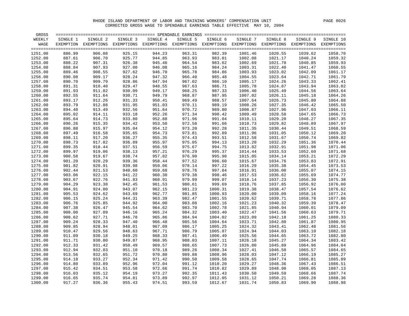| GROSS   |          |                                                                                                              |          |          |          |          |                 |          |          |           |
|---------|----------|--------------------------------------------------------------------------------------------------------------|----------|----------|----------|----------|-----------------|----------|----------|-----------|
| WEEKLY  | SINGLE 1 | SINGLE 2                                                                                                     | SINGLE 3 | SINGLE 4 | SINGLE 5 | SINGLE 6 | SINGLE 7        | SINGLE 8 | SINGLE 9 | SINGLE 10 |
| WAGE    |          | EXEMPTION EXEMPTIONS EXEMPTIONS EXEMPTIONS EXEMPTIONS EXEMPTIONS EXEMPTIONS EXEMPTIONS EXEMPTIONS EXEMPTIONS |          |          |          |          |                 |          |          |           |
|         |          |                                                                                                              |          |          |          |          |                 |          |          |           |
| 1251.00 | 886.99   | 906.08                                                                                                       | 925.15   | 944.23   | 963.31   | 982.39   | 1001.46         | 1020.55  | 1039.62  | 1058.70   |
| 1252.00 | 887.61   | 906.70                                                                                                       | 925.77   | 944.85   | 963.93   | 983.01   | 1002.08         | 1021.17  | 1040.24  | 1059.32   |
| 1253.00 | 888.22   | 907.31                                                                                                       | 926.38   | 945.46   | 964.54   | 983.62   | 1002.69         | 1021.78  | 1040.85  | 1059.93   |
| 1254.00 | 888.84   | 907.93                                                                                                       | 927.00   | 946.08   | 965.16   | 984.24   | 1003.31         | 1022.40  | 1041.47  | 1060.55   |
| 1255.00 | 889.46   | 908.55                                                                                                       | 927.62   | 946.70   | 965.78   | 984.86   | 1003.93         | 1023.02  | 1042.09  | 1061.17   |
| 1256.00 | 890.08   | 909.17                                                                                                       | 928.24   | 947.32   | 966.40   | 985.48   | 1004.55         | 1023.64  | 1042.71  | 1061.79   |
| 1257.00 | 890.70   | 909.79                                                                                                       | 928.86   | 947.94   | 967.02   | 986.10   | 1005.17         | 1024.26  | 1043.33  | 1062.41   |
| 1258.00 | 891.31   | 910.40                                                                                                       | 929.47   | 948.55   | 967.63   | 986.71   | 1005.78         | 1024.87  | 1043.94  | 1063.02   |
| 1259.00 | 891.93   | 911.02                                                                                                       | 930.09   | 949.17   | 968.25   | 987.33   | 1006.40         | 1025.49  | 1044.56  | 1063.64   |
| 1260.00 | 892.55   | 911.64                                                                                                       | 930.71   | 949.79   | 968.87   | 987.95   | 1007.02         | 1026.11  | 1045.18  | 1064.26   |
| 1261.00 | 893.17   | 912.26                                                                                                       | 931.33   | 950.41   | 969.49   | 988.57   | 1007.64         | 1026.73  | 1045.80  | 1064.88   |
| 1262.00 | 893.79   | 912.88                                                                                                       | 931.95   | 951.03   | 970.11   | 989.19   | 1008.26         | 1027.35  | 1046.42  | 1065.50   |
| 1263.00 | 894.40   | 913.49                                                                                                       | 932.56   | 951.64   | 970.72   | 989.80   | 1008.87         | 1027.96  | 1047.03  | 1066.11   |
| 1264.00 | 895.02   | 914.11                                                                                                       | 933.18   | 952.26   | 971.34   | 990.42   | 1009.49         | 1028.58  | 1047.65  | 1066.73   |
| 1265.00 | 895.64   | 914.73                                                                                                       | 933.80   | 952.88   | 971.96   | 991.04   | 1010.11         | 1029.20  | 1048.27  | 1067.35   |
| 1266.00 | 896.26   | 915.35                                                                                                       | 934.42   | 953.50   | 972.58   | 991.66   | 1010.73         | 1029.82  | 1048.89  | 1067.97   |
| 1267.00 | 896.88   | 915.97                                                                                                       | 935.04   | 954.12   | 973.20   | 992.28   | 1011.35         | 1030.44  | 1049.51  | 1068.59   |
| 1268.00 | 897.49   | 916.58                                                                                                       | 935.65   | 954.73   | 973.81   | 992.89   | 1011.96         | 1031.05  | 1050.12  | 1069.20   |
| 1269.00 | 898.11   | 917.20                                                                                                       | 936.27   | 955.35   | 974.43   | 993.51   | 1012.58         | 1031.67  | 1050.74  | 1069.82   |
| 1270.00 | 898.73   | 917.82                                                                                                       | 936.89   | 955.97   | 975.05   | 994.13   | 1013.20         | 1032.29  | 1051.36  | 1070.44   |
| 1271.00 | 899.35   | 918.44                                                                                                       | 937.51   | 956.59   | 975.67   | 994.75   | 1013.82         | 1032.91  | 1051.98  | 1071.06   |
| 1272.00 | 899.97   | 919.06                                                                                                       | 938.13   | 957.21   | 976.29   | 995.37   | 1014.44         | 1033.53  | 1052.60  | 1071.68   |
| 1273.00 | 900.58   | 919.67                                                                                                       | 938.74   | 957.82   | 976.90   | 995.98   | 1015.05         | 1034.14  | 1053.21  | 1072.29   |
| 1274.00 | 901.20   | 920.29                                                                                                       | 939.36   | 958.44   | 977.52   | 996.60   | 1015.67         | 1034.76  | 1053.83  | 1072.91   |
| 1275.00 | 901.82   | 920.91                                                                                                       | 939.98   | 959.06   | 978.14   | 997.22   | 1016.29         | 1035.38  | 1054.45  | 1073.53   |
| 1276.00 | 902.44   | 921.53                                                                                                       | 940.60   | 959.68   | 978.76   | 997.84   | 1016.91         | 1036.00  | 1055.07  | 1074.15   |
| 1277.00 | 903.06   | 922.15                                                                                                       | 941.22   | 960.30   | 979.38   | 998.46   | 1017.53         | 1036.62  | 1055.69  | 1074.77   |
| 1278.00 | 903.67   | 922.76                                                                                                       | 941.83   | 960.91   | 979.99   | 999.07   | 1018.14         | 1037.23  | 1056.30  | 1075.38   |
| 1279.00 | 904.29   | 923.38                                                                                                       | 942.45   | 961.53   | 980.61   | 999.69   | 1018.76         | 1037.85  | 1056.92  | 1076.00   |
| 1280.00 | 904.91   | 924.00                                                                                                       | 943.07   | 962.15   | 981.23   | 1000.31  | 1019.38         | 1038.47  | 1057.54  | 1076.62   |
| 1281.00 | 905.53   | 924.62                                                                                                       | 943.69   | 962.77   | 981.85   | 1000.93  | 1020.00         | 1039.09  | 1058.16  | 1077.24   |
| 1282.00 | 906.15   | 925.24                                                                                                       | 944.31   | 963.39   | 982.47   | 1001.55  | 1020.62         | 1039.71  | 1058.78  | 1077.86   |
| 1283.00 | 906.76   | 925.85                                                                                                       | 944.92   | 964.00   | 983.08   | 1002.16  | 1021.23         | 1040.32  | 1059.39  | 1078.47   |
| 1284.00 | 907.38   | 926.47                                                                                                       | 945.54   | 964.62   | 983.70   | 1002.78  | 1021.85         | 1040.94  | 1060.01  | 1079.09   |
| 1285.00 | 908.00   | 927.09                                                                                                       | 946.16   | 965.24   | 984.32   | 1003.40  | 1022.47         | 1041.56  | 1060.63  | 1079.71   |
| 1286.00 | 908.62   | 927.71                                                                                                       | 946.78   | 965.86   | 984.94   | 1004.02  | 1023.09         | 1042.18  | 1061.25  | 1080.33   |
| 1287.00 | 909.24   | 928.33                                                                                                       | 947.40   | 966.48   | 985.56   | 1004.64  | 1023.71         | 1042.80  | 1061.87  | 1080.95   |
| 1288.00 | 909.85   | 928.94                                                                                                       | 948.01   | 967.09   | 986.17   | 1005.25  | 1024.32         | 1043.41  | 1062.48  | 1081.56   |
| 1289.00 | 910.47   | 929.56                                                                                                       | 948.63   | 967.71   | 986.79   | 1005.87  | 1024.94         | 1044.03  | 1063.10  | 1082.18   |
| 1290.00 | 911.09   | 930.18                                                                                                       | 949.25   | 968.33   | 987.41   | 1006.49  | 1025.56         | 1044.65  | 1063.72  | 1082.80   |
| 1291.00 | 911.71   | 930.80                                                                                                       | 949.87   | 968.95   | 988.03   | 1007.11  | 1026.18         | 1045.27  | 1064.34  | 1083.42   |
| 1292.00 | 912.33   | 931.42                                                                                                       | 950.49   | 969.57   | 988.65   | 1007.73  | 1026.80         | 1045.89  | 1064.96  | 1084.04   |
| 1293.00 | 912.94   | 932.03                                                                                                       | 951.10   | 970.18   | 989.26   | 1008.34  | 1027.41         | 1046.50  | 1065.57  | 1084.65   |
| 1294.00 | 913.56   | 932.65                                                                                                       | 951.72   | 970.80   | 989.88   | 1008.96  | 1028.03         | 1047.12  | 1066.19  | 1085.27   |
| 1295.00 | 914.18   | 933.27                                                                                                       | 952.34   | 971.42   | 990.50   | 1009.58  | 1028.65         | 1047.74  | 1066.81  | 1085.89   |
| 1296.00 | 914.80   | 933.89                                                                                                       | 952.96   | 972.04   | 991.12   | 1010.20  | 1029.27         | 1048.36  | 1067.43  | 1086.51   |
| 1297.00 | 915.42   | 934.51                                                                                                       | 953.58   | 972.66   | 991.74   | 1010.82  | 1029.89         | 1048.98  | 1068.05  | 1087.13   |
| 1298.00 | 916.03   | 935.12                                                                                                       | 954.19   | 973.27   | 992.35   | 1011.43  | 1030.50         | 1049.59  | 1068.66  | 1087.74   |
| 1299.00 | 916.65   | 935.74                                                                                                       | 954.81   | 973.89   | 992.97   | 1012.05  | 1031.12         | 1050.21  | 1069.28  | 1088.36   |
| 1300.00 | 917.27   | 936.36                                                                                                       | 955.43   | 974.51   | 993.59   |          | 1012.67 1031.74 | 1050.83  | 1069.90  | 1088.98   |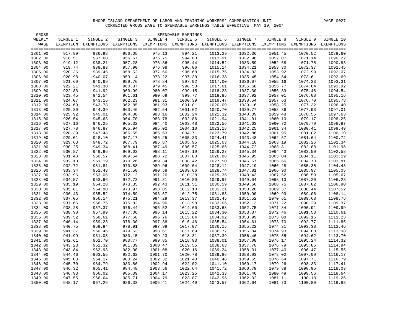| GROSS   |          |                                                                                                              |          |          |          |          |          |          |          |           |
|---------|----------|--------------------------------------------------------------------------------------------------------------|----------|----------|----------|----------|----------|----------|----------|-----------|
| WEEKLY  | SINGLE 1 | SINGLE 2                                                                                                     | SINGLE 3 | SINGLE 4 | SINGLE 5 | SINGLE 6 | SINGLE 7 | SINGLE 8 | SINGLE 9 | SINGLE 10 |
| WAGE    |          | EXEMPTION EXEMPTIONS EXEMPTIONS EXEMPTIONS EXEMPTIONS EXEMPTIONS EXEMPTIONS EXEMPTIONS EXEMPTIONS EXEMPTIONS |          |          |          |          |          |          |          |           |
|         |          |                                                                                                              |          |          |          |          |          |          |          |           |
| 1301.00 | 917.89   | 936.98                                                                                                       | 956.05   | 975.13   | 994.21   | 1013.29  | 1032.36  | 1051.45  | 1070.52  | 1089.60   |
| 1302.00 | 918.51   | 937.60                                                                                                       | 956.67   | 975.75   | 994.83   | 1013.91  | 1032.98  | 1052.07  | 1071.14  | 1090.22   |
| 1303.00 | 919.12   | 938.21                                                                                                       | 957.28   | 976.36   | 995.44   | 1014.52  | 1033.59  | 1052.68  | 1071.75  | 1090.83   |
| 1304.00 | 919.74   | 938.83                                                                                                       | 957.90   | 976.98   | 996.06   | 1015.14  | 1034.21  | 1053.30  | 1072.37  | 1091.45   |
| 1305.00 | 920.36   | 939.45                                                                                                       | 958.52   | 977.60   | 996.68   | 1015.76  | 1034.83  | 1053.92  | 1072.99  | 1092.07   |
| 1306.00 | 920.98   | 940.07                                                                                                       | 959.14   | 978.22   | 997.30   | 1016.38  | 1035.45  | 1054.54  | 1073.61  | 1092.69   |
| 1307.00 | 921.60   | 940.69                                                                                                       | 959.76   | 978.84   | 997.92   | 1017.00  | 1036.07  | 1055.16  | 1074.23  | 1093.31   |
| 1308.00 | 922.21   | 941.30                                                                                                       | 960.37   | 979.45   | 998.53   | 1017.61  | 1036.68  | 1055.77  | 1074.84  | 1093.92   |
| 1309.00 | 922.83   | 941.92                                                                                                       | 960.99   | 980.07   | 999.15   | 1018.23  | 1037.30  | 1056.39  | 1075.46  | 1094.54   |
| 1310.00 | 923.45   | 942.54                                                                                                       | 961.61   | 980.69   | 999.77   | 1018.85  | 1037.92  | 1057.01  | 1076.08  | 1095.16   |
| 1311.00 | 924.07   | 943.16                                                                                                       | 962.23   | 981.31   | 1000.39  | 1019.47  | 1038.54  | 1057.63  | 1076.70  | 1095.78   |
| 1312.00 | 924.69   | 943.78                                                                                                       | 962.85   | 981.93   | 1001.01  | 1020.09  | 1039.16  | 1058.25  | 1077.32  | 1096.40   |
| 1313.00 | 925.30   | 944.39                                                                                                       | 963.46   | 982.54   | 1001.62  | 1020.70  | 1039.77  | 1058.86  | 1077.93  | 1097.01   |
| 1314.00 | 925.92   | 945.01                                                                                                       | 964.08   | 983.16   | 1002.24  | 1021.32  | 1040.39  | 1059.48  | 1078.55  | 1097.63   |
| 1315.00 | 926.54   | 945.63                                                                                                       | 964.70   | 983.78   | 1002.86  | 1021.94  | 1041.01  | 1060.10  | 1079.17  | 1098.25   |
| 1316.00 | 927.16   | 946.25                                                                                                       | 965.32   | 984.40   | 1003.48  | 1022.56  | 1041.63  | 1060.72  | 1079.79  | 1098.87   |
| 1317.00 | 927.78   | 946.87                                                                                                       | 965.94   | 985.02   | 1004.10  | 1023.18  | 1042.25  | 1061.34  | 1080.41  | 1099.49   |
| 1318.00 | 928.39   | 947.48                                                                                                       | 966.55   | 985.63   | 1004.71  | 1023.79  | 1042.86  | 1061.95  | 1081.02  | 1100.10   |
| 1319.00 | 929.01   | 948.10                                                                                                       | 967.17   | 986.25   | 1005.33  | 1024.41  | 1043.48  | 1062.57  | 1081.64  | 1100.72   |
| 1320.00 | 929.63   | 948.72                                                                                                       | 967.79   | 986.87   | 1005.95  | 1025.03  | 1044.10  | 1063.19  | 1082.26  | 1101.34   |
| 1321.00 | 930.25   | 949.34                                                                                                       | 968.41   | 987.49   | 1006.57  | 1025.65  | 1044.72  | 1063.81  | 1082.88  | 1101.96   |
| 1322.00 | 930.87   | 949.96                                                                                                       | 969.03   | 988.11   | 1007.19  | 1026.27  | 1045.34  |          | 1083.50  | 1102.58   |
|         | 931.48   |                                                                                                              | 969.64   | 988.72   | 1007.80  |          | 1045.95  | 1064.43  |          | 1103.19   |
| 1323.00 |          | 950.57                                                                                                       | 970.26   | 989.34   | 1008.42  | 1026.88  |          | 1065.04  | 1084.11  |           |
| 1324.00 | 932.10   | 951.19                                                                                                       |          |          |          | 1027.50  | 1046.57  | 1065.66  | 1084.73  | 1103.81   |
| 1325.00 | 932.72   | 951.81                                                                                                       | 970.88   | 989.96   | 1009.04  | 1028.12  | 1047.19  | 1066.28  | 1085.35  | 1104.43   |
| 1326.00 | 933.34   | 952.43                                                                                                       | 971.50   | 990.58   | 1009.66  | 1028.74  | 1047.81  | 1066.90  | 1085.97  | 1105.05   |
| 1327.00 | 933.96   | 953.05                                                                                                       | 972.12   | 991.20   | 1010.28  | 1029.36  | 1048.43  | 1067.52  | 1086.59  | 1105.67   |
| 1328.00 | 934.57   | 953.66                                                                                                       | 972.73   | 991.81   | 1010.89  | 1029.97  | 1049.04  | 1068.13  | 1087.20  | 1106.28   |
| 1329.00 | 935.19   | 954.28                                                                                                       | 973.35   | 992.43   | 1011.51  | 1030.59  | 1049.66  | 1068.75  | 1087.82  | 1106.90   |
| 1330.00 | 935.81   | 954.90                                                                                                       | 973.97   | 993.05   | 1012.13  | 1031.21  | 1050.28  | 1069.37  | 1088.44  | 1107.52   |
| 1331.00 | 936.43   | 955.52                                                                                                       | 974.59   | 993.67   | 1012.75  | 1031.83  | 1050.90  | 1069.99  | 1089.06  | 1108.14   |
| 1332.00 | 937.05   | 956.14                                                                                                       | 975.21   | 994.29   | 1013.37  | 1032.45  | 1051.52  | 1070.61  | 1089.68  | 1108.76   |
| 1333.00 | 937.66   | 956.75                                                                                                       | 975.82   | 994.90   | 1013.98  | 1033.06  | 1052.13  | 1071.22  | 1090.29  | 1109.37   |
| 1334.00 | 938.28   | 957.37                                                                                                       | 976.44   | 995.52   | 1014.60  | 1033.68  | 1052.75  | 1071.84  | 1090.91  | 1109.99   |
| 1335.00 | 938.90   | 957.99                                                                                                       | 977.06   | 996.14   | 1015.22  | 1034.30  | 1053.37  | 1072.46  | 1091.53  | 1110.61   |
| 1336.00 | 939.52   | 958.61                                                                                                       | 977.68   | 996.76   | 1015.84  | 1034.92  | 1053.99  | 1073.08  | 1092.15  | 1111.23   |
| 1337.00 | 940.14   | 959.23                                                                                                       | 978.30   | 997.38   | 1016.46  | 1035.54  | 1054.61  | 1073.70  | 1092.77  | 1111.85   |
| 1338.00 | 940.75   | 959.84                                                                                                       | 978.91   | 997.99   | 1017.07  | 1036.15  | 1055.22  | 1074.31  | 1093.38  | 1112.46   |
| 1339.00 | 941.37   | 960.46                                                                                                       | 979.53   | 998.61   | 1017.69  | 1036.77  | 1055.84  | 1074.93  | 1094.00  | 1113.08   |
| 1340.00 | 941.99   | 961.08                                                                                                       | 980.15   | 999.23   | 1018.31  | 1037.39  | 1056.46  | 1075.55  | 1094.62  | 1113.70   |
| 1341.00 | 942.61   | 961.70                                                                                                       | 980.77   | 999.85   | 1018.93  | 1038.01  | 1057.08  | 1076.17  | 1095.24  | 1114.32   |
| 1342.00 | 943.23   | 962.32                                                                                                       | 981.39   | 1000.47  | 1019.55  | 1038.63  | 1057.70  | 1076.79  | 1095.86  | 1114.94   |
| 1343.00 | 943.84   | 962.93                                                                                                       | 982.00   | 1001.08  | 1020.16  | 1039.24  | 1058.31  | 1077.40  | 1096.47  | 1115.55   |
| 1344.00 | 944.46   | 963.55                                                                                                       | 982.62   | 1001.70  | 1020.78  | 1039.86  | 1058.93  | 1078.02  | 1097.09  | 1116.17   |
| 1345.00 | 945.08   | 964.17                                                                                                       | 983.24   | 1002.32  | 1021.40  | 1040.48  | 1059.55  | 1078.64  | 1097.71  | 1116.79   |
| 1346.00 | 945.70   | 964.79                                                                                                       | 983.86   | 1002.94  | 1022.02  | 1041.10  | 1060.17  | 1079.26  | 1098.33  | 1117.41   |
| 1347.00 | 946.32   | 965.41                                                                                                       | 984.48   | 1003.56  | 1022.64  | 1041.72  | 1060.79  | 1079.88  | 1098.95  | 1118.03   |
| 1348.00 | 946.93   | 966.02                                                                                                       | 985.09   | 1004.17  | 1023.25  | 1042.33  | 1061.40  | 1080.49  | 1099.56  | 1118.64   |
| 1349.00 | 947.55   | 966.64                                                                                                       | 985.71   | 1004.79  | 1023.87  | 1042.95  | 1062.02  | 1081.11  | 1100.18  | 1119.26   |
| 1350.00 | 948.17   | 967.26                                                                                                       | 986.33   | 1005.41  | 1024.49  | 1043.57  | 1062.64  | 1081.73  | 1100.80  | 1119.88   |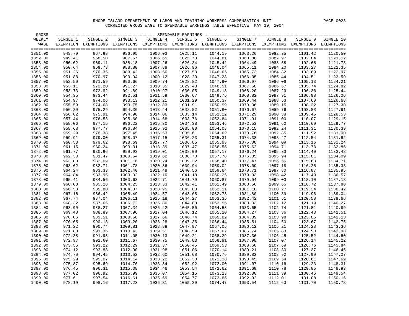| WEEKLY<br>SINGLE 1<br>SINGLE 2<br>SINGLE 3<br>SINGLE 4<br>SINGLE 5<br>SINGLE 6<br>SINGLE 7<br>SINGLE 8<br>SINGLE 9<br>WAGE<br>EXEMPTION EXEMPTIONS EXEMPTIONS EXEMPTIONS EXEMPTIONS EXEMPTIONS EXEMPTIONS EXEMPTIONS EXEMPTIONS EXEMPTIONS<br>1351.00<br>948.79<br>967.88<br>986.95<br>1006.03<br>1025.11<br>1044.19<br>1063.26<br>1082.35<br>949.41<br>1352.00<br>968.50<br>987.57<br>1006.65<br>1025.73<br>1044.81<br>1063.88<br>1082.97<br>1353.00<br>950.02<br>969.11<br>988.18<br>1007.26<br>1026.34<br>1045.42<br>1064.49<br>1083.58<br>950.64<br>988.80<br>1007.88<br>1026.96<br>1065.11<br>1084.20<br>1354.00<br>969.73<br>1046.04<br>951.26<br>989.42<br>1027.58<br>1065.73<br>1355.00<br>970.35<br>1008.50<br>1046.66<br>1084.82<br>951.88<br>990.04<br>1028.20<br>1066.35<br>1356.00<br>970.97<br>1009.12<br>1047.28<br>1085.44<br>1357.00<br>952.50<br>971.59<br>990.66<br>1009.74<br>1028.82<br>1047.90<br>1066.97<br>1086.06<br>1105.13<br>991.27<br>1029.43<br>1067.58<br>1105.74<br>1358.00<br>953.11<br>972.20<br>1010.35<br>1048.51<br>1086.67<br>953.73<br>991.89<br>1010.97<br>1030.05<br>1068.20<br>1359.00<br>972.82<br>1049.13<br>1087.29<br>1106.36<br>1360.00<br>954.35<br>973.44<br>992.51<br>1011.59<br>1030.67<br>1049.75<br>1068.82<br>1087.91<br>1106.98<br>1361.00<br>954.97<br>974.06<br>993.13<br>1012.21<br>1031.29<br>1050.37<br>1069.44<br>1088.53<br>1107.60<br>955.59<br>993.75<br>1031.91<br>1362.00<br>974.68<br>1012.83<br>1050.99<br>1070.06<br>1089.15<br>1108.22<br>956.20<br>994.36<br>1032.52<br>1051.60<br>1070.67<br>1089.76<br>1363.00<br>975.29<br>1013.44<br>1108.83<br>956.82<br>994.98<br>1014.06<br>1033.14<br>1052.22<br>1071.29<br>1090.38<br>1364.00<br>975.91<br>1109.45<br>1365.00<br>957.44<br>995.60<br>1014.68<br>1033.76<br>1052.84<br>1071.91<br>1091.00<br>1110.07<br>976.53<br>958.06<br>977.15<br>996.22<br>1034.38<br>1053.46<br>1072.53<br>1091.62<br>1110.69<br>1366.00<br>1015.30<br>958.68<br>996.84<br>1367.00<br>977.77<br>1015.92<br>1035.00<br>1054.08<br>1073.15<br>1092.24<br>1111.31<br>959.29<br>997.45<br>1035.61<br>1368.00<br>978.38<br>1016.53<br>1054.69<br>1073.76<br>1092.85<br>1111.92<br>1369.00<br>959.91<br>998.07<br>1017.15<br>1036.23<br>1074.38<br>1093.47<br>1112.54<br>979.00<br>1055.31<br>1370.00<br>960.53<br>979.62<br>998.69<br>1017.77<br>1036.85<br>1055.93<br>1075.00<br>1094.09<br>1113.16<br>999.31<br>1037.47<br>1075.62<br>1371.00<br>961.15<br>980.24<br>1018.39<br>1056.55<br>1094.71<br>1113.78<br>961.77<br>999.93<br>1038.09<br>1076.24<br>1372.00<br>980.86<br>1019.01<br>1057.17<br>1095.33<br>1114.40 |                    |
|----------------------------------------------------------------------------------------------------------------------------------------------------------------------------------------------------------------------------------------------------------------------------------------------------------------------------------------------------------------------------------------------------------------------------------------------------------------------------------------------------------------------------------------------------------------------------------------------------------------------------------------------------------------------------------------------------------------------------------------------------------------------------------------------------------------------------------------------------------------------------------------------------------------------------------------------------------------------------------------------------------------------------------------------------------------------------------------------------------------------------------------------------------------------------------------------------------------------------------------------------------------------------------------------------------------------------------------------------------------------------------------------------------------------------------------------------------------------------------------------------------------------------------------------------------------------------------------------------------------------------------------------------------------------------------------------------------------------------------------------------------------------------------------------------------------------------------------------------------------------------------------------------------------------------------------------------------------------------------------------------------------------------------------------------------------------------------------------------------------------------------------------------------------------------------------------------------------------------------------------------------------------------------------------------------------------------------------------------------------------------------------------------------------------------------------------------------------------------------------------------------------------------------------------------------------------------------------------------------------------------|--------------------|
|                                                                                                                                                                                                                                                                                                                                                                                                                                                                                                                                                                                                                                                                                                                                                                                                                                                                                                                                                                                                                                                                                                                                                                                                                                                                                                                                                                                                                                                                                                                                                                                                                                                                                                                                                                                                                                                                                                                                                                                                                                                                                                                                                                                                                                                                                                                                                                                                                                                                                                                                                                                                                            | SINGLE 10          |
|                                                                                                                                                                                                                                                                                                                                                                                                                                                                                                                                                                                                                                                                                                                                                                                                                                                                                                                                                                                                                                                                                                                                                                                                                                                                                                                                                                                                                                                                                                                                                                                                                                                                                                                                                                                                                                                                                                                                                                                                                                                                                                                                                                                                                                                                                                                                                                                                                                                                                                                                                                                                                            |                    |
|                                                                                                                                                                                                                                                                                                                                                                                                                                                                                                                                                                                                                                                                                                                                                                                                                                                                                                                                                                                                                                                                                                                                                                                                                                                                                                                                                                                                                                                                                                                                                                                                                                                                                                                                                                                                                                                                                                                                                                                                                                                                                                                                                                                                                                                                                                                                                                                                                                                                                                                                                                                                                            | $=====$            |
|                                                                                                                                                                                                                                                                                                                                                                                                                                                                                                                                                                                                                                                                                                                                                                                                                                                                                                                                                                                                                                                                                                                                                                                                                                                                                                                                                                                                                                                                                                                                                                                                                                                                                                                                                                                                                                                                                                                                                                                                                                                                                                                                                                                                                                                                                                                                                                                                                                                                                                                                                                                                                            | 1101.42<br>1120.50 |
|                                                                                                                                                                                                                                                                                                                                                                                                                                                                                                                                                                                                                                                                                                                                                                                                                                                                                                                                                                                                                                                                                                                                                                                                                                                                                                                                                                                                                                                                                                                                                                                                                                                                                                                                                                                                                                                                                                                                                                                                                                                                                                                                                                                                                                                                                                                                                                                                                                                                                                                                                                                                                            | 1121.12<br>1102.04 |
|                                                                                                                                                                                                                                                                                                                                                                                                                                                                                                                                                                                                                                                                                                                                                                                                                                                                                                                                                                                                                                                                                                                                                                                                                                                                                                                                                                                                                                                                                                                                                                                                                                                                                                                                                                                                                                                                                                                                                                                                                                                                                                                                                                                                                                                                                                                                                                                                                                                                                                                                                                                                                            | 1102.65<br>1121.73 |
|                                                                                                                                                                                                                                                                                                                                                                                                                                                                                                                                                                                                                                                                                                                                                                                                                                                                                                                                                                                                                                                                                                                                                                                                                                                                                                                                                                                                                                                                                                                                                                                                                                                                                                                                                                                                                                                                                                                                                                                                                                                                                                                                                                                                                                                                                                                                                                                                                                                                                                                                                                                                                            | 1122.35<br>1103.27 |
|                                                                                                                                                                                                                                                                                                                                                                                                                                                                                                                                                                                                                                                                                                                                                                                                                                                                                                                                                                                                                                                                                                                                                                                                                                                                                                                                                                                                                                                                                                                                                                                                                                                                                                                                                                                                                                                                                                                                                                                                                                                                                                                                                                                                                                                                                                                                                                                                                                                                                                                                                                                                                            | 1103.89<br>1122.97 |
|                                                                                                                                                                                                                                                                                                                                                                                                                                                                                                                                                                                                                                                                                                                                                                                                                                                                                                                                                                                                                                                                                                                                                                                                                                                                                                                                                                                                                                                                                                                                                                                                                                                                                                                                                                                                                                                                                                                                                                                                                                                                                                                                                                                                                                                                                                                                                                                                                                                                                                                                                                                                                            | 1123.59<br>1104.51 |
|                                                                                                                                                                                                                                                                                                                                                                                                                                                                                                                                                                                                                                                                                                                                                                                                                                                                                                                                                                                                                                                                                                                                                                                                                                                                                                                                                                                                                                                                                                                                                                                                                                                                                                                                                                                                                                                                                                                                                                                                                                                                                                                                                                                                                                                                                                                                                                                                                                                                                                                                                                                                                            | 1124.21            |
|                                                                                                                                                                                                                                                                                                                                                                                                                                                                                                                                                                                                                                                                                                                                                                                                                                                                                                                                                                                                                                                                                                                                                                                                                                                                                                                                                                                                                                                                                                                                                                                                                                                                                                                                                                                                                                                                                                                                                                                                                                                                                                                                                                                                                                                                                                                                                                                                                                                                                                                                                                                                                            | 1124.82            |
|                                                                                                                                                                                                                                                                                                                                                                                                                                                                                                                                                                                                                                                                                                                                                                                                                                                                                                                                                                                                                                                                                                                                                                                                                                                                                                                                                                                                                                                                                                                                                                                                                                                                                                                                                                                                                                                                                                                                                                                                                                                                                                                                                                                                                                                                                                                                                                                                                                                                                                                                                                                                                            | 1125.44            |
|                                                                                                                                                                                                                                                                                                                                                                                                                                                                                                                                                                                                                                                                                                                                                                                                                                                                                                                                                                                                                                                                                                                                                                                                                                                                                                                                                                                                                                                                                                                                                                                                                                                                                                                                                                                                                                                                                                                                                                                                                                                                                                                                                                                                                                                                                                                                                                                                                                                                                                                                                                                                                            | 1126.06            |
|                                                                                                                                                                                                                                                                                                                                                                                                                                                                                                                                                                                                                                                                                                                                                                                                                                                                                                                                                                                                                                                                                                                                                                                                                                                                                                                                                                                                                                                                                                                                                                                                                                                                                                                                                                                                                                                                                                                                                                                                                                                                                                                                                                                                                                                                                                                                                                                                                                                                                                                                                                                                                            | 1126.68            |
|                                                                                                                                                                                                                                                                                                                                                                                                                                                                                                                                                                                                                                                                                                                                                                                                                                                                                                                                                                                                                                                                                                                                                                                                                                                                                                                                                                                                                                                                                                                                                                                                                                                                                                                                                                                                                                                                                                                                                                                                                                                                                                                                                                                                                                                                                                                                                                                                                                                                                                                                                                                                                            | 1127.30            |
|                                                                                                                                                                                                                                                                                                                                                                                                                                                                                                                                                                                                                                                                                                                                                                                                                                                                                                                                                                                                                                                                                                                                                                                                                                                                                                                                                                                                                                                                                                                                                                                                                                                                                                                                                                                                                                                                                                                                                                                                                                                                                                                                                                                                                                                                                                                                                                                                                                                                                                                                                                                                                            | 1127.91            |
|                                                                                                                                                                                                                                                                                                                                                                                                                                                                                                                                                                                                                                                                                                                                                                                                                                                                                                                                                                                                                                                                                                                                                                                                                                                                                                                                                                                                                                                                                                                                                                                                                                                                                                                                                                                                                                                                                                                                                                                                                                                                                                                                                                                                                                                                                                                                                                                                                                                                                                                                                                                                                            | 1128.53            |
|                                                                                                                                                                                                                                                                                                                                                                                                                                                                                                                                                                                                                                                                                                                                                                                                                                                                                                                                                                                                                                                                                                                                                                                                                                                                                                                                                                                                                                                                                                                                                                                                                                                                                                                                                                                                                                                                                                                                                                                                                                                                                                                                                                                                                                                                                                                                                                                                                                                                                                                                                                                                                            | 1129.15            |
|                                                                                                                                                                                                                                                                                                                                                                                                                                                                                                                                                                                                                                                                                                                                                                                                                                                                                                                                                                                                                                                                                                                                                                                                                                                                                                                                                                                                                                                                                                                                                                                                                                                                                                                                                                                                                                                                                                                                                                                                                                                                                                                                                                                                                                                                                                                                                                                                                                                                                                                                                                                                                            | 1129.77            |
|                                                                                                                                                                                                                                                                                                                                                                                                                                                                                                                                                                                                                                                                                                                                                                                                                                                                                                                                                                                                                                                                                                                                                                                                                                                                                                                                                                                                                                                                                                                                                                                                                                                                                                                                                                                                                                                                                                                                                                                                                                                                                                                                                                                                                                                                                                                                                                                                                                                                                                                                                                                                                            | 1130.39            |
|                                                                                                                                                                                                                                                                                                                                                                                                                                                                                                                                                                                                                                                                                                                                                                                                                                                                                                                                                                                                                                                                                                                                                                                                                                                                                                                                                                                                                                                                                                                                                                                                                                                                                                                                                                                                                                                                                                                                                                                                                                                                                                                                                                                                                                                                                                                                                                                                                                                                                                                                                                                                                            | 1131.00            |
|                                                                                                                                                                                                                                                                                                                                                                                                                                                                                                                                                                                                                                                                                                                                                                                                                                                                                                                                                                                                                                                                                                                                                                                                                                                                                                                                                                                                                                                                                                                                                                                                                                                                                                                                                                                                                                                                                                                                                                                                                                                                                                                                                                                                                                                                                                                                                                                                                                                                                                                                                                                                                            | 1131.62            |
|                                                                                                                                                                                                                                                                                                                                                                                                                                                                                                                                                                                                                                                                                                                                                                                                                                                                                                                                                                                                                                                                                                                                                                                                                                                                                                                                                                                                                                                                                                                                                                                                                                                                                                                                                                                                                                                                                                                                                                                                                                                                                                                                                                                                                                                                                                                                                                                                                                                                                                                                                                                                                            | 1132.24            |
|                                                                                                                                                                                                                                                                                                                                                                                                                                                                                                                                                                                                                                                                                                                                                                                                                                                                                                                                                                                                                                                                                                                                                                                                                                                                                                                                                                                                                                                                                                                                                                                                                                                                                                                                                                                                                                                                                                                                                                                                                                                                                                                                                                                                                                                                                                                                                                                                                                                                                                                                                                                                                            | 1132.86            |
|                                                                                                                                                                                                                                                                                                                                                                                                                                                                                                                                                                                                                                                                                                                                                                                                                                                                                                                                                                                                                                                                                                                                                                                                                                                                                                                                                                                                                                                                                                                                                                                                                                                                                                                                                                                                                                                                                                                                                                                                                                                                                                                                                                                                                                                                                                                                                                                                                                                                                                                                                                                                                            | 1133.48            |
|                                                                                                                                                                                                                                                                                                                                                                                                                                                                                                                                                                                                                                                                                                                                                                                                                                                                                                                                                                                                                                                                                                                                                                                                                                                                                                                                                                                                                                                                                                                                                                                                                                                                                                                                                                                                                                                                                                                                                                                                                                                                                                                                                                                                                                                                                                                                                                                                                                                                                                                                                                                                                            | 1134.09            |
| 1373.00<br>962.38<br>1000.54<br>1038.70<br>1057.78<br>1076.85<br>1095.94<br>981.47<br>1019.62<br>1374.00<br>982.09<br>1001.16<br>1020.24<br>1039.32<br>1077.47<br>1096.56                                                                                                                                                                                                                                                                                                                                                                                                                                                                                                                                                                                                                                                                                                                                                                                                                                                                                                                                                                                                                                                                                                                                                                                                                                                                                                                                                                                                                                                                                                                                                                                                                                                                                                                                                                                                                                                                                                                                                                                                                                                                                                                                                                                                                                                                                                                                                                                                                                                  | 1115.01<br>1134.71 |
| 963.00<br>1058.40                                                                                                                                                                                                                                                                                                                                                                                                                                                                                                                                                                                                                                                                                                                                                                                                                                                                                                                                                                                                                                                                                                                                                                                                                                                                                                                                                                                                                                                                                                                                                                                                                                                                                                                                                                                                                                                                                                                                                                                                                                                                                                                                                                                                                                                                                                                                                                                                                                                                                                                                                                                                          | 1115.63            |
| 1375.00<br>963.62<br>982.71<br>1001.78<br>1020.86<br>1039.94<br>1059.02<br>1078.09<br>1097.18                                                                                                                                                                                                                                                                                                                                                                                                                                                                                                                                                                                                                                                                                                                                                                                                                                                                                                                                                                                                                                                                                                                                                                                                                                                                                                                                                                                                                                                                                                                                                                                                                                                                                                                                                                                                                                                                                                                                                                                                                                                                                                                                                                                                                                                                                                                                                                                                                                                                                                                              | 1135.33<br>1116.25 |
| 1376.00<br>964.24<br>983.33<br>1040.56<br>1059.64<br>1078.71<br>1002.40<br>1021.48<br>1097.80                                                                                                                                                                                                                                                                                                                                                                                                                                                                                                                                                                                                                                                                                                                                                                                                                                                                                                                                                                                                                                                                                                                                                                                                                                                                                                                                                                                                                                                                                                                                                                                                                                                                                                                                                                                                                                                                                                                                                                                                                                                                                                                                                                                                                                                                                                                                                                                                                                                                                                                              | 1135.95<br>1116.87 |
| 964.84<br>983.95<br>1003.02<br>1041.18<br>1079.33<br>1098.42<br>1377.00<br>1022.10<br>1060.26                                                                                                                                                                                                                                                                                                                                                                                                                                                                                                                                                                                                                                                                                                                                                                                                                                                                                                                                                                                                                                                                                                                                                                                                                                                                                                                                                                                                                                                                                                                                                                                                                                                                                                                                                                                                                                                                                                                                                                                                                                                                                                                                                                                                                                                                                                                                                                                                                                                                                                                              | 1136.57<br>1117.49 |
| 1378.00<br>965.41<br>984.56<br>1022.71<br>1041.79<br>1060.87<br>1079.94<br>1099.03<br>1003.63                                                                                                                                                                                                                                                                                                                                                                                                                                                                                                                                                                                                                                                                                                                                                                                                                                                                                                                                                                                                                                                                                                                                                                                                                                                                                                                                                                                                                                                                                                                                                                                                                                                                                                                                                                                                                                                                                                                                                                                                                                                                                                                                                                                                                                                                                                                                                                                                                                                                                                                              | 1137.18<br>1118.10 |
| 1379.00<br>966.00<br>985.18<br>1042.41<br>1080.56<br>1099.65<br>1004.25<br>1023.33<br>1061.49                                                                                                                                                                                                                                                                                                                                                                                                                                                                                                                                                                                                                                                                                                                                                                                                                                                                                                                                                                                                                                                                                                                                                                                                                                                                                                                                                                                                                                                                                                                                                                                                                                                                                                                                                                                                                                                                                                                                                                                                                                                                                                                                                                                                                                                                                                                                                                                                                                                                                                                              | 1137.80<br>1118.72 |
| 1380.00<br>966.58<br>985.80<br>1004.87<br>1023.95<br>1043.03<br>1062.11<br>1081.18<br>1100.27                                                                                                                                                                                                                                                                                                                                                                                                                                                                                                                                                                                                                                                                                                                                                                                                                                                                                                                                                                                                                                                                                                                                                                                                                                                                                                                                                                                                                                                                                                                                                                                                                                                                                                                                                                                                                                                                                                                                                                                                                                                                                                                                                                                                                                                                                                                                                                                                                                                                                                                              | 1138.42<br>1119.34 |
| 1381.00<br>967.16<br>1005.49<br>1043.65<br>1081.80<br>1100.89<br>986.42<br>1024.57<br>1062.73                                                                                                                                                                                                                                                                                                                                                                                                                                                                                                                                                                                                                                                                                                                                                                                                                                                                                                                                                                                                                                                                                                                                                                                                                                                                                                                                                                                                                                                                                                                                                                                                                                                                                                                                                                                                                                                                                                                                                                                                                                                                                                                                                                                                                                                                                                                                                                                                                                                                                                                              | 1119.96<br>1139.04 |
| 967.74<br>1044.27<br>1082.42<br>1382.00<br>987.04<br>1006.11<br>1025.19<br>1063.35<br>1101.51                                                                                                                                                                                                                                                                                                                                                                                                                                                                                                                                                                                                                                                                                                                                                                                                                                                                                                                                                                                                                                                                                                                                                                                                                                                                                                                                                                                                                                                                                                                                                                                                                                                                                                                                                                                                                                                                                                                                                                                                                                                                                                                                                                                                                                                                                                                                                                                                                                                                                                                              | 1120.58<br>1139.66 |
| 1383.00<br>968.32<br>987.65<br>1006.72<br>1025.80<br>1044.88<br>1063.96<br>1083.03<br>1102.12                                                                                                                                                                                                                                                                                                                                                                                                                                                                                                                                                                                                                                                                                                                                                                                                                                                                                                                                                                                                                                                                                                                                                                                                                                                                                                                                                                                                                                                                                                                                                                                                                                                                                                                                                                                                                                                                                                                                                                                                                                                                                                                                                                                                                                                                                                                                                                                                                                                                                                                              | 1121.19<br>1140.27 |
| 968.90<br>1384.00<br>988.27<br>1007.34<br>1026.42<br>1045.50<br>1064.58<br>1083.65<br>1102.74                                                                                                                                                                                                                                                                                                                                                                                                                                                                                                                                                                                                                                                                                                                                                                                                                                                                                                                                                                                                                                                                                                                                                                                                                                                                                                                                                                                                                                                                                                                                                                                                                                                                                                                                                                                                                                                                                                                                                                                                                                                                                                                                                                                                                                                                                                                                                                                                                                                                                                                              | 1140.89<br>1121.81 |
| 1385.00<br>969.48<br>988.89<br>1007.96<br>1027.04<br>1046.12<br>1065.20<br>1084.27<br>1103.36                                                                                                                                                                                                                                                                                                                                                                                                                                                                                                                                                                                                                                                                                                                                                                                                                                                                                                                                                                                                                                                                                                                                                                                                                                                                                                                                                                                                                                                                                                                                                                                                                                                                                                                                                                                                                                                                                                                                                                                                                                                                                                                                                                                                                                                                                                                                                                                                                                                                                                                              | 1141.51<br>1122.43 |
| 970.06<br>1046.74<br>1084.89<br>1386.00<br>989.51<br>1008.58<br>1027.66<br>1065.82<br>1103.98                                                                                                                                                                                                                                                                                                                                                                                                                                                                                                                                                                                                                                                                                                                                                                                                                                                                                                                                                                                                                                                                                                                                                                                                                                                                                                                                                                                                                                                                                                                                                                                                                                                                                                                                                                                                                                                                                                                                                                                                                                                                                                                                                                                                                                                                                                                                                                                                                                                                                                                              | 1123.05<br>1142.13 |
| 1387.00<br>970.65<br>990.13<br>1009.20<br>1028.28<br>1047.36<br>1085.51<br>1104.60<br>1066.44                                                                                                                                                                                                                                                                                                                                                                                                                                                                                                                                                                                                                                                                                                                                                                                                                                                                                                                                                                                                                                                                                                                                                                                                                                                                                                                                                                                                                                                                                                                                                                                                                                                                                                                                                                                                                                                                                                                                                                                                                                                                                                                                                                                                                                                                                                                                                                                                                                                                                                                              | 1142.75<br>1123.67 |
| 971.22<br>990.74<br>1009.81<br>1028.89<br>1047.97<br>1067.05<br>1086.12<br>1105.21<br>1388.00                                                                                                                                                                                                                                                                                                                                                                                                                                                                                                                                                                                                                                                                                                                                                                                                                                                                                                                                                                                                                                                                                                                                                                                                                                                                                                                                                                                                                                                                                                                                                                                                                                                                                                                                                                                                                                                                                                                                                                                                                                                                                                                                                                                                                                                                                                                                                                                                                                                                                                                              | 1124.28<br>1143.36 |
| 971.80<br>991.36<br>1048.59<br>1086.74<br>1389.00<br>1010.43<br>1029.51<br>1067.67<br>1105.83                                                                                                                                                                                                                                                                                                                                                                                                                                                                                                                                                                                                                                                                                                                                                                                                                                                                                                                                                                                                                                                                                                                                                                                                                                                                                                                                                                                                                                                                                                                                                                                                                                                                                                                                                                                                                                                                                                                                                                                                                                                                                                                                                                                                                                                                                                                                                                                                                                                                                                                              | 1143.98<br>1124.90 |
| 991.98<br>1049.21<br>1390.00<br>972.38<br>1011.05<br>1030.13<br>1068.29<br>1087.36<br>1106.45                                                                                                                                                                                                                                                                                                                                                                                                                                                                                                                                                                                                                                                                                                                                                                                                                                                                                                                                                                                                                                                                                                                                                                                                                                                                                                                                                                                                                                                                                                                                                                                                                                                                                                                                                                                                                                                                                                                                                                                                                                                                                                                                                                                                                                                                                                                                                                                                                                                                                                                              | 1144.60<br>1125.52 |
| 1391.00<br>972.97<br>992.60<br>1030.75<br>1049.83<br>1087.98<br>1107.07<br>1011.67<br>1068.91                                                                                                                                                                                                                                                                                                                                                                                                                                                                                                                                                                                                                                                                                                                                                                                                                                                                                                                                                                                                                                                                                                                                                                                                                                                                                                                                                                                                                                                                                                                                                                                                                                                                                                                                                                                                                                                                                                                                                                                                                                                                                                                                                                                                                                                                                                                                                                                                                                                                                                                              | 1126.14<br>1145.22 |
| 973.55<br>1050.45<br>1107.69<br>1392.00<br>993.22<br>1012.29<br>1031.37<br>1069.53<br>1088.60                                                                                                                                                                                                                                                                                                                                                                                                                                                                                                                                                                                                                                                                                                                                                                                                                                                                                                                                                                                                                                                                                                                                                                                                                                                                                                                                                                                                                                                                                                                                                                                                                                                                                                                                                                                                                                                                                                                                                                                                                                                                                                                                                                                                                                                                                                                                                                                                                                                                                                                              | 1145.84<br>1126.76 |
| 974.12<br>1012.90<br>1051.06<br>1393.00<br>993.83<br>1031.98<br>1070.14<br>1089.21<br>1108.30                                                                                                                                                                                                                                                                                                                                                                                                                                                                                                                                                                                                                                                                                                                                                                                                                                                                                                                                                                                                                                                                                                                                                                                                                                                                                                                                                                                                                                                                                                                                                                                                                                                                                                                                                                                                                                                                                                                                                                                                                                                                                                                                                                                                                                                                                                                                                                                                                                                                                                                              | 1146.45<br>1127.37 |
| 974.70<br>1051.68<br>1089.83<br>1394.00<br>994.45<br>1013.52<br>1032.60<br>1070.76<br>1108.92                                                                                                                                                                                                                                                                                                                                                                                                                                                                                                                                                                                                                                                                                                                                                                                                                                                                                                                                                                                                                                                                                                                                                                                                                                                                                                                                                                                                                                                                                                                                                                                                                                                                                                                                                                                                                                                                                                                                                                                                                                                                                                                                                                                                                                                                                                                                                                                                                                                                                                                              | 1147.07<br>1127.99 |
| 975.29<br>1090.45<br>1395.00<br>995.07<br>1014.14<br>1033.22<br>1052.30<br>1071.38<br>1109.54                                                                                                                                                                                                                                                                                                                                                                                                                                                                                                                                                                                                                                                                                                                                                                                                                                                                                                                                                                                                                                                                                                                                                                                                                                                                                                                                                                                                                                                                                                                                                                                                                                                                                                                                                                                                                                                                                                                                                                                                                                                                                                                                                                                                                                                                                                                                                                                                                                                                                                                              | 1147.69<br>1128.61 |
| 1396.00<br>975.87<br>995.69<br>1033.84<br>1052.92<br>1072.00<br>1091.07<br>1110.16<br>1014.76                                                                                                                                                                                                                                                                                                                                                                                                                                                                                                                                                                                                                                                                                                                                                                                                                                                                                                                                                                                                                                                                                                                                                                                                                                                                                                                                                                                                                                                                                                                                                                                                                                                                                                                                                                                                                                                                                                                                                                                                                                                                                                                                                                                                                                                                                                                                                                                                                                                                                                                              | 1148.31<br>1129.23 |
| 1397.00<br>976.45<br>996.31<br>1015.38<br>1034.46<br>1053.54<br>1072.62<br>1091.69<br>1110.78                                                                                                                                                                                                                                                                                                                                                                                                                                                                                                                                                                                                                                                                                                                                                                                                                                                                                                                                                                                                                                                                                                                                                                                                                                                                                                                                                                                                                                                                                                                                                                                                                                                                                                                                                                                                                                                                                                                                                                                                                                                                                                                                                                                                                                                                                                                                                                                                                                                                                                                              | 1148.93<br>1129.85 |
| 1398.00<br>977.02<br>996.92<br>1015.99<br>1035.07<br>1054.15<br>1073.23<br>1092.30<br>1111.39                                                                                                                                                                                                                                                                                                                                                                                                                                                                                                                                                                                                                                                                                                                                                                                                                                                                                                                                                                                                                                                                                                                                                                                                                                                                                                                                                                                                                                                                                                                                                                                                                                                                                                                                                                                                                                                                                                                                                                                                                                                                                                                                                                                                                                                                                                                                                                                                                                                                                                                              | 1130.46<br>1149.54 |
| 977.61<br>997.54<br>1016.61<br>1035.69<br>1054.77<br>1073.85<br>1092.92<br>1112.01<br>1399.00                                                                                                                                                                                                                                                                                                                                                                                                                                                                                                                                                                                                                                                                                                                                                                                                                                                                                                                                                                                                                                                                                                                                                                                                                                                                                                                                                                                                                                                                                                                                                                                                                                                                                                                                                                                                                                                                                                                                                                                                                                                                                                                                                                                                                                                                                                                                                                                                                                                                                                                              | 1131.08<br>1150.16 |
| 978.19<br>1112.63<br>1400.00<br>998.16<br>1017.23<br>1036.31<br>1055.39<br>1074.47<br>1093.54                                                                                                                                                                                                                                                                                                                                                                                                                                                                                                                                                                                                                                                                                                                                                                                                                                                                                                                                                                                                                                                                                                                                                                                                                                                                                                                                                                                                                                                                                                                                                                                                                                                                                                                                                                                                                                                                                                                                                                                                                                                                                                                                                                                                                                                                                                                                                                                                                                                                                                                              | 1131.70<br>1150.78 |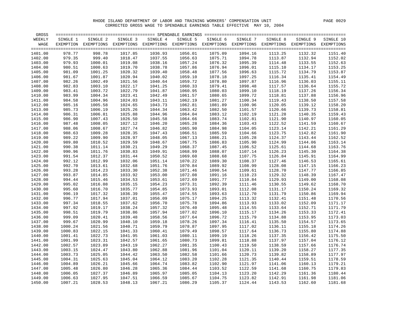| GROSS   |          |                                                                                                              |          |          |          |          |          |          |          |           |
|---------|----------|--------------------------------------------------------------------------------------------------------------|----------|----------|----------|----------|----------|----------|----------|-----------|
| WEEKLY  | SINGLE 1 | SINGLE 2                                                                                                     | SINGLE 3 | SINGLE 4 | SINGLE 5 | SINGLE 6 | SINGLE 7 | SINGLE 8 | SINGLE 9 | SINGLE 10 |
| WAGE    |          | EXEMPTION EXEMPTIONS EXEMPTIONS EXEMPTIONS EXEMPTIONS EXEMPTIONS EXEMPTIONS EXEMPTIONS EXEMPTIONS EXEMPTIONS |          |          |          |          |          |          |          |           |
|         |          |                                                                                                              |          |          |          |          |          |          |          |           |
| 1401.00 | 978.77   | 998.78                                                                                                       | 1017.85  | 1036.93  | 1056.01  | 1075.09  | 1094.16  | 1113.25  | 1132.32  | 1151.40   |
| 1402.00 | 979.35   | 999.40                                                                                                       | 1018.47  | 1037.55  | 1056.63  | 1075.71  | 1094.78  | 1113.87  | 1132.94  | 1152.02   |
| 1403.00 | 979.93   | 1000.01                                                                                                      | 1019.08  | 1038.16  | 1057.24  | 1076.32  | 1095.39  | 1114.48  | 1133.55  | 1152.63   |
| 1404.00 | 980.51   | 1000.63                                                                                                      | 1019.70  | 1038.78  | 1057.86  | 1076.94  | 1096.01  | 1115.10  | 1134.17  | 1153.25   |
| 1405.00 | 981.09   | 1001.25                                                                                                      | 1020.32  | 1039.40  | 1058.48  | 1077.56  | 1096.63  | 1115.72  | 1134.79  | 1153.87   |
| 1406.00 | 981.67   | 1001.87                                                                                                      | 1020.94  | 1040.02  | 1059.10  | 1078.18  | 1097.25  | 1116.34  | 1135.41  | 1154.49   |
| 1407.00 | 982.26   | 1002.49                                                                                                      | 1021.56  | 1040.64  | 1059.72  | 1078.80  | 1097.87  | 1116.96  | 1136.03  | 1155.11   |
| 1408.00 | 982.83   | 1003.10                                                                                                      | 1022.17  | 1041.25  | 1060.33  | 1079.41  | 1098.48  | 1117.57  | 1136.64  | 1155.72   |
| 1409.00 | 983.41   | 1003.72                                                                                                      | 1022.79  | 1041.87  | 1060.95  | 1080.03  | 1099.10  | 1118.19  | 1137.26  | 1156.34   |
| 1410.00 | 983.99   | 1004.34                                                                                                      | 1023.41  | 1042.49  | 1061.57  | 1080.65  | 1099.72  | 1118.81  | 1137.88  | 1156.96   |
| 1411.00 | 984.58   | 1004.96                                                                                                      | 1024.03  | 1043.11  | 1062.19  | 1081.27  | 1100.34  | 1119.43  | 1138.50  | 1157.58   |
| 1412.00 | 985.16   | 1005.58                                                                                                      | 1024.65  | 1043.73  | 1062.81  | 1081.89  | 1100.96  | 1120.05  | 1139.12  | 1158.20   |
| 1413.00 | 985.73   | 1006.19                                                                                                      | 1025.26  | 1044.34  | 1063.42  | 1082.50  | 1101.57  | 1120.66  | 1139.73  | 1158.81   |
| 1414.00 | 986.31   | 1006.81                                                                                                      | 1025.88  | 1044.96  | 1064.04  | 1083.12  | 1102.19  | 1121.28  | 1140.35  | 1159.43   |
| 1415.00 | 986.90   | 1007.43                                                                                                      | 1026.50  | 1045.58  | 1064.66  | 1083.74  | 1102.81  | 1121.90  | 1140.97  | 1160.05   |
| 1416.00 | 987.48   | 1008.05                                                                                                      | 1027.12  | 1046.20  | 1065.28  | 1084.36  | 1103.43  | 1122.52  | 1141.59  | 1160.67   |
| 1417.00 | 988.06   | 1008.67                                                                                                      | 1027.74  | 1046.82  | 1065.90  | 1084.98  | 1104.05  | 1123.14  | 1142.21  | 1161.29   |
| 1418.00 | 988.63   | 1009.28                                                                                                      | 1028.35  | 1047.43  | 1066.51  | 1085.59  | 1104.66  | 1123.75  | 1142.82  | 1161.90   |
| 1419.00 | 989.22   | 1009.90                                                                                                      | 1028.97  | 1048.05  | 1067.13  | 1086.21  | 1105.28  | 1124.37  | 1143.44  | 1162.52   |
| 1420.00 | 989.80   | 1010.52                                                                                                      | 1029.59  | 1048.67  | 1067.75  | 1086.83  | 1105.90  | 1124.99  | 1144.06  | 1163.14   |
| 1421.00 | 990.38   | 1011.14                                                                                                      | 1030.21  | 1049.29  | 1068.37  | 1087.45  | 1106.52  | 1125.61  | 1144.68  | 1163.76   |
| 1422.00 | 990.96   | 1011.76                                                                                                      | 1030.83  | 1049.91  | 1068.99  | 1088.07  | 1107.14  | 1126.23  | 1145.30  | 1164.38   |
| 1423.00 | 991.54   | 1012.37                                                                                                      | 1031.44  | 1050.52  | 1069.60  | 1088.68  | 1107.75  | 1126.84  | 1145.91  | 1164.99   |
| 1424.00 | 992.12   | 1012.99                                                                                                      | 1032.06  | 1051.14  | 1070.22  | 1089.30  | 1108.37  | 1127.46  | 1146.53  | 1165.61   |
| 1425.00 | 992.70   | 1013.61                                                                                                      | 1032.68  | 1051.76  | 1070.84  | 1089.92  | 1108.99  | 1128.08  | 1147.15  | 1166.23   |
| 1426.00 | 993.28   | 1014.23                                                                                                      | 1033.30  | 1052.38  | 1071.46  | 1090.54  | 1109.61  | 1128.70  | 1147.77  | 1166.85   |
| 1427.00 | 993.87   | 1014.85                                                                                                      | 1033.92  | 1053.00  | 1072.08  | 1091.16  | 1110.23  | 1129.32  | 1148.39  | 1167.47   |
| 1428.00 | 994.44   | 1015.46                                                                                                      | 1034.53  | 1053.61  | 1072.69  | 1091.77  | 1110.84  | 1129.93  | 1149.00  | 1168.08   |
| 1429.00 | 995.02   | 1016.08                                                                                                      | 1035.15  | 1054.23  | 1073.31  | 1092.39  | 1111.46  | 1130.55  | 1149.62  | 1168.70   |
| 1430.00 | 995.60   | 1016.70                                                                                                      | 1035.77  | 1054.85  | 1073.93  | 1093.01  | 1112.08  | 1131.17  | 1150.24  | 1169.32   |
| 1431.00 | 996.19   | 1017.32                                                                                                      | 1036.39  | 1055.47  | 1074.55  | 1093.63  | 1112.70  | 1131.79  | 1150.86  | 1169.94   |
| 1432.00 | 996.77   | 1017.94                                                                                                      | 1037.01  | 1056.09  | 1075.17  | 1094.25  | 1113.32  | 1132.41  | 1151.48  | 1170.56   |
| 1433.00 | 997.34   | 1018.55                                                                                                      | 1037.62  | 1056.70  | 1075.78  | 1094.86  | 1113.93  | 1133.02  | 1152.09  | 1171.17   |
| 1434.00 | 997.92   | 1019.17                                                                                                      | 1038.24  | 1057.32  | 1076.40  | 1095.48  | 1114.55  | 1133.64  | 1152.71  | 1171.79   |
| 1435.00 | 998.51   | 1019.79                                                                                                      | 1038.86  | 1057.94  | 1077.02  | 1096.10  | 1115.17  | 1134.26  | 1153.33  | 1172.41   |
| 1436.00 | 999.09   | 1020.41                                                                                                      | 1039.48  | 1058.56  | 1077.64  | 1096.72  | 1115.79  | 1134.88  | 1153.95  | 1173.03   |
| 1437.00 | 999.67   | 1020.99                                                                                                      | 1040.10  | 1059.18  | 1078.26  | 1097.34  | 1116.41  | 1135.50  | 1154.57  | 1173.65   |
| 1438.00 | 1000.24  | 1021.56                                                                                                      | 1040.71  | 1059.79  | 1078.87  | 1097.95  | 1117.02  | 1136.11  | 1155.18  | 1174.26   |
| 1439.00 | 1000.83  | 1022.15                                                                                                      | 1041.33  | 1060.41  | 1079.49  | 1098.57  | 1117.64  | 1136.73  | 1155.80  | 1174.88   |
| 1440.00 | 1001.41  | 1022.73                                                                                                      | 1041.95  | 1061.03  | 1080.11  | 1099.19  | 1118.26  | 1137.35  | 1156.42  | 1175.50   |
| 1441.00 | 1001.99  | 1023.31                                                                                                      | 1042.57  | 1061.65  | 1080.73  | 1099.81  | 1118.88  | 1137.97  | 1157.04  | 1176.12   |
| 1442.00 | 1002.57  | 1023.89                                                                                                      | 1043.19  | 1062.27  | 1081.35  | 1100.43  | 1119.50  | 1138.59  | 1157.66  | 1176.74   |
| 1443.00 | 1003.15  | 1024.47                                                                                                      | 1043.80  | 1062.88  | 1081.96  | 1101.04  | 1120.11  | 1139.20  | 1158.27  | 1177.35   |
| 1444.00 | 1003.73  | 1025.05                                                                                                      | 1044.42  | 1063.50  | 1082.58  | 1101.66  | 1120.73  | 1139.82  | 1158.89  | 1177.97   |
| 1445.00 | 1004.31  | 1025.63                                                                                                      | 1045.04  | 1064.12  | 1083.20  | 1102.28  | 1121.35  | 1140.44  | 1159.51  | 1178.59   |
| 1446.00 | 1004.89  | 1026.21                                                                                                      | 1045.66  | 1064.74  | 1083.82  | 1102.90  | 1121.97  | 1141.06  | 1160.13  | 1179.21   |
| 1447.00 | 1005.48  | 1026.80                                                                                                      | 1046.28  | 1065.36  | 1084.44  | 1103.52  | 1122.59  | 1141.68  | 1160.75  | 1179.83   |
| 1448.00 | 1006.05  | 1027.37                                                                                                      | 1046.89  | 1065.97  | 1085.05  | 1104.13  | 1123.20  | 1142.29  | 1161.36  | 1180.44   |
| 1449.00 | 1006.63  | 1027.95                                                                                                      | 1047.51  | 1066.59  | 1085.67  | 1104.75  | 1123.82  | 1142.91  | 1161.98  | 1181.06   |
| 1450.00 | 1007.21  | 1028.53                                                                                                      | 1048.13  | 1067.21  | 1086.29  | 1105.37  | 1124.44  | 1143.53  | 1162.60  | 1181.68   |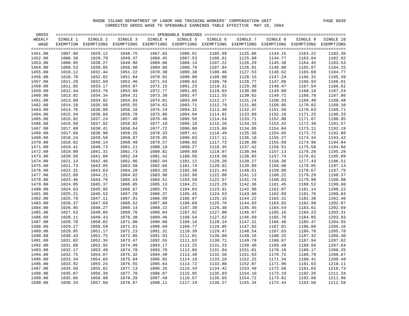| GROSS   |          |                                                                                                              |          |          |          |          |          |          |          |           |
|---------|----------|--------------------------------------------------------------------------------------------------------------|----------|----------|----------|----------|----------|----------|----------|-----------|
| WEEKLY  | SINGLE 1 | SINGLE 2                                                                                                     | SINGLE 3 | SINGLE 4 | SINGLE 5 | SINGLE 6 | SINGLE 7 | SINGLE 8 | SINGLE 9 | SINGLE 10 |
| WAGE    |          | EXEMPTION EXEMPTIONS EXEMPTIONS EXEMPTIONS EXEMPTIONS EXEMPTIONS EXEMPTIONS EXEMPTIONS EXEMPTIONS EXEMPTIONS |          |          |          |          |          |          |          |           |
|         |          |                                                                                                              |          |          |          |          |          |          |          |           |
| 1451.00 | 1007.80  | 1029.12                                                                                                      | 1048.75  | 1067.83  | 1086.91  | 1105.99  | 1125.06  | 1144.15  | 1163.22  | 1182.30   |
| 1452.00 | 1008.38  | 1029.70                                                                                                      | 1049.37  | 1068.45  | 1087.53  | 1106.61  | 1125.68  | 1144.77  | 1163.84  | 1182.92   |
| 1453.00 | 1008.95  | 1030.27                                                                                                      | 1049.98  | 1069.06  | 1088.14  | 1107.22  | 1126.29  | 1145.38  | 1164.45  | 1183.53   |
| 1454.00 | 1009.53  | 1030.85                                                                                                      | 1050.60  | 1069.68  | 1088.76  | 1107.84  | 1126.91  | 1146.00  | 1165.07  | 1184.15   |
| 1455.00 | 1010.12  | 1031.44                                                                                                      | 1051.22  | 1070.30  | 1089.38  | 1108.46  | 1127.53  | 1146.62  | 1165.69  | 1184.77   |
| 1456.00 | 1010.70  | 1032.02                                                                                                      | 1051.84  | 1070.92  | 1090.00  | 1109.08  | 1128.15  | 1147.24  | 1166.31  | 1185.39   |
| 1457.00 | 1011.28  | 1032.60                                                                                                      | 1052.46  | 1071.54  | 1090.62  | 1109.70  | 1128.77  | 1147.86  | 1166.93  | 1186.01   |
| 1458.00 | 1011.85  | 1033.17                                                                                                      | 1053.07  | 1072.15  | 1091.23  | 1110.31  | 1129.38  | 1148.47  | 1167.54  | 1186.62   |
| 1459.00 | 1012.44  | 1033.76                                                                                                      | 1053.69  | 1072.77  | 1091.85  | 1110.93  | 1130.00  | 1149.09  | 1168.16  | 1187.24   |
| 1460.00 | 1013.02  | 1034.34                                                                                                      | 1054.31  | 1073.39  | 1092.47  | 1111.55  | 1130.62  | 1149.71  | 1168.78  | 1187.86   |
| 1461.00 | 1013.60  | 1034.92                                                                                                      | 1054.93  | 1074.01  | 1093.09  | 1112.17  | 1131.24  | 1150.33  | 1169.40  | 1188.48   |
| 1462.00 | 1014.18  | 1035.50                                                                                                      | 1055.55  | 1074.63  | 1093.71  | 1112.79  | 1131.86  | 1150.95  | 1170.02  | 1189.10   |
| 1463.00 | 1014.76  | 1036.08                                                                                                      | 1056.16  | 1075.24  | 1094.32  | 1113.40  | 1132.47  | 1151.56  | 1170.63  | 1189.71   |
| 1464.00 | 1015.34  | 1036.66                                                                                                      | 1056.78  | 1075.86  | 1094.94  | 1114.02  | 1133.09  | 1152.18  | 1171.25  | 1190.33   |
| 1465.00 | 1015.92  | 1037.24                                                                                                      | 1057.40  | 1076.48  | 1095.56  | 1114.64  | 1133.71  | 1152.80  | 1171.87  | 1190.95   |
| 1466.00 | 1016.50  | 1037.82                                                                                                      | 1058.02  | 1077.10  | 1096.18  | 1115.26  | 1134.33  | 1153.42  | 1172.49  | 1191.57   |
| 1467.00 | 1017.09  | 1038.41                                                                                                      | 1058.64  | 1077.72  | 1096.80  | 1115.88  | 1134.95  | 1154.04  | 1173.11  | 1192.19   |
| 1468.00 | 1017.66  | 1038.98                                                                                                      | 1059.25  | 1078.33  | 1097.41  | 1116.49  | 1135.56  | 1154.65  | 1173.72  | 1192.80   |
| 1469.00 | 1018.24  | 1039.56                                                                                                      | 1059.87  | 1078.95  | 1098.03  | 1117.11  | 1136.18  | 1155.27  | 1174.34  | 1193.42   |
| 1470.00 | 1018.82  | 1040.14                                                                                                      | 1060.49  | 1079.57  | 1098.65  | 1117.73  | 1136.80  | 1155.89  | 1174.96  | 1194.04   |
| 1471.00 | 1019.41  | 1040.73                                                                                                      | 1061.11  | 1080.19  | 1099.27  | 1118.35  | 1137.42  | 1156.51  | 1175.58  | 1194.66   |
| 1472.00 | 1019.99  | 1041.31                                                                                                      | 1061.73  | 1080.81  | 1099.89  | 1118.97  | 1138.04  | 1157.13  | 1176.20  | 1195.28   |
| 1473.00 | 1020.56  | 1041.88                                                                                                      | 1062.34  | 1081.42  | 1100.50  | 1119.58  | 1138.65  | 1157.74  | 1176.81  | 1195.89   |
| 1474.00 | 1021.14  | 1042.46                                                                                                      | 1062.96  | 1082.04  | 1101.12  | 1120.20  | 1139.27  | 1158.36  | 1177.43  | 1196.51   |
| 1475.00 | 1021.73  | 1043.05                                                                                                      | 1063.58  | 1082.66  | 1101.74  | 1120.82  | 1139.89  | 1158.98  | 1178.05  | 1197.13   |
| 1476.00 | 1022.31  | 1043.63                                                                                                      | 1064.20  | 1083.28  | 1102.36  | 1121.44  | 1140.51  | 1159.60  | 1178.67  | 1197.75   |
| 1477.00 | 1022.89  | 1044.21                                                                                                      | 1064.82  | 1083.90  | 1102.98  | 1122.06  | 1141.13  | 1160.22  | 1179.29  | 1198.37   |
| 1478.00 | 1023.46  | 1044.78                                                                                                      | 1065.43  | 1084.51  | 1103.59  | 1122.67  | 1141.74  | 1160.83  | 1179.90  | 1198.98   |
| 1479.00 | 1024.05  | 1045.37                                                                                                      | 1066.05  | 1085.13  | 1104.21  | 1123.29  | 1142.36  | 1161.45  | 1180.52  | 1199.60   |
| 1480.00 | 1024.63  | 1045.95                                                                                                      | 1066.67  | 1085.75  | 1104.83  | 1123.91  | 1142.98  | 1162.07  | 1181.14  | 1200.22   |
| 1481.00 | 1025.21  | 1046.53                                                                                                      | 1067.29  | 1086.37  | 1105.45  | 1124.53  | 1143.60  | 1162.69  | 1181.76  | 1200.84   |
| 1482.00 | 1025.79  | 1047.11                                                                                                      | 1067.91  | 1086.99  | 1106.07  | 1125.15  | 1144.22  | 1163.31  | 1182.38  | 1201.46   |
| 1483.00 | 1026.37  | 1047.69                                                                                                      | 1068.52  | 1087.60  | 1106.68  | 1125.76  | 1144.83  | 1163.92  | 1182.99  | 1202.07   |
| 1484.00 | 1026.95  | 1048.27                                                                                                      | 1069.14  | 1088.22  | 1107.30  | 1126.38  | 1145.45  | 1164.54  | 1183.61  | 1202.69   |
| 1485.00 | 1027.53  | 1048.85                                                                                                      | 1069.76  | 1088.84  | 1107.92  | 1127.00  | 1146.07  | 1165.16  | 1184.23  | 1203.31   |
| 1486.00 | 1028.11  | 1049.43                                                                                                      | 1070.38  | 1089.46  | 1108.54  | 1127.62  | 1146.69  | 1165.78  | 1184.85  | 1203.93   |
| 1487.00 | 1028.70  | 1050.02                                                                                                      | 1071.00  | 1090.08  | 1109.16  | 1128.24  | 1147.31  | 1166.40  | 1185.47  | 1204.55   |
| 1488.00 | 1029.27  | 1050.59                                                                                                      | 1071.61  | 1090.69  | 1109.77  | 1128.85  | 1147.92  | 1167.01  | 1186.08  | 1205.16   |
| 1489.00 | 1029.85  | 1051.17                                                                                                      | 1072.23  | 1091.31  | 1110.39  | 1129.47  | 1148.54  | 1167.63  | 1186.70  | 1205.78   |
| 1490.00 | 1030.43  | 1051.75                                                                                                      | 1072.85  | 1091.93  | 1111.01  | 1130.09  | 1149.16  | 1168.25  | 1187.32  | 1206.40   |
| 1491.00 | 1031.02  | 1052.34                                                                                                      | 1073.47  | 1092.55  | 1111.63  | 1130.71  | 1149.78  | 1168.87  | 1187.94  | 1207.02   |
| 1492.00 | 1031.60  | 1052.92                                                                                                      | 1074.09  | 1093.17  | 1112.25  | 1131.33  | 1150.40  | 1169.49  | 1188.56  | 1207.64   |
| 1493.00 | 1032.17  | 1053.49                                                                                                      | 1074.70  | 1093.78  | 1112.86  | 1131.94  | 1151.01  | 1170.10  | 1189.17  | 1208.25   |
| 1494.00 | 1032.75  | 1054.07                                                                                                      | 1075.32  | 1094.40  | 1113.48  | 1132.56  | 1151.63  | 1170.72  | 1189.79  | 1208.87   |
| 1495.00 | 1033.34  | 1054.66                                                                                                      | 1075.94  | 1095.02  | 1114.10  | 1133.18  | 1152.25  | 1171.34  | 1190.41  | 1209.49   |
| 1496.00 | 1033.92  | 1055.24                                                                                                      | 1076.55  | 1095.64  | 1114.72  | 1133.80  | 1152.87  | 1171.96  | 1191.03  | 1210.11   |
| 1497.00 | 1034.50  | 1055.82                                                                                                      | 1077.13  | 1096.26  | 1115.34  | 1134.42  | 1153.49  | 1172.58  | 1191.65  | 1210.73   |
| 1498.00 | 1035.07  | 1056.39                                                                                                      | 1077.70  | 1096.87  | 1115.95  | 1135.03  | 1154.10  | 1173.19  | 1192.26  | 1211.34   |
| 1499.00 | 1035.66  | 1056.98                                                                                                      | 1078.29  | 1097.49  | 1116.57  | 1135.65  | 1154.72  | 1173.81  | 1192.88  | 1211.96   |
| 1500.00 | 1036.24  | 1057.56                                                                                                      | 1078.87  | 1098.11  | 1117.19  | 1136.27  | 1155.34  | 1174.43  | 1193.50  | 1212.58   |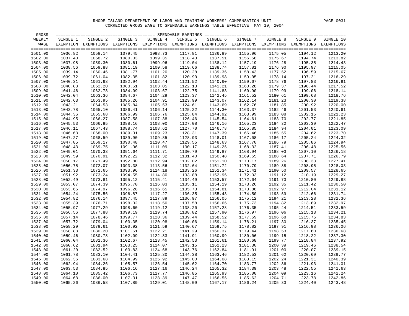| GROSS   |          |                                                                                                              |          |          |          |          |          |          |          |           |
|---------|----------|--------------------------------------------------------------------------------------------------------------|----------|----------|----------|----------|----------|----------|----------|-----------|
| WEEKLY  | SINGLE 1 | SINGLE 2                                                                                                     | SINGLE 3 | SINGLE 4 | SINGLE 5 | SINGLE 6 | SINGLE 7 | SINGLE 8 | SINGLE 9 | SINGLE 10 |
| WAGE    |          | EXEMPTION EXEMPTIONS EXEMPTIONS EXEMPTIONS EXEMPTIONS EXEMPTIONS EXEMPTIONS EXEMPTIONS EXEMPTIONS EXEMPTIONS |          |          |          |          |          |          |          |           |
|         |          |                                                                                                              |          |          |          |          |          |          |          |           |
| 1501.00 | 1036.82  | 1058.14                                                                                                      | 1079.45  | 1098.73  | 1117.81  | 1136.89  | 1155.96  | 1175.05  | 1194.12  | 1213.20   |
| 1502.00 | 1037.40  | 1058.72                                                                                                      | 1080.03  | 1099.35  | 1118.43  | 1137.51  | 1156.58  | 1175.67  | 1194.74  | 1213.82   |
| 1503.00 | 1037.98  | 1059.30                                                                                                      | 1080.61  | 1099.96  | 1119.04  | 1138.12  | 1157.19  | 1176.28  | 1195.35  | 1214.43   |
| 1504.00 | 1038.56  | 1059.88                                                                                                      | 1081.19  | 1100.58  | 1119.66  | 1138.74  | 1157.81  | 1176.90  | 1195.97  | 1215.05   |
| 1505.00 | 1039.14  | 1060.46                                                                                                      | 1081.77  | 1101.20  | 1120.28  | 1139.36  | 1158.43  | 1177.52  | 1196.59  | 1215.67   |
| 1506.00 | 1039.72  | 1061.04                                                                                                      | 1082.35  | 1101.82  | 1120.90  | 1139.98  | 1159.05  | 1178.14  | 1197.21  | 1216.29   |
| 1507.00 | 1040.31  | 1061.63                                                                                                      | 1082.94  | 1102.44  | 1121.52  | 1140.60  | 1159.67  | 1178.76  | 1197.83  | 1216.91   |
| 1508.00 | 1040.88  | 1062.20                                                                                                      | 1083.51  | 1103.05  | 1122.13  | 1141.21  | 1160.28  | 1179.37  | 1198.44  | 1217.52   |
| 1509.00 | 1041.46  | 1062.78                                                                                                      | 1084.09  | 1103.67  | 1122.75  | 1141.83  | 1160.90  | 1179.99  | 1199.06  | 1218.14   |
| 1510.00 | 1042.04  | 1063.36                                                                                                      | 1084.67  | 1104.29  | 1123.37  | 1142.45  | 1161.52  | 1180.61  | 1199.68  | 1218.76   |
| 1511.00 | 1042.63  | 1063.95                                                                                                      | 1085.26  | 1104.91  | 1123.99  | 1143.07  | 1162.14  | 1181.23  | 1200.30  | 1219.38   |
| 1512.00 | 1043.21  | 1064.53                                                                                                      | 1085.84  | 1105.53  | 1124.61  | 1143.69  | 1162.76  | 1181.85  | 1200.92  | 1220.00   |
| 1513.00 | 1043.78  | 1065.10                                                                                                      | 1086.41  | 1106.14  | 1125.22  | 1144.30  | 1163.37  | 1182.46  | 1201.53  | 1220.61   |
| 1514.00 | 1044.36  | 1065.68                                                                                                      | 1086.99  | 1106.76  | 1125.84  | 1144.92  | 1163.99  | 1183.08  | 1202.15  | 1221.23   |
| 1515.00 | 1044.95  | 1066.27                                                                                                      | 1087.58  | 1107.38  | 1126.46  | 1145.54  | 1164.61  | 1183.70  | 1202.77  | 1221.85   |
| 1516.00 | 1045.53  | 1066.85                                                                                                      | 1088.16  | 1108.00  | 1127.08  | 1146.16  | 1165.23  | 1184.32  | 1203.39  | 1222.47   |
| 1517.00 | 1046.11  | 1067.43                                                                                                      | 1088.74  | 1108.62  | 1127.70  | 1146.78  | 1165.85  | 1184.94  | 1204.01  | 1223.09   |
| 1518.00 | 1046.68  | 1068.00                                                                                                      | 1089.31  | 1109.23  | 1128.31  | 1147.39  | 1166.46  | 1185.55  | 1204.62  | 1223.70   |
| 1519.00 | 1047.27  | 1068.59                                                                                                      | 1089.90  | 1109.85  | 1128.93  | 1148.01  | 1167.08  | 1186.17  | 1205.24  | 1224.32   |
| 1520.00 | 1047.85  | 1069.17                                                                                                      | 1090.48  | 1110.47  | 1129.55  | 1148.63  | 1167.70  | 1186.79  | 1205.86  | 1224.94   |
| 1521.00 | 1048.43  | 1069.75                                                                                                      | 1091.06  | 1111.09  | 1130.17  | 1149.25  | 1168.32  | 1187.41  | 1206.48  | 1225.56   |
| 1522.00 | 1049.01  | 1070.33                                                                                                      | 1091.64  | 1111.71  | 1130.79  | 1149.87  | 1168.94  | 1188.03  | 1207.10  | 1226.18   |
|         | 1049.59  | 1070.91                                                                                                      |          | 1112.32  | 1131.40  |          | 1169.55  |          |          | 1226.79   |
| 1523.00 |          | 1071.49                                                                                                      | 1092.22  |          |          | 1150.48  |          | 1188.64  | 1207.71  |           |
| 1524.00 | 1050.17  |                                                                                                              | 1092.80  | 1112.94  | 1132.02  | 1151.10  | 1170.17  | 1189.26  | 1208.33  | 1227.41   |
| 1525.00 | 1050.75  | 1072.07                                                                                                      | 1093.38  | 1113.56  | 1132.64  | 1151.72  | 1170.79  | 1189.88  | 1208.95  | 1228.03   |
| 1526.00 | 1051.33  | 1072.65                                                                                                      | 1093.96  | 1114.18  | 1133.26  | 1152.34  | 1171.41  | 1190.50  | 1209.57  | 1228.65   |
| 1527.00 | 1051.92  | 1073.24                                                                                                      | 1094.55  | 1114.80  | 1133.88  | 1152.96  | 1172.03  | 1191.12  | 1210.19  | 1229.27   |
| 1528.00 | 1052.49  | 1073.81                                                                                                      | 1095.12  | 1115.41  | 1134.49  | 1153.57  | 1172.64  | 1191.73  | 1210.80  | 1229.88   |
| 1529.00 | 1053.07  | 1074.39                                                                                                      | 1095.70  | 1116.03  | 1135.11  | 1154.19  | 1173.26  | 1192.35  | 1211.42  | 1230.50   |
| 1530.00 | 1053.65  | 1074.97                                                                                                      | 1096.28  | 1116.65  | 1135.73  | 1154.81  | 1173.88  | 1192.97  | 1212.04  | 1231.12   |
| 1531.00 | 1054.24  | 1075.56                                                                                                      | 1096.87  | 1117.27  | 1136.35  | 1155.43  | 1174.50  | 1193.59  | 1212.66  | 1231.74   |
| 1532.00 | 1054.82  | 1076.14                                                                                                      | 1097.45  | 1117.89  | 1136.97  | 1156.05  | 1175.12  | 1194.21  | 1213.28  | 1232.36   |
| 1533.00 | 1055.39  | 1076.71                                                                                                      | 1098.02  | 1118.50  | 1137.58  | 1156.66  | 1175.73  | 1194.82  | 1213.89  | 1232.97   |
| 1534.00 | 1055.97  | 1077.29                                                                                                      | 1098.60  | 1119.12  | 1138.20  | 1157.28  | 1176.35  | 1195.44  | 1214.51  | 1233.59   |
| 1535.00 | 1056.56  | 1077.88                                                                                                      | 1099.19  | 1119.74  | 1138.82  | 1157.90  | 1176.97  | 1196.06  | 1215.13  | 1234.21   |
| 1536.00 | 1057.14  | 1078.46                                                                                                      | 1099.77  | 1120.36  | 1139.44  | 1158.52  | 1177.59  | 1196.68  | 1215.75  | 1234.83   |
| 1537.00 | 1057.72  | 1079.04                                                                                                      | 1100.35  | 1120.98  | 1140.06  | 1159.14  | 1178.21  | 1197.30  | 1216.37  | 1235.45   |
| 1538.00 | 1058.29  | 1079.61                                                                                                      | 1100.92  | 1121.59  | 1140.67  | 1159.75  | 1178.82  | 1197.91  | 1216.98  | 1236.06   |
| 1539.00 | 1058.88  | 1080.20                                                                                                      | 1101.51  | 1122.21  | 1141.29  | 1160.37  | 1179.44  | 1198.53  | 1217.60  | 1236.68   |
| 1540.00 | 1059.46  | 1080.78                                                                                                      | 1102.09  | 1122.83  | 1141.91  | 1160.99  | 1180.06  | 1199.15  | 1218.22  | 1237.30   |
| 1541.00 | 1060.04  | 1081.36                                                                                                      | 1102.67  | 1123.45  | 1142.53  | 1161.61  | 1180.68  | 1199.77  | 1218.84  | 1237.92   |
| 1542.00 | 1060.62  | 1081.94                                                                                                      | 1103.25  | 1124.07  | 1143.15  | 1162.23  | 1181.30  | 1200.39  | 1219.46  | 1238.54   |
| 1543.00 | 1061.20  | 1082.52                                                                                                      | 1103.83  | 1124.68  | 1143.76  | 1162.84  | 1181.91  | 1201.00  | 1220.07  | 1239.15   |
| 1544.00 | 1061.78  | 1083.10                                                                                                      | 1104.41  | 1125.30  | 1144.38  | 1163.46  | 1182.53  | 1201.62  | 1220.69  | 1239.77   |
| 1545.00 | 1062.36  | 1083.68                                                                                                      | 1104.99  | 1125.92  | 1145.00  | 1164.08  | 1183.15  | 1202.24  | 1221.31  | 1240.39   |
| 1546.00 | 1062.94  | 1084.26                                                                                                      | 1105.57  | 1126.54  | 1145.62  | 1164.70  | 1183.77  | 1202.86  | 1221.93  | 1241.01   |
| 1547.00 | 1063.53  | 1084.85                                                                                                      | 1106.16  | 1127.16  | 1146.24  | 1165.32  | 1184.39  | 1203.48  | 1222.55  | 1241.63   |
| 1548.00 | 1064.10  | 1085.42                                                                                                      | 1106.73  | 1127.77  | 1146.85  | 1165.93  | 1185.00  | 1204.09  | 1223.16  | 1242.24   |
| 1549.00 | 1064.68  | 1086.00                                                                                                      | 1107.31  | 1128.39  | 1147.47  | 1166.55  | 1185.62  | 1204.71  | 1223.78  | 1242.86   |
| 1550.00 | 1065.26  | 1086.58                                                                                                      | 1107.89  | 1129.01  | 1148.09  | 1167.17  | 1186.24  | 1205.33  | 1224.40  | 1243.48   |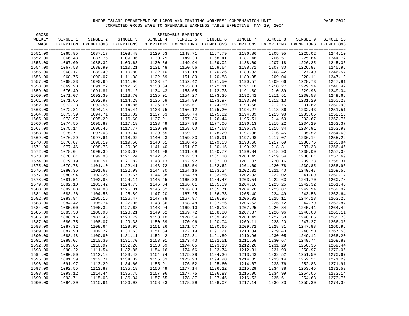| GROSS   |          |                                                                                                              |          |          |          |          |          |          |          |           |
|---------|----------|--------------------------------------------------------------------------------------------------------------|----------|----------|----------|----------|----------|----------|----------|-----------|
| WEEKLY  | SINGLE 1 | SINGLE 2                                                                                                     | SINGLE 3 | SINGLE 4 | SINGLE 5 | SINGLE 6 | SINGLE 7 | SINGLE 8 | SINGLE 9 | SINGLE 10 |
| WAGE    |          | EXEMPTION EXEMPTIONS EXEMPTIONS EXEMPTIONS EXEMPTIONS EXEMPTIONS EXEMPTIONS EXEMPTIONS EXEMPTIONS EXEMPTIONS |          |          |          |          |          |          |          |           |
|         |          |                                                                                                              |          |          |          |          |          |          |          |           |
| 1551.00 | 1065.85  | 1087.17                                                                                                      | 1108.48  | 1129.63  | 1148.71  | 1167.79  | 1186.86  | 1205.95  | 1225.02  | 1244.10   |
| 1552.00 | 1066.43  | 1087.75                                                                                                      | 1109.06  | 1130.25  | 1149.33  | 1168.41  | 1187.48  | 1206.57  | 1225.64  | 1244.72   |
| 1553.00 | 1067.00  | 1088.32                                                                                                      | 1109.63  | 1130.86  | 1149.94  | 1169.02  | 1188.09  | 1207.18  | 1226.25  | 1245.33   |
| 1554.00 | 1067.58  | 1088.90                                                                                                      | 1110.21  | 1131.48  | 1150.56  | 1169.64  | 1188.71  | 1207.80  | 1226.87  | 1245.95   |
| 1555.00 | 1068.17  | 1089.49                                                                                                      | 1110.80  | 1132.10  | 1151.18  | 1170.26  | 1189.33  | 1208.42  | 1227.49  | 1246.57   |
| 1556.00 | 1068.75  | 1090.07                                                                                                      | 1111.38  | 1132.69  | 1151.80  | 1170.88  | 1189.95  | 1209.04  | 1228.11  | 1247.19   |
| 1557.00 | 1069.33  | 1090.65                                                                                                      | 1111.96  | 1133.27  | 1152.42  | 1171.50  | 1190.57  | 1209.66  | 1228.73  | 1247.81   |
| 1558.00 | 1069.90  | 1091.22                                                                                                      | 1112.53  | 1133.84  | 1153.03  | 1172.11  | 1191.18  | 1210.27  | 1229.34  | 1248.42   |
| 1559.00 | 1070.49  | 1091.81                                                                                                      | 1113.12  | 1134.43  | 1153.65  | 1172.73  | 1191.80  | 1210.89  | 1229.96  | 1249.04   |
| 1560.00 | 1071.07  | 1092.39                                                                                                      | 1113.70  | 1135.01  | 1154.27  | 1173.35  | 1192.42  | 1211.51  | 1230.58  | 1249.66   |
| 1561.00 | 1071.65  | 1092.97                                                                                                      | 1114.28  | 1135.59  | 1154.89  | 1173.97  | 1193.04  | 1212.13  | 1231.20  | 1250.28   |
| 1562.00 | 1072.23  | 1093.55                                                                                                      | 1114.86  | 1136.17  | 1155.51  | 1174.59  | 1193.66  | 1212.75  | 1231.82  | 1250.90   |
| 1563.00 | 1072.81  | 1094.13                                                                                                      | 1115.44  | 1136.75  | 1156.12  | 1175.20  | 1194.27  | 1213.36  | 1232.43  | 1251.51   |
| 1564.00 | 1073.39  | 1094.71                                                                                                      | 1116.02  | 1137.33  | 1156.74  | 1175.82  | 1194.89  | 1213.98  | 1233.05  | 1252.13   |
| 1565.00 | 1073.97  | 1095.29                                                                                                      | 1116.60  | 1137.91  | 1157.36  | 1176.44  | 1195.51  | 1214.60  | 1233.67  | 1252.75   |
| 1566.00 | 1074.55  | 1095.87                                                                                                      | 1117.18  | 1138.49  | 1157.98  | 1177.06  | 1196.13  | 1215.22  | 1234.29  | 1253.37   |
| 1567.00 | 1075.14  | 1096.46                                                                                                      | 1117.77  | 1139.08  | 1158.60  | 1177.68  | 1196.75  | 1215.84  | 1234.91  | 1253.99   |
| 1568.00 | 1075.71  | 1097.03                                                                                                      | 1118.34  | 1139.65  | 1159.21  | 1178.29  | 1197.36  | 1216.45  | 1235.52  | 1254.60   |
| 1569.00 | 1076.29  | 1097.61                                                                                                      | 1118.92  | 1140.23  | 1159.83  | 1178.91  | 1197.98  | 1217.07  | 1236.14  | 1255.22   |
| 1570.00 | 1076.87  | 1098.19                                                                                                      | 1119.50  | 1140.81  | 1160.45  | 1179.53  | 1198.60  | 1217.69  | 1236.76  | 1255.84   |
| 1571.00 | 1077.46  | 1098.78                                                                                                      | 1120.09  | 1141.40  | 1161.07  | 1180.15  | 1199.22  | 1218.31  | 1237.38  | 1256.46   |
| 1572.00 | 1078.04  | 1099.36                                                                                                      | 1120.67  | 1141.98  | 1161.69  | 1180.77  | 1199.84  | 1218.93  | 1238.00  | 1257.08   |
| 1573.00 | 1078.61  | 1099.93                                                                                                      | 1121.24  | 1142.55  | 1162.30  | 1181.38  | 1200.45  | 1219.54  | 1238.61  | 1257.69   |
| 1574.00 | 1079.19  | 1100.51                                                                                                      | 1121.82  | 1143.13  | 1162.92  | 1182.00  | 1201.07  | 1220.16  | 1239.23  | 1258.31   |
| 1575.00 | 1079.78  | 1101.10                                                                                                      | 1122.41  | 1143.72  | 1163.54  | 1182.62  | 1201.69  | 1220.78  | 1239.85  | 1258.93   |
| 1576.00 | 1080.36  | 1101.68                                                                                                      | 1122.99  | 1144.30  | 1164.16  | 1183.24  | 1202.31  | 1221.40  | 1240.47  | 1259.55   |
| 1577.00 | 1080.94  | 1102.26                                                                                                      | 1123.57  | 1144.88  | 1164.78  | 1183.86  | 1202.93  | 1222.02  | 1241.09  | 1260.17   |
| 1578.00 | 1081.51  | 1102.83                                                                                                      | 1124.14  | 1145.45  | 1165.39  | 1184.47  | 1203.54  | 1222.63  | 1241.70  | 1260.78   |
| 1579.00 | 1082.10  | 1103.42                                                                                                      | 1124.73  | 1146.04  | 1166.01  | 1185.09  | 1204.16  | 1223.25  | 1242.32  | 1261.40   |
| 1580.00 | 1082.68  | 1104.00                                                                                                      | 1125.31  | 1146.62  | 1166.63  | 1185.71  | 1204.78  | 1223.87  | 1242.94  | 1262.02   |
| 1581.00 | 1083.26  | 1104.58                                                                                                      | 1125.89  | 1147.20  | 1167.25  | 1186.33  | 1205.40  | 1224.49  | 1243.56  | 1262.64   |
| 1582.00 | 1083.84  | 1105.16                                                                                                      | 1126.47  | 1147.78  | 1167.87  | 1186.95  | 1206.02  | 1225.11  | 1244.18  | 1263.26   |
| 1583.00 | 1084.42  | 1105.74                                                                                                      | 1127.05  | 1148.36  | 1168.48  | 1187.56  | 1206.63  | 1225.72  | 1244.79  | 1263.87   |
| 1584.00 | 1085.00  | 1106.32                                                                                                      | 1127.63  | 1148.94  | 1169.10  | 1188.18  | 1207.25  | 1226.34  | 1245.41  | 1264.49   |
| 1585.00 | 1085.58  | 1106.90                                                                                                      | 1128.21  | 1149.52  | 1169.72  | 1188.80  | 1207.87  | 1226.96  | 1246.03  | 1265.11   |
| 1586.00 | 1086.16  | 1107.48                                                                                                      | 1128.79  | 1150.10  | 1170.34  | 1189.42  | 1208.49  | 1227.58  | 1246.65  | 1265.73   |
| 1587.00 | 1086.75  | 1108.07                                                                                                      | 1129.38  | 1150.69  | 1170.96  | 1190.04  | 1209.11  | 1228.20  | 1247.27  | 1266.35   |
| 1588.00 | 1087.32  | 1108.64                                                                                                      | 1129.95  | 1151.26  | 1171.57  | 1190.65  | 1209.72  | 1228.81  | 1247.88  | 1266.96   |
| 1589.00 | 1087.90  | 1109.22                                                                                                      | 1130.53  | 1151.84  | 1172.19  | 1191.27  | 1210.34  | 1229.43  | 1248.50  | 1267.58   |
| 1590.00 | 1088.48  | 1109.80                                                                                                      | 1131.11  | 1152.42  | 1172.81  | 1191.89  | 1210.96  | 1230.05  | 1249.12  | 1268.20   |
| 1591.00 | 1089.07  | 1110.39                                                                                                      | 1131.70  | 1153.01  | 1173.43  | 1192.51  | 1211.58  | 1230.67  | 1249.74  | 1268.82   |
| 1592.00 | 1089.65  | 1110.97                                                                                                      | 1132.28  | 1153.59  | 1174.05  | 1193.13  | 1212.20  | 1231.29  | 1250.36  | 1269.44   |
| 1593.00 | 1090.22  | 1111.54                                                                                                      | 1132.85  | 1154.16  | 1174.66  | 1193.74  | 1212.81  | 1231.90  | 1250.97  | 1270.05   |
| 1594.00 | 1090.80  | 1112.12                                                                                                      | 1133.43  | 1154.74  | 1175.28  | 1194.36  | 1213.43  | 1232.52  | 1251.59  | 1270.67   |
| 1595.00 | 1091.39  | 1112.71                                                                                                      | 1134.02  | 1155.33  | 1175.90  | 1194.98  | 1214.05  | 1233.14  | 1252.21  | 1271.29   |
| 1596.00 | 1091.97  | 1113.29                                                                                                      | 1134.60  | 1155.91  | 1176.52  | 1195.60  | 1214.67  | 1233.76  | 1252.83  | 1271.91   |
| 1597.00 | 1092.55  | 1113.87                                                                                                      | 1135.18  | 1156.49  | 1177.14  | 1196.22  | 1215.29  | 1234.38  | 1253.45  | 1272.53   |
| 1598.00 | 1093.12  | 1114.44                                                                                                      | 1135.75  | 1157.06  | 1177.75  | 1196.83  | 1215.90  | 1234.99  | 1254.06  | 1273.14   |
| 1599.00 | 1093.71  | 1115.03                                                                                                      | 1136.34  | 1157.65  | 1178.37  | 1197.45  | 1216.52  | 1235.61  | 1254.68  | 1273.76   |
| 1600.00 | 1094.29  | 1115.61                                                                                                      | 1136.92  | 1158.23  | 1178.99  | 1198.07  | 1217.14  | 1236.23  | 1255.30  | 1274.38   |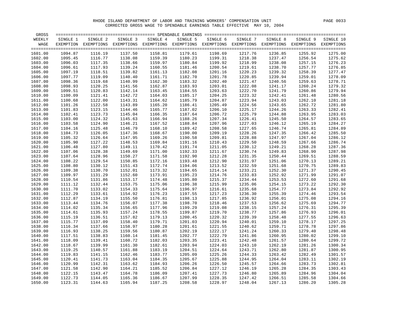| WEEKLY<br>SINGLE 2<br>SINGLE 3<br>SINGLE 4<br>SINGLE 5<br>SINGLE 6<br>SINGLE 7<br>SINGLE 8<br>SINGLE 9<br>SINGLE 10<br>SINGLE 1<br>EXEMPTION EXEMPTIONS EXEMPTIONS EXEMPTIONS EXEMPTIONS EXEMPTIONS EXEMPTIONS EXEMPTIONS EXEMPTIONS EXEMPTIONS<br>WAGE<br>1601.00<br>1094.87<br>1116.19<br>1137.50<br>1158.81<br>1179.61<br>1198.69<br>1217.76<br>1236.85<br>1255.92<br>1275.00<br>1602.00<br>1095.45<br>1116.77<br>1138.08<br>1159.39<br>1180.23<br>1199.31<br>1218.38<br>1237.47<br>1256.54<br>1275.62<br>1218.99<br>1603.00<br>1096.03<br>1117.35<br>1138.66<br>1159.97<br>1180.84<br>1199.92<br>1238.08<br>1257.15<br>1276.23<br>1604.00<br>1096.61<br>1117.93<br>1139.24<br>1160.55<br>1181.46<br>1200.54<br>1219.61<br>1238.70<br>1257.77<br>1276.85<br>1118.51<br>1139.82<br>1161.13<br>1182.08<br>1201.16<br>1220.23<br>1258.39<br>1277.47<br>1605.00<br>1097.19<br>1239.32<br>1606.00<br>1097.77<br>1119.09<br>1140.40<br>1161.71<br>1182.70<br>1201.78<br>1220.85<br>1239.94<br>1259.01<br>1278.09<br>1119.68<br>1140.99<br>1162.30<br>1183.32<br>1221.47<br>1278.71<br>1607.00<br>1098.36<br>1202.40<br>1240.56<br>1259.63<br>1222.08<br>1279.32<br>1608.00<br>1098.93<br>1120.25<br>1141.56<br>1162.87<br>1183.93<br>1203.01<br>1241.17<br>1260.24<br>1609.00<br>1099.51<br>1120.83<br>1142.14<br>1163.45<br>1184.55<br>1203.63<br>1222.70<br>1241.79<br>1260.86<br>1279.94<br>1121.41<br>1280.56<br>1610.00<br>1100.09<br>1142.72<br>1164.03<br>1185.17<br>1204.25<br>1223.32<br>1242.41<br>1261.48<br>1122.00<br>1223.94<br>1281.18<br>1611.00<br>1100.68<br>1143.31<br>1164.62<br>1185.79<br>1204.87<br>1243.03<br>1262.10<br>1122.58<br>1224.56<br>1612.00<br>1101.26<br>1143.89<br>1165.20<br>1186.41<br>1205.49<br>1243.65<br>1262.72<br>1123.15<br>1613.00<br>1101.83<br>1144.46<br>1165.77<br>1187.02<br>1206.10<br>1225.17<br>1244.26<br>1263.33<br>1123.73<br>1225.79<br>1614.00<br>1102.41<br>1145.04<br>1166.35<br>1187.64<br>1206.72<br>1244.88<br>1263.95<br>1124.32<br>1615.00<br>1103.00<br>1145.63<br>1166.94<br>1188.26<br>1207.34<br>1226.41<br>1245.50<br>1264.57<br>1124.90<br>1188.84<br>1227.03<br>1246.12<br>1616.00<br>1103.58<br>1146.21<br>1167.52<br>1207.96<br>1265.19<br>1284.89<br>1617.00<br>1104.16<br>1125.48<br>1146.79<br>1168.10<br>1189.42<br>1208.58<br>1227.65<br>1246.74<br>1265.81<br>1618.00<br>1104.73<br>1126.05<br>1147.36<br>1168.67<br>1190.00<br>1209.19<br>1228.26<br>1247.35<br>1266.42<br>1619.00<br>1105.32<br>1126.64<br>1147.95<br>1190.58<br>1209.81<br>1228.88<br>1247.97<br>1169.26<br>1267.04<br>1127.22<br>1620.00<br>1105.90<br>1169.84<br>1191.16<br>1229.50<br>1248.59<br>1267.66<br>1286.74<br>1148.53<br>1210.43<br>1621.00<br>1127.80<br>1191.74<br>1211.05<br>1230.12<br>1249.21<br>1106.48<br>1149.11<br>1170.42<br>1268.28<br>1128.38<br>1192.33<br>1230.74<br>1287.98<br>1622.00<br>1107.06<br>1149.69<br>1171.00<br>1211.67<br>1249.83<br>1268.90<br>1128.96<br>1171.58<br>1192.90<br>1231.35<br>1288.59<br>1623.00<br>1107.64<br>1150.27<br>1212.28<br>1250.44<br>1269.51<br>1108.22<br>1129.54<br>1150.85<br>1172.16<br>1193.48<br>1212.90<br>1231.97<br>1251.06<br>1624.00<br>1270.13<br>1130.12<br>1172.74<br>1194.06<br>1232.59<br>1251.68<br>1270.75<br>1625.00<br>1108.80<br>1151.43<br>1213.52<br>1130.70<br>1194.65<br>1233.21<br>1252.30<br>1626.00<br>1109.38<br>1152.01<br>1173.32<br>1214.14<br>1271.37<br>1131.29<br>1173.91<br>1195.23<br>1233.83<br>1252.92<br>1291.07<br>1627.00<br>1109.97<br>1152.60<br>1214.76<br>1271.99<br>1131.86<br>1234.44<br>1110.54<br>1174.48<br>1195.80<br>1253.53<br>1272.60<br>1291.68<br>1628.00<br>1153.17<br>1215.37<br>1629.00<br>1111.12<br>1132.44<br>1153.75<br>1175.06<br>1196.38<br>1215.99<br>1235.06<br>1254.15<br>1273.22<br>1133.02<br>1196.97<br>1235.68<br>1254.77<br>1630.00<br>1111.70<br>1154.33<br>1175.64<br>1216.61<br>1273.84<br>1133.61<br>1176.23<br>1197.55<br>1236.30<br>1255.39<br>1631.00<br>1112.29<br>1154.92<br>1217.23<br>1274.46<br>1632.00<br>1112.87<br>1134.19<br>1155.50<br>1176.81<br>1198.13<br>1217.85<br>1236.92<br>1256.01<br>1275.08<br>1134.76<br>1633.00<br>1113.44<br>1156.07<br>1177.38<br>1198.70<br>1218.46<br>1237.53<br>1256.62<br>1275.69<br>1634.00<br>1114.02<br>1135.34<br>1156.65<br>1177.96<br>1199.29<br>1219.08<br>1238.15<br>1257.24<br>1276.31<br>1135.93<br>1178.55<br>1199.87<br>1238.77<br>1257.86<br>1635.00<br>1114.61<br>1157.24<br>1219.70<br>1276.93<br>1136.51<br>1636.00<br>1115.19<br>1157.82<br>1179.13<br>1200.45<br>1220.32<br>1239.39<br>1258.48<br>1277.55<br>1137.09<br>1240.01<br>1637.00<br>1115.77<br>1158.40<br>1179.71<br>1201.03<br>1220.94<br>1259.10<br>1278.17<br>1137.66<br>1201.61<br>1297.86<br>1638.00<br>1116.34<br>1158.97<br>1180.28<br>1221.55<br>1240.62<br>1259.71<br>1278.78<br>1298.48<br>1639.00<br>1116.93<br>1138.25<br>1159.56<br>1180.87<br>1202.19<br>1222.17<br>1241.24<br>1260.33<br>1279.40<br>1640.00<br>1117.51<br>1138.83<br>1160.14<br>1181.45<br>1202.77<br>1222.79<br>1241.86<br>1260.95<br>1280.02<br>1182.03<br>1242.48<br>1641.00<br>1118.09<br>1139.41<br>1160.72<br>1203.35<br>1223.41<br>1261.57<br>1280.64<br>1642.00<br>1118.67<br>1139.99<br>1161.30<br>1182.61<br>1203.94<br>1224.03<br>1243.10<br>1262.19<br>1281.26<br>1643.00<br>1119.25<br>1140.57<br>1161.88<br>1183.19<br>1204.51<br>1224.64<br>1243.71<br>1262.80<br>1281.87<br>1644.00<br>1119.83<br>1141.15<br>1162.46<br>1183.77<br>1205.09<br>1225.26<br>1244.33<br>1263.42<br>1282.49<br>1141.73<br>1645.00<br>1120.41<br>1163.04<br>1184.35<br>1205.67<br>1225.88<br>1244.95<br>1264.04<br>1283.11<br>1142.31<br>1646.00<br>1120.99<br>1163.62<br>1184.93<br>1206.26<br>1226.50<br>1245.57<br>1264.66<br>1283.73<br>1647.00<br>1121.58<br>1142.90<br>1164.21<br>1185.52<br>1206.84<br>1227.12<br>1246.19<br>1265.28<br>1284.35<br>1122.15<br>1143.47<br>1186.09<br>1227.73<br>1246.80<br>1265.89<br>1648.00<br>1164.78<br>1207.41<br>1284.96<br>1207.99<br>1649.00<br>1122.73<br>1144.05<br>1165.36<br>1186.67<br>1228.35<br>1247.42<br>1266.51<br>1285.58<br>1650.00<br>1123.31<br>1144.63<br>1165.94<br>1187.25<br>1208.58<br>1228.97<br>1248.04<br>1267.13<br>1286.20<br>1305.28 | GROSS |  |  |  |  |         |
|-----------------------------------------------------------------------------------------------------------------------------------------------------------------------------------------------------------------------------------------------------------------------------------------------------------------------------------------------------------------------------------------------------------------------------------------------------------------------------------------------------------------------------------------------------------------------------------------------------------------------------------------------------------------------------------------------------------------------------------------------------------------------------------------------------------------------------------------------------------------------------------------------------------------------------------------------------------------------------------------------------------------------------------------------------------------------------------------------------------------------------------------------------------------------------------------------------------------------------------------------------------------------------------------------------------------------------------------------------------------------------------------------------------------------------------------------------------------------------------------------------------------------------------------------------------------------------------------------------------------------------------------------------------------------------------------------------------------------------------------------------------------------------------------------------------------------------------------------------------------------------------------------------------------------------------------------------------------------------------------------------------------------------------------------------------------------------------------------------------------------------------------------------------------------------------------------------------------------------------------------------------------------------------------------------------------------------------------------------------------------------------------------------------------------------------------------------------------------------------------------------------------------------------------------------------------------------------------------------------------------------------------------------------------------------------------------------------------------------------------------------------------------------------------------------------------------------------------------------------------------------------------------------------------------------------------------------------------------------------------------------------------------------------------------------------------------------------------------------------------------------------------------------------------------------------------------------------------------------------------------------------------------------------------------------------------------------------------------------------------------------------------------------------------------------------------------------------------------------------------------------------------------------------------------------------------------------------------------------------------------------------------------------------------------------------------------------------------------------------------------------------------------------------------------------------------------------------------------------------------------------------------------------------------------------------------------------------------------------------------------------------------------------------------------------------------------------------------------------------------------------------------------------------------------------------------------------------------------------------------------------------------------------------------------------------------------------------------------------------------------------------------------------------------------------------------------------------------------------------------------------------------------------------------------------------------------------------------------------------------------------------------------------------------------------------------------------------------------------------------------------------------------------------------------------------------------------------------------------------------------------------------------------------------------------------------------------------------------------------------------------------------------------------------------------------------------------------------------------------------------------------------------------------------------------------------------------------------------------------------------------------------------------------------------------------------------------------------------------------------------------------------------------------------------------------------------------------------------------------------------------------------------------------------------------------------------------------------------------------------------------------------------------------------------------------------------------------------------------------------------------------------------------------------------------------------------------------------------------------------------------------------------------------------------------------------------------------------------------------------------------------------------------------------------------------------------------------------------------------------------------------------------------------------------------------------------------------------|-------|--|--|--|--|---------|
|                                                                                                                                                                                                                                                                                                                                                                                                                                                                                                                                                                                                                                                                                                                                                                                                                                                                                                                                                                                                                                                                                                                                                                                                                                                                                                                                                                                                                                                                                                                                                                                                                                                                                                                                                                                                                                                                                                                                                                                                                                                                                                                                                                                                                                                                                                                                                                                                                                                                                                                                                                                                                                                                                                                                                                                                                                                                                                                                                                                                                                                                                                                                                                                                                                                                                                                                                                                                                                                                                                                                                                                                                                                                                                                                                                                                                                                                                                                                                                                                                                                                                                                                                                                                                                                                                                                                                                                                                                                                                                                                                                                                                                                                                                                                                                                                                                                                                                                                                                                                                                                                                                                                                                                                                                                                                                                                                                                                                                                                                                                                                                                                                                                                                                                                                                                                                                                                                                                                                                                                                                                                                                                                                                                                                 |       |  |  |  |  |         |
|                                                                                                                                                                                                                                                                                                                                                                                                                                                                                                                                                                                                                                                                                                                                                                                                                                                                                                                                                                                                                                                                                                                                                                                                                                                                                                                                                                                                                                                                                                                                                                                                                                                                                                                                                                                                                                                                                                                                                                                                                                                                                                                                                                                                                                                                                                                                                                                                                                                                                                                                                                                                                                                                                                                                                                                                                                                                                                                                                                                                                                                                                                                                                                                                                                                                                                                                                                                                                                                                                                                                                                                                                                                                                                                                                                                                                                                                                                                                                                                                                                                                                                                                                                                                                                                                                                                                                                                                                                                                                                                                                                                                                                                                                                                                                                                                                                                                                                                                                                                                                                                                                                                                                                                                                                                                                                                                                                                                                                                                                                                                                                                                                                                                                                                                                                                                                                                                                                                                                                                                                                                                                                                                                                                                                 |       |  |  |  |  |         |
|                                                                                                                                                                                                                                                                                                                                                                                                                                                                                                                                                                                                                                                                                                                                                                                                                                                                                                                                                                                                                                                                                                                                                                                                                                                                                                                                                                                                                                                                                                                                                                                                                                                                                                                                                                                                                                                                                                                                                                                                                                                                                                                                                                                                                                                                                                                                                                                                                                                                                                                                                                                                                                                                                                                                                                                                                                                                                                                                                                                                                                                                                                                                                                                                                                                                                                                                                                                                                                                                                                                                                                                                                                                                                                                                                                                                                                                                                                                                                                                                                                                                                                                                                                                                                                                                                                                                                                                                                                                                                                                                                                                                                                                                                                                                                                                                                                                                                                                                                                                                                                                                                                                                                                                                                                                                                                                                                                                                                                                                                                                                                                                                                                                                                                                                                                                                                                                                                                                                                                                                                                                                                                                                                                                                                 |       |  |  |  |  |         |
|                                                                                                                                                                                                                                                                                                                                                                                                                                                                                                                                                                                                                                                                                                                                                                                                                                                                                                                                                                                                                                                                                                                                                                                                                                                                                                                                                                                                                                                                                                                                                                                                                                                                                                                                                                                                                                                                                                                                                                                                                                                                                                                                                                                                                                                                                                                                                                                                                                                                                                                                                                                                                                                                                                                                                                                                                                                                                                                                                                                                                                                                                                                                                                                                                                                                                                                                                                                                                                                                                                                                                                                                                                                                                                                                                                                                                                                                                                                                                                                                                                                                                                                                                                                                                                                                                                                                                                                                                                                                                                                                                                                                                                                                                                                                                                                                                                                                                                                                                                                                                                                                                                                                                                                                                                                                                                                                                                                                                                                                                                                                                                                                                                                                                                                                                                                                                                                                                                                                                                                                                                                                                                                                                                                                                 |       |  |  |  |  |         |
|                                                                                                                                                                                                                                                                                                                                                                                                                                                                                                                                                                                                                                                                                                                                                                                                                                                                                                                                                                                                                                                                                                                                                                                                                                                                                                                                                                                                                                                                                                                                                                                                                                                                                                                                                                                                                                                                                                                                                                                                                                                                                                                                                                                                                                                                                                                                                                                                                                                                                                                                                                                                                                                                                                                                                                                                                                                                                                                                                                                                                                                                                                                                                                                                                                                                                                                                                                                                                                                                                                                                                                                                                                                                                                                                                                                                                                                                                                                                                                                                                                                                                                                                                                                                                                                                                                                                                                                                                                                                                                                                                                                                                                                                                                                                                                                                                                                                                                                                                                                                                                                                                                                                                                                                                                                                                                                                                                                                                                                                                                                                                                                                                                                                                                                                                                                                                                                                                                                                                                                                                                                                                                                                                                                                                 |       |  |  |  |  |         |
|                                                                                                                                                                                                                                                                                                                                                                                                                                                                                                                                                                                                                                                                                                                                                                                                                                                                                                                                                                                                                                                                                                                                                                                                                                                                                                                                                                                                                                                                                                                                                                                                                                                                                                                                                                                                                                                                                                                                                                                                                                                                                                                                                                                                                                                                                                                                                                                                                                                                                                                                                                                                                                                                                                                                                                                                                                                                                                                                                                                                                                                                                                                                                                                                                                                                                                                                                                                                                                                                                                                                                                                                                                                                                                                                                                                                                                                                                                                                                                                                                                                                                                                                                                                                                                                                                                                                                                                                                                                                                                                                                                                                                                                                                                                                                                                                                                                                                                                                                                                                                                                                                                                                                                                                                                                                                                                                                                                                                                                                                                                                                                                                                                                                                                                                                                                                                                                                                                                                                                                                                                                                                                                                                                                                                 |       |  |  |  |  |         |
|                                                                                                                                                                                                                                                                                                                                                                                                                                                                                                                                                                                                                                                                                                                                                                                                                                                                                                                                                                                                                                                                                                                                                                                                                                                                                                                                                                                                                                                                                                                                                                                                                                                                                                                                                                                                                                                                                                                                                                                                                                                                                                                                                                                                                                                                                                                                                                                                                                                                                                                                                                                                                                                                                                                                                                                                                                                                                                                                                                                                                                                                                                                                                                                                                                                                                                                                                                                                                                                                                                                                                                                                                                                                                                                                                                                                                                                                                                                                                                                                                                                                                                                                                                                                                                                                                                                                                                                                                                                                                                                                                                                                                                                                                                                                                                                                                                                                                                                                                                                                                                                                                                                                                                                                                                                                                                                                                                                                                                                                                                                                                                                                                                                                                                                                                                                                                                                                                                                                                                                                                                                                                                                                                                                                                 |       |  |  |  |  |         |
|                                                                                                                                                                                                                                                                                                                                                                                                                                                                                                                                                                                                                                                                                                                                                                                                                                                                                                                                                                                                                                                                                                                                                                                                                                                                                                                                                                                                                                                                                                                                                                                                                                                                                                                                                                                                                                                                                                                                                                                                                                                                                                                                                                                                                                                                                                                                                                                                                                                                                                                                                                                                                                                                                                                                                                                                                                                                                                                                                                                                                                                                                                                                                                                                                                                                                                                                                                                                                                                                                                                                                                                                                                                                                                                                                                                                                                                                                                                                                                                                                                                                                                                                                                                                                                                                                                                                                                                                                                                                                                                                                                                                                                                                                                                                                                                                                                                                                                                                                                                                                                                                                                                                                                                                                                                                                                                                                                                                                                                                                                                                                                                                                                                                                                                                                                                                                                                                                                                                                                                                                                                                                                                                                                                                                 |       |  |  |  |  |         |
|                                                                                                                                                                                                                                                                                                                                                                                                                                                                                                                                                                                                                                                                                                                                                                                                                                                                                                                                                                                                                                                                                                                                                                                                                                                                                                                                                                                                                                                                                                                                                                                                                                                                                                                                                                                                                                                                                                                                                                                                                                                                                                                                                                                                                                                                                                                                                                                                                                                                                                                                                                                                                                                                                                                                                                                                                                                                                                                                                                                                                                                                                                                                                                                                                                                                                                                                                                                                                                                                                                                                                                                                                                                                                                                                                                                                                                                                                                                                                                                                                                                                                                                                                                                                                                                                                                                                                                                                                                                                                                                                                                                                                                                                                                                                                                                                                                                                                                                                                                                                                                                                                                                                                                                                                                                                                                                                                                                                                                                                                                                                                                                                                                                                                                                                                                                                                                                                                                                                                                                                                                                                                                                                                                                                                 |       |  |  |  |  |         |
|                                                                                                                                                                                                                                                                                                                                                                                                                                                                                                                                                                                                                                                                                                                                                                                                                                                                                                                                                                                                                                                                                                                                                                                                                                                                                                                                                                                                                                                                                                                                                                                                                                                                                                                                                                                                                                                                                                                                                                                                                                                                                                                                                                                                                                                                                                                                                                                                                                                                                                                                                                                                                                                                                                                                                                                                                                                                                                                                                                                                                                                                                                                                                                                                                                                                                                                                                                                                                                                                                                                                                                                                                                                                                                                                                                                                                                                                                                                                                                                                                                                                                                                                                                                                                                                                                                                                                                                                                                                                                                                                                                                                                                                                                                                                                                                                                                                                                                                                                                                                                                                                                                                                                                                                                                                                                                                                                                                                                                                                                                                                                                                                                                                                                                                                                                                                                                                                                                                                                                                                                                                                                                                                                                                                                 |       |  |  |  |  |         |
|                                                                                                                                                                                                                                                                                                                                                                                                                                                                                                                                                                                                                                                                                                                                                                                                                                                                                                                                                                                                                                                                                                                                                                                                                                                                                                                                                                                                                                                                                                                                                                                                                                                                                                                                                                                                                                                                                                                                                                                                                                                                                                                                                                                                                                                                                                                                                                                                                                                                                                                                                                                                                                                                                                                                                                                                                                                                                                                                                                                                                                                                                                                                                                                                                                                                                                                                                                                                                                                                                                                                                                                                                                                                                                                                                                                                                                                                                                                                                                                                                                                                                                                                                                                                                                                                                                                                                                                                                                                                                                                                                                                                                                                                                                                                                                                                                                                                                                                                                                                                                                                                                                                                                                                                                                                                                                                                                                                                                                                                                                                                                                                                                                                                                                                                                                                                                                                                                                                                                                                                                                                                                                                                                                                                                 |       |  |  |  |  |         |
|                                                                                                                                                                                                                                                                                                                                                                                                                                                                                                                                                                                                                                                                                                                                                                                                                                                                                                                                                                                                                                                                                                                                                                                                                                                                                                                                                                                                                                                                                                                                                                                                                                                                                                                                                                                                                                                                                                                                                                                                                                                                                                                                                                                                                                                                                                                                                                                                                                                                                                                                                                                                                                                                                                                                                                                                                                                                                                                                                                                                                                                                                                                                                                                                                                                                                                                                                                                                                                                                                                                                                                                                                                                                                                                                                                                                                                                                                                                                                                                                                                                                                                                                                                                                                                                                                                                                                                                                                                                                                                                                                                                                                                                                                                                                                                                                                                                                                                                                                                                                                                                                                                                                                                                                                                                                                                                                                                                                                                                                                                                                                                                                                                                                                                                                                                                                                                                                                                                                                                                                                                                                                                                                                                                                                 |       |  |  |  |  |         |
|                                                                                                                                                                                                                                                                                                                                                                                                                                                                                                                                                                                                                                                                                                                                                                                                                                                                                                                                                                                                                                                                                                                                                                                                                                                                                                                                                                                                                                                                                                                                                                                                                                                                                                                                                                                                                                                                                                                                                                                                                                                                                                                                                                                                                                                                                                                                                                                                                                                                                                                                                                                                                                                                                                                                                                                                                                                                                                                                                                                                                                                                                                                                                                                                                                                                                                                                                                                                                                                                                                                                                                                                                                                                                                                                                                                                                                                                                                                                                                                                                                                                                                                                                                                                                                                                                                                                                                                                                                                                                                                                                                                                                                                                                                                                                                                                                                                                                                                                                                                                                                                                                                                                                                                                                                                                                                                                                                                                                                                                                                                                                                                                                                                                                                                                                                                                                                                                                                                                                                                                                                                                                                                                                                                                                 |       |  |  |  |  |         |
|                                                                                                                                                                                                                                                                                                                                                                                                                                                                                                                                                                                                                                                                                                                                                                                                                                                                                                                                                                                                                                                                                                                                                                                                                                                                                                                                                                                                                                                                                                                                                                                                                                                                                                                                                                                                                                                                                                                                                                                                                                                                                                                                                                                                                                                                                                                                                                                                                                                                                                                                                                                                                                                                                                                                                                                                                                                                                                                                                                                                                                                                                                                                                                                                                                                                                                                                                                                                                                                                                                                                                                                                                                                                                                                                                                                                                                                                                                                                                                                                                                                                                                                                                                                                                                                                                                                                                                                                                                                                                                                                                                                                                                                                                                                                                                                                                                                                                                                                                                                                                                                                                                                                                                                                                                                                                                                                                                                                                                                                                                                                                                                                                                                                                                                                                                                                                                                                                                                                                                                                                                                                                                                                                                                                                 |       |  |  |  |  |         |
|                                                                                                                                                                                                                                                                                                                                                                                                                                                                                                                                                                                                                                                                                                                                                                                                                                                                                                                                                                                                                                                                                                                                                                                                                                                                                                                                                                                                                                                                                                                                                                                                                                                                                                                                                                                                                                                                                                                                                                                                                                                                                                                                                                                                                                                                                                                                                                                                                                                                                                                                                                                                                                                                                                                                                                                                                                                                                                                                                                                                                                                                                                                                                                                                                                                                                                                                                                                                                                                                                                                                                                                                                                                                                                                                                                                                                                                                                                                                                                                                                                                                                                                                                                                                                                                                                                                                                                                                                                                                                                                                                                                                                                                                                                                                                                                                                                                                                                                                                                                                                                                                                                                                                                                                                                                                                                                                                                                                                                                                                                                                                                                                                                                                                                                                                                                                                                                                                                                                                                                                                                                                                                                                                                                                                 |       |  |  |  |  | 1281.80 |
|                                                                                                                                                                                                                                                                                                                                                                                                                                                                                                                                                                                                                                                                                                                                                                                                                                                                                                                                                                                                                                                                                                                                                                                                                                                                                                                                                                                                                                                                                                                                                                                                                                                                                                                                                                                                                                                                                                                                                                                                                                                                                                                                                                                                                                                                                                                                                                                                                                                                                                                                                                                                                                                                                                                                                                                                                                                                                                                                                                                                                                                                                                                                                                                                                                                                                                                                                                                                                                                                                                                                                                                                                                                                                                                                                                                                                                                                                                                                                                                                                                                                                                                                                                                                                                                                                                                                                                                                                                                                                                                                                                                                                                                                                                                                                                                                                                                                                                                                                                                                                                                                                                                                                                                                                                                                                                                                                                                                                                                                                                                                                                                                                                                                                                                                                                                                                                                                                                                                                                                                                                                                                                                                                                                                                 |       |  |  |  |  | 1282.41 |
|                                                                                                                                                                                                                                                                                                                                                                                                                                                                                                                                                                                                                                                                                                                                                                                                                                                                                                                                                                                                                                                                                                                                                                                                                                                                                                                                                                                                                                                                                                                                                                                                                                                                                                                                                                                                                                                                                                                                                                                                                                                                                                                                                                                                                                                                                                                                                                                                                                                                                                                                                                                                                                                                                                                                                                                                                                                                                                                                                                                                                                                                                                                                                                                                                                                                                                                                                                                                                                                                                                                                                                                                                                                                                                                                                                                                                                                                                                                                                                                                                                                                                                                                                                                                                                                                                                                                                                                                                                                                                                                                                                                                                                                                                                                                                                                                                                                                                                                                                                                                                                                                                                                                                                                                                                                                                                                                                                                                                                                                                                                                                                                                                                                                                                                                                                                                                                                                                                                                                                                                                                                                                                                                                                                                                 |       |  |  |  |  | 1283.03 |
|                                                                                                                                                                                                                                                                                                                                                                                                                                                                                                                                                                                                                                                                                                                                                                                                                                                                                                                                                                                                                                                                                                                                                                                                                                                                                                                                                                                                                                                                                                                                                                                                                                                                                                                                                                                                                                                                                                                                                                                                                                                                                                                                                                                                                                                                                                                                                                                                                                                                                                                                                                                                                                                                                                                                                                                                                                                                                                                                                                                                                                                                                                                                                                                                                                                                                                                                                                                                                                                                                                                                                                                                                                                                                                                                                                                                                                                                                                                                                                                                                                                                                                                                                                                                                                                                                                                                                                                                                                                                                                                                                                                                                                                                                                                                                                                                                                                                                                                                                                                                                                                                                                                                                                                                                                                                                                                                                                                                                                                                                                                                                                                                                                                                                                                                                                                                                                                                                                                                                                                                                                                                                                                                                                                                                 |       |  |  |  |  | 1283.65 |
|                                                                                                                                                                                                                                                                                                                                                                                                                                                                                                                                                                                                                                                                                                                                                                                                                                                                                                                                                                                                                                                                                                                                                                                                                                                                                                                                                                                                                                                                                                                                                                                                                                                                                                                                                                                                                                                                                                                                                                                                                                                                                                                                                                                                                                                                                                                                                                                                                                                                                                                                                                                                                                                                                                                                                                                                                                                                                                                                                                                                                                                                                                                                                                                                                                                                                                                                                                                                                                                                                                                                                                                                                                                                                                                                                                                                                                                                                                                                                                                                                                                                                                                                                                                                                                                                                                                                                                                                                                                                                                                                                                                                                                                                                                                                                                                                                                                                                                                                                                                                                                                                                                                                                                                                                                                                                                                                                                                                                                                                                                                                                                                                                                                                                                                                                                                                                                                                                                                                                                                                                                                                                                                                                                                                                 |       |  |  |  |  | 1284.27 |
|                                                                                                                                                                                                                                                                                                                                                                                                                                                                                                                                                                                                                                                                                                                                                                                                                                                                                                                                                                                                                                                                                                                                                                                                                                                                                                                                                                                                                                                                                                                                                                                                                                                                                                                                                                                                                                                                                                                                                                                                                                                                                                                                                                                                                                                                                                                                                                                                                                                                                                                                                                                                                                                                                                                                                                                                                                                                                                                                                                                                                                                                                                                                                                                                                                                                                                                                                                                                                                                                                                                                                                                                                                                                                                                                                                                                                                                                                                                                                                                                                                                                                                                                                                                                                                                                                                                                                                                                                                                                                                                                                                                                                                                                                                                                                                                                                                                                                                                                                                                                                                                                                                                                                                                                                                                                                                                                                                                                                                                                                                                                                                                                                                                                                                                                                                                                                                                                                                                                                                                                                                                                                                                                                                                                                 |       |  |  |  |  |         |
|                                                                                                                                                                                                                                                                                                                                                                                                                                                                                                                                                                                                                                                                                                                                                                                                                                                                                                                                                                                                                                                                                                                                                                                                                                                                                                                                                                                                                                                                                                                                                                                                                                                                                                                                                                                                                                                                                                                                                                                                                                                                                                                                                                                                                                                                                                                                                                                                                                                                                                                                                                                                                                                                                                                                                                                                                                                                                                                                                                                                                                                                                                                                                                                                                                                                                                                                                                                                                                                                                                                                                                                                                                                                                                                                                                                                                                                                                                                                                                                                                                                                                                                                                                                                                                                                                                                                                                                                                                                                                                                                                                                                                                                                                                                                                                                                                                                                                                                                                                                                                                                                                                                                                                                                                                                                                                                                                                                                                                                                                                                                                                                                                                                                                                                                                                                                                                                                                                                                                                                                                                                                                                                                                                                                                 |       |  |  |  |  | 1285.50 |
|                                                                                                                                                                                                                                                                                                                                                                                                                                                                                                                                                                                                                                                                                                                                                                                                                                                                                                                                                                                                                                                                                                                                                                                                                                                                                                                                                                                                                                                                                                                                                                                                                                                                                                                                                                                                                                                                                                                                                                                                                                                                                                                                                                                                                                                                                                                                                                                                                                                                                                                                                                                                                                                                                                                                                                                                                                                                                                                                                                                                                                                                                                                                                                                                                                                                                                                                                                                                                                                                                                                                                                                                                                                                                                                                                                                                                                                                                                                                                                                                                                                                                                                                                                                                                                                                                                                                                                                                                                                                                                                                                                                                                                                                                                                                                                                                                                                                                                                                                                                                                                                                                                                                                                                                                                                                                                                                                                                                                                                                                                                                                                                                                                                                                                                                                                                                                                                                                                                                                                                                                                                                                                                                                                                                                 |       |  |  |  |  | 1286.12 |
|                                                                                                                                                                                                                                                                                                                                                                                                                                                                                                                                                                                                                                                                                                                                                                                                                                                                                                                                                                                                                                                                                                                                                                                                                                                                                                                                                                                                                                                                                                                                                                                                                                                                                                                                                                                                                                                                                                                                                                                                                                                                                                                                                                                                                                                                                                                                                                                                                                                                                                                                                                                                                                                                                                                                                                                                                                                                                                                                                                                                                                                                                                                                                                                                                                                                                                                                                                                                                                                                                                                                                                                                                                                                                                                                                                                                                                                                                                                                                                                                                                                                                                                                                                                                                                                                                                                                                                                                                                                                                                                                                                                                                                                                                                                                                                                                                                                                                                                                                                                                                                                                                                                                                                                                                                                                                                                                                                                                                                                                                                                                                                                                                                                                                                                                                                                                                                                                                                                                                                                                                                                                                                                                                                                                                 |       |  |  |  |  |         |
|                                                                                                                                                                                                                                                                                                                                                                                                                                                                                                                                                                                                                                                                                                                                                                                                                                                                                                                                                                                                                                                                                                                                                                                                                                                                                                                                                                                                                                                                                                                                                                                                                                                                                                                                                                                                                                                                                                                                                                                                                                                                                                                                                                                                                                                                                                                                                                                                                                                                                                                                                                                                                                                                                                                                                                                                                                                                                                                                                                                                                                                                                                                                                                                                                                                                                                                                                                                                                                                                                                                                                                                                                                                                                                                                                                                                                                                                                                                                                                                                                                                                                                                                                                                                                                                                                                                                                                                                                                                                                                                                                                                                                                                                                                                                                                                                                                                                                                                                                                                                                                                                                                                                                                                                                                                                                                                                                                                                                                                                                                                                                                                                                                                                                                                                                                                                                                                                                                                                                                                                                                                                                                                                                                                                                 |       |  |  |  |  | 1287.36 |
|                                                                                                                                                                                                                                                                                                                                                                                                                                                                                                                                                                                                                                                                                                                                                                                                                                                                                                                                                                                                                                                                                                                                                                                                                                                                                                                                                                                                                                                                                                                                                                                                                                                                                                                                                                                                                                                                                                                                                                                                                                                                                                                                                                                                                                                                                                                                                                                                                                                                                                                                                                                                                                                                                                                                                                                                                                                                                                                                                                                                                                                                                                                                                                                                                                                                                                                                                                                                                                                                                                                                                                                                                                                                                                                                                                                                                                                                                                                                                                                                                                                                                                                                                                                                                                                                                                                                                                                                                                                                                                                                                                                                                                                                                                                                                                                                                                                                                                                                                                                                                                                                                                                                                                                                                                                                                                                                                                                                                                                                                                                                                                                                                                                                                                                                                                                                                                                                                                                                                                                                                                                                                                                                                                                                                 |       |  |  |  |  |         |
|                                                                                                                                                                                                                                                                                                                                                                                                                                                                                                                                                                                                                                                                                                                                                                                                                                                                                                                                                                                                                                                                                                                                                                                                                                                                                                                                                                                                                                                                                                                                                                                                                                                                                                                                                                                                                                                                                                                                                                                                                                                                                                                                                                                                                                                                                                                                                                                                                                                                                                                                                                                                                                                                                                                                                                                                                                                                                                                                                                                                                                                                                                                                                                                                                                                                                                                                                                                                                                                                                                                                                                                                                                                                                                                                                                                                                                                                                                                                                                                                                                                                                                                                                                                                                                                                                                                                                                                                                                                                                                                                                                                                                                                                                                                                                                                                                                                                                                                                                                                                                                                                                                                                                                                                                                                                                                                                                                                                                                                                                                                                                                                                                                                                                                                                                                                                                                                                                                                                                                                                                                                                                                                                                                                                                 |       |  |  |  |  |         |
|                                                                                                                                                                                                                                                                                                                                                                                                                                                                                                                                                                                                                                                                                                                                                                                                                                                                                                                                                                                                                                                                                                                                                                                                                                                                                                                                                                                                                                                                                                                                                                                                                                                                                                                                                                                                                                                                                                                                                                                                                                                                                                                                                                                                                                                                                                                                                                                                                                                                                                                                                                                                                                                                                                                                                                                                                                                                                                                                                                                                                                                                                                                                                                                                                                                                                                                                                                                                                                                                                                                                                                                                                                                                                                                                                                                                                                                                                                                                                                                                                                                                                                                                                                                                                                                                                                                                                                                                                                                                                                                                                                                                                                                                                                                                                                                                                                                                                                                                                                                                                                                                                                                                                                                                                                                                                                                                                                                                                                                                                                                                                                                                                                                                                                                                                                                                                                                                                                                                                                                                                                                                                                                                                                                                                 |       |  |  |  |  | 1289.21 |
|                                                                                                                                                                                                                                                                                                                                                                                                                                                                                                                                                                                                                                                                                                                                                                                                                                                                                                                                                                                                                                                                                                                                                                                                                                                                                                                                                                                                                                                                                                                                                                                                                                                                                                                                                                                                                                                                                                                                                                                                                                                                                                                                                                                                                                                                                                                                                                                                                                                                                                                                                                                                                                                                                                                                                                                                                                                                                                                                                                                                                                                                                                                                                                                                                                                                                                                                                                                                                                                                                                                                                                                                                                                                                                                                                                                                                                                                                                                                                                                                                                                                                                                                                                                                                                                                                                                                                                                                                                                                                                                                                                                                                                                                                                                                                                                                                                                                                                                                                                                                                                                                                                                                                                                                                                                                                                                                                                                                                                                                                                                                                                                                                                                                                                                                                                                                                                                                                                                                                                                                                                                                                                                                                                                                                 |       |  |  |  |  | 1289.83 |
|                                                                                                                                                                                                                                                                                                                                                                                                                                                                                                                                                                                                                                                                                                                                                                                                                                                                                                                                                                                                                                                                                                                                                                                                                                                                                                                                                                                                                                                                                                                                                                                                                                                                                                                                                                                                                                                                                                                                                                                                                                                                                                                                                                                                                                                                                                                                                                                                                                                                                                                                                                                                                                                                                                                                                                                                                                                                                                                                                                                                                                                                                                                                                                                                                                                                                                                                                                                                                                                                                                                                                                                                                                                                                                                                                                                                                                                                                                                                                                                                                                                                                                                                                                                                                                                                                                                                                                                                                                                                                                                                                                                                                                                                                                                                                                                                                                                                                                                                                                                                                                                                                                                                                                                                                                                                                                                                                                                                                                                                                                                                                                                                                                                                                                                                                                                                                                                                                                                                                                                                                                                                                                                                                                                                                 |       |  |  |  |  | 1290.45 |
|                                                                                                                                                                                                                                                                                                                                                                                                                                                                                                                                                                                                                                                                                                                                                                                                                                                                                                                                                                                                                                                                                                                                                                                                                                                                                                                                                                                                                                                                                                                                                                                                                                                                                                                                                                                                                                                                                                                                                                                                                                                                                                                                                                                                                                                                                                                                                                                                                                                                                                                                                                                                                                                                                                                                                                                                                                                                                                                                                                                                                                                                                                                                                                                                                                                                                                                                                                                                                                                                                                                                                                                                                                                                                                                                                                                                                                                                                                                                                                                                                                                                                                                                                                                                                                                                                                                                                                                                                                                                                                                                                                                                                                                                                                                                                                                                                                                                                                                                                                                                                                                                                                                                                                                                                                                                                                                                                                                                                                                                                                                                                                                                                                                                                                                                                                                                                                                                                                                                                                                                                                                                                                                                                                                                                 |       |  |  |  |  |         |
|                                                                                                                                                                                                                                                                                                                                                                                                                                                                                                                                                                                                                                                                                                                                                                                                                                                                                                                                                                                                                                                                                                                                                                                                                                                                                                                                                                                                                                                                                                                                                                                                                                                                                                                                                                                                                                                                                                                                                                                                                                                                                                                                                                                                                                                                                                                                                                                                                                                                                                                                                                                                                                                                                                                                                                                                                                                                                                                                                                                                                                                                                                                                                                                                                                                                                                                                                                                                                                                                                                                                                                                                                                                                                                                                                                                                                                                                                                                                                                                                                                                                                                                                                                                                                                                                                                                                                                                                                                                                                                                                                                                                                                                                                                                                                                                                                                                                                                                                                                                                                                                                                                                                                                                                                                                                                                                                                                                                                                                                                                                                                                                                                                                                                                                                                                                                                                                                                                                                                                                                                                                                                                                                                                                                                 |       |  |  |  |  |         |
|                                                                                                                                                                                                                                                                                                                                                                                                                                                                                                                                                                                                                                                                                                                                                                                                                                                                                                                                                                                                                                                                                                                                                                                                                                                                                                                                                                                                                                                                                                                                                                                                                                                                                                                                                                                                                                                                                                                                                                                                                                                                                                                                                                                                                                                                                                                                                                                                                                                                                                                                                                                                                                                                                                                                                                                                                                                                                                                                                                                                                                                                                                                                                                                                                                                                                                                                                                                                                                                                                                                                                                                                                                                                                                                                                                                                                                                                                                                                                                                                                                                                                                                                                                                                                                                                                                                                                                                                                                                                                                                                                                                                                                                                                                                                                                                                                                                                                                                                                                                                                                                                                                                                                                                                                                                                                                                                                                                                                                                                                                                                                                                                                                                                                                                                                                                                                                                                                                                                                                                                                                                                                                                                                                                                                 |       |  |  |  |  | 1292.30 |
|                                                                                                                                                                                                                                                                                                                                                                                                                                                                                                                                                                                                                                                                                                                                                                                                                                                                                                                                                                                                                                                                                                                                                                                                                                                                                                                                                                                                                                                                                                                                                                                                                                                                                                                                                                                                                                                                                                                                                                                                                                                                                                                                                                                                                                                                                                                                                                                                                                                                                                                                                                                                                                                                                                                                                                                                                                                                                                                                                                                                                                                                                                                                                                                                                                                                                                                                                                                                                                                                                                                                                                                                                                                                                                                                                                                                                                                                                                                                                                                                                                                                                                                                                                                                                                                                                                                                                                                                                                                                                                                                                                                                                                                                                                                                                                                                                                                                                                                                                                                                                                                                                                                                                                                                                                                                                                                                                                                                                                                                                                                                                                                                                                                                                                                                                                                                                                                                                                                                                                                                                                                                                                                                                                                                                 |       |  |  |  |  | 1292.92 |
|                                                                                                                                                                                                                                                                                                                                                                                                                                                                                                                                                                                                                                                                                                                                                                                                                                                                                                                                                                                                                                                                                                                                                                                                                                                                                                                                                                                                                                                                                                                                                                                                                                                                                                                                                                                                                                                                                                                                                                                                                                                                                                                                                                                                                                                                                                                                                                                                                                                                                                                                                                                                                                                                                                                                                                                                                                                                                                                                                                                                                                                                                                                                                                                                                                                                                                                                                                                                                                                                                                                                                                                                                                                                                                                                                                                                                                                                                                                                                                                                                                                                                                                                                                                                                                                                                                                                                                                                                                                                                                                                                                                                                                                                                                                                                                                                                                                                                                                                                                                                                                                                                                                                                                                                                                                                                                                                                                                                                                                                                                                                                                                                                                                                                                                                                                                                                                                                                                                                                                                                                                                                                                                                                                                                                 |       |  |  |  |  | 1293.54 |
|                                                                                                                                                                                                                                                                                                                                                                                                                                                                                                                                                                                                                                                                                                                                                                                                                                                                                                                                                                                                                                                                                                                                                                                                                                                                                                                                                                                                                                                                                                                                                                                                                                                                                                                                                                                                                                                                                                                                                                                                                                                                                                                                                                                                                                                                                                                                                                                                                                                                                                                                                                                                                                                                                                                                                                                                                                                                                                                                                                                                                                                                                                                                                                                                                                                                                                                                                                                                                                                                                                                                                                                                                                                                                                                                                                                                                                                                                                                                                                                                                                                                                                                                                                                                                                                                                                                                                                                                                                                                                                                                                                                                                                                                                                                                                                                                                                                                                                                                                                                                                                                                                                                                                                                                                                                                                                                                                                                                                                                                                                                                                                                                                                                                                                                                                                                                                                                                                                                                                                                                                                                                                                                                                                                                                 |       |  |  |  |  | 1294.16 |
|                                                                                                                                                                                                                                                                                                                                                                                                                                                                                                                                                                                                                                                                                                                                                                                                                                                                                                                                                                                                                                                                                                                                                                                                                                                                                                                                                                                                                                                                                                                                                                                                                                                                                                                                                                                                                                                                                                                                                                                                                                                                                                                                                                                                                                                                                                                                                                                                                                                                                                                                                                                                                                                                                                                                                                                                                                                                                                                                                                                                                                                                                                                                                                                                                                                                                                                                                                                                                                                                                                                                                                                                                                                                                                                                                                                                                                                                                                                                                                                                                                                                                                                                                                                                                                                                                                                                                                                                                                                                                                                                                                                                                                                                                                                                                                                                                                                                                                                                                                                                                                                                                                                                                                                                                                                                                                                                                                                                                                                                                                                                                                                                                                                                                                                                                                                                                                                                                                                                                                                                                                                                                                                                                                                                                 |       |  |  |  |  | 1294.77 |
|                                                                                                                                                                                                                                                                                                                                                                                                                                                                                                                                                                                                                                                                                                                                                                                                                                                                                                                                                                                                                                                                                                                                                                                                                                                                                                                                                                                                                                                                                                                                                                                                                                                                                                                                                                                                                                                                                                                                                                                                                                                                                                                                                                                                                                                                                                                                                                                                                                                                                                                                                                                                                                                                                                                                                                                                                                                                                                                                                                                                                                                                                                                                                                                                                                                                                                                                                                                                                                                                                                                                                                                                                                                                                                                                                                                                                                                                                                                                                                                                                                                                                                                                                                                                                                                                                                                                                                                                                                                                                                                                                                                                                                                                                                                                                                                                                                                                                                                                                                                                                                                                                                                                                                                                                                                                                                                                                                                                                                                                                                                                                                                                                                                                                                                                                                                                                                                                                                                                                                                                                                                                                                                                                                                                                 |       |  |  |  |  | 1295.39 |
|                                                                                                                                                                                                                                                                                                                                                                                                                                                                                                                                                                                                                                                                                                                                                                                                                                                                                                                                                                                                                                                                                                                                                                                                                                                                                                                                                                                                                                                                                                                                                                                                                                                                                                                                                                                                                                                                                                                                                                                                                                                                                                                                                                                                                                                                                                                                                                                                                                                                                                                                                                                                                                                                                                                                                                                                                                                                                                                                                                                                                                                                                                                                                                                                                                                                                                                                                                                                                                                                                                                                                                                                                                                                                                                                                                                                                                                                                                                                                                                                                                                                                                                                                                                                                                                                                                                                                                                                                                                                                                                                                                                                                                                                                                                                                                                                                                                                                                                                                                                                                                                                                                                                                                                                                                                                                                                                                                                                                                                                                                                                                                                                                                                                                                                                                                                                                                                                                                                                                                                                                                                                                                                                                                                                                 |       |  |  |  |  | 1296.01 |
|                                                                                                                                                                                                                                                                                                                                                                                                                                                                                                                                                                                                                                                                                                                                                                                                                                                                                                                                                                                                                                                                                                                                                                                                                                                                                                                                                                                                                                                                                                                                                                                                                                                                                                                                                                                                                                                                                                                                                                                                                                                                                                                                                                                                                                                                                                                                                                                                                                                                                                                                                                                                                                                                                                                                                                                                                                                                                                                                                                                                                                                                                                                                                                                                                                                                                                                                                                                                                                                                                                                                                                                                                                                                                                                                                                                                                                                                                                                                                                                                                                                                                                                                                                                                                                                                                                                                                                                                                                                                                                                                                                                                                                                                                                                                                                                                                                                                                                                                                                                                                                                                                                                                                                                                                                                                                                                                                                                                                                                                                                                                                                                                                                                                                                                                                                                                                                                                                                                                                                                                                                                                                                                                                                                                                 |       |  |  |  |  | 1296.63 |
|                                                                                                                                                                                                                                                                                                                                                                                                                                                                                                                                                                                                                                                                                                                                                                                                                                                                                                                                                                                                                                                                                                                                                                                                                                                                                                                                                                                                                                                                                                                                                                                                                                                                                                                                                                                                                                                                                                                                                                                                                                                                                                                                                                                                                                                                                                                                                                                                                                                                                                                                                                                                                                                                                                                                                                                                                                                                                                                                                                                                                                                                                                                                                                                                                                                                                                                                                                                                                                                                                                                                                                                                                                                                                                                                                                                                                                                                                                                                                                                                                                                                                                                                                                                                                                                                                                                                                                                                                                                                                                                                                                                                                                                                                                                                                                                                                                                                                                                                                                                                                                                                                                                                                                                                                                                                                                                                                                                                                                                                                                                                                                                                                                                                                                                                                                                                                                                                                                                                                                                                                                                                                                                                                                                                                 |       |  |  |  |  | 1297.25 |
|                                                                                                                                                                                                                                                                                                                                                                                                                                                                                                                                                                                                                                                                                                                                                                                                                                                                                                                                                                                                                                                                                                                                                                                                                                                                                                                                                                                                                                                                                                                                                                                                                                                                                                                                                                                                                                                                                                                                                                                                                                                                                                                                                                                                                                                                                                                                                                                                                                                                                                                                                                                                                                                                                                                                                                                                                                                                                                                                                                                                                                                                                                                                                                                                                                                                                                                                                                                                                                                                                                                                                                                                                                                                                                                                                                                                                                                                                                                                                                                                                                                                                                                                                                                                                                                                                                                                                                                                                                                                                                                                                                                                                                                                                                                                                                                                                                                                                                                                                                                                                                                                                                                                                                                                                                                                                                                                                                                                                                                                                                                                                                                                                                                                                                                                                                                                                                                                                                                                                                                                                                                                                                                                                                                                                 |       |  |  |  |  |         |
|                                                                                                                                                                                                                                                                                                                                                                                                                                                                                                                                                                                                                                                                                                                                                                                                                                                                                                                                                                                                                                                                                                                                                                                                                                                                                                                                                                                                                                                                                                                                                                                                                                                                                                                                                                                                                                                                                                                                                                                                                                                                                                                                                                                                                                                                                                                                                                                                                                                                                                                                                                                                                                                                                                                                                                                                                                                                                                                                                                                                                                                                                                                                                                                                                                                                                                                                                                                                                                                                                                                                                                                                                                                                                                                                                                                                                                                                                                                                                                                                                                                                                                                                                                                                                                                                                                                                                                                                                                                                                                                                                                                                                                                                                                                                                                                                                                                                                                                                                                                                                                                                                                                                                                                                                                                                                                                                                                                                                                                                                                                                                                                                                                                                                                                                                                                                                                                                                                                                                                                                                                                                                                                                                                                                                 |       |  |  |  |  |         |
|                                                                                                                                                                                                                                                                                                                                                                                                                                                                                                                                                                                                                                                                                                                                                                                                                                                                                                                                                                                                                                                                                                                                                                                                                                                                                                                                                                                                                                                                                                                                                                                                                                                                                                                                                                                                                                                                                                                                                                                                                                                                                                                                                                                                                                                                                                                                                                                                                                                                                                                                                                                                                                                                                                                                                                                                                                                                                                                                                                                                                                                                                                                                                                                                                                                                                                                                                                                                                                                                                                                                                                                                                                                                                                                                                                                                                                                                                                                                                                                                                                                                                                                                                                                                                                                                                                                                                                                                                                                                                                                                                                                                                                                                                                                                                                                                                                                                                                                                                                                                                                                                                                                                                                                                                                                                                                                                                                                                                                                                                                                                                                                                                                                                                                                                                                                                                                                                                                                                                                                                                                                                                                                                                                                                                 |       |  |  |  |  | 1299.10 |
|                                                                                                                                                                                                                                                                                                                                                                                                                                                                                                                                                                                                                                                                                                                                                                                                                                                                                                                                                                                                                                                                                                                                                                                                                                                                                                                                                                                                                                                                                                                                                                                                                                                                                                                                                                                                                                                                                                                                                                                                                                                                                                                                                                                                                                                                                                                                                                                                                                                                                                                                                                                                                                                                                                                                                                                                                                                                                                                                                                                                                                                                                                                                                                                                                                                                                                                                                                                                                                                                                                                                                                                                                                                                                                                                                                                                                                                                                                                                                                                                                                                                                                                                                                                                                                                                                                                                                                                                                                                                                                                                                                                                                                                                                                                                                                                                                                                                                                                                                                                                                                                                                                                                                                                                                                                                                                                                                                                                                                                                                                                                                                                                                                                                                                                                                                                                                                                                                                                                                                                                                                                                                                                                                                                                                 |       |  |  |  |  | 1299.72 |
|                                                                                                                                                                                                                                                                                                                                                                                                                                                                                                                                                                                                                                                                                                                                                                                                                                                                                                                                                                                                                                                                                                                                                                                                                                                                                                                                                                                                                                                                                                                                                                                                                                                                                                                                                                                                                                                                                                                                                                                                                                                                                                                                                                                                                                                                                                                                                                                                                                                                                                                                                                                                                                                                                                                                                                                                                                                                                                                                                                                                                                                                                                                                                                                                                                                                                                                                                                                                                                                                                                                                                                                                                                                                                                                                                                                                                                                                                                                                                                                                                                                                                                                                                                                                                                                                                                                                                                                                                                                                                                                                                                                                                                                                                                                                                                                                                                                                                                                                                                                                                                                                                                                                                                                                                                                                                                                                                                                                                                                                                                                                                                                                                                                                                                                                                                                                                                                                                                                                                                                                                                                                                                                                                                                                                 |       |  |  |  |  | 1300.34 |
|                                                                                                                                                                                                                                                                                                                                                                                                                                                                                                                                                                                                                                                                                                                                                                                                                                                                                                                                                                                                                                                                                                                                                                                                                                                                                                                                                                                                                                                                                                                                                                                                                                                                                                                                                                                                                                                                                                                                                                                                                                                                                                                                                                                                                                                                                                                                                                                                                                                                                                                                                                                                                                                                                                                                                                                                                                                                                                                                                                                                                                                                                                                                                                                                                                                                                                                                                                                                                                                                                                                                                                                                                                                                                                                                                                                                                                                                                                                                                                                                                                                                                                                                                                                                                                                                                                                                                                                                                                                                                                                                                                                                                                                                                                                                                                                                                                                                                                                                                                                                                                                                                                                                                                                                                                                                                                                                                                                                                                                                                                                                                                                                                                                                                                                                                                                                                                                                                                                                                                                                                                                                                                                                                                                                                 |       |  |  |  |  | 1300.95 |
|                                                                                                                                                                                                                                                                                                                                                                                                                                                                                                                                                                                                                                                                                                                                                                                                                                                                                                                                                                                                                                                                                                                                                                                                                                                                                                                                                                                                                                                                                                                                                                                                                                                                                                                                                                                                                                                                                                                                                                                                                                                                                                                                                                                                                                                                                                                                                                                                                                                                                                                                                                                                                                                                                                                                                                                                                                                                                                                                                                                                                                                                                                                                                                                                                                                                                                                                                                                                                                                                                                                                                                                                                                                                                                                                                                                                                                                                                                                                                                                                                                                                                                                                                                                                                                                                                                                                                                                                                                                                                                                                                                                                                                                                                                                                                                                                                                                                                                                                                                                                                                                                                                                                                                                                                                                                                                                                                                                                                                                                                                                                                                                                                                                                                                                                                                                                                                                                                                                                                                                                                                                                                                                                                                                                                 |       |  |  |  |  | 1301.57 |
|                                                                                                                                                                                                                                                                                                                                                                                                                                                                                                                                                                                                                                                                                                                                                                                                                                                                                                                                                                                                                                                                                                                                                                                                                                                                                                                                                                                                                                                                                                                                                                                                                                                                                                                                                                                                                                                                                                                                                                                                                                                                                                                                                                                                                                                                                                                                                                                                                                                                                                                                                                                                                                                                                                                                                                                                                                                                                                                                                                                                                                                                                                                                                                                                                                                                                                                                                                                                                                                                                                                                                                                                                                                                                                                                                                                                                                                                                                                                                                                                                                                                                                                                                                                                                                                                                                                                                                                                                                                                                                                                                                                                                                                                                                                                                                                                                                                                                                                                                                                                                                                                                                                                                                                                                                                                                                                                                                                                                                                                                                                                                                                                                                                                                                                                                                                                                                                                                                                                                                                                                                                                                                                                                                                                                 |       |  |  |  |  | 1302.19 |
|                                                                                                                                                                                                                                                                                                                                                                                                                                                                                                                                                                                                                                                                                                                                                                                                                                                                                                                                                                                                                                                                                                                                                                                                                                                                                                                                                                                                                                                                                                                                                                                                                                                                                                                                                                                                                                                                                                                                                                                                                                                                                                                                                                                                                                                                                                                                                                                                                                                                                                                                                                                                                                                                                                                                                                                                                                                                                                                                                                                                                                                                                                                                                                                                                                                                                                                                                                                                                                                                                                                                                                                                                                                                                                                                                                                                                                                                                                                                                                                                                                                                                                                                                                                                                                                                                                                                                                                                                                                                                                                                                                                                                                                                                                                                                                                                                                                                                                                                                                                                                                                                                                                                                                                                                                                                                                                                                                                                                                                                                                                                                                                                                                                                                                                                                                                                                                                                                                                                                                                                                                                                                                                                                                                                                 |       |  |  |  |  | 1302.81 |
|                                                                                                                                                                                                                                                                                                                                                                                                                                                                                                                                                                                                                                                                                                                                                                                                                                                                                                                                                                                                                                                                                                                                                                                                                                                                                                                                                                                                                                                                                                                                                                                                                                                                                                                                                                                                                                                                                                                                                                                                                                                                                                                                                                                                                                                                                                                                                                                                                                                                                                                                                                                                                                                                                                                                                                                                                                                                                                                                                                                                                                                                                                                                                                                                                                                                                                                                                                                                                                                                                                                                                                                                                                                                                                                                                                                                                                                                                                                                                                                                                                                                                                                                                                                                                                                                                                                                                                                                                                                                                                                                                                                                                                                                                                                                                                                                                                                                                                                                                                                                                                                                                                                                                                                                                                                                                                                                                                                                                                                                                                                                                                                                                                                                                                                                                                                                                                                                                                                                                                                                                                                                                                                                                                                                                 |       |  |  |  |  | 1303.43 |
|                                                                                                                                                                                                                                                                                                                                                                                                                                                                                                                                                                                                                                                                                                                                                                                                                                                                                                                                                                                                                                                                                                                                                                                                                                                                                                                                                                                                                                                                                                                                                                                                                                                                                                                                                                                                                                                                                                                                                                                                                                                                                                                                                                                                                                                                                                                                                                                                                                                                                                                                                                                                                                                                                                                                                                                                                                                                                                                                                                                                                                                                                                                                                                                                                                                                                                                                                                                                                                                                                                                                                                                                                                                                                                                                                                                                                                                                                                                                                                                                                                                                                                                                                                                                                                                                                                                                                                                                                                                                                                                                                                                                                                                                                                                                                                                                                                                                                                                                                                                                                                                                                                                                                                                                                                                                                                                                                                                                                                                                                                                                                                                                                                                                                                                                                                                                                                                                                                                                                                                                                                                                                                                                                                                                                 |       |  |  |  |  | 1304.04 |
|                                                                                                                                                                                                                                                                                                                                                                                                                                                                                                                                                                                                                                                                                                                                                                                                                                                                                                                                                                                                                                                                                                                                                                                                                                                                                                                                                                                                                                                                                                                                                                                                                                                                                                                                                                                                                                                                                                                                                                                                                                                                                                                                                                                                                                                                                                                                                                                                                                                                                                                                                                                                                                                                                                                                                                                                                                                                                                                                                                                                                                                                                                                                                                                                                                                                                                                                                                                                                                                                                                                                                                                                                                                                                                                                                                                                                                                                                                                                                                                                                                                                                                                                                                                                                                                                                                                                                                                                                                                                                                                                                                                                                                                                                                                                                                                                                                                                                                                                                                                                                                                                                                                                                                                                                                                                                                                                                                                                                                                                                                                                                                                                                                                                                                                                                                                                                                                                                                                                                                                                                                                                                                                                                                                                                 |       |  |  |  |  | 1304.66 |
|                                                                                                                                                                                                                                                                                                                                                                                                                                                                                                                                                                                                                                                                                                                                                                                                                                                                                                                                                                                                                                                                                                                                                                                                                                                                                                                                                                                                                                                                                                                                                                                                                                                                                                                                                                                                                                                                                                                                                                                                                                                                                                                                                                                                                                                                                                                                                                                                                                                                                                                                                                                                                                                                                                                                                                                                                                                                                                                                                                                                                                                                                                                                                                                                                                                                                                                                                                                                                                                                                                                                                                                                                                                                                                                                                                                                                                                                                                                                                                                                                                                                                                                                                                                                                                                                                                                                                                                                                                                                                                                                                                                                                                                                                                                                                                                                                                                                                                                                                                                                                                                                                                                                                                                                                                                                                                                                                                                                                                                                                                                                                                                                                                                                                                                                                                                                                                                                                                                                                                                                                                                                                                                                                                                                                 |       |  |  |  |  |         |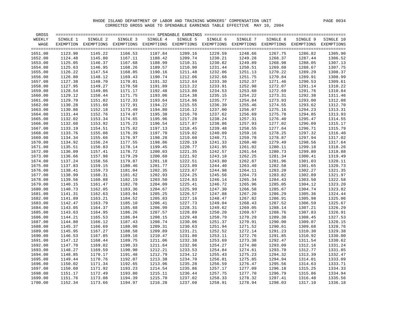| GROSS   |          |          |          |          |          |                                                                                                              |          |          |          |           |
|---------|----------|----------|----------|----------|----------|--------------------------------------------------------------------------------------------------------------|----------|----------|----------|-----------|
| WEEKLY  | SINGLE 1 | SINGLE 2 | SINGLE 3 | SINGLE 4 | SINGLE 5 | SINGLE 6                                                                                                     | SINGLE 7 | SINGLE 8 | SINGLE 9 | SINGLE 10 |
| WAGE    |          |          |          |          |          | EXEMPTION EXEMPTIONS EXEMPTIONS EXEMPTIONS EXEMPTIONS EXEMPTIONS EXEMPTIONS EXEMPTIONS EXEMPTIONS EXEMPTIONS |          |          |          |           |
|         |          |          |          |          |          |                                                                                                              |          |          |          |           |
| 1651.00 | 1123.90  | 1145.22  | 1166.53  | 1187.84  | 1209.16  | 1229.59                                                                                                      | 1248.66  | 1267.75  | 1286.82  | 1305.90   |
| 1652.00 | 1124.48  | 1145.80  | 1167.11  | 1188.42  | 1209.74  | 1230.21                                                                                                      | 1249.28  | 1268.37  | 1287.44  | 1306.52   |
| 1653.00 | 1125.05  | 1146.37  | 1167.68  | 1188.99  | 1210.31  | 1230.82                                                                                                      | 1249.89  | 1268.98  | 1288.05  | 1307.13   |
| 1654.00 | 1125.63  | 1146.95  | 1168.26  | 1189.57  | 1210.90  | 1231.44                                                                                                      | 1250.51  | 1269.60  | 1288.67  | 1307.75   |
| 1655.00 | 1126.22  | 1147.54  | 1168.85  | 1190.16  | 1211.48  | 1232.06                                                                                                      | 1251.13  | 1270.22  | 1289.29  | 1308.37   |
| 1656.00 | 1126.80  | 1148.12  | 1169.43  | 1190.74  | 1212.06  | 1232.68                                                                                                      | 1251.75  | 1270.84  | 1289.91  | 1308.99   |
| 1657.00 | 1127.38  | 1148.70  | 1170.01  | 1191.32  | 1212.64  | 1233.30                                                                                                      | 1252.37  | 1271.46  | 1290.53  | 1309.61   |
| 1658.00 | 1127.95  | 1149.27  | 1170.58  | 1191.89  | 1213.22  | 1233.91                                                                                                      | 1252.98  | 1272.07  | 1291.14  | 1310.22   |
| 1659.00 | 1128.54  | 1149.86  | 1171.17  | 1192.48  | 1213.80  | 1234.53                                                                                                      | 1253.60  | 1272.69  | 1291.76  | 1310.84   |
| 1660.00 | 1129.12  | 1150.44  | 1171.75  | 1193.06  | 1214.38  | 1235.15                                                                                                      | 1254.22  | 1273.31  | 1292.38  | 1311.46   |
| 1661.00 | 1129.70  | 1151.02  | 1172.33  | 1193.64  | 1214.96  | 1235.77                                                                                                      | 1254.84  | 1273.93  | 1293.00  | 1312.08   |
| 1662.00 | 1130.28  | 1151.60  | 1172.91  | 1194.22  | 1215.55  | 1236.39                                                                                                      | 1255.46  | 1274.55  | 1293.62  | 1312.70   |
| 1663.00 | 1130.86  | 1152.18  | 1173.49  | 1194.80  | 1216.12  | 1237.00                                                                                                      | 1256.07  | 1275.16  | 1294.23  | 1313.31   |
| 1664.00 | 1131.44  | 1152.76  | 1174.07  | 1195.38  | 1216.70  | 1237.62                                                                                                      | 1256.69  | 1275.78  | 1294.85  | 1313.93   |
| 1665.00 | 1132.02  | 1153.34  | 1174.65  | 1195.96  | 1217.28  | 1238.24                                                                                                      | 1257.31  | 1276.40  | 1295.47  | 1314.55   |
| 1666.00 | 1132.60  | 1153.92  | 1175.23  | 1196.54  | 1217.87  | 1238.86                                                                                                      | 1257.93  | 1277.02  | 1296.09  | 1315.17   |
| 1667.00 | 1133.19  | 1154.51  | 1175.82  | 1197.13  | 1218.45  | 1239.48                                                                                                      | 1258.55  | 1277.64  | 1296.71  | 1315.79   |
| 1668.00 | 1133.76  | 1155.08  | 1176.39  | 1197.70  | 1219.02  | 1240.09                                                                                                      | 1259.16  | 1278.25  | 1297.32  | 1316.40   |
| 1669.00 | 1134.34  | 1155.66  | 1176.97  | 1198.28  | 1219.60  | 1240.71                                                                                                      | 1259.78  | 1278.87  | 1297.94  | 1317.02   |
| 1670.00 | 1134.92  | 1156.24  | 1177.55  | 1198.86  | 1220.19  | 1241.33                                                                                                      | 1260.40  | 1279.49  | 1298.56  | 1317.64   |
| 1671.00 | 1135.51  | 1156.83  | 1178.14  | 1199.45  | 1220.77  | 1241.95                                                                                                      | 1261.02  | 1280.11  | 1299.18  | 1318.26   |
| 1672.00 | 1136.09  | 1157.41  | 1178.72  | 1200.03  | 1221.35  | 1242.57                                                                                                      | 1261.64  | 1280.73  | 1299.80  | 1318.88   |
| 1673.00 | 1136.66  | 1157.98  | 1179.29  | 1200.60  | 1221.92  | 1243.18                                                                                                      | 1262.25  | 1281.34  | 1300.41  | 1319.49   |
| 1674.00 | 1137.24  | 1158.56  | 1179.87  | 1201.18  | 1222.51  | 1243.80                                                                                                      | 1262.87  | 1281.96  | 1301.03  | 1320.11   |
| 1675.00 | 1137.83  | 1159.15  | 1180.46  | 1201.77  | 1223.09  | 1244.40                                                                                                      | 1263.49  | 1282.58  | 1301.65  | 1320.73   |
| 1676.00 | 1138.41  | 1159.73  | 1181.04  | 1202.35  | 1223.67  | 1244.98                                                                                                      | 1264.11  | 1283.20  | 1302.27  | 1321.35   |
| 1677.00 | 1138.99  | 1160.31  | 1181.62  | 1202.93  | 1224.25  | 1245.56                                                                                                      | 1264.73  | 1283.82  | 1302.89  | 1321.97   |
| 1678.00 | 1139.56  | 1160.88  | 1182.19  | 1203.50  | 1224.83  | 1246.14                                                                                                      | 1265.34  | 1284.43  | 1303.50  | 1322.58   |
| 1679.00 | 1140.15  | 1161.47  | 1182.78  | 1204.09  | 1225.41  | 1246.72                                                                                                      | 1265.96  | 1285.05  | 1304.12  | 1323.20   |
| 1680.00 | 1140.73  | 1162.05  | 1183.36  | 1204.67  | 1225.99  | 1247.30                                                                                                      | 1266.58  | 1285.67  | 1304.74  | 1323.82   |
| 1681.00 | 1141.31  | 1162.63  | 1183.94  | 1205.25  | 1226.57  | 1247.88                                                                                                      | 1267.20  | 1286.29  | 1305.36  | 1324.44   |
| 1682.00 | 1141.89  | 1163.21  | 1184.52  | 1205.83  | 1227.16  | 1248.47                                                                                                      | 1267.82  | 1286.91  | 1305.98  | 1325.06   |
| 1683.00 | 1142.47  | 1163.79  | 1185.10  | 1206.41  | 1227.73  | 1249.04                                                                                                      | 1268.43  | 1287.52  | 1306.59  | 1325.67   |
| 1684.00 | 1143.05  | 1164.37  | 1185.68  | 1206.99  | 1228.31  | 1249.62                                                                                                      | 1269.05  | 1288.14  | 1307.21  | 1326.29   |
| 1685.00 | 1143.63  | 1164.95  | 1186.26  | 1207.57  | 1228.89  | 1250.20                                                                                                      | 1269.67  | 1288.76  | 1307.83  | 1326.91   |
| 1686.00 | 1144.21  | 1165.53  | 1186.84  | 1208.15  | 1229.48  | 1250.79                                                                                                      | 1270.29  | 1289.38  | 1308.45  | 1327.53   |
| 1687.00 | 1144.80  | 1166.12  | 1187.43  | 1208.74  | 1230.06  | 1251.37                                                                                                      | 1270.91  | 1290.00  | 1309.07  | 1328.15   |
| 1688.00 | 1145.37  | 1166.69  | 1188.00  | 1209.31  | 1230.63  | 1251.94                                                                                                      | 1271.52  | 1290.61  | 1309.68  | 1328.76   |
| 1689.00 | 1145.95  | 1167.27  | 1188.58  | 1209.89  | 1231.21  | 1252.52                                                                                                      | 1272.14  | 1291.23  | 1310.30  | 1329.38   |
| 1690.00 | 1146.53  | 1167.85  | 1189.16  | 1210.47  | 1231.80  | 1253.11                                                                                                      | 1272.76  | 1291.85  | 1310.92  | 1330.00   |
| 1691.00 | 1147.12  | 1168.44  | 1189.75  | 1211.06  | 1232.38  | 1253.69                                                                                                      | 1273.38  | 1292.47  | 1311.54  | 1330.62   |
| 1692.00 | 1147.70  | 1169.02  | 1190.33  | 1211.64  | 1232.96  | 1254.27                                                                                                      | 1274.00  | 1293.09  | 1312.16  | 1331.24   |
| 1693.00 | 1148.27  | 1169.59  | 1190.90  | 1212.21  | 1233.53  | 1254.84                                                                                                      | 1274.61  | 1293.70  | 1312.77  | 1331.85   |
| 1694.00 | 1148.85  | 1170.17  | 1191.48  | 1212.79  | 1234.12  | 1255.43                                                                                                      | 1275.23  | 1294.32  | 1313.39  | 1332.47   |
| 1695.00 | 1149.44  | 1170.76  | 1192.07  | 1213.38  | 1234.70  | 1256.01                                                                                                      | 1275.85  | 1294.94  | 1314.01  | 1333.09   |
| 1696.00 | 1150.02  | 1171.34  | 1192.65  | 1213.96  | 1235.28  | 1256.59                                                                                                      | 1276.47  | 1295.56  | 1314.63  | 1333.71   |
| 1697.00 | 1150.60  | 1171.92  | 1193.23  | 1214.54  | 1235.86  | 1257.17                                                                                                      | 1277.09  | 1296.18  | 1315.25  | 1334.33   |
| 1698.00 | 1151.17  | 1172.49  | 1193.80  | 1215.11  | 1236.44  | 1257.75                                                                                                      | 1277.70  | 1296.79  | 1315.86  | 1334.94   |
| 1699.00 | 1151.76  | 1173.08  | 1194.39  | 1215.70  | 1237.02  | 1258.33                                                                                                      | 1278.32  | 1297.41  | 1316.48  | 1335.56   |
| 1700.00 | 1152.34  | 1173.66  | 1194.97  | 1216.28  | 1237.60  | 1258.91                                                                                                      | 1278.94  | 1298.03  | 1317.10  | 1336.18   |
|         |          |          |          |          |          |                                                                                                              |          |          |          |           |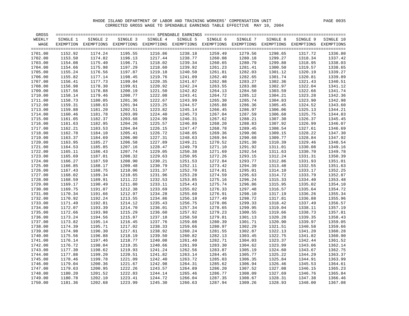| GROSS   |          |                                                                                                              |          |          |          |          |          |          |          |                    |
|---------|----------|--------------------------------------------------------------------------------------------------------------|----------|----------|----------|----------|----------|----------|----------|--------------------|
| WEEKLY  | SINGLE 1 | SINGLE 2                                                                                                     | SINGLE 3 | SINGLE 4 | SINGLE 5 | SINGLE 6 | SINGLE 7 | SINGLE 8 | SINGLE 9 | SINGLE 10          |
| WAGE    |          | EXEMPTION EXEMPTIONS EXEMPTIONS EXEMPTIONS EXEMPTIONS EXEMPTIONS EXEMPTIONS EXEMPTIONS EXEMPTIONS EXEMPTIONS |          |          |          |          |          |          |          |                    |
|         |          |                                                                                                              |          |          |          |          |          |          |          |                    |
| 1701.00 | 1152.92  | 1174.24                                                                                                      | 1195.55  | 1216.86  | 1238.18  | 1259.49  | 1279.56  | 1298.65  | 1317.72  | 1336.80            |
| 1702.00 | 1153.50  | 1174.82                                                                                                      | 1196.13  | 1217.44  | 1238.77  | 1260.08  | 1280.18  | 1299.27  | 1318.34  | 1337.42<br>1338.03 |
| 1703.00 | 1154.08  | 1175.40                                                                                                      | 1196.71  | 1218.02  | 1239.34  | 1260.65  | 1280.79  | 1299.88  | 1318.95  |                    |
| 1704.00 | 1154.66  | 1175.98                                                                                                      | 1197.29  | 1218.60  | 1239.92  | 1261.23  | 1281.41  | 1300.50  | 1319.57  | 1338.65            |
| 1705.00 | 1155.24  | 1176.56                                                                                                      | 1197.87  | 1219.18  | 1240.50  | 1261.81  | 1282.03  | 1301.12  | 1320.19  | 1339.27            |
| 1706.00 | 1155.82  | 1177.14                                                                                                      | 1198.45  | 1219.76  | 1241.09  | 1262.40  | 1282.65  | 1301.74  | 1320.81  | 1339.89            |
| 1707.00 | 1156.41  | 1177.73                                                                                                      | 1199.04  | 1220.35  | 1241.67  | 1262.98  | 1283.27  | 1302.36  | 1321.43  | 1340.51            |
| 1708.00 | 1156.98  | 1178.30                                                                                                      | 1199.61  | 1220.92  | 1242.24  | 1263.55  | 1283.88  | 1302.97  | 1322.04  | 1341.12            |
| 1709.00 | 1157.56  | 1178.88                                                                                                      | 1200.19  | 1221.50  | 1242.82  | 1264.13  | 1284.50  | 1303.59  | 1322.66  | 1341.74            |
| 1710.00 | 1158.14  | 1179.46                                                                                                      | 1200.77  | 1222.08  | 1243.41  | 1264.72  | 1285.12  | 1304.21  | 1323.28  | 1342.36            |
| 1711.00 | 1158.73  | 1180.05                                                                                                      | 1201.36  | 1222.67  | 1243.99  | 1265.30  | 1285.74  | 1304.83  | 1323.90  | 1342.98            |
| 1712.00 | 1159.31  | 1180.63                                                                                                      | 1201.94  | 1223.25  | 1244.57  | 1265.88  | 1286.36  | 1305.45  | 1324.52  | 1343.60            |
| 1713.00 | 1159.88  | 1181.20                                                                                                      | 1202.51  | 1223.82  | 1245.14  | 1266.45  | 1286.97  | 1306.06  | 1325.13  | 1344.21            |
| 1714.00 | 1160.46  | 1181.78                                                                                                      | 1203.09  | 1224.40  | 1245.73  | 1267.04  | 1287.59  | 1306.68  | 1325.75  | 1344.83            |
| 1715.00 | 1161.05  | 1182.37                                                                                                      | 1203.68  | 1224.99  | 1246.31  | 1267.62  | 1288.21  | 1307.30  | 1326.37  | 1345.45            |
| 1716.00 | 1161.63  | 1182.95                                                                                                      | 1204.26  | 1225.57  | 1246.89  | 1268.20  | 1288.83  | 1307.92  | 1326.99  | 1346.07            |
| 1717.00 | 1162.21  | 1183.53                                                                                                      | 1204.84  | 1226.15  | 1247.47  | 1268.78  | 1289.45  | 1308.54  | 1327.61  | 1346.69            |
| 1718.00 | 1162.78  | 1184.10                                                                                                      | 1205.41  | 1226.72  | 1248.05  | 1269.36  | 1290.06  | 1309.15  | 1328.22  | 1347.30            |
| 1719.00 | 1163.37  | 1184.69                                                                                                      | 1206.00  | 1227.31  | 1248.63  | 1269.94  | 1290.68  | 1309.77  | 1328.84  | 1347.92            |
| 1720.00 | 1163.95  | 1185.27                                                                                                      | 1206.58  | 1227.89  | 1249.21  | 1270.52  | 1291.30  | 1310.39  | 1329.46  | 1348.54            |
| 1721.00 | 1164.53  | 1185.85                                                                                                      | 1207.16  | 1228.47  | 1249.79  | 1271.10  | 1291.92  | 1311.01  | 1330.08  | 1349.16            |
| 1722.00 | 1165.11  | 1186.43                                                                                                      | 1207.74  | 1229.05  | 1250.38  | 1271.69  | 1292.54  | 1311.63  | 1330.70  | 1349.78            |
| 1723.00 | 1165.69  | 1187.01                                                                                                      | 1208.32  | 1229.63  | 1250.95  | 1272.26  | 1293.15  | 1312.24  | 1331.31  | 1350.39            |
| 1724.00 | 1166.27  | 1187.59                                                                                                      | 1208.90  | 1230.21  | 1251.53  | 1272.84  | 1293.77  | 1312.86  | 1331.93  | 1351.01            |
| 1725.00 | 1166.85  | 1188.17                                                                                                      | 1209.48  | 1230.79  | 1252.11  | 1273.42  | 1294.39  | 1313.48  | 1332.55  | 1351.63            |
| 1726.00 | 1167.43  | 1188.75                                                                                                      | 1210.06  | 1231.37  | 1252.70  | 1274.01  | 1295.01  | 1314.10  | 1333.17  | 1352.25            |
| 1727.00 | 1168.02  | 1189.34                                                                                                      | 1210.65  | 1231.96  | 1253.28  | 1274.59  | 1295.63  | 1314.72  | 1333.79  | 1352.87            |
| 1728.00 | 1168.59  | 1189.91                                                                                                      | 1211.22  | 1232.53  | 1253.85  | 1275.16  | 1296.24  | 1315.33  | 1334.40  | 1353.48            |
| 1729.00 | 1169.17  | 1190.49                                                                                                      | 1211.80  | 1233.11  | 1254.43  | 1275.74  | 1296.86  | 1315.95  | 1335.02  | 1354.10            |
| 1730.00 | 1169.75  | 1191.07                                                                                                      | 1212.38  | 1233.69  | 1255.02  | 1276.33  | 1297.48  | 1316.57  | 1335.64  | 1354.72            |
| 1731.00 | 1170.34  | 1191.66                                                                                                      | 1212.97  | 1234.28  | 1255.60  | 1276.91  | 1298.10  | 1317.19  | 1336.26  | 1355.34            |
| 1732.00 | 1170.92  | 1192.24                                                                                                      | 1213.55  | 1234.86  | 1256.18  | 1277.49  | 1298.72  | 1317.81  | 1336.88  | 1355.96            |
| 1733.00 | 1171.49  | 1192.81                                                                                                      | 1214.12  | 1235.43  | 1256.75  | 1278.06  | 1299.33  | 1318.42  | 1337.49  | 1356.57            |
| 1734.00 | 1172.07  | 1193.39                                                                                                      | 1214.70  | 1236.01  | 1257.34  | 1278.65  | 1299.95  | 1319.04  | 1338.11  | 1357.19            |
| 1735.00 | 1172.66  | 1193.98                                                                                                      | 1215.29  | 1236.60  | 1257.92  | 1279.23  | 1300.55  | 1319.66  | 1338.73  | 1357.81            |
| 1736.00 | 1173.24  | 1194.56                                                                                                      | 1215.87  | 1237.18  | 1258.50  | 1279.81  | 1301.13  | 1320.28  | 1339.35  | 1358.43            |
| 1737.00 | 1173.82  | 1195.14                                                                                                      | 1216.45  | 1237.76  | 1259.08  | 1280.39  | 1301.71  | 1320.90  | 1339.97  | 1359.05            |
| 1738.00 | 1174.39  | 1195.71                                                                                                      | 1217.02  | 1238.33  | 1259.66  | 1280.97  | 1302.29  | 1321.51  | 1340.58  | 1359.66            |
| 1739.00 | 1174.98  | 1196.30                                                                                                      | 1217.61  | 1238.92  | 1260.24  | 1281.55  | 1302.87  | 1322.13  | 1341.20  | 1360.28            |
| 1740.00 | 1175.56  | 1196.88                                                                                                      | 1218.19  | 1239.50  | 1260.82  | 1282.13  | 1303.45  | 1322.75  | 1341.82  | 1360.90            |
| 1741.00 | 1176.14  | 1197.46                                                                                                      | 1218.77  | 1240.08  | 1261.40  | 1282.71  | 1304.03  | 1323.37  | 1342.44  | 1361.52            |
| 1742.00 | 1176.72  | 1198.04                                                                                                      | 1219.35  | 1240.66  | 1261.99  | 1283.30  | 1304.62  | 1323.99  | 1343.06  | 1362.14            |
| 1743.00 | 1177.30  | 1198.62                                                                                                      | 1219.93  | 1241.24  | 1262.56  | 1283.87  | 1305.19  | 1324.60  | 1343.67  | 1362.75            |
| 1744.00 | 1177.88  | 1199.20                                                                                                      | 1220.51  | 1241.82  | 1263.14  | 1284.45  | 1305.77  | 1325.22  | 1344.29  | 1363.37            |
| 1745.00 | 1178.46  | 1199.78                                                                                                      | 1221.09  | 1242.40  | 1263.72  | 1285.03  | 1306.35  | 1325.84  | 1344.91  | 1363.99            |
| 1746.00 | 1179.04  | 1200.36                                                                                                      | 1221.67  | 1242.98  | 1264.31  | 1285.62  | 1306.94  | 1326.46  | 1345.53  | 1364.61            |
| 1747.00 | 1179.63  | 1200.95                                                                                                      | 1222.26  | 1243.57  | 1264.89  | 1286.20  | 1307.52  | 1327.08  | 1346.15  | 1365.23            |
| 1748.00 | 1180.20  | 1201.52                                                                                                      | 1222.83  | 1244.14  | 1265.46  | 1286.77  | 1308.09  | 1327.69  | 1346.76  | 1365.84            |
| 1749.00 | 1180.78  | 1202.10                                                                                                      | 1223.41  | 1244.72  | 1266.04  | 1287.35  | 1308.67  | 1328.31  | 1347.38  | 1366.46            |
| 1750.00 | 1181.36  | 1202.68                                                                                                      | 1223.99  | 1245.30  | 1266.63  | 1287.94  | 1309.26  | 1328.93  | 1348.00  | 1367.08            |
|         |          |                                                                                                              |          |          |          |          |          |          |          |                    |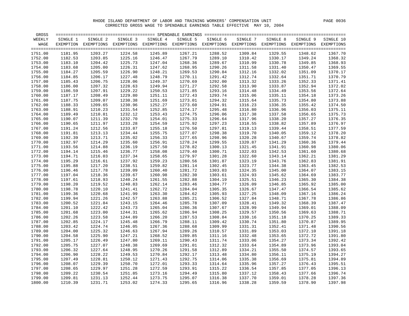| GROSS              |                    |                                                                                                              |                    |                    |                    |                    |          |                    |                    |                    |
|--------------------|--------------------|--------------------------------------------------------------------------------------------------------------|--------------------|--------------------|--------------------|--------------------|----------|--------------------|--------------------|--------------------|
| WEEKLY             | SINGLE 1           | SINGLE 2                                                                                                     | SINGLE 3           | SINGLE 4           | SINGLE 5           | SINGLE 6           | SINGLE 7 | SINGLE 8           | SINGLE 9           | SINGLE 10          |
| WAGE               |                    | EXEMPTION EXEMPTIONS EXEMPTIONS EXEMPTIONS EXEMPTIONS EXEMPTIONS EXEMPTIONS EXEMPTIONS EXEMPTIONS EXEMPTIONS |                    |                    |                    |                    |          |                    |                    |                    |
|                    |                    |                                                                                                              |                    |                    |                    |                    |          |                    |                    |                    |
| 1751.00            | 1181.95            | 1203.27                                                                                                      | 1224.58            | 1245.89            | 1267.21            | 1288.52            | 1309.84  | 1329.55            | 1348.62            | 1367.70            |
| 1752.00            | 1182.53            | 1203.85                                                                                                      | 1225.16            | 1246.47            | 1267.79            | 1289.10            | 1310.42  | 1330.17            | 1349.24            | 1368.32            |
| 1753.00            | 1183.10            | 1204.42                                                                                                      | 1225.73            | 1247.04            | 1268.36            | 1289.67            | 1310.99  | 1330.78            | 1349.85            | 1368.93            |
| 1754.00            | 1183.68            | 1205.00                                                                                                      | 1226.31            | 1247.62            | 1268.95            | 1290.26            | 1311.58  | 1331.40            | 1350.47            | 1369.55            |
| 1755.00            | 1184.27            | 1205.59                                                                                                      | 1226.90            | 1248.21            | 1269.53            | 1290.84            | 1312.16  | 1332.02            | 1351.09            | 1370.17            |
| 1756.00            | 1184.85            | 1206.17                                                                                                      | 1227.48            | 1248.79            | 1270.11            | 1291.42            | 1312.74  | 1332.64            | 1351.71            | 1370.79            |
| 1757.00            | 1185.43            | 1206.75                                                                                                      | 1228.06            | 1249.37            | 1270.69            | 1292.00            | 1313.32  | 1333.26            | 1352.33            | 1371.41            |
| 1758.00            | 1186.00            | 1207.32                                                                                                      | 1228.63            | 1249.94            | 1271.27            | 1292.58            | 1313.90  | 1333.87            | 1352.94            | 1372.02            |
| 1759.00            | 1186.59            | 1207.91                                                                                                      | 1229.22            | 1250.53            | 1271.85            | 1293.16            | 1314.48  | 1334.49            | 1353.56            | 1372.64            |
| 1760.00            | 1187.17            | 1208.49                                                                                                      | 1229.80            | 1251.11            | 1272.43            | 1293.74            | 1315.06  | 1335.11            | 1354.18            | 1373.26            |
| 1761.00            | 1187.75            | 1209.07                                                                                                      | 1230.38            | 1251.69            | 1273.01            | 1294.32            | 1315.64  | 1335.73            | 1354.80            | 1373.88            |
| 1762.00            | 1188.33            | 1209.65                                                                                                      | 1230.96            | 1252.27            | 1273.60            | 1294.91            | 1316.23  | 1336.35            | 1355.42            | 1374.50            |
| 1763.00            | 1188.91            | 1210.23                                                                                                      | 1231.54            | 1252.85            | 1274.17            | 1295.48            | 1316.80  | 1336.96            | 1356.03            | 1375.11            |
| 1764.00            | 1189.49            | 1210.81                                                                                                      | 1232.12            | 1253.43            | 1274.75            | 1296.06            | 1317.38  | 1337.58            | 1356.65            | 1375.73            |
| 1765.00            | 1190.07            | 1211.39                                                                                                      | 1232.70            | 1254.01            | 1275.33            | 1296.64            | 1317.96  | 1338.20            | 1357.27            | 1376.35            |
| 1766.00            | 1190.65            | 1211.97                                                                                                      | 1233.28            | 1254.59            | 1275.92            | 1297.23            | 1318.55  | 1338.82            | 1357.89            | 1376.97            |
| 1767.00            | 1191.24            | 1212.56                                                                                                      | 1233.87            | 1255.18            | 1276.50            | 1297.81            | 1319.13  | 1339.44            | 1358.51            | 1377.59            |
| 1768.00            | 1191.81            | 1213.13                                                                                                      | 1234.44            | 1255.75            | 1277.07            | 1298.38            | 1319.70  | 1340.05            | 1359.12            | 1378.20            |
| 1769.00            | 1192.39            | 1213.71                                                                                                      | 1235.02            | 1256.33            | 1277.65            | 1298.96            | 1320.28  | 1340.67            | 1359.74            | 1378.82            |
| 1770.00            | 1192.97            | 1214.29                                                                                                      | 1235.60            | 1256.91            | 1278.24            | 1299.55            | 1320.87  | 1341.29            | 1360.36            | 1379.44            |
| 1771.00            | 1193.56            | 1214.88                                                                                                      | 1236.19            | 1257.50            | 1278.82            | 1300.13            | 1321.45  | 1341.91            | 1360.98            | 1380.06            |
| 1772.00            | 1194.14            | 1215.46                                                                                                      | 1236.77            | 1258.08            | 1279.40            | 1300.71            | 1322.03  | 1342.53            | 1361.60            | 1380.68            |
| 1773.00            | 1194.71            | 1216.03                                                                                                      | 1237.34            | 1258.65            | 1279.97            | 1301.28            | 1322.60  | 1343.14            | 1362.21            | 1381.29            |
| 1774.00            | 1195.29            | 1216.61                                                                                                      | 1237.92            | 1259.23            | 1280.56            | 1301.87            | 1323.19  | 1343.76            | 1362.83            | 1381.91<br>1382.53 |
| 1775.00            | 1195.88            | 1217.20                                                                                                      | 1238.51            | 1259.82            | 1281.14            | 1302.45            | 1323.77  | 1344.38            | 1363.45            |                    |
| 1776.00            | 1196.46            | 1217.78                                                                                                      | 1239.09            | 1260.40            | 1281.72            | 1303.03            | 1324.35  | 1345.00            | 1364.07            | 1383.15            |
| 1777.00            | 1197.04            | 1218.36                                                                                                      | 1239.67            | 1260.98            | 1282.30            | 1303.61            | 1324.93  | 1345.62            | 1364.69            | 1383.77            |
| 1778.00            | 1197.61            | 1218.93                                                                                                      | 1240.24            | 1261.55            | 1282.88            | 1304.19            | 1325.51  | 1346.23            | 1365.30            | 1384.38            |
| 1779.00            | 1198.20            | 1219.52                                                                                                      | 1240.83            | 1262.14            | 1283.46            | 1304.77            | 1326.09  | 1346.85            | 1365.92            | 1385.00            |
| 1780.00            | 1198.78            | 1220.10                                                                                                      | 1241.41            | 1262.72            | 1284.04            | 1305.35            | 1326.67  | 1347.47            | 1366.54            | 1385.62            |
| 1781.00            | 1199.36            | 1220.68                                                                                                      | 1241.99            | 1263.30            | 1284.62            | 1305.93            | 1327.25  | 1348.09            | 1367.16            | 1386.24            |
| 1782.00            | 1199.94            | 1221.26                                                                                                      | 1242.57            | 1263.88            | 1285.21            | 1306.52            | 1327.84  | 1348.71            | 1367.78            | 1386.86            |
| 1783.00            | 1200.52            | 1221.84                                                                                                      | 1243.15            | 1264.46            | 1285.78            | 1307.09            | 1328.41  | 1349.32            | 1368.39            | 1387.47            |
| 1784.00            | 1201.10            | 1222.42                                                                                                      | 1243.73            | 1265.04            | 1286.36            | 1307.67            | 1328.99  | 1349.94            | 1369.01            | 1388.09            |
| 1785.00            | 1201.68            | 1223.00                                                                                                      | 1244.31            | 1265.62            | 1286.94            | 1308.25            | 1329.57  | 1350.56            | 1369.63            | 1388.71            |
| 1786.00            | 1202.26            | 1223.58                                                                                                      | 1244.89            | 1266.20            | 1287.53            | 1308.84            | 1330.16  | 1351.18            | 1370.25            | 1389.33            |
| 1787.00            | 1202.85            | 1224.17                                                                                                      | 1245.48            | 1266.79            | 1288.11            | 1309.42            | 1330.74  | 1351.80            | 1370.87            | 1389.95            |
| 1788.00            | 1203.42            | 1224.74                                                                                                      | 1246.05            | 1267.36            | 1288.68            | 1309.99            | 1331.31  | 1352.41            | 1371.48            | 1390.56            |
| 1789.00            | 1204.00            | 1225.32                                                                                                      | 1246.63            | 1267.94            | 1289.26            | 1310.57            | 1331.89  | 1353.03            | 1372.10            | 1391.18            |
| 1790.00            | 1204.58            | 1225.90                                                                                                      | 1247.21            | 1268.52            | 1289.85            | 1311.16            | 1332.48  | 1353.65            | 1372.72            | 1391.80            |
| 1791.00            | 1205.17            | 1226.49                                                                                                      | 1247.80            | 1269.11            | 1290.43            | 1311.74            | 1333.06  | 1354.27            | 1373.34            | 1392.42            |
| 1792.00            | 1205.75            | 1227.07                                                                                                      | 1248.38            | 1269.69            | 1291.01            | 1312.32            | 1333.64  | 1354.89            | 1373.96            | 1393.04            |
| 1793.00            | 1206.32            | 1227.64                                                                                                      | 1248.95            | 1270.26<br>1270.84 | 1291.58            | 1312.89            | 1334.21  | 1355.50            | 1374.57            | 1393.65            |
| 1794.00            | 1206.90            | 1228.22                                                                                                      | 1249.53            |                    | 1292.17            | 1313.48            | 1334.80  | 1356.11            | 1375.19            | 1394.27            |
| 1795.00            | 1207.49            | 1228.81                                                                                                      | 1250.12            | 1271.43            | 1292.75            | 1314.06            | 1335.38  | 1356.69            | 1375.81            | 1394.89            |
| 1796.00            | 1208.07            | 1229.39                                                                                                      | 1250.70            | 1272.01            | 1293.33            | 1314.64            | 1335.96  | 1357.27            | 1376.43            | 1395.51            |
| 1797.00            | 1208.65            | 1229.97<br>1230.54                                                                                           | 1251.28            | 1272.59            | 1293.91            | 1315.22            | 1336.54  | 1357.85            | 1377.05            | 1396.13<br>1396.74 |
| 1798.00            | 1209.22            |                                                                                                              | 1251.85            | 1273.16            | 1294.49            | 1315.80            | 1337.12  | 1358.43            | 1377.66            |                    |
| 1799.00<br>1800.00 | 1209.81<br>1210.39 | 1231.13                                                                                                      | 1252.44<br>1253.02 | 1273.75            | 1295.07<br>1295.65 | 1316.38<br>1316.96 | 1337.70  | 1359.01<br>1359.59 | 1378.28<br>1378.90 | 1397.36<br>1397.98 |
|                    |                    | 1231.71                                                                                                      |                    | 1274.33            |                    |                    | 1338.28  |                    |                    |                    |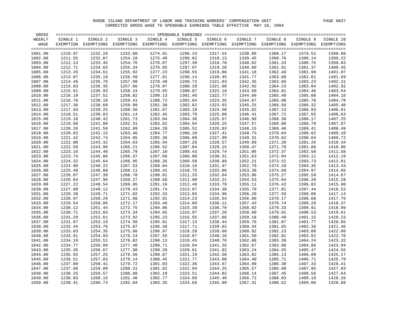| GROSS              |                    |                                                                                                              |                    |                    |                    |                    |                    |                    |                    |                    |
|--------------------|--------------------|--------------------------------------------------------------------------------------------------------------|--------------------|--------------------|--------------------|--------------------|--------------------|--------------------|--------------------|--------------------|
| WEEKLY             | SINGLE 1           | SINGLE 2                                                                                                     | SINGLE 3           | SINGLE 4           | SINGLE 5           | SINGLE 6           | SINGLE 7           | SINGLE 8           | SINGLE 9           | SINGLE 10          |
| WAGE               |                    | EXEMPTION EXEMPTIONS EXEMPTIONS EXEMPTIONS EXEMPTIONS EXEMPTIONS EXEMPTIONS EXEMPTIONS EXEMPTIONS EXEMPTIONS |                    |                    |                    |                    |                    |                    |                    |                    |
| 1801.00            | 1210.97            | 1232.29                                                                                                      | 1253.60            | 1274.91            | 1296.23            | 1317.54            | 1338.86            | 1360.17            | 1379.52            | 1398.60            |
| 1802.00            | 1211.55            | 1232.87                                                                                                      | 1254.18            | 1275.49            | 1296.82            | 1318.13            | 1339.45            | 1360.76            | 1380.14            | 1399.22            |
| 1803.00            | 1212.13            | 1233.45                                                                                                      | 1254.76            | 1276.07            | 1297.39            | 1318.70            | 1340.02            | 1361.33            | 1380.75            | 1399.83            |
| 1804.00            | 1212.71            | 1234.03                                                                                                      | 1255.34            | 1276.65            | 1297.97            | 1319.28            | 1340.60            | 1361.91            | 1381.37            | 1400.45            |
| 1805.00            | 1213.29            | 1234.61                                                                                                      | 1255.92            | 1277.23            | 1298.55            | 1319.86            | 1341.18            | 1362.49            | 1381.99            | 1401.07            |
| 1806.00            | 1213.87            | 1235.19                                                                                                      | 1256.50            | 1277.81            | 1299.14            | 1320.45            | 1341.77            | 1363.08            | 1382.61            | 1401.69            |
| 1807.00            | 1214.46            | 1235.78                                                                                                      | 1257.09            | 1278.40            | 1299.72            | 1321.03            | 1342.35            | 1363.66            | 1383.23            | 1402.31            |
| 1808.00            | 1215.03            | 1236.35                                                                                                      | 1257.66            | 1278.97            | 1300.29            | 1321.60            | 1342.92            | 1364.23            | 1383.84            | 1402.92            |
| 1809.00            | 1215.61            | 1236.93                                                                                                      | 1258.24            | 1279.55            | 1300.87            | 1322.18            | 1343.50            | 1364.81            | 1384.46            | 1403.54            |
| 1810.00            | 1216.19            | 1237.51                                                                                                      | 1258.82            | 1280.13            | 1301.46            | 1322.77            | 1344.09            | 1365.40            | 1385.08            | 1404.16            |
| 1811.00            | 1216.78            | 1238.10                                                                                                      | 1259.41            | 1280.72            | 1302.04            | 1323.35            | 1344.67            | 1365.98            | 1385.70            | 1404.78            |
| 1812.00            | 1217.36            | 1238.68                                                                                                      | 1259.99            | 1281.30            | 1302.62            | 1323.93            | 1345.25            | 1366.56            | 1386.32            | 1405.40            |
| 1813.00            | 1217.93            | 1239.25                                                                                                      | 1260.56            | 1281.87            | 1303.19            | 1324.50            | 1345.82            | 1367.13            | 1386.93            | 1406.01            |
| 1814.00            | 1218.51            | 1239.83                                                                                                      | 1261.14            | 1282.45            | 1303.78            | 1325.09            | 1346.41            | 1367.72            | 1387.55            | 1406.63            |
| 1815.00            | 1219.10            | 1240.42                                                                                                      | 1261.73            | 1283.04            | 1304.36            | 1325.67            | 1346.99            | 1368.30            | 1388.17            | 1407.25            |
| 1816.00            | 1219.68            | 1241.00                                                                                                      | 1262.31            | 1283.62            | 1304.94            | 1326.25            | 1347.57            | 1368.88            | 1388.79            | 1407.87            |
| 1817.00            | 1220.26            | 1241.58                                                                                                      | 1262.89            | 1284.20            | 1305.52            | 1326.83            | 1348.15            | 1369.46            | 1389.41            | 1408.49            |
| 1818.00            | 1220.83            | 1242.15                                                                                                      | 1263.46            | 1284.77            | 1306.10            | 1327.41            | 1348.73            | 1370.04            | 1390.02            | 1409.10            |
| 1819.00            | 1221.42            | 1242.74                                                                                                      | 1264.05            | 1285.36            | 1306.68            | 1327.99            | 1349.31            | 1370.62            | 1390.64            | 1409.72            |
| 1820.00            | 1222.00            | 1243.32                                                                                                      | 1264.63            | 1285.94            | 1307.26            | 1328.57            | 1349.89            | 1371.20            | 1391.26            | 1410.34            |
| 1821.00            | 1222.58            | 1243.90                                                                                                      | 1265.21            | 1286.52            | 1307.84            | 1329.15            | 1350.47            | 1371.78            | 1391.88            | 1410.96            |
| 1822.00            | 1223.16            | 1244.48                                                                                                      | 1265.79            | 1287.10            | 1308.43            | 1329.74            | 1351.06            | 1372.37            | 1392.50            | 1411.58            |
| 1823.00            | 1223.74            | 1245.06                                                                                                      | 1266.37            | 1287.68            | 1309.00            | 1330.31            | 1351.63            | 1372.94            | 1393.11            | 1412.19            |
| 1824.00            | 1224.32            | 1245.64                                                                                                      | 1266.95            | 1288.26            | 1309.58            | 1330.89            | 1352.21            | 1373.52            | 1393.73            | 1412.81            |
| 1825.00            | 1224.90            | 1246.22                                                                                                      | 1267.53            | 1288.84            | 1310.16            | 1331.47            | 1352.79            | 1374.10            | 1394.35            | 1413.43            |
| 1826.00            | 1225.48            | 1246.80                                                                                                      | 1268.11            | 1289.42            | 1310.75            | 1332.06            | 1353.38            | 1374.69            | 1394.97            | 1414.05            |
| 1827.00            | 1226.07            | 1247.39                                                                                                      | 1268.70            | 1290.01            | 1311.33            | 1332.64            | 1353.96            | 1375.27            | 1395.59            | 1414.67            |
| 1828.00<br>1829.00 | 1226.64<br>1227.22 | 1247.96<br>1248.54                                                                                           | 1269.27<br>1269.85 | 1290.58<br>1291.16 | 1311.90<br>1312.48 | 1333.21<br>1333.79 | 1354.53<br>1355.11 | 1375.84<br>1376.42 | 1396.20<br>1396.82 | 1415.28<br>1415.90 |
| 1830.00            | 1227.80            | 1249.12                                                                                                      | 1270.43            | 1291.74            | 1313.07            | 1334.38            | 1355.70            | 1377.01            | 1397.44            | 1416.52            |
| 1831.00            | 1228.39            | 1249.71                                                                                                      | 1271.02            | 1292.33            | 1313.65            | 1334.96            | 1356.28            | 1377.59            | 1398.06            | 1417.14            |
| 1832.00            | 1228.97            | 1250.29                                                                                                      | 1271.60            | 1292.91            | 1314.23            | 1335.54            | 1356.86            | 1378.17            | 1398.68            | 1417.76            |
| 1833.00            | 1229.54            | 1250.86                                                                                                      | 1272.17            | 1293.48            | 1314.80            | 1336.11            | 1357.43            | 1378.74            | 1399.29            | 1418.37            |
| 1834.00            | 1230.12            | 1251.44                                                                                                      | 1272.75            | 1294.06            | 1315.39            | 1336.70            | 1358.02            | 1379.33            | 1399.91            | 1418.99            |
| 1835.00            | 1230.71            | 1252.03                                                                                                      | 1273.34            | 1294.65            | 1315.97            | 1337.28            | 1358.60            | 1379.91            | 1400.53            | 1419.61            |
| 1836.00            | 1231.29            | 1252.61                                                                                                      | 1273.92            | 1295.23            | 1316.55            | 1337.86            | 1359.18            | 1380.49            | 1401.15            | 1420.23            |
| 1837.00            | 1231.87            | 1253.19                                                                                                      | 1274.50            | 1295.81            | 1317.13            | 1338.44            | 1359.76            | 1381.07            | 1401.77            | 1420.85            |
| 1838.00            | 1232.44            | 1253.76                                                                                                      | 1275.07            | 1296.38            | 1317.71            | 1339.02            | 1360.34            | 1381.65            | 1402.38            | 1421.46            |
| 1839.00            | 1233.03            | 1254.35                                                                                                      | 1275.66            | 1296.97            | 1318.29            | 1339.60            | 1360.92            | 1382.23            | 1403.00            | 1422.08            |
| 1840.00            | 1233.61            | 1254.93                                                                                                      | 1276.24            | 1297.55            | 1318.87            | 1340.18            | 1361.50            | 1382.81            | 1403.62            | 1422.70            |
| 1841.00            | 1234.19            | 1255.51                                                                                                      | 1276.82            | 1298.13            | 1319.45            | 1340.76            | 1362.08            | 1383.39            | 1404.24            | 1423.32            |
| 1842.00            | 1234.77            | 1256.09                                                                                                      | 1277.40            | 1298.71            | 1320.04            | 1341.35            | 1362.67            | 1383.98            | 1404.86            | 1423.94            |
| 1843.00            | 1235.35            | 1256.67                                                                                                      | 1277.98            | 1299.29            | 1320.61            | 1341.92            | 1363.24            | 1384.55            | 1405.47            | 1424.55            |
| 1844.00            | 1235.93            | 1257.25                                                                                                      | 1278.56            | 1299.87            | 1321.19            | 1342.50            | 1363.82            | 1385.13            | 1406.09            | 1425.17            |
| 1845.00            | 1236.51            | 1257.83                                                                                                      | 1279.14            | 1300.45            | 1321.77            | 1343.08            | 1364.40            | 1385.71            | 1406.71            | 1425.79            |
| 1846.00            | 1237.09            | 1258.41                                                                                                      | 1279.72            | 1301.03            | 1322.36            | 1343.67            | 1364.99            | 1386.30            | 1407.33            | 1426.41            |
| 1847.00            | 1237.68            | 1259.00                                                                                                      | 1280.31            | 1301.62            | 1322.94            | 1344.25            | 1365.57            | 1386.88            | 1407.95            | 1427.03            |
| 1848.00            | 1238.25            | 1259.57                                                                                                      | 1280.88            | 1302.19            | 1323.51            | 1344.82            | 1366.14            | 1387.45            | 1408.56            | 1427.64            |
| 1849.00            | 1238.83            | 1260.15                                                                                                      | 1281.46            | 1302.77            | 1324.09            | 1345.40            | 1366.72            | 1388.03            | 1409.18            | 1428.26            |
| 1850.00            | 1239.41            | 1260.73                                                                                                      | 1282.04            | 1303.35            | 1324.68            | 1345.99            | 1367.31            | 1388.62            | 1409.80            | 1428.88            |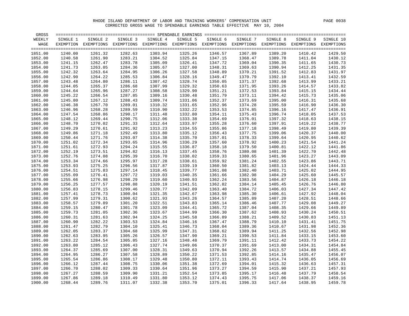| GROSS   |          |                                                                                                              |          |          |          |          |          |          |          |           |
|---------|----------|--------------------------------------------------------------------------------------------------------------|----------|----------|----------|----------|----------|----------|----------|-----------|
| WEEKLY  | SINGLE 1 | SINGLE 2                                                                                                     | SINGLE 3 | SINGLE 4 | SINGLE 5 | SINGLE 6 | SINGLE 7 | SINGLE 8 | SINGLE 9 | SINGLE 10 |
| WAGE    |          | EXEMPTION EXEMPTIONS EXEMPTIONS EXEMPTIONS EXEMPTIONS EXEMPTIONS EXEMPTIONS EXEMPTIONS EXEMPTIONS EXEMPTIONS |          |          |          |          |          |          |          |           |
|         |          |                                                                                                              |          |          |          |          |          |          |          |           |
| 1851.00 | 1240.00  | 1261.32                                                                                                      | 1282.63  | 1303.94  | 1325.26  | 1346.57  | 1367.89  | 1389.20  | 1410.42  | 1429.50   |
| 1852.00 | 1240.58  | 1261.90                                                                                                      | 1283.21  | 1304.52  | 1325.84  | 1347.15  | 1368.47  | 1389.78  | 1411.04  | 1430.12   |
| 1853.00 | 1241.15  | 1262.47                                                                                                      | 1283.78  | 1305.09  | 1326.41  | 1347.72  | 1369.04  | 1390.35  | 1411.65  | 1430.73   |
| 1854.00 | 1241.73  | 1263.05                                                                                                      | 1284.36  | 1305.67  | 1327.00  | 1348.31  | 1369.63  | 1390.94  | 1412.25  | 1431.35   |
| 1855.00 | 1242.32  | 1263.64                                                                                                      | 1284.95  | 1306.26  | 1327.58  | 1348.89  | 1370.21  | 1391.52  | 1412.83  | 1431.97   |
| 1856.00 | 1242.90  | 1264.22                                                                                                      | 1285.53  | 1306.84  | 1328.16  | 1349.47  | 1370.79  | 1392.10  | 1413.41  | 1432.59   |
| 1857.00 | 1243.48  | 1264.80                                                                                                      | 1286.11  | 1307.42  | 1328.74  | 1350.05  | 1371.37  | 1392.68  | 1413.99  | 1433.21   |
| 1858.00 | 1244.05  | 1265.37                                                                                                      | 1286.68  | 1307.99  | 1329.32  | 1350.63  | 1371.95  | 1393.26  | 1414.57  | 1433.82   |
| 1859.00 | 1244.64  | 1265.96                                                                                                      | 1287.27  | 1308.58  | 1329.90  | 1351.21  | 1372.53  | 1393.84  | 1415.15  | 1434.44   |
| 1860.00 | 1245.22  | 1266.54                                                                                                      | 1287.85  | 1309.16  | 1330.48  | 1351.79  | 1373.11  | 1394.42  | 1415.73  | 1435.06   |
| 1861.00 | 1245.80  | 1267.12                                                                                                      | 1288.43  | 1309.74  | 1331.06  | 1352.37  | 1373.69  | 1395.00  | 1416.31  | 1435.68   |
| 1862.00 | 1246.38  | 1267.70                                                                                                      | 1289.01  | 1310.32  | 1331.65  | 1352.96  | 1374.28  | 1395.59  | 1416.90  | 1436.30   |
| 1863.00 | 1246.96  | 1268.28                                                                                                      | 1289.59  | 1310.90  | 1332.22  | 1353.53  | 1374.85  | 1396.16  | 1417.47  | 1436.91   |
| 1864.00 | 1247.54  | 1268.86                                                                                                      | 1290.17  | 1311.48  | 1332.80  | 1354.11  | 1375.43  | 1396.74  | 1418.05  | 1437.53   |
| 1865.00 | 1248.12  | 1269.44                                                                                                      | 1290.75  | 1312.06  | 1333.38  | 1354.69  | 1376.01  | 1397.32  | 1418.63  | 1438.15   |
| 1866.00 | 1248.70  | 1270.02                                                                                                      | 1291.33  | 1312.64  | 1333.97  | 1355.28  | 1376.60  | 1397.91  | 1419.22  | 1438.77   |
| 1867.00 | 1249.29  | 1270.61                                                                                                      | 1291.92  | 1313.23  | 1334.55  | 1355.86  | 1377.18  | 1398.49  | 1419.80  | 1439.39   |
| 1868.00 | 1249.86  | 1271.18                                                                                                      | 1292.49  | 1313.80  | 1335.12  | 1356.43  | 1377.75  | 1399.06  | 1420.37  | 1440.00   |
| 1869.00 | 1250.44  | 1271.76                                                                                                      | 1293.07  | 1314.38  | 1335.70  | 1357.01  | 1378.33  | 1399.64  | 1420.95  | 1440.62   |
| 1870.00 | 1251.02  | 1272.34                                                                                                      | 1293.65  | 1314.96  | 1336.29  | 1357.60  | 1378.92  | 1400.23  | 1421.54  | 1441.24   |
| 1871.00 | 1251.61  | 1272.93                                                                                                      | 1294.24  | 1315.55  | 1336.87  | 1358.18  | 1379.50  | 1400.81  | 1422.12  | 1441.86   |
| 1872.00 | 1252.19  | 1273.51                                                                                                      | 1294.82  | 1316.13  | 1337.45  | 1358.76  | 1380.08  | 1401.39  | 1422.70  | 1442.48   |
| 1873.00 | 1252.76  | 1274.08                                                                                                      | 1295.39  | 1316.70  | 1338.02  | 1359.33  | 1380.65  | 1401.96  | 1423.27  | 1443.09   |
| 1874.00 | 1253.34  | 1274.66                                                                                                      | 1295.97  | 1317.28  | 1338.61  | 1359.92  | 1381.24  | 1402.55  | 1423.86  | 1443.71   |
| 1875.00 | 1253.93  | 1275.25                                                                                                      | 1296.56  | 1317.87  | 1339.19  | 1360.50  | 1381.82  | 1403.13  | 1424.44  | 1444.33   |
| 1876.00 | 1254.51  | 1275.83                                                                                                      | 1297.14  | 1318.45  | 1339.77  | 1361.08  | 1382.40  | 1403.71  | 1425.02  | 1444.95   |
| 1877.00 | 1255.09  | 1276.41                                                                                                      | 1297.72  | 1319.03  | 1340.35  | 1361.66  | 1382.98  | 1404.29  | 1425.60  | 1445.57   |
| 1878.00 | 1255.66  | 1276.98                                                                                                      | 1298.29  | 1319.60  | 1340.93  | 1362.24  | 1383.56  | 1404.87  | 1426.18  | 1446.18   |
| 1879.00 | 1256.25  | 1277.57                                                                                                      | 1298.88  | 1320.19  | 1341.51  | 1362.82  | 1384.14  | 1405.45  | 1426.76  | 1446.80   |
| 1880.00 | 1256.83  | 1278.15                                                                                                      | 1299.46  | 1320.77  | 1342.09  | 1363.40  | 1384.72  | 1406.03  | 1427.34  | 1447.42   |
| 1881.00 | 1257.41  | 1278.73                                                                                                      | 1300.04  | 1321.35  | 1342.67  | 1363.98  | 1385.30  | 1406.61  | 1427.92  | 1448.04   |
| 1882.00 | 1257.99  | 1279.31                                                                                                      | 1300.62  | 1321.93  | 1343.26  | 1364.57  | 1385.89  | 1407.20  | 1428.51  | 1448.66   |
| 1883.00 | 1258.57  | 1279.89                                                                                                      | 1301.20  | 1322.51  | 1343.83  | 1365.14  | 1386.46  | 1407.77  | 1429.08  | 1449.27   |
| 1884.00 | 1259.15  | 1280.47                                                                                                      | 1301.78  | 1323.09  | 1344.41  | 1365.72  | 1387.04  | 1408.35  | 1429.66  | 1449.89   |
| 1885.00 | 1259.73  | 1281.05                                                                                                      | 1302.36  | 1323.67  | 1344.99  | 1366.30  | 1387.62  | 1408.93  | 1430.24  | 1450.51   |
| 1886.00 | 1260.31  | 1281.63                                                                                                      | 1302.94  | 1324.25  | 1345.58  | 1366.89  | 1388.21  | 1409.52  | 1430.83  | 1451.13   |
| 1887.00 | 1260.90  | 1282.22                                                                                                      | 1303.53  | 1324.84  | 1346.16  | 1367.47  | 1388.79  | 1410.10  | 1431.41  | 1451.75   |
| 1888.00 | 1261.47  | 1282.79                                                                                                      | 1304.10  | 1325.41  | 1346.73  | 1368.04  | 1389.36  | 1410.67  | 1431.98  | 1452.36   |
| 1889.00 | 1262.05  | 1283.37                                                                                                      | 1304.68  | 1325.99  | 1347.31  | 1368.62  | 1389.94  | 1411.25  | 1432.56  | 1452.98   |
| 1890.00 | 1262.63  | 1283.95                                                                                                      | 1305.26  | 1326.57  | 1347.90  | 1369.21  | 1390.53  | 1411.84  | 1433.15  | 1453.60   |
| 1891.00 | 1263.22  | 1284.54                                                                                                      | 1305.85  | 1327.16  | 1348.48  | 1369.79  | 1391.11  | 1412.42  | 1433.73  | 1454.22   |
| 1892.00 | 1263.80  | 1285.12                                                                                                      | 1306.43  | 1327.74  | 1349.06  | 1370.37  | 1391.69  | 1413.00  | 1434.31  | 1454.84   |
| 1893.00 | 1264.37  | 1285.69                                                                                                      | 1307.00  | 1328.31  | 1349.63  | 1370.94  | 1392.26  | 1413.57  | 1434.88  | 1455.45   |
| 1894.00 | 1264.95  | 1286.27                                                                                                      | 1307.58  | 1328.89  | 1350.22  | 1371.53  | 1392.85  | 1414.16  | 1435.47  | 1456.07   |
| 1895.00 | 1265.54  | 1286.86                                                                                                      | 1308.17  | 1329.48  | 1350.80  | 1372.11  | 1393.43  | 1414.74  | 1436.05  | 1456.69   |
| 1896.00 | 1266.12  | 1287.44                                                                                                      | 1308.75  | 1330.06  | 1351.38  | 1372.69  | 1394.01  | 1415.32  | 1436.63  | 1457.31   |
| 1897.00 | 1266.70  | 1288.02                                                                                                      | 1309.33  | 1330.64  | 1351.96  | 1373.27  | 1394.59  | 1415.90  | 1437.21  | 1457.93   |
| 1898.00 | 1267.27  | 1288.59                                                                                                      | 1309.90  | 1331.21  | 1352.54  | 1373.85  | 1395.17  | 1416.48  | 1437.79  | 1458.54   |
| 1899.00 | 1267.86  | 1289.18                                                                                                      | 1310.49  | 1331.80  | 1353.12  | 1374.43  | 1395.75  | 1417.06  | 1438.37  | 1459.16   |
| 1900.00 | 1268.44  | 1289.76                                                                                                      | 1311.07  | 1332.38  | 1353.70  | 1375.01  | 1396.33  | 1417.64  | 1438.95  | 1459.78   |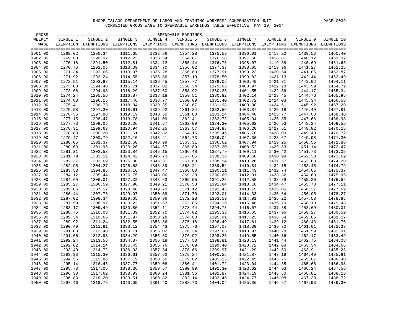| GROSS   |          |                                                                                                              |                    |          |          |                    |          |          |          |           |
|---------|----------|--------------------------------------------------------------------------------------------------------------|--------------------|----------|----------|--------------------|----------|----------|----------|-----------|
| WEEKLY  | SINGLE 1 | SINGLE 2                                                                                                     | SINGLE 3           | SINGLE 4 | SINGLE 5 | SINGLE 6           | SINGLE 7 | SINGLE 8 | SINGLE 9 | SINGLE 10 |
| WAGE    |          | EXEMPTION EXEMPTIONS EXEMPTIONS EXEMPTIONS EXEMPTIONS EXEMPTIONS EXEMPTIONS EXEMPTIONS EXEMPTIONS EXEMPTIONS |                    |          |          |                    |          |          |          |           |
|         |          |                                                                                                              |                    |          |          |                    |          |          |          |           |
| 1901.00 | 1269.02  | 1290.34                                                                                                      | 1311.65            | 1332.96  | 1354.28  | 1375.59            | 1396.91  | 1418.22  | 1439.53  | 1460.40   |
| 1902.00 | 1269.60  | 1290.92                                                                                                      | 1312.23            | 1333.54  | 1354.87  | 1376.18            | 1397.50  | 1418.81  | 1440.12  | 1461.02   |
| 1903.00 | 1270.18  | 1291.50                                                                                                      | 1312.81            | 1334.12  | 1355.44  | 1376.75            | 1398.07  | 1419.38  | 1440.69  | 1461.63   |
| 1904.00 | 1270.76  | 1292.08                                                                                                      | 1313.39            | 1334.70  | 1356.02  | 1377.33            | 1398.65  | 1419.96  | 1441.27  | 1462.25   |
| 1905.00 | 1271.34  | 1292.66                                                                                                      | 1313.97            | 1335.28  | 1356.60  | 1377.91            | 1399.23  | 1420.54  | 1441.85  | 1462.87   |
| 1906.00 | 1271.92  | 1293.24                                                                                                      | 1314.55            | 1335.86  | 1357.19  | 1378.50            | 1399.82  | 1421.13  | 1442.44  | 1463.49   |
| 1907.00 | 1272.51  | 1293.83                                                                                                      | 1315.14            | 1336.45  | 1357.77  | 1379.08            | 1400.40  | 1421.71  | 1443.02  | 1464.11   |
| 1908.00 | 1273.08  | 1294.40                                                                                                      | 1315.71            | 1337.02  | 1358.34  | 1379.65            | 1400.97  | 1422.28  | 1443.59  | 1464.72   |
| 1909.00 | 1273.66  | 1294.98                                                                                                      | 1316.29            | 1337.60  | 1358.92  | 1380.23            | 1401.55  | 1422.86  | 1444.17  | 1465.34   |
| 1910.00 | 1274.24  | 1295.56                                                                                                      | 1316.87            | 1338.18  | 1359.51  | 1380.82            | 1402.14  | 1423.45  | 1444.76  | 1465.96   |
| 1911.00 | 1274.83  | 1296.15                                                                                                      | 1317.46            | 1338.77  | 1360.09  | 1381.40            | 1402.72  | 1424.03  | 1445.34  | 1466.58   |
| 1912.00 | 1275.41  | 1296.73                                                                                                      | 1318.04            | 1339.35  | 1360.67  | 1381.98            | 1403.30  | 1424.61  | 1445.92  | 1467.20   |
| 1913.00 | 1275.98  | 1297.30                                                                                                      | 1318.61            | 1339.92  | 1361.24  | 1382.55            | 1403.87  | 1425.18  | 1446.49  | 1467.81   |
| 1914.00 | 1276.56  | 1297.88                                                                                                      | 1319.19            | 1340.50  | 1361.83  | 1383.14            | 1404.46  | 1425.77  | 1447.08  | 1468.40   |
| 1915.00 | 1277.15  | 1298.47                                                                                                      | 1319.78            | 1341.09  | 1362.41  | 1383.72            | 1405.04  | 1426.35  | 1447.66  | 1468.98   |
| 1916.00 | 1277.73  | 1299.05                                                                                                      | 1320.36            | 1341.67  | 1362.99  | 1384.30            | 1405.62  | 1426.93  | 1448.24  | 1469.56   |
| 1917.00 | 1278.31  | 1299.63                                                                                                      | 1320.94            | 1342.25  | 1363.57  | 1384.88            | 1406.20  | 1427.51  | 1448.82  | 1470.15   |
| 1918.00 | 1278.88  | 1300.20                                                                                                      | 1321.51            | 1342.82  | 1364.15  | 1385.46            | 1406.78  | 1428.09  | 1449.40  | 1470.72   |
| 1919.00 | 1279.47  | 1300.79                                                                                                      | 1322.10            | 1343.41  | 1364.73  | 1386.04            | 1407.36  | 1428.67  | 1449.98  | 1471.30   |
| 1920.00 | 1280.05  | 1301.37                                                                                                      | 1322.68            | 1343.99  | 1365.31  | 1386.62            | 1407.94  | 1429.25  | 1450.56  | 1471.88   |
| 1921.00 | 1280.63  | 1301.95                                                                                                      |                    | 1344.57  | 1365.89  |                    | 1408.52  | 1429.83  | 1451.14  | 1472.47   |
| 1922.00 | 1281.21  | 1302.53                                                                                                      | 1323.26<br>1323.84 | 1345.15  | 1366.48  | 1387.20<br>1387.79 | 1409.11  | 1430.42  | 1451.73  | 1473.05   |
|         | 1281.79  | 1303.11                                                                                                      |                    |          |          | 1388.36            | 1409.68  |          |          | 1473.62   |
| 1923.00 |          |                                                                                                              | 1324.42            | 1345.73  | 1367.05  |                    |          | 1430.99  | 1452.30  |           |
| 1924.00 | 1282.37  | 1303.69                                                                                                      | 1325.00            | 1346.31  | 1367.63  | 1388.94            | 1410.26  | 1431.57  | 1452.88  | 1474.20   |
| 1925.00 | 1282.95  | 1304.27                                                                                                      | 1325.58            | 1346.89  | 1368.21  | 1389.52            | 1410.84  | 1432.15  | 1453.46  | 1474.79   |
| 1926.00 | 1283.53  | 1304.85                                                                                                      | 1326.16            | 1347.47  | 1368.80  | 1390.11            | 1411.43  | 1432.74  | 1454.05  | 1475.37   |
| 1927.00 | 1284.12  | 1305.44                                                                                                      | 1326.75            | 1348.06  | 1369.38  | 1390.69            | 1412.01  | 1433.32  | 1454.63  | 1475.95   |
| 1928.00 | 1284.69  | 1306.01                                                                                                      | 1327.32            | 1348.63  | 1369.95  | 1391.26            | 1412.58  | 1433.89  | 1455.20  | 1476.52   |
| 1929.00 | 1285.27  | 1306.59                                                                                                      | 1327.90            | 1349.21  | 1370.53  | 1391.84            | 1413.16  | 1434.47  | 1455.78  | 1477.11   |
| 1930.00 | 1285.85  | 1307.17                                                                                                      | 1328.48            | 1349.79  | 1371.12  | 1392.43            | 1413.75  | 1435.06  | 1456.37  | 1477.69   |
| 1931.00 | 1286.44  | 1307.76                                                                                                      | 1329.07            | 1350.38  | 1371.70  | 1393.01            | 1414.33  | 1435.64  | 1456.95  | 1478.27   |
| 1932.00 | 1287.02  | 1308.34                                                                                                      | 1329.65            | 1350.96  | 1372.28  | 1393.59            | 1414.91  | 1436.22  | 1457.53  | 1478.85   |
| 1933.00 | 1287.59  | 1308.91                                                                                                      | 1330.22            | 1351.53  | 1372.85  | 1394.16            | 1415.48  | 1436.79  | 1458.10  | 1479.43   |
| 1934.00 | 1288.17  | 1309.49                                                                                                      | 1330.80            | 1352.11  | 1373.44  | 1394.75            | 1416.07  | 1437.38  | 1458.69  | 1480.01   |
| 1935.00 | 1288.76  | 1310.08                                                                                                      | 1331.39            | 1352.70  | 1374.02  | 1395.33            | 1416.65  | 1437.96  | 1459.27  | 1480.59   |
| 1936.00 | 1289.34  | 1310.66                                                                                                      | 1331.97            | 1353.28  | 1374.60  | 1395.91            | 1417.23  | 1438.54  | 1459.85  | 1481.17   |
| 1937.00 | 1289.92  | 1311.24                                                                                                      | 1332.55            | 1353.86  | 1375.18  | 1396.49            | 1417.81  | 1439.12  | 1460.43  | 1481.76   |
| 1938.00 | 1290.49  | 1311.81                                                                                                      | 1333.12            | 1354.43  | 1375.76  | 1397.07            | 1418.39  | 1439.70  | 1461.01  | 1482.33   |
| 1939.00 | 1291.08  | 1312.40                                                                                                      | 1333.71            | 1355.02  | 1376.34  | 1397.65            | 1418.97  | 1440.28  | 1461.59  | 1482.91   |
| 1940.00 | 1291.66  | 1312.98                                                                                                      | 1334.29            | 1355.60  | 1376.92  | 1398.23            | 1419.55  | 1440.86  | 1462.17  | 1483.49   |
| 1941.00 | 1292.24  | 1313.56                                                                                                      | 1334.87            | 1356.18  | 1377.50  | 1398.81            | 1420.13  | 1441.44  | 1462.75  | 1484.08   |
| 1942.00 | 1292.82  | 1314.14                                                                                                      | 1335.45            | 1356.76  | 1378.09  | 1399.40            | 1420.72  | 1442.03  | 1463.34  | 1484.66   |
| 1943.00 | 1293.40  | 1314.72                                                                                                      | 1336.03            | 1357.34  | 1378.66  | 1399.97            | 1421.29  | 1442.60  | 1463.91  | 1485.23   |
| 1944.00 | 1293.98  | 1315.30                                                                                                      | 1336.61            | 1357.92  | 1379.24  | 1400.55            | 1421.87  | 1443.18  | 1464.49  | 1485.81   |
| 1945.00 | 1294.56  | 1315.88                                                                                                      | 1337.19            | 1358.50  | 1379.82  | 1401.13            | 1422.45  | 1443.76  | 1465.07  | 1486.40   |
| 1946.00 | 1295.14  | 1316.46                                                                                                      | 1337.77            | 1359.08  | 1380.41  | 1401.72            | 1423.04  | 1444.35  | 1465.66  | 1486.98   |
| 1947.00 | 1295.73  | 1317.05                                                                                                      | 1338.36            | 1359.67  | 1380.99  | 1402.30            | 1423.62  | 1444.93  | 1466.24  | 1487.56   |
| 1948.00 | 1296.30  | 1317.62                                                                                                      | 1338.93            | 1360.24  | 1381.56  | 1402.87            | 1424.19  | 1445.50  | 1466.81  | 1488.13   |
| 1949.00 | 1296.88  | 1318.20                                                                                                      | 1339.51            | 1360.82  | 1382.14  | 1403.45            | 1424.77  | 1446.08  | 1467.39  | 1488.72   |
| 1950.00 | 1297.46  | 1318.78                                                                                                      | 1340.09            | 1361.40  | 1382.73  | 1404.04            | 1425.36  | 1446.67  | 1467.98  | 1489.30   |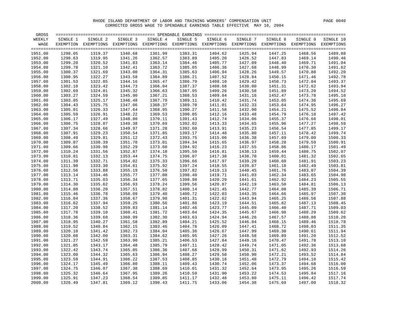| GROSS   |          |                                                                                                              |          |          |          |          |          |          |          |           |
|---------|----------|--------------------------------------------------------------------------------------------------------------|----------|----------|----------|----------|----------|----------|----------|-----------|
| WEEKLY  | SINGLE 1 | SINGLE 2                                                                                                     | SINGLE 3 | SINGLE 4 | SINGLE 5 | SINGLE 6 | SINGLE 7 | SINGLE 8 | SINGLE 9 | SINGLE 10 |
| WAGE    |          | EXEMPTION EXEMPTIONS EXEMPTIONS EXEMPTIONS EXEMPTIONS EXEMPTIONS EXEMPTIONS EXEMPTIONS EXEMPTIONS EXEMPTIONS |          |          |          |          |          |          |          |           |
|         |          |                                                                                                              |          |          |          |          |          |          |          |           |
| 1951.00 | 1298.05  | 1319.37                                                                                                      | 1340.68  | 1361.99  | 1383.31  | 1404.62  | 1425.94  | 1447.25  | 1468.56  | 1489.88   |
| 1952.00 | 1298.63  | 1319.95                                                                                                      | 1341.26  | 1362.57  | 1383.89  | 1405.20  | 1426.52  | 1447.83  | 1469.14  | 1490.46   |
| 1953.00 | 1299.20  | 1320.52                                                                                                      | 1341.83  | 1363.14  | 1384.46  | 1405.77  | 1427.09  | 1448.40  | 1469.71  | 1491.04   |
| 1954.00 | 1299.78  | 1321.10                                                                                                      | 1342.41  | 1363.72  | 1385.05  | 1406.36  | 1427.68  | 1448.99  | 1470.30  | 1491.62   |
| 1955.00 | 1300.37  | 1321.69                                                                                                      | 1343.00  | 1364.31  | 1385.63  | 1406.94  | 1428.26  | 1449.57  | 1470.88  | 1492.20   |
| 1956.00 | 1300.95  | 1322.27                                                                                                      | 1343.58  | 1364.89  | 1386.21  | 1407.52  | 1428.84  | 1450.15  | 1471.46  | 1492.78   |
| 1957.00 | 1301.53  | 1322.85                                                                                                      | 1344.16  | 1365.47  | 1386.79  | 1408.10  | 1429.42  | 1450.73  | 1472.04  | 1493.37   |
| 1958.00 | 1302.10  | 1323.42                                                                                                      | 1344.73  | 1366.04  | 1387.37  | 1408.68  | 1430.00  | 1451.31  | 1472.62  | 1493.94   |
| 1959.00 | 1302.69  | 1324.01                                                                                                      | 1345.32  | 1366.63  | 1387.95  | 1409.26  | 1430.58  | 1451.89  | 1473.20  | 1494.52   |
| 1960.00 | 1303.27  | 1324.59                                                                                                      | 1345.90  | 1367.21  | 1388.53  | 1409.84  | 1431.16  | 1452.47  | 1473.78  | 1495.10   |
| 1961.00 | 1303.85  | 1325.17                                                                                                      | 1346.48  | 1367.79  | 1389.11  | 1410.42  | 1431.74  | 1453.05  | 1474.36  | 1495.69   |
| 1962.00 | 1304.43  | 1325.75                                                                                                      | 1347.06  | 1368.37  | 1389.70  | 1411.01  | 1432.33  | 1453.64  | 1474.95  | 1496.27   |
| 1963.00 | 1305.01  | 1326.33                                                                                                      | 1347.64  | 1368.95  | 1390.27  | 1411.58  | 1432.90  | 1454.21  | 1475.52  | 1496.84   |
| 1964.00 | 1305.59  | 1326.91                                                                                                      | 1348.22  | 1369.53  | 1390.85  | 1412.16  | 1433.48  | 1454.79  | 1476.10  | 1497.42   |
| 1965.00 | 1306.17  | 1327.49                                                                                                      | 1348.80  | 1370.11  | 1391.43  | 1412.74  | 1434.06  | 1455.37  | 1476.68  | 1498.01   |
| 1966.00 | 1306.75  | 1328.07                                                                                                      | 1349.38  | 1370.69  | 1392.02  | 1413.33  | 1434.65  | 1455.96  | 1477.27  | 1498.59   |
| 1967.00 | 1307.34  | 1328.66                                                                                                      | 1349.97  | 1371.28  | 1392.60  | 1413.91  | 1435.23  | 1456.54  | 1477.85  | 1499.17   |
| 1968.00 | 1307.91  | 1329.23                                                                                                      | 1350.54  | 1371.85  | 1393.17  | 1414.48  | 1435.80  | 1457.11  | 1478.42  | 1499.74   |
| 1969.00 | 1308.49  | 1329.81                                                                                                      | 1351.12  | 1372.43  | 1393.75  | 1415.06  | 1436.38  | 1457.69  | 1479.00  | 1500.33   |
| 1970.00 | 1309.07  | 1330.39                                                                                                      | 1351.70  | 1373.01  | 1394.34  | 1415.65  | 1436.97  | 1458.28  | 1479.59  | 1500.91   |
| 1971.00 | 1309.66  | 1330.98                                                                                                      | 1352.29  | 1373.60  | 1394.92  | 1416.23  | 1437.55  | 1458.86  | 1480.17  | 1501.49   |
| 1972.00 | 1310.24  | 1331.56                                                                                                      | 1352.87  | 1374.18  | 1395.50  | 1416.81  | 1438.13  | 1459.44  | 1480.75  | 1502.07   |
|         | 1310.81  | 1332.13                                                                                                      |          |          |          |          | 1438.70  |          |          | 1502.65   |
| 1973.00 |          |                                                                                                              | 1353.44  | 1374.75  | 1396.07  | 1417.38  |          | 1460.01  | 1481.32  |           |
| 1974.00 | 1311.39  | 1332.71                                                                                                      | 1354.02  | 1375.33  | 1396.66  | 1417.97  | 1439.29  | 1460.60  | 1481.91  | 1503.23   |
| 1975.00 | 1311.98  | 1333.30                                                                                                      | 1354.61  | 1375.92  | 1397.24  | 1418.55  | 1439.87  | 1461.18  | 1482.49  | 1503.81   |
| 1976.00 | 1312.56  | 1333.88                                                                                                      | 1355.19  | 1376.50  | 1397.82  | 1419.13  | 1440.45  | 1461.76  | 1483.07  | 1504.39   |
| 1977.00 | 1313.14  | 1334.46                                                                                                      | 1355.77  | 1377.08  | 1398.40  | 1419.71  | 1441.03  | 1462.34  | 1483.65  | 1504.98   |
| 1978.00 | 1313.71  | 1335.03                                                                                                      | 1356.34  | 1377.65  | 1398.98  | 1420.29  | 1441.61  | 1462.92  | 1484.23  | 1505.55   |
| 1979.00 | 1314.30  | 1335.62                                                                                                      | 1356.93  | 1378.24  | 1399.56  | 1420.87  | 1442.19  | 1463.50  | 1484.81  | 1506.13   |
| 1980.00 | 1314.88  | 1336.20                                                                                                      | 1357.51  | 1378.82  | 1400.14  | 1421.45  | 1442.77  | 1464.08  | 1485.39  | 1506.71   |
| 1981.00 | 1315.46  | 1336.78                                                                                                      | 1358.09  | 1379.40  | 1400.72  | 1422.03  | 1443.35  | 1464.66  | 1485.97  | 1507.30   |
| 1982.00 | 1316.04  | 1337.36                                                                                                      | 1358.67  | 1379.98  | 1401.31  | 1422.62  | 1443.94  | 1465.25  | 1486.56  | 1507.88   |
| 1983.00 | 1316.62  | 1337.94                                                                                                      | 1359.25  | 1380.56  | 1401.88  | 1423.19  | 1444.51  | 1465.82  | 1487.13  | 1508.45   |
| 1984.00 | 1317.20  | 1338.52                                                                                                      | 1359.83  | 1381.14  | 1402.46  | 1423.77  | 1445.09  | 1466.40  | 1487.71  | 1509.03   |
| 1985.00 | 1317.78  | 1339.10                                                                                                      | 1360.41  | 1381.72  | 1403.04  | 1424.35  | 1445.67  | 1466.98  | 1488.29  | 1509.62   |
| 1986.00 | 1318.36  | 1339.68                                                                                                      | 1360.99  | 1382.30  | 1403.63  | 1424.94  | 1446.26  | 1467.57  | 1488.88  | 1510.20   |
| 1987.00 | 1318.95  | 1340.27                                                                                                      | 1361.58  | 1382.89  | 1404.21  | 1425.52  | 1446.84  | 1468.15  | 1489.46  | 1510.78   |
| 1988.00 | 1319.52  | 1340.84                                                                                                      | 1362.15  | 1383.46  | 1404.78  | 1426.09  | 1447.41  | 1468.72  | 1490.03  | 1511.35   |
| 1989.00 | 1320.10  | 1341.42                                                                                                      | 1362.73  | 1384.04  | 1405.36  | 1426.67  | 1447.99  | 1469.30  | 1490.61  | 1511.94   |
| 1990.00 | 1320.68  | 1342.00                                                                                                      | 1363.31  | 1384.62  | 1405.95  | 1427.26  | 1448.58  | 1469.89  | 1491.20  | 1512.52   |
| 1991.00 | 1321.27  | 1342.59                                                                                                      | 1363.90  | 1385.21  | 1406.53  | 1427.84  | 1449.16  | 1470.47  | 1491.78  | 1513.10   |
| 1992.00 | 1321.85  | 1343.17                                                                                                      | 1364.48  | 1385.79  | 1407.11  | 1428.42  | 1449.74  | 1471.05  | 1492.36  | 1513.68   |
| 1993.00 | 1322.42  | 1343.74                                                                                                      | 1365.05  | 1386.36  | 1407.68  | 1428.99  | 1450.31  | 1471.62  | 1492.93  | 1514.26   |
| 1994.00 | 1323.00  | 1344.32                                                                                                      | 1365.63  | 1386.94  | 1408.27  | 1429.58  | 1450.90  | 1472.21  | 1493.52  | 1514.84   |
| 1995.00 | 1323.59  | 1344.91                                                                                                      | 1366.22  | 1387.53  | 1408.85  | 1430.16  | 1451.48  | 1472.79  | 1494.10  | 1515.42   |
| 1996.00 | 1324.17  | 1345.49                                                                                                      | 1366.80  | 1388.11  | 1409.43  | 1430.74  | 1452.06  | 1473.37  | 1494.68  | 1516.00   |
| 1997.00 | 1324.75  | 1346.07                                                                                                      | 1367.38  | 1388.69  | 1410.01  | 1431.32  | 1452.64  | 1473.95  | 1495.26  | 1516.59   |
| 1998.00 | 1325.32  | 1346.64                                                                                                      | 1367.95  | 1389.26  | 1410.59  | 1431.90  | 1453.22  | 1474.53  | 1495.84  | 1517.16   |
| 1999.00 | 1325.91  | 1347.23                                                                                                      | 1368.54  | 1389.85  | 1411.17  | 1432.48  | 1453.80  | 1475.11  | 1496.42  | 1517.74   |
| 2000.00 | 1326.49  | 1347.81                                                                                                      | 1369.12  | 1390.43  | 1411.75  | 1433.06  | 1454.38  | 1475.69  | 1497.00  | 1518.32   |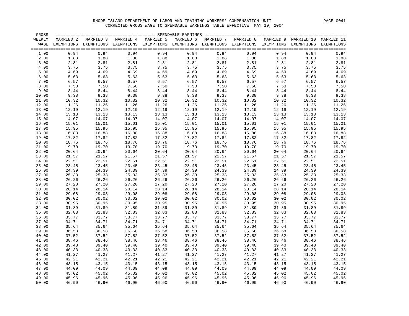| GROSS  |           |                                                                                                               |       |                     |           |       |                     |       |                                 |                                           |
|--------|-----------|---------------------------------------------------------------------------------------------------------------|-------|---------------------|-----------|-------|---------------------|-------|---------------------------------|-------------------------------------------|
| WEEKLY | MARRIED 2 | MARRIED 3                                                                                                     |       | MARRIED 4 MARRIED 5 | MARRIED 6 |       | MARRIED 7 MARRIED 8 |       | MARRIED 9 MARRIED 10 MARRIED 11 |                                           |
| WAGE   |           | EXEMPTIONS EXEMPTIONS EXEMPTIONS EXEMPTIONS EXEMPTIONS EXEMPTIONS EXEMPTIONS EXEMPTIONS EXEMPTIONS EXEMPTIONS |       |                     |           |       |                     |       |                                 |                                           |
| 1.00   | 0.94      | 0.94                                                                                                          | 0.94  | 0.94                | 0.94      | 0.94  | 0.94                | 0.94  | 0.94                            | $== == =$<br>$\ensuremath{0}$ .<br><br>94 |
| 2.00   | 1.88      | 1.88                                                                                                          | 1.88  | 1.88                | 1.88      | 1.88  | 1.88                | 1.88  | 1.88                            | 1.88                                      |
| 3.00   | 2.81      | 2.81                                                                                                          | 2.81  | 2.81                | 2.81      | 2.81  | 2.81                | 2.81  | 2.81                            | 2.81                                      |
| 4.00   | 3.75      | 3.75                                                                                                          | 3.75  | 3.75                | 3.75      | 3.75  | 3.75                | 3.75  | 3.75                            | 3.75                                      |
| 5.00   | 4.69      | 4.69                                                                                                          | 4.69  | 4.69                | 4.69      | 4.69  | 4.69                | 4.69  | 4.69                            | 4.69                                      |
| 6.00   | 5.63      | 5.63                                                                                                          | 5.63  | 5.63                | 5.63      | 5.63  | 5.63                | 5.63  | 5.63                            | 5.63                                      |
| 7.00   | 6.57      | 6.57                                                                                                          | 6.57  | 6.57                | 6.57      | 6.57  | 6.57                | 6.57  | 6.57                            | 6.57                                      |
| 8.00   | 7.50      | 7.50                                                                                                          | 7.50  | 7.50                | 7.50      | 7.50  | 7.50                | 7.50  | 7.50                            | 7.50                                      |
| 9.00   | 8.44      |                                                                                                               | 8.44  | 8.44                | 8.44      | 8.44  | 8.44                | 8.44  | 8.44                            | 8.44                                      |
| 10.00  | 9.38      | $8.44$<br>$9.38$                                                                                              | 9.38  | 9.38                | 9.38      | 9.38  | 9.38                | 9.38  | 9.38                            | 9.38                                      |
| 11.00  | 10.32     | 10.32                                                                                                         | 10.32 | 10.32               | 10.32     | 10.32 | 10.32               | 10.32 | 10.32                           | 10.32                                     |
| 12.00  | 11.26     | 11.26                                                                                                         | 11.26 | 11.26               | 11.26     | 11.26 | 11.26               | 11.26 | 11.26                           | 11.26                                     |
| 13.00  | 12.19     | 12.19                                                                                                         | 12.19 | 12.19               | 12.19     | 12.19 | 12.19               | 12.19 | 12.19                           | 12.19                                     |
| 14.00  | 13.13     | 13.13                                                                                                         | 13.13 | 13.13               | 13.13     | 13.13 | 13.13               | 13.13 | 13.13                           | 13.13                                     |
| 15.00  | 14.07     | 14.07                                                                                                         | 14.07 | 14.07               | 14.07     | 14.07 | 14.07               | 14.07 | 14.07                           | 14.07                                     |
| 16.00  | 15.01     | 15.01                                                                                                         | 15.01 | 15.01               | 15.01     | 15.01 | 15.01               | 15.01 | 15.01                           | 15.01                                     |
| 17.00  | 15.95     | 15.95                                                                                                         | 15.95 | 15.95               | 15.95     | 15.95 | 15.95               | 15.95 | 15.95                           | 15.95                                     |
| 18.00  | 16.88     | 16.88                                                                                                         | 16.88 | 16.88               | 16.88     | 16.88 | 16.88               | 16.88 | 16.88                           | 16.88                                     |
| 19.00  | 17.82     | 17.82                                                                                                         | 17.82 | 17.82               | 17.82     | 17.82 | 17.82               | 17.82 | 17.82                           | 17.82                                     |
| 20.00  | 18.76     | 18.76                                                                                                         | 18.76 | 18.76               | 18.76     | 18.76 | 18.76               | 18.76 | 18.76                           | 18.76                                     |
| 21.00  | 19.70     | 19.70                                                                                                         | 19.70 | 19.70               | 19.70     | 19.70 | 19.70               | 19.70 | 19.70                           | 19.70                                     |
| 22.00  | 20.64     | 20.64                                                                                                         | 20.64 | 20.64               | 20.64     | 20.64 | 20.64               | 20.64 | 20.64                           | 20.64                                     |
| 23.00  | 21.57     | 21.57                                                                                                         | 21.57 | 21.57               | 21.57     | 21.57 | 21.57               | 21.57 | 21.57                           | 21.57                                     |
| 24.00  | 22.51     | 22.51                                                                                                         | 22.51 | 22.51               | 22.51     | 22.51 | 22.51               | 22.51 | 22.51                           | 22.51                                     |
| 25.00  | 23.45     | 23.45                                                                                                         | 23.45 | 23.45               | 23.45     | 23.45 | 23.45               | 23.45 | 23.45                           | 23.45                                     |
| 26.00  | 24.39     | 24.39                                                                                                         | 24.39 | 24.39               | 24.39     | 24.39 | 24.39               | 24.39 | 24.39                           | 24.39                                     |
| 27.00  | 25.33     | 25.33                                                                                                         | 25.33 | 25.33               | 25.33     | 25.33 | 25.33               | 25.33 | 25.33                           | 25.33                                     |
| 28.00  | 26.26     | 26.26                                                                                                         | 26.26 | 26.26               | 26.26     | 26.26 | 26.26               | 26.26 | 26.26                           | 26.26                                     |
| 29.00  | 27.20     | 27.20                                                                                                         | 27.20 | 27.20               | 27.20     | 27.20 | 27.20               | 27.20 | 27.20                           | 27.20                                     |
| 30.00  | 28.14     | 28.14                                                                                                         | 28.14 | 28.14               | 28.14     | 28.14 | 28.14               | 28.14 | 28.14                           | 28.14                                     |
| 31.00  | 29.08     | 29.08                                                                                                         | 29.08 | 29.08               | 29.08     | 29.08 | 29.08               | 29.08 | 29.08                           | 29.08                                     |
| 32.00  | 30.02     | 30.02                                                                                                         | 30.02 | 30.02               | 30.02     | 30.02 | 30.02               | 30.02 | 30.02                           | 30.02                                     |
| 33.00  | 30.95     | 30.95                                                                                                         | 30.95 | 30.95               | 30.95     | 30.95 | 30.95               | 30.95 | 30.95                           | 30.95                                     |
| 34.00  | 31.89     | 31.89                                                                                                         | 31.89 | 31.89               | 31.89     | 31.89 | 31.89               | 31.89 | 31.89                           | 31.89                                     |
| 35.00  | 32.83     | 32.83                                                                                                         | 32.83 | 32.83               | 32.83     | 32.83 | 32.83               | 32.83 | 32.83                           | 32.83                                     |
| 36.00  | 33.77     | 33.77                                                                                                         | 33.77 | 33.77               | 33.77     | 33.77 | 33.77               | 33.77 | 33.77                           | 33.77                                     |
| 37.00  | 34.71     | 34.71                                                                                                         | 34.71 | 34.71               | 34.71     | 34.71 | 34.71               | 34.71 | 34.71                           | 34.71                                     |
| 38.00  | 35.64     | 35.64                                                                                                         | 35.64 | 35.64               | 35.64     | 35.64 | 35.64               | 35.64 | 35.64                           | 35.64                                     |
| 39.00  | 36.58     | 36.58                                                                                                         | 36.58 | 36.58               | 36.58     | 36.58 | 36.58               | 36.58 | 36.58                           | 36.58                                     |
| 40.00  | 37.52     | 37.52                                                                                                         | 37.52 | 37.52               | 37.52     | 37.52 | 37.52               | 37.52 | 37.52                           | 37.52                                     |
| 41.00  | 38.46     | 38.46                                                                                                         | 38.46 | 38.46               | 38.46     | 38.46 | 38.46               | 38.46 | 38.46                           | 38.46                                     |
| 42.00  | 39.40     | 39.40                                                                                                         | 39.40 | 39.40               | 39.40     | 39.40 | 39.40               | 39.40 | 39.40                           | 39.40                                     |
| 43.00  | 40.33     | 40.33                                                                                                         | 40.33 | 40.33               | 40.33     | 40.33 | 40.33               | 40.33 | 40.33                           | 40.33                                     |
| 44.00  | 41.27     | 41.27                                                                                                         | 41.27 | 41.27               | 41.27     | 41.27 | 41.27               | 41.27 | 41.27                           | 41.27                                     |
| 45.00  | 42.21     | 42.21                                                                                                         | 42.21 | 42.21               | 42.21     | 42.21 | 42.21               | 42.21 | 42.21                           | 42.21                                     |
| 46.00  | 43.15     | 43.15                                                                                                         | 43.15 | 43.15               | 43.15     | 43.15 | 43.15               | 43.15 | 43.15                           | 43.15                                     |
| 47.00  | 44.09     | 44.09                                                                                                         | 44.09 | 44.09               | 44.09     | 44.09 | 44.09               | 44.09 | 44.09                           | 44.09                                     |
| 48.00  | 45.02     | 45.02                                                                                                         | 45.02 | 45.02               | 45.02     | 45.02 | 45.02               | 45.02 | 45.02                           | 45.02                                     |
| 49.00  | 45.96     | 45.96                                                                                                         | 45.96 | 45.96               | 45.96     | 45.96 | 45.96               | 45.96 | 45.96                           | 45.96                                     |
| 50.00  | 46.90     | 46.90                                                                                                         | 46.90 | 46.90               | 46.90     | 46.90 | 46.90               | 46.90 | 46.90                           | 46.90                                     |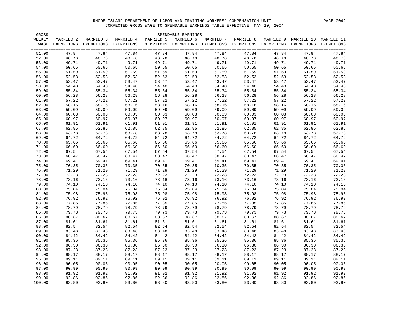| GROSS  |           |                                                                                                               |           |           |           |           |           |           |            |                 |
|--------|-----------|---------------------------------------------------------------------------------------------------------------|-----------|-----------|-----------|-----------|-----------|-----------|------------|-----------------|
| WEEKLY | MARRIED 2 | MARRIED 3                                                                                                     | MARRIED 4 | MARRIED 5 | MARRIED 6 | MARRIED 7 | MARRIED 8 | MARRIED 9 | MARRIED 10 | MARRIED 11      |
| WAGE   |           | EXEMPTIONS EXEMPTIONS EXEMPTIONS EXEMPTIONS EXEMPTIONS EXEMPTIONS EXEMPTIONS EXEMPTIONS EXEMPTIONS EXEMPTIONS |           |           |           |           |           |           |            | $=$ $=$ $=$ $=$ |
| 51.00  | 47.84     | 47.84                                                                                                         | 47.84     | 47.84     | 47.84     | 47.84     | 47.84     | 47.84     | 47.84      | 47.84           |
| 52.00  | 48.78     | 48.78                                                                                                         | 48.78     | 48.78     | 48.78     | 48.78     | 48.78     | 48.78     | 48.78      | 48.78           |
| 53.00  | 49.71     | 49.71                                                                                                         | 49.71     | 49.71     | 49.71     | 49.71     | 49.71     | 49.71     | 49.71      | 49.71           |
| 54.00  | 50.65     | 50.65                                                                                                         | 50.65     | 50.65     | 50.65     | 50.65     | 50.65     | 50.65     | 50.65      | 50.65           |
| 55.00  | 51.59     | 51.59                                                                                                         | 51.59     | 51.59     | 51.59     | 51.59     | 51.59     | 51.59     | 51.59      | 51.59           |
| 56.00  | 52.53     | 52.53                                                                                                         | 52.53     | 52.53     | 52.53     | 52.53     | 52.53     | 52.53     | 52.53      | 52.53           |
| 57.00  | 53.47     | 53.47                                                                                                         | 53.47     | 53.47     | 53.47     | 53.47     | 53.47     | 53.47     | 53.47      | 53.47           |
| 58.00  | 54.40     | 54.40                                                                                                         | 54.40     | 54.40     | 54.40     | 54.40     | 54.40     | 54.40     | 54.40      | 54.40           |
| 59.00  | 55.34     | 55.34                                                                                                         | 55.34     | 55.34     | 55.34     | 55.34     | 55.34     | 55.34     | 55.34      | 55.34           |
| 60.00  | 56.28     | 56.28                                                                                                         | 56.28     | 56.28     | 56.28     | 56.28     | 56.28     | 56.28     | 56.28      | 56.28           |
| 61.00  | 57.22     | 57.22                                                                                                         | 57.22     | 57.22     | 57.22     | 57.22     | 57.22     | 57.22     | 57.22      | 57.22           |
| 62.00  | 58.16     | 58.16                                                                                                         | 58.16     | 58.16     | 58.16     | 58.16     | 58.16     | 58.16     | 58.16      | 58.16           |
| 63.00  | 59.09     | 59.09                                                                                                         | 59.09     | 59.09     | 59.09     | 59.09     | 59.09     | 59.09     | 59.09      | 59.09           |
| 64.00  | 60.03     | 60.03                                                                                                         | 60.03     | 60.03     | 60.03     | 60.03     | 60.03     | 60.03     | 60.03      | 60.03           |
| 65.00  | 60.97     | 60.97                                                                                                         | 60.97     | 60.97     | 60.97     | 60.97     | 60.97     | 60.97     | 60.97      | 60.97           |
| 66.00  | 61.91     | 61.91                                                                                                         | 61.91     | 61.91     | 61.91     | 61.91     | 61.91     | 61.91     | 61.91      | 61.91           |
| 67.00  | 62.85     | 62.85                                                                                                         | 62.85     | 62.85     | 62.85     | 62.85     | 62.85     | 62.85     | 62.85      | 62.85           |
| 68.00  | 63.78     | 63.78                                                                                                         | 63.78     | 63.78     | 63.78     | 63.78     | 63.78     | 63.78     | 63.78      | 63.78           |
| 69.00  | 64.72     | 64.72                                                                                                         | 64.72     | 64.72     | 64.72     | 64.72     | 64.72     | 64.72     | 64.72      | 64.72           |
| 70.00  | 65.66     | 65.66                                                                                                         | 65.66     | 65.66     | 65.66     | 65.66     | 65.66     | 65.66     | 65.66      | 65.66           |
| 71.00  | 66.60     | 66.60                                                                                                         | 66.60     | 66.60     | 66.60     | 66.60     | 66.60     | 66.60     | 66.60      | 66.60           |
| 72.00  | 67.54     | 67.54                                                                                                         | 67.54     | 67.54     | 67.54     | 67.54     | 67.54     | 67.54     | 67.54      | 67.54           |
| 73.00  | 68.47     | 68.47                                                                                                         | 68.47     | 68.47     | 68.47     | 68.47     | 68.47     | 68.47     | 68.47      | 68.47           |
| 74.00  | 69.41     | 69.41                                                                                                         | 69.41     | 69.41     | 69.41     | 69.41     | 69.41     | 69.41     | 69.41      | 69.41           |
| 75.00  | 70.35     | 70.35                                                                                                         | 70.35     | 70.35     | 70.35     | 70.35     | 70.35     | 70.35     | 70.35      | 70.35           |
| 76.00  | 71.29     | 71.29                                                                                                         | 71.29     | 71.29     | 71.29     | 71.29     | 71.29     | 71.29     | 71.29      | 71.29           |
| 77.00  | 72.23     | 72.23                                                                                                         | 72.23     | 72.23     | 72.23     | 72.23     | 72.23     | 72.23     | 72.23      | 72.23           |
| 78.00  | 73.16     | 73.16                                                                                                         | 73.16     | 73.16     | 73.16     | 73.16     | 73.16     | 73.16     | 73.16      | 73.16           |
| 79.00  | 74.10     | 74.10                                                                                                         | 74.10     | 74.10     | 74.10     | 74.10     | 74.10     | 74.10     | 74.10      | 74.10           |
| 80.00  | 75.04     | 75.04                                                                                                         | 75.04     | 75.04     | 75.04     | 75.04     | 75.04     | 75.04     | 75.04      | 75.04           |
| 81.00  | 75.98     | 75.98                                                                                                         | 75.98     | 75.98     | 75.98     | 75.98     | 75.98     | 75.98     | 75.98      | 75.98           |
| 82.00  | 76.92     | 76.92                                                                                                         | 76.92     | 76.92     | 76.92     | 76.92     | 76.92     | 76.92     | 76.92      | 76.92           |
| 83.00  | 77.85     | 77.85                                                                                                         | 77.85     | 77.85     | 77.85     | 77.85     | 77.85     | 77.85     | 77.85      | 77.85           |
| 84.00  | 78.79     | 78.79                                                                                                         | 78.79     | 78.79     | 78.79     | 78.79     | 78.79     | 78.79     | 78.79      | 78.79           |
| 85.00  | 79.73     | 79.73                                                                                                         | 79.73     | 79.73     | 79.73     | 79.73     | 79.73     | 79.73     | 79.73      | 79.73           |
| 86.00  | 80.67     | 80.67                                                                                                         | 80.67     | 80.67     | 80.67     | 80.67     | 80.67     | 80.67     | 80.67      | 80.67           |
| 87.00  | 81.61     | 81.61                                                                                                         | 81.61     | 81.61     | 81.61     | 81.61     | 81.61     | 81.61     | 81.61      | 81.61           |
| 88.00  | 82.54     | 82.54                                                                                                         | 82.54     | 82.54     | 82.54     | 82.54     | 82.54     | 82.54     | 82.54      | 82.54           |
| 89.00  | 83.48     | 83.48                                                                                                         | 83.48     | 83.48     | 83.48     | 83.48     | 83.48     | 83.48     | 83.48      | 83.48           |
| 90.00  | 84.42     | 84.42                                                                                                         | 84.42     | 84.42     | 84.42     | 84.42     | 84.42     | 84.42     | 84.42      | 84.42           |
| 91.00  | 85.36     | 85.36                                                                                                         | 85.36     | 85.36     | 85.36     | 85.36     | 85.36     | 85.36     | 85.36      | 85.36           |
| 92.00  | 86.30     | 86.30                                                                                                         | 86.30     | 86.30     | 86.30     | 86.30     | 86.30     | 86.30     | 86.30      | 86.30           |
| 93.00  | 87.23     | 87.23                                                                                                         | 87.23     | 87.23     | 87.23     | 87.23     | 87.23     | 87.23     | 87.23      | 87.23           |
| 94.00  | 88.17     | 88.17                                                                                                         | 88.17     | 88.17     | 88.17     | 88.17     | 88.17     | 88.17     | 88.17      | 88.17           |
| 95.00  | 89.11     | 89.11                                                                                                         | 89.11     | 89.11     | 89.11     | 89.11     | 89.11     | 89.11     | 89.11      | 89.11           |
| 96.00  | 90.05     | 90.05                                                                                                         | 90.05     | 90.05     | 90.05     | 90.05     | 90.05     | 90.05     | 90.05      | 90.05           |
| 97.00  | 90.99     | 90.99                                                                                                         | 90.99     | 90.99     | 90.99     | 90.99     | 90.99     | 90.99     | 90.99      | 90.99           |
| 98.00  | 91.92     | 91.92                                                                                                         | 91.92     | 91.92     | 91.92     | 91.92     | 91.92     | 91.92     | 91.92      | 91.92           |
| 99.00  | 92.86     | 92.86                                                                                                         | 92.86     | 92.86     | 92.86     | 92.86     | 92.86     | 92.86     | 92.86      | 92.86           |
| 100.00 | 93.80     | 93.80                                                                                                         | 93.80     | 93.80     | 93.80     | 93.80     | 93.80     | 93.80     | 93.80      | 93.80           |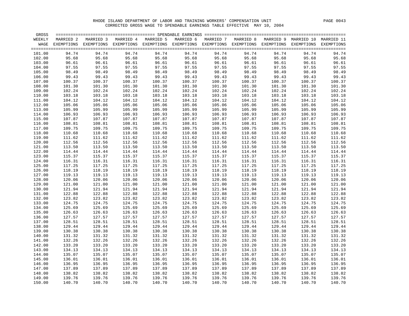| GROSS  |           |                                                                                                                    |           |           |           |           |           |        |                                 |        |
|--------|-----------|--------------------------------------------------------------------------------------------------------------------|-----------|-----------|-----------|-----------|-----------|--------|---------------------------------|--------|
| WEEKLY | MARRIED 2 | MARRIED 3                                                                                                          | MARRIED 4 | MARRIED 5 | MARRIED 6 | MARRIED 7 | MARRIED 8 |        | MARRIED 9 MARRIED 10 MARRIED 11 |        |
|        |           | WAGE EXEMPTIONS EXEMPTIONS EXEMPTIONS EXEMPTIONS EXEMPTIONS EXEMPTIONS EXEMPTIONS EXEMPTIONS EXEMPTIONS EXEMPTIONS |           |           |           |           |           |        |                                 |        |
|        |           |                                                                                                                    |           |           |           |           |           |        |                                 |        |
| 101.00 | 94.74     | 94.74                                                                                                              | 94.74     | 94.74     | 94.74     | 94.74     | 94.74     | 94.74  | 94.74                           | 94.74  |
| 102.00 | 95.68     | 95.68                                                                                                              | 95.68     | 95.68     | 95.68     | 95.68     | 95.68     | 95.68  | 95.68                           | 95.68  |
| 103.00 | 96.61     | 96.61                                                                                                              | 96.61     | 96.61     | 96.61     | 96.61     | 96.61     | 96.61  | 96.61                           | 96.61  |
| 104.00 | 97.55     | 97.55                                                                                                              | 97.55     | 97.55     | 97.55     | 97.55     | 97.55     | 97.55  | 97.55                           | 97.55  |
| 105.00 | 98.49     | 98.49                                                                                                              | 98.49     | 98.49     | 98.49     | 98.49     | 98.49     | 98.49  | 98.49                           | 98.49  |
| 106.00 | 99.43     | 99.43                                                                                                              | 99.43     | 99.43     | 99.43     | 99.43     | 99.43     | 99.43  | 99.43                           | 99.43  |
| 107.00 | 100.37    | 100.37                                                                                                             | 100.37    | 100.37    | 100.37    | 100.37    | 100.37    | 100.37 | 100.37                          | 100.37 |
| 108.00 | 101.30    | 101.30                                                                                                             | 101.30    | 101.30    | 101.30    | 101.30    | 101.30    | 101.30 | 101.30                          | 101.30 |
| 109.00 | 102.24    | 102.24                                                                                                             | 102.24    | 102.24    | 102.24    | 102.24    | 102.24    | 102.24 | 102.24                          | 102.24 |
| 110.00 | 103.18    | 103.18                                                                                                             | 103.18    | 103.18    | 103.18    | 103.18    | 103.18    | 103.18 | 103.18                          | 103.18 |
| 111.00 | 104.12    | 104.12                                                                                                             | 104.12    | 104.12    | 104.12    | 104.12    | 104.12    | 104.12 | 104.12                          | 104.12 |
| 112.00 | 105.06    | 105.06                                                                                                             | 105.06    | 105.06    | 105.06    | 105.06    | 105.06    | 105.06 | 105.06                          | 105.06 |
| 113.00 | 105.99    | 105.99                                                                                                             | 105.99    | 105.99    | 105.99    | 105.99    | 105.99    | 105.99 | 105.99                          | 105.99 |
| 114.00 | 106.93    | 106.93                                                                                                             | 106.93    | 106.93    | 106.93    | 106.93    | 106.93    | 106.93 | 106.93                          | 106.93 |
| 115.00 | 107.87    | 107.87                                                                                                             | 107.87    | 107.87    | 107.87    | 107.87    | 107.87    | 107.87 | 107.87                          | 107.87 |
| 116.00 | 108.81    | 108.81                                                                                                             | 108.81    | 108.81    | 108.81    | 108.81    | 108.81    | 108.81 | 108.81                          | 108.81 |
| 117.00 | 109.75    | 109.75                                                                                                             | 109.75    | 109.75    | 109.75    | 109.75    | 109.75    | 109.75 | 109.75                          | 109.75 |
| 118.00 | 110.68    | 110.68                                                                                                             | 110.68    | 110.68    | 110.68    | 110.68    | 110.68    | 110.68 | 110.68                          | 110.68 |
| 119.00 | 111.62    | 111.62                                                                                                             | 111.62    | 111.62    | 111.62    | 111.62    | 111.62    | 111.62 | 111.62                          | 111.62 |
| 120.00 | 112.56    | 112.56                                                                                                             | 112.56    | 112.56    | 112.56    | 112.56    | 112.56    | 112.56 | 112.56                          | 112.56 |
| 121.00 | 113.50    | 113.50                                                                                                             | 113.50    | 113.50    | 113.50    | 113.50    | 113.50    | 113.50 | 113.50                          | 113.50 |
| 122.00 | 114.44    | 114.44                                                                                                             | 114.44    | 114.44    | 114.44    | 114.44    | 114.44    | 114.44 | 114.44                          | 114.44 |
| 123.00 | 115.37    | 115.37                                                                                                             | 115.37    | 115.37    | 115.37    | 115.37    | 115.37    | 115.37 | 115.37                          | 115.37 |
| 124.00 | 116.31    | 116.31                                                                                                             | 116.31    | 116.31    | 116.31    | 116.31    | 116.31    | 116.31 | 116.31                          | 116.31 |
| 125.00 | 117.25    | 117.25                                                                                                             | 117.25    | 117.25    | 117.25    | 117.25    | 117.25    | 117.25 | 117.25                          | 117.25 |
| 126.00 | 118.19    | 118.19                                                                                                             | 118.19    | 118.19    | 118.19    | 118.19    | 118.19    | 118.19 | 118.19                          | 118.19 |
| 127.00 | 119.13    | 119.13                                                                                                             | 119.13    | 119.13    | 119.13    | 119.13    | 119.13    | 119.13 | 119.13                          | 119.13 |
| 128.00 | 120.06    | 120.06                                                                                                             | 120.06    | 120.06    | 120.06    | 120.06    | 120.06    | 120.06 | 120.06                          | 120.06 |
| 129.00 | 121.00    | 121.00                                                                                                             | 121.00    | 121.00    | 121.00    | 121.00    | 121.00    | 121.00 | 121.00                          | 121.00 |
| 130.00 | 121.94    | 121.94                                                                                                             | 121.94    | 121.94    | 121.94    | 121.94    | 121.94    | 121.94 | 121.94                          | 121.94 |
| 131.00 | 122.88    | 122.88                                                                                                             | 122.88    | 122.88    | 122.88    | 122.88    | 122.88    | 122.88 | 122.88                          | 122.88 |
| 132.00 | 123.82    | 123.82                                                                                                             | 123.82    | 123.82    | 123.82    | 123.82    | 123.82    | 123.82 | 123.82                          | 123.82 |
| 133.00 | 124.75    | 124.75                                                                                                             | 124.75    | 124.75    | 124.75    | 124.75    | 124.75    | 124.75 | 124.75                          | 124.75 |
| 134.00 | 125.69    | 125.69                                                                                                             | 125.69    | 125.69    | 125.69    | 125.69    | 125.69    | 125.69 | 125.69                          | 125.69 |
| 135.00 | 126.63    | 126.63                                                                                                             | 126.63    | 126.63    | 126.63    | 126.63    | 126.63    | 126.63 | 126.63                          | 126.63 |
| 136.00 | 127.57    | 127.57                                                                                                             | 127.57    | 127.57    | 127.57    | 127.57    | 127.57    | 127.57 | 127.57                          | 127.57 |
| 137.00 | 128.51    | 128.51                                                                                                             | 128.51    | 128.51    | 128.51    | 128.51    | 128.51    | 128.51 | 128.51                          | 128.51 |
| 138.00 | 129.44    | 129.44                                                                                                             | 129.44    | 129.44    | 129.44    | 129.44    | 129.44    | 129.44 | 129.44                          | 129.44 |
| 139.00 | 130.38    | 130.38                                                                                                             | 130.38    | 130.38    | 130.38    | 130.38    | 130.38    | 130.38 | 130.38                          | 130.38 |
| 140.00 | 131.32    | 131.32                                                                                                             | 131.32    | 131.32    | 131.32    | 131.32    | 131.32    | 131.32 | 131.32                          | 131.32 |
| 141.00 | 132.26    | 132.26                                                                                                             | 132.26    | 132.26    | 132.26    | 132.26    | 132.26    | 132.26 | 132.26                          | 132.26 |
| 142.00 | 133.20    | 133.20                                                                                                             | 133.20    | 133.20    | 133.20    | 133.20    | 133.20    | 133.20 | 133.20                          | 133.20 |
| 143.00 | 134.13    | 134.13                                                                                                             | 134.13    | 134.13    | 134.13    | 134.13    | 134.13    | 134.13 | 134.13                          | 134.13 |
| 144.00 | 135.07    | 135.07                                                                                                             | 135.07    | 135.07    | 135.07    | 135.07    | 135.07    | 135.07 | 135.07                          | 135.07 |
| 145.00 | 136.01    | 136.01                                                                                                             | 136.01    | 136.01    | 136.01    | 136.01    | 136.01    | 136.01 | 136.01                          | 136.01 |
| 146.00 | 136.95    | 136.95                                                                                                             | 136.95    | 136.95    | 136.95    | 136.95    | 136.95    | 136.95 | 136.95                          | 136.95 |
| 147.00 | 137.89    | 137.89                                                                                                             | 137.89    | 137.89    | 137.89    | 137.89    | 137.89    | 137.89 | 137.89                          | 137.89 |
| 148.00 | 138.82    | 138.82                                                                                                             | 138.82    | 138.82    | 138.82    | 138.82    | 138.82    | 138.82 | 138.82                          | 138.82 |
| 149.00 | 139.76    | 139.76                                                                                                             | 139.76    | 139.76    | 139.76    | 139.76    | 139.76    | 139.76 | 139.76                          | 139.76 |
| 150.00 | 140.70    | 140.70                                                                                                             | 140.70    | 140.70    | 140.70    | 140.70    | 140.70    | 140.70 | 140.70                          | 140.70 |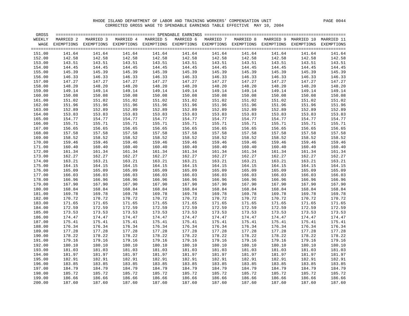| GROSS  |           |                                                                                                                    |           |           |           |           |           |        |                                 |        |
|--------|-----------|--------------------------------------------------------------------------------------------------------------------|-----------|-----------|-----------|-----------|-----------|--------|---------------------------------|--------|
| WEEKLY | MARRIED 2 | MARRIED 3                                                                                                          | MARRIED 4 | MARRIED 5 | MARRIED 6 | MARRIED 7 | MARRIED 8 |        | MARRIED 9 MARRIED 10 MARRIED 11 |        |
|        |           | WAGE EXEMPTIONS EXEMPTIONS EXEMPTIONS EXEMPTIONS EXEMPTIONS EXEMPTIONS EXEMPTIONS EXEMPTIONS EXEMPTIONS EXEMPTIONS |           |           |           |           |           |        |                                 |        |
|        |           |                                                                                                                    |           |           |           |           |           |        |                                 |        |
| 151.00 | 141.64    | 141.64                                                                                                             | 141.64    | 141.64    | 141.64    | 141.64    | 141.64    | 141.64 | 141.64                          | 141.64 |
| 152.00 | 142.58    | 142.58                                                                                                             | 142.58    | 142.58    | 142.58    | 142.58    | 142.58    | 142.58 | 142.58                          | 142.58 |
| 153.00 | 143.51    | 143.51                                                                                                             | 143.51    | 143.51    | 143.51    | 143.51    | 143.51    | 143.51 | 143.51                          | 143.51 |
| 154.00 | 144.45    | 144.45                                                                                                             | 144.45    | 144.45    | 144.45    | 144.45    | 144.45    | 144.45 | 144.45                          | 144.45 |
| 155.00 | 145.39    | 145.39                                                                                                             | 145.39    | 145.39    | 145.39    | 145.39    | 145.39    | 145.39 | 145.39                          | 145.39 |
| 156.00 | 146.33    | 146.33                                                                                                             | 146.33    | 146.33    | 146.33    | 146.33    | 146.33    | 146.33 | 146.33                          | 146.33 |
| 157.00 | 147.27    | 147.27                                                                                                             | 147.27    | 147.27    | 147.27    | 147.27    | 147.27    | 147.27 | 147.27                          | 147.27 |
| 158.00 | 148.20    | 148.20                                                                                                             | 148.20    | 148.20    | 148.20    | 148.20    | 148.20    | 148.20 | 148.20                          | 148.20 |
| 159.00 | 149.14    | 149.14                                                                                                             | 149.14    | 149.14    | 149.14    | 149.14    | 149.14    | 149.14 | 149.14                          | 149.14 |
| 160.00 | 150.08    | 150.08                                                                                                             | 150.08    | 150.08    | 150.08    | 150.08    | 150.08    | 150.08 | 150.08                          | 150.08 |
| 161.00 | 151.02    | 151.02                                                                                                             | 151.02    | 151.02    | 151.02    | 151.02    | 151.02    | 151.02 | 151.02                          | 151.02 |
| 162.00 | 151.96    | 151.96                                                                                                             | 151.96    | 151.96    | 151.96    | 151.96    | 151.96    | 151.96 | 151.96                          | 151.96 |
| 163.00 | 152.89    | 152.89                                                                                                             | 152.89    | 152.89    | 152.89    | 152.89    | 152.89    | 152.89 | 152.89                          | 152.89 |
| 164.00 | 153.83    | 153.83                                                                                                             | 153.83    | 153.83    | 153.83    | 153.83    | 153.83    | 153.83 | 153.83                          | 153.83 |
| 165.00 | 154.77    | 154.77                                                                                                             | 154.77    | 154.77    | 154.77    | 154.77    | 154.77    | 154.77 | 154.77                          | 154.77 |
| 166.00 | 155.71    | 155.71                                                                                                             | 155.71    | 155.71    | 155.71    | 155.71    | 155.71    | 155.71 | 155.71                          | 155.71 |
| 167.00 | 156.65    | 156.65                                                                                                             | 156.65    | 156.65    | 156.65    | 156.65    | 156.65    | 156.65 | 156.65                          | 156.65 |
| 168.00 | 157.58    | 157.58                                                                                                             | 157.58    | 157.58    | 157.58    | 157.58    | 157.58    | 157.58 | 157.58                          | 157.58 |
| 169.00 | 158.52    | 158.52                                                                                                             | 158.52    | 158.52    | 158.52    | 158.52    | 158.52    | 158.52 | 158.52                          | 158.52 |
| 170.00 | 159.46    | 159.46                                                                                                             | 159.46    | 159.46    | 159.46    | 159.46    | 159.46    | 159.46 | 159.46                          | 159.46 |
| 171.00 | 160.40    | 160.40                                                                                                             | 160.40    | 160.40    | 160.40    | 160.40    | 160.40    | 160.40 | 160.40                          | 160.40 |
| 172.00 | 161.34    | 161.34                                                                                                             | 161.34    | 161.34    | 161.34    | 161.34    | 161.34    | 161.34 | 161.34                          | 161.34 |
| 173.00 | 162.27    | 162.27                                                                                                             | 162.27    | 162.27    | 162.27    | 162.27    | 162.27    | 162.27 | 162.27                          | 162.27 |
| 174.00 | 163.21    | 163.21                                                                                                             | 163.21    | 163.21    | 163.21    | 163.21    | 163.21    | 163.21 | 163.21                          | 163.21 |
| 175.00 | 164.15    | 164.15                                                                                                             | 164.15    | 164.15    | 164.15    | 164.15    | 164.15    | 164.15 | 164.15                          | 164.15 |
| 176.00 | 165.09    | 165.09                                                                                                             | 165.09    | 165.09    | 165.09    | 165.09    | 165.09    | 165.09 | 165.09                          | 165.09 |
| 177.00 | 166.03    | 166.03                                                                                                             | 166.03    | 166.03    | 166.03    | 166.03    | 166.03    | 166.03 | 166.03                          | 166.03 |
| 178.00 | 166.96    | 166.96                                                                                                             | 166.96    | 166.96    | 166.96    | 166.96    | 166.96    | 166.96 | 166.96                          | 166.96 |
| 179.00 | 167.90    | 167.90                                                                                                             | 167.90    | 167.90    | 167.90    | 167.90    | 167.90    | 167.90 | 167.90                          | 167.90 |
| 180.00 | 168.84    | 168.84                                                                                                             | 168.84    | 168.84    | 168.84    | 168.84    | 168.84    | 168.84 | 168.84                          | 168.84 |
| 181.00 | 169.78    | 169.78                                                                                                             | 169.78    | 169.78    | 169.78    | 169.78    | 169.78    | 169.78 | 169.78                          | 169.78 |
| 182.00 | 170.72    | 170.72                                                                                                             | 170.72    | 170.72    | 170.72    | 170.72    | 170.72    | 170.72 | 170.72                          | 170.72 |
| 183.00 | 171.65    | 171.65                                                                                                             | 171.65    | 171.65    | 171.65    | 171.65    | 171.65    | 171.65 | 171.65                          | 171.65 |
| 184.00 | 172.59    | 172.59                                                                                                             | 172.59    | 172.59    | 172.59    | 172.59    | 172.59    | 172.59 | 172.59                          | 172.59 |
| 185.00 | 173.53    | 173.53                                                                                                             | 173.53    | 173.53    | 173.53    | 173.53    | 173.53    | 173.53 | 173.53                          | 173.53 |
| 186.00 | 174.47    | 174.47                                                                                                             | 174.47    | 174.47    | 174.47    | 174.47    | 174.47    | 174.47 | 174.47                          | 174.47 |
| 187.00 | 175.41    | 175.41                                                                                                             | 175.41    | 175.41    | 175.41    | 175.41    | 175.41    | 175.41 | 175.41                          | 175.41 |
| 188.00 | 176.34    | 176.34                                                                                                             | 176.34    | 176.34    | 176.34    | 176.34    | 176.34    | 176.34 | 176.34                          | 176.34 |
| 189.00 | 177.28    | 177.28                                                                                                             | 177.28    | 177.28    | 177.28    | 177.28    | 177.28    | 177.28 | 177.28                          | 177.28 |
| 190.00 | 178.22    | 178.22                                                                                                             | 178.22    | 178.22    | 178.22    | 178.22    | 178.22    | 178.22 | 178.22                          | 178.22 |
| 191.00 | 179.16    | 179.16                                                                                                             | 179.16    | 179.16    | 179.16    | 179.16    | 179.16    | 179.16 | 179.16                          | 179.16 |
| 192.00 | 180.10    | 180.10                                                                                                             | 180.10    | 180.10    | 180.10    | 180.10    | 180.10    | 180.10 | 180.10                          | 180.10 |
| 193.00 | 181.03    | 181.03                                                                                                             | 181.03    | 181.03    | 181.03    | 181.03    | 181.03    | 181.03 | 181.03                          | 181.03 |
| 194.00 | 181.97    | 181.97                                                                                                             | 181.97    | 181.97    | 181.97    | 181.97    | 181.97    | 181.97 | 181.97                          | 181.97 |
| 195.00 | 182.91    | 182.91                                                                                                             | 182.91    | 182.91    | 182.91    | 182.91    | 182.91    | 182.91 | 182.91                          | 182.91 |
| 196.00 | 183.85    | 183.85                                                                                                             | 183.85    | 183.85    | 183.85    | 183.85    | 183.85    | 183.85 | 183.85                          | 183.85 |
| 197.00 | 184.79    | 184.79                                                                                                             | 184.79    | 184.79    | 184.79    | 184.79    | 184.79    | 184.79 | 184.79                          | 184.79 |
| 198.00 | 185.72    | 185.72                                                                                                             | 185.72    | 185.72    | 185.72    | 185.72    | 185.72    | 185.72 | 185.72                          | 185.72 |
| 199.00 | 186.66    | 186.66                                                                                                             | 186.66    | 186.66    | 186.66    | 186.66    | 186.66    | 186.66 | 186.66                          | 186.66 |
| 200.00 | 187.60    | 187.60                                                                                                             | 187.60    | 187.60    | 187.60    | 187.60    | 187.60    | 187.60 | 187.60                          | 187.60 |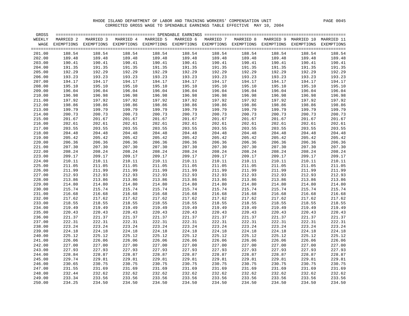| GROSS  |            |           |                       |                       |           |           |           |                                  |            |            |
|--------|------------|-----------|-----------------------|-----------------------|-----------|-----------|-----------|----------------------------------|------------|------------|
| WEEKLY | MARRIED 2  | MARRIED 3 | MARRIED 4             | MARRIED 5             | MARRIED 6 | MARRIED 7 | MARRIED 8 | MARRIED 9                        | MARRIED 10 | MARRIED 11 |
| WAGE   | EXEMPTIONS |           | EXEMPTIONS EXEMPTIONS | EXEMPTIONS EXEMPTIONS |           |           |           | EXEMPTIONS EXEMPTIONS EXEMPTIONS | EXEMPTIONS | EXEMPTIONS |
|        |            |           |                       |                       |           |           |           |                                  |            |            |
| 201.00 | 188.54     | 188.54    | 188.54                | 188.54                | 188.54    | 188.54    | 188.54    | 188.54                           | 188.54     | 188.54     |
| 202.00 | 189.48     | 189.48    | 189.48                | 189.48                | 189.48    | 189.48    | 189.48    | 189.48                           | 189.48     | 189.48     |
| 203.00 | 190.41     | 190.41    | 190.41                | 190.41                | 190.41    | 190.41    | 190.41    | 190.41                           | 190.41     | 190.41     |
| 204.00 | 191.35     | 191.35    | 191.35                | 191.35                | 191.35    | 191.35    | 191.35    | 191.35                           | 191.35     | 191.35     |
| 205.00 | 192.29     | 192.29    | 192.29                | 192.29                | 192.29    | 192.29    | 192.29    | 192.29                           | 192.29     | 192.29     |
|        | 193.23     |           |                       | 193.23                |           |           |           |                                  | 193.23     |            |
| 206.00 |            | 193.23    | 193.23                |                       | 193.23    | 193.23    | 193.23    | 193.23                           |            | 193.23     |
| 207.00 | 194.17     | 194.17    | 194.17                | 194.17                | 194.17    | 194.17    | 194.17    | 194.17                           | 194.17     | 194.17     |
| 208.00 | 195.10     | 195.10    | 195.10                | 195.10                | 195.10    | 195.10    | 195.10    | 195.10                           | 195.10     | 195.10     |
| 209.00 | 196.04     | 196.04    | 196.04                | 196.04                | 196.04    | 196.04    | 196.04    | 196.04                           | 196.04     | 196.04     |
| 210.00 | 196.98     | 196.98    | 196.98                | 196.98                | 196.98    | 196.98    | 196.98    | 196.98                           | 196.98     | 196.98     |
| 211.00 | 197.92     | 197.92    | 197.92                | 197.92                | 197.92    | 197.92    | 197.92    | 197.92                           | 197.92     | 197.92     |
| 212.00 | 198.86     | 198.86    | 198.86                | 198.86                | 198.86    | 198.86    | 198.86    | 198.86                           | 198.86     | 198.86     |
| 213.00 | 199.79     | 199.79    | 199.79                | 199.79                | 199.79    | 199.79    | 199.79    | 199.79                           | 199.79     | 199.79     |
| 214.00 | 200.73     | 200.73    | 200.73                | 200.73                | 200.73    | 200.73    | 200.73    | 200.73                           | 200.73     | 200.73     |
| 215.00 | 201.67     | 201.67    | 201.67                | 201.67                | 201.67    | 201.67    | 201.67    | 201.67                           | 201.67     | 201.67     |
| 216.00 | 202.61     | 202.61    | 202.61                | 202.61                | 202.61    | 202.61    | 202.61    | 202.61                           | 202.61     | 202.61     |
| 217.00 | 203.55     | 203.55    | 203.55                | 203.55                | 203.55    | 203.55    | 203.55    | 203.55                           | 203.55     | 203.55     |
| 218.00 | 204.48     | 204.48    | 204.48                | 204.48                | 204.48    | 204.48    | 204.48    | 204.48                           | 204.48     | 204.48     |
| 219.00 | 205.42     | 205.42    | 205.42                | 205.42                | 205.42    | 205.42    | 205.42    | 205.42                           | 205.42     | 205.42     |
| 220.00 | 206.36     | 206.36    | 206.36                | 206.36                | 206.36    | 206.36    | 206.36    | 206.36                           | 206.36     | 206.36     |
| 221.00 | 207.30     | 207.30    | 207.30                | 207.30                | 207.30    | 207.30    | 207.30    | 207.30                           | 207.30     | 207.30     |
| 222.00 | 208.24     | 208.24    | 208.24                | 208.24                | 208.24    | 208.24    | 208.24    | 208.24                           | 208.24     | 208.24     |
| 223.00 | 209.17     | 209.17    | 209.17                | 209.17                | 209.17    | 209.17    | 209.17    | 209.17                           | 209.17     | 209.17     |
| 224.00 | 210.11     | 210.11    | 210.11                | 210.11                | 210.11    | 210.11    | 210.11    | 210.11                           | 210.11     | 210.11     |
| 225.00 | 211.05     | 211.05    | 211.05                | 211.05                | 211.05    | 211.05    | 211.05    | 211.05                           | 211.05     | 211.05     |
| 226.00 | 211.99     | 211.99    | 211.99                | 211.99                | 211.99    | 211.99    | 211.99    | 211.99                           | 211.99     | 211.99     |
| 227.00 | 212.93     | 212.93    | 212.93                | 212.93                | 212.93    | 212.93    | 212.93    | 212.93                           | 212.93     | 212.93     |
| 228.00 | 213.86     | 213.86    | 213.86                | 213.86                | 213.86    | 213.86    | 213.86    | 213.86                           | 213.86     | 213.86     |
| 229.00 | 214.80     | 214.80    | 214.80                | 214.80                | 214.80    | 214.80    | 214.80    | 214.80                           | 214.80     | 214.80     |
| 230.00 | 215.74     | 215.74    | 215.74                | 215.74                | 215.74    | 215.74    | 215.74    | 215.74                           | 215.74     | 215.74     |
| 231.00 | 216.68     | 216.68    | 216.68                | 216.68                | 216.68    | 216.68    | 216.68    | 216.68                           | 216.68     | 216.68     |
| 232.00 | 217.62     | 217.62    | 217.62                | 217.62                | 217.62    | 217.62    | 217.62    | 217.62                           | 217.62     | 217.62     |
| 233.00 | 218.55     | 218.55    | 218.55                | 218.55                | 218.55    | 218.55    | 218.55    | 218.55                           | 218.55     | 218.55     |
|        | 219.49     |           | 219.49                | 219.49                |           | 219.49    | 219.49    | 219.49                           | 219.49     | 219.49     |
| 234.00 | 220.43     | 219.49    | 220.43                | 220.43                | 219.49    | 220.43    | 220.43    | 220.43                           | 220.43     | 220.43     |
| 235.00 |            | 220.43    | 221.37                | 221.37                | 220.43    |           |           |                                  | 221.37     |            |
| 236.00 | 221.37     | 221.37    |                       |                       | 221.37    | 221.37    | 221.37    | 221.37                           |            | 221.37     |
| 237.00 | 222.31     | 222.31    | 222.31                | 222.31                | 222.31    | 222.31    | 222.31    | 222.31                           | 222.31     | 222.31     |
| 238.00 | 223.24     | 223.24    | 223.24                | 223.24                | 223.24    | 223.24    | 223.24    | 223.24                           | 223.24     | 223.24     |
| 239.00 | 224.18     | 224.18    | 224.18                | 224.18                | 224.18    | 224.18    | 224.18    | 224.18                           | 224.18     | 224.18     |
| 240.00 | 225.12     | 225.12    | 225.12                | 225.12                | 225.12    | 225.12    | 225.12    | 225.12                           | 225.12     | 225.12     |
| 241.00 | 226.06     | 226.06    | 226.06                | 226.06                | 226.06    | 226.06    | 226.06    | 226.06                           | 226.06     | 226.06     |
| 242.00 | 227.00     | 227.00    | 227.00                | 227.00                | 227.00    | 227.00    | 227.00    | 227.00                           | 227.00     | 227.00     |
| 243.00 | 227.93     | 227.93    | 227.93                | 227.93                | 227.93    | 227.93    | 227.93    | 227.93                           | 227.93     | 227.93     |
| 244.00 | 228.84     | 228.87    | 228.87                | 228.87                | 228.87    | 228.87    | 228.87    | 228.87                           | 228.87     | 228.87     |
| 245.00 | 229.74     | 229.81    | 229.81                | 229.81                | 229.81    | 229.81    | 229.81    | 229.81                           | 229.81     | 229.81     |
| 246.00 | 230.65     | 230.75    | 230.75                | 230.75                | 230.75    | 230.75    | 230.75    | 230.75                           | 230.75     | 230.75     |
| 247.00 | 231.55     | 231.69    | 231.69                | 231.69                | 231.69    | 231.69    | 231.69    | 231.69                           | 231.69     | 231.69     |
| 248.00 | 232.44     | 232.62    | 232.62                | 232.62                | 232.62    | 232.62    | 232.62    | 232.62                           | 232.62     | 232.62     |
| 249.00 | 233.34     | 233.56    | 233.56                | 233.56                | 233.56    | 233.56    | 233.56    | 233.56                           | 233.56     | 233.56     |
| 250.00 | 234.25     | 234.50    | 234.50                | 234.50                | 234.50    | 234.50    | 234.50    | 234.50                           | 234.50     | 234.50     |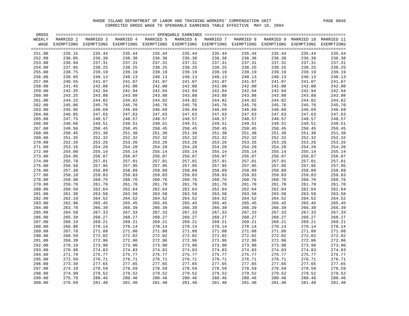| GROSS  |           |                                                                                                         |           |           |           |           |           |        |                      |            |
|--------|-----------|---------------------------------------------------------------------------------------------------------|-----------|-----------|-----------|-----------|-----------|--------|----------------------|------------|
| WEEKLY | MARRIED 2 | MARRIED 3                                                                                               | MARRIED 4 | MARRIED 5 | MARRIED 6 | MARRIED 7 | MARRIED 8 |        | MARRIED 9 MARRIED 10 | MARRIED 11 |
|        |           | WAGE EXEMPTIONS EXEMPTIONS EXEMPTIONS EXEMPTIONS EXEMPTIONS EXEMPTIONS EXEMPTIONS EXEMPTIONS EXEMPTIONS |           |           |           |           |           |        |                      | EXEMPTIONS |
|        |           |                                                                                                         |           |           |           |           |           |        |                      |            |
| 251.00 | 235.15    | 235.44                                                                                                  | 235.44    | 235.44    | 235.44    | 235.44    | 235.44    | 235.44 | 235.44               | 235.44     |
| 252.00 | 236.05    | 236.38                                                                                                  | 236.38    | 236.38    | 236.38    | 236.38    | 236.38    | 236.38 | 236.38               | 236.38     |
| 253.00 | 236.94    | 237.31                                                                                                  | 237.31    | 237.31    | 237.31    | 237.31    | 237.31    | 237.31 | 237.31               | 237.31     |
| 254.00 | 237.85    | 238.25                                                                                                  | 238.25    | 238.25    | 238.25    | 238.25    | 238.25    | 238.25 | 238.25               | 238.25     |
| 255.00 | 238.75    | 239.19                                                                                                  | 239.19    | 239.19    | 239.19    | 239.19    | 239.19    | 239.19 | 239.19               | 239.19     |
| 256.00 | 239.65    | 240.13                                                                                                  | 240.13    | 240.13    | 240.13    | 240.13    | 240.13    | 240.13 | 240.13               | 240.13     |
| 257.00 | 240.55    | 241.07                                                                                                  | 241.07    | 241.07    | 241.07    | 241.07    | 241.07    | 241.07 | 241.07               | 241.07     |
| 258.00 | 241.45    | 242.00                                                                                                  | 242.00    | 242.00    | 242.00    | 242.00    | 242.00    | 242.00 | 242.00               | 242.00     |
| 259.00 | 242.35    | 242.94                                                                                                  | 242.94    | 242.94    | 242.94    | 242.94    | 242.94    | 242.94 | 242.94               | 242.94     |
| 260.00 | 243.25    | 243.88                                                                                                  | 243.88    | 243.88    | 243.88    | 243.88    | 243.88    | 243.88 | 243.88               | 243.88     |
| 261.00 | 244.15    | 244.82                                                                                                  | 244.82    | 244.82    | 244.82    | 244.82    | 244.82    | 244.82 | 244.82               | 244.82     |
| 262.00 | 245.06    | 245.76                                                                                                  | 245.76    | 245.76    | 245.76    | 245.76    | 245.76    | 245.76 | 245.76               | 245.76     |
| 263.00 | 245.95    | 246.69                                                                                                  | 246.69    | 246.69    | 246.69    | 246.69    | 246.69    | 246.69 | 246.69               | 246.69     |
|        | 246.85    |                                                                                                         |           | 247.63    |           |           |           | 247.63 | 247.63               | 247.63     |
| 264.00 |           | 247.63                                                                                                  | 247.63    |           | 247.63    | 247.63    | 247.63    |        |                      |            |
| 265.00 | 247.75    | 248.57                                                                                                  | 248.57    | 248.57    | 248.57    | 248.57    | 248.57    | 248.57 | 248.57               | 248.57     |
| 266.00 | 248.66    | 249.51                                                                                                  | 249.51    | 249.51    | 249.51    | 249.51    | 249.51    | 249.51 | 249.51               | 249.51     |
| 267.00 | 249.56    | 250.45                                                                                                  | 250.45    | 250.45    | 250.45    | 250.45    | 250.45    | 250.45 | 250.45               | 250.45     |
| 268.00 | 250.45    | 251.38                                                                                                  | 251.38    | 251.38    | 251.38    | 251.38    | 251.38    | 251.38 | 251.38               | 251.38     |
| 269.00 | 251.35    | 252.32                                                                                                  | 252.32    | 252.32    | 252.32    | 252.32    | 252.32    | 252.32 | 252.32               | 252.32     |
| 270.00 | 252.26    | 253.26                                                                                                  | 253.26    | 253.26    | 253.26    | 253.26    | 253.26    | 253.26 | 253.26               | 253.26     |
| 271.00 | 253.16    | 254.20                                                                                                  | 254.20    | 254.20    | 254.20    | 254.20    | 254.20    | 254.20 | 254.20               | 254.20     |
| 272.00 | 254.06    | 255.14                                                                                                  | 255.14    | 255.14    | 255.14    | 255.14    | 255.14    | 255.14 | 255.14               | 255.14     |
| 273.00 | 254.95    | 256.07                                                                                                  | 256.07    | 256.07    | 256.07    | 256.07    | 256.07    | 256.07 | 256.07               | 256.07     |
| 274.00 | 255.78    | 257.01                                                                                                  | 257.01    | 257.01    | 257.01    | 257.01    | 257.01    | 257.01 | 257.01               | 257.01     |
| 275.00 | 256.58    | 257.95                                                                                                  | 257.95    | 257.95    | 257.95    | 257.95    | 257.95    | 257.95 | 257.95               | 257.95     |
| 276.00 | 257.38    | 258.89                                                                                                  | 258.89    | 258.89    | 258.89    | 258.89    | 258.89    | 258.89 | 258.89               | 258.89     |
| 277.00 | 258.18    | 259.83                                                                                                  | 259.83    | 259.83    | 259.83    | 259.83    | 259.83    | 259.83 | 259.83               | 259.83     |
| 278.00 | 258.98    | 260.76                                                                                                  | 260.76    | 260.76    | 260.76    | 260.76    | 260.76    | 260.76 | 260.76               | 260.76     |
| 279.00 | 259.78    | 261.70                                                                                                  | 261.70    | 261.70    | 261.70    | 261.70    | 261.70    | 261.70 | 261.70               | 261.70     |
| 280.00 | 260.58    | 262.64                                                                                                  | 262.64    | 262.64    | 262.64    | 262.64    | 262.64    | 262.64 | 262.64               | 262.64     |
| 281.00 | 261.38    | 263.58                                                                                                  | 263.58    | 263.58    | 263.58    | 263.58    | 263.58    | 263.58 | 263.58               | 263.58     |
| 282.00 | 262.19    | 264.52                                                                                                  | 264.52    | 264.52    | 264.52    | 264.52    | 264.52    | 264.52 | 264.52               | 264.52     |
| 283.00 | 262.98    | 265.45                                                                                                  | 265.45    | 265.45    | 265.45    | 265.45    | 265.45    | 265.45 | 265.45               | 265.45     |
| 284.00 | 263.78    | 266.39                                                                                                  | 266.39    | 266.39    | 266.39    | 266.39    | 266.39    | 266.39 | 266.39               | 266.39     |
| 285.00 | 264.58    | 267.33                                                                                                  | 267.33    | 267.33    | 267.33    | 267.33    | 267.33    | 267.33 | 267.33               | 267.33     |
| 286.00 | 265.39    | 268.27                                                                                                  | 268.27    | 268.27    | 268.27    | 268.27    | 268.27    | 268.27 | 268.27               | 268.27     |
| 287.00 | 266.19    | 269.21                                                                                                  | 269.21    | 269.21    | 269.21    | 269.21    | 269.21    | 269.21 | 269.21               | 269.21     |
| 288.00 | 266.98    | 270.14                                                                                                  | 270.14    | 270.14    | 270.14    | 270.14    | 270.14    | 270.14 | 270.14               | 270.14     |
| 289.00 | 267.78    | 271.08                                                                                                  | 271.08    | 271.08    | 271.08    | 271.08    | 271.08    | 271.08 | 271.08               | 271.08     |
| 290.00 | 268.59    | 272.02                                                                                                  | 272.02    | 272.02    | 272.02    | 272.02    | 272.02    | 272.02 | 272.02               | 272.02     |
| 291.00 | 269.39    | 272.96                                                                                                  | 272.96    | 272.96    | 272.96    | 272.96    | 272.96    | 272.96 | 272.96               | 272.96     |
| 292.00 | 270.19    | 273.90                                                                                                  | 273.90    | 273.90    | 273.90    | 273.90    | 273.90    | 273.90 | 273.90               | 273.90     |
| 293.00 | 270.98    | 274.83                                                                                                  | 274.83    | 274.83    | 274.83    | 274.83    | 274.83    | 274.83 | 274.83               | 274.83     |
| 294.00 | 271.79    | 275.77                                                                                                  | 275.77    | 275.77    | 275.77    | 275.77    | 275.77    | 275.77 | 275.77               | 275.77     |
| 295.00 | 272.59    | 276.71                                                                                                  | 276.71    | 276.71    | 276.71    | 276.71    | 276.71    | 276.71 | 276.71               | 276.71     |
| 296.00 | 273.39    | 277.65                                                                                                  | 277.65    | 277.65    | 277.65    | 277.65    | 277.65    | 277.65 | 277.65               | 277.65     |
| 297.00 | 274.19    | 278.59                                                                                                  | 278.59    | 278.59    | 278.59    | 278.59    | 278.59    | 278.59 | 278.59               | 278.59     |
| 298.00 | 274.99    | 279.52                                                                                                  | 279.52    | 279.52    | 279.52    | 279.52    | 279.52    | 279.52 | 279.52               | 279.52     |
| 299.00 | 275.79    | 280.46                                                                                                  | 280.46    | 280.46    | 280.46    | 280.46    | 280.46    | 280.46 | 280.46               | 280.46     |
| 300.00 | 276.59    | 281.40                                                                                                  | 281.40    | 281.40    | 281.40    | 281.40    | 281.40    | 281.40 | 281.40               | 281.40     |
|        |           |                                                                                                         |           |           |           |           |           |        |                      |            |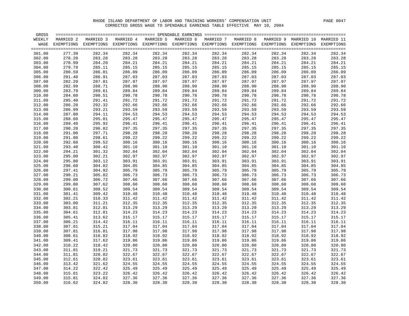| GROSS  |           |                                                                                                         |           |           |           |           |           |           |            |            |
|--------|-----------|---------------------------------------------------------------------------------------------------------|-----------|-----------|-----------|-----------|-----------|-----------|------------|------------|
| WEEKLY | MARRIED 2 | MARRIED 3                                                                                               | MARRIED 4 | MARRIED 5 | MARRIED 6 | MARRIED 7 | MARRIED 8 | MARRIED 9 | MARRIED 10 | MARRIED 11 |
|        |           | WAGE EXEMPTIONS EXEMPTIONS EXEMPTIONS EXEMPTIONS EXEMPTIONS EXEMPTIONS EXEMPTIONS EXEMPTIONS EXEMPTIONS |           |           |           |           |           |           |            | EXEMPTIONS |
|        |           |                                                                                                         |           |           |           |           |           |           |            |            |
| 301.00 | 277.39    | 282.34                                                                                                  | 282.34    | 282.34    | 282.34    | 282.34    | 282.34    | 282.34    | 282.34     | 282.34     |
| 302.00 | 278.20    | 283.28                                                                                                  | 283.28    | 283.28    | 283.28    | 283.28    | 283.28    | 283.28    | 283.28     | 283.28     |
| 303.00 | 278.99    | 284.20                                                                                                  | 284.21    | 284.21    | 284.21    | 284.21    | 284.21    | 284.21    | 284.21     | 284.21     |
| 304.00 | 279.79    | 285.11                                                                                                  | 285.15    | 285.15    | 285.15    | 285.15    | 285.15    | 285.15    | 285.15     | 285.15     |
| 305.00 | 280.59    | 286.01                                                                                                  | 286.09    | 286.09    | 286.09    | 286.09    | 286.09    | 286.09    | 286.09     | 286.09     |
| 306.00 | 281.40    | 286.91                                                                                                  | 287.03    | 287.03    | 287.03    | 287.03    | 287.03    | 287.03    | 287.03     | 287.03     |
| 307.00 | 282.20    | 287.81                                                                                                  | 287.97    | 287.97    | 287.97    | 287.97    | 287.97    | 287.97    | 287.97     | 287.97     |
| 308.00 | 282.99    | 288.71                                                                                                  | 288.90    | 288.90    | 288.90    | 288.90    | 288.90    | 288.90    | 288.90     | 288.90     |
| 309.00 | 283.79    | 289.61                                                                                                  | 289.84    | 289.84    | 289.84    | 289.84    | 289.84    | 289.84    | 289.84     | 289.84     |
| 310.00 | 284.60    | 290.51                                                                                                  | 290.78    | 290.78    | 290.78    | 290.78    | 290.78    | 290.78    | 290.78     | 290.78     |
| 311.00 | 285.40    | 291.41                                                                                                  | 291.72    | 291.72    | 291.72    | 291.72    | 291.72    | 291.72    | 291.72     | 291.72     |
| 312.00 | 286.20    | 292.32                                                                                                  | 292.66    | 292.66    | 292.66    | 292.66    | 292.66    | 292.66    | 292.66     | 292.66     |
| 313.00 | 286.99    | 293.21                                                                                                  | 293.59    | 293.59    | 293.59    | 293.59    | 293.59    | 293.59    | 293.59     | 293.59     |
|        |           |                                                                                                         | 294.53    | 294.53    |           | 294.53    | 294.53    | 294.53    | 294.53     | 294.53     |
| 314.00 | 287.80    | 294.11                                                                                                  |           | 295.47    | 294.53    |           |           |           |            |            |
| 315.00 | 288.60    | 295.01                                                                                                  | 295.47    |           | 295.47    | 295.47    | 295.47    | 295.47    | 295.47     | 295.47     |
| 316.00 | 289.40    | 295.92                                                                                                  | 296.41    | 296.41    | 296.41    | 296.41    | 296.41    | 296.41    | 296.41     | 296.41     |
| 317.00 | 290.20    | 296.82                                                                                                  | 297.35    | 297.35    | 297.35    | 297.35    | 297.35    | 297.35    | 297.35     | 297.35     |
| 318.00 | 291.00    | 297.71                                                                                                  | 298.28    | 298.28    | 298.28    | 298.28    | 298.28    | 298.28    | 298.28     | 298.28     |
| 319.00 | 291.80    | 298.61                                                                                                  | 299.22    | 299.22    | 299.22    | 299.22    | 299.22    | 299.22    | 299.22     | 299.22     |
| 320.00 | 292.60    | 299.52                                                                                                  | 300.16    | 300.16    | 300.16    | 300.16    | 300.16    | 300.16    | 300.16     | 300.16     |
| 321.00 | 293.40    | 300.42                                                                                                  | 301.10    | 301.10    | 301.10    | 301.10    | 301.10    | 301.10    | 301.10     | 301.10     |
| 322.00 | 294.21    | 301.32                                                                                                  | 302.04    | 302.04    | 302.04    | 302.04    | 302.04    | 302.04    | 302.04     | 302.04     |
| 323.00 | 295.00    | 302.21                                                                                                  | 302.97    | 302.97    | 302.97    | 302.97    | 302.97    | 302.97    | 302.97     | 302.97     |
| 324.00 | 295.80    | 303.12                                                                                                  | 303.91    | 303.91    | 303.91    | 303.91    | 303.91    | 303.91    | 303.91     | 303.91     |
| 325.00 | 296.60    | 304.02                                                                                                  | 304.85    | 304.85    | 304.85    | 304.85    | 304.85    | 304.85    | 304.85     | 304.85     |
| 326.00 | 297.41    | 304.92                                                                                                  | 305.79    | 305.79    | 305.79    | 305.79    | 305.79    | 305.79    | 305.79     | 305.79     |
| 327.00 | 298.21    | 305.82                                                                                                  | 306.73    | 306.73    | 306.73    | 306.73    | 306.73    | 306.73    | 306.73     | 306.73     |
| 328.00 | 299.00    | 306.72                                                                                                  | 307.66    | 307.66    | 307.66    | 307.66    | 307.66    | 307.66    | 307.66     | 307.66     |
| 329.00 | 299.80    | 307.62                                                                                                  | 308.60    | 308.60    | 308.60    | 308.60    | 308.60    | 308.60    | 308.60     | 308.60     |
| 330.00 | 300.61    | 308.52                                                                                                  | 309.54    | 309.54    | 309.54    | 309.54    | 309.54    | 309.54    | 309.54     | 309.54     |
| 331.00 | 301.41    | 309.42                                                                                                  | 310.48    | 310.48    | 310.48    | 310.48    | 310.48    | 310.48    | 310.48     | 310.48     |
| 332.00 | 302.21    | 310.33                                                                                                  | 311.42    | 311.42    | 311.42    | 311.42    | 311.42    | 311.42    | 311.42     | 311.42     |
| 333.00 | 303.00    | 311.21                                                                                                  | 312.35    | 312.35    | 312.35    | 312.35    | 312.35    | 312.35    | 312.35     | 312.35     |
| 334.00 | 303.81    | 312.01                                                                                                  | 313.29    | 313.29    | 313.29    | 313.29    | 313.29    | 313.29    | 313.29     | 313.29     |
| 335.00 | 304.61    | 312.81                                                                                                  | 314.23    | 314.23    | 314.23    | 314.23    | 314.23    | 314.23    | 314.23     | 314.23     |
| 336.00 | 305.41    | 313.62                                                                                                  | 315.17    | 315.17    | 315.17    | 315.17    | 315.17    | 315.17    | 315.17     | 315.17     |
| 337.00 | 306.21    | 314.42                                                                                                  | 316.11    | 316.11    | 316.11    | 316.11    | 316.11    | 316.11    | 316.11     | 316.11     |
| 338.00 | 307.01    | 315.21                                                                                                  | 317.04    | 317.04    | 317.04    | 317.04    | 317.04    | 317.04    | 317.04     | 317.04     |
| 339.00 | 307.81    | 316.01                                                                                                  | 317.98    | 317.98    | 317.98    | 317.98    | 317.98    | 317.98    | 317.98     | 317.98     |
| 340.00 | 308.61    | 316.82                                                                                                  | 318.92    | 318.92    | 318.92    | 318.92    | 318.92    | 318.92    | 318.92     | 318.92     |
| 341.00 | 309.41    | 317.62                                                                                                  | 319.86    | 319.86    | 319.86    | 319.86    | 319.86    | 319.86    | 319.86     | 319.86     |
| 342.00 | 310.22    | 318.42                                                                                                  | 320.80    | 320.80    | 320.80    | 320.80    | 320.80    | 320.80    | 320.80     | 320.80     |
| 343.00 | 311.01    | 319.21                                                                                                  | 321.73    | 321.73    | 321.73    | 321.73    | 321.73    | 321.73    | 321.73     | 321.73     |
| 344.00 | 311.81    | 320.02                                                                                                  | 322.67    | 322.67    | 322.67    | 322.67    | 322.67    | 322.67    | 322.67     | 322.67     |
| 345.00 | 312.61    | 320.82                                                                                                  | 323.61    | 323.61    | 323.61    | 323.61    | 323.61    | 323.61    | 323.61     | 323.61     |
| 346.00 | 313.42    | 321.62                                                                                                  | 324.55    | 324.55    | 324.55    | 324.55    | 324.55    | 324.55    | 324.55     | 324.55     |
| 347.00 | 314.22    | 322.42                                                                                                  | 325.49    | 325.49    | 325.49    | 325.49    | 325.49    | 325.49    | 325.49     | 325.49     |
| 348.00 | 315.01    | 323.22                                                                                                  | 326.42    | 326.42    | 326.42    | 326.42    | 326.42    | 326.42    | 326.42     | 326.42     |
| 349.00 | 315.81    | 324.02                                                                                                  | 327.36    | 327.36    | 327.36    | 327.36    | 327.36    | 327.36    | 327.36     | 327.36     |
| 350.00 | 316.62    | 324.82                                                                                                  | 328.30    | 328.30    | 328.30    | 328.30    | 328.30    | 328.30    | 328.30     | 328.30     |
|        |           |                                                                                                         |           |           |           |           |           |           |            |            |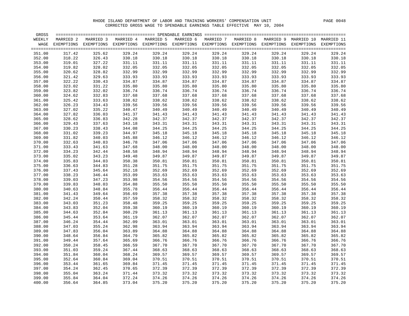| GROSS  |           |                                                                                                         |           |           |           |           |           |        |                      |            |
|--------|-----------|---------------------------------------------------------------------------------------------------------|-----------|-----------|-----------|-----------|-----------|--------|----------------------|------------|
| WEEKLY | MARRIED 2 | MARRIED 3                                                                                               | MARRIED 4 | MARRIED 5 | MARRIED 6 | MARRIED 7 | MARRIED 8 |        | MARRIED 9 MARRIED 10 | MARRIED 11 |
|        |           | WAGE EXEMPTIONS EXEMPTIONS EXEMPTIONS EXEMPTIONS EXEMPTIONS EXEMPTIONS EXEMPTIONS EXEMPTIONS EXEMPTIONS |           |           |           |           |           |        |                      | EXEMPTIONS |
|        |           |                                                                                                         |           |           |           |           |           |        |                      |            |
| 351.00 | 317.42    | 325.62                                                                                                  | 329.24    | 329.24    | 329.24    | 329.24    | 329.24    | 329.24 | 329.24               | 329.24     |
| 352.00 | 318.22    | 326.43                                                                                                  | 330.18    | 330.18    | 330.18    | 330.18    | 330.18    | 330.18 | 330.18               | 330.18     |
| 353.00 | 319.01    | 327.22                                                                                                  | 331.11    | 331.11    | 331.11    | 331.11    | 331.11    | 331.11 | 331.11               | 331.11     |
| 354.00 | 319.82    | 328.02                                                                                                  | 332.05    | 332.05    | 332.05    | 332.05    | 332.05    | 332.05 | 332.05               | 332.05     |
| 355.00 | 320.62    | 328.82                                                                                                  | 332.99    | 332.99    | 332.99    | 332.99    | 332.99    | 332.99 | 332.99               | 332.99     |
| 356.00 | 321.42    | 329.63                                                                                                  | 333.93    | 333.93    | 333.93    | 333.93    | 333.93    | 333.93 | 333.93               | 333.93     |
| 357.00 | 322.22    | 330.43                                                                                                  | 334.87    | 334.87    | 334.87    | 334.87    | 334.87    | 334.87 | 334.87               | 334.87     |
| 358.00 | 323.02    | 331.22                                                                                                  | 335.80    | 335.80    | 335.80    | 335.80    | 335.80    | 335.80 | 335.80               | 335.80     |
| 359.00 | 323.82    | 332.02                                                                                                  | 336.74    | 336.74    | 336.74    | 336.74    | 336.74    | 336.74 | 336.74               | 336.74     |
| 360.00 | 324.62    | 332.83                                                                                                  | 337.68    | 337.68    | 337.68    | 337.68    | 337.68    | 337.68 | 337.68               | 337.68     |
| 361.00 | 325.42    | 333.63                                                                                                  | 338.62    | 338.62    | 338.62    | 338.62    | 338.62    | 338.62 | 338.62               | 338.62     |
| 362.00 | 326.23    | 334.43                                                                                                  | 339.56    | 339.56    | 339.56    | 339.56    | 339.56    | 339.56 | 339.56               | 339.56     |
| 363.00 | 327.02    | 335.22                                                                                                  | 340.47    | 340.49    | 340.49    | 340.49    | 340.49    | 340.49 | 340.49               | 340.49     |
| 364.00 | 327.82    | 336.03                                                                                                  | 341.37    | 341.43    | 341.43    | 341.43    | 341.43    | 341.43 | 341.43               | 341.43     |
| 365.00 | 328.62    | 336.83                                                                                                  | 342.28    | 342.37    | 342.37    | 342.37    | 342.37    | 342.37 | 342.37               | 342.37     |
| 366.00 | 329.43    | 337.63                                                                                                  | 343.18    | 343.31    | 343.31    | 343.31    | 343.31    | 343.31 | 343.31               | 343.31     |
| 367.00 | 330.23    | 338.43                                                                                                  | 344.08    | 344.25    | 344.25    | 344.25    | 344.25    | 344.25 | 344.25               | 344.25     |
| 368.00 | 331.02    | 339.23                                                                                                  | 344.97    | 345.18    | 345.18    | 345.18    | 345.18    | 345.18 | 345.18               | 345.18     |
| 369.00 | 331.82    | 340.03                                                                                                  | 345.88    | 346.12    | 346.12    | 346.12    | 346.12    | 346.12 | 346.12               | 346.12     |
| 370.00 | 332.63    | 340.83                                                                                                  | 346.78    | 347.06    | 347.06    | 347.06    | 347.06    | 347.06 | 347.06               | 347.06     |
| 371.00 | 333.43    | 341.63                                                                                                  | 347.68    | 348.00    | 348.00    | 348.00    | 348.00    | 348.00 | 348.00               | 348.00     |
| 372.00 | 334.23    | 342.44                                                                                                  | 348.58    | 348.94    | 348.94    | 348.94    | 348.94    | 348.94 | 348.94               | 348.94     |
| 373.00 | 335.02    | 343.23                                                                                                  | 349.48    | 349.87    | 349.87    | 349.87    | 349.87    | 349.87 | 349.87               | 349.87     |
| 374.00 | 335.83    | 344.03                                                                                                  | 350.38    | 350.81    | 350.81    | 350.81    | 350.81    | 350.81 | 350.81               | 350.81     |
| 375.00 | 336.63    | 344.83                                                                                                  | 351.28    | 351.75    | 351.75    | 351.75    | 351.75    | 351.75 | 351.75               | 351.75     |
| 376.00 | 337.43    | 345.64                                                                                                  | 352.18    | 352.69    | 352.69    | 352.69    | 352.69    | 352.69 | 352.69               | 352.69     |
| 377.00 | 338.23    | 346.44                                                                                                  | 353.09    | 353.63    | 353.63    | 353.63    | 353.63    | 353.63 | 353.63               | 353.63     |
| 378.00 | 339.03    | 347.23                                                                                                  | 353.98    | 354.56    | 354.56    | 354.56    | 354.56    | 354.56 | 354.56               | 354.56     |
| 379.00 | 339.83    | 348.03                                                                                                  | 354.88    | 355.50    | 355.50    | 355.50    | 355.50    | 355.50 | 355.50               | 355.50     |
| 380.00 | 340.63    | 348.84                                                                                                  | 355.78    | 356.44    | 356.44    | 356.44    | 356.44    | 356.44 | 356.44               | 356.44     |
| 381.00 | 341.43    | 349.64                                                                                                  | 356.69    | 357.38    | 357.38    | 357.38    | 357.38    | 357.38 | 357.38               | 357.38     |
| 382.00 | 342.24    | 350.44                                                                                                  | 357.59    | 358.32    | 358.32    | 358.32    | 358.32    | 358.32 | 358.32               | 358.32     |
| 383.00 | 343.03    | 351.23                                                                                                  | 358.48    | 359.25    | 359.25    | 359.25    | 359.25    | 359.25 | 359.25               | 359.25     |
| 384.00 | 343.83    | 352.04                                                                                                  | 359.38    | 360.19    | 360.19    | 360.19    | 360.19    | 360.19 | 360.19               | 360.19     |
| 385.00 | 344.63    | 352.84                                                                                                  | 360.29    | 361.13    | 361.13    | 361.13    | 361.13    | 361.13 | 361.13               | 361.13     |
| 386.00 | 345.44    | 353.64                                                                                                  | 361.19    | 362.07    | 362.07    | 362.07    | 362.07    | 362.07 | 362.07               | 362.07     |
| 387.00 | 346.24    | 354.44                                                                                                  | 362.09    | 363.01    | 363.01    | 363.01    | 363.01    | 363.01 | 363.01               | 363.01     |
| 388.00 | 347.03    | 355.24                                                                                                  | 362.98    | 363.94    | 363.94    | 363.94    | 363.94    | 363.94 | 363.94               | 363.94     |
| 389.00 | 347.83    | 356.04                                                                                                  | 363.89    | 364.88    | 364.88    | 364.88    | 364.88    | 364.88 | 364.88               | 364.88     |
| 390.00 | 348.64    | 356.84                                                                                                  | 364.79    | 365.82    | 365.82    | 365.82    | 365.82    | 365.82 | 365.82               | 365.82     |
| 391.00 | 349.44    | 357.64                                                                                                  | 365.69    | 366.76    | 366.76    | 366.76    | 366.76    | 366.76 | 366.76               | 366.76     |
| 392.00 | 350.24    | 358.45                                                                                                  | 366.59    | 367.70    | 367.70    | 367.70    | 367.70    | 367.70 | 367.70               | 367.70     |
| 393.00 | 351.03    | 359.24                                                                                                  | 367.44    | 368.63    | 368.63    | 368.63    | 368.63    | 368.63 | 368.63               | 368.63     |
| 394.00 | 351.84    | 360.04                                                                                                  | 368.24    | 369.57    | 369.57    | 369.57    | 369.57    | 369.57 | 369.57               | 369.57     |
| 395.00 | 352.64    | 360.84                                                                                                  | 369.04    | 370.51    | 370.51    | 370.51    | 370.51    | 370.51 | 370.51               | 370.51     |
| 396.00 | 353.44    | 361.65                                                                                                  | 369.84    | 371.45    | 371.45    | 371.45    | 371.45    | 371.45 | 371.45               | 371.45     |
| 397.00 | 354.24    | 362.45                                                                                                  | 370.65    | 372.39    | 372.39    | 372.39    | 372.39    | 372.39 | 372.39               | 372.39     |
| 398.00 | 355.04    | 363.24                                                                                                  | 371.44    | 373.32    | 373.32    | 373.32    | 373.32    | 373.32 | 373.32               | 373.32     |
| 399.00 | 355.84    | 364.04                                                                                                  | 372.24    | 374.26    | 374.26    | 374.26    | 374.26    | 374.26 | 374.26               | 374.26     |
| 400.00 | 356.64    | 364.85                                                                                                  | 373.04    | 375.20    | 375.20    | 375.20    | 375.20    | 375.20 | 375.20               | 375.20     |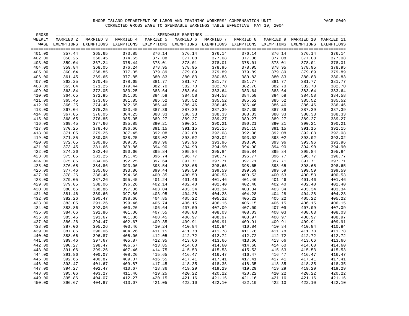| GROSS  |           |                                                                                                                    |           |           |           |           |           |        |                                 |        |
|--------|-----------|--------------------------------------------------------------------------------------------------------------------|-----------|-----------|-----------|-----------|-----------|--------|---------------------------------|--------|
| WEEKLY | MARRIED 2 | MARRIED 3                                                                                                          | MARRIED 4 | MARRIED 5 | MARRIED 6 | MARRIED 7 | MARRIED 8 |        | MARRIED 9 MARRIED 10 MARRIED 11 |        |
|        |           | WAGE EXEMPTIONS EXEMPTIONS EXEMPTIONS EXEMPTIONS EXEMPTIONS EXEMPTIONS EXEMPTIONS EXEMPTIONS EXEMPTIONS EXEMPTIONS |           |           |           |           |           |        |                                 |        |
|        |           |                                                                                                                    |           |           |           |           |           |        |                                 |        |
| 401.00 | 357.44    | 365.65                                                                                                             | 373.85    | 376.14    | 376.14    | 376.14    | 376.14    | 376.14 | 376.14                          | 376.14 |
| 402.00 | 358.25    | 366.45                                                                                                             | 374.65    | 377.08    | 377.08    | 377.08    | 377.08    | 377.08 | 377.08                          | 377.08 |
| 403.00 | 359.04    | 367.24                                                                                                             | 375.44    | 378.01    | 378.01    | 378.01    | 378.01    | 378.01 | 378.01                          | 378.01 |
| 404.00 | 359.84    | 368.05                                                                                                             | 376.24    | 378.95    | 378.95    | 378.95    | 378.95    | 378.95 | 378.95                          | 378.95 |
| 405.00 | 360.64    | 368.85                                                                                                             | 377.05    | 379.89    | 379.89    | 379.89    | 379.89    | 379.89 | 379.89                          | 379.89 |
| 406.00 | 361.45    | 369.65                                                                                                             | 377.85    | 380.83    | 380.83    | 380.83    | 380.83    | 380.83 | 380.83                          | 380.83 |
| 407.00 | 362.25    | 370.45                                                                                                             | 378.65    | 381.77    | 381.77    | 381.77    | 381.77    | 381.77 | 381.77                          | 381.77 |
| 408.00 | 363.04    | 371.25                                                                                                             | 379.44    | 382.70    | 382.70    | 382.70    | 382.70    | 382.70 | 382.70                          | 382.70 |
| 409.00 | 363.84    | 372.05                                                                                                             | 380.25    | 383.64    | 383.64    | 383.64    | 383.64    | 383.64 | 383.64                          | 383.64 |
| 410.00 | 364.65    | 372.85                                                                                                             | 381.05    | 384.58    | 384.58    | 384.58    | 384.58    | 384.58 | 384.58                          | 384.58 |
| 411.00 | 365.45    | 373.65                                                                                                             | 381.85    | 385.52    | 385.52    | 385.52    | 385.52    | 385.52 | 385.52                          | 385.52 |
| 412.00 | 366.25    | 374.46                                                                                                             | 382.65    | 386.46    | 386.46    | 386.46    | 386.46    | 386.46 | 386.46                          | 386.46 |
| 413.00 | 367.04    | 375.25                                                                                                             | 383.45    | 387.39    | 387.39    | 387.39    | 387.39    | 387.39 | 387.39                          | 387.39 |
| 414.00 | 367.85    | 376.05                                                                                                             | 384.25    | 388.33    | 388.33    | 388.33    | 388.33    | 388.33 | 388.33                          | 388.33 |
| 415.00 | 368.65    | 376.85                                                                                                             | 385.05    | 389.27    | 389.27    | 389.27    | 389.27    | 389.27 | 389.27                          | 389.27 |
| 416.00 | 369.45    | 377.66                                                                                                             | 385.85    | 390.21    | 390.21    | 390.21    | 390.21    | 390.21 | 390.21                          | 390.21 |
| 417.00 | 370.25    | 378.46                                                                                                             | 386.66    | 391.15    | 391.15    | 391.15    | 391.15    | 391.15 | 391.15                          | 391.15 |
| 418.00 | 371.05    | 379.25                                                                                                             | 387.45    | 392.08    | 392.08    | 392.08    | 392.08    | 392.08 | 392.08                          | 392.08 |
| 419.00 | 371.85    | 380.05                                                                                                             | 388.25    | 393.02    | 393.02    | 393.02    | 393.02    | 393.02 | 393.02                          | 393.02 |
| 420.00 | 372.65    | 380.86                                                                                                             | 389.05    | 393.96    | 393.96    | 393.96    | 393.96    | 393.96 | 393.96                          | 393.96 |
| 421.00 | 373.45    | 381.66                                                                                                             | 389.86    | 394.90    | 394.90    | 394.90    | 394.90    | 394.90 | 394.90                          | 394.90 |
| 422.00 | 374.26    | 382.46                                                                                                             | 390.66    | 395.84    | 395.84    | 395.84    | 395.84    | 395.84 | 395.84                          | 395.84 |
| 423.00 | 375.05    | 383.25                                                                                                             | 391.45    | 396.74    | 396.77    | 396.77    | 396.77    | 396.77 | 396.77                          | 396.77 |
| 424.00 | 375.85    | 384.06                                                                                                             | 392.25    | 397.64    | 397.71    | 397.71    | 397.71    | 397.71 | 397.71                          | 397.71 |
| 425.00 | 376.65    | 384.86                                                                                                             | 393.06    | 398.54    | 398.65    | 398.65    | 398.65    | 398.65 | 398.65                          | 398.65 |
|        |           |                                                                                                                    |           | 399.44    |           |           |           | 399.59 |                                 | 399.59 |
| 426.00 | 377.46    | 385.66                                                                                                             | 393.86    |           | 399.59    | 399.59    | 399.59    |        | 399.59                          |        |
| 427.00 | 378.26    | 386.46                                                                                                             | 394.66    | 400.35    | 400.53    | 400.53    | 400.53    | 400.53 | 400.53                          | 400.53 |
| 428.00 | 379.05    | 387.26                                                                                                             | 395.45    | 401.24    | 401.46    | 401.46    | 401.46    | 401.46 | 401.46                          | 401.46 |
| 429.00 | 379.85    | 388.06                                                                                                             | 396.26    | 402.14    | 402.40    | 402.40    | 402.40    | 402.40 | 402.40                          | 402.40 |
| 430.00 | 380.66    | 388.86                                                                                                             | 397.06    | 403.04    | 403.34    | 403.34    | 403.34    | 403.34 | 403.34                          | 403.34 |
| 431.00 | 381.46    | 389.66                                                                                                             | 397.86    | 403.95    | 404.28    | 404.28    | 404.28    | 404.28 | 404.28                          | 404.28 |
| 432.00 | 382.26    | 390.47                                                                                                             | 398.66    | 404.85    | 405.22    | 405.22    | 405.22    | 405.22 | 405.22                          | 405.22 |
| 433.00 | 383.05    | 391.26                                                                                                             | 399.46    | 405.74    | 406.15    | 406.15    | 406.15    | 406.15 | 406.15                          | 406.15 |
| 434.00 | 383.86    | 392.06                                                                                                             | 400.26    | 406.64    | 407.09    | 407.09    | 407.09    | 407.09 | 407.09                          | 407.09 |
| 435.00 | 384.66    | 392.86                                                                                                             | 401.06    | 407.55    | 408.03    | 408.03    | 408.03    | 408.03 | 408.03                          | 408.03 |
| 436.00 | 385.46    | 393.67                                                                                                             | 401.86    | 408.45    | 408.97    | 408.97    | 408.97    | 408.97 | 408.97                          | 408.97 |
| 437.00 | 386.26    | 394.47                                                                                                             | 402.67    | 409.35    | 409.91    | 409.91    | 409.91    | 409.91 | 409.91                          | 409.91 |
| 438.00 | 387.06    | 395.26                                                                                                             | 403.46    | 410.24    | 410.84    | 410.84    | 410.84    | 410.84 | 410.84                          | 410.84 |
| 439.00 | 387.86    | 396.06                                                                                                             | 404.26    | 411.15    | 411.78    | 411.78    | 411.78    | 411.78 | 411.78                          | 411.78 |
| 440.00 | 388.66    | 396.87                                                                                                             | 405.06    | 412.05    | 412.72    | 412.72    | 412.72    | 412.72 | 412.72                          | 412.72 |
| 441.00 | 389.46    | 397.67                                                                                                             | 405.87    | 412.95    | 413.66    | 413.66    | 413.66    | 413.66 | 413.66                          | 413.66 |
| 442.00 | 390.27    | 398.47                                                                                                             | 406.67    | 413.85    | 414.60    | 414.60    | 414.60    | 414.60 | 414.60                          | 414.60 |
| 443.00 | 391.06    | 399.26                                                                                                             | 407.46    | 414.75    | 415.53    | 415.53    | 415.53    | 415.53 | 415.53                          | 415.53 |
| 444.00 | 391.86    | 400.07                                                                                                             | 408.26    | 415.65    | 416.47    | 416.47    | 416.47    | 416.47 | 416.47                          | 416.47 |
| 445.00 | 392.66    | 400.87                                                                                                             | 409.07    | 416.55    | 417.41    | 417.41    | 417.41    | 417.41 | 417.41                          | 417.41 |
| 446.00 | 393.47    | 401.67                                                                                                             | 409.87    | 417.45    | 418.35    | 418.35    | 418.35    | 418.35 | 418.35                          | 418.35 |
| 447.00 | 394.27    | 402.47                                                                                                             | 410.67    | 418.36    | 419.29    | 419.29    | 419.29    | 419.29 | 419.29                          | 419.29 |
| 448.00 | 395.06    | 403.27                                                                                                             | 411.46    | 419.25    | 420.22    | 420.22    | 420.22    | 420.22 | 420.22                          | 420.22 |
| 449.00 | 395.86    | 404.07                                                                                                             | 412.27    | 420.15    | 421.16    | 421.16    | 421.16    | 421.16 | 421.16                          | 421.16 |
| 450.00 | 396.67    | 404.87                                                                                                             | 413.07    | 421.05    | 422.10    | 422.10    | 422.10    | 422.10 | 422.10                          | 422.10 |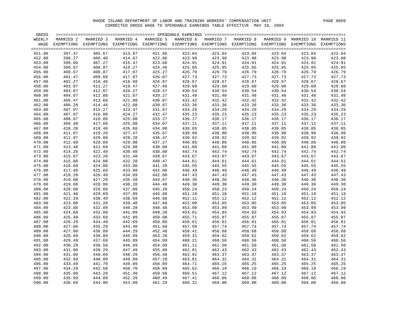| GROSS  |           |                                                                                                                    |           |           |           |           |           |        |                                 |        |
|--------|-----------|--------------------------------------------------------------------------------------------------------------------|-----------|-----------|-----------|-----------|-----------|--------|---------------------------------|--------|
| WEEKLY | MARRIED 2 | MARRIED 3                                                                                                          | MARRIED 4 | MARRIED 5 | MARRIED 6 | MARRIED 7 | MARRIED 8 |        | MARRIED 9 MARRIED 10 MARRIED 11 |        |
|        |           | WAGE EXEMPTIONS EXEMPTIONS EXEMPTIONS EXEMPTIONS EXEMPTIONS EXEMPTIONS EXEMPTIONS EXEMPTIONS EXEMPTIONS EXEMPTIONS |           |           |           |           |           |        |                                 |        |
|        |           |                                                                                                                    |           |           |           |           |           |        |                                 |        |
| 451.00 | 397.47    | 405.67                                                                                                             | 413.87    | 421.96    | 423.04    | 423.04    | 423.04    | 423.04 | 423.04                          | 423.04 |
| 452.00 | 398.27    | 406.48                                                                                                             | 414.67    | 422.86    | 423.98    | 423.98    | 423.98    | 423.98 | 423.98                          | 423.98 |
| 453.00 | 399.06    | 407.27                                                                                                             | 415.47    | 423.66    | 424.91    | 424.91    | 424.91    | 424.91 | 424.91                          | 424.91 |
| 454.00 | 399.87    | 408.07                                                                                                             | 416.27    | 424.46    | 425.85    | 425.85    | 425.85    | 425.85 | 425.85                          | 425.85 |
| 455.00 | 400.67    | 408.87                                                                                                             | 417.07    | 425.27    | 426.79    | 426.79    | 426.79    | 426.79 | 426.79                          | 426.79 |
| 456.00 | 401.47    | 409.68                                                                                                             | 417.87    | 426.07    | 427.73    | 427.73    | 427.73    | 427.73 | 427.73                          | 427.73 |
| 457.00 | 402.27    | 410.48                                                                                                             | 418.68    | 426.87    | 428.67    | 428.67    | 428.67    | 428.67 | 428.67                          | 428.67 |
| 458.00 | 403.07    | 411.27                                                                                                             | 419.47    | 427.66    | 429.60    | 429.60    | 429.60    | 429.60 | 429.60                          | 429.60 |
| 459.00 | 403.87    | 412.07                                                                                                             | 420.27    | 428.47    | 430.54    | 430.54    | 430.54    | 430.54 | 430.54                          | 430.54 |
| 460.00 | 404.67    | 412.88                                                                                                             | 421.07    | 429.27    | 431.48    | 431.48    | 431.48    | 431.48 | 431.48                          | 431.48 |
| 461.00 | 405.47    | 413.68                                                                                                             | 421.88    | 430.07    | 432.42    | 432.42    | 432.42    | 432.42 | 432.42                          | 432.42 |
| 462.00 | 406.28    | 414.48                                                                                                             | 422.68    | 430.87    | 433.36    | 433.36    | 433.36    | 433.36 | 433.36                          | 433.36 |
| 463.00 | 407.07    | 415.27                                                                                                             | 423.47    | 431.67    | 434.29    | 434.29    | 434.29    | 434.29 | 434.29                          | 434.29 |
| 464.00 | 407.87    | 416.08                                                                                                             | 424.27    | 432.47    | 435.23    | 435.23    | 435.23    | 435.23 | 435.23                          | 435.23 |
| 465.00 | 408.67    | 416.88                                                                                                             | 425.08    | 433.27    | 436.17    | 436.17    | 436.17    | 436.17 | 436.17                          | 436.17 |
| 466.00 | 409.48    | 417.68                                                                                                             | 425.88    | 434.07    | 437.11    | 437.11    | 437.11    | 437.11 | 437.11                          | 437.11 |
| 467.00 | 410.28    | 418.48                                                                                                             | 426.68    | 434.88    | 438.05    | 438.05    | 438.05    | 438.05 | 438.05                          | 438.05 |
| 468.00 | 411.07    | 419.28                                                                                                             | 427.47    | 435.67    | 438.98    | 438.98    | 438.98    | 438.98 | 438.98                          | 438.98 |
| 469.00 | 411.87    | 420.08                                                                                                             | 428.28    | 436.47    | 439.92    | 439.92    | 439.92    | 439.92 | 439.92                          | 439.92 |
| 470.00 | 412.68    | 420.88                                                                                                             | 429.08    | 437.27    | 440.86    | 440.86    | 440.86    | 440.86 | 440.86                          | 440.86 |
| 471.00 | 413.48    | 421.68                                                                                                             | 429.88    | 438.08    | 441.80    | 441.80    | 441.80    | 441.80 | 441.80                          | 441.80 |
| 472.00 | 414.28    | 422.49                                                                                                             | 430.68    | 438.88    | 442.74    | 442.74    | 442.74    | 442.74 | 442.74                          | 442.74 |
| 473.00 | 415.07    | 423.28                                                                                                             | 431.48    | 439.67    | 443.67    | 443.67    | 443.67    | 443.67 | 443.67                          | 443.67 |
| 474.00 | 415.88    | 424.08                                                                                                             | 432.28    | 440.47    | 444.61    | 444.61    | 444.61    | 444.61 | 444.61                          | 444.61 |
| 475.00 | 416.68    | 424.88                                                                                                             | 433.08    | 441.28    | 445.55    | 445.55    | 445.55    | 445.55 | 445.55                          | 445.55 |
| 476.00 | 417.48    | 425.69                                                                                                             | 433.88    | 442.08    | 446.49    | 446.49    | 446.49    | 446.49 | 446.49                          | 446.49 |
| 477.00 | 418.28    | 426.49                                                                                                             | 434.69    | 442.88    | 447.43    | 447.43    | 447.43    | 447.43 | 447.43                          | 447.43 |
| 478.00 | 419.08    | 427.28                                                                                                             | 435.48    | 443.67    | 448.36    | 448.36    | 448.36    | 448.36 | 448.36                          | 448.36 |
| 479.00 | 419.88    | 428.08                                                                                                             | 436.28    | 444.48    | 449.30    | 449.30    | 449.30    | 449.30 | 449.30                          | 449.30 |
| 480.00 | 420.68    | 428.89                                                                                                             | 437.08    | 445.28    | 450.24    | 450.24    | 450.24    | 450.24 | 450.24                          | 450.24 |
| 481.00 | 421.48    | 429.69                                                                                                             | 437.89    | 446.08    | 451.18    | 451.18    | 451.18    | 451.18 | 451.18                          | 451.18 |
| 482.00 | 422.29    | 430.49                                                                                                             | 438.69    | 446.88    | 452.11    | 452.12    | 452.12    | 452.12 | 452.12                          | 452.12 |
| 483.00 | 423.08    | 431.28                                                                                                             | 439.48    | 447.68    | 453.00    | 453.05    | 453.05    | 453.05 | 453.05                          | 453.05 |
| 484.00 | 423.88    | 432.09                                                                                                             | 440.28    | 448.48    | 453.90    | 453.99    | 453.99    | 453.99 | 453.99                          | 453.99 |
| 485.00 | 424.68    | 432.89                                                                                                             | 441.09    | 449.28    | 454.81    | 454.93    | 454.93    | 454.93 | 454.93                          | 454.93 |
| 486.00 | 425.49    | 433.69                                                                                                             | 441.89    | 450.08    | 455.71    | 455.87    | 455.87    | 455.87 | 455.87                          | 455.87 |
| 487.00 | 426.29    | 434.49                                                                                                             | 442.69    | 450.89    | 456.61    | 456.81    | 456.81    | 456.81 | 456.81                          | 456.81 |
| 488.00 | 427.08    | 435.29                                                                                                             | 443.48    | 451.68    | 457.50    | 457.74    | 457.74    | 457.74 | 457.74                          | 457.74 |
| 489.00 | 427.88    | 436.09                                                                                                             | 444.29    | 452.48    | 458.41    | 458.68    | 458.68    | 458.68 | 458.68                          | 458.68 |
| 490.00 | 428.69    | 436.89                                                                                                             | 445.09    | 453.28    | 459.31    | 459.62    | 459.62    | 459.62 | 459.62                          | 459.62 |
| 491.00 | 429.49    | 437.69                                                                                                             | 445.89    | 454.09    | 460.21    | 460.56    | 460.56    | 460.56 | 460.56                          | 460.56 |
| 492.00 | 430.29    | 438.50                                                                                                             | 446.69    | 454.89    | 461.11    | 461.50    | 461.50    | 461.50 | 461.50                          | 461.50 |
| 493.00 | 431.08    | 439.29                                                                                                             | 447.49    | 455.68    | 462.01    | 462.43    | 462.43    | 462.43 | 462.43                          | 462.43 |
| 494.00 | 431.89    | 440.09                                                                                                             | 448.29    | 456.48    | 462.91    | 463.37    | 463.37    | 463.37 | 463.37                          | 463.37 |
| 495.00 | 432.69    | 440.89                                                                                                             | 449.09    | 457.29    | 463.81    | 464.31    | 464.31    | 464.31 | 464.31                          | 464.31 |
| 496.00 | 433.49    | 441.70                                                                                                             | 449.89    | 458.09    | 464.71    | 465.25    | 465.25    | 465.25 | 465.25                          | 465.25 |
| 497.00 | 434.29    | 442.50                                                                                                             | 450.70    | 458.89    | 465.62    | 466.19    | 466.19    | 466.19 | 466.19                          | 466.19 |
| 498.00 | 435.09    | 443.29                                                                                                             | 451.49    | 459.68    | 466.51    | 467.12    | 467.12    | 467.12 | 467.12                          | 467.12 |
| 499.00 | 435.89    | 444.09                                                                                                             | 452.29    | 460.49    | 467.41    | 468.06    | 468.06    | 468.06 | 468.06                          | 468.06 |
| 500.00 | 436.69    | 444.90                                                                                                             | 453.09    | 461.29    | 468.31    | 469.00    | 469.00    | 469.00 | 469.00                          | 469.00 |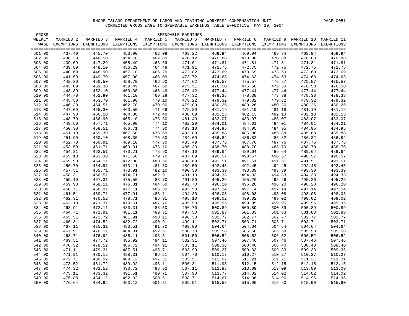| GROSS  |           |                                                                                                         |           |           |           |           |           |           |            |            |
|--------|-----------|---------------------------------------------------------------------------------------------------------|-----------|-----------|-----------|-----------|-----------|-----------|------------|------------|
| WEEKLY | MARRIED 2 | MARRIED 3                                                                                               | MARRIED 4 | MARRIED 5 | MARRIED 6 | MARRIED 7 | MARRIED 8 | MARRIED 9 | MARRIED 10 | MARRIED 11 |
|        |           | WAGE EXEMPTIONS EXEMPTIONS EXEMPTIONS EXEMPTIONS EXEMPTIONS EXEMPTIONS EXEMPTIONS EXEMPTIONS EXEMPTIONS |           |           |           |           |           |           |            | EXEMPTIONS |
|        |           |                                                                                                         |           |           |           |           |           |           |            |            |
| 501.00 | 437.49    | 445.70                                                                                                  | 453.90    | 462.09    | 469.22    | 469.94    | 469.94    | 469.94    | 469.94     | 469.94     |
| 502.00 | 438.30    | 446.50                                                                                                  | 454.70    | 462.89    | 470.12    | 470.88    | 470.88    | 470.88    | 470.88     | 470.88     |
| 503.00 | 439.09    | 447.29                                                                                                  | 455.49    | 463.69    | 471.01    | 471.81    | 471.81    | 471.81    | 471.81     | 471.81     |
| 504.00 | 439.89    | 448.10                                                                                                  | 456.29    | 464.49    | 471.91    | 472.75    | 472.75    | 472.75    | 472.75     | 472.75     |
| 505.00 | 440.69    | 448.90                                                                                                  | 457.10    | 465.29    | 472.82    | 473.69    | 473.69    | 473.69    | 473.69     | 473.69     |
| 506.00 | 441.50    | 449.70                                                                                                  | 457.90    | 466.09    | 473.72    | 474.63    | 474.63    | 474.63    | 474.63     | 474.63     |
| 507.00 | 442.30    | 450.50                                                                                                  | 458.70    | 466.90    | 474.62    | 475.57    | 475.57    | 475.57    | 475.57     | 475.57     |
| 508.00 | 443.09    | 451.30                                                                                                  | 459.49    | 467.69    | 475.51    | 476.50    | 476.50    | 476.50    | 476.50     | 476.50     |
| 509.00 | 443.89    | 452.10                                                                                                  | 460.30    | 468.49    | 476.42    | 477.44    | 477.44    | 477.44    | 477.44     | 477.44     |
| 510.00 | 444.70    | 452.90                                                                                                  | 461.10    | 469.29    | 477.32    | 478.38    | 478.38    | 478.38    | 478.38     | 478.38     |
| 511.00 | 445.50    | 453.70                                                                                                  | 461.90    | 470.10    | 478.22    | 479.32    | 479.32    | 479.32    | 479.32     | 479.32     |
| 512.00 | 446.30    | 454.51                                                                                                  | 462.70    | 470.90    | 479.09    | 480.26    | 480.26    | 480.26    | 480.26     | 480.26     |
| 513.00 | 447.09    | 455.30                                                                                                  | 463.50    | 471.69    | 479.89    | 481.19    | 481.19    | 481.19    | 481.19     | 481.19     |
| 514.00 | 447.90    | 456.10                                                                                                  | 464.30    | 472.49    | 480.69    | 482.13    | 482.13    | 482.13    | 482.13     | 482.13     |
| 515.00 | 448.70    | 456.90                                                                                                  | 465.10    | 473.30    | 481.49    | 483.07    | 483.07    | 483.07    | 483.07     | 483.07     |
| 516.00 | 449.50    | 457.71                                                                                                  | 465.90    | 474.10    | 482.29    | 484.01    | 484.01    | 484.01    | 484.01     | 484.01     |
| 517.00 | 450.30    | 458.51                                                                                                  | 466.71    | 474.90    | 483.10    | 484.95    | 484.95    | 484.95    | 484.95     | 484.95     |
| 518.00 | 451.10    | 459.30                                                                                                  | 467.50    | 475.69    | 483.89    | 485.88    | 485.88    | 485.88    | 485.88     | 485.88     |
| 519.00 | 451.90    | 460.10                                                                                                  | 468.30    | 476.50    | 484.69    | 486.82    | 486.82    | 486.82    | 486.82     | 486.82     |
| 520.00 | 452.70    | 460.91                                                                                                  | 469.10    | 477.30    | 485.49    | 487.76    | 487.76    | 487.76    | 487.76     | 487.76     |
| 521.00 | 453.50    | 461.71                                                                                                  | 469.91    | 478.10    | 486.30    | 488.70    | 488.70    | 488.70    | 488.70     | 488.70     |
| 522.00 | 454.31    | 462.51                                                                                                  | 470.71    | 478.90    | 487.10    | 489.64    | 489.64    | 489.64    | 489.64     | 489.64     |
| 523.00 | 455.10    | 463.30                                                                                                  | 471.50    | 479.70    | 487.89    | 490.57    | 490.57    | 490.57    | 490.57     | 490.57     |
| 524.00 | 455.90    | 464.11                                                                                                  | 472.30    | 480.50    | 488.69    | 491.51    | 491.51    | 491.51    | 491.51     | 491.51     |
| 525.00 | 456.70    | 464.91                                                                                                  | 473.11    | 481.30    | 489.50    | 492.45    | 492.45    | 492.45    | 492.45     | 492.45     |
| 526.00 | 457.51    | 465.71                                                                                                  | 473.91    | 482.10    | 490.30    | 493.39    | 493.39    | 493.39    | 493.39     | 493.39     |
| 527.00 | 458.31    | 466.51                                                                                                  | 474.71    | 482.91    | 491.10    | 494.33    | 494.33    | 494.33    | 494.33     | 494.33     |
| 528.00 | 459.10    | 467.31                                                                                                  | 475.50    | 483.70    | 491.89    | 495.26    | 495.26    | 495.26    | 495.26     | 495.26     |
| 529.00 | 459.90    | 468.11                                                                                                  | 476.31    | 484.50    | 492.70    | 496.20    | 496.20    | 496.20    | 496.20     | 496.20     |
| 530.00 | 460.71    | 468.91                                                                                                  | 477.11    | 485.30    | 493.50    | 497.14    | 497.14    | 497.14    | 497.14     | 497.14     |
| 531.00 | 461.51    | 469.71                                                                                                  | 477.91    | 486.11    | 494.30    | 498.08    | 498.08    | 498.08    | 498.08     | 498.08     |
| 532.00 | 462.31    | 470.52                                                                                                  | 478.71    | 486.91    | 495.10    | 499.02    | 499.02    | 499.02    | 499.02     | 499.02     |
| 533.00 | 463.10    | 471.31                                                                                                  | 479.51    | 487.70    | 495.90    | 499.95    | 499.95    | 499.95    | 499.95     | 499.95     |
| 534.00 | 463.91    | 472.11                                                                                                  | 480.31    | 488.50    | 496.70    | 500.89    | 500.89    | 500.89    | 500.89     | 500.89     |
| 535.00 | 464.71    | 472.91                                                                                                  | 481.11    | 489.31    | 497.50    | 501.83    | 501.83    | 501.83    | 501.83     | 501.83     |
| 536.00 | 465.51    | 473.72                                                                                                  | 481.91    | 490.11    | 498.30    | 502.77    | 502.77    | 502.77    | 502.77     | 502.77     |
| 537.00 | 466.31    | 474.52                                                                                                  | 482.72    | 490.91    | 499.11    | 503.71    | 503.71    | 503.71    | 503.71     | 503.71     |
| 538.00 | 467.11    | 475.31                                                                                                  | 483.51    | 491.70    | 499.90    | 504.64    | 504.64    | 504.64    | 504.64     | 504.64     |
| 539.00 | 467.91    | 476.11                                                                                                  | 484.31    | 492.51    | 500.70    | 505.58    | 505.58    | 505.58    | 505.58     | 505.58     |
| 540.00 | 468.71    | 476.92                                                                                                  | 485.11    | 493.31    | 501.50    | 506.52    | 506.52    | 506.52    | 506.52     | 506.52     |
| 541.00 | 469.51    | 477.72                                                                                                  | 485.92    | 494.11    | 502.31    | 507.46    | 507.46    | 507.46    | 507.46     | 507.46     |
| 542.00 | 470.32    | 478.52                                                                                                  | 486.72    | 494.91    | 503.11    | 508.38    | 508.40    | 508.40    | 508.40     | 508.40     |
| 543.00 | 471.11    | 479.31                                                                                                  | 487.51    | 495.71    | 503.90    | 509.27    | 509.33    | 509.33    | 509.33     | 509.33     |
| 544.00 | 471.91    | 480.12                                                                                                  | 488.31    | 496.51    | 504.70    | 510.17    | 510.27    | 510.27    | 510.27     | 510.27     |
| 545.00 | 472.71    | 480.92                                                                                                  | 489.12    | 497.31    | 505.51    | 511.07    | 511.21    | 511.21    | 511.21     | 511.21     |
| 546.00 | 473.52    | 481.72                                                                                                  | 489.92    | 498.11    | 506.31    | 511.98    | 512.15    | 512.15    | 512.15     | 512.15     |
| 547.00 | 474.32    | 482.52                                                                                                  | 490.72    | 498.92    | 507.11    | 512.88    | 513.09    | 513.09    | 513.09     | 513.09     |
| 548.00 | 475.11    | 483.32                                                                                                  | 491.51    | 499.71    | 507.90    | 513.77    | 514.02    | 514.02    | 514.02     | 514.02     |
| 549.00 | 475.88    | 484.12                                                                                                  | 492.32    | 500.51    | 508.71    | 514.67    | 514.96    | 514.96    | 514.96     | 514.96     |
| 550.00 | 476.64    | 484.92                                                                                                  | 493.12    | 501.31    | 509.51    | 515.58    | 515.90    | 515.90    | 515.90     | 515.90     |
|        |           |                                                                                                         |           |           |           |           |           |           |            |            |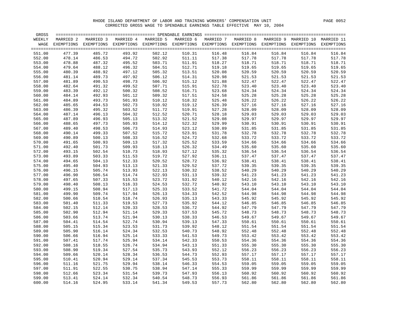| GROSS  |            |            |            | ========== SPENDABLE EARNINGS |           |            |            |            |            |            |
|--------|------------|------------|------------|-------------------------------|-----------|------------|------------|------------|------------|------------|
| WEEKLY | MARRIED 2  | MARRIED 3  | MARRIED 4  | MARRIED 5                     | MARRIED 6 | MARRIED 7  | MARRIED 8  | MARRIED 9  | MARRIED 10 | MARRIED 11 |
| WAGE   | EXEMPTIONS | EXEMPTIONS | EXEMPTIONS | EXEMPTIONS EXEMPTIONS         |           | EXEMPTIONS | EXEMPTIONS | EXEMPTIONS | EXEMPTIONS | EXEMPTIONS |
|        |            |            |            |                               |           |            |            |            |            |            |
| 551.00 | 477.39     | 485.72     | 493.92     | 502.12                        | 510.31    | 516.48     | 516.84     | 516.84     | 516.84     | 516.84     |
| 552.00 | 478.14     | 486.53     | 494.72     | 502.92                        | 511.11    | 517.38     | 517.78     | 517.78     | 517.78     | 517.78     |
| 553.00 | 478.88     | 487.32     | 495.52     | 503.71                        | 511.91    | 518.27     | 518.71     | 518.71     | 518.71     | 518.71     |
| 554.00 | 479.64     | 488.12     | 496.32     | 504.51                        | 512.71    | 519.18     | 519.65     | 519.65     | 519.65     | 519.65     |
| 555.00 | 480.39     | 488.92     | 497.12     | 505.32                        | 513.51    | 520.08     | 520.59     | 520.59     | 520.59     | 520.59     |
| 556.00 | 481.14     | 489.73     | 497.92     | 506.12                        | 514.31    | 520.98     | 521.53     | 521.53     | 521.53     | 521.53     |
| 557.00 | 481.89     | 490.53     | 498.73     | 506.92                        | 515.12    | 521.88     | 522.47     | 522.47     | 522.47     | 522.47     |
| 558.00 | 482.64     | 491.32     | 499.52     | 507.71                        | 515.91    | 522.78     | 523.40     | 523.40     | 523.40     | 523.40     |
| 559.00 | 483.39     | 492.12     | 500.32     | 508.52                        | 516.71    | 523.68     | 524.34     | 524.34     | 524.34     | 524.34     |
| 560.00 | 484.14     | 492.93     | 501.12     | 509.32                        | 517.51    | 524.58     | 525.28     | 525.28     | 525.28     | 525.28     |
| 561.00 | 484.89     | 493.73     | 501.93     | 510.12                        | 518.32    | 525.48     | 526.22     | 526.22     | 526.22     | 526.22     |
| 562.00 | 485.65     | 494.53     | 502.73     | 510.92                        | 519.12    | 526.39     | 527.16     | 527.16     | 527.16     | 527.16     |
|        |            |            |            |                               |           |            |            |            |            |            |
| 563.00 | 486.39     | 495.32     | 503.52     | 511.72                        | 519.91    | 527.28     | 528.09     | 528.09     | 528.09     | 528.09     |
| 564.00 | 487.14     | 496.13     | 504.32     | 512.52                        | 520.71    | 528.18     | 529.03     | 529.03     | 529.03     | 529.03     |
| 565.00 | 487.89     | 496.93     | 505.13     | 513.32                        | 521.52    | 529.08     | 529.97     | 529.97     | 529.97     | 529.97     |
| 566.00 | 488.65     | 497.73     | 505.93     | 514.12                        | 522.32    | 529.99     | 530.91     | 530.91     | 530.91     | 530.91     |
| 567.00 | 489.40     | 498.53     | 506.73     | 514.93                        | 523.12    | 530.89     | 531.85     | 531.85     | 531.85     | 531.85     |
| 568.00 | 490.14     | 499.33     | 507.52     | 515.72                        | 523.91    | 531.78     | 532.78     | 532.78     | 532.78     | 532.78     |
| 569.00 | 490.89     | 500.13     | 508.33     | 516.52                        | 524.72    | 532.68     | 533.72     | 533.72     | 533.72     | 533.72     |
| 570.00 | 491.65     | 500.93     | 509.13     | 517.32                        | 525.52    | 533.59     | 534.66     | 534.66     | 534.66     | 534.66     |
| 571.00 | 492.40     | 501.73     | 509.93     | 518.13                        | 526.32    | 534.49     | 535.60     | 535.60     | 535.60     | 535.60     |
| 572.00 | 493.15     | 502.54     | 510.73     | 518.93                        | 527.12    | 535.32     | 536.54     | 536.54     | 536.54     | 536.54     |
| 573.00 | 493.89     | 503.33     | 511.53     | 519.72                        | 527.92    | 536.11     | 537.47     | 537.47     | 537.47     | 537.47     |
| 574.00 | 494.65     | 504.13     | 512.33     | 520.52                        | 528.72    | 536.92     | 538.41     | 538.41     | 538.41     | 538.41     |
| 575.00 | 495.40     | 504.93     | 513.13     | 521.33                        | 529.52    | 537.72     | 539.35     | 539.35     | 539.35     | 539.35     |
| 576.00 | 496.15     | 505.74     | 513.93     | 522.13                        | 530.32    | 538.52     | 540.29     | 540.29     | 540.29     | 540.29     |
| 577.00 | 496.90     | 506.54     | 514.74     | 522.93                        | 531.13    | 539.32     | 541.23     | 541.23     | 541.23     | 541.23     |
| 578.00 | 497.65     | 507.33     | 515.53     | 523.72                        | 531.92    | 540.12     | 542.16     | 542.16     | 542.16     | 542.16     |
| 579.00 | 498.40     | 508.13     | 516.33     | 524.53                        | 532.72    | 540.92     | 543.10     | 543.10     | 543.10     | 543.10     |
| 580.00 | 499.15     | 508.94     | 517.13     | 525.33                        | 533.52    | 541.72     | 544.04     | 544.04     | 544.04     | 544.04     |
| 581.00 | 499.90     | 509.74     | 517.94     | 526.13                        | 534.33    | 542.52     | 544.98     | 544.98     | 544.98     | 544.98     |
| 582.00 | 500.66     | 510.54     | 518.74     | 526.93                        | 535.13    | 543.33     | 545.92     | 545.92     | 545.92     | 545.92     |
| 583.00 | 501.40     | 511.33     | 519.53     | 527.73                        | 535.92    | 544.12     | 546.85     | 546.85     | 546.85     | 546.85     |
| 584.00 | 502.15     | 512.14     | 520.33     | 528.53                        | 536.72    | 544.92     | 547.79     | 547.79     | 547.79     | 547.79     |
| 585.00 | 502.90     | 512.94     | 521.14     | 529.33                        | 537.53    | 545.72     | 548.73     | 548.73     | 548.73     | 548.73     |
| 586.00 | 503.66     | 513.74     | 521.94     | 530.13                        | 538.33    | 546.53     | 549.67     | 549.67     | 549.67     | 549.67     |
| 587.00 | 504.41     | 514.54     | 522.74     | 530.94                        | 539.13    | 547.33     | 550.61     | 550.61     | 550.61     | 550.61     |
| 588.00 | 505.15     | 515.34     | 523.53     | 531.73                        | 539.92    | 548.12     | 551.54     | 551.54     | 551.54     | 551.54     |
| 589.00 | 505.90     | 516.14     | 524.34     | 532.53                        | 540.73    | 548.92     | 552.48     | 552.48     | 552.48     | 552.48     |
| 590.00 | 506.66     | 516.94     | 525.14     | 533.33                        | 541.53    | 549.73     | 553.42     | 553.42     | 553.42     | 553.42     |
| 591.00 | 507.41     | 517.74     | 525.94     | 534.14                        | 542.33    | 550.53     | 554.36     | 554.36     | 554.36     | 554.36     |
| 592.00 | 508.16     | 518.55     | 526.74     | 534.94                        | 543.13    | 551.33     | 555.30     | 555.30     | 555.30     | 555.30     |
| 593.00 | 508.90     | 519.34     | 527.54     | 535.73                        | 543.93    | 552.12     | 556.23     | 556.23     | 556.23     | 556.23     |
| 594.00 | 509.66     | 520.14     | 528.34     | 536.53                        | 544.73    | 552.93     | 557.17     | 557.17     | 557.17     | 557.17     |
| 595.00 | 510.41     | 520.94     | 529.14     | 537.34                        | 545.53    | 553.73     | 558.11     | 558.11     | 558.11     | 558.11     |
| 596.00 | 511.16     | 521.75     | 529.94     | 538.14                        | 546.33    | 554.53     | 559.05     | 559.05     | 559.05     | 559.05     |
| 597.00 | 511.91     | 522.55     | 530.75     | 538.94                        | 547.14    | 555.33     | 559.99     | 559.99     | 559.99     | 559.99     |
| 598.00 | 512.66     | 523.34     | 531.54     | 539.73                        | 547.93    | 556.13     | 560.92     | 560.92     | 560.92     | 560.92     |
| 599.00 | 513.41     | 524.14     | 532.34     | 540.54                        | 548.73    | 556.93     | 561.86     | 561.86     | 561.86     | 561.86     |
|        | 514.16     | 524.95     | 533.14     | 541.34                        | 549.53    | 557.73     | 562.80     | 562.80     | 562.80     | 562.80     |
| 600.00 |            |            |            |                               |           |            |            |            |            |            |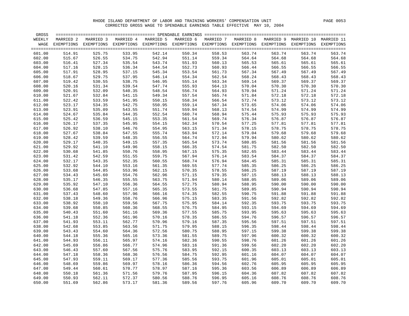| GROSS  |            |            |            | =========== SPENDABLE EARNINGS |           |           |                       |            |            |            |
|--------|------------|------------|------------|--------------------------------|-----------|-----------|-----------------------|------------|------------|------------|
| WEEKLY | MARRIED 2  | MARRIED 3  | MARRIED 4  | MARRIED 5                      | MARRIED 6 | MARRIED 7 | MARRIED 8             | MARRIED 9  | MARRIED 10 | MARRIED 11 |
| WAGE   | EXEMPTIONS | EXEMPTIONS | EXEMPTIONS | EXEMPTIONS EXEMPTIONS          |           |           | EXEMPTIONS EXEMPTIONS | EXEMPTIONS | EXEMPTIONS | EXEMPTIONS |
|        |            |            |            |                                |           |           |                       |            |            |            |
| 601.00 | 514.91     | 525.75     | 533.95     | 542.14                         | 550.34    | 558.53    | 563.74                | 563.74     | 563.74     | 563.74     |
| 602.00 | 515.67     | 526.55     | 534.75     | 542.94                         | 551.14    | 559.34    | 564.64                | 564.68     | 564.68     | 564.68     |
| 603.00 | 516.41     | 527.34     | 535.54     | 543.74                         | 551.93    | 560.13    | 565.53                | 565.61     | 565.61     | 565.61     |
| 604.00 | 517.16     | 528.15     | 536.34     | 544.54                         | 552.73    | 560.93    | 566.44                | 566.55     | 566.55     | 566.55     |
| 605.00 | 517.91     | 528.95     | 537.15     | 545.34                         | 553.54    | 561.73    | 567.34                | 567.49     | 567.49     | 567.49     |
| 606.00 | 518.67     | 529.75     | 537.95     | 546.14                         | 554.34    | 562.54    | 568.24                | 568.43     | 568.43     | 568.43     |
| 607.00 | 519.42     | 530.55     | 538.75     | 546.95                         | 555.14    | 563.34    | 569.14                | 569.37     | 569.37     | 569.37     |
| 608.00 | 520.16     | 531.34     | 539.54     | 547.74                         | 555.93    | 564.13    | 570.04                | 570.30     | 570.30     | 570.30     |
| 609.00 | 520.91     | 532.09     | 540.35     | 548.54                         | 556.74    | 564.93    | 570.94                | 571.24     | 571.24     | 571.24     |
| 610.00 | 521.67     | 532.84     | 541.15     | 549.34                         | 557.54    | 565.74    | 571.84                | 572.18     | 572.18     | 572.18     |
| 611.00 | 522.42     | 533.59     | 541.95     | 550.15                         | 558.34    | 566.54    | 572.74                | 573.12     | 573.12     | 573.12     |
| 612.00 | 523.17     | 534.35     | 542.75     | 550.95                         | 559.14    | 567.34    | 573.65                | 574.06     | 574.06     | 574.06     |
| 613.00 | 523.91     | 535.09     | 543.55     | 551.74                         | 559.94    | 568.13    | 574.54                | 574.99     | 574.99     | 574.99     |
| 614.00 | 524.67     | 535.84     | 544.35     | 552.54                         | 560.74    | 568.94    | 575.44                | 575.93     | 575.93     | 575.93     |
|        | 525.42     |            | 545.15     | 553.35                         | 561.54    | 569.74    | 576.34                | 576.87     | 576.87     | 576.87     |
| 615.00 |            | 536.59     |            |                                |           |           |                       |            |            |            |
| 616.00 | 526.17     | 537.35     | 545.95     | 554.15                         | 562.34    | 570.54    | 577.25                | 577.81     | 577.81     | 577.81     |
| 617.00 | 526.92     | 538.10     | 546.76     | 554.95                         | 563.15    | 571.34    | 578.15                | 578.75     | 578.75     | 578.75     |
| 618.00 | 527.67     | 538.84     | 547.55     | 555.74                         | 563.94    | 572.14    | 579.04                | 579.68     | 579.68     | 579.68     |
| 619.00 | 528.42     | 539.59     | 548.35     | 556.55                         | 564.74    | 572.94    | 579.94                | 580.62     | 580.62     | 580.62     |
| 620.00 | 529.17     | 540.35     | 549.15     | 557.35                         | 565.54    | 573.74    | 580.85                | 581.56     | 581.56     | 581.56     |
| 621.00 | 529.92     | 541.10     | 549.96     | 558.15                         | 566.35    | 574.54    | 581.75                | 582.50     | 582.50     | 582.50     |
| 622.00 | 530.68     | 541.85     | 550.76     | 558.95                         | 567.15    | 575.35    | 582.65                | 583.44     | 583.44     | 583.44     |
| 623.00 | 531.42     | 542.59     | 551.55     | 559.75                         | 567.94    | 576.14    | 583.54                | 584.37     | 584.37     | 584.37     |
| 624.00 | 532.17     | 543.35     | 552.35     | 560.55                         | 568.74    | 576.94    | 584.45                | 585.31     | 585.31     | 585.31     |
| 625.00 | 532.92     | 544.10     | 553.16     | 561.35                         | 569.55    | 577.74    | 585.35                | 586.25     | 586.25     | 586.25     |
| 626.00 | 533.68     | 544.85     | 553.96     | 562.15                         | 570.35    | 578.55    | 586.25                | 587.19     | 587.19     | 587.19     |
| 627.00 | 534.43     | 545.60     | 554.76     | 562.96                         | 571.15    | 579.35    | 587.15                | 588.13     | 588.13     | 588.13     |
| 628.00 | 535.17     | 546.35     | 555.55     | 563.75                         | 571.94    | 580.14    | 588.05                | 589.06     | 589.06     | 589.06     |
| 629.00 | 535.92     | 547.10     | 556.36     | 564.55                         | 572.75    | 580.94    | 588.95                | 590.00     | 590.00     | 590.00     |
| 630.00 | 536.68     | 547.85     | 557.16     | 565.35                         | 573.55    | 581.75    | 589.85                | 590.94     | 590.94     | 590.94     |
| 631.00 | 537.43     | 548.60     | 557.96     | 566.16                         | 574.35    | 582.55    | 590.75                | 591.88     | 591.88     | 591.88     |
| 632.00 | 538.18     | 549.36     | 558.76     | 566.96                         | 575.15    | 583.35    | 591.56                | 592.82     | 592.82     | 592.82     |
| 633.00 | 538.92     | 550.10     | 559.56     | 567.75                         | 575.95    | 584.14    | 592.35                | 593.75     | 593.75     | 593.75     |
| 634.00 | 539.68     | 550.85     | 560.36     | 568.55                         | 576.75    | 584.95    | 593.15                | 594.69     | 594.69     | 594.69     |
| 635.00 | 540.43     | 551.60     | 561.16     | 569.36                         | 577.55    | 585.75    | 593.95                | 595.63     | 595.63     | 595.63     |
| 636.00 | 541.18     | 552.36     | 561.96     | 570.16                         | 578.35    | 586.55    | 594.76                | 596.57     | 596.57     | 596.57     |
| 637.00 | 541.93     | 553.11     | 562.77     | 570.96                         | 579.16    | 587.35    | 595.56                | 597.51     | 597.51     | 597.51     |
| 638.00 | 542.68     | 553.85     | 563.56     | 571.75                         | 579.95    | 588.15    | 596.35                | 598.44     | 598.44     | 598.44     |
| 639.00 | 543.43     | 554.60     | 564.36     | 572.56                         | 580.75    | 588.95    | 597.15                | 599.38     | 599.38     | 599.38     |
| 640.00 | 544.18     | 555.36     | 565.16     | 573.36                         | 581.55    | 589.75    | 597.96                | 600.32     | 600.32     | 600.32     |
| 641.00 | 544.93     | 556.11     | 565.97     | 574.16                         | 582.36    | 590.55    | 598.76                | 601.26     | 601.26     | 601.26     |
| 642.00 | 545.69     | 556.86     | 566.77     | 574.96                         | 583.16    | 591.36    | 599.56                | 602.20     | 602.20     | 602.20     |
| 643.00 | 546.43     | 557.60     | 567.56     | 575.76                         | 583.95    | 592.15    | 600.35                | 603.13     | 603.13     | 603.13     |
| 644.00 | 547.18     | 558.36     | 568.36     | 576.56                         | 584.75    | 592.95    | 601.16                | 604.07     | 604.07     | 604.07     |
| 645.00 | 547.93     | 559.11     | 569.17     | 577.36                         | 585.56    | 593.75    | 601.96                | 605.01     | 605.01     | 605.01     |
| 646.00 | 548.69     | 559.86     | 569.97     | 578.16                         | 586.36    | 594.56    | 602.76                | 605.95     | 605.95     | 605.95     |
| 647.00 | 549.44     | 560.61     | 570.77     | 578.97                         | 587.16    | 595.36    | 603.56                | 606.89     | 606.89     | 606.89     |
| 648.00 | 550.18     | 561.36     | 571.56     | 579.76                         | 587.95    | 596.15    | 604.36                | 607.82     | 607.82     | 607.82     |
| 649.00 | 550.93     | 562.11     | 572.37     | 580.56                         | 588.76    | 596.95    | 605.16                | 608.76     | 608.76     | 608.76     |
| 650.00 | 551.69     | 562.86     | 573.17     | 581.36                         | 589.56    | 597.76    | 605.96                | 609.70     | 609.70     | 609.70     |
|        |            |            |            |                                |           |           |                       |            |            |            |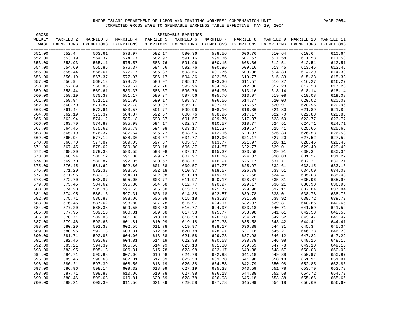| GROSS  |                          |            |            | ========== SPENDABLE EARNINGS |            |            |            |            |            |                   |
|--------|--------------------------|------------|------------|-------------------------------|------------|------------|------------|------------|------------|-------------------|
| WEEKLY | MARRIED 2                | MARRIED 3  | MARRIED 4  | MARRIED 5                     | MARRIED 6  | MARRIED 7  | MARRIED 8  | MARRIED 9  | MARRIED 10 | MARRIED 11        |
| WAGE   | EXEMPTIONS               | EXEMPTIONS | EXEMPTIONS | EXEMPTIONS                    | EXEMPTIONS | EXEMPTIONS | EXEMPTIONS | EXEMPTIONS | EXEMPTIONS | <b>EXEMPTIONS</b> |
|        | ======================== |            |            |                               |            |            |            |            |            |                   |
| 651.00 | 552.44                   | 563.61     | 573.97     | 582.17                        | 590.36     | 598.56     | 606.76     | 610.64     | 610.64     | 610.64            |
| 652.00 | 553.19                   | 564.37     | 574.77     | 582.97                        | 591.16     | 599.36     | 607.57     | 611.58     | 611.58     | 611.58            |
| 653.00 | 553.93                   | 565.11     | 575.57     | 583.76                        | 591.96     | 600.15     | 608.36     | 612.51     | 612.51     | 612.51            |
| 654.00 | 554.69                   | 565.86     | 576.37     | 584.56                        | 592.76     | 600.96     | 609.16     | 613.45     | 613.45     | 613.45            |
| 655.00 | 555.44                   | 566.61     | 577.17     | 585.37                        | 593.56     | 601.76     | 609.96     | 614.39     | 614.39     | 614.39            |
| 656.00 | 556.19                   | 567.37     | 577.97     | 586.17                        | 594.36     | 602.56     | 610.77     | 615.33     | 615.33     | 615.33            |
| 657.00 | 556.94                   | 568.12     | 578.78     | 586.97                        | 595.17     | 603.36     | 611.57     | 616.27     | 616.27     | 616.27            |
| 658.00 | 557.69                   | 568.86     | 579.57     | 587.76                        | 595.96     | 604.16     | 612.36     | 617.20     | 617.20     | 617.20            |
| 659.00 | 558.44                   | 569.61     | 580.37     | 588.57                        | 596.76     | 604.96     | 613.16     | 618.14     | 618.14     | 618.14            |
| 660.00 | 559.19                   | 570.37     | 581.17     | 589.37                        | 597.56     | 605.76     | 613.97     | 619.08     | 619.08     | 619.08            |
| 661.00 | 559.94                   | 571.12     | 581.98     | 590.17                        | 598.37     | 606.56     | 614.77     | 620.00     | 620.02     | 620.02            |
| 662.00 | 560.70                   | 571.87     | 582.78     | 590.97                        | 599.17     | 607.37     | 615.57     | 620.91     | 620.96     | 620.96            |
| 663.00 | 561.44                   | 572.61     | 583.57     | 591.77                        | 599.96     | 608.16     | 616.36     | 621.80     | 621.89     | 621.89            |
| 664.00 | 562.19                   | 573.37     | 584.37     | 592.57                        | 600.76     | 608.96     | 617.17     | 622.70     | 622.83     | 622.83            |
| 665.00 | 562.94                   | 574.12     | 585.18     | 593.37                        | 601.57     | 609.76     | 617.97     | 623.60     | 623.77     | 623.77            |
|        |                          |            |            | 594.17                        |            |            |            |            | 624.71     |                   |
| 666.00 | 563.70                   | 574.87     | 585.98     |                               | 602.37     | 610.57     | 618.77     | 624.51     |            | 624.71            |
| 667.00 | 564.45                   | 575.62     | 586.78     | 594.98                        | 603.17     | 611.37     | 619.57     | 625.41     | 625.65     | 625.65            |
| 668.00 | 565.19                   | 576.37     | 587.54     | 595.77                        | 603.96     | 612.16     | 620.37     | 626.30     | 626.58     | 626.58            |
| 669.00 | 565.94                   | 577.12     | 588.30     | 596.57                        | 604.77     | 612.96     | 621.17     | 627.20     | 627.52     | 627.52            |
| 670.00 | 566.70                   | 577.87     | 589.05     | 597.37                        | 605.57     | 613.77     | 621.97     | 628.11     | 628.46     | 628.46            |
| 671.00 | 567.45                   | 578.62     | 589.80     | 598.18                        | 606.37     | 614.57     | 622.77     | 629.01     | 629.40     | 629.40            |
| 672.00 | 568.20                   | 579.38     | 590.55     | 598.98                        | 607.17     | 615.37     | 623.58     | 629.91     | 630.34     | 630.34            |
| 673.00 | 568.94                   | 580.12     | 591.30     | 599.77                        | 607.97     | 616.16     | 624.37     | 630.80     | 631.27     | 631.27            |
| 674.00 | 569.70                   | 580.87     | 592.05     | 600.57                        | 608.77     | 616.97     | 625.17     | 631.71     | 632.21     | 632.21            |
| 675.00 | 570.45                   | 581.62     | 592.80     | 601.38                        | 609.57     | 617.77     | 625.97     | 632.61     | 633.15     | 633.15            |
| 676.00 | 571.20                   | 582.38     | 593.55     | 602.18                        | 610.37     | 618.57     | 626.78     | 633.51     | 634.09     | 634.09            |
| 677.00 | 571.95                   | 583.13     | 594.31     | 602.98                        | 611.18     | 619.37     | 627.58     | 634.41     | 635.03     | 635.03            |
| 678.00 | 572.70                   | 583.87     | 595.05     | 603.77                        | 611.97     | 620.17     | 628.37     | 635.31     | 635.96     | 635.96            |
| 679.00 | 573.45                   | 584.62     | 595.80     | 604.58                        | 612.77     | 620.97     | 629.17     | 636.21     | 636.90     | 636.90            |
| 680.00 | 574.20                   | 585.38     | 596.55     | 605.38                        | 613.57     | 621.77     | 629.98     | 637.11     | 637.84     | 637.84            |
| 681.00 | 574.95                   | 586.13     | 597.31     | 606.18                        | 614.38     | 622.57     | 630.78     | 638.01     | 638.78     | 638.78            |
| 682.00 | 575.71                   | 586.88     | 598.06     | 606.98                        | 615.18     | 623.38     | 631.58     | 638.92     | 639.72     | 639.72            |
| 683.00 | 576.45                   | 587.62     | 598.80     | 607.78                        | 615.97     | 624.17     | 632.37     | 639.81     | 640.65     | 640.65            |
| 684.00 | 577.20                   | 588.38     | 599.55     | 608.58                        | 616.77     | 624.97     | 633.18     | 640.71     | 641.59     | 641.59            |
| 685.00 | 577.95                   | 589.13     | 600.31     | 609.38                        | 617.58     | 625.77     | 633.98     | 641.61     | 642.53     | 642.53            |
| 686.00 | 578.71                   | 589.88     | 601.06     | 610.18                        | 618.38     | 626.58     | 634.78     | 642.52     | 643.47     | 643.47            |
| 687.00 | 579.46                   | 590.63     | 601.81     | 610.99                        | 619.18     | 627.38     | 635.58     | 643.42     | 644.41     | 644.41            |
| 688.00 | 580.20                   | 591.38     | 602.55     | 611.78                        | 619.97     | 628.17     | 636.38     | 644.31     | 645.34     | 645.34            |
| 689.00 | 580.95                   | 592.13     | 603.31     | 612.58                        | 620.78     | 628.97     | 637.18     | 645.21     | 646.28     | 646.28            |
| 690.00 | 581.71                   | 592.88     | 604.06     | 613.38                        | 621.58     | 629.78     | 637.98     | 646.12     | 647.22     | 647.22            |
| 691.00 | 582.46                   | 593.63     | 604.81     | 614.19                        | 622.38     | 630.58     | 638.78     | 646.98     | 648.16     | 648.16            |
| 692.00 | 583.21                   | 594.39     | 605.56     | 614.99                        | 623.18     | 631.38     | 639.59     | 647.78     | 649.10     | 649.10            |
| 693.00 | 583.95                   | 595.13     | 606.31     | 615.78                        | 623.98     | 632.17     | 640.38     | 648.57     | 650.03     | 650.03            |
| 694.00 | 584.71                   | 595.88     | 607.06     | 616.58                        | 624.78     | 632.98     | 641.18     | 649.38     | 650.97     | 650.97            |
| 695.00 | 585.46                   | 596.63     | 607.81     | 617.39                        | 625.58     | 633.78     | 641.98     | 650.18     | 651.91     | 651.91            |
| 696.00 | 586.21                   | 597.39     | 608.56     | 618.19                        | 626.38     | 634.58     | 642.79     | 650.98     | 652.85     | 652.85            |
| 697.00 | 586.96                   | 598.14     | 609.32     | 618.99                        | 627.19     | 635.38     | 643.59     | 651.78     | 653.79     | 653.79            |
| 698.00 | 587.71                   | 598.88     | 610.06     | 619.78                        | 627.98     | 636.18     | 644.38     | 652.58     | 654.72     | 654.72            |
| 699.00 | 588.46                   | 599.63     | 610.81     | 620.59                        | 628.78     | 636.98     | 645.18     | 653.38     | 655.66     | 655.66            |
| 700.00 | 589.21                   | 600.39     | 611.56     | 621.39                        | 629.58     | 637.78     | 645.99     | 654.18     | 656.60     | 656.60            |
|        |                          |            |            |                               |            |            |            |            |            |                   |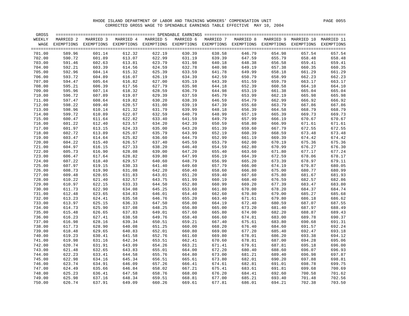| GROSS  |            |            |           | ================ SPENDABLE EARNINGS |           | ============== |                                  |           |            |            |
|--------|------------|------------|-----------|-------------------------------------|-----------|----------------|----------------------------------|-----------|------------|------------|
| WEEKLY | MARRIED 2  | MARRIED 3  | MARRIED 4 | MARRIED 5                           | MARRIED 6 | MARRIED 7      | MARRIED 8                        | MARRIED 9 | MARRIED 10 | MARRIED 11 |
| WAGE   | EXEMPTIONS | EXEMPTIONS |           | EXEMPTIONS EXEMPTIONS EXEMPTIONS    |           |                | EXEMPTIONS EXEMPTIONS EXEMPTIONS |           | EXEMPTIONS | EXEMPTIONS |
|        |            |            |           |                                     |           |                |                                  |           |            |            |
| 701.00 | 589.96     | 601.14     | 612.32    | 622.19                              | 630.39    | 638.58         | 646.79                           | 654.98    | 657.54     | 657.54     |
| 702.00 | 590.72     | 601.89     | 613.07    | 622.99                              | 631.19    | 639.39         | 647.59                           | 655.79    | 658.48     | 658.48     |
| 703.00 | 591.46     | 602.63     | 613.81    | 623.79                              | 631.98    | 640.18         | 648.38                           | 656.58    | 659.41     | 659.41     |
| 704.00 | 592.21     | 603.39     | 614.56    | 624.59                              | 632.78    | 640.98         | 649.19                           | 657.38    | 660.35     | 660.35     |
| 705.00 | 592.96     | 604.14     | 615.32    | 625.39                              | 633.59    | 641.78         | 649.99                           | 658.18    | 661.29     | 661.29     |
| 706.00 | 593.72     | 604.89     | 616.07    | 626.19                              | 634.39    | 642.59         | 650.79                           | 658.99    | 662.23     | 662.23     |
| 707.00 | 594.47     | 605.64     | 616.82    | 627.00                              | 635.19    | 643.39         | 651.59                           | 659.79    | 663.17     | 663.17     |
| 708.00 | 595.21     | 606.39     | 617.56    | 627.79                              | 635.98    | 644.18         | 652.39                           | 660.58    | 664.10     | 664.10     |
| 709.00 | 595.96     | 607.14     | 618.32    | 628.59                              | 636.79    | 644.98         | 653.19                           | 661.38    | 665.04     | 665.04     |
| 710.00 | 596.72     | 607.89     | 619.07    | 629.39                              | 637.59    | 645.79         | 653.99                           | 662.19    | 665.98     | 665.98     |
| 711.00 | 597.47     | 608.64     | 619.82    | 630.20                              | 638.39    | 646.59         | 654.79                           | 662.99    | 666.92     | 666.92     |
| 712.00 | 598.22     | 609.40     | 620.57    | 631.00                              | 639.19    | 647.39         | 655.60                           | 663.79    | 667.86     | 667.86     |
|        |            |            |           |                                     |           |                |                                  |           |            |            |
| 713.00 | 598.96     | 610.14     | 621.32    | 631.79                              | 639.99    | 648.18         | 656.39                           | 664.58    | 668.79     | 668.79     |
| 714.00 | 599.72     | 610.89     | 622.07    | 632.59                              | 640.79    | 648.99         | 657.19                           | 665.39    | 669.73     | 669.73     |
| 715.00 | 600.47     | 611.64     | 622.82    | 633.40                              | 641.59    | 649.79         | 657.99                           | 666.19    | 670.67     | 670.67     |
| 716.00 | 601.22     | 612.40     | 623.57    | 634.20                              | 642.39    | 650.59         | 658.80                           | 666.99    | 671.61     | 671.61     |
| 717.00 | 601.97     | 613.15     | 624.33    | 635.00                              | 643.20    | 651.39         | 659.60                           | 667.79    | 672.55     | 672.55     |
| 718.00 | 602.72     | 613.89     | 625.07    | 635.79                              | 643.99    | 652.19         | 660.39                           | 668.59    | 673.48     | 673.48     |
| 719.00 | 603.47     | 614.64     | 625.82    | 636.60                              | 644.79    | 652.99         | 661.19                           | 669.39    | 674.42     | 674.42     |
| 720.00 | 604.22     | 615.40     | 626.57    | 637.40                              | 645.59    | 653.79         | 662.00                           | 670.19    | 675.36     | 675.36     |
| 721.00 | 604.97     | 616.15     | 627.33    | 638.20                              | 646.40    | 654.59         | 662.80                           | 670.99    | 676.27     | 676.30     |
| 722.00 | 605.73     | 616.90     | 628.08    | 639.00                              | 647.20    | 655.40         | 663.60                           | 671.80    | 677.17     | 677.24     |
| 723.00 | 606.47     | 617.64     | 628.82    | 639.80                              | 647.99    | 656.19         | 664.39                           | 672.59    | 678.06     | 678.17     |
| 724.00 | 607.22     | 618.40     | 629.57    | 640.60                              | 648.79    | 656.99         | 665.20                           | 673.39    | 678.97     | 679.11     |
| 725.00 | 607.97     | 619.15     | 630.33    | 641.40                              | 649.60    | 657.79         | 666.00                           | 674.19    | 679.87     | 680.05     |
| 726.00 | 608.73     | 619.90     | 631.08    | 642.20                              | 650.40    | 658.60         | 666.80                           | 675.00    | 680.77     | 680.99     |
| 727.00 | 609.48     | 620.65     | 631.83    | 643.01                              | 651.20    | 659.40         | 667.60                           | 675.80    | 681.67     | 681.93     |
| 728.00 | 610.22     | 621.40     | 632.57    | 643.75                              | 651.99    | 660.19         | 668.40                           | 676.59    | 682.57     | 682.86     |
| 729.00 | 610.97     | 622.15     | 633.33    | 644.50                              | 652.80    | 660.99         | 669.20                           | 677.39    | 683.47     | 683.80     |
| 730.00 | 611.73     | 622.90     | 634.08    | 645.25                              | 653.60    | 661.80         | 670.00                           | 678.20    | 684.37     | 684.74     |
| 731.00 | 612.48     | 623.65     | 634.83    | 646.01                              | 654.40    | 662.60         | 670.80                           | 679.00    | 685.27     | 685.68     |
| 732.00 | 613.23     | 624.41     | 635.58    | 646.76                              | 655.20    | 663.40         | 671.61                           | 679.80    | 686.18     | 686.62     |
| 733.00 | 613.97     | 625.15     | 636.33    | 647.50                              | 656.00    | 664.19         | 672.40                           | 680.59    | 687.07     | 687.55     |
| 734.00 | 614.73     | 625.90     | 637.08    | 648.25                              | 656.80    | 665.00         | 673.20                           | 681.40    | 687.97     | 688.49     |
| 735.00 | 615.48     | 626.65     | 637.83    | 649.01                              | 657.60    | 665.80         | 674.00                           | 682.20    | 688.87     | 689.43     |
| 736.00 | 616.23     | 627.41     | 638.58    | 649.76                              | 658.40    | 666.60         | 674.81                           | 683.00    | 689.78     | 690.37     |
| 737.00 | 616.98     | 628.16     | 639.34    | 650.51                              | 659.21    | 667.40         | 675.61                           | 683.80    | 690.68     | 691.31     |
| 738.00 | 617.73     | 628.90     | 640.08    | 651.25                              | 660.00    | 668.20         | 676.40                           | 684.60    | 691.57     | 692.24     |
| 739.00 | 618.48     | 629.65     | 640.83    | 652.01                              | 660.80    | 669.00         | 677.20                           | 685.40    | 692.47     | 693.18     |
| 740.00 | 619.23     | 630.41     | 641.58    | 652.76                              | 661.60    | 669.80         | 678.01                           | 686.20    | 693.38     | 694.12     |
| 741.00 | 619.98     | 631.16     | 642.34    | 653.51                              | 662.41    | 670.60         | 678.81                           | 687.00    | 694.28     | 695.06     |
| 742.00 | 620.74     | 631.91     | 643.09    | 654.26                              | 663.21    | 671.41         | 679.61                           | 687.81    | 695.18     | 696.00     |
| 743.00 | 621.48     | 632.65     | 643.83    | 655.01                              | 664.00    | 672.20         | 680.40                           | 688.60    | 696.07     | 696.93     |
| 744.00 | 622.23     | 633.41     | 644.58    | 655.76                              | 664.80    | 673.00         | 681.21                           | 689.40    | 696.98     | 697.87     |
| 745.00 | 622.98     | 634.16     | 645.34    | 656.51                              | 665.61    | 673.80         | 682.01                           | 690.20    | 697.88     | 698.81     |
| 746.00 | 623.74     | 634.91     | 646.09    | 657.26                              | 666.41    | 674.61         | 682.81                           | 691.01    | 698.78     | 699.75     |
| 747.00 | 624.49     | 635.66     | 646.84    | 658.02                              | 667.21    | 675.41         | 683.61                           | 691.81    | 699.68     | 700.69     |
| 748.00 | 625.23     | 636.41     | 647.58    | 658.76                              | 668.00    | 676.20         | 684.41                           | 692.60    | 700.58     | 701.62     |
| 749.00 | 625.98     | 637.16     | 648.34    | 659.51                              | 668.81    | 677.00         | 685.21                           | 693.40    | 701.48     | 702.56     |
|        | 626.74     |            |           |                                     |           |                |                                  |           |            |            |
| 750.00 |            | 637.91     | 649.09    | 660.26                              | 669.61    | 677.81         | 686.01                           | 694.21    | 702.38     | 703.50     |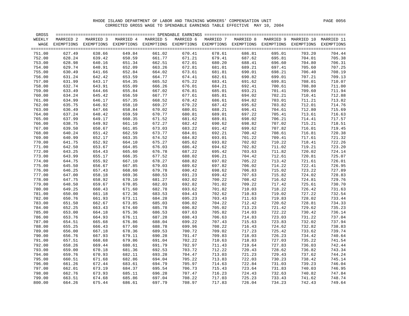| GROSS  |            |           |           |           | ============================== SPENDABLE EARNINGS                            | ----------------- |           |           |            |            |
|--------|------------|-----------|-----------|-----------|------------------------------------------------------------------------------|-------------------|-----------|-----------|------------|------------|
| WEEKLY | MARRIED 2  | MARRIED 3 | MARRIED 4 | MARRIED 5 | MARRIED 6                                                                    | MARRIED 7         | MARRIED 8 | MARRIED 9 | MARRIED 10 | MARRIED 11 |
| WAGE   | EXEMPTIONS |           |           |           | EXEMPTIONS EXEMPTIONS EXEMPTIONS EXEMPTIONS EXEMPTIONS EXEMPTIONS EXEMPTIONS |                   |           |           | EXEMPTIONS | EXEMPTIONS |
|        |            |           |           |           |                                                                              |                   |           |           |            |            |
| 751.00 | 627.49     | 638.66    | 649.84    | 661.02    | 670.41                                                                       | 678.61            | 686.81    | 695.01    | 703.20     | 704.44     |
| 752.00 | 628.24     | 639.42    | 650.59    | 661.77    | 671.21                                                                       | 679.41            | 687.62    | 695.81    | 704.01     | 705.38     |
| 753.00 | 628.98     | 640.16    | 651.34    | 662.51    | 672.01                                                                       | 680.20            | 688.41    | 696.60    | 704.80     | 706.31     |
| 754.00 | 629.74     | 640.91    | 652.09    | 663.26    | 672.81                                                                       | 681.01            | 689.21    | 697.41    | 705.60     | 707.25     |
| 755.00 | 630.49     | 641.66    | 652.84    | 664.02    | 673.61                                                                       | 681.81            | 690.01    | 698.21    | 706.40     | 708.19     |
| 756.00 | 631.24     | 642.42    | 653.59    | 664.77    | 674.41                                                                       | 682.61            | 690.82    | 699.01    | 707.21     | 709.13     |
| 757.00 | 631.99     | 643.17    | 654.35    | 665.52    | 675.22                                                                       | 683.41            | 691.62    | 699.81    | 708.01     | 710.07     |
| 758.00 | 632.74     | 643.91    | 655.09    | 666.26    | 676.01                                                                       | 684.21            | 692.41    | 700.61    | 708.80     | 711.00     |
| 759.00 | 633.49     | 644.66    | 655.84    | 667.02    | 676.81                                                                       | 685.01            | 693.21    | 701.41    | 709.60     | 711.94     |
| 760.00 | 634.24     | 645.42    | 656.59    | 667.77    | 677.61                                                                       | 685.81            | 694.02    | 702.21    | 710.41     | 712.88     |
| 761.00 | 634.99     | 646.17    | 657.35    | 668.52    | 678.42                                                                       | 686.61            | 694.82    | 703.01    | 711.21     | 713.82     |
| 762.00 | 635.75     | 646.92    | 658.10    | 669.27    | 679.22                                                                       | 687.42            | 695.62    | 703.82    | 712.01     | 714.76     |
|        |            |           |           |           |                                                                              |                   |           |           |            |            |
| 763.00 | 636.49     | 647.66    | 658.84    | 670.02    | 680.01                                                                       | 688.21            | 696.41    | 704.61    | 712.80     | 715.69     |
| 764.00 | 637.24     | 648.42    | 659.59    | 670.77    | 680.81                                                                       | 689.01            | 697.22    | 705.41    | 713.61     | 716.63     |
| 765.00 | 637.99     | 649.17    | 660.35    | 671.52    | 681.62                                                                       | 689.81            | 698.02    | 706.21    | 714.41     | 717.57     |
| 766.00 | 638.75     | 649.92    | 661.10    | 672.27    | 682.42                                                                       | 690.62            | 698.82    | 707.02    | 715.21     | 718.51     |
| 767.00 | 639.50     | 650.67    | 661.85    | 673.03    | 683.22                                                                       | 691.42            | 699.62    | 707.82    | 716.01     | 719.45     |
| 768.00 | 640.24     | 651.42    | 662.59    | 673.77    | 684.01                                                                       | 692.21            | 700.42    | 708.61    | 716.81     | 720.38     |
| 769.00 | 640.99     | 652.17    | 663.35    | 674.52    | 684.82                                                                       | 693.01            | 701.22    | 709.41    | 717.61     | 721.32     |
| 770.00 | 641.75     | 652.92    | 664.10    | 675.27    | 685.62                                                                       | 693.82            | 702.02    | 710.22    | 718.41     | 722.26     |
| 771.00 | 642.50     | 653.67    | 664.85    | 676.03    | 686.42                                                                       | 694.62            | 702.82    | 711.02    | 719.21     | 723.20     |
| 772.00 | 643.25     | 654.43    | 665.60    | 676.78    | 687.22                                                                       | 695.42            | 703.63    | 711.82    | 720.02     | 724.14     |
| 773.00 | 643.99     | 655.17    | 666.35    | 677.52    | 688.02                                                                       | 696.21            | 704.42    | 712.61    | 720.81     | 725.07     |
| 774.00 | 644.75     | 655.92    | 667.10    | 678.27    | 688.82                                                                       | 697.02            | 705.22    | 713.42    | 721.61     | 726.01     |
| 775.00 | 645.50     | 656.67    | 667.85    | 679.03    | 689.62                                                                       | 697.82            | 706.02    | 714.22    | 722.41     | 726.95     |
| 776.00 | 646.25     | 657.43    | 668.60    | 679.78    | 690.42                                                                       | 698.62            | 706.83    | 715.02    | 723.22     | 727.89     |
| 777.00 | 647.00     | 658.18    | 669.36    | 680.53    | 691.23                                                                       | 699.42            | 707.63    | 715.82    | 724.02     | 728.83     |
| 778.00 | 647.75     | 658.92    | 670.10    | 681.27    | 692.02                                                                       | 700.22            | 708.42    | 716.62    | 724.81     | 729.76     |
| 779.00 | 648.50     | 659.67    | 670.85    | 682.03    | 692.82                                                                       | 701.02            | 709.22    | 717.42    | 725.61     | 730.70     |
| 780.00 | 649.25     | 660.43    | 671.60    | 682.78    | 693.62                                                                       | 701.82            | 710.03    | 718.22    | 726.42     | 731.63     |
| 781.00 | 650.00     | 661.18    | 672.36    | 683.53    | 694.43                                                                       | 702.62            | 710.83    | 719.02    | 727.22     | 732.54     |
| 782.00 | 650.76     | 661.93    | 673.11    | 684.28    | 695.23                                                                       | 703.43            | 711.63    | 719.83    | 728.02     | 733.44     |
| 783.00 | 651.50     | 662.67    | 673.85    | 685.03    | 696.02                                                                       | 704.22            | 712.42    | 720.62    | 728.81     | 734.33     |
| 784.00 | 652.25     | 663.43    | 674.60    | 685.78    | 696.82                                                                       | 705.02            | 713.23    | 721.42    | 729.62     | 735.23     |
| 785.00 | 653.00     | 664.18    | 675.36    | 686.53    | 697.63                                                                       | 705.82            | 714.03    | 722.22    | 730.42     | 736.14     |
| 786.00 | 653.76     | 664.93    | 676.11    | 687.28    | 698.43                                                                       | 706.63            | 714.83    | 723.03    | 731.22     | 737.04     |
| 787.00 | 654.51     | 665.68    | 676.86    | 688.04    | 699.22                                                                       | 707.43            | 715.63    | 723.83    | 732.02     | 737.94     |
| 788.00 | 655.25     | 666.43    | 677.60    | 688.78    | 699.96                                                                       | 708.22            | 716.43    | 724.62    | 732.82     | 738.83     |
| 789.00 | 656.00     | 667.18    | 678.36    | 689.53    | 700.72                                                                       | 709.02            | 717.23    | 725.42    | 733.62     | 739.74     |
| 790.00 | 656.76     | 667.93    | 679.11    | 690.28    | 701.47                                                                       | 709.83            | 718.03    | 726.23    | 734.42     | 740.64     |
| 791.00 | 657.51     | 668.68    | 679.86    | 691.04    | 702.22                                                                       | 710.63            | 718.83    | 727.03    | 735.22     | 741.54     |
| 792.00 | 658.26     | 669.44    | 680.61    | 691.79    | 702.97                                                                       | 711.43            | 719.64    | 727.83    | 736.03     | 742.44     |
| 793.00 | 659.00     | 670.18    | 681.36    | 692.53    | 703.72                                                                       | 712.22            | 720.43    | 728.62    | 736.82     | 743.34     |
| 794.00 | 659.76     | 670.93    | 682.11    | 693.28    | 704.47                                                                       | 713.03            | 721.23    | 729.43    | 737.62     | 744.24     |
| 795.00 | 660.51     | 671.68    | 682.86    | 694.04    | 705.22                                                                       | 713.83            | 722.03    | 730.23    | 738.42     | 745.14     |
| 796.00 | 661.26     | 672.44    | 683.61    | 694.79    | 705.97                                                                       | 714.63            | 722.84    | 731.03    | 739.23     | 746.04     |
| 797.00 | 662.01     | 673.19    | 684.37    | 695.54    | 706.73                                                                       | 715.43            | 723.64    | 731.83    | 740.03     | 746.95     |
| 798.00 | 662.76     | 673.93    | 685.11    | 696.28    | 707.47                                                                       | 716.23            | 724.43    | 732.63    | 740.82     | 747.84     |
|        |            |           |           |           |                                                                              |                   |           |           |            |            |
| 799.00 | 663.51     | 674.68    | 685.86    | 697.04    | 708.22                                                                       | 717.03            | 725.23    | 733.43    | 741.62     | 748.74     |
| 800.00 | 664.26     | 675.44    | 686.61    | 697.79    | 708.97                                                                       | 717.83            | 726.04    | 734.23    | 742.43     | 749.64     |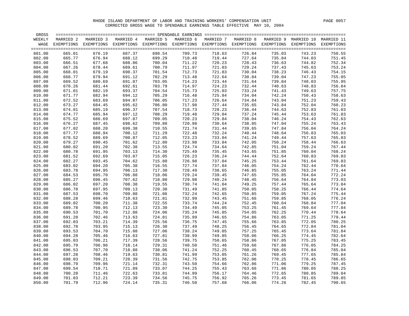| GROSS  |           |                                                                                                                    |           |           |                  |                  |                  |        |                                 |        |
|--------|-----------|--------------------------------------------------------------------------------------------------------------------|-----------|-----------|------------------|------------------|------------------|--------|---------------------------------|--------|
| WEEKLY | MARRIED 2 | MARRIED 3                                                                                                          | MARRIED 4 | MARRIED 5 | MARRIED 6        | MARRIED 7        | MARRIED 8        |        | MARRIED 9 MARRIED 10 MARRIED 11 |        |
|        |           | WAGE EXEMPTIONS EXEMPTIONS EXEMPTIONS EXEMPTIONS EXEMPTIONS EXEMPTIONS EXEMPTIONS EXEMPTIONS EXEMPTIONS EXEMPTIONS |           |           |                  |                  |                  |        |                                 |        |
|        |           |                                                                                                                    |           |           |                  |                  |                  |        |                                 |        |
| 801.00 | 665.01    | 676.19                                                                                                             | 687.37    | 698.54    | 709.73           | 718.63           | 726.84           | 735.03 | 743.23                          | 750.55 |
| 802.00 | 665.77    | 676.94                                                                                                             | 688.12    | 699.29    | 710.48           | 719.44           | 727.64           | 735.84 | 744.03                          | 751.45 |
| 803.00 | 666.51    | 677.68                                                                                                             | 688.86    | 700.04    | 711.22           | 720.23           | 728.43           | 736.63 | 744.82                          | 752.34 |
| 804.00 | 667.26    | 678.44                                                                                                             | 689.61    | 700.79    | 711.97           | 721.03           | 729.24           | 737.43 | 745.63                          | 753.24 |
| 805.00 | 668.01    | 679.19                                                                                                             | 690.37    | 701.54    | 712.73           | 721.83           | 730.04           | 738.23 | 746.43                          | 754.15 |
| 806.00 | 668.77    | 679.94                                                                                                             | 691.12    | 702.29    | 713.48           | 722.64           | 730.84           | 739.04 | 747.23                          | 755.05 |
| 807.00 | 669.52    | 680.69                                                                                                             | 691.87    | 703.05    | 714.23           | 723.44           | 731.64           | 739.84 | 748.03                          | 755.95 |
| 808.00 | 670.26    | 681.44                                                                                                             | 692.61    | 703.79    | 714.97           | 724.23           | 732.44           | 740.63 | 748.83                          | 756.84 |
| 809.00 | 671.01    | 682.19                                                                                                             | 693.37    | 704.54    | 715.73           | 725.03           | 733.24           | 741.43 | 749.63                          | 757.75 |
| 810.00 | 671.77    | 682.94                                                                                                             | 694.12    | 705.29    | 716.48           | 725.84           | 734.04           | 742.24 | 750.43                          | 758.63 |
| 811.00 | 672.52    | 683.69                                                                                                             | 694.87    | 706.05    | 717.23           | 726.64           | 734.84           | 743.04 | 751.23                          | 759.43 |
| 812.00 | 673.27    | 684.45                                                                                                             | 695.62    | 706.80    | 717.98           | 727.44           | 735.65           | 743.84 | 752.04                          | 760.23 |
| 813.00 | 674.01    | 685.19                                                                                                             | 696.37    | 707.54    | 718.73           | 728.23           | 736.44           | 744.63 | 752.83                          | 761.03 |
| 814.00 | 674.77    | 685.94                                                                                                             | 697.12    | 708.29    | 719.48           | 729.04           | 737.24           | 745.44 | 753.63                          | 761.83 |
| 815.00 | 675.52    | 686.69                                                                                                             | 697.87    | 709.05    | 720.23           | 729.84           | 738.04           | 746.24 | 754.43                          | 762.63 |
| 816.00 | 676.27    | 687.45                                                                                                             | 698.62    | 709.80    | 720.98           | 730.64           | 738.85           | 747.04 | 755.24                          | 763.43 |
| 817.00 | 677.02    | 688.20                                                                                                             | 699.38    | 710.55    | 721.74           | 731.44           | 739.65           | 747.84 | 756.04                          | 764.24 |
| 818.00 | 677.77    | 688.94                                                                                                             | 700.12    | 711.29    | 722.48           | 732.24           | 740.44           | 748.64 | 756.83                          | 765.03 |
| 819.00 | 678.52    | 689.69                                                                                                             | 700.87    | 712.05    | 723.23           | 733.04           | 741.24           | 749.44 | 757.63                          | 765.83 |
| 820.00 | 679.27    | 690.45                                                                                                             | 701.62    | 712.80    | 723.98           | 733.84           | 742.05           | 750.24 | 758.44                          | 766.63 |
| 821.00 | 680.02    | 691.20                                                                                                             | 702.38    | 713.55    | 724.74           | 734.64           | 742.85           | 751.04 | 759.24                          | 767.44 |
| 822.00 | 680.78    | 691.95                                                                                                             | 703.13    | 714.30    | 725.49           | 735.45           | 743.65           | 751.85 | 760.04                          | 768.24 |
| 823.00 | 681.52    | 692.69                                                                                                             | 703.87    | 715.05    | 726.23           | 736.24           | 744.44           | 752.64 | 760.83                          | 769.03 |
| 824.00 | 682.27    | 693.45                                                                                                             | 704.62    | 715.80    | 726.98           | 737.04           | 745.25           | 753.44 | 761.64                          | 769.83 |
| 825.00 | 683.02    | 694.20                                                                                                             | 705.38    | 716.55    | 727.74           | 737.84           | 746.05           | 754.24 | 762.44                          | 770.64 |
| 826.00 | 683.78    | 694.95                                                                                                             | 706.13    | 717.30    | 728.49           | 738.65           | 746.85           | 755.05 | 763.24                          | 771.44 |
| 827.00 | 684.53    | 695.70                                                                                                             | 706.88    | 718.06    | 729.24           | 739.45           | 747.65           | 755.85 | 764.04                          | 772.24 |
| 828.00 | 685.27    | 696.45                                                                                                             | 707.62    | 718.80    | 729.98           | 740.24           | 748.45           | 756.64 | 764.84                          | 773.03 |
| 829.00 | 686.02    | 697.20                                                                                                             | 708.38    | 719.55    | 730.74           | 741.04           | 749.25           | 757.44 | 765.64                          | 773.84 |
| 830.00 | 686.78    | 697.95                                                                                                             | 709.13    | 720.30    | 731.49           | 741.85           | 750.05           | 758.25 | 766.44                          | 774.64 |
| 831.00 | 687.53    | 698.70                                                                                                             | 709.88    | 721.06    | 732.24           | 742.65           | 750.85           | 759.05 | 767.24                          | 775.44 |
|        |           |                                                                                                                    | 710.63    | 721.81    | 732.99           | 743.45           |                  | 759.85 | 768.05                          | 776.24 |
| 832.00 | 688.28    | 699.46                                                                                                             | 711.38    | 722.55    |                  |                  | 751.66<br>752.45 |        |                                 |        |
| 833.00 | 689.02    | 700.20                                                                                                             |           |           | 733.74           | 744.24           |                  | 760.64 | 768.84                          | 777.04 |
| 834.00 | 689.78    | 700.95                                                                                                             | 712.13    | 723.30    | 734.49<br>735.24 | 745.05<br>745.85 | 753.25<br>754.05 | 761.45 | 769.64                          | 777.84 |
| 835.00 | 690.53    | 701.70                                                                                                             | 712.88    | 724.06    |                  |                  |                  | 762.25 | 770.44                          | 778.64 |
| 836.00 | 691.28    | 702.46                                                                                                             | 713.63    | 724.81    | 735.99           | 746.65           | 754.86           | 763.05 | 771.25                          | 779.44 |
| 837.00 | 692.03    | 703.21                                                                                                             | 714.39    | 725.56    | 736.75           | 747.45           | 755.66           | 763.85 | 772.05                          | 780.25 |
| 838.00 | 692.78    | 703.95                                                                                                             | 715.13    | 726.30    | 737.49           | 748.25           | 756.45           | 764.65 | 772.84                          | 781.04 |
| 839.00 | 693.53    | 704.70                                                                                                             | 715.88    | 727.06    | 738.24           | 749.05           | 757.25           | 765.45 | 773.64                          | 781.84 |
| 840.00 | 694.28    | 705.46                                                                                                             | 716.63    | 727.81    | 738.99           | 749.85           | 758.06           | 766.25 | 774.45                          | 782.64 |
| 841.00 | 695.03    | 706.21                                                                                                             | 717.39    | 728.56    | 739.75           | 750.65           | 758.86           | 767.05 | 775.25                          | 783.45 |
| 842.00 | 695.79    | 706.96                                                                                                             | 718.14    | 729.31    | 740.50           | 751.46           | 759.66           | 767.86 | 776.05                          | 784.25 |
| 843.00 | 696.53    | 707.70                                                                                                             | 718.88    | 730.06    | 741.24           | 752.25           | 760.45           | 768.65 | 776.84                          | 785.04 |
| 844.00 | 697.28    | 708.46                                                                                                             | 719.63    | 730.81    | 741.99           | 753.05           | 761.26           | 769.45 | 777.65                          | 785.84 |
| 845.00 | 698.03    | 709.21                                                                                                             | 720.39    | 731.56    | 742.75           | 753.85           | 762.06           | 770.25 | 778.45                          | 786.65 |
| 846.00 | 698.79    | 709.96                                                                                                             | 721.14    | 732.31    | 743.50           | 754.66           | 762.86           | 771.06 | 779.25                          | 787.45 |
| 847.00 | 699.54    | 710.71                                                                                                             | 721.89    | 733.07    | 744.25           | 755.43           | 763.66           | 771.86 | 780.05                          | 788.25 |
| 848.00 | 700.28    | 711.46                                                                                                             | 722.63    | 733.81    | 744.99           | 756.17           | 764.46           | 772.65 | 780.85                          | 789.04 |
| 849.00 | 701.03    | 712.21                                                                                                             | 723.39    | 734.56    | 745.75           | 756.92           | 765.26           | 773.45 | 781.65                          | 789.85 |
| 850.00 | 701.79    | 712.96                                                                                                             | 724.14    | 735.31    | 746.50           | 757.68           | 766.06           | 774.26 | 782.45                          | 790.65 |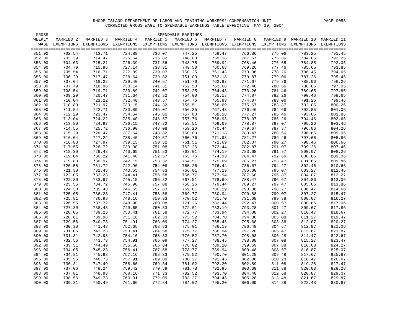| GROSS  |           |                                                                                                                    |           |           |           |           |           |        |                                 |        |
|--------|-----------|--------------------------------------------------------------------------------------------------------------------|-----------|-----------|-----------|-----------|-----------|--------|---------------------------------|--------|
| WEEKLY | MARRIED 2 | MARRIED 3                                                                                                          | MARRIED 4 | MARRIED 5 | MARRIED 6 | MARRIED 7 | MARRIED 8 |        | MARRIED 9 MARRIED 10 MARRIED 11 |        |
|        |           | WAGE EXEMPTIONS EXEMPTIONS EXEMPTIONS EXEMPTIONS EXEMPTIONS EXEMPTIONS EXEMPTIONS EXEMPTIONS EXEMPTIONS EXEMPTIONS |           |           |           |           |           |        |                                 |        |
|        |           |                                                                                                                    |           |           |           |           |           |        |                                 |        |
| 851.00 | 702.54    | 713.71                                                                                                             | 724.89    | 736.07    | 747.25    | 758.43    | 766.86    | 775.06 | 783.25                          | 791.45 |
| 852.00 | 703.29    | 714.47                                                                                                             | 725.64    | 736.82    | 748.00    | 759.18    | 767.67    | 775.86 | 784.06                          | 792.25 |
| 853.00 | 704.03    | 715.21                                                                                                             | 726.39    | 737.56    | 748.75    | 759.92    | 768.46    | 776.65 | 784.85                          | 793.05 |
| 854.00 | 704.79    | 715.96                                                                                                             | 727.14    | 738.31    | 749.50    | 760.68    | 769.26    | 777.46 | 785.65                          | 793.85 |
| 855.00 | 705.54    | 716.71                                                                                                             | 727.89    | 739.07    | 750.25    | 761.43    | 770.06    | 778.26 | 786.45                          | 794.65 |
| 856.00 | 706.29    | 717.47                                                                                                             | 728.64    | 739.82    | 751.00    | 762.18    | 770.87    | 779.06 | 787.26                          | 795.45 |
| 857.00 | 707.04    | 718.22                                                                                                             | 729.40    | 740.57    | 751.76    | 762.93    | 771.67    | 779.86 | 788.06                          | 796.26 |
| 858.00 | 707.79    | 718.96                                                                                                             | 730.14    | 741.31    | 752.50    | 763.68    | 772.46    | 780.66 | 788.85                          | 797.05 |
| 859.00 | 708.54    | 719.71                                                                                                             | 730.89    | 742.07    | 753.25    | 764.43    | 773.26    | 781.46 | 789.65                          | 797.85 |
| 860.00 | 709.29    | 720.47                                                                                                             | 731.64    | 742.82    | 754.00    | 765.18    | 774.07    | 782.26 | 790.46                          | 798.65 |
| 861.00 | 710.04    | 721.22                                                                                                             | 732.40    | 743.57    | 754.76    | 765.93    | 774.87    | 783.06 | 791.26                          | 799.46 |
| 862.00 | 710.80    | 721.97                                                                                                             | 733.15    | 744.32    | 755.51    | 766.69    | 775.67    | 783.87 | 792.06                          | 800.26 |
| 863.00 | 711.54    | 722.71                                                                                                             | 733.89    | 745.07    | 756.25    | 767.43    | 776.46    | 784.66 | 792.85                          | 801.05 |
| 864.00 | 712.29    | 723.47                                                                                                             | 734.64    | 745.82    | 757.00    | 768.18    | 777.27    | 785.46 | 793.66                          | 801.85 |
| 865.00 | 713.04    | 724.22                                                                                                             | 735.40    | 746.57    | 757.76    | 768.93    | 778.07    | 786.26 | 794.46                          | 802.66 |
| 866.00 | 713.80    | 724.97                                                                                                             | 736.15    | 747.32    | 758.51    | 769.69    | 778.87    | 787.07 | 795.26                          | 803.46 |
| 867.00 | 714.55    | 725.72                                                                                                             | 736.90    | 748.08    | 759.26    | 770.44    | 779.67    | 787.87 | 796.06                          | 804.26 |
| 868.00 | 715.29    | 726.47                                                                                                             | 737.64    | 748.82    | 760.00    | 771.18    | 780.47    | 788.66 | 796.86                          | 805.05 |
| 869.00 | 716.04    | 727.22                                                                                                             | 738.40    | 749.57    | 760.76    | 771.93    | 781.27    | 789.46 | 797.66                          | 805.86 |
| 870.00 | 716.80    | 727.97                                                                                                             | 739.15    | 750.32    | 761.51    | 772.69    | 782.07    | 790.27 | 798.46                          | 806.66 |
| 871.00 | 717.55    | 728.72                                                                                                             | 739.90    | 751.08    | 762.26    | 773.44    | 782.87    | 791.07 | 799.26                          | 807.46 |
| 872.00 | 718.30    | 729.48                                                                                                             | 740.65    | 751.83    | 763.01    | 774.19    | 783.68    | 791.87 | 800.07                          | 808.26 |
| 873.00 | 719.04    | 730.22                                                                                                             | 741.40    | 752.57    | 763.76    | 774.93    | 784.47    | 792.66 | 800.86                          | 809.06 |
| 874.00 | 719.80    | 730.97                                                                                                             | 742.15    | 753.32    | 764.51    | 775.69    | 785.27    | 793.47 | 801.66                          | 809.86 |
|        |           |                                                                                                                    |           | 754.08    |           |           |           |        |                                 |        |
| 875.00 | 720.55    | 731.72                                                                                                             | 742.90    |           | 765.26    | 776.44    | 786.07    | 794.27 | 802.46                          | 810.66 |
| 876.00 | 721.30    | 732.48                                                                                                             | 743.65    | 754.83    | 766.01    | 777.19    | 786.88    | 795.07 | 803.27                          | 811.46 |
| 877.00 | 722.05    | 733.23                                                                                                             | 744.41    | 755.58    | 766.77    | 777.94    | 787.68    | 795.87 | 804.07                          | 812.27 |
| 878.00 | 722.80    | 733.97                                                                                                             | 745.15    | 756.32    | 767.51    | 778.69    | 788.47    | 796.67 | 804.86                          | 813.06 |
| 879.00 | 723.55    | 734.72                                                                                                             | 745.90    | 757.08    | 768.26    | 779.44    | 789.27    | 797.47 | 805.66                          | 813.86 |
| 880.00 | 724.30    | 735.48                                                                                                             | 746.65    | 757.83    | 769.01    | 780.19    | 790.08    | 798.27 | 806.47                          | 814.66 |
| 881.00 | 725.05    | 736.23                                                                                                             | 747.41    | 758.58    | 769.77    | 780.94    | 790.88    | 799.07 | 807.27                          | 815.47 |
| 882.00 | 725.81    | 736.98                                                                                                             | 748.16    | 759.33    | 770.52    | 781.70    | 791.68    | 799.88 | 808.07                          | 816.27 |
| 883.00 | 726.55    | 737.72                                                                                                             | 748.90    | 760.08    | 771.26    | 782.44    | 792.47    | 800.67 | 808.86                          | 817.06 |
| 884.00 | 727.30    | 738.48                                                                                                             | 749.65    | 760.83    | 772.01    | 783.19    | 793.28    | 801.47 | 809.67                          | 817.86 |
| 885.00 | 728.05    | 739.23                                                                                                             | 750.41    | 761.58    | 772.77    | 783.94    | 794.08    | 802.27 | 810.47                          | 818.67 |
| 886.00 | 728.81    | 739.98                                                                                                             | 751.16    | 762.33    | 773.52    | 784.70    | 794.88    | 803.08 | 811.27                          | 819.47 |
| 887.00 | 729.56    | 740.73                                                                                                             | 751.91    | 763.09    | 774.27    | 785.45    | 795.68    | 803.88 | 812.07                          | 820.27 |
| 888.00 | 730.30    | 741.48                                                                                                             | 752.65    | 763.83    | 775.01    | 786.19    | 796.48    | 804.67 | 812.87                          | 821.06 |
| 889.00 | 731.05    | 742.23                                                                                                             | 753.41    | 764.58    | 775.77    | 786.94    | 797.28    | 805.47 | 813.67                          | 821.87 |
| 890.00 | 731.81    | 742.98                                                                                                             | 754.16    | 765.33    | 776.52    | 787.70    | 798.08    | 806.28 | 814.47                          | 822.67 |
| 891.00 | 732.56    | 743.73                                                                                                             | 754.91    | 766.09    | 777.27    | 788.45    | 798.88    | 807.08 | 815.27                          | 823.47 |
| 892.00 | 733.31    | 744.49                                                                                                             | 755.66    | 766.84    | 778.02    | 789.20    | 799.69    | 807.88 | 816.08                          | 824.27 |
| 893.00 | 734.05    | 745.23                                                                                                             | 756.41    | 767.58    | 778.77    | 789.94    | 800.48    | 808.67 | 816.87                          | 825.07 |
| 894.00 | 734.81    | 745.98                                                                                                             | 757.16    | 768.33    | 779.52    | 790.70    | 801.28    | 809.48 | 817.67                          | 825.87 |
| 895.00 | 735.56    | 746.73                                                                                                             | 757.91    | 769.09    | 780.27    | 791.45    | 802.08    | 810.28 | 818.47                          | 826.67 |
| 896.00 | 736.31    | 747.49                                                                                                             | 758.66    | 769.84    | 781.02    | 792.20    | 802.89    | 811.08 | 819.28                          | 827.47 |
| 897.00 | 737.06    | 748.24                                                                                                             | 759.42    | 770.59    | 781.78    | 792.95    | 803.69    | 811.88 | 820.08                          | 828.28 |
| 898.00 | 737.81    | 748.98                                                                                                             | 760.16    | 771.33    | 782.52    | 793.70    | 804.48    | 812.68 | 820.87                          | 829.07 |
| 899.00 | 738.56    | 749.73                                                                                                             | 760.91    | 772.09    | 783.27    | 794.45    | 805.28    | 813.48 | 821.67                          | 829.87 |
| 900.00 | 739.31    | 750.49                                                                                                             | 761.66    | 772.84    | 784.02    | 795.20    | 806.09    | 814.28 | 822.48                          | 830.67 |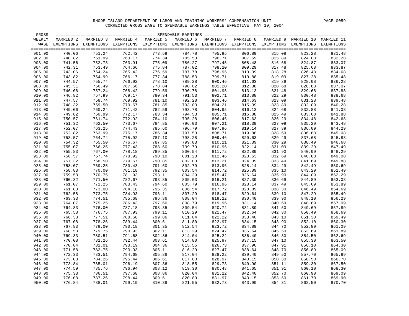| GROSS  |            |            |                  | ================ SPENDABLE EARNINGS |           |            |            |                  |                  |                   |
|--------|------------|------------|------------------|-------------------------------------|-----------|------------|------------|------------------|------------------|-------------------|
| WEEKLY | MARRIED 2  | MARRIED 3  | MARRIED 4        | MARRIED 5                           | MARRIED 6 | MARRIED 7  | MARRIED 8  | MARRIED 9        | MARRIED 10       | MARRIED 11        |
| WAGE   | EXEMPTIONS | EXEMPTIONS | EXEMPTIONS       | EXEMPTIONS EXEMPTIONS               |           | EXEMPTIONS | EXEMPTIONS | EXEMPTIONS       | EXEMPTIONS       | <b>EXEMPTIONS</b> |
|        |            |            |                  |                                     |           |            |            |                  |                  |                   |
| 901.00 | 740.06     | 751.24     | 762.42           | 773.59                              | 784.78    | 795.95     | 806.89     | 815.08           | 823.28           | 831.48            |
| 902.00 | 740.82     | 751.99     | 763.17           | 774.34                              | 785.53    | 796.71     | 807.69     | 815.89           | 824.08           | 832.28            |
| 903.00 | 741.56     | 752.73     | 763.91           | 775.09                              | 786.27    | 797.45     | 808.48     | 816.68           | 824.87           | 833.07            |
| 904.00 | 742.31     | 753.49     | 764.66           | 775.84                              | 787.02    | 798.20     | 809.29     | 817.48           | 825.68           | 833.87            |
| 905.00 | 743.06     | 754.24     | 765.42           | 776.59                              | 787.78    | 798.95     | 810.09     | 818.28           | 826.48           | 834.68            |
| 906.00 | 743.82     | 754.99     | 766.17           | 777.34                              | 788.53    | 799.71     | 810.88     | 819.09           | 827.28           | 835.48            |
| 907.00 | 744.57     | 755.74     | 766.92           | 778.10                              | 789.28    | 800.46     | 811.63     | 819.89           | 828.08           | 836.28            |
| 908.00 | 745.31     | 756.49     | 767.66           | 778.84                              | 790.02    | 801.20     | 812.38     | 820.68           | 828.88           | 837.07            |
| 909.00 | 746.06     | 757.24     | 768.42           | 779.59                              | 790.78    | 801.95     | 813.13     | 821.48           | 829.68           | 837.88            |
| 910.00 | 746.82     | 757.99     | 769.17           | 780.34                              | 791.53    | 802.71     | 813.88     | 822.29           | 830.48           | 838.68            |
| 911.00 | 747.57     | 758.74     | 769.92           | 781.10                              | 792.28    | 803.46     | 814.63     | 823.09           | 831.28           | 839.48            |
| 912.00 | 748.32     | 759.50     | 770.67           | 781.85                              | 793.03    | 804.21     | 815.39     | 823.89           | 832.09           | 840.28            |
| 913.00 | 749.06     | 760.24     | 771.42           | 782.59                              | 793.78    | 804.95     | 816.13     | 824.68           | 832.88           | 841.08            |
|        | 749.82     |            |                  | 783.34                              |           |            |            |                  |                  |                   |
| 914.00 | 750.57     | 760.99     | 772.17<br>772.92 | 784.10                              | 794.53    | 805.71     | 816.88     | 825.49<br>826.29 | 833.68<br>834.48 | 841.88            |
| 915.00 |            | 761.74     |                  |                                     | 795.28    | 806.46     | 817.63     |                  |                  | 842.68            |
| 916.00 | 751.32     | 762.50     | 773.67           | 784.85                              | 796.03    | 807.21     | 818.39     | 827.09           | 835.29           | 843.48            |
| 917.00 | 752.07     | 763.25     | 774.43           | 785.60                              | 796.79    | 807.96     | 819.14     | 827.89           | 836.09           | 844.29            |
| 918.00 | 752.82     | 763.99     | 775.17           | 786.34                              | 797.53    | 808.71     | 819.88     | 828.69           | 836.88           | 845.08            |
| 919.00 | 753.57     | 764.74     | 775.92           | 787.10                              | 798.28    | 809.46     | 820.63     | 829.49           | 837.68           | 845.88            |
| 920.00 | 754.32     | 765.50     | 776.67           | 787.85                              | 799.03    | 810.21     | 821.39     | 830.29           | 838.49           | 846.68            |
| 921.00 | 755.07     | 766.25     | 777.43           | 788.60                              | 799.79    | 810.96     | 822.14     | 831.09           | 839.29           | 847.49            |
| 922.00 | 755.83     | 767.00     | 778.18           | 789.35                              | 800.54    | 811.72     | 822.89     | 831.90           | 840.09           | 848.29            |
| 923.00 | 756.57     | 767.74     | 778.92           | 790.10                              | 801.28    | 812.46     | 823.63     | 832.69           | 840.88           | 849.08            |
| 924.00 | 757.32     | 768.50     | 779.67           | 790.85                              | 802.03    | 813.21     | 824.39     | 833.49           | 841.69           | 849.88            |
| 925.00 | 758.07     | 769.25     | 780.43           | 791.60                              | 802.79    | 813.96     | 825.14     | 834.29           | 842.49           | 850.69            |
| 926.00 | 758.83     | 770.00     | 781.18           | 792.35                              | 803.54    | 814.72     | 825.89     | 835.10           | 843.29           | 851.49            |
| 927.00 | 759.58     | 770.75     | 781.93           | 793.11                              | 804.29    | 815.47     | 826.64     | 835.90           | 844.09           | 852.29            |
| 928.00 | 760.32     | 771.50     | 782.67           | 793.85                              | 805.03    | 816.21     | 827.39     | 836.69           | 844.89           | 853.08            |
| 929.00 | 761.07     | 772.25     | 783.43           | 794.60                              | 805.79    | 816.96     | 828.14     | 837.49           | 845.69           | 853.89            |
| 930.00 | 761.83     | 773.00     | 784.18           | 795.35                              | 806.54    | 817.72     | 828.89     | 838.30           | 846.49           | 854.69            |
| 931.00 | 762.58     | 773.75     | 784.93           | 796.11                              | 807.29    | 818.47     | 829.64     | 839.10           | 847.29           | 855.49            |
| 932.00 | 763.33     | 774.51     | 785.68           | 796.86                              | 808.04    | 819.22     | 830.40     | 839.90           | 848.10           | 856.29            |
| 933.00 | 764.07     | 775.25     | 786.43           | 797.60                              | 808.79    | 819.96     | 831.14     | 840.69           | 848.89           | 857.09            |
| 934.00 | 764.83     | 776.00     | 787.18           | 798.35                              | 809.54    | 820.72     | 831.89     | 841.50           | 849.69           | 857.89            |
| 935.00 | 765.58     | 776.75     | 787.93           | 799.11                              | 810.29    | 821.47     | 832.64     | 842.30           | 850.49           | 858.69            |
| 936.00 | 766.33     | 777.51     | 788.68           | 799.86                              | 811.04    | 822.22     | 833.40     | 843.10           | 851.30           | 859.49            |
| 937.00 | 767.08     | 778.26     | 789.44           | 800.61                              | 811.80    | 822.97     | 834.15     | 843.90           | 852.10           | 860.30            |
| 938.00 | 767.83     | 779.00     | 790.18           | 801.35                              | 812.54    | 823.72     | 834.89     | 844.70           | 852.89           | 861.09            |
| 939.00 | 768.58     | 779.75     | 790.93           | 802.11                              | 813.29    | 824.47     | 835.64     | 845.50           | 853.69           | 861.89            |
| 940.00 | 769.33     | 780.51     | 791.68           | 802.86                              | 814.04    | 825.22     | 836.40     | 846.30           | 854.50           | 862.69            |
| 941.00 | 770.08     | 781.26     | 792.44           | 803.61                              | 814.80    | 825.97     | 837.15     | 847.10           | 855.30           | 863.50            |
| 942.00 | 770.84     | 782.01     | 793.19           | 804.36                              | 815.55    | 826.73     | 837.90     | 847.91           | 856.10           | 864.30            |
| 943.00 | 771.58     | 782.75     | 793.93           | 805.11                              | 816.29    | 827.47     | 838.64     | 848.70           | 856.89           | 865.09            |
| 944.00 | 772.33     | 783.51     | 794.68           | 805.86                              | 817.04    | 828.22     | 839.40     | 849.50           | 857.70           | 865.89            |
| 945.00 | 773.08     | 784.26     | 795.44           | 806.61                              | 817.80    | 828.97     | 840.15     | 850.30           | 858.50           | 866.70            |
| 946.00 | 773.84     | 785.01     | 796.19           | 807.36                              | 818.55    | 829.73     | 840.90     | 851.11           | 859.30           | 867.50            |
| 947.00 | 774.59     | 785.76     | 796.94           | 808.12                              | 819.30    | 830.48     | 841.65     | 851.91           | 860.10           | 868.30            |
| 948.00 | 775.33     | 786.51     | 797.68           | 808.86                              | 820.04    | 831.22     | 842.40     | 852.70           | 860.90           | 869.09            |
| 949.00 | 776.08     | 787.26     | 798.44           | 809.61                              | 820.80    | 831.97     | 843.15     | 853.50           | 861.70           | 869.90            |
| 950.00 | 776.84     | 788.01     | 799.19           | 810.36                              | 821.55    | 832.73     | 843.90     | 854.31           | 862.50           | 870.70            |
|        |            |            |                  |                                     |           |            |            |                  |                  |                   |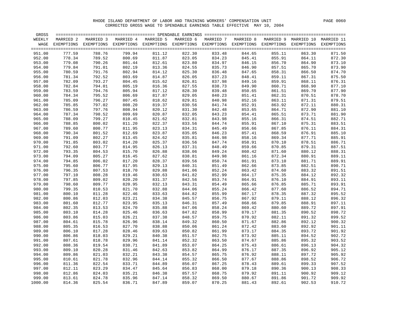| WEEKLY<br>MARRIED 2<br>MARRIED 3<br>MARRIED 4<br>MARRIED 5<br>MARRIED 6<br>MARRIED 8<br>MARRIED 9<br>MARRIED 10 MARRIED 11<br>MARRIED 7<br>WAGE<br>EXEMPTIONS<br>EXEMPTIONS EXEMPTIONS EXEMPTIONS EXEMPTIONS EXEMPTIONS EXEMPTIONS EXEMPTIONS EXEMPTIONS<br>EXEMPTIONS<br>$=$ $=$ $=$ $=$<br>777.59<br>799.94<br>822.30<br>833.48<br>844.65<br>951.00<br>788.76<br>811.12<br>855.11<br>863.30<br>871.50<br>811.87<br>952.00<br>778.34<br>789.52<br>800.69<br>823.05<br>834.23<br>845.41<br>855.91<br>864.11<br>872.30<br>779.08<br>812.61<br>856.70<br>864.90<br>953.00<br>790.26<br>801.44<br>823.80<br>834.97<br>846.15<br>873.10<br>813.36<br>954.00<br>779.84<br>791.01<br>802.19<br>824.55<br>835.73<br>846.90<br>857.51<br>865.70<br>873.90<br>955.00<br>780.59<br>791.76<br>802.94<br>814.12<br>825.30<br>836.48<br>858.31<br>866.50<br>874.70<br>847.65<br>814.87<br>781.34<br>792.52<br>803.69<br>826.05<br>837.23<br>859.11<br>867.31<br>875.50<br>956.00<br>848.41<br>782.09<br>793.27<br>804.45<br>815.62<br>859.91<br>868.11<br>957.00<br>826.81<br>837.98<br>849.16<br>876.31<br>782.84<br>794.01<br>805.19<br>816.36<br>827.55<br>838.73<br>849.90<br>860.71<br>868.90<br>877.10<br>958.00<br>783.59<br>794.76<br>805.94<br>817.12<br>839.48<br>861.51<br>869.70<br>877.90<br>959.00<br>828.30<br>850.65<br>784.34<br>806.69<br>817.87<br>840.23<br>862.31<br>870.51<br>878.70<br>960.00<br>795.52<br>829.05<br>851.41<br>785.09<br>796.27<br>807.45<br>818.62<br>840.98<br>852.16<br>863.11<br>871.31<br>879.51<br>961.00<br>829.81<br>808.20<br>819.37<br>841.74<br>863.92<br>872.11<br>962.00<br>785.85<br>797.02<br>830.56<br>852.91<br>880.31<br>786.59<br>820.12<br>842.48<br>872.90<br>881.10<br>963.00<br>797.76<br>808.94<br>831.30<br>853.65<br>864.71<br>787.34<br>820.87<br>964.00<br>798.52<br>809.69<br>832.05<br>843.23<br>854.41<br>865.51<br>873.71<br>881.90<br>788.09<br>799.27<br>810.45<br>821.62<br>832.81<br>843.98<br>855.16<br>866.31<br>874.51<br>882.71<br>965.00<br>788.85<br>811.20<br>822.37<br>966.00<br>800.02<br>833.56<br>844.74<br>867.10<br>875.31<br>883.51<br>855.91<br>789.60<br>800.77<br>811.95<br>823.13<br>834.31<br>845.49<br>856.66<br>867.85<br>876.11<br>884.31<br>967.00<br>790.34<br>812.69<br>823.87<br>846.23<br>868.59<br>885.10<br>968.00<br>801.52<br>835.05<br>857.41<br>876.91<br>791.09<br>802.27<br>813.45<br>824.62<br>846.98<br>858.16<br>869.34<br>877.71<br>885.91<br>969.00<br>835.81<br>791.85<br>814.20<br>825.37<br>870.10<br>878.51<br>886.71<br>970.00<br>803.02<br>836.56<br>847.74<br>858.91<br>792.60<br>814.95<br>826.13<br>848.49<br>870.85<br>879.31<br>887.51<br>971.00<br>803.77<br>837.31<br>859.66<br>826.88<br>849.24<br>972.00<br>793.35<br>804.53<br>815.70<br>838.06<br>860.42<br>871.60<br>880.12<br>888.31<br>794.09<br>849.98<br>973.00<br>805.27<br>816.45<br>827.62<br>838.81<br>861.16<br>872.34<br>880.91<br>889.11<br>794.85<br>806.02<br>817.20<br>828.37<br>839.56<br>850.74<br>861.91<br>873.10<br>881.71<br>889.91<br>974.00<br>817.95<br>829.13<br>873.85<br>882.51<br>975.00<br>795.60<br>806.77<br>840.31<br>851.49<br>862.66<br>890.71<br>829.88<br>883.32<br>976.00<br>796.35<br>807.53<br>818.70<br>841.06<br>852.24<br>863.42<br>874.60<br>891.51<br>797.10<br>819.46<br>830.63<br>852.99<br>864.17<br>875.35<br>884.12<br>892.32<br>977.00<br>808.28<br>841.82<br>797.85<br>820.20<br>831.37<br>853.74<br>876.10<br>884.91<br>978.00<br>809.02<br>842.56<br>864.91<br>893.11<br>798.60<br>832.13<br>854.49<br>885.71<br>893.91<br>979.00<br>809.77<br>820.95<br>843.31<br>865.66<br>876.85<br>799.35<br>821.70<br>832.88<br>844.06<br>855.24<br>877.60<br>886.52<br>894.71<br>980.00<br>810.53<br>866.42<br>800.10<br>822.46<br>833.63<br>855.99<br>878.35<br>887.32<br>895.52<br>981.00<br>811.28<br>844.82<br>867.17<br>800.86<br>879.11<br>982.00<br>812.03<br>823.21<br>834.38<br>845.57<br>856.75<br>867.92<br>888.12<br>896.32<br>983.00<br>801.60<br>812.77<br>823.95<br>835.13<br>846.31<br>857.49<br>868.66<br>879.85<br>888.91<br>897.11<br>802.35<br>813.53<br>824.70<br>835.88<br>847.06<br>858.24<br>869.42<br>880.60<br>889.72<br>897.91<br>984.00<br>985.00<br>803.10<br>814.28<br>825.46<br>836.63<br>847.82<br>858.99<br>870.17<br>881.35<br>890.52<br>898.72<br>803.86<br>837.38<br>882.11<br>891.32<br>899.52<br>986.00<br>815.03<br>826.21<br>848.57<br>859.75<br>870.92<br>804.61<br>826.96<br>838.14<br>849.32<br>860.50<br>871.67<br>882.86<br>892.12<br>900.32<br>987.00<br>815.78<br>805.35<br>827.70<br>838.88<br>861.24<br>883.60<br>892.92<br>988.00<br>816.53<br>850.06<br>872.42<br>901.11<br>806.10<br>828.46<br>839.63<br>861.99<br>873.17<br>884.35<br>893.72<br>901.92<br>989.00<br>817.28<br>850.82<br>806.86<br>829.21<br>840.38<br>862.75<br>873.92<br>885.11<br>894.52<br>902.72<br>990.00<br>818.03<br>851.57<br>991.00<br>807.61<br>818.78<br>829.96<br>841.14<br>852.32<br>863.50<br>874.67<br>885.86<br>895.32<br>903.52<br>992.00<br>808.36<br>819.54<br>830.71<br>841.89<br>853.07<br>864.25<br>875.43<br>886.61<br>896.13<br>904.32<br>809.10<br>842.63<br>896.92<br>905.12<br>993.00<br>820.28<br>831.46<br>853.82<br>864.99<br>876.17<br>887.35<br>843.38<br>994.00<br>809.86<br>821.03<br>832.21<br>854.57<br>865.75<br>876.92<br>888.11<br>897.72<br>905.92<br>810.61<br>821.78<br>832.96<br>844.14<br>855.32<br>866.50<br>877.67<br>888.86<br>898.52<br>906.72<br>995.00<br>811.36<br>844.89<br>878.43<br>899.33<br>907.52<br>996.00<br>822.54<br>833.71<br>856.07<br>867.25<br>889.61<br>908.33<br>997.00<br>812.11<br>823.29<br>834.47<br>845.64<br>856.83<br>868.00<br>879.18<br>890.36<br>900.13<br>812.86<br>835.21<br>846.38<br>868.75<br>891.11<br>900.92<br>909.12<br>998.00<br>824.03<br>857.57<br>879.92<br>813.61<br>835.96<br>847.14<br>869.50<br>891.86<br>901.72<br>909.92<br>999.00<br>824.78<br>858.32<br>880.67<br>1000.00<br>814.36<br>825.54<br>836.71<br>847.89<br>859.07<br>870.25<br>881.43<br>892.61<br>902.53<br>910.72 | GROSS |  |  |  |  | $=$ $=$ $=$ $=$ |
|------------------------------------------------------------------------------------------------------------------------------------------------------------------------------------------------------------------------------------------------------------------------------------------------------------------------------------------------------------------------------------------------------------------------------------------------------------------------------------------------------------------------------------------------------------------------------------------------------------------------------------------------------------------------------------------------------------------------------------------------------------------------------------------------------------------------------------------------------------------------------------------------------------------------------------------------------------------------------------------------------------------------------------------------------------------------------------------------------------------------------------------------------------------------------------------------------------------------------------------------------------------------------------------------------------------------------------------------------------------------------------------------------------------------------------------------------------------------------------------------------------------------------------------------------------------------------------------------------------------------------------------------------------------------------------------------------------------------------------------------------------------------------------------------------------------------------------------------------------------------------------------------------------------------------------------------------------------------------------------------------------------------------------------------------------------------------------------------------------------------------------------------------------------------------------------------------------------------------------------------------------------------------------------------------------------------------------------------------------------------------------------------------------------------------------------------------------------------------------------------------------------------------------------------------------------------------------------------------------------------------------------------------------------------------------------------------------------------------------------------------------------------------------------------------------------------------------------------------------------------------------------------------------------------------------------------------------------------------------------------------------------------------------------------------------------------------------------------------------------------------------------------------------------------------------------------------------------------------------------------------------------------------------------------------------------------------------------------------------------------------------------------------------------------------------------------------------------------------------------------------------------------------------------------------------------------------------------------------------------------------------------------------------------------------------------------------------------------------------------------------------------------------------------------------------------------------------------------------------------------------------------------------------------------------------------------------------------------------------------------------------------------------------------------------------------------------------------------------------------------------------------------------------------------------------------------------------------------------------------------------------------------------------------------------------------------------------------------------------------------------------------------------------------------------------------------------------------------------------------------------------------------------------------------------------------------------------------------------------------------------------------------------------------------------------------------------------------------------------------------------------------------------------------------------------------------------------------------------------------------------------------------------------------------------------------------------------------------------------------------------------------------------------------------------------------------------------------------------------------------------------------------------------------------------------------------------------------------------------------------------------------------------------------------------------------------------------------------------------------------------------------------------------------------------------------------------------------------------------------------------------------------------------------------------------------------------------------------------------------------------------------------------------------------------------------------------------------------------------------------------------------------------------------------------------------------------------------------------------------------------------------------------------------------------------------------------------------------------------------------------------------------|-------|--|--|--|--|-----------------|
|                                                                                                                                                                                                                                                                                                                                                                                                                                                                                                                                                                                                                                                                                                                                                                                                                                                                                                                                                                                                                                                                                                                                                                                                                                                                                                                                                                                                                                                                                                                                                                                                                                                                                                                                                                                                                                                                                                                                                                                                                                                                                                                                                                                                                                                                                                                                                                                                                                                                                                                                                                                                                                                                                                                                                                                                                                                                                                                                                                                                                                                                                                                                                                                                                                                                                                                                                                                                                                                                                                                                                                                                                                                                                                                                                                                                                                                                                                                                                                                                                                                                                                                                                                                                                                                                                                                                                                                                                                                                                                                                                                                                                                                                                                                                                                                                                                                                                                                                                                                                                                                                                                                                                                                                                                                                                                                                                                                                                                                                                                                                                                                                                                                                                                                                                                                                                                                                                                                                                                                                                        |       |  |  |  |  |                 |
|                                                                                                                                                                                                                                                                                                                                                                                                                                                                                                                                                                                                                                                                                                                                                                                                                                                                                                                                                                                                                                                                                                                                                                                                                                                                                                                                                                                                                                                                                                                                                                                                                                                                                                                                                                                                                                                                                                                                                                                                                                                                                                                                                                                                                                                                                                                                                                                                                                                                                                                                                                                                                                                                                                                                                                                                                                                                                                                                                                                                                                                                                                                                                                                                                                                                                                                                                                                                                                                                                                                                                                                                                                                                                                                                                                                                                                                                                                                                                                                                                                                                                                                                                                                                                                                                                                                                                                                                                                                                                                                                                                                                                                                                                                                                                                                                                                                                                                                                                                                                                                                                                                                                                                                                                                                                                                                                                                                                                                                                                                                                                                                                                                                                                                                                                                                                                                                                                                                                                                                                                        |       |  |  |  |  |                 |
|                                                                                                                                                                                                                                                                                                                                                                                                                                                                                                                                                                                                                                                                                                                                                                                                                                                                                                                                                                                                                                                                                                                                                                                                                                                                                                                                                                                                                                                                                                                                                                                                                                                                                                                                                                                                                                                                                                                                                                                                                                                                                                                                                                                                                                                                                                                                                                                                                                                                                                                                                                                                                                                                                                                                                                                                                                                                                                                                                                                                                                                                                                                                                                                                                                                                                                                                                                                                                                                                                                                                                                                                                                                                                                                                                                                                                                                                                                                                                                                                                                                                                                                                                                                                                                                                                                                                                                                                                                                                                                                                                                                                                                                                                                                                                                                                                                                                                                                                                                                                                                                                                                                                                                                                                                                                                                                                                                                                                                                                                                                                                                                                                                                                                                                                                                                                                                                                                                                                                                                                                        |       |  |  |  |  |                 |
|                                                                                                                                                                                                                                                                                                                                                                                                                                                                                                                                                                                                                                                                                                                                                                                                                                                                                                                                                                                                                                                                                                                                                                                                                                                                                                                                                                                                                                                                                                                                                                                                                                                                                                                                                                                                                                                                                                                                                                                                                                                                                                                                                                                                                                                                                                                                                                                                                                                                                                                                                                                                                                                                                                                                                                                                                                                                                                                                                                                                                                                                                                                                                                                                                                                                                                                                                                                                                                                                                                                                                                                                                                                                                                                                                                                                                                                                                                                                                                                                                                                                                                                                                                                                                                                                                                                                                                                                                                                                                                                                                                                                                                                                                                                                                                                                                                                                                                                                                                                                                                                                                                                                                                                                                                                                                                                                                                                                                                                                                                                                                                                                                                                                                                                                                                                                                                                                                                                                                                                                                        |       |  |  |  |  |                 |
|                                                                                                                                                                                                                                                                                                                                                                                                                                                                                                                                                                                                                                                                                                                                                                                                                                                                                                                                                                                                                                                                                                                                                                                                                                                                                                                                                                                                                                                                                                                                                                                                                                                                                                                                                                                                                                                                                                                                                                                                                                                                                                                                                                                                                                                                                                                                                                                                                                                                                                                                                                                                                                                                                                                                                                                                                                                                                                                                                                                                                                                                                                                                                                                                                                                                                                                                                                                                                                                                                                                                                                                                                                                                                                                                                                                                                                                                                                                                                                                                                                                                                                                                                                                                                                                                                                                                                                                                                                                                                                                                                                                                                                                                                                                                                                                                                                                                                                                                                                                                                                                                                                                                                                                                                                                                                                                                                                                                                                                                                                                                                                                                                                                                                                                                                                                                                                                                                                                                                                                                                        |       |  |  |  |  |                 |
|                                                                                                                                                                                                                                                                                                                                                                                                                                                                                                                                                                                                                                                                                                                                                                                                                                                                                                                                                                                                                                                                                                                                                                                                                                                                                                                                                                                                                                                                                                                                                                                                                                                                                                                                                                                                                                                                                                                                                                                                                                                                                                                                                                                                                                                                                                                                                                                                                                                                                                                                                                                                                                                                                                                                                                                                                                                                                                                                                                                                                                                                                                                                                                                                                                                                                                                                                                                                                                                                                                                                                                                                                                                                                                                                                                                                                                                                                                                                                                                                                                                                                                                                                                                                                                                                                                                                                                                                                                                                                                                                                                                                                                                                                                                                                                                                                                                                                                                                                                                                                                                                                                                                                                                                                                                                                                                                                                                                                                                                                                                                                                                                                                                                                                                                                                                                                                                                                                                                                                                                                        |       |  |  |  |  |                 |
|                                                                                                                                                                                                                                                                                                                                                                                                                                                                                                                                                                                                                                                                                                                                                                                                                                                                                                                                                                                                                                                                                                                                                                                                                                                                                                                                                                                                                                                                                                                                                                                                                                                                                                                                                                                                                                                                                                                                                                                                                                                                                                                                                                                                                                                                                                                                                                                                                                                                                                                                                                                                                                                                                                                                                                                                                                                                                                                                                                                                                                                                                                                                                                                                                                                                                                                                                                                                                                                                                                                                                                                                                                                                                                                                                                                                                                                                                                                                                                                                                                                                                                                                                                                                                                                                                                                                                                                                                                                                                                                                                                                                                                                                                                                                                                                                                                                                                                                                                                                                                                                                                                                                                                                                                                                                                                                                                                                                                                                                                                                                                                                                                                                                                                                                                                                                                                                                                                                                                                                                                        |       |  |  |  |  |                 |
|                                                                                                                                                                                                                                                                                                                                                                                                                                                                                                                                                                                                                                                                                                                                                                                                                                                                                                                                                                                                                                                                                                                                                                                                                                                                                                                                                                                                                                                                                                                                                                                                                                                                                                                                                                                                                                                                                                                                                                                                                                                                                                                                                                                                                                                                                                                                                                                                                                                                                                                                                                                                                                                                                                                                                                                                                                                                                                                                                                                                                                                                                                                                                                                                                                                                                                                                                                                                                                                                                                                                                                                                                                                                                                                                                                                                                                                                                                                                                                                                                                                                                                                                                                                                                                                                                                                                                                                                                                                                                                                                                                                                                                                                                                                                                                                                                                                                                                                                                                                                                                                                                                                                                                                                                                                                                                                                                                                                                                                                                                                                                                                                                                                                                                                                                                                                                                                                                                                                                                                                                        |       |  |  |  |  |                 |
|                                                                                                                                                                                                                                                                                                                                                                                                                                                                                                                                                                                                                                                                                                                                                                                                                                                                                                                                                                                                                                                                                                                                                                                                                                                                                                                                                                                                                                                                                                                                                                                                                                                                                                                                                                                                                                                                                                                                                                                                                                                                                                                                                                                                                                                                                                                                                                                                                                                                                                                                                                                                                                                                                                                                                                                                                                                                                                                                                                                                                                                                                                                                                                                                                                                                                                                                                                                                                                                                                                                                                                                                                                                                                                                                                                                                                                                                                                                                                                                                                                                                                                                                                                                                                                                                                                                                                                                                                                                                                                                                                                                                                                                                                                                                                                                                                                                                                                                                                                                                                                                                                                                                                                                                                                                                                                                                                                                                                                                                                                                                                                                                                                                                                                                                                                                                                                                                                                                                                                                                                        |       |  |  |  |  |                 |
|                                                                                                                                                                                                                                                                                                                                                                                                                                                                                                                                                                                                                                                                                                                                                                                                                                                                                                                                                                                                                                                                                                                                                                                                                                                                                                                                                                                                                                                                                                                                                                                                                                                                                                                                                                                                                                                                                                                                                                                                                                                                                                                                                                                                                                                                                                                                                                                                                                                                                                                                                                                                                                                                                                                                                                                                                                                                                                                                                                                                                                                                                                                                                                                                                                                                                                                                                                                                                                                                                                                                                                                                                                                                                                                                                                                                                                                                                                                                                                                                                                                                                                                                                                                                                                                                                                                                                                                                                                                                                                                                                                                                                                                                                                                                                                                                                                                                                                                                                                                                                                                                                                                                                                                                                                                                                                                                                                                                                                                                                                                                                                                                                                                                                                                                                                                                                                                                                                                                                                                                                        |       |  |  |  |  |                 |
|                                                                                                                                                                                                                                                                                                                                                                                                                                                                                                                                                                                                                                                                                                                                                                                                                                                                                                                                                                                                                                                                                                                                                                                                                                                                                                                                                                                                                                                                                                                                                                                                                                                                                                                                                                                                                                                                                                                                                                                                                                                                                                                                                                                                                                                                                                                                                                                                                                                                                                                                                                                                                                                                                                                                                                                                                                                                                                                                                                                                                                                                                                                                                                                                                                                                                                                                                                                                                                                                                                                                                                                                                                                                                                                                                                                                                                                                                                                                                                                                                                                                                                                                                                                                                                                                                                                                                                                                                                                                                                                                                                                                                                                                                                                                                                                                                                                                                                                                                                                                                                                                                                                                                                                                                                                                                                                                                                                                                                                                                                                                                                                                                                                                                                                                                                                                                                                                                                                                                                                                                        |       |  |  |  |  |                 |
|                                                                                                                                                                                                                                                                                                                                                                                                                                                                                                                                                                                                                                                                                                                                                                                                                                                                                                                                                                                                                                                                                                                                                                                                                                                                                                                                                                                                                                                                                                                                                                                                                                                                                                                                                                                                                                                                                                                                                                                                                                                                                                                                                                                                                                                                                                                                                                                                                                                                                                                                                                                                                                                                                                                                                                                                                                                                                                                                                                                                                                                                                                                                                                                                                                                                                                                                                                                                                                                                                                                                                                                                                                                                                                                                                                                                                                                                                                                                                                                                                                                                                                                                                                                                                                                                                                                                                                                                                                                                                                                                                                                                                                                                                                                                                                                                                                                                                                                                                                                                                                                                                                                                                                                                                                                                                                                                                                                                                                                                                                                                                                                                                                                                                                                                                                                                                                                                                                                                                                                                                        |       |  |  |  |  |                 |
|                                                                                                                                                                                                                                                                                                                                                                                                                                                                                                                                                                                                                                                                                                                                                                                                                                                                                                                                                                                                                                                                                                                                                                                                                                                                                                                                                                                                                                                                                                                                                                                                                                                                                                                                                                                                                                                                                                                                                                                                                                                                                                                                                                                                                                                                                                                                                                                                                                                                                                                                                                                                                                                                                                                                                                                                                                                                                                                                                                                                                                                                                                                                                                                                                                                                                                                                                                                                                                                                                                                                                                                                                                                                                                                                                                                                                                                                                                                                                                                                                                                                                                                                                                                                                                                                                                                                                                                                                                                                                                                                                                                                                                                                                                                                                                                                                                                                                                                                                                                                                                                                                                                                                                                                                                                                                                                                                                                                                                                                                                                                                                                                                                                                                                                                                                                                                                                                                                                                                                                                                        |       |  |  |  |  |                 |
|                                                                                                                                                                                                                                                                                                                                                                                                                                                                                                                                                                                                                                                                                                                                                                                                                                                                                                                                                                                                                                                                                                                                                                                                                                                                                                                                                                                                                                                                                                                                                                                                                                                                                                                                                                                                                                                                                                                                                                                                                                                                                                                                                                                                                                                                                                                                                                                                                                                                                                                                                                                                                                                                                                                                                                                                                                                                                                                                                                                                                                                                                                                                                                                                                                                                                                                                                                                                                                                                                                                                                                                                                                                                                                                                                                                                                                                                                                                                                                                                                                                                                                                                                                                                                                                                                                                                                                                                                                                                                                                                                                                                                                                                                                                                                                                                                                                                                                                                                                                                                                                                                                                                                                                                                                                                                                                                                                                                                                                                                                                                                                                                                                                                                                                                                                                                                                                                                                                                                                                                                        |       |  |  |  |  |                 |
|                                                                                                                                                                                                                                                                                                                                                                                                                                                                                                                                                                                                                                                                                                                                                                                                                                                                                                                                                                                                                                                                                                                                                                                                                                                                                                                                                                                                                                                                                                                                                                                                                                                                                                                                                                                                                                                                                                                                                                                                                                                                                                                                                                                                                                                                                                                                                                                                                                                                                                                                                                                                                                                                                                                                                                                                                                                                                                                                                                                                                                                                                                                                                                                                                                                                                                                                                                                                                                                                                                                                                                                                                                                                                                                                                                                                                                                                                                                                                                                                                                                                                                                                                                                                                                                                                                                                                                                                                                                                                                                                                                                                                                                                                                                                                                                                                                                                                                                                                                                                                                                                                                                                                                                                                                                                                                                                                                                                                                                                                                                                                                                                                                                                                                                                                                                                                                                                                                                                                                                                                        |       |  |  |  |  |                 |
|                                                                                                                                                                                                                                                                                                                                                                                                                                                                                                                                                                                                                                                                                                                                                                                                                                                                                                                                                                                                                                                                                                                                                                                                                                                                                                                                                                                                                                                                                                                                                                                                                                                                                                                                                                                                                                                                                                                                                                                                                                                                                                                                                                                                                                                                                                                                                                                                                                                                                                                                                                                                                                                                                                                                                                                                                                                                                                                                                                                                                                                                                                                                                                                                                                                                                                                                                                                                                                                                                                                                                                                                                                                                                                                                                                                                                                                                                                                                                                                                                                                                                                                                                                                                                                                                                                                                                                                                                                                                                                                                                                                                                                                                                                                                                                                                                                                                                                                                                                                                                                                                                                                                                                                                                                                                                                                                                                                                                                                                                                                                                                                                                                                                                                                                                                                                                                                                                                                                                                                                                        |       |  |  |  |  |                 |
|                                                                                                                                                                                                                                                                                                                                                                                                                                                                                                                                                                                                                                                                                                                                                                                                                                                                                                                                                                                                                                                                                                                                                                                                                                                                                                                                                                                                                                                                                                                                                                                                                                                                                                                                                                                                                                                                                                                                                                                                                                                                                                                                                                                                                                                                                                                                                                                                                                                                                                                                                                                                                                                                                                                                                                                                                                                                                                                                                                                                                                                                                                                                                                                                                                                                                                                                                                                                                                                                                                                                                                                                                                                                                                                                                                                                                                                                                                                                                                                                                                                                                                                                                                                                                                                                                                                                                                                                                                                                                                                                                                                                                                                                                                                                                                                                                                                                                                                                                                                                                                                                                                                                                                                                                                                                                                                                                                                                                                                                                                                                                                                                                                                                                                                                                                                                                                                                                                                                                                                                                        |       |  |  |  |  |                 |
|                                                                                                                                                                                                                                                                                                                                                                                                                                                                                                                                                                                                                                                                                                                                                                                                                                                                                                                                                                                                                                                                                                                                                                                                                                                                                                                                                                                                                                                                                                                                                                                                                                                                                                                                                                                                                                                                                                                                                                                                                                                                                                                                                                                                                                                                                                                                                                                                                                                                                                                                                                                                                                                                                                                                                                                                                                                                                                                                                                                                                                                                                                                                                                                                                                                                                                                                                                                                                                                                                                                                                                                                                                                                                                                                                                                                                                                                                                                                                                                                                                                                                                                                                                                                                                                                                                                                                                                                                                                                                                                                                                                                                                                                                                                                                                                                                                                                                                                                                                                                                                                                                                                                                                                                                                                                                                                                                                                                                                                                                                                                                                                                                                                                                                                                                                                                                                                                                                                                                                                                                        |       |  |  |  |  |                 |
|                                                                                                                                                                                                                                                                                                                                                                                                                                                                                                                                                                                                                                                                                                                                                                                                                                                                                                                                                                                                                                                                                                                                                                                                                                                                                                                                                                                                                                                                                                                                                                                                                                                                                                                                                                                                                                                                                                                                                                                                                                                                                                                                                                                                                                                                                                                                                                                                                                                                                                                                                                                                                                                                                                                                                                                                                                                                                                                                                                                                                                                                                                                                                                                                                                                                                                                                                                                                                                                                                                                                                                                                                                                                                                                                                                                                                                                                                                                                                                                                                                                                                                                                                                                                                                                                                                                                                                                                                                                                                                                                                                                                                                                                                                                                                                                                                                                                                                                                                                                                                                                                                                                                                                                                                                                                                                                                                                                                                                                                                                                                                                                                                                                                                                                                                                                                                                                                                                                                                                                                                        |       |  |  |  |  |                 |
|                                                                                                                                                                                                                                                                                                                                                                                                                                                                                                                                                                                                                                                                                                                                                                                                                                                                                                                                                                                                                                                                                                                                                                                                                                                                                                                                                                                                                                                                                                                                                                                                                                                                                                                                                                                                                                                                                                                                                                                                                                                                                                                                                                                                                                                                                                                                                                                                                                                                                                                                                                                                                                                                                                                                                                                                                                                                                                                                                                                                                                                                                                                                                                                                                                                                                                                                                                                                                                                                                                                                                                                                                                                                                                                                                                                                                                                                                                                                                                                                                                                                                                                                                                                                                                                                                                                                                                                                                                                                                                                                                                                                                                                                                                                                                                                                                                                                                                                                                                                                                                                                                                                                                                                                                                                                                                                                                                                                                                                                                                                                                                                                                                                                                                                                                                                                                                                                                                                                                                                                                        |       |  |  |  |  |                 |
|                                                                                                                                                                                                                                                                                                                                                                                                                                                                                                                                                                                                                                                                                                                                                                                                                                                                                                                                                                                                                                                                                                                                                                                                                                                                                                                                                                                                                                                                                                                                                                                                                                                                                                                                                                                                                                                                                                                                                                                                                                                                                                                                                                                                                                                                                                                                                                                                                                                                                                                                                                                                                                                                                                                                                                                                                                                                                                                                                                                                                                                                                                                                                                                                                                                                                                                                                                                                                                                                                                                                                                                                                                                                                                                                                                                                                                                                                                                                                                                                                                                                                                                                                                                                                                                                                                                                                                                                                                                                                                                                                                                                                                                                                                                                                                                                                                                                                                                                                                                                                                                                                                                                                                                                                                                                                                                                                                                                                                                                                                                                                                                                                                                                                                                                                                                                                                                                                                                                                                                                                        |       |  |  |  |  |                 |
|                                                                                                                                                                                                                                                                                                                                                                                                                                                                                                                                                                                                                                                                                                                                                                                                                                                                                                                                                                                                                                                                                                                                                                                                                                                                                                                                                                                                                                                                                                                                                                                                                                                                                                                                                                                                                                                                                                                                                                                                                                                                                                                                                                                                                                                                                                                                                                                                                                                                                                                                                                                                                                                                                                                                                                                                                                                                                                                                                                                                                                                                                                                                                                                                                                                                                                                                                                                                                                                                                                                                                                                                                                                                                                                                                                                                                                                                                                                                                                                                                                                                                                                                                                                                                                                                                                                                                                                                                                                                                                                                                                                                                                                                                                                                                                                                                                                                                                                                                                                                                                                                                                                                                                                                                                                                                                                                                                                                                                                                                                                                                                                                                                                                                                                                                                                                                                                                                                                                                                                                                        |       |  |  |  |  |                 |
|                                                                                                                                                                                                                                                                                                                                                                                                                                                                                                                                                                                                                                                                                                                                                                                                                                                                                                                                                                                                                                                                                                                                                                                                                                                                                                                                                                                                                                                                                                                                                                                                                                                                                                                                                                                                                                                                                                                                                                                                                                                                                                                                                                                                                                                                                                                                                                                                                                                                                                                                                                                                                                                                                                                                                                                                                                                                                                                                                                                                                                                                                                                                                                                                                                                                                                                                                                                                                                                                                                                                                                                                                                                                                                                                                                                                                                                                                                                                                                                                                                                                                                                                                                                                                                                                                                                                                                                                                                                                                                                                                                                                                                                                                                                                                                                                                                                                                                                                                                                                                                                                                                                                                                                                                                                                                                                                                                                                                                                                                                                                                                                                                                                                                                                                                                                                                                                                                                                                                                                                                        |       |  |  |  |  |                 |
|                                                                                                                                                                                                                                                                                                                                                                                                                                                                                                                                                                                                                                                                                                                                                                                                                                                                                                                                                                                                                                                                                                                                                                                                                                                                                                                                                                                                                                                                                                                                                                                                                                                                                                                                                                                                                                                                                                                                                                                                                                                                                                                                                                                                                                                                                                                                                                                                                                                                                                                                                                                                                                                                                                                                                                                                                                                                                                                                                                                                                                                                                                                                                                                                                                                                                                                                                                                                                                                                                                                                                                                                                                                                                                                                                                                                                                                                                                                                                                                                                                                                                                                                                                                                                                                                                                                                                                                                                                                                                                                                                                                                                                                                                                                                                                                                                                                                                                                                                                                                                                                                                                                                                                                                                                                                                                                                                                                                                                                                                                                                                                                                                                                                                                                                                                                                                                                                                                                                                                                                                        |       |  |  |  |  |                 |
|                                                                                                                                                                                                                                                                                                                                                                                                                                                                                                                                                                                                                                                                                                                                                                                                                                                                                                                                                                                                                                                                                                                                                                                                                                                                                                                                                                                                                                                                                                                                                                                                                                                                                                                                                                                                                                                                                                                                                                                                                                                                                                                                                                                                                                                                                                                                                                                                                                                                                                                                                                                                                                                                                                                                                                                                                                                                                                                                                                                                                                                                                                                                                                                                                                                                                                                                                                                                                                                                                                                                                                                                                                                                                                                                                                                                                                                                                                                                                                                                                                                                                                                                                                                                                                                                                                                                                                                                                                                                                                                                                                                                                                                                                                                                                                                                                                                                                                                                                                                                                                                                                                                                                                                                                                                                                                                                                                                                                                                                                                                                                                                                                                                                                                                                                                                                                                                                                                                                                                                                                        |       |  |  |  |  |                 |
|                                                                                                                                                                                                                                                                                                                                                                                                                                                                                                                                                                                                                                                                                                                                                                                                                                                                                                                                                                                                                                                                                                                                                                                                                                                                                                                                                                                                                                                                                                                                                                                                                                                                                                                                                                                                                                                                                                                                                                                                                                                                                                                                                                                                                                                                                                                                                                                                                                                                                                                                                                                                                                                                                                                                                                                                                                                                                                                                                                                                                                                                                                                                                                                                                                                                                                                                                                                                                                                                                                                                                                                                                                                                                                                                                                                                                                                                                                                                                                                                                                                                                                                                                                                                                                                                                                                                                                                                                                                                                                                                                                                                                                                                                                                                                                                                                                                                                                                                                                                                                                                                                                                                                                                                                                                                                                                                                                                                                                                                                                                                                                                                                                                                                                                                                                                                                                                                                                                                                                                                                        |       |  |  |  |  |                 |
|                                                                                                                                                                                                                                                                                                                                                                                                                                                                                                                                                                                                                                                                                                                                                                                                                                                                                                                                                                                                                                                                                                                                                                                                                                                                                                                                                                                                                                                                                                                                                                                                                                                                                                                                                                                                                                                                                                                                                                                                                                                                                                                                                                                                                                                                                                                                                                                                                                                                                                                                                                                                                                                                                                                                                                                                                                                                                                                                                                                                                                                                                                                                                                                                                                                                                                                                                                                                                                                                                                                                                                                                                                                                                                                                                                                                                                                                                                                                                                                                                                                                                                                                                                                                                                                                                                                                                                                                                                                                                                                                                                                                                                                                                                                                                                                                                                                                                                                                                                                                                                                                                                                                                                                                                                                                                                                                                                                                                                                                                                                                                                                                                                                                                                                                                                                                                                                                                                                                                                                                                        |       |  |  |  |  |                 |
|                                                                                                                                                                                                                                                                                                                                                                                                                                                                                                                                                                                                                                                                                                                                                                                                                                                                                                                                                                                                                                                                                                                                                                                                                                                                                                                                                                                                                                                                                                                                                                                                                                                                                                                                                                                                                                                                                                                                                                                                                                                                                                                                                                                                                                                                                                                                                                                                                                                                                                                                                                                                                                                                                                                                                                                                                                                                                                                                                                                                                                                                                                                                                                                                                                                                                                                                                                                                                                                                                                                                                                                                                                                                                                                                                                                                                                                                                                                                                                                                                                                                                                                                                                                                                                                                                                                                                                                                                                                                                                                                                                                                                                                                                                                                                                                                                                                                                                                                                                                                                                                                                                                                                                                                                                                                                                                                                                                                                                                                                                                                                                                                                                                                                                                                                                                                                                                                                                                                                                                                                        |       |  |  |  |  |                 |
|                                                                                                                                                                                                                                                                                                                                                                                                                                                                                                                                                                                                                                                                                                                                                                                                                                                                                                                                                                                                                                                                                                                                                                                                                                                                                                                                                                                                                                                                                                                                                                                                                                                                                                                                                                                                                                                                                                                                                                                                                                                                                                                                                                                                                                                                                                                                                                                                                                                                                                                                                                                                                                                                                                                                                                                                                                                                                                                                                                                                                                                                                                                                                                                                                                                                                                                                                                                                                                                                                                                                                                                                                                                                                                                                                                                                                                                                                                                                                                                                                                                                                                                                                                                                                                                                                                                                                                                                                                                                                                                                                                                                                                                                                                                                                                                                                                                                                                                                                                                                                                                                                                                                                                                                                                                                                                                                                                                                                                                                                                                                                                                                                                                                                                                                                                                                                                                                                                                                                                                                                        |       |  |  |  |  |                 |
|                                                                                                                                                                                                                                                                                                                                                                                                                                                                                                                                                                                                                                                                                                                                                                                                                                                                                                                                                                                                                                                                                                                                                                                                                                                                                                                                                                                                                                                                                                                                                                                                                                                                                                                                                                                                                                                                                                                                                                                                                                                                                                                                                                                                                                                                                                                                                                                                                                                                                                                                                                                                                                                                                                                                                                                                                                                                                                                                                                                                                                                                                                                                                                                                                                                                                                                                                                                                                                                                                                                                                                                                                                                                                                                                                                                                                                                                                                                                                                                                                                                                                                                                                                                                                                                                                                                                                                                                                                                                                                                                                                                                                                                                                                                                                                                                                                                                                                                                                                                                                                                                                                                                                                                                                                                                                                                                                                                                                                                                                                                                                                                                                                                                                                                                                                                                                                                                                                                                                                                                                        |       |  |  |  |  |                 |
|                                                                                                                                                                                                                                                                                                                                                                                                                                                                                                                                                                                                                                                                                                                                                                                                                                                                                                                                                                                                                                                                                                                                                                                                                                                                                                                                                                                                                                                                                                                                                                                                                                                                                                                                                                                                                                                                                                                                                                                                                                                                                                                                                                                                                                                                                                                                                                                                                                                                                                                                                                                                                                                                                                                                                                                                                                                                                                                                                                                                                                                                                                                                                                                                                                                                                                                                                                                                                                                                                                                                                                                                                                                                                                                                                                                                                                                                                                                                                                                                                                                                                                                                                                                                                                                                                                                                                                                                                                                                                                                                                                                                                                                                                                                                                                                                                                                                                                                                                                                                                                                                                                                                                                                                                                                                                                                                                                                                                                                                                                                                                                                                                                                                                                                                                                                                                                                                                                                                                                                                                        |       |  |  |  |  |                 |
|                                                                                                                                                                                                                                                                                                                                                                                                                                                                                                                                                                                                                                                                                                                                                                                                                                                                                                                                                                                                                                                                                                                                                                                                                                                                                                                                                                                                                                                                                                                                                                                                                                                                                                                                                                                                                                                                                                                                                                                                                                                                                                                                                                                                                                                                                                                                                                                                                                                                                                                                                                                                                                                                                                                                                                                                                                                                                                                                                                                                                                                                                                                                                                                                                                                                                                                                                                                                                                                                                                                                                                                                                                                                                                                                                                                                                                                                                                                                                                                                                                                                                                                                                                                                                                                                                                                                                                                                                                                                                                                                                                                                                                                                                                                                                                                                                                                                                                                                                                                                                                                                                                                                                                                                                                                                                                                                                                                                                                                                                                                                                                                                                                                                                                                                                                                                                                                                                                                                                                                                                        |       |  |  |  |  |                 |
|                                                                                                                                                                                                                                                                                                                                                                                                                                                                                                                                                                                                                                                                                                                                                                                                                                                                                                                                                                                                                                                                                                                                                                                                                                                                                                                                                                                                                                                                                                                                                                                                                                                                                                                                                                                                                                                                                                                                                                                                                                                                                                                                                                                                                                                                                                                                                                                                                                                                                                                                                                                                                                                                                                                                                                                                                                                                                                                                                                                                                                                                                                                                                                                                                                                                                                                                                                                                                                                                                                                                                                                                                                                                                                                                                                                                                                                                                                                                                                                                                                                                                                                                                                                                                                                                                                                                                                                                                                                                                                                                                                                                                                                                                                                                                                                                                                                                                                                                                                                                                                                                                                                                                                                                                                                                                                                                                                                                                                                                                                                                                                                                                                                                                                                                                                                                                                                                                                                                                                                                                        |       |  |  |  |  |                 |
|                                                                                                                                                                                                                                                                                                                                                                                                                                                                                                                                                                                                                                                                                                                                                                                                                                                                                                                                                                                                                                                                                                                                                                                                                                                                                                                                                                                                                                                                                                                                                                                                                                                                                                                                                                                                                                                                                                                                                                                                                                                                                                                                                                                                                                                                                                                                                                                                                                                                                                                                                                                                                                                                                                                                                                                                                                                                                                                                                                                                                                                                                                                                                                                                                                                                                                                                                                                                                                                                                                                                                                                                                                                                                                                                                                                                                                                                                                                                                                                                                                                                                                                                                                                                                                                                                                                                                                                                                                                                                                                                                                                                                                                                                                                                                                                                                                                                                                                                                                                                                                                                                                                                                                                                                                                                                                                                                                                                                                                                                                                                                                                                                                                                                                                                                                                                                                                                                                                                                                                                                        |       |  |  |  |  |                 |
|                                                                                                                                                                                                                                                                                                                                                                                                                                                                                                                                                                                                                                                                                                                                                                                                                                                                                                                                                                                                                                                                                                                                                                                                                                                                                                                                                                                                                                                                                                                                                                                                                                                                                                                                                                                                                                                                                                                                                                                                                                                                                                                                                                                                                                                                                                                                                                                                                                                                                                                                                                                                                                                                                                                                                                                                                                                                                                                                                                                                                                                                                                                                                                                                                                                                                                                                                                                                                                                                                                                                                                                                                                                                                                                                                                                                                                                                                                                                                                                                                                                                                                                                                                                                                                                                                                                                                                                                                                                                                                                                                                                                                                                                                                                                                                                                                                                                                                                                                                                                                                                                                                                                                                                                                                                                                                                                                                                                                                                                                                                                                                                                                                                                                                                                                                                                                                                                                                                                                                                                                        |       |  |  |  |  |                 |
|                                                                                                                                                                                                                                                                                                                                                                                                                                                                                                                                                                                                                                                                                                                                                                                                                                                                                                                                                                                                                                                                                                                                                                                                                                                                                                                                                                                                                                                                                                                                                                                                                                                                                                                                                                                                                                                                                                                                                                                                                                                                                                                                                                                                                                                                                                                                                                                                                                                                                                                                                                                                                                                                                                                                                                                                                                                                                                                                                                                                                                                                                                                                                                                                                                                                                                                                                                                                                                                                                                                                                                                                                                                                                                                                                                                                                                                                                                                                                                                                                                                                                                                                                                                                                                                                                                                                                                                                                                                                                                                                                                                                                                                                                                                                                                                                                                                                                                                                                                                                                                                                                                                                                                                                                                                                                                                                                                                                                                                                                                                                                                                                                                                                                                                                                                                                                                                                                                                                                                                                                        |       |  |  |  |  |                 |
|                                                                                                                                                                                                                                                                                                                                                                                                                                                                                                                                                                                                                                                                                                                                                                                                                                                                                                                                                                                                                                                                                                                                                                                                                                                                                                                                                                                                                                                                                                                                                                                                                                                                                                                                                                                                                                                                                                                                                                                                                                                                                                                                                                                                                                                                                                                                                                                                                                                                                                                                                                                                                                                                                                                                                                                                                                                                                                                                                                                                                                                                                                                                                                                                                                                                                                                                                                                                                                                                                                                                                                                                                                                                                                                                                                                                                                                                                                                                                                                                                                                                                                                                                                                                                                                                                                                                                                                                                                                                                                                                                                                                                                                                                                                                                                                                                                                                                                                                                                                                                                                                                                                                                                                                                                                                                                                                                                                                                                                                                                                                                                                                                                                                                                                                                                                                                                                                                                                                                                                                                        |       |  |  |  |  |                 |
|                                                                                                                                                                                                                                                                                                                                                                                                                                                                                                                                                                                                                                                                                                                                                                                                                                                                                                                                                                                                                                                                                                                                                                                                                                                                                                                                                                                                                                                                                                                                                                                                                                                                                                                                                                                                                                                                                                                                                                                                                                                                                                                                                                                                                                                                                                                                                                                                                                                                                                                                                                                                                                                                                                                                                                                                                                                                                                                                                                                                                                                                                                                                                                                                                                                                                                                                                                                                                                                                                                                                                                                                                                                                                                                                                                                                                                                                                                                                                                                                                                                                                                                                                                                                                                                                                                                                                                                                                                                                                                                                                                                                                                                                                                                                                                                                                                                                                                                                                                                                                                                                                                                                                                                                                                                                                                                                                                                                                                                                                                                                                                                                                                                                                                                                                                                                                                                                                                                                                                                                                        |       |  |  |  |  |                 |
|                                                                                                                                                                                                                                                                                                                                                                                                                                                                                                                                                                                                                                                                                                                                                                                                                                                                                                                                                                                                                                                                                                                                                                                                                                                                                                                                                                                                                                                                                                                                                                                                                                                                                                                                                                                                                                                                                                                                                                                                                                                                                                                                                                                                                                                                                                                                                                                                                                                                                                                                                                                                                                                                                                                                                                                                                                                                                                                                                                                                                                                                                                                                                                                                                                                                                                                                                                                                                                                                                                                                                                                                                                                                                                                                                                                                                                                                                                                                                                                                                                                                                                                                                                                                                                                                                                                                                                                                                                                                                                                                                                                                                                                                                                                                                                                                                                                                                                                                                                                                                                                                                                                                                                                                                                                                                                                                                                                                                                                                                                                                                                                                                                                                                                                                                                                                                                                                                                                                                                                                                        |       |  |  |  |  |                 |
|                                                                                                                                                                                                                                                                                                                                                                                                                                                                                                                                                                                                                                                                                                                                                                                                                                                                                                                                                                                                                                                                                                                                                                                                                                                                                                                                                                                                                                                                                                                                                                                                                                                                                                                                                                                                                                                                                                                                                                                                                                                                                                                                                                                                                                                                                                                                                                                                                                                                                                                                                                                                                                                                                                                                                                                                                                                                                                                                                                                                                                                                                                                                                                                                                                                                                                                                                                                                                                                                                                                                                                                                                                                                                                                                                                                                                                                                                                                                                                                                                                                                                                                                                                                                                                                                                                                                                                                                                                                                                                                                                                                                                                                                                                                                                                                                                                                                                                                                                                                                                                                                                                                                                                                                                                                                                                                                                                                                                                                                                                                                                                                                                                                                                                                                                                                                                                                                                                                                                                                                                        |       |  |  |  |  |                 |
|                                                                                                                                                                                                                                                                                                                                                                                                                                                                                                                                                                                                                                                                                                                                                                                                                                                                                                                                                                                                                                                                                                                                                                                                                                                                                                                                                                                                                                                                                                                                                                                                                                                                                                                                                                                                                                                                                                                                                                                                                                                                                                                                                                                                                                                                                                                                                                                                                                                                                                                                                                                                                                                                                                                                                                                                                                                                                                                                                                                                                                                                                                                                                                                                                                                                                                                                                                                                                                                                                                                                                                                                                                                                                                                                                                                                                                                                                                                                                                                                                                                                                                                                                                                                                                                                                                                                                                                                                                                                                                                                                                                                                                                                                                                                                                                                                                                                                                                                                                                                                                                                                                                                                                                                                                                                                                                                                                                                                                                                                                                                                                                                                                                                                                                                                                                                                                                                                                                                                                                                                        |       |  |  |  |  |                 |
|                                                                                                                                                                                                                                                                                                                                                                                                                                                                                                                                                                                                                                                                                                                                                                                                                                                                                                                                                                                                                                                                                                                                                                                                                                                                                                                                                                                                                                                                                                                                                                                                                                                                                                                                                                                                                                                                                                                                                                                                                                                                                                                                                                                                                                                                                                                                                                                                                                                                                                                                                                                                                                                                                                                                                                                                                                                                                                                                                                                                                                                                                                                                                                                                                                                                                                                                                                                                                                                                                                                                                                                                                                                                                                                                                                                                                                                                                                                                                                                                                                                                                                                                                                                                                                                                                                                                                                                                                                                                                                                                                                                                                                                                                                                                                                                                                                                                                                                                                                                                                                                                                                                                                                                                                                                                                                                                                                                                                                                                                                                                                                                                                                                                                                                                                                                                                                                                                                                                                                                                                        |       |  |  |  |  |                 |
|                                                                                                                                                                                                                                                                                                                                                                                                                                                                                                                                                                                                                                                                                                                                                                                                                                                                                                                                                                                                                                                                                                                                                                                                                                                                                                                                                                                                                                                                                                                                                                                                                                                                                                                                                                                                                                                                                                                                                                                                                                                                                                                                                                                                                                                                                                                                                                                                                                                                                                                                                                                                                                                                                                                                                                                                                                                                                                                                                                                                                                                                                                                                                                                                                                                                                                                                                                                                                                                                                                                                                                                                                                                                                                                                                                                                                                                                                                                                                                                                                                                                                                                                                                                                                                                                                                                                                                                                                                                                                                                                                                                                                                                                                                                                                                                                                                                                                                                                                                                                                                                                                                                                                                                                                                                                                                                                                                                                                                                                                                                                                                                                                                                                                                                                                                                                                                                                                                                                                                                                                        |       |  |  |  |  |                 |
|                                                                                                                                                                                                                                                                                                                                                                                                                                                                                                                                                                                                                                                                                                                                                                                                                                                                                                                                                                                                                                                                                                                                                                                                                                                                                                                                                                                                                                                                                                                                                                                                                                                                                                                                                                                                                                                                                                                                                                                                                                                                                                                                                                                                                                                                                                                                                                                                                                                                                                                                                                                                                                                                                                                                                                                                                                                                                                                                                                                                                                                                                                                                                                                                                                                                                                                                                                                                                                                                                                                                                                                                                                                                                                                                                                                                                                                                                                                                                                                                                                                                                                                                                                                                                                                                                                                                                                                                                                                                                                                                                                                                                                                                                                                                                                                                                                                                                                                                                                                                                                                                                                                                                                                                                                                                                                                                                                                                                                                                                                                                                                                                                                                                                                                                                                                                                                                                                                                                                                                                                        |       |  |  |  |  |                 |
|                                                                                                                                                                                                                                                                                                                                                                                                                                                                                                                                                                                                                                                                                                                                                                                                                                                                                                                                                                                                                                                                                                                                                                                                                                                                                                                                                                                                                                                                                                                                                                                                                                                                                                                                                                                                                                                                                                                                                                                                                                                                                                                                                                                                                                                                                                                                                                                                                                                                                                                                                                                                                                                                                                                                                                                                                                                                                                                                                                                                                                                                                                                                                                                                                                                                                                                                                                                                                                                                                                                                                                                                                                                                                                                                                                                                                                                                                                                                                                                                                                                                                                                                                                                                                                                                                                                                                                                                                                                                                                                                                                                                                                                                                                                                                                                                                                                                                                                                                                                                                                                                                                                                                                                                                                                                                                                                                                                                                                                                                                                                                                                                                                                                                                                                                                                                                                                                                                                                                                                                                        |       |  |  |  |  |                 |
|                                                                                                                                                                                                                                                                                                                                                                                                                                                                                                                                                                                                                                                                                                                                                                                                                                                                                                                                                                                                                                                                                                                                                                                                                                                                                                                                                                                                                                                                                                                                                                                                                                                                                                                                                                                                                                                                                                                                                                                                                                                                                                                                                                                                                                                                                                                                                                                                                                                                                                                                                                                                                                                                                                                                                                                                                                                                                                                                                                                                                                                                                                                                                                                                                                                                                                                                                                                                                                                                                                                                                                                                                                                                                                                                                                                                                                                                                                                                                                                                                                                                                                                                                                                                                                                                                                                                                                                                                                                                                                                                                                                                                                                                                                                                                                                                                                                                                                                                                                                                                                                                                                                                                                                                                                                                                                                                                                                                                                                                                                                                                                                                                                                                                                                                                                                                                                                                                                                                                                                                                        |       |  |  |  |  |                 |
|                                                                                                                                                                                                                                                                                                                                                                                                                                                                                                                                                                                                                                                                                                                                                                                                                                                                                                                                                                                                                                                                                                                                                                                                                                                                                                                                                                                                                                                                                                                                                                                                                                                                                                                                                                                                                                                                                                                                                                                                                                                                                                                                                                                                                                                                                                                                                                                                                                                                                                                                                                                                                                                                                                                                                                                                                                                                                                                                                                                                                                                                                                                                                                                                                                                                                                                                                                                                                                                                                                                                                                                                                                                                                                                                                                                                                                                                                                                                                                                                                                                                                                                                                                                                                                                                                                                                                                                                                                                                                                                                                                                                                                                                                                                                                                                                                                                                                                                                                                                                                                                                                                                                                                                                                                                                                                                                                                                                                                                                                                                                                                                                                                                                                                                                                                                                                                                                                                                                                                                                                        |       |  |  |  |  |                 |
|                                                                                                                                                                                                                                                                                                                                                                                                                                                                                                                                                                                                                                                                                                                                                                                                                                                                                                                                                                                                                                                                                                                                                                                                                                                                                                                                                                                                                                                                                                                                                                                                                                                                                                                                                                                                                                                                                                                                                                                                                                                                                                                                                                                                                                                                                                                                                                                                                                                                                                                                                                                                                                                                                                                                                                                                                                                                                                                                                                                                                                                                                                                                                                                                                                                                                                                                                                                                                                                                                                                                                                                                                                                                                                                                                                                                                                                                                                                                                                                                                                                                                                                                                                                                                                                                                                                                                                                                                                                                                                                                                                                                                                                                                                                                                                                                                                                                                                                                                                                                                                                                                                                                                                                                                                                                                                                                                                                                                                                                                                                                                                                                                                                                                                                                                                                                                                                                                                                                                                                                                        |       |  |  |  |  |                 |
|                                                                                                                                                                                                                                                                                                                                                                                                                                                                                                                                                                                                                                                                                                                                                                                                                                                                                                                                                                                                                                                                                                                                                                                                                                                                                                                                                                                                                                                                                                                                                                                                                                                                                                                                                                                                                                                                                                                                                                                                                                                                                                                                                                                                                                                                                                                                                                                                                                                                                                                                                                                                                                                                                                                                                                                                                                                                                                                                                                                                                                                                                                                                                                                                                                                                                                                                                                                                                                                                                                                                                                                                                                                                                                                                                                                                                                                                                                                                                                                                                                                                                                                                                                                                                                                                                                                                                                                                                                                                                                                                                                                                                                                                                                                                                                                                                                                                                                                                                                                                                                                                                                                                                                                                                                                                                                                                                                                                                                                                                                                                                                                                                                                                                                                                                                                                                                                                                                                                                                                                                        |       |  |  |  |  |                 |
|                                                                                                                                                                                                                                                                                                                                                                                                                                                                                                                                                                                                                                                                                                                                                                                                                                                                                                                                                                                                                                                                                                                                                                                                                                                                                                                                                                                                                                                                                                                                                                                                                                                                                                                                                                                                                                                                                                                                                                                                                                                                                                                                                                                                                                                                                                                                                                                                                                                                                                                                                                                                                                                                                                                                                                                                                                                                                                                                                                                                                                                                                                                                                                                                                                                                                                                                                                                                                                                                                                                                                                                                                                                                                                                                                                                                                                                                                                                                                                                                                                                                                                                                                                                                                                                                                                                                                                                                                                                                                                                                                                                                                                                                                                                                                                                                                                                                                                                                                                                                                                                                                                                                                                                                                                                                                                                                                                                                                                                                                                                                                                                                                                                                                                                                                                                                                                                                                                                                                                                                                        |       |  |  |  |  |                 |
|                                                                                                                                                                                                                                                                                                                                                                                                                                                                                                                                                                                                                                                                                                                                                                                                                                                                                                                                                                                                                                                                                                                                                                                                                                                                                                                                                                                                                                                                                                                                                                                                                                                                                                                                                                                                                                                                                                                                                                                                                                                                                                                                                                                                                                                                                                                                                                                                                                                                                                                                                                                                                                                                                                                                                                                                                                                                                                                                                                                                                                                                                                                                                                                                                                                                                                                                                                                                                                                                                                                                                                                                                                                                                                                                                                                                                                                                                                                                                                                                                                                                                                                                                                                                                                                                                                                                                                                                                                                                                                                                                                                                                                                                                                                                                                                                                                                                                                                                                                                                                                                                                                                                                                                                                                                                                                                                                                                                                                                                                                                                                                                                                                                                                                                                                                                                                                                                                                                                                                                                                        |       |  |  |  |  |                 |
|                                                                                                                                                                                                                                                                                                                                                                                                                                                                                                                                                                                                                                                                                                                                                                                                                                                                                                                                                                                                                                                                                                                                                                                                                                                                                                                                                                                                                                                                                                                                                                                                                                                                                                                                                                                                                                                                                                                                                                                                                                                                                                                                                                                                                                                                                                                                                                                                                                                                                                                                                                                                                                                                                                                                                                                                                                                                                                                                                                                                                                                                                                                                                                                                                                                                                                                                                                                                                                                                                                                                                                                                                                                                                                                                                                                                                                                                                                                                                                                                                                                                                                                                                                                                                                                                                                                                                                                                                                                                                                                                                                                                                                                                                                                                                                                                                                                                                                                                                                                                                                                                                                                                                                                                                                                                                                                                                                                                                                                                                                                                                                                                                                                                                                                                                                                                                                                                                                                                                                                                                        |       |  |  |  |  |                 |
|                                                                                                                                                                                                                                                                                                                                                                                                                                                                                                                                                                                                                                                                                                                                                                                                                                                                                                                                                                                                                                                                                                                                                                                                                                                                                                                                                                                                                                                                                                                                                                                                                                                                                                                                                                                                                                                                                                                                                                                                                                                                                                                                                                                                                                                                                                                                                                                                                                                                                                                                                                                                                                                                                                                                                                                                                                                                                                                                                                                                                                                                                                                                                                                                                                                                                                                                                                                                                                                                                                                                                                                                                                                                                                                                                                                                                                                                                                                                                                                                                                                                                                                                                                                                                                                                                                                                                                                                                                                                                                                                                                                                                                                                                                                                                                                                                                                                                                                                                                                                                                                                                                                                                                                                                                                                                                                                                                                                                                                                                                                                                                                                                                                                                                                                                                                                                                                                                                                                                                                                                        |       |  |  |  |  |                 |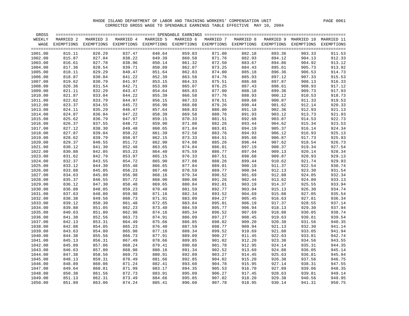| GROSS   |           |                                                                                                    |           |           |           |           |           |           |        |                       |
|---------|-----------|----------------------------------------------------------------------------------------------------|-----------|-----------|-----------|-----------|-----------|-----------|--------|-----------------------|
| WEEKLY  | MARRIED 2 | MARRIED 3                                                                                          | MARRIED 4 | MARRIED 5 | MARRIED 6 | MARRIED 7 | MARRIED 8 | MARRIED 9 |        | MARRIED 10 MARRIED 11 |
| WAGE    |           | EXEMPTIONS EXEMPTIONS EXEMPTIONS EXEMPTIONS EXEMPTIONS EXEMPTIONS EXEMPTIONS EXEMPTIONS EXEMPTIONS |           |           |           |           |           |           |        | EXEMPTIONS            |
|         |           |                                                                                                    |           |           |           |           |           |           |        |                       |
| 1001.00 | 815.11    | 826.29                                                                                             | 837.47    | 848.64    | 859.83    | 871.00    | 882.18    | 893.36    | 903.33 | 911.53                |
| 1002.00 | 815.87    | 827.04                                                                                             | 838.22    | 849.39    | 860.58    | 871.76    | 882.93    | 894.12    | 904.13 | 912.33                |
| 1003.00 | 816.61    | 827.78                                                                                             | 838.96    | 850.14    | 861.32    | 872.50    | 883.67    | 894.86    | 904.92 | 913.12                |
| 1004.00 | 817.36    | 828.54                                                                                             | 839.71    | 850.89    | 862.07    | 873.25    | 884.43    | 895.61    | 905.73 | 913.92                |
| 1005.00 | 818.11    | 829.29                                                                                             | 840.47    | 851.64    | 862.83    | 874.00    | 885.18    | 896.36    | 906.53 | 914.73                |
| 1006.00 | 818.87    | 830.04                                                                                             | 841.22    | 852.39    | 863.58    | 874.76    | 885.93    | 897.12    | 907.33 | 915.53                |
| 1007.00 | 819.62    | 830.79                                                                                             | 841.97    | 853.15    | 864.33    | 875.51    | 886.68    | 897.87    | 908.13 | 916.33                |
| 1008.00 | 820.36    | 831.54                                                                                             | 842.71    | 853.89    | 865.07    | 876.25    | 887.43    | 898.61    | 908.93 | 917.12                |
| 1009.00 | 821.11    | 832.29                                                                                             | 843.47    | 854.64    | 865.83    | 877.00    | 888.18    | 899.36    | 909.73 | 917.93                |
| 1010.00 | 821.87    | 833.04                                                                                             | 844.22    | 855.39    | 866.58    | 877.76    | 888.93    | 900.12    | 910.53 | 918.73                |
| 1011.00 | 822.62    | 833.79                                                                                             | 844.97    | 856.15    | 867.33    | 878.51    | 889.68    | 900.87    | 911.33 | 919.53                |
| 1012.00 | 823.37    | 834.55                                                                                             | 845.72    | 856.90    | 868.08    | 879.26    | 890.44    | 901.62    | 912.14 | 920.33                |
| 1013.00 | 824.11    | 835.29                                                                                             | 846.47    | 857.64    | 868.83    | 880.00    | 891.18    | 902.36    | 912.93 | 921.13                |
|         | 824.87    | 836.04                                                                                             | 847.22    | 858.39    | 869.58    | 880.76    | 891.93    | 903.12    | 913.73 | 921.93                |
| 1014.00 |           |                                                                                                    |           | 859.15    |           |           |           |           |        |                       |
| 1015.00 | 825.62    | 836.79                                                                                             | 847.97    |           | 870.33    | 881.51    | 892.68    | 903.87    | 914.53 | 922.73                |
| 1016.00 | 826.37    | 837.55                                                                                             | 848.72    | 859.90    | 871.08    | 882.26    | 893.44    | 904.62    | 915.34 | 923.53                |
| 1017.00 | 827.12    | 838.30                                                                                             | 849.48    | 860.65    | 871.84    | 883.01    | 894.19    | 905.37    | 916.14 | 924.34                |
| 1018.00 | 827.87    | 839.04                                                                                             | 850.22    | 861.39    | 872.58    | 883.76    | 894.93    | 906.12    | 916.93 | 925.13                |
| 1019.00 | 828.62    | 839.79                                                                                             | 850.97    | 862.15    | 873.33    | 884.51    | 895.68    | 906.87    | 917.73 | 925.93                |
| 1020.00 | 829.37    | 840.55                                                                                             | 851.72    | 862.90    | 874.08    | 885.26    | 896.44    | 907.62    | 918.54 | 926.73                |
| 1021.00 | 830.12    | 841.30                                                                                             | 852.48    | 863.65    | 874.84    | 886.01    | 897.19    | 908.37    | 919.34 | 927.54                |
| 1022.00 | 830.88    | 842.05                                                                                             | 853.23    | 864.40    | 875.59    | 886.77    | 897.94    | 909.13    | 920.14 | 928.34                |
| 1023.00 | 831.62    | 842.79                                                                                             | 853.97    | 865.15    | 876.33    | 887.51    | 898.68    | 909.87    | 920.93 | 929.13                |
| 1024.00 | 832.37    | 843.55                                                                                             | 854.72    | 865.90    | 877.08    | 888.26    | 899.44    | 910.62    | 921.74 | 929.93                |
| 1025.00 | 833.12    | 844.30                                                                                             | 855.48    | 866.65    | 877.84    | 889.01    | 900.19    | 911.37    | 922.54 | 930.74                |
| 1026.00 | 833.88    | 845.05                                                                                             | 856.23    | 867.40    | 878.59    | 889.77    | 900.94    | 912.13    | 923.30 | 931.54                |
| 1027.00 | 834.63    | 845.80                                                                                             | 856.98    | 868.16    | 879.34    | 890.52    | 901.69    | 912.88    | 924.05 | 932.34                |
| 1028.00 | 835.37    | 846.55                                                                                             | 857.72    | 868.90    | 880.08    | 891.26    | 902.44    | 913.62    | 924.80 | 933.13                |
| 1029.00 | 836.12    | 847.30                                                                                             | 858.48    | 869.65    | 880.84    | 892.01    | 903.19    | 914.37    | 925.55 | 933.94                |
| 1030.00 | 836.88    | 848.05                                                                                             | 859.23    | 870.40    | 881.59    | 892.77    | 903.94    | 915.13    | 926.30 | 934.74                |
| 1031.00 | 837.63    | 848.80                                                                                             | 859.98    | 871.16    | 882.34    | 893.52    | 904.69    | 915.88    | 927.05 | 935.54                |
| 1032.00 | 838.38    | 849.56                                                                                             | 860.73    | 871.91    | 883.09    | 894.27    | 905.45    | 916.63    | 927.81 | 936.34                |
| 1033.00 | 839.12    | 850.30                                                                                             | 861.48    | 872.65    | 883.84    | 895.01    | 906.19    | 917.37    | 928.55 | 937.14                |
| 1034.00 | 839.88    | 851.05                                                                                             | 862.23    | 873.40    | 884.59    | 895.77    | 906.94    | 918.13    | 929.30 | 937.94                |
| 1035.00 | 840.63    | 851.80                                                                                             | 862.98    | 874.16    | 885.34    | 896.52    | 907.69    | 918.88    | 930.05 | 938.74                |
| 1036.00 | 841.38    | 852.56                                                                                             | 863.73    | 874.91    | 886.09    | 897.27    | 908.45    | 919.63    | 930.81 | 939.54                |
| 1037.00 | 842.13    | 853.31                                                                                             | 864.49    | 875.66    | 886.85    | 898.02    | 909.20    | 920.38    | 931.56 | 940.35                |
| 1038.00 | 842.88    | 854.05                                                                                             | 865.23    | 876.40    | 887.59    | 898.77    | 909.94    | 921.13    | 932.30 | 941.14                |
| 1039.00 | 843.63    | 854.80                                                                                             | 865.98    | 877.16    | 888.34    | 899.52    | 910.69    | 921.88    | 933.05 | 941.94                |
| 1040.00 | 844.38    | 855.56                                                                                             | 866.73    | 877.91    | 889.09    | 900.27    | 911.45    | 922.63    | 933.81 | 942.74                |
| 1041.00 | 845.13    | 856.31                                                                                             | 867.49    | 878.66    | 889.85    | 901.02    | 912.20    | 923.38    | 934.56 | 943.55                |
| 1042.00 | 845.89    | 857.06                                                                                             | 868.24    | 879.41    | 890.60    | 901.78    | 912.95    | 924.14    | 935.31 | 944.35                |
| 1043.00 | 846.63    | 857.80                                                                                             | 868.98    | 880.16    | 891.34    | 902.52    | 913.69    | 924.88    | 936.05 | 945.14                |
| 1044.00 | 847.38    | 858.56                                                                                             | 869.73    | 880.91    | 892.09    | 903.27    | 914.45    | 925.63    | 936.81 | 945.94                |
| 1045.00 | 848.13    | 859.31                                                                                             | 870.49    | 881.66    | 892.85    | 904.02    | 915.20    | 926.38    | 937.56 | 946.75                |
| 1046.00 | 848.89    | 860.06                                                                                             | 871.24    | 882.41    | 893.60    | 904.78    | 915.95    | 927.14    | 938.31 | 947.55                |
| 1047.00 | 849.64    | 860.81                                                                                             | 871.99    | 883.17    | 894.35    | 905.53    | 916.70    | 927.89    | 939.06 | 948.35                |
| 1048.00 | 850.38    | 861.56                                                                                             | 872.73    | 883.91    | 895.09    | 906.27    | 917.45    | 928.63    | 939.81 | 949.14                |
| 1049.00 | 851.13    | 862.31                                                                                             | 873.49    | 884.66    | 895.85    | 907.02    | 918.20    | 929.38    | 940.56 | 949.95                |
| 1050.00 | 851.89    | 863.06                                                                                             | 874.24    | 885.41    | 896.60    | 907.78    | 918.95    | 930.14    | 941.31 | 950.75                |
|         |           |                                                                                                    |           |           |           |           |           |           |        |                       |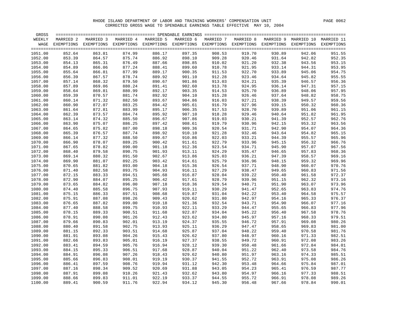| GROSS   |           |                                                                                                               |           |           |           |           |           |        |                                 |                 |
|---------|-----------|---------------------------------------------------------------------------------------------------------------|-----------|-----------|-----------|-----------|-----------|--------|---------------------------------|-----------------|
| WEEKLY  | MARRIED 2 | MARRIED 3                                                                                                     | MARRIED 4 | MARRIED 5 | MARRIED 6 | MARRIED 7 | MARRIED 8 |        | MARRIED 9 MARRIED 10 MARRIED 11 |                 |
| WAGE    |           | EXEMPTIONS EXEMPTIONS EXEMPTIONS EXEMPTIONS EXEMPTIONS EXEMPTIONS EXEMPTIONS EXEMPTIONS EXEMPTIONS EXEMPTIONS |           |           |           |           |           |        |                                 |                 |
|         |           |                                                                                                               |           |           |           |           |           |        |                                 | $=$ $=$ $=$ $=$ |
| 1051.00 | 852.64    | 863.81                                                                                                        | 874.99    | 886.17    | 897.35    | 908.53    | 919.70    | 930.89 | 942.06                          | 951.55          |
| 1052.00 | 853.39    | 864.57                                                                                                        | 875.74    | 886.92    | 898.10    | 909.28    | 920.46    | 931.64 | 942.82                          | 952.35          |
| 1053.00 | 854.13    | 865.31                                                                                                        | 876.49    | 887.66    | 898.85    | 910.02    | 921.20    | 932.38 | 943.56                          | 953.15          |
| 1054.00 | 854.89    | 866.06                                                                                                        | 877.24    | 888.41    | 899.60    | 910.78    | 921.95    | 933.14 | 944.31                          | 953.95          |
| 1055.00 | 855.64    | 866.81                                                                                                        | 877.99    | 889.17    | 900.35    | 911.53    | 922.70    | 933.89 | 945.06                          | 954.75          |
| 1056.00 | 856.39    | 867.57                                                                                                        | 878.74    | 889.92    | 901.10    | 912.28    | 923.46    | 934.64 | 945.82                          | 955.55          |
| 1057.00 | 857.14    | 868.32                                                                                                        | 879.50    | 890.67    | 901.86    | 913.03    | 924.21    | 935.39 | 946.57                          | 956.36          |
| 1058.00 | 857.89    | 869.06                                                                                                        | 880.24    | 891.41    | 902.60    | 913.78    | 924.95    | 936.14 | 947.31                          | 957.15          |
| 1059.00 | 858.64    | 869.81                                                                                                        | 880.99    | 892.17    | 903.35    | 914.53    | 925.70    | 936.89 | 948.06                          | 957.95          |
| 1060.00 | 859.39    | 870.57                                                                                                        | 881.74    | 892.92    | 904.10    | 915.28    | 926.46    | 937.64 | 948.82                          | 958.75          |
| 1061.00 | 860.14    | 871.32                                                                                                        | 882.50    | 893.67    | 904.86    | 916.03    | 927.21    | 938.39 | 949.57                          | 959.56          |
| 1062.00 | 860.90    | 872.07                                                                                                        | 883.25    | 894.42    | 905.61    | 916.79    | 927.96    | 939.15 | 950.32                          | 960.36          |
| 1063.00 | 861.64    | 872.81                                                                                                        | 883.99    | 895.17    | 906.35    | 917.53    | 928.70    | 939.89 | 951.06                          | 961.15          |
| 1064.00 | 862.39    | 873.57                                                                                                        | 884.74    | 895.92    | 907.10    | 918.28    | 929.46    | 940.64 | 951.82                          | 961.95          |
| 1065.00 | 863.14    | 874.32                                                                                                        | 885.50    | 896.67    | 907.86    | 919.03    | 930.21    | 941.39 | 952.57                          | 962.76          |
| 1066.00 | 863.90    | 875.07                                                                                                        | 886.25    | 897.42    | 908.61    | 919.79    | 930.96    | 942.15 | 953.32                          | 963.56          |
| 1067.00 | 864.65    | 875.82                                                                                                        | 887.00    | 898.18    | 909.36    | 920.54    | 931.71    | 942.90 | 954.07                          | 964.36          |
| 1068.00 | 865.39    | 876.57                                                                                                        | 887.74    | 898.92    | 910.10    | 921.28    | 932.46    | 943.64 | 954.82                          | 965.15          |
| 1069.00 | 866.14    | 877.32                                                                                                        | 888.50    | 899.67    | 910.86    | 922.03    | 933.21    | 944.39 | 955.57                          | 965.96          |
| 1070.00 | 866.90    | 878.07                                                                                                        | 889.25    | 900.42    | 911.61    | 922.79    | 933.96    | 945.15 | 956.32                          | 966.76          |
| 1071.00 | 867.65    | 878.82                                                                                                        | 890.00    | 901.18    | 912.36    | 923.54    | 934.71    | 945.90 | 957.07                          | 967.56          |
| 1072.00 | 868.40    | 879.58                                                                                                        | 890.75    | 901.93    | 913.11    | 924.29    | 935.47    | 946.65 | 957.83                          | 968.36          |
| 1073.00 | 869.14    | 880.32                                                                                                        | 891.50    | 902.67    | 913.86    | 925.03    | 936.21    | 947.39 | 958.57                          | 969.16          |
| 1074.00 | 869.90    | 881.07                                                                                                        | 892.25    | 903.42    | 914.61    | 925.79    | 936.96    | 948.15 | 959.32                          | 969.96          |
| 1075.00 | 870.65    | 881.82                                                                                                        | 893.00    | 904.18    | 915.36    | 926.54    | 937.71    | 948.90 | 960.07                          | 970.76          |
| 1076.00 | 871.40    | 882.58                                                                                                        | 893.75    | 904.93    | 916.11    | 927.29    | 938.47    | 949.65 | 960.83                          | 971.56          |
| 1077.00 | 872.15    | 883.33                                                                                                        | 894.51    | 905.68    | 916.87    | 928.04    | 939.22    | 950.40 | 961.58                          | 972.37          |
| 1078.00 | 872.90    | 884.07                                                                                                        | 895.25    | 906.42    | 917.61    | 928.79    | 939.96    | 951.15 | 962.32                          | 973.16          |
| 1079.00 | 873.65    | 884.82                                                                                                        | 896.00    | 907.18    | 918.36    | 929.54    | 940.71    | 951.90 | 963.07                          | 973.96          |
| 1080.00 | 874.40    | 885.58                                                                                                        | 896.75    | 907.93    | 919.11    | 930.29    | 941.47    | 952.65 | 963.83                          | 974.76          |
| 1081.00 | 875.15    | 886.33                                                                                                        | 897.51    | 908.68    | 919.87    | 931.04    | 942.22    | 953.40 | 964.58                          | 975.57          |
| 1082.00 | 875.91    | 887.08                                                                                                        | 898.26    | 909.43    | 920.62    | 931.80    | 942.97    | 954.16 | 965.33                          | 976.37          |
| 1083.00 | 876.65    | 887.82                                                                                                        | 899.00    | 910.18    | 921.36    | 932.54    | 943.71    | 954.90 | 966.07                          | 977.16          |
| 1084.00 | 877.40    | 888.58                                                                                                        | 899.75    | 910.93    | 922.11    | 933.29    | 944.47    | 955.65 | 966.83                          | 977.96          |
| 1085.00 | 878.15    | 889.33                                                                                                        | 900.51    | 911.68    | 922.87    | 934.04    | 945.22    | 956.40 | 967.58                          | 978.76          |
| 1086.00 | 878.91    | 890.08                                                                                                        | 901.26    | 912.43    | 923.62    | 934.80    | 945.97    | 957.16 | 968.33                          | 979.51          |
| 1087.00 | 879.66    | 890.83                                                                                                        | 902.01    | 913.19    | 924.37    | 935.55    | 946.72    | 957.91 | 969.08                          | 980.26          |
| 1088.00 | 880.40    | 891.58                                                                                                        | 902.75    | 913.93    | 925.11    | 936.29    | 947.47    | 958.65 | 969.83                          | 981.00          |
| 1089.00 | 881.15    | 892.33                                                                                                        | 903.51    | 914.68    | 925.87    | 937.04    | 948.22    | 959.40 | 970.58                          | 981.76          |
| 1090.00 | 881.91    | 893.08                                                                                                        | 904.26    | 915.43    | 926.62    | 937.80    | 948.97    | 960.16 | 971.33                          | 982.51          |
| 1091.00 | 882.66    | 893.83                                                                                                        | 905.01    | 916.19    | 927.37    | 938.55    | 949.72    | 960.91 | 972.08                          | 983.26          |
| 1092.00 | 883.41    | 894.59                                                                                                        | 905.76    | 916.94    | 928.12    | 939.30    | 950.48    | 961.66 | 972.84                          | 984.01          |
| 1093.00 | 884.15    | 895.33                                                                                                        | 906.51    | 917.68    | 928.87    | 940.04    | 951.22    | 962.40 | 973.58                          | 984.76          |
| 1094.00 | 884.91    | 896.08                                                                                                        | 907.26    | 918.43    | 929.62    | 940.80    | 951.97    | 963.16 | 974.33                          | 985.51          |
| 1095.00 | 885.66    | 896.83                                                                                                        | 908.01    | 919.19    | 930.37    | 941.55    | 952.72    | 963.91 | 975.08                          | 986.26          |
| 1096.00 | 886.41    | 897.59                                                                                                        | 908.76    | 919.94    | 931.12    | 942.30    | 953.48    | 964.66 | 975.84                          | 987.01          |
| 1097.00 | 887.16    | 898.34                                                                                                        | 909.52    | 920.69    | 931.88    | 943.05    | 954.23    | 965.41 | 976.59                          | 987.77          |
| 1098.00 | 887.91    | 899.08                                                                                                        | 910.26    | 921.43    | 932.62    | 943.80    | 954.97    | 966.16 | 977.33                          | 988.51          |
| 1099.00 | 888.66    | 899.83                                                                                                        | 911.01    | 922.19    | 933.37    | 944.55    | 955.72    | 966.91 | 978.08                          | 989.26          |
| 1100.00 | 889.41    | 900.59                                                                                                        | 911.76    | 922.94    | 934.12    | 945.30    | 956.48    | 967.66 | 978.84                          | 990.01          |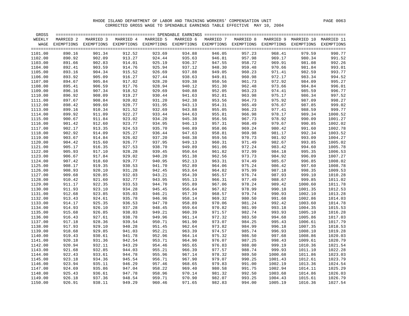| GROSS   |            |           |           |           | ============================= SPENDABLE EARNINGS ============================= |           |           |           |            |            |
|---------|------------|-----------|-----------|-----------|--------------------------------------------------------------------------------|-----------|-----------|-----------|------------|------------|
| WEEKLY  | MARRIED 2  | MARRIED 3 | MARRIED 4 | MARRIED 5 | MARRIED 6                                                                      | MARRIED 7 | MARRIED 8 | MARRIED 9 | MARRIED 10 | MARRIED 11 |
| WAGE    | EXEMPTIONS |           |           |           | EXEMPTIONS EXEMPTIONS EXEMPTIONS EXEMPTIONS EXEMPTIONS EXEMPTIONS EXEMPTIONS   |           |           |           | EXEMPTIONS | EXEMPTIONS |
|         |            |           |           |           |                                                                                |           |           |           |            |            |
| 1101.00 | 890.16     | 901.34    | 912.52    | 923.69    | 934.88                                                                         | 946.05    | 957.23    | 968.41    | 979.59     | 990.77     |
| 1102.00 | 890.92     | 902.09    | 913.27    | 924.44    | 935.63                                                                         | 946.81    | 957.98    | 969.17    | 980.34     | 991.52     |
| 1103.00 | 891.66     | 902.83    | 914.01    | 925.19    | 936.37                                                                         | 947.55    | 958.72    | 969.91    | 981.08     | 992.26     |
| 1104.00 | 892.41     | 903.59    | 914.76    | 925.94    | 937.12                                                                         | 948.30    | 959.48    | 970.66    | 981.84     | 993.01     |
| 1105.00 | 893.16     | 904.34    | 915.52    | 926.69    | 937.88                                                                         | 949.05    | 960.23    | 971.41    | 982.59     | 993.77     |
| 1106.00 | 893.92     | 905.09    | 916.27    | 927.44    | 938.63                                                                         | 949.81    | 960.98    | 972.17    | 983.34     | 994.52     |
| 1107.00 | 894.67     | 905.84    | 917.02    | 928.20    | 939.38                                                                         | 950.56    | 961.73    | 972.92    | 984.09     | 995.27     |
| 1108.00 | 895.41     | 906.59    | 917.76    | 928.94    | 940.12                                                                         | 951.30    | 962.48    | 973.66    | 984.84     | 996.01     |
| 1109.00 | 896.16     | 907.34    | 918.52    | 929.69    | 940.88                                                                         | 952.05    | 963.23    | 974.41    | 985.59     | 996.77     |
| 1110.00 | 896.92     | 908.09    | 919.27    | 930.44    | 941.63                                                                         | 952.81    | 963.98    | 975.17    | 986.34     | 997.52     |
| 1111.00 | 897.67     | 908.84    | 920.02    | 931.20    | 942.38                                                                         | 953.56    | 964.73    | 975.92    | 987.09     | 998.27     |
| 1112.00 | 898.42     | 909.60    | 920.77    | 931.95    | 943.13                                                                         | 954.31    | 965.49    | 976.67    | 987.85     | 999.02     |
| 1113.00 |            | 910.34    | 921.52    | 932.69    | 943.88                                                                         | 955.05    | 966.23    | 977.41    | 988.59     | 999.77     |
|         | 899.16     |           |           |           |                                                                                |           |           |           |            |            |
| 1114.00 | 899.92     | 911.09    | 922.27    | 933.44    | 944.63                                                                         | 955.81    | 966.98    | 978.17    | 989.34     | 1000.52    |
| 1115.00 | 900.67     | 911.84    | 923.02    | 934.20    | 945.38                                                                         | 956.56    | 967.73    | 978.92    | 990.09     | 1001.27    |
| 1116.00 | 901.42     | 912.60    | 923.77    | 934.95    | 946.13                                                                         | 957.31    | 968.49    | 979.67    | 990.85     | 1002.02    |
| 1117.00 | 902.17     | 913.35    | 924.53    | 935.70    | 946.89                                                                         | 958.06    | 969.24    | 980.42    | 991.60     | 1002.78    |
| 1118.00 | 902.92     | 914.09    | 925.27    | 936.44    | 947.63                                                                         | 958.81    | 969.98    | 981.17    | 992.34     | 1003.52    |
| 1119.00 | 903.67     | 914.84    | 926.02    | 937.20    | 948.38                                                                         | 959.56    | 970.73    | 981.92    | 993.09     | 1004.27    |
| 1120.00 | 904.42     | 915.60    | 926.77    | 937.95    | 949.13                                                                         | 960.31    | 971.49    | 982.67    | 993.85     | 1005.02    |
| 1121.00 | 905.17     | 916.35    | 927.53    | 938.70    | 949.89                                                                         | 961.06    | 972.24    | 983.42    | 994.60     | 1005.78    |
| 1122.00 | 905.93     | 917.10    | 928.28    | 939.45    | 950.64                                                                         | 961.82    | 972.99    | 984.18    | 995.35     | 1006.53    |
| 1123.00 | 906.67     | 917.84    | 929.02    | 940.20    | 951.38                                                                         | 962.56    | 973.73    | 984.92    | 996.09     | 1007.27    |
| 1124.00 | 907.42     | 918.60    | 929.77    | 940.95    | 952.13                                                                         | 963.31    | 974.49    | 985.67    | 996.85     | 1008.02    |
| 1125.00 | 908.17     | 919.35    | 930.53    | 941.70    | 952.89                                                                         | 964.06    | 975.24    | 986.42    | 997.60     | 1008.78    |
| 1126.00 | 908.93     | 920.10    | 931.28    | 942.45    | 953.64                                                                         | 964.82    | 975.99    | 987.18    | 998.35     | 1009.53    |
| 1127.00 | 909.68     | 920.85    | 932.03    | 943.21    | 954.39                                                                         | 965.57    | 976.74    | 987.93    | 999.10     | 1010.28    |
| 1128.00 | 910.42     | 921.60    | 932.77    | 943.95    | 955.13                                                                         | 966.31    | 977.49    | 988.67    | 999.85     | 1011.02    |
| 1129.00 | 911.17     | 922.35    | 933.53    | 944.70    | 955.89                                                                         | 967.06    | 978.24    | 989.42    | 1000.60    | 1011.78    |
| 1130.00 | 911.93     | 923.10    | 934.28    | 945.45    | 956.64                                                                         | 967.82    | 978.99    | 990.18    | 1001.35    | 1012.53    |
| 1131.00 | 912.68     | 923.85    | 935.03    | 946.21    | 957.39                                                                         | 968.57    | 979.74    | 990.93    | 1002.10    | 1013.28    |
| 1132.00 | 913.43     | 924.61    | 935.78    | 946.96    | 958.14                                                                         | 969.32    | 980.50    | 991.68    | 1002.86    | 1014.03    |
| 1133.00 | 914.17     | 925.35    | 936.53    | 947.70    | 958.89                                                                         | 970.06    | 981.24    | 992.42    | 1003.60    | 1014.78    |
| 1134.00 | 914.93     | 926.10    | 937.28    | 948.45    | 959.64                                                                         | 970.82    | 981.99    | 993.18    | 1004.35    | 1015.53    |
| 1135.00 | 915.68     | 926.85    | 938.03    | 949.21    | 960.39                                                                         | 971.57    | 982.74    | 993.93    | 1005.10    | 1016.28    |
| 1136.00 | 916.43     | 927.61    | 938.78    | 949.96    | 961.14                                                                         | 972.32    | 983.50    | 994.68    | 1005.86    | 1017.03    |
| 1137.00 | 917.18     | 928.36    | 939.54    | 950.71    | 961.90                                                                         | 973.07    | 984.25    | 995.43    | 1006.61    | 1017.79    |
| 1138.00 | 917.93     | 929.10    | 940.28    | 951.45    | 962.64                                                                         | 973.82    | 984.99    | 996.18    | 1007.35    | 1018.53    |
| 1139.00 | 918.68     | 929.85    | 941.03    | 952.21    | 963.39                                                                         | 974.57    | 985.74    | 996.93    | 1008.10    | 1019.28    |
| 1140.00 | 919.43     | 930.61    | 941.78    | 952.96    | 964.14                                                                         | 975.32    | 986.50    | 997.68    | 1008.86    | 1020.03    |
| 1141.00 | 920.18     | 931.36    | 942.54    | 953.71    | 964.90                                                                         | 976.07    | 987.25    | 998.43    | 1009.61    | 1020.79    |
| 1142.00 | 920.94     | 932.11    | 943.29    | 954.46    | 965.65                                                                         | 976.83    | 988.00    | 999.19    | 1010.36    | 1021.54    |
| 1143.00 | 921.68     | 932.85    | 944.03    | 955.21    | 966.39                                                                         | 977.57    | 988.74    | 999.93    | 1011.10    | 1022.28    |
| 1144.00 | 922.43     | 933.61    | 944.78    | 955.96    | 967.14                                                                         | 978.32    | 989.50    | 1000.68   | 1011.86    | 1023.03    |
| 1145.00 | 923.18     | 934.36    | 945.54    | 956.71    | 967.90                                                                         | 979.07    | 990.25    | 1001.43   | 1012.61    | 1023.79    |
| 1146.00 | 923.94     | 935.11    | 946.29    | 957.46    | 968.65                                                                         | 979.83    | 991.00    | 1002.19   | 1013.36    | 1024.54    |
| 1147.00 | 924.69     | 935.86    | 947.04    | 958.22    | 969.40                                                                         | 980.58    | 991.75    | 1002.94   | 1014.11    | 1025.29    |
| 1148.00 | 925.43     | 936.61    | 947.78    | 958.96    | 970.14                                                                         | 981.32    | 992.50    | 1003.68   | 1014.86    | 1026.03    |
| 1149.00 | 926.18     | 937.36    | 948.54    | 959.71    | 970.90                                                                         | 982.07    | 993.25    | 1004.43   | 1015.61    | 1026.79    |
|         |            |           | 949.29    |           |                                                                                |           |           |           |            |            |
| 1150.00 | 926.91     | 938.11    |           | 960.46    | 971.65                                                                         | 982.83    | 994.00    | 1005.19   | 1016.36    | 1027.54    |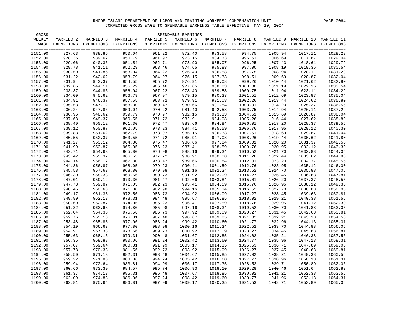| GROSS   |            |           |           |           |           |                                                                              |           |           |            |            |
|---------|------------|-----------|-----------|-----------|-----------|------------------------------------------------------------------------------|-----------|-----------|------------|------------|
| WEEKLY  | MARRIED 2  | MARRIED 3 | MARRIED 4 | MARRIED 5 | MARRIED 6 | MARRIED 7                                                                    | MARRIED 8 | MARRIED 9 | MARRIED 10 | MARRIED 11 |
| WAGE    | EXEMPTIONS |           |           |           |           | EXEMPTIONS EXEMPTIONS EXEMPTIONS EXEMPTIONS EXEMPTIONS EXEMPTIONS EXEMPTIONS |           |           | EXEMPTIONS | EXEMPTIONS |
|         |            |           |           |           |           |                                                                              |           |           |            |            |
| 1151.00 | 927.63     | 938.86    | 950.04    | 961.22    | 972.40    | 983.58                                                                       | 994.75    | 1005.94   | 1017.11    | 1028.29    |
| 1152.00 | 928.35     | 939.62    | 950.79    | 961.97    | 973.15    | 984.33                                                                       | 995.51    | 1006.69   | 1017.87    | 1029.04    |
| 1153.00 | 929.06     | 940.36    | 951.54    | 962.71    | 973.90    | 985.07                                                                       | 996.25    | 1007.43   | 1018.61    | 1029.79    |
| 1154.00 | 929.78     | 941.11    | 952.29    | 963.46    | 974.65    | 985.83                                                                       | 997.00    | 1008.19   | 1019.36    | 1030.54    |
| 1155.00 | 930.50     | 941.86    | 953.04    | 964.22    | 975.40    | 986.58                                                                       | 997.75    | 1008.94   | 1020.11    | 1031.29    |
| 1156.00 | 931.22     | 942.62    | 953.79    | 964.97    | 976.15    | 987.33                                                                       | 998.51    | 1009.69   | 1020.87    | 1032.04    |
| 1157.00 | 931.94     | 943.37    | 954.55    | 965.72    | 976.91    | 988.08                                                                       | 999.26    | 1010.44   | 1021.62    | 1032.80    |
| 1158.00 | 932.65     | 944.11    | 955.29    | 966.46    | 977.65    | 988.83                                                                       | 1000.00   | 1011.19   | 1022.36    | 1033.54    |
| 1159.00 | 933.37     | 944.86    | 956.04    | 967.22    | 978.40    | 989.58                                                                       | 1000.75   | 1011.94   | 1023.11    | 1034.29    |
| 1160.00 | 934.09     | 945.62    | 956.79    | 967.97    | 979.15    | 990.33                                                                       | 1001.51   | 1012.69   | 1023.87    | 1035.04    |
| 1161.00 | 934.81     | 946.37    | 957.55    | 968.72    | 979.91    | 991.08                                                                       | 1002.26   | 1013.44   | 1024.62    | 1035.80    |
| 1162.00 | 935.53     | 947.12    | 958.30    | 969.47    | 980.66    | 991.84                                                                       | 1003.01   | 1014.20   | 1025.37    | 1036.55    |
|         |            |           |           |           |           |                                                                              |           |           |            |            |
| 1163.00 | 936.24     | 947.86    | 959.04    | 970.22    | 981.40    | 992.58                                                                       | 1003.75   | 1014.94   | 1026.11    | 1037.29    |
| 1164.00 | 936.96     | 948.62    | 959.79    | 970.97    | 982.15    | 993.33                                                                       | 1004.51   | 1015.69   | 1026.87    | 1038.04    |
| 1165.00 | 937.68     | 949.37    | 960.55    | 971.72    | 982.91    | 994.08                                                                       | 1005.26   | 1016.44   | 1027.62    | 1038.80    |
| 1166.00 | 938.40     | 950.12    | 961.30    | 972.47    | 983.66    | 994.84                                                                       | 1006.01   | 1017.20   | 1028.37    | 1039.55    |
| 1167.00 | 939.12     | 950.87    | 962.05    | 973.23    | 984.41    | 995.59                                                                       | 1006.76   | 1017.95   | 1029.12    | 1040.30    |
| 1168.00 | 939.83     | 951.62    | 962.79    | 973.97    | 985.15    | 996.33                                                                       | 1007.51   | 1018.69   | 1029.87    | 1041.04    |
| 1169.00 | 940.55     | 952.37    | 963.55    | 974.72    | 985.91    | 997.08                                                                       | 1008.26   | 1019.44   | 1030.62    | 1041.80    |
| 1170.00 | 941.27     | 953.12    | 964.30    | 975.47    | 986.66    | 997.84                                                                       | 1009.01   | 1020.20   | 1031.37    | 1042.55    |
| 1171.00 | 941.99     | 953.87    | 965.05    | 976.23    | 987.41    | 998.59                                                                       | 1009.76   | 1020.95   | 1032.12    | 1043.30    |
| 1172.00 | 942.71     | 954.63    | 965.80    | 976.98    | 988.16    | 999.34                                                                       | 1010.52   | 1021.70   | 1032.88    | 1044.05    |
| 1173.00 | 943.42     | 955.37    | 966.55    | 977.72    | 988.91    | 1000.08                                                                      | 1011.26   | 1022.44   | 1033.62    | 1044.80    |
| 1174.00 | 944.14     | 956.12    | 967.30    | 978.47    | 989.66    | 1000.84                                                                      | 1012.01   | 1023.20   | 1034.37    | 1045.55    |
| 1175.00 | 944.86     | 956.87    | 968.05    | 979.23    | 990.41    | 1001.59                                                                      | 1012.76   | 1023.95   | 1035.12    | 1046.30    |
| 1176.00 | 945.58     | 957.63    | 968.80    | 979.98    | 991.16    | 1002.34                                                                      | 1013.52   | 1024.70   | 1035.88    | 1047.05    |
| 1177.00 | 946.30     | 958.38    | 969.56    | 980.73    | 991.92    | 1003.09                                                                      | 1014.27   | 1025.45   | 1036.63    | 1047.81    |
| 1178.00 | 947.01     | 959.12    | 970.30    | 981.47    | 992.66    | 1003.84                                                                      | 1015.01   | 1026.20   | 1037.37    | 1048.55    |
| 1179.00 | 947.73     | 959.87    | 971.05    | 982.23    | 993.41    | 1004.59                                                                      | 1015.76   | 1026.95   | 1038.12    | 1049.30    |
| 1180.00 | 948.45     | 960.63    | 971.80    | 982.98    | 994.16    | 1005.34                                                                      | 1016.52   | 1027.70   | 1038.88    | 1050.05    |
| 1181.00 | 949.17     | 961.38    | 972.56    | 983.73    | 994.92    | 1006.09                                                                      | 1017.27   | 1028.45   | 1039.63    | 1050.81    |
| 1182.00 | 949.89     | 962.13    | 973.31    | 984.48    | 995.67    | 1006.85                                                                      | 1018.02   | 1029.21   | 1040.38    | 1051.56    |
| 1183.00 | 950.60     | 962.87    | 974.05    | 985.23    | 996.41    | 1007.59                                                                      | 1018.76   | 1029.95   | 1041.12    | 1052.30    |
| 1184.00 | 951.32     | 963.63    | 974.80    | 985.98    | 997.16    | 1008.34                                                                      | 1019.52   | 1030.70   | 1041.88    | 1053.05    |
| 1185.00 | 952.04     | 964.38    | 975.56    | 986.73    | 997.92    | 1009.09                                                                      | 1020.27   | 1031.45   | 1042.63    | 1053.81    |
| 1186.00 | 952.76     | 965.13    | 976.31    | 987.48    | 998.67    | 1009.85                                                                      | 1021.02   | 1032.21   | 1043.38    | 1054.56    |
| 1187.00 | 953.48     | 965.88    | 977.06    | 988.24    | 999.42    | 1010.60                                                                      | 1021.77   | 1032.96   | 1044.13    | 1055.31    |
| 1188.00 | 954.19     | 966.63    | 977.80    | 988.98    | 1000.16   | 1011.34                                                                      | 1022.52   | 1033.70   | 1044.88    | 1056.05    |
| 1189.00 | 954.91     | 967.38    | 978.56    | 989.73    | 1000.92   | 1012.09                                                                      | 1023.27   | 1034.45   | 1045.63    | 1056.81    |
| 1190.00 | 955.63     | 968.13    | 979.31    | 990.48    | 1001.67   | 1012.85                                                                      | 1024.02   | 1035.21   | 1046.38    | 1057.56    |
| 1191.00 | 956.35     | 968.88    | 980.06    | 991.24    | 1002.42   | 1013.60                                                                      | 1024.77   | 1035.96   | 1047.13    | 1058.31    |
| 1192.00 | 957.07     | 969.64    | 980.81    | 991.99    | 1003.17   | 1014.35                                                                      | 1025.53   | 1036.71   | 1047.89    | 1059.06    |
| 1193.00 | 957.78     | 970.38    | 981.56    | 992.73    | 1003.92   | 1015.09                                                                      | 1026.27   | 1037.45   | 1048.63    | 1059.81    |
| 1194.00 | 958.50     | 971.13    | 982.31    | 993.48    | 1004.67   | 1015.85                                                                      | 1027.02   | 1038.21   | 1049.38    | 1060.56    |
| 1195.00 | 959.22     | 971.88    | 983.06    | 994.24    | 1005.42   | 1016.60                                                                      | 1027.77   | 1038.96   | 1050.13    | 1061.31    |
| 1196.00 | 959.94     | 972.64    | 983.81    | 994.99    | 1006.17   | 1017.35                                                                      | 1028.53   | 1039.71   | 1050.89    | 1062.06    |
| 1197.00 | 960.66     | 973.39    | 984.57    | 995.74    | 1006.93   | 1018.10                                                                      | 1029.28   | 1040.46   | 1051.64    | 1062.82    |
| 1198.00 | 961.37     | 974.13    | 985.31    | 996.48    | 1007.67   | 1018.85                                                                      | 1030.02   | 1041.21   | 1052.38    | 1063.56    |
| 1199.00 | 962.09     | 974.88    | 986.06    | 997.24    | 1008.42   | 1019.60                                                                      | 1030.77   | 1041.96   | 1053.13    | 1064.31    |
|         |            |           |           |           |           |                                                                              |           |           |            |            |
| 1200.00 | 962.81     | 975.64    | 986.81    | 997.99    | 1009.17   | 1020.35                                                                      | 1031.53   | 1042.71   | 1053.89    | 1065.06    |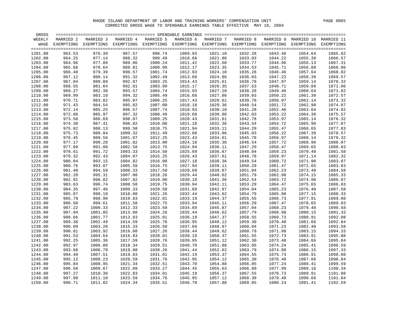| GROSS   |           |                                                                                                               |           |           |                    |           |                    |                    |                                 |             |
|---------|-----------|---------------------------------------------------------------------------------------------------------------|-----------|-----------|--------------------|-----------|--------------------|--------------------|---------------------------------|-------------|
| WEEKLY  | MARRIED 2 | MARRIED 3                                                                                                     | MARRIED 4 | MARRIED 5 | MARRIED 6          | MARRIED 7 | MARRIED 8          |                    | MARRIED 9 MARRIED 10 MARRIED 11 |             |
| WAGE    |           | EXEMPTIONS EXEMPTIONS EXEMPTIONS EXEMPTIONS EXEMPTIONS EXEMPTIONS EXEMPTIONS EXEMPTIONS EXEMPTIONS EXEMPTIONS |           |           |                    |           |                    |                    |                                 |             |
|         |           |                                                                                                               |           |           |                    |           |                    |                    |                                 | $=$ $=$ $=$ |
| 1201.00 | 963.53    | 976.39                                                                                                        | 987.57    | 998.74    | 1009.93            | 1021.10   | 1032.28            | 1043.46            | 1054.64                         | 1065.82     |
| 1202.00 | 964.25    | 977.14                                                                                                        | 988.32    | 999.49    | 1010.68            | 1021.86   | 1033.03            | 1044.22            | 1055.39                         | 1066.57     |
| 1203.00 | 964.96    | 977.88                                                                                                        | 989.06    | 1000.24   | 1011.42            | 1022.60   | 1033.77            | 1044.96            | 1056.13                         | 1067.31     |
| 1204.00 | 965.68    | 978.64                                                                                                        | 989.81    | 1000.99   | 1012.17            | 1023.35   | 1034.53            | 1045.71            | 1056.89                         | 1068.06     |
| 1205.00 | 966.40    | 979.39                                                                                                        | 990.57    | 1001.74   | 1012.93            | 1024.10   | 1035.28            | 1046.46            | 1057.64                         | 1068.82     |
| 1206.00 | 967.12    | 980.14                                                                                                        | 991.32    | 1002.49   | 1013.68            | 1024.86   | 1036.03            | 1047.22            | 1058.39                         | 1069.57     |
| 1207.00 | 967.84    | 980.89                                                                                                        | 992.07    | 1003.25   | 1014.43            | 1025.61   | 1036.78            | 1047.97            | 1059.14                         | 1070.32     |
| 1208.00 | 968.55    | 981.64                                                                                                        | 992.81    | 1003.99   | 1015.17            | 1026.35   | 1037.53            | 1048.71            | 1059.89                         | 1071.06     |
| 1209.00 | 969.27    | 982.38                                                                                                        | 993.57    | 1004.74   | 1015.93            | 1027.10   | 1038.28            | 1049.46            | 1060.64                         | 1071.82     |
|         | 969.99    |                                                                                                               | 994.32    | 1005.49   | 1016.68            |           | 1039.03            |                    | 1061.39                         | 1072.57     |
| 1210.00 | 970.71    | 983.10<br>983.82                                                                                              | 995.07    | 1006.25   | 1017.43            | 1027.86   |                    | 1050.22<br>1050.97 | 1062.14                         | 1073.32     |
| 1211.00 |           |                                                                                                               |           |           |                    | 1028.61   | 1039.78            |                    |                                 |             |
| 1212.00 | 971.43    | 984.54                                                                                                        | 995.82    | 1007.00   | 1018.18            | 1029.36   | 1040.54            | 1051.72            | 1062.90                         | 1074.07     |
| 1213.00 | 972.14    | 985.25                                                                                                        | 996.57    | 1007.74   | 1018.93            | 1030.10   | 1041.28            | 1052.46            | 1063.64                         | 1074.82     |
| 1214.00 | 972.86    | 985.97                                                                                                        | 997.32    | 1008.49   | 1019.68            | 1030.86   | 1042.03            | 1053.22            | 1064.39                         | 1075.57     |
| 1215.00 | 973.58    | 986.69                                                                                                        | 998.07    | 1009.25   | 1020.43            | 1031.61   | 1042.78            | 1053.97            | 1065.14                         | 1076.32     |
| 1216.00 | 974.30    | 987.41                                                                                                        | 998.82    | 1010.00   | 1021.18            | 1032.36   | 1043.54            | 1054.72            | 1065.90                         | 1077.07     |
| 1217.00 | 975.02    | 988.13                                                                                                        | 999.58    | 1010.75   | 1021.94            | 1033.11   | 1044.29            | 1055.47            | 1066.65                         | 1077.83     |
| 1218.00 | 975.73    | 988.84                                                                                                        | 1000.32   | 1011.49   | 1022.68            | 1033.86   | 1045.03            | 1056.22            | 1067.39                         | 1078.57     |
| 1219.00 | 976.45    | 989.56                                                                                                        | 1001.07   | 1012.25   | 1023.43            | 1034.61   | 1045.78            | 1056.97            | 1068.14                         | 1079.32     |
| 1220.00 | 977.17    | 990.28                                                                                                        | 1001.82   | 1013.00   | 1024.18            | 1035.36   | 1046.54            | 1057.72            | 1068.90                         | 1080.07     |
| 1221.00 | 977.89    | 991.00                                                                                                        | 1002.58   | 1013.75   | 1024.94            | 1036.11   | 1047.29            | 1058.47            | 1069.65                         | 1080.83     |
| 1222.00 | 978.61    | 991.72                                                                                                        | 1003.33   | 1014.50   | 1025.69            | 1036.87   | 1048.04            | 1059.23            | 1070.40                         | 1081.58     |
| 1223.00 | 979.32    | 992.43                                                                                                        | 1004.07   | 1015.25   | 1026.43            | 1037.61   | 1048.78            | 1059.97            | 1071.14                         | 1082.32     |
| 1224.00 | 980.04    | 993.15                                                                                                        | 1004.82   | 1016.00   | 1027.18            | 1038.36   | 1049.54            | 1060.72            | 1071.90                         | 1083.07     |
| 1225.00 | 980.76    | 993.87                                                                                                        | 1005.58   | 1016.75   | 1027.94            | 1039.11   | 1050.29            | 1061.47            | 1072.65                         | 1083.83     |
| 1226.00 | 981.48    | 994.59                                                                                                        | 1006.33   | 1017.50   | 1028.69            | 1039.87   | 1051.04            | 1062.23            | 1073.40                         | 1084.58     |
| 1227.00 | 982.20    | 995.31                                                                                                        | 1007.08   | 1018.26   | 1029.44            | 1040.62   | 1051.79            | 1062.98            | 1074.15                         | 1085.33     |
| 1228.00 | 982.91    | 996.02                                                                                                        | 1007.82   | 1019.00   | 1030.18            | 1041.36   | 1052.54            | 1063.72            | 1074.90                         | 1086.07     |
| 1229.00 | 983.63    | 996.74                                                                                                        | 1008.58   | 1019.75   | 1030.94            | 1042.11   | 1053.29            | 1064.47            | 1075.65                         | 1086.83     |
| 1230.00 | 984.35    | 997.46                                                                                                        | 1009.33   | 1020.50   | 1031.69            | 1042.87   | 1054.04            | 1065.23            | 1076.40                         | 1087.58     |
| 1231.00 | 985.07    | 998.18                                                                                                        | 1010.08   | 1021.26   | 1032.44            | 1043.62   | 1054.79            | 1065.98            | 1077.15                         | 1088.33     |
| 1232.00 | 985.79    | 998.90                                                                                                        | 1010.83   | 1022.01   | 1033.19            | 1044.37   | 1055.55            | 1066.73            | 1077.91                         | 1089.08     |
| 1233.00 | 986.50    | 999.61                                                                                                        | 1011.58   | 1022.75   | 1033.94            | 1045.11   | 1056.29            | 1067.47            | 1078.65                         | 1089.83     |
| 1234.00 | 987.22    | 1000.33                                                                                                       | 1012.33   | 1023.50   | 1034.69            | 1045.87   | 1057.04            | 1068.23            | 1079.40                         | 1090.58     |
| 1235.00 | 987.94    | 1001.05                                                                                                       | 1013.08   | 1024.26   | 1035.44            | 1046.62   | 1057.79            | 1068.98            | 1080.15                         | 1091.33     |
| 1236.00 | 988.66    | 1001.77                                                                                                       | 1013.83   | 1025.01   | 1036.19            | 1047.37   | 1058.55            | 1069.73            | 1080.91                         | 1092.08     |
| 1237.00 | 989.38    | 1002.49                                                                                                       | 1014.59   | 1025.76   | 1036.95            | 1048.12   | 1059.30            | 1070.48            | 1081.66                         | 1092.84     |
| 1238.00 | 990.09    | 1003.20                                                                                                       | 1015.33   | 1026.50   | 1037.69            | 1048.87   | 1060.04            | 1071.23            | 1082.40                         | 1093.58     |
| 1239.00 | 990.81    | 1003.92                                                                                                       | 1016.08   | 1027.26   | 1038.44            | 1049.62   | 1060.79            | 1071.98            | 1083.15                         | 1094.33     |
| 1240.00 | 991.53    | 1004.64                                                                                                       | 1016.83   | 1028.01   | 1039.19            | 1050.37   | 1061.55            | 1072.73            | 1083.91                         | 1095.08     |
| 1241.00 | 992.25    | 1005.36                                                                                                       | 1017.59   | 1028.76   | 1039.95            | 1051.12   | 1062.30            | 1073.48            | 1084.66                         | 1095.84     |
| 1242.00 | 992.97    | 1006.08                                                                                                       | 1018.34   | 1029.51   | 1040.70            | 1051.88   | 1063.05            | 1074.24            | 1085.41                         | 1096.59     |
|         |           | 1006.79                                                                                                       |           | 1030.26   |                    |           |                    |                    |                                 | 1097.33     |
| 1243.00 | 993.68    | 1007.51                                                                                                       | 1019.08   |           | 1041.44<br>1042.19 | 1052.62   | 1063.79<br>1064.55 | 1074.98            | 1086.15                         | 1098.08     |
| 1244.00 | 994.40    |                                                                                                               | 1019.83   | 1031.01   |                    | 1053.37   |                    | 1075.73            | 1086.91                         |             |
| 1245.00 | 995.12    | 1008.23                                                                                                       | 1020.59   | 1031.76   | 1042.95            | 1054.12   | 1065.30            | 1076.48            | 1087.66                         | 1098.84     |
| 1246.00 | 995.84    | 1008.95                                                                                                       | 1021.34   | 1032.51   | 1043.70            | 1054.88   | 1066.05            | 1077.24            | 1088.41                         | 1099.59     |
| 1247.00 | 996.56    | 1009.67                                                                                                       | 1022.09   | 1033.27   | 1044.45            | 1055.63   | 1066.80            | 1077.99            | 1089.16                         | 1100.34     |
| 1248.00 | 997.27    | 1010.38                                                                                                       | 1022.83   | 1034.01   | 1045.19            | 1056.37   | 1067.55            | 1078.73            | 1089.91                         | 1101.08     |
| 1249.00 | 997.99    | 1011.10                                                                                                       | 1023.59   | 1034.76   | 1045.95            | 1057.12   | 1068.30            | 1079.48            | 1090.66                         | 1101.84     |
| 1250.00 | 998.71    | 1011.82                                                                                                       | 1024.34   | 1035.51   | 1046.70            | 1057.88   | 1069.05            | 1080.24            | 1091.41                         | 1102.59     |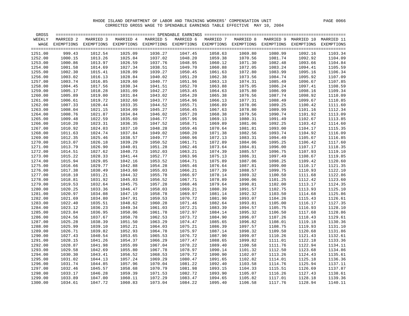| GROSS   |           |                                  |           |           |           |                                                                   |           |         |                                 |            |
|---------|-----------|----------------------------------|-----------|-----------|-----------|-------------------------------------------------------------------|-----------|---------|---------------------------------|------------|
| WEEKLY  | MARRIED 2 | MARRIED 3                        | MARRIED 4 | MARRIED 5 | MARRIED 6 | MARRIED 7                                                         | MARRIED 8 |         | MARRIED 9 MARRIED 10 MARRIED 11 |            |
| WAGE    |           | EXEMPTIONS EXEMPTIONS EXEMPTIONS |           |           |           | EXEMPTIONS EXEMPTIONS EXEMPTIONS EXEMPTIONS EXEMPTIONS EXEMPTIONS |           |         |                                 | EXEMPTIONS |
|         |           |                                  |           |           |           |                                                                   |           |         |                                 |            |
| 1251.00 | 999.43    | 1012.54                          | 1025.09   | 1036.27   | 1047.45   | 1058.63                                                           | 1069.80   | 1080.99 | 1092.16                         | 1103.34    |
| 1252.00 | 1000.15   | 1013.26                          | 1025.84   | 1037.02   | 1048.20   | 1059.38                                                           | 1070.56   | 1081.74 | 1092.92                         | 1104.09    |
| 1253.00 | 1000.86   | 1013.97                          | 1026.59   | 1037.76   | 1048.95   | 1060.12                                                           | 1071.30   | 1082.48 | 1093.66                         | 1104.84    |
| 1254.00 | 1001.58   | 1014.69                          | 1027.34   | 1038.51   | 1049.70   | 1060.88                                                           | 1072.05   | 1083.24 | 1094.41                         | 1105.59    |
| 1255.00 | 1002.30   | 1015.41                          | 1028.09   | 1039.27   | 1050.45   | 1061.63                                                           | 1072.80   | 1083.99 | 1095.16                         | 1106.34    |
| 1256.00 | 1003.02   | 1016.13                          | 1028.84   | 1040.02   | 1051.20   | 1062.38                                                           | 1073.56   | 1084.74 | 1095.92                         | 1107.09    |
| 1257.00 | 1003.74   | 1016.85                          | 1029.60   | 1040.77   | 1051.96   | 1063.13                                                           | 1074.31   | 1085.49 | 1096.67                         | 1107.85    |
|         |           |                                  |           |           |           |                                                                   |           |         |                                 |            |
| 1258.00 | 1004.45   | 1017.56                          | 1030.34   | 1041.51   | 1052.70   | 1063.88                                                           | 1075.05   | 1086.24 | 1097.41                         | 1108.59    |
| 1259.00 | 1005.17   | 1018.28                          | 1031.09   | 1042.27   | 1053.45   | 1064.63                                                           | 1075.80   | 1086.99 | 1098.16                         | 1109.34    |
| 1260.00 | 1005.89   | 1019.00                          | 1031.84   | 1043.02   | 1054.20   | 1065.38                                                           | 1076.56   | 1087.74 | 1098.92                         | 1110.09    |
| 1261.00 | 1006.61   | 1019.72                          | 1032.60   | 1043.77   | 1054.96   | 1066.13                                                           | 1077.31   | 1088.49 | 1099.67                         | 1110.85    |
| 1262.00 | 1007.33   | 1020.44                          | 1033.35   | 1044.52   | 1055.71   | 1066.89                                                           | 1078.06   | 1089.25 | 1100.42                         | 1111.60    |
| 1263.00 | 1008.04   | 1021.15                          | 1034.09   | 1045.27   | 1056.45   | 1067.63                                                           | 1078.80   | 1089.99 | 1101.16                         | 1112.34    |
| 1264.00 | 1008.76   | 1021.87                          | 1034.84   | 1046.02   | 1057.20   | 1068.38                                                           | 1079.56   | 1090.74 | 1101.92                         | 1113.09    |
| 1265.00 | 1009.48   | 1022.59                          | 1035.60   | 1046.77   | 1057.96   | 1069.13                                                           | 1080.31   | 1091.49 | 1102.67                         | 1113.85    |
| 1266.00 | 1010.20   | 1023.31                          | 1036.35   | 1047.52   | 1058.71   | 1069.89                                                           | 1081.06   | 1092.25 | 1103.42                         | 1114.60    |
| 1267.00 | 1010.92   | 1024.03                          | 1037.10   | 1048.28   | 1059.46   | 1070.64                                                           | 1081.81   | 1093.00 | 1104.17                         | 1115.35    |
| 1268.00 | 1011.63   | 1024.74                          | 1037.84   | 1049.02   | 1060.20   | 1071.38                                                           | 1082.56   | 1093.74 | 1104.92                         | 1116.09    |
| 1269.00 | 1012.35   | 1025.46                          | 1038.57   | 1049.77   | 1060.96   | 1072.13                                                           | 1083.31   | 1094.49 | 1105.67                         | 1116.85    |
| 1270.00 | 1013.07   | 1026.18                          | 1039.29   | 1050.52   | 1061.71   | 1072.89                                                           | 1084.06   | 1095.25 | 1106.42                         | 1117.60    |
| 1271.00 | 1013.79   | 1026.90                          | 1040.01   | 1051.28   | 1062.46   | 1073.64                                                           | 1084.81   | 1096.00 | 1107.17                         | 1118.35    |
| 1272.00 | 1014.51   | 1027.62                          | 1040.73   | 1052.03   | 1063.21   | 1074.39                                                           | 1085.57   | 1096.75 | 1107.93                         | 1119.10    |
| 1273.00 | 1015.22   | 1028.33                          | 1041.44   | 1052.77   | 1063.96   | 1075.13                                                           | 1086.31   | 1097.49 | 1108.67                         | 1119.85    |
| 1274.00 | 1015.94   | 1029.05                          | 1042.16   | 1053.52   | 1064.71   | 1075.89                                                           | 1087.06   | 1098.25 | 1109.42                         | 1120.60    |
| 1275.00 | 1016.66   | 1029.77                          | 1042.88   | 1054.28   | 1065.46   | 1076.64                                                           | 1087.81   | 1099.00 | 1110.17                         | 1121.35    |
| 1276.00 | 1017.38   | 1030.49                          | 1043.60   | 1055.03   | 1066.21   | 1077.39                                                           | 1088.57   | 1099.75 | 1110.93                         | 1122.10    |
| 1277.00 | 1018.10   | 1031.21                          | 1044.32   | 1055.78   | 1066.97   | 1078.14                                                           | 1089.32   | 1100.50 | 1111.68                         | 1122.86    |
| 1278.00 | 1018.81   | 1031.92                          | 1045.03   | 1056.52   | 1067.71   | 1078.89                                                           | 1090.06   | 1101.25 | 1112.42                         | 1123.60    |
| 1279.00 | 1019.53   | 1032.64                          | 1045.75   | 1057.28   | 1068.46   | 1079.64                                                           | 1090.81   | 1102.00 | 1113.17                         | 1124.35    |
| 1280.00 | 1020.25   | 1033.36                          | 1046.47   | 1058.03   | 1069.21   | 1080.39                                                           | 1091.57   | 1102.75 | 1113.93                         | 1125.10    |
| 1281.00 | 1020.97   | 1034.08                          | 1047.19   | 1058.78   | 1069.97   | 1081.14                                                           | 1092.32   | 1103.50 | 1114.68                         | 1125.86    |
| 1282.00 | 1021.69   | 1034.80                          | 1047.91   | 1059.53   | 1070.72   | 1081.90                                                           | 1093.07   | 1104.26 | 1115.43                         | 1126.61    |
| 1283.00 | 1022.40   | 1035.51                          | 1048.62   | 1060.28   | 1071.46   | 1082.64                                                           | 1093.81   | 1105.00 | 1116.17                         | 1127.35    |
|         |           |                                  |           |           |           |                                                                   |           |         |                                 | 1128.10    |
| 1284.00 | 1023.12   | 1036.23                          | 1049.34   | 1061.03   | 1072.21   | 1083.39                                                           | 1094.57   | 1105.75 | 1116.93                         |            |
| 1285.00 | 1023.84   | 1036.95                          | 1050.06   | 1061.78   | 1072.97   | 1084.14                                                           | 1095.32   | 1106.50 | 1117.68                         | 1128.86    |
| 1286.00 | 1024.56   | 1037.67                          | 1050.78   | 1062.53   | 1073.72   | 1084.90                                                           | 1096.07   | 1107.26 | 1118.43                         | 1129.61    |
| 1287.00 | 1025.28   | 1038.39                          | 1051.50   | 1063.29   | 1074.47   | 1085.65                                                           | 1096.82   | 1108.01 | 1119.18                         | 1130.36    |
| 1288.00 | 1025.99   | 1039.10                          | 1052.21   | 1064.03   | 1075.21   | 1086.39                                                           | 1097.57   | 1108.75 | 1119.93                         | 1131.10    |
| 1289.00 | 1026.71   | 1039.82                          | 1052.93   | 1064.78   | 1075.97   | 1087.14                                                           | 1098.32   | 1109.50 | 1120.68                         | 1131.86    |
| 1290.00 | 1027.43   | 1040.54                          | 1053.65   | 1065.53   | 1076.72   | 1087.90                                                           | 1099.07   | 1110.26 | 1121.43                         | 1132.61    |
| 1291.00 | 1028.15   | 1041.26                          | 1054.37   | 1066.29   | 1077.47   | 1088.65                                                           | 1099.82   | 1111.01 | 1122.18                         | 1133.36    |
| 1292.00 | 1028.87   | 1041.98                          | 1055.09   | 1067.04   | 1078.22   | 1089.40                                                           | 1100.58   | 1111.76 | 1122.94                         | 1134.11    |
| 1293.00 | 1029.58   | 1042.69                          | 1055.80   | 1067.78   | 1078.97   | 1090.14                                                           | 1101.32   | 1112.50 | 1123.68                         | 1134.86    |
| 1294.00 | 1030.30   | 1043.41                          | 1056.52   | 1068.53   | 1079.72   | 1090.90                                                           | 1102.07   | 1113.26 | 1124.43                         | 1135.61    |
| 1295.00 | 1031.02   | 1044.13                          | 1057.24   | 1069.29   | 1080.47   | 1091.65                                                           | 1102.82   | 1114.01 | 1125.18                         | 1136.36    |
| 1296.00 | 1031.74   | 1044.85                          | 1057.96   | 1070.04   | 1081.22   | 1092.40                                                           | 1103.58   | 1114.76 | 1125.94                         | 1137.11    |
| 1297.00 | 1032.46   | 1045.57                          | 1058.68   | 1070.79   | 1081.98   | 1093.15                                                           | 1104.33   | 1115.51 | 1126.69                         | 1137.87    |
| 1298.00 | 1033.17   | 1046.28                          | 1059.39   | 1071.53   | 1082.72   | 1093.90                                                           | 1105.07   | 1116.26 | 1127.43                         | 1138.61    |
| 1299.00 | 1033.89   | 1047.00                          | 1060.11   | 1072.29   | 1083.47   | 1094.65                                                           | 1105.82   | 1117.01 | 1128.18                         | 1139.36    |
| 1300.00 | 1034.61   | 1047.72                          | 1060.83   | 1073.04   | 1084.22   | 1095.40                                                           | 1106.58   | 1117.76 | 1128.94                         | 1140.11    |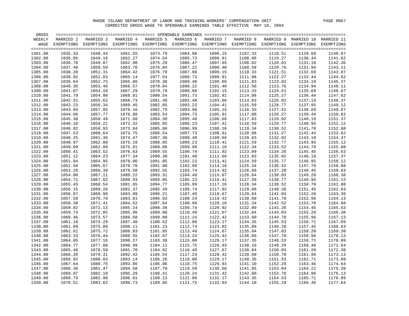| GROSS   |           |                                                                                                               |           |           |           |           |           |         |                                 |                 |
|---------|-----------|---------------------------------------------------------------------------------------------------------------|-----------|-----------|-----------|-----------|-----------|---------|---------------------------------|-----------------|
| WEEKLY  | MARRIED 2 | MARRIED 3                                                                                                     | MARRIED 4 | MARRIED 5 | MARRIED 6 | MARRIED 7 | MARRIED 8 |         | MARRIED 9 MARRIED 10 MARRIED 11 |                 |
| WAGE    |           | EXEMPTIONS EXEMPTIONS EXEMPTIONS EXEMPTIONS EXEMPTIONS EXEMPTIONS EXEMPTIONS EXEMPTIONS EXEMPTIONS EXEMPTIONS |           |           |           |           |           |         |                                 |                 |
|         |           |                                                                                                               |           |           |           |           |           |         |                                 |                 |
| 1301.00 | 1035.33   | 1048.44                                                                                                       | 1061.55   | 1073.79   | 1084.98   | 1096.15   | 1107.33   | 1118.51 | 1129.69                         | 1140.87         |
| 1302.00 | 1036.05   | 1049.16                                                                                                       | 1062.27   | 1074.54   | 1085.73   | 1096.91   | 1108.08   | 1119.27 | 1130.44                         | 1141.62         |
| 1303.00 | 1036.76   | 1049.87                                                                                                       | 1062.98   | 1075.29   | 1086.47   | 1097.65   | 1108.82   | 1120.01 | 1131.18                         | 1142.36         |
| 1304.00 | 1037.48   | 1050.59                                                                                                       | 1063.70   | 1076.04   | 1087.22   | 1098.40   | 1109.58   | 1120.76 | 1131.94                         | 1143.11         |
| 1305.00 | 1038.20   | 1051.31                                                                                                       | 1064.42   | 1076.79   | 1087.98   | 1099.15   | 1110.33   | 1121.51 | 1132.69                         | 1143.87         |
| 1306.00 | 1038.92   | 1052.03                                                                                                       | 1065.14   | 1077.54   | 1088.73   | 1099.91   | 1111.08   | 1122.27 | 1133.44                         | 1144.62         |
| 1307.00 | 1039.64   | 1052.75                                                                                                       | 1065.86   | 1078.30   | 1089.48   | 1100.66   | 1111.83   | 1123.02 | 1134.19                         | 1145.37         |
| 1308.00 | 1040.35   | 1053.46                                                                                                       | 1066.57   | 1079.04   | 1090.22   | 1101.40   | 1112.58   | 1123.76 | 1134.94                         | 1146.11         |
| 1309.00 | 1041.07   | 1054.18                                                                                                       | 1067.29   | 1079.79   | 1090.98   | 1102.15   | 1113.33   | 1124.51 | 1135.69                         | 1146.87         |
| 1310.00 | 1041.79   | 1054.90                                                                                                       | 1068.01   | 1080.54   | 1091.73   | 1102.91   | 1114.08   | 1125.27 | 1136.44                         | 1147.62         |
| 1311.00 | 1042.51   | 1055.62                                                                                                       | 1068.73   | 1081.30   | 1092.48   | 1103.66   | 1114.83   | 1126.02 | 1137.19                         | 1148.37         |
| 1312.00 | 1043.23   | 1056.34                                                                                                       | 1069.45   | 1082.05   | 1093.23   | 1104.41   | 1115.59   | 1126.77 | 1137.95                         | 1149.12         |
| 1313.00 | 1043.94   | 1057.05                                                                                                       | 1070.16   | 1082.79   | 1093.98   | 1105.15   | 1116.33   | 1127.51 | 1138.69                         | 1149.87         |
| 1314.00 | 1044.66   | 1057.77                                                                                                       | 1070.88   | 1083.54   | 1094.73   | 1105.91   | 1117.08   | 1128.27 | 1139.44                         | 1150.62         |
| 1315.00 | 1045.38   | 1058.49                                                                                                       | 1071.60   | 1084.30   | 1095.48   | 1106.66   | 1117.83   | 1129.02 | 1140.19                         | 1151.37         |
| 1316.00 | 1046.10   | 1059.21                                                                                                       | 1072.32   | 1085.05   | 1096.23   | 1107.41   | 1118.59   | 1129.77 | 1140.95                         | 1152.12         |
| 1317.00 | 1046.82   | 1059.93                                                                                                       | 1073.04   | 1085.80   | 1096.99   | 1108.16   | 1119.34   | 1130.52 | 1141.70                         | 1152.88         |
| 1318.00 | 1047.53   | 1060.64                                                                                                       | 1073.75   | 1086.54   | 1097.73   | 1108.91   | 1120.08   | 1131.27 | 1142.44                         | 1153.62         |
| 1319.00 | 1048.25   | 1061.36                                                                                                       | 1074.47   | 1087.30   | 1098.48   | 1109.66   | 1120.83   | 1132.02 | 1143.19                         | 1154.37         |
| 1320.00 | 1048.97   | 1062.08                                                                                                       | 1075.19   | 1088.05   | 1099.23   | 1110.41   | 1121.59   | 1132.77 | 1143.95                         | 1155.12         |
| 1321.00 | 1049.69   | 1062.80                                                                                                       | 1075.91   | 1088.80   | 1099.99   | 1111.16   | 1122.34   | 1133.52 | 1144.70                         | 1155.88         |
| 1322.00 | 1050.41   | 1063.52                                                                                                       | 1076.63   | 1089.55   | 1100.74   | 1111.92   | 1123.09   | 1134.28 | 1145.45                         | 1156.63         |
| 1323.00 | 1051.12   | 1064.23                                                                                                       | 1077.34   | 1090.30   | 1101.48   | 1112.66   | 1123.83   | 1135.02 | 1146.19                         | 1157.37         |
| 1324.00 | 1051.84   | 1064.95                                                                                                       | 1078.06   | 1091.05   | 1102.23   | 1113.41   | 1124.59   | 1135.77 | 1146.95                         | 1158.12         |
| 1325.00 | 1052.56   | 1065.67                                                                                                       | 1078.78   | 1091.80   | 1102.99   | 1114.16   | 1125.34   | 1136.52 | 1147.70                         | 1158.88         |
| 1326.00 | 1053.28   | 1066.39                                                                                                       | 1079.50   | 1092.55   | 1103.74   | 1114.92   | 1126.09   | 1137.28 | 1148.45                         | 1159.63         |
| 1327.00 | 1054.00   | 1067.11                                                                                                       | 1080.22   | 1093.31   | 1104.49   | 1115.67   | 1126.84   | 1138.03 | 1149.20                         | 1160.38         |
| 1328.00 | 1054.71   | 1067.82                                                                                                       | 1080.93   | 1094.05   | 1105.23   | 1116.41   | 1127.59   | 1138.77 | 1149.95                         | 1161.12         |
| 1329.00 | 1055.43   | 1068.54                                                                                                       | 1081.65   | 1094.77   | 1105.99   | 1117.16   | 1128.34   | 1139.52 | 1150.70                         | 1161.88         |
| 1330.00 | 1056.15   | 1069.26                                                                                                       | 1082.37   | 1095.49   | 1106.74   | 1117.92   | 1129.09   | 1140.28 | 1151.45                         | 1162.63         |
| 1331.00 | 1056.87   | 1069.98                                                                                                       | 1083.09   | 1096.21   | 1107.49   | 1118.67   | 1129.84   | 1141.03 | 1152.20                         | 1163.38         |
| 1332.00 | 1057.59   | 1070.70                                                                                                       | 1083.81   | 1096.93   | 1108.24   | 1119.42   | 1130.60   | 1141.78 | 1152.96                         | 1164.13         |
| 1333.00 | 1058.30   | 1071.41                                                                                                       | 1084.52   | 1097.64   | 1108.99   | 1120.16   | 1131.34   | 1142.52 | 1153.70                         | 1164.88         |
| 1334.00 | 1059.02   | 1072.13                                                                                                       | 1085.24   | 1098.36   | 1109.74   | 1120.92   | 1132.09   | 1143.28 | 1154.45                         | 1165.63         |
| 1335.00 | 1059.74   | 1072.85                                                                                                       | 1085.96   | 1099.08   | 1110.49   | 1121.67   | 1132.84   | 1144.03 | 1155.20                         | 1166.38         |
| 1336.00 | 1060.46   | 1073.57                                                                                                       | 1086.68   | 1099.80   | 1111.24   | 1122.42   | 1133.60   | 1144.78 | 1155.96                         | 1167.13         |
| 1337.00 | 1061.18   | 1074.29                                                                                                       | 1087.40   | 1100.52   | 1112.00   | 1123.17   | 1134.35   | 1145.53 | 1156.71                         | 1167.89         |
| 1338.00 | 1061.89   | 1075.00                                                                                                       | 1088.11   | 1101.23   | 1112.74   | 1123.92   | 1135.09   | 1146.28 | 1157.45                         | 1168.63         |
| 1339.00 | 1062.61   | 1075.72                                                                                                       | 1088.83   | 1101.95   | 1113.49   | 1124.67   | 1135.84   | 1147.03 | 1158.20                         | 1169.38         |
| 1340.00 | 1063.33   | 1076.44                                                                                                       | 1089.55   | 1102.67   | 1114.24   | 1125.42   | 1136.60   | 1147.78 | 1158.96                         | 1170.13         |
| 1341.00 | 1064.05   | 1077.16                                                                                                       | 1090.27   | 1103.39   | 1115.00   | 1126.17   | 1137.35   | 1148.53 | 1159.71                         | 1170.89         |
| 1342.00 | 1064.77   | 1077.88                                                                                                       | 1090.99   | 1104.11   | 1115.75   | 1126.93   | 1138.10   | 1149.29 | 1160.46                         | 1171.64         |
| 1343.00 | 1065.48   | 1078.59                                                                                                       | 1091.70   | 1104.82   | 1116.49   | 1127.67   | 1138.84   | 1150.03 | 1161.20                         | 1172.38         |
| 1344.00 | 1066.20   | 1079.31                                                                                                       | 1092.42   | 1105.54   | 1117.24   | 1128.42   | 1139.60   | 1150.78 | 1161.96                         | 1173.13         |
| 1345.00 | 1066.92   | 1080.03                                                                                                       | 1093.14   | 1106.26   | 1118.00   | 1129.17   | 1140.35   | 1151.53 | 1162.71                         | 1173.89         |
| 1346.00 | 1067.64   | 1080.75                                                                                                       | 1093.86   | 1106.98   | 1118.75   | 1129.93   | 1141.10   | 1152.29 | 1163.46                         | 1174.64         |
| 1347.00 | 1068.36   | 1081.47                                                                                                       | 1094.58   | 1107.70   | 1119.50   | 1130.68   | 1141.85   | 1153.04 | 1164.21                         | 1175.39         |
| 1348.00 | 1069.07   | 1082.18                                                                                                       | 1095.29   | 1108.41   | 1120.24   | 1131.42   | 1142.60   | 1153.78 | 1164.96                         | 1176.13         |
| 1349.00 | 1069.79   | 1082.90                                                                                                       | 1096.01   | 1109.13   | 1121.00   | 1132.17   | 1143.35   | 1154.53 | 1165.71                         | 1176.89         |
| 1350.00 | 1070.51   | 1083.62                                                                                                       | 1096.73   | 1109.85   | 1121.75   | 1132.93   | 1144.10   | 1155.29 |                                 | 1166.46 1177.64 |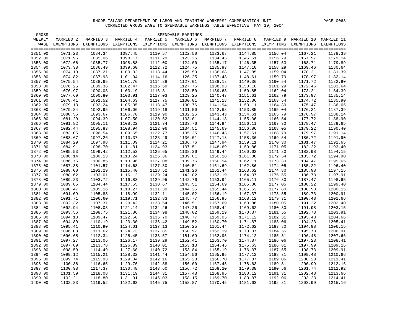| GROSS   |           |                                                                                                               |           |           |           |           |           |         |                                 |             |
|---------|-----------|---------------------------------------------------------------------------------------------------------------|-----------|-----------|-----------|-----------|-----------|---------|---------------------------------|-------------|
| WEEKLY  | MARRIED 2 | MARRIED 3                                                                                                     | MARRIED 4 | MARRIED 5 | MARRIED 6 | MARRIED 7 | MARRIED 8 |         | MARRIED 9 MARRIED 10 MARRIED 11 |             |
| WAGE    |           | EXEMPTIONS EXEMPTIONS EXEMPTIONS EXEMPTIONS EXEMPTIONS EXEMPTIONS EXEMPTIONS EXEMPTIONS EXEMPTIONS EXEMPTIONS |           |           |           |           |           |         |                                 |             |
|         |           |                                                                                                               |           |           |           |           |           |         |                                 | $=$ $=$ $=$ |
| 1351.00 | 1071.23   | 1084.34                                                                                                       | 1097.45   | 1110.57   | 1122.50   | 1133.68   | 1144.85   | 1156.04 | 1167.21                         | 1178.39     |
| 1352.00 | 1071.95   | 1085.06                                                                                                       | 1098.17   | 1111.29   | 1123.25   | 1134.43   | 1145.61   | 1156.79 | 1167.97                         | 1179.14     |
| 1353.00 | 1072.66   | 1085.77                                                                                                       | 1098.88   | 1112.00   | 1124.00   | 1135.17   | 1146.35   | 1157.53 | 1168.71                         | 1179.89     |
| 1354.00 | 1073.38   | 1086.49                                                                                                       | 1099.60   | 1112.72   | 1124.75   | 1135.93   | 1147.10   | 1158.29 | 1169.46                         | 1180.64     |
| 1355.00 | 1074.10   | 1087.21                                                                                                       | 1100.32   | 1113.44   | 1125.50   | 1136.68   | 1147.85   | 1159.04 | 1170.21                         | 1181.39     |
| 1356.00 | 1074.82   | 1087.93                                                                                                       | 1101.04   | 1114.16   | 1126.25   | 1137.43   | 1148.61   | 1159.79 | 1170.97                         | 1182.14     |
| 1357.00 | 1075.54   | 1088.65                                                                                                       | 1101.76   | 1114.88   | 1127.01   | 1138.18   | 1149.36   | 1160.54 | 1171.72                         | 1182.90     |
| 1358.00 | 1076.25   | 1089.36                                                                                                       | 1102.47   | 1115.59   | 1127.75   | 1138.93   | 1150.10   | 1161.29 | 1172.46                         | 1183.64     |
| 1359.00 | 1076.97   | 1090.08                                                                                                       | 1103.19   | 1116.31   | 1128.50   | 1139.68   | 1150.85   | 1162.04 | 1173.21                         | 1184.39     |
| 1360.00 | 1077.69   | 1090.80                                                                                                       | 1103.91   | 1117.03   | 1129.25   | 1140.43   | 1151.61   | 1162.79 | 1173.97                         | 1185.14     |
| 1361.00 | 1078.41   | 1091.52                                                                                                       | 1104.63   | 1117.75   | 1130.01   | 1141.18   | 1152.36   | 1163.54 | 1174.72                         | 1185.90     |
| 1362.00 | 1079.13   | 1092.24                                                                                                       | 1105.35   | 1118.47   | 1130.76   | 1141.94   | 1153.11   | 1164.30 | 1175.47                         | 1186.65     |
|         |           |                                                                                                               |           |           |           |           |           |         |                                 |             |
| 1363.00 | 1079.84   | 1092.95                                                                                                       | 1106.06   | 1119.18   | 1131.50   | 1142.68   | 1153.85   | 1165.04 | 1176.21                         | 1187.39     |
| 1364.00 | 1080.56   | 1093.67                                                                                                       | 1106.78   | 1119.90   | 1132.25   | 1143.43   | 1154.61   | 1165.79 | 1176.97                         | 1188.14     |
| 1365.00 | 1081.20   | 1094.39                                                                                                       | 1107.50   | 1120.62   | 1133.01   | 1144.18   | 1155.36   | 1166.54 | 1177.72                         | 1188.90     |
| 1366.00 | 1081.82   | 1095.11                                                                                                       | 1108.22   | 1121.34   | 1133.76   | 1144.94   | 1156.11   | 1167.30 | 1178.47                         | 1189.65     |
| 1367.00 | 1082.44   | 1095.83                                                                                                       | 1108.94   | 1122.06   | 1134.51   | 1145.69   | 1156.86   | 1168.05 | 1179.22                         | 1190.40     |
| 1368.00 | 1083.05   | 1096.54                                                                                                       | 1109.65   | 1122.77   | 1135.25   | 1146.43   | 1157.61   | 1168.79 | 1179.97                         | 1191.14     |
| 1369.00 | 1083.67   | 1097.26                                                                                                       | 1110.37   | 1123.49   | 1136.01   | 1147.18   | 1158.36   | 1169.54 | 1180.72                         | 1191.90     |
| 1370.00 | 1084.29   | 1097.98                                                                                                       | 1111.09   | 1124.21   | 1136.76   | 1147.94   | 1159.11   | 1170.30 | 1181.47                         | 1192.65     |
| 1371.00 | 1084.91   | 1098.70                                                                                                       | 1111.81   | 1124.93   | 1137.51   | 1148.69   | 1159.86   | 1171.05 | 1182.22                         | 1193.40     |
| 1372.00 | 1085.53   | 1099.42                                                                                                       | 1112.53   | 1125.65   | 1138.26   | 1149.44   | 1160.62   | 1171.80 | 1182.98                         | 1194.15     |
| 1373.00 | 1086.14   | 1100.13                                                                                                       | 1113.24   | 1126.36   | 1139.01   | 1150.18   | 1161.36   | 1172.54 | 1183.72                         | 1194.90     |
| 1374.00 | 1086.76   | 1100.85                                                                                                       | 1113.96   | 1127.08   | 1139.76   | 1150.94   | 1162.11   | 1173.30 | 1184.47                         | 1195.65     |
| 1375.00 | 1087.38   | 1101.57                                                                                                       | 1114.68   | 1127.80   | 1140.51   | 1151.69   | 1162.86   | 1174.05 | 1185.22                         | 1196.40     |
| 1376.00 | 1088.00   | 1102.29                                                                                                       | 1115.40   | 1128.52   | 1141.26   | 1152.44   | 1163.62   | 1174.80 | 1185.98                         | 1197.15     |
| 1377.00 | 1088.62   | 1103.01                                                                                                       | 1116.12   | 1129.24   | 1142.02   | 1153.19   | 1164.37   | 1175.55 | 1186.73                         | 1197.91     |
| 1378.00 | 1089.23   | 1103.72                                                                                                       | 1116.83   | 1129.95   | 1142.76   | 1153.94   | 1165.11   | 1176.30 | 1187.47                         | 1198.65     |
| 1379.00 | 1089.85   | 1104.44                                                                                                       | 1117.55   | 1130.67   | 1143.51   | 1154.69   | 1165.86   | 1177.05 | 1188.22                         | 1199.40     |
| 1380.00 | 1090.47   | 1105.16                                                                                                       | 1118.27   | 1131.39   | 1144.26   | 1155.44   | 1166.62   | 1177.80 | 1188.98                         | 1200.15     |
| 1381.00 | 1091.09   | 1105.88                                                                                                       | 1118.99   | 1132.11   | 1145.02   | 1156.19   | 1167.37   | 1178.55 | 1189.73                         | 1200.91     |
| 1382.00 | 1091.71   | 1106.60                                                                                                       | 1119.71   | 1132.83   | 1145.77   | 1156.95   | 1168.12   | 1179.31 | 1190.48                         | 1201.66     |
| 1383.00 | 1092.32   | 1107.31                                                                                                       | 1120.42   | 1133.54   | 1146.51   | 1157.69   | 1168.86   | 1180.05 | 1191.22                         | 1202.40     |
| 1384.00 | 1092.94   | 1108.03                                                                                                       | 1121.14   | 1134.26   | 1147.26   | 1158.44   | 1169.62   | 1180.80 | 1191.98                         | 1203.15     |
| 1385.00 | 1093.56   | 1108.75                                                                                                       | 1121.86   | 1134.98   | 1148.02   | 1159.19   | 1170.37   | 1181.55 | 1192.73                         | 1203.91     |
| 1386.00 | 1094.18   | 1109.47                                                                                                       | 1122.58   | 1135.70   | 1148.77   | 1159.95   | 1171.12   | 1182.31 | 1193.48                         | 1204.66     |
| 1387.00 | 1094.80   | 1110.19                                                                                                       | 1123.30   | 1136.42   | 1149.52   | 1160.70   | 1171.87   | 1183.06 | 1194.23                         | 1205.41     |
| 1388.00 | 1095.41   | 1110.90                                                                                                       | 1124.01   | 1137.13   | 1150.25   | 1161.44   | 1172.62   | 1183.80 | 1194.98                         | 1206.15     |
| 1389.00 | 1096.03   | 1111.62                                                                                                       | 1124.73   | 1137.85   | 1150.97   | 1162.19   | 1173.37   | 1184.55 | 1195.73                         | 1206.91     |
| 1390.00 | 1096.65   | 1112.34                                                                                                       | 1125.45   | 1138.57   | 1151.69   | 1162.95   | 1174.12   | 1185.31 | 1196.48                         | 1207.66     |
| 1391.00 | 1097.27   | 1113.06                                                                                                       | 1126.17   | 1139.29   | 1152.41   | 1163.70   | 1174.87   | 1186.06 | 1197.23                         | 1208.41     |
| 1392.00 | 1097.89   | 1113.78                                                                                                       | 1126.89   | 1140.01   | 1153.13   | 1164.45   | 1175.63   | 1186.81 | 1197.99                         | 1209.16     |
| 1393.00 | 1098.50   | 1114.49                                                                                                       | 1127.60   | 1140.72   | 1153.84   | 1165.19   | 1176.37   | 1187.55 | 1198.73                         | 1209.91     |
| 1394.00 | 1099.12   | 1115.21                                                                                                       | 1128.32   | 1141.44   | 1154.56   | 1165.95   | 1177.12   | 1188.31 | 1199.48                         | 1210.66     |
| 1395.00 | 1099.74   | 1115.93                                                                                                       | 1129.04   | 1142.16   | 1155.28   | 1166.70   | 1177.87   | 1189.06 | 1200.23                         | 1211.41     |
| 1396.00 | 1100.36   | 1116.65                                                                                                       | 1129.76   | 1142.88   | 1156.00   | 1167.45   | 1178.63   | 1189.81 | 1200.99                         | 1212.16     |
| 1397.00 | 1100.98   | 1117.37                                                                                                       | 1130.48   | 1143.60   | 1156.72   | 1168.20   | 1179.38   | 1190.56 | 1201.74                         | 1212.92     |
| 1398.00 | 1101.59   | 1118.08                                                                                                       | 1131.19   | 1144.31   | 1157.43   | 1168.95   | 1180.12   | 1191.31 | 1202.48                         | 1213.66     |
| 1399.00 | 1102.21   | 1118.80                                                                                                       | 1131.91   | 1145.03   | 1158.15   | 1169.70   | 1180.87   | 1192.06 | 1203.23                         | 1214.41     |
| 1400.00 | 1102.83   | 1119.52                                                                                                       | 1132.63   | 1145.75   | 1158.87   | 1170.45   | 1181.63   | 1192.81 | 1203.99                         | 1215.16     |
|         |           |                                                                                                               |           |           |           |           |           |         |                                 |             |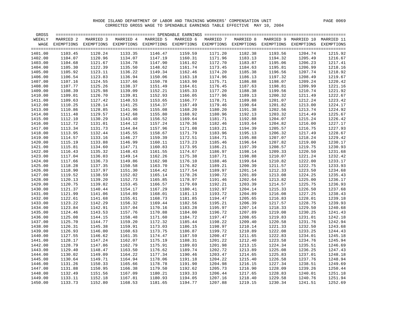| GROSS   |           |                                                                                                               |           |           |           |           |           |         |                                 |         |
|---------|-----------|---------------------------------------------------------------------------------------------------------------|-----------|-----------|-----------|-----------|-----------|---------|---------------------------------|---------|
| WEEKLY  | MARRIED 2 | MARRIED 3                                                                                                     | MARRIED 4 | MARRIED 5 | MARRIED 6 | MARRIED 7 | MARRIED 8 |         | MARRIED 9 MARRIED 10 MARRIED 11 |         |
| WAGE    |           | EXEMPTIONS EXEMPTIONS EXEMPTIONS EXEMPTIONS EXEMPTIONS EXEMPTIONS EXEMPTIONS EXEMPTIONS EXEMPTIONS EXEMPTIONS |           |           |           |           |           |         |                                 |         |
|         |           |                                                                                                               |           |           |           |           |           |         |                                 |         |
| 1401.00 | 1103.45   | 1120.24                                                                                                       | 1133.35   | 1146.47   | 1159.59   | 1171.20   | 1182.38   | 1193.56 | 1204.74                         | 1215.92 |
| 1402.00 | 1104.07   | 1120.96                                                                                                       | 1134.07   | 1147.19   | 1160.31   | 1171.96   | 1183.13   | 1194.32 | 1205.49                         | 1216.67 |
| 1403.00 | 1104.68   | 1121.67                                                                                                       | 1134.78   | 1147.90   | 1161.02   | 1172.70   | 1183.87   | 1195.06 | 1206.23                         | 1217.41 |
| 1404.00 | 1105.30   | 1122.39                                                                                                       | 1135.50   | 1148.62   | 1161.74   | 1173.45   | 1184.63   | 1195.81 | 1206.99                         | 1218.16 |
| 1405.00 | 1105.92   | 1123.11                                                                                                       | 1136.22   | 1149.34   | 1162.46   | 1174.20   | 1185.38   | 1196.56 | 1207.74                         | 1218.92 |
| 1406.00 | 1106.54   | 1123.83                                                                                                       | 1136.94   | 1150.06   | 1163.18   | 1174.96   | 1186.13   | 1197.32 | 1208.49                         | 1219.67 |
| 1407.00 | 1107.16   | 1124.55                                                                                                       | 1137.66   | 1150.78   | 1163.90   | 1175.71   | 1186.88   | 1198.07 | 1209.24                         | 1220.42 |
| 1408.00 | 1107.77   | 1125.26                                                                                                       | 1138.37   | 1151.49   | 1164.61   | 1176.45   | 1187.63   | 1198.81 | 1209.99                         | 1221.16 |
| 1409.00 | 1108.39   | 1125.98                                                                                                       | 1139.09   | 1152.21   | 1165.33   | 1177.20   | 1188.38   | 1199.56 | 1210.74                         | 1221.92 |
| 1410.00 | 1109.01   | 1126.70                                                                                                       | 1139.81   | 1152.93   | 1166.05   | 1177.96   | 1189.13   | 1200.32 | 1211.49                         | 1222.67 |
| 1411.00 | 1109.63   | 1127.42                                                                                                       | 1140.53   | 1153.65   | 1166.77   | 1178.71   | 1189.88   | 1201.07 | 1212.24                         | 1223.42 |
| 1412.00 | 1110.25   | 1128.14                                                                                                       | 1141.25   | 1154.37   | 1167.49   | 1179.46   | 1190.64   | 1201.82 | 1213.00                         | 1224.17 |
| 1413.00 | 1110.86   | 1128.85                                                                                                       | 1141.96   | 1155.08   | 1168.20   | 1180.20   | 1191.38   | 1202.56 | 1213.74                         | 1224.92 |
| 1414.00 | 1111.48   | 1129.57                                                                                                       | 1142.68   | 1155.80   | 1168.92   | 1180.96   | 1192.13   | 1203.32 | 1214.49                         | 1225.67 |
| 1415.00 | 1112.10   | 1130.29                                                                                                       | 1143.40   | 1156.52   | 1169.64   | 1181.71   | 1192.88   | 1204.07 | 1215.24                         | 1226.42 |
| 1416.00 | 1112.72   | 1131.01                                                                                                       | 1144.12   | 1157.24   | 1170.36   | 1182.46   | 1193.64   | 1204.82 | 1216.00                         | 1227.17 |
| 1417.00 | 1113.34   | 1131.73                                                                                                       | 1144.84   | 1157.96   | 1171.08   | 1183.21   | 1194.39   | 1205.57 | 1216.75                         | 1227.93 |
| 1418.00 | 1113.95   | 1132.44                                                                                                       | 1145.55   | 1158.67   | 1171.79   | 1183.96   | 1195.13   | 1206.32 | 1217.49                         | 1228.67 |
| 1419.00 | 1114.57   | 1133.16                                                                                                       | 1146.27   | 1159.39   | 1172.51   | 1184.71   | 1195.88   | 1207.07 | 1218.24                         | 1229.42 |
| 1420.00 | 1115.19   | 1133.88                                                                                                       | 1146.99   | 1160.11   | 1173.23   | 1185.46   | 1196.64   | 1207.82 | 1219.00                         | 1230.17 |
| 1421.00 | 1115.81   | 1134.60                                                                                                       | 1147.71   | 1160.83   | 1173.95   | 1186.21   | 1197.39   | 1208.57 | 1219.75                         | 1230.93 |
| 1422.00 | 1116.43   | 1135.32                                                                                                       | 1148.43   | 1161.55   | 1174.67   | 1186.97   | 1198.14   | 1209.33 | 1220.50                         | 1231.68 |
| 1423.00 | 1117.04   | 1136.03                                                                                                       | 1149.14   | 1162.26   | 1175.38   | 1187.71   | 1198.88   | 1210.07 | 1221.24                         | 1232.42 |
| 1424.00 | 1117.66   | 1136.73                                                                                                       | 1149.86   | 1162.98   | 1176.10   | 1188.46   | 1199.64   | 1210.82 | 1222.00                         | 1233.17 |
| 1425.00 | 1118.28   | 1137.35                                                                                                       | 1150.58   | 1163.70   | 1176.82   | 1189.21   | 1200.39   | 1211.57 | 1222.75                         | 1233.93 |
| 1426.00 | 1118.90   | 1137.97                                                                                                       | 1151.30   | 1164.42   | 1177.54   | 1189.97   | 1201.14   | 1212.33 | 1223.50                         | 1234.68 |
| 1427.00 | 1119.52   | 1138.59                                                                                                       | 1152.02   | 1165.14   | 1178.26   | 1190.72   | 1201.89   | 1213.08 | 1224.25                         | 1235.43 |
| 1428.00 | 1120.13   | 1139.20                                                                                                       | 1152.73   | 1165.85   | 1178.97   | 1191.46   | 1202.64   | 1213.82 | 1225.00                         | 1236.17 |
| 1429.00 | 1120.75   | 1139.82                                                                                                       | 1153.45   | 1166.57   | 1179.69   | 1192.21   | 1203.39   | 1214.57 | 1225.75                         | 1236.93 |
| 1430.00 | 1121.37   | 1140.44                                                                                                       | 1154.17   | 1167.29   | 1180.41   | 1192.97   | 1204.14   | 1215.33 | 1226.50                         | 1237.68 |
| 1431.00 | 1121.99   | 1141.06                                                                                                       | 1154.89   | 1168.01   | 1181.13   | 1193.72   | 1204.89   | 1216.08 | 1227.25                         | 1238.43 |
| 1432.00 | 1122.61   | 1141.68                                                                                                       | 1155.61   | 1168.73   | 1181.85   | 1194.47   | 1205.65   | 1216.83 | 1228.01                         | 1239.18 |
| 1433.00 | 1123.22   | 1142.29                                                                                                       | 1156.32   | 1169.44   | 1182.56   | 1195.21   | 1206.39   | 1217.57 | 1228.75                         | 1239.93 |
| 1434.00 | 1123.84   | 1142.91                                                                                                       | 1157.04   | 1170.16   | 1183.28   | 1195.97   | 1207.14   | 1218.33 | 1229.50                         | 1240.68 |
| 1435.00 | 1124.46   | 1143.53                                                                                                       | 1157.76   | 1170.88   | 1184.00   | 1196.72   | 1207.89   | 1219.08 | 1230.25                         | 1241.43 |
| 1436.00 | 1125.08   | 1144.15                                                                                                       | 1158.48   | 1171.60   | 1184.72   | 1197.47   | 1208.65   | 1219.83 | 1231.01                         | 1242.18 |
| 1437.00 | 1125.70   | 1144.77                                                                                                       | 1159.20   | 1172.32   | 1185.44   | 1198.22   | 1209.40   | 1220.58 | 1231.76                         | 1242.94 |
| 1438.00 | 1126.31   | 1145.38                                                                                                       | 1159.91   | 1173.03   | 1186.15   | 1198.97   | 1210.14   | 1221.33 | 1232.50                         | 1243.68 |
| 1439.00 | 1126.93   | 1146.00                                                                                                       | 1160.63   | 1173.75   | 1186.87   | 1199.72   | 1210.89   | 1222.08 | 1233.25                         | 1244.43 |
| 1440.00 | 1127.55   | 1146.62                                                                                                       | 1161.35   | 1174.47   | 1187.59   | 1200.47   | 1211.65   | 1222.83 | 1234.01                         | 1245.18 |
| 1441.00 | 1128.17   | 1147.24                                                                                                       | 1162.07   | 1175.19   | 1188.31   | 1201.22   | 1212.40   | 1223.58 | 1234.76                         | 1245.94 |
| 1442.00 | 1128.79   | 1147.86                                                                                                       | 1162.79   | 1175.91   | 1189.03   | 1201.98   | 1213.15   | 1224.34 | 1235.51                         | 1246.69 |
| 1443.00 | 1129.40   | 1148.47                                                                                                       | 1163.50   | 1176.62   | 1189.74   | 1202.72   | 1213.89   | 1225.08 | 1236.25                         | 1247.43 |
| 1444.00 | 1130.02   | 1149.09                                                                                                       | 1164.22   | 1177.34   | 1190.46   | 1203.47   | 1214.65   | 1225.83 | 1237.01                         | 1248.18 |
| 1445.00 | 1130.64   | 1149.71                                                                                                       | 1164.94   | 1178.06   | 1191.18   | 1204.22   | 1215.40   | 1226.58 | 1237.76                         | 1248.94 |
| 1446.00 | 1131.26   | 1150.33                                                                                                       | 1165.66   | 1178.78   | 1191.90   | 1204.98   | 1216.15   | 1227.34 | 1238.51                         | 1249.69 |
| 1447.00 | 1131.88   | 1150.95                                                                                                       | 1166.38   | 1179.50   | 1192.62   | 1205.73   | 1216.90   | 1228.09 | 1239.26                         | 1250.44 |
| 1448.00 | 1132.49   | 1151.56                                                                                                       | 1167.09   | 1180.21   | 1193.33   | 1206.44   | 1217.65   | 1228.83 | 1240.01                         | 1251.18 |
| 1449.00 | 1133.11   | 1152.18                                                                                                       | 1167.81   | 1180.93   | 1194.05   | 1207.16   | 1218.40   | 1229.58 | 1240.76                         | 1251.94 |
| 1450.00 | 1133.73   | 1152.80                                                                                                       | 1168.53   | 1181.65   | 1194.77   | 1207.88   | 1219.15   | 1230.34 | 1241.51                         | 1252.69 |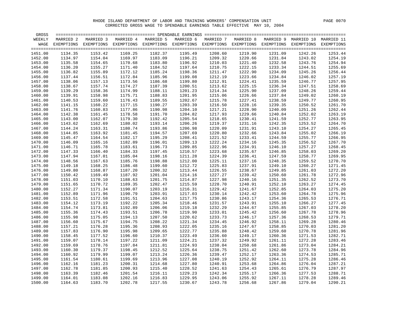| GROSS   |           |                                                                                                                    |           |           |           |           |           |         |                                 |         |
|---------|-----------|--------------------------------------------------------------------------------------------------------------------|-----------|-----------|-----------|-----------|-----------|---------|---------------------------------|---------|
| WEEKLY  | MARRIED 2 | MARRIED 3                                                                                                          | MARRIED 4 | MARRIED 5 | MARRIED 6 | MARRIED 7 | MARRIED 8 |         | MARRIED 9 MARRIED 10 MARRIED 11 |         |
|         |           | WAGE EXEMPTIONS EXEMPTIONS EXEMPTIONS EXEMPTIONS EXEMPTIONS EXEMPTIONS EXEMPTIONS EXEMPTIONS EXEMPTIONS EXEMPTIONS |           |           |           |           |           |         |                                 |         |
|         |           |                                                                                                                    |           |           |           |           |           |         |                                 |         |
| 1451.00 | 1134.35   | 1153.42                                                                                                            | 1169.25   | 1182.37   | 1195.49   | 1208.60   | 1219.90   | 1231.09 | 1242.26                         | 1253.44 |
| 1452.00 | 1134.97   | 1154.04                                                                                                            | 1169.97   | 1183.09   | 1196.21   | 1209.32   | 1220.66   | 1231.84 | 1243.02                         | 1254.19 |
| 1453.00 | 1135.58   | 1154.65                                                                                                            | 1170.68   | 1183.80   | 1196.92   | 1210.03   | 1221.40   | 1232.58 | 1243.76                         | 1254.94 |
| 1454.00 | 1136.20   | 1155.27                                                                                                            | 1171.40   | 1184.52   | 1197.64   | 1210.75   | 1222.15   | 1233.34 | 1244.51                         | 1255.69 |
| 1455.00 | 1136.82   | 1155.89                                                                                                            | 1172.12   | 1185.24   | 1198.36   | 1211.47   | 1222.90   | 1234.09 | 1245.26                         | 1256.44 |
| 1456.00 | 1137.44   | 1156.51                                                                                                            | 1172.84   | 1185.96   | 1199.08   | 1212.19   | 1223.66   | 1234.84 | 1246.02                         | 1257.19 |
| 1457.00 | 1138.06   | 1157.13                                                                                                            | 1173.56   | 1186.68   | 1199.80   | 1212.91   | 1224.41   | 1235.59 | 1246.77                         | 1257.95 |
| 1458.00 | 1138.67   | 1157.74                                                                                                            | 1174.27   | 1187.39   | 1200.51   | 1213.62   | 1225.15   | 1236.34 | 1247.51                         | 1258.69 |
| 1459.00 | 1139.29   | 1158.36                                                                                                            | 1174.99   | 1188.11   | 1201.23   | 1214.34   | 1225.90   | 1237.09 | 1248.26                         | 1259.44 |
| 1460.00 | 1139.91   | 1158.98                                                                                                            | 1175.71   | 1188.83   | 1201.95   | 1215.06   | 1226.66   | 1237.84 | 1249.02                         | 1260.19 |
| 1461.00 | 1140.53   | 1159.60                                                                                                            | 1176.43   | 1189.55   | 1202.67   | 1215.78   | 1227.41   | 1238.59 | 1249.77                         | 1260.95 |
| 1462.00 | 1141.15   | 1160.22                                                                                                            | 1177.15   | 1190.27   | 1203.39   | 1216.50   | 1228.16   | 1239.35 | 1250.52                         | 1261.70 |
| 1463.00 | 1141.76   | 1160.83                                                                                                            | 1177.86   | 1190.98   | 1204.10   | 1217.21   | 1228.90   | 1240.09 | 1251.26                         | 1262.44 |
| 1464.00 | 1142.38   | 1161.45                                                                                                            | 1178.58   | 1191.70   | 1204.82   | 1217.93   | 1229.66   | 1240.84 | 1252.02                         | 1263.19 |
| 1465.00 | 1143.00   | 1162.07                                                                                                            | 1179.30   | 1192.42   | 1205.54   | 1218.65   | 1230.41   | 1241.59 | 1252.77                         | 1263.95 |
| 1466.00 | 1143.62   | 1162.69                                                                                                            | 1180.02   | 1193.14   | 1206.26   | 1219.37   | 1231.16   | 1242.35 | 1253.52                         | 1264.70 |
| 1467.00 | 1144.24   | 1163.31                                                                                                            | 1180.74   | 1193.86   | 1206.98   | 1220.09   | 1231.91   | 1243.10 | 1254.27                         | 1265.45 |
| 1468.00 | 1144.85   | 1163.92                                                                                                            | 1181.45   | 1194.57   | 1207.69   | 1220.80   | 1232.66   | 1243.84 | 1255.02                         | 1266.19 |
| 1469.00 | 1145.47   | 1164.54                                                                                                            | 1182.17   | 1195.29   | 1208.41   | 1221.52   | 1233.41   | 1244.59 | 1255.77                         | 1266.95 |
| 1470.00 | 1146.09   | 1165.16                                                                                                            | 1182.89   | 1196.01   | 1209.13   | 1222.24   | 1234.16   | 1245.35 | 1256.52                         | 1267.70 |
| 1471.00 | 1146.71   | 1165.78                                                                                                            | 1183.61   | 1196.73   | 1209.85   | 1222.96   | 1234.91   | 1246.10 | 1257.27                         | 1268.45 |
| 1472.00 | 1147.33   | 1166.40                                                                                                            | 1184.33   | 1197.45   | 1210.57   | 1223.68   | 1235.67   | 1246.85 | 1258.03                         | 1269.20 |
| 1473.00 | 1147.94   | 1167.01                                                                                                            | 1185.04   | 1198.16   | 1211.28   | 1224.39   | 1236.41   | 1247.59 | 1258.77                         | 1269.95 |
| 1474.00 | 1148.56   | 1167.63                                                                                                            | 1185.76   | 1198.88   | 1212.00   | 1225.11   | 1237.16   | 1248.35 | 1259.52                         | 1270.70 |
| 1475.00 | 1149.18   | 1168.25                                                                                                            | 1186.48   | 1199.60   | 1212.72   | 1225.83   | 1237.91   | 1249.10 | 1260.27                         | 1271.45 |
| 1476.00 | 1149.80   | 1168.87                                                                                                            | 1187.20   | 1200.32   | 1213.44   | 1226.55   | 1238.67   | 1249.85 | 1261.03                         | 1272.20 |
| 1477.00 | 1150.42   | 1169.49                                                                                                            | 1187.92   | 1201.04   | 1214.16   | 1227.27   | 1239.42   | 1250.60 | 1261.78                         | 1272.96 |
| 1478.00 | 1151.03   | 1170.10                                                                                                            | 1188.63   | 1201.75   | 1214.87   | 1227.98   | 1240.16   | 1251.35 | 1262.52                         | 1273.70 |
| 1479.00 | 1151.65   | 1170.72                                                                                                            | 1189.35   | 1202.47   | 1215.59   | 1228.70   | 1240.91   | 1252.10 | 1263.27                         | 1274.45 |
| 1480.00 | 1152.27   | 1171.34                                                                                                            | 1190.07   | 1203.19   | 1216.31   | 1229.42   | 1241.67   | 1252.85 | 1264.03                         | 1275.20 |
| 1481.00 | 1152.89   | 1171.96                                                                                                            | 1190.79   | 1203.91   | 1217.03   | 1230.14   | 1242.42   | 1253.60 | 1264.78                         | 1275.96 |
| 1482.00 | 1153.51   | 1172.58                                                                                                            | 1191.51   | 1204.63   | 1217.75   | 1230.86   | 1243.17   | 1254.36 | 1265.53                         | 1276.71 |
| 1483.00 | 1154.12   | 1173.19                                                                                                            | 1192.22   | 1205.34   | 1218.46   | 1231.57   | 1243.91   | 1255.10 | 1266.27                         | 1277.45 |
| 1484.00 | 1154.74   | 1173.81                                                                                                            | 1192.89   | 1206.06   | 1219.18   | 1232.29   | 1244.67   | 1255.85 | 1267.03                         | 1278.20 |
| 1485.00 | 1155.36   | 1174.43                                                                                                            | 1193.51   | 1206.78   | 1219.90   | 1233.01   | 1245.42   | 1256.60 | 1267.78                         | 1278.96 |
| 1486.00 | 1155.98   | 1175.05                                                                                                            | 1194.13   | 1207.50   | 1220.62   | 1233.73   | 1246.17   | 1257.36 | 1268.53                         | 1279.71 |
| 1487.00 | 1156.60   | 1175.67                                                                                                            | 1194.75   | 1208.22   | 1221.34   | 1234.45   | 1246.92   | 1258.11 | 1269.28                         | 1280.46 |
| 1488.00 | 1157.21   | 1176.28                                                                                                            | 1195.36   | 1208.93   | 1222.05   | 1235.16   | 1247.67   | 1258.85 | 1270.03                         | 1281.20 |
| 1489.00 | 1157.83   | 1176.90                                                                                                            | 1195.98   | 1209.65   | 1222.77   | 1235.88   | 1248.42   | 1259.60 | 1270.78                         | 1281.96 |
| 1490.00 | 1158.45   | 1177.52                                                                                                            | 1196.60   | 1210.37   | 1223.49   | 1236.60   | 1249.17   | 1260.36 | 1271.53                         | 1282.71 |
| 1491.00 | 1159.07   | 1178.14                                                                                                            | 1197.22   | 1211.09   | 1224.21   | 1237.32   | 1249.92   | 1261.11 | 1272.28                         | 1283.46 |
| 1492.00 | 1159.69   | 1178.76                                                                                                            | 1197.84   | 1211.81   | 1224.93   | 1238.04   | 1250.68   | 1261.86 | 1273.04                         | 1284.21 |
| 1493.00 | 1160.30   | 1179.37                                                                                                            | 1198.45   | 1212.52   | 1225.64   | 1238.75   | 1251.42   | 1262.60 | 1273.78                         | 1284.96 |
| 1494.00 | 1160.92   | 1179.99                                                                                                            | 1199.07   | 1213.24   | 1226.36   | 1239.47   | 1252.17   | 1263.36 | 1274.53                         | 1285.71 |
| 1495.00 | 1161.54   | 1180.61                                                                                                            | 1199.69   | 1213.96   | 1227.08   | 1240.19   | 1252.92   | 1264.11 | 1275.28                         | 1286.46 |
| 1496.00 | 1162.16   | 1181.23                                                                                                            | 1200.31   | 1214.68   | 1227.80   | 1240.91   | 1253.68   | 1264.86 | 1276.04                         | 1287.21 |
| 1497.00 | 1162.78   | 1181.85                                                                                                            | 1200.93   | 1215.40   | 1228.52   | 1241.63   | 1254.43   | 1265.61 | 1276.79                         | 1287.97 |
| 1498.00 | 1163.39   | 1182.46                                                                                                            | 1201.54   | 1216.11   | 1229.23   | 1242.34   | 1255.17   | 1266.36 | 1277.53                         | 1288.71 |
| 1499.00 | 1164.01   | 1183.08                                                                                                            | 1202.16   | 1216.83   | 1229.95   | 1243.06   | 1255.92   | 1267.11 | 1278.28                         | 1289.46 |
| 1500.00 | 1164.63   | 1183.70                                                                                                            | 1202.78   | 1217.55   | 1230.67   | 1243.78   | 1256.68   | 1267.86 | 1279.04                         | 1290.21 |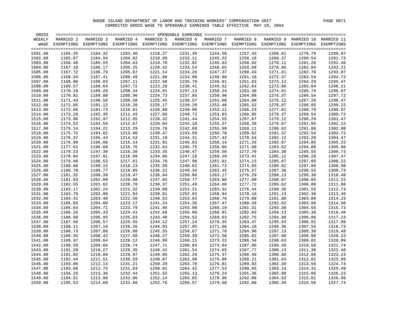| GROSS   |           |                                                                                                               |           |           |           |           |           |         |                                 |         |
|---------|-----------|---------------------------------------------------------------------------------------------------------------|-----------|-----------|-----------|-----------|-----------|---------|---------------------------------|---------|
| WEEKLY  | MARRIED 2 | MARRIED 3                                                                                                     | MARRIED 4 | MARRIED 5 | MARRIED 6 | MARRIED 7 | MARRIED 8 |         | MARRIED 9 MARRIED 10 MARRIED 11 |         |
| WAGE    |           | EXEMPTIONS EXEMPTIONS EXEMPTIONS EXEMPTIONS EXEMPTIONS EXEMPTIONS EXEMPTIONS EXEMPTIONS EXEMPTIONS EXEMPTIONS |           |           |           |           |           |         |                                 |         |
|         |           |                                                                                                               |           |           |           |           |           |         |                                 |         |
| 1501.00 | 1165.25   | 1184.32                                                                                                       | 1203.40   | 1218.27   | 1231.39   | 1244.50   | 1257.43   | 1268.61 | 1279.79                         | 1290.97 |
| 1502.00 | 1165.87   | 1184.94                                                                                                       | 1204.02   | 1218.99   | 1232.11   | 1245.22   | 1258.18   | 1269.37 | 1280.54                         | 1291.72 |
| 1503.00 | 1166.48   | 1185.55                                                                                                       | 1204.63   | 1219.70   | 1232.82   | 1245.93   | 1258.92   | 1270.11 | 1281.28                         | 1292.46 |
| 1504.00 | 1167.10   | 1186.17                                                                                                       | 1205.25   | 1220.42   | 1233.54   | 1246.65   | 1259.68   | 1270.86 | 1282.04                         | 1293.21 |
| 1505.00 | 1167.72   | 1186.79                                                                                                       | 1205.87   | 1221.14   | 1234.26   | 1247.37   | 1260.43   | 1271.61 | 1282.79                         | 1293.97 |
| 1506.00 | 1168.34   | 1187.41                                                                                                       | 1206.49   | 1221.86   | 1234.98   | 1248.09   | 1261.18   | 1272.37 | 1283.54                         | 1294.72 |
| 1507.00 | 1168.96   | 1188.03                                                                                                       | 1207.11   | 1222.58   | 1235.70   | 1248.81   | 1261.93   | 1273.12 | 1284.29                         | 1295.47 |
| 1508.00 | 1169.57   | 1188.64                                                                                                       | 1207.72   | 1223.29   | 1236.41   | 1249.52   | 1262.64   | 1273.86 | 1285.04                         | 1296.21 |
| 1509.00 | 1170.19   | 1189.26                                                                                                       | 1208.34   | 1224.01   | 1237.13   | 1250.24   | 1263.36   | 1274.61 | 1285.79                         | 1296.97 |
| 1510.00 | 1170.81   | 1189.88                                                                                                       | 1208.96   | 1224.73   | 1237.85   | 1250.96   | 1264.08   | 1275.37 | 1286.54                         | 1297.72 |
| 1511.00 | 1171.43   | 1190.50                                                                                                       | 1209.58   | 1225.45   | 1238.57   | 1251.68   | 1264.80   | 1276.12 | 1287.29                         | 1298.47 |
| 1512.00 | 1172.05   | 1191.12                                                                                                       | 1210.20   | 1226.17   | 1239.29   | 1252.40   | 1265.52   | 1276.87 | 1288.05                         | 1299.22 |
| 1513.00 | 1172.66   | 1191.73                                                                                                       | 1210.81   | 1226.88   | 1240.00   | 1253.11   | 1266.23   | 1277.61 | 1288.79                         | 1299.97 |
| 1514.00 | 1173.28   | 1192.35                                                                                                       | 1211.43   | 1227.60   | 1240.72   | 1253.83   | 1266.95   | 1278.37 | 1289.54                         | 1300.72 |
| 1515.00 | 1173.90   | 1192.97                                                                                                       | 1212.05   | 1228.32   | 1241.44   | 1254.55   | 1267.67   | 1279.12 | 1290.29                         | 1301.47 |
| 1516.00 | 1174.52   | 1193.59                                                                                                       | 1212.67   | 1229.04   | 1242.16   | 1255.27   | 1268.39   | 1279.87 | 1291.05                         | 1302.22 |
| 1517.00 | 1175.14   | 1194.21                                                                                                       | 1213.29   | 1229.76   | 1242.88   | 1255.99   | 1269.11   | 1280.62 | 1291.80                         | 1302.98 |
| 1518.00 | 1175.75   | 1194.82                                                                                                       | 1213.90   | 1230.47   | 1243.59   | 1256.70   | 1269.82   | 1281.37 | 1292.54                         | 1303.72 |
| 1519.00 | 1176.37   | 1195.44                                                                                                       | 1214.52   | 1231.19   | 1244.31   | 1257.42   | 1270.54   | 1282.12 | 1293.29                         | 1304.47 |
| 1520.00 | 1176.99   | 1196.06                                                                                                       | 1215.14   | 1231.91   | 1245.03   | 1258.14   | 1271.26   | 1282.87 | 1294.05                         | 1305.22 |
| 1521.00 | 1177.61   | 1196.68                                                                                                       | 1215.76   | 1232.63   | 1245.75   | 1258.86   | 1271.98   | 1283.62 | 1294.80                         | 1305.98 |
| 1522.00 | 1178.23   | 1197.30                                                                                                       | 1216.38   | 1233.35   | 1246.47   | 1259.58   | 1272.70   | 1284.38 | 1295.55                         | 1306.73 |
| 1523.00 | 1178.84   | 1197.91                                                                                                       | 1216.99   | 1234.06   | 1247.18   | 1260.29   | 1273.41   | 1285.12 | 1296.29                         | 1307.47 |
| 1524.00 | 1179.46   | 1198.53                                                                                                       | 1217.61   | 1234.78   | 1247.90   | 1261.01   | 1274.13   | 1285.87 | 1297.05                         | 1308.22 |
| 1525.00 | 1180.08   | 1199.15                                                                                                       | 1218.23   | 1235.50   | 1248.62   | 1261.73   | 1274.85   | 1286.62 | 1297.80                         | 1308.98 |
| 1526.00 | 1180.70   | 1199.77                                                                                                       | 1218.85   | 1236.22   | 1249.34   | 1262.45   | 1275.57   | 1287.38 | 1298.55                         | 1309.73 |
| 1527.00 | 1181.32   | 1200.39                                                                                                       | 1219.47   | 1236.94   | 1250.06   | 1263.17   | 1276.29   | 1288.13 | 1299.30                         | 1310.48 |
| 1528.00 | 1181.93   | 1201.00                                                                                                       | 1220.08   | 1237.65   | 1250.77   | 1263.88   | 1277.00   | 1288.87 | 1300.05                         | 1311.22 |
| 1529.00 | 1182.55   | 1201.62                                                                                                       | 1220.70   | 1238.37   | 1251.49   | 1264.60   | 1277.72   | 1289.62 | 1300.80                         | 1311.98 |
| 1530.00 | 1183.17   | 1202.24                                                                                                       | 1221.32   | 1239.09   | 1252.21   | 1265.32   | 1278.44   | 1290.38 | 1301.55                         | 1312.73 |
| 1531.00 | 1183.79   | 1202.86                                                                                                       | 1221.94   | 1239.81   | 1252.93   | 1266.04   | 1279.16   | 1291.13 | 1302.30                         | 1313.48 |
| 1532.00 | 1184.41   | 1203.48                                                                                                       | 1222.56   | 1240.53   | 1253.65   | 1266.76   | 1279.88   | 1291.88 | 1303.06                         | 1314.23 |
| 1533.00 | 1185.02   | 1204.09                                                                                                       | 1223.17   | 1241.24   | 1254.36   | 1267.47   | 1280.59   | 1292.62 | 1303.80                         | 1314.98 |
| 1534.00 | 1185.64   | 1204.71                                                                                                       | 1223.79   | 1241.96   | 1255.08   | 1268.19   | 1281.31   | 1293.38 | 1304.55                         | 1315.73 |
| 1535.00 | 1186.26   | 1205.33                                                                                                       | 1224.41   | 1242.68   | 1255.80   | 1268.91   | 1282.03   | 1294.13 | 1305.30                         | 1316.48 |
| 1536.00 | 1186.88   | 1205.95                                                                                                       | 1225.03   | 1243.40   | 1256.52   | 1269.63   | 1282.75   | 1294.88 | 1306.06                         | 1317.23 |
| 1537.00 | 1187.50   | 1206.57                                                                                                       | 1225.65   | 1244.12   | 1257.24   | 1270.35   | 1283.47   | 1295.63 | 1306.81                         | 1317.99 |
| 1538.00 | 1188.11   | 1207.18                                                                                                       | 1226.26   | 1244.83   | 1257.95   | 1271.06   | 1284.18   | 1296.38 | 1307.55                         | 1318.73 |
| 1539.00 | 1188.73   | 1207.80                                                                                                       | 1226.88   | 1245.55   | 1258.67   | 1271.78   | 1284.90   | 1297.13 | 1308.30                         | 1319.48 |
| 1540.00 | 1189.35   | 1208.42                                                                                                       | 1227.50   | 1246.27   | 1259.39   | 1272.50   | 1285.62   | 1297.88 | 1309.06                         | 1320.23 |
| 1541.00 | 1189.97   | 1209.04                                                                                                       | 1228.12   | 1246.99   | 1260.11   | 1273.22   | 1286.34   | 1298.63 | 1309.81                         | 1320.99 |
| 1542.00 | 1190.59   | 1209.66                                                                                                       | 1228.74   | 1247.71   | 1260.83   | 1273.94   | 1287.06   | 1299.39 | 1310.56                         | 1321.74 |
| 1543.00 | 1191.20   | 1210.27                                                                                                       | 1229.35   | 1248.42   | 1261.54   | 1274.65   | 1287.77   | 1300.13 | 1311.30                         | 1322.48 |
| 1544.00 | 1191.82   | 1210.89                                                                                                       | 1229.97   | 1249.05   | 1262.26   | 1275.37   | 1288.49   | 1300.88 | 1312.06                         | 1323.23 |
| 1545.00 | 1192.44   | 1211.51                                                                                                       | 1230.59   | 1249.67   | 1262.98   | 1276.09   | 1289.21   | 1301.63 | 1312.81                         | 1323.99 |
| 1546.00 | 1193.06   | 1212.13                                                                                                       | 1231.21   | 1250.29   | 1263.70   | 1276.81   | 1289.93   | 1302.39 | 1313.56                         | 1324.74 |
| 1547.00 | 1193.68   | 1212.75                                                                                                       | 1231.83   | 1250.91   | 1264.42   | 1277.53   | 1290.65   | 1303.14 | 1314.31                         | 1325.49 |
| 1548.00 | 1194.29   | 1213.36                                                                                                       | 1232.44   | 1251.52   | 1265.13   | 1278.24   | 1291.36   | 1303.88 | 1315.06                         | 1326.23 |
| 1549.00 | 1194.91   | 1213.98                                                                                                       | 1233.06   | 1252.14   | 1265.85   | 1278.96   | 1292.08   | 1304.63 | 1315.81                         | 1326.99 |
| 1550.00 | 1195.53   | 1214.60                                                                                                       | 1233.68   | 1252.76   | 1266.57   | 1279.68   | 1292.80   | 1305.39 | 1316.56                         | 1327.74 |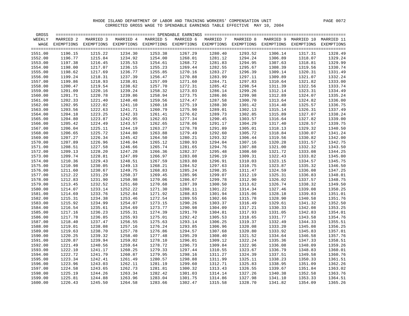| GROSS   |           |                                                                                                               |           |           |                 |           |           |         |                                 |                 |
|---------|-----------|---------------------------------------------------------------------------------------------------------------|-----------|-----------|-----------------|-----------|-----------|---------|---------------------------------|-----------------|
| WEEKLY  | MARRIED 2 | MARRIED 3                                                                                                     | MARRIED 4 | MARRIED 5 | MARRIED 6       | MARRIED 7 | MARRIED 8 |         | MARRIED 9 MARRIED 10 MARRIED 11 |                 |
| WAGE    |           | EXEMPTIONS EXEMPTIONS EXEMPTIONS EXEMPTIONS EXEMPTIONS EXEMPTIONS EXEMPTIONS EXEMPTIONS EXEMPTIONS EXEMPTIONS |           |           |                 |           |           |         |                                 |                 |
|         |           |                                                                                                               |           |           |                 |           |           |         |                                 |                 |
| 1551.00 | 1196.15   | 1215.22                                                                                                       | 1234.30   | 1253.38   | 1267.29         | 1280.40   | 1293.52   | 1306.14 | 1317.31                         | 1328.49         |
| 1552.00 | 1196.77   | 1215.84                                                                                                       | 1234.92   | 1254.00   | 1268.01         | 1281.12   | 1294.24   | 1306.89 | 1318.07                         | 1329.24         |
| 1553.00 | 1197.38   | 1216.45                                                                                                       | 1235.53   | 1254.61   | 1268.72         | 1281.83   | 1294.95   | 1307.63 | 1318.81                         | 1329.99         |
| 1554.00 | 1198.00   | 1217.07                                                                                                       | 1236.15   | 1255.23   | 1269.44         | 1282.55   | 1295.67   | 1308.39 | 1319.56                         | 1330.74         |
| 1555.00 | 1198.62   | 1217.69                                                                                                       | 1236.77   | 1255.85   | 1270.16         | 1283.27   | 1296.39   | 1309.14 | 1320.31                         | 1331.49         |
| 1556.00 | 1199.24   | 1218.31                                                                                                       | 1237.39   | 1256.47   | 1270.88         | 1283.99   | 1297.11   | 1309.89 | 1321.07                         | 1332.24         |
| 1557.00 | 1199.86   | 1218.93                                                                                                       | 1238.01   | 1257.09   | 1271.60         | 1284.71   | 1297.83   | 1310.64 | 1321.82                         | 1333.00         |
| 1558.00 | 1200.47   | 1219.54                                                                                                       | 1238.62   | 1257.70   | 1272.31         | 1285.42   | 1298.54   | 1311.39 | 1322.56                         | 1333.74         |
| 1559.00 | 1201.09   | 1220.16                                                                                                       | 1239.24   | 1258.32   | 1273.03         | 1286.14   | 1299.26   | 1312.14 | 1323.31                         | 1334.49         |
| 1560.00 | 1201.71   | 1220.78                                                                                                       | 1239.86   | 1258.94   | 1273.75         | 1286.86   | 1299.98   | 1312.89 | 1324.07                         | 1335.24         |
| 1561.00 | 1202.33   | 1221.40                                                                                                       | 1240.48   | 1259.56   | 1274.47         | 1287.58   | 1300.70   | 1313.64 | 1324.82                         | 1336.00         |
| 1562.00 | 1202.95   | 1222.02                                                                                                       | 1241.10   | 1260.18   | 1275.19         | 1288.30   | 1301.42   | 1314.40 | 1325.57                         | 1336.75         |
| 1563.00 | 1203.56   | 1222.63                                                                                                       | 1241.71   | 1260.79   | 1275.90         | 1289.01   | 1302.13   | 1315.14 | 1326.31                         | 1337.49         |
| 1564.00 | 1204.18   | 1223.25                                                                                                       | 1242.33   | 1261.41   | 1276.62         | 1289.73   | 1302.85   | 1315.89 | 1327.07                         | 1338.24         |
| 1565.00 | 1204.80   | 1223.87                                                                                                       | 1242.95   | 1262.03   | 1277.34         | 1290.45   | 1303.57   | 1316.64 | 1327.82                         | 1339.00         |
| 1566.00 | 1205.42   | 1224.49                                                                                                       | 1243.57   | 1262.65   | 1278.06         | 1291.17   | 1304.29   | 1317.40 | 1328.57                         | 1339.75         |
| 1567.00 | 1206.04   | 1225.11                                                                                                       | 1244.19   | 1263.27   | 1278.78         | 1291.89   | 1305.01   | 1318.13 | 1329.32                         | 1340.50         |
| 1568.00 | 1206.65   | 1225.72                                                                                                       | 1244.80   | 1263.88   | 1279.49         | 1292.60   | 1305.72   | 1318.84 | 1330.07                         | 1341.24         |
| 1569.00 | 1207.27   | 1226.34                                                                                                       | 1245.42   | 1264.50   | 1280.21         | 1293.32   | 1306.44   | 1319.56 | 1330.82                         | 1342.00         |
| 1570.00 | 1207.89   | 1226.96                                                                                                       | 1246.04   | 1265.12   | 1280.93         | 1294.04   | 1307.16   | 1320.28 | 1331.57                         | 1342.75         |
| 1571.00 | 1208.51   | 1227.58                                                                                                       | 1246.66   | 1265.74   | 1281.65         | 1294.76   | 1307.88   | 1321.00 | 1332.32                         | 1343.50         |
| 1572.00 | 1209.13   | 1228.20                                                                                                       | 1247.28   | 1266.36   | 1282.37         | 1295.48   | 1308.60   | 1321.72 | 1333.08                         | 1344.25         |
| 1573.00 | 1209.74   | 1228.81                                                                                                       | 1247.89   | 1266.97   | 1283.08         | 1296.19   | 1309.31   | 1322.43 | 1333.82                         | 1345.00         |
| 1574.00 | 1210.36   | 1229.43                                                                                                       | 1248.51   | 1267.59   | 1283.80         | 1296.91   | 1310.03   | 1323.15 | 1334.57                         | 1345.75         |
|         |           |                                                                                                               |           |           |                 |           |           |         |                                 |                 |
| 1575.00 | 1210.98   | 1230.05                                                                                                       | 1249.13   | 1268.21   | 1284.52         | 1297.63   | 1310.75   | 1323.87 | 1335.32                         | 1346.50         |
| 1576.00 | 1211.60   | 1230.67                                                                                                       | 1249.75   | 1268.83   | 1285.24         | 1298.35   | 1311.47   | 1324.59 | 1336.08                         | 1347.25         |
| 1577.00 | 1212.22   | 1231.29                                                                                                       | 1250.37   | 1269.45   | 1285.96         | 1299.07   | 1312.19   | 1325.31 | 1336.83                         | 1348.01         |
| 1578.00 | 1212.83   | 1231.90                                                                                                       | 1250.98   | 1270.06   | 1286.67         | 1299.78   | 1312.90   | 1326.02 | 1337.57                         | 1348.75         |
| 1579.00 | 1213.45   | 1232.52                                                                                                       | 1251.60   | 1270.68   | 1287.39         | 1300.50   | 1313.62   | 1326.74 | 1338.32                         | 1349.50         |
| 1580.00 | 1214.07   | 1233.14                                                                                                       | 1252.22   | 1271.30   | 1288.11         | 1301.22   | 1314.34   | 1327.46 | 1339.08                         | 1350.25         |
| 1581.00 | 1214.69   | 1233.76                                                                                                       | 1252.84   | 1271.92   | 1288.83         | 1301.94   | 1315.06   | 1328.18 | 1339.83                         | 1351.01         |
| 1582.00 | 1215.31   | 1234.38                                                                                                       | 1253.46   | 1272.54   | 1289.55         | 1302.66   | 1315.78   | 1328.90 | 1340.58                         | 1351.76         |
| 1583.00 | 1215.92   | 1234.99                                                                                                       | 1254.07   | 1273.15   | 1290.26         | 1303.37   | 1316.49   | 1329.61 | 1341.32                         | 1352.50         |
| 1584.00 | 1216.54   | 1235.61                                                                                                       | 1254.69   | 1273.77   | 1290.98         | 1304.09   | 1317.21   | 1330.33 | 1342.08                         | 1353.25         |
| 1585.00 | 1217.16   | 1236.23                                                                                                       | 1255.31   | 1274.39   | 1291.70         | 1304.81   | 1317.93   | 1331.05 | 1342.83                         | 1354.01         |
| 1586.00 | 1217.78   | 1236.85                                                                                                       | 1255.93   | 1275.01   | 1292.42         | 1305.53   | 1318.65   | 1331.77 | 1343.58                         | 1354.76         |
| 1587.00 | 1218.40   | 1237.47                                                                                                       | 1256.55   | 1275.63   | 1293.14         | 1306.25   | 1319.37   | 1332.49 | 1344.33                         | 1355.51         |
| 1588.00 | 1219.01   | 1238.08                                                                                                       | 1257.16   | 1276.24   | 1293.85         | 1306.96   | 1320.08   | 1333.20 | 1345.08                         | 1356.25         |
| 1589.00 | 1219.63   | 1238.70                                                                                                       | 1257.78   | 1276.86   | 1294.57         | 1307.68   | 1320.80   | 1333.92 | 1345.83                         | 1357.01         |
| 1590.00 | 1220.25   | 1239.32                                                                                                       | 1258.40   | 1277.48   | 1295.29         | 1308.40   | 1321.52   | 1334.64 | 1346.58                         | 1357.76         |
| 1591.00 | 1220.87   | 1239.94                                                                                                       | 1259.02   | 1278.10   | 1296.01         | 1309.12   | 1322.24   | 1335.36 | 1347.33                         | 1358.51         |
| 1592.00 | 1221.49   | 1240.56                                                                                                       | 1259.64   | 1278.72   | 1296.73         | 1309.84   | 1322.96   | 1336.08 | 1348.09                         | 1359.26         |
| 1593.00 | 1222.10   | 1241.17                                                                                                       | 1260.25   | 1279.33   | 1297.44         | 1310.55   | 1323.67   | 1336.79 | 1348.83                         | 1360.01         |
| 1594.00 | 1222.72   | 1241.79                                                                                                       | 1260.87   | 1279.95   | 1298.16         | 1311.27   | 1324.39   | 1337.51 | 1349.58                         | 1360.76         |
| 1595.00 | 1223.34   | 1242.41                                                                                                       | 1261.49   | 1280.57   | 1298.88         | 1311.99   | 1325.11   | 1338.23 | 1350.33                         | 1361.51         |
| 1596.00 | 1223.96   | 1243.03                                                                                                       | 1262.11   | 1281.19   | 1299.60         | 1312.71   | 1325.83   | 1338.95 | 1351.09                         | 1362.26         |
| 1597.00 | 1224.58   | 1243.65                                                                                                       | 1262.73   | 1281.81   | 1300.32         | 1313.43   | 1326.55   | 1339.67 | 1351.84                         | 1363.02         |
| 1598.00 | 1225.19   | 1244.26                                                                                                       | 1263.34   | 1282.42   | 1301.03         | 1314.14   | 1327.26   | 1340.38 | 1352.58                         | 1363.76         |
| 1599.00 | 1225.81   | 1244.88                                                                                                       | 1263.96   | 1283.04   | 1301.75         | 1314.86   | 1327.98   | 1341.10 | 1353.33                         | 1364.51         |
| 1600.00 | 1226.43   | 1245.50                                                                                                       | 1264.58   |           | 1283.66 1302.47 | 1315.58   | 1328.70   | 1341.82 |                                 | 1354.09 1365.26 |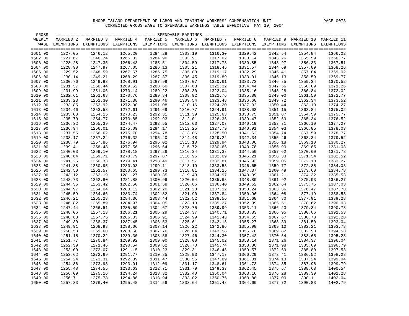| GROSS   |           |                                                                                                               |           |           |                 |           |           |                 |                                 |         |
|---------|-----------|---------------------------------------------------------------------------------------------------------------|-----------|-----------|-----------------|-----------|-----------|-----------------|---------------------------------|---------|
| WEEKLY  | MARRIED 2 | MARRIED 3                                                                                                     | MARRIED 4 | MARRIED 5 | MARRIED 6       | MARRIED 7 | MARRIED 8 |                 | MARRIED 9 MARRIED 10 MARRIED 11 |         |
| WAGE    |           | EXEMPTIONS EXEMPTIONS EXEMPTIONS EXEMPTIONS EXEMPTIONS EXEMPTIONS EXEMPTIONS EXEMPTIONS EXEMPTIONS EXEMPTIONS |           |           |                 |           |           |                 |                                 |         |
|         |           |                                                                                                               |           |           |                 |           |           |                 |                                 |         |
| 1601.00 | 1227.05   | 1246.12                                                                                                       | 1265.20   | 1284.28   | 1303.19         | 1316.30   | 1329.42   | 1342.54         | 1354.84                         | 1366.02 |
| 1602.00 | 1227.67   | 1246.74                                                                                                       | 1265.82   | 1284.90   | 1303.91         | 1317.02   | 1330.14   | 1343.26         | 1355.59                         | 1366.77 |
| 1603.00 | 1228.28   | 1247.35                                                                                                       | 1266.43   | 1285.51   | 1304.59         | 1317.73   | 1330.85   | 1343.97         | 1356.33                         | 1367.51 |
| 1604.00 | 1228.90   | 1247.97                                                                                                       | 1267.05   | 1286.13   | 1305.21         | 1318.45   | 1331.57   | 1344.69         | 1357.09                         | 1368.26 |
| 1605.00 | 1229.52   | 1248.59                                                                                                       | 1267.67   | 1286.75   | 1305.83         | 1319.17   | 1332.29   | 1345.41         | 1357.84                         | 1369.02 |
| 1606.00 | 1230.14   | 1249.21                                                                                                       | 1268.29   | 1287.37   | 1306.45         | 1319.89   | 1333.01   | 1346.13         | 1358.59                         | 1369.77 |
| 1607.00 | 1230.76   | 1249.83                                                                                                       | 1268.91   | 1287.99   | 1307.07         | 1320.61   | 1333.73   | 1346.85         | 1359.34                         | 1370.52 |
| 1608.00 | 1231.37   | 1250.44                                                                                                       | 1269.52   | 1288.60   | 1307.68         | 1321.32   | 1334.44   | 1347.56         | 1360.09                         | 1371.26 |
| 1609.00 | 1231.99   | 1251.06                                                                                                       | 1270.14   | 1289.22   | 1308.30         | 1322.04   | 1335.16   | 1348.28         | 1360.84                         | 1372.02 |
| 1610.00 | 1232.61   | 1251.68                                                                                                       | 1270.76   | 1289.84   | 1308.92         | 1322.76   | 1335.88   | 1349.00         | 1361.59                         | 1372.77 |
| 1611.00 | 1233.23   | 1252.30                                                                                                       | 1271.38   | 1290.46   | 1309.54         | 1323.48   | 1336.60   | 1349.72         | 1362.34                         | 1373.52 |
| 1612.00 | 1233.85   | 1252.92                                                                                                       | 1272.00   | 1291.08   | 1310.16         | 1324.20   | 1337.32   | 1350.44         | 1363.10                         | 1374.27 |
| 1613.00 | 1234.46   | 1253.53                                                                                                       | 1272.61   | 1291.69   | 1310.77         | 1324.91   | 1338.03   | 1351.15         | 1363.84                         | 1375.02 |
| 1614.00 | 1235.08   | 1254.15                                                                                                       | 1273.23   | 1292.31   | 1311.39         | 1325.63   | 1338.75   | 1351.87         | 1364.59                         | 1375.77 |
| 1615.00 | 1235.70   | 1254.77                                                                                                       | 1273.85   | 1292.93   | 1312.01         | 1326.35   | 1339.47   | 1352.59         | 1365.34                         | 1376.52 |
| 1616.00 | 1236.32   | 1255.39                                                                                                       | 1274.47   | 1293.55   | 1312.63         | 1327.07   | 1340.19   | 1353.31         | 1366.10                         | 1377.27 |
| 1617.00 | 1236.94   | 1256.01                                                                                                       | 1275.09   | 1294.17   | 1313.25         | 1327.79   | 1340.91   | 1354.03         | 1366.85                         | 1378.03 |
| 1618.00 | 1237.55   | 1256.62                                                                                                       | 1275.70   | 1294.78   | 1313.86         | 1328.50   | 1341.62   | 1354.74         | 1367.59                         | 1378.77 |
| 1619.00 | 1238.17   | 1257.24                                                                                                       | 1276.32   | 1295.40   | 1314.48         | 1329.22   | 1342.34   | 1355.46         | 1368.34                         | 1379.52 |
| 1620.00 | 1238.79   | 1257.86                                                                                                       | 1276.94   | 1296.02   | 1315.10         | 1329.94   | 1343.06   | 1356.18         | 1369.10                         | 1380.27 |
| 1621.00 | 1239.41   | 1258.48                                                                                                       | 1277.56   | 1296.64   | 1315.72         | 1330.66   | 1343.78   | 1356.90         | 1369.85                         | 1381.03 |
| 1622.00 | 1240.03   | 1259.10                                                                                                       | 1278.18   | 1297.26   | 1316.34         | 1331.38   | 1344.50   | 1357.62         | 1370.60                         | 1381.78 |
| 1623.00 | 1240.64   | 1259.71                                                                                                       | 1278.79   | 1297.87   | 1316.95         | 1332.09   | 1345.21   | 1358.33         | 1371.34                         | 1382.52 |
| 1624.00 | 1241.26   | 1260.33                                                                                                       | 1279.41   | 1298.49   | 1317.57         | 1332.81   | 1345.93   | 1359.05         | 1372.10                         | 1383.27 |
| 1625.00 | 1241.88   | 1260.95                                                                                                       | 1280.03   | 1299.11   | 1318.19         | 1333.53   | 1346.65   | 1359.77         | 1372.85                         | 1384.03 |
| 1626.00 | 1242.50   | 1261.57                                                                                                       | 1280.65   | 1299.73   | 1318.81         | 1334.25   | 1347.37   | 1360.49         | 1373.60                         | 1384.78 |
| 1627.00 | 1243.12   | 1262.19                                                                                                       | 1281.27   | 1300.35   | 1319.43         | 1334.97   | 1348.09   | 1361.21         | 1374.32                         | 1385.53 |
| 1628.00 | 1243.73   | 1262.80                                                                                                       | 1281.88   | 1300.96   | 1320.04         | 1335.68   | 1348.80   | 1361.92         | 1375.03                         | 1386.27 |
| 1629.00 | 1244.35   | 1263.42                                                                                                       | 1282.50   | 1301.58   | 1320.66         | 1336.40   | 1349.52   | 1362.64         | 1375.75                         | 1387.03 |
| 1630.00 | 1244.97   | 1264.04                                                                                                       | 1283.12   | 1302.20   | 1321.28         | 1337.12   | 1350.24   | 1363.36         | 1376.47                         | 1387.78 |
| 1631.00 | 1245.59   | 1264.66                                                                                                       | 1283.74   | 1302.82   | 1321.90         | 1337.84   | 1350.96   | 1364.08         | 1377.19                         | 1388.53 |
| 1632.00 | 1246.21   | 1265.28                                                                                                       | 1284.36   | 1303.44   | 1322.52         | 1338.56   | 1351.68   | 1364.80         | 1377.91                         | 1389.28 |
| 1633.00 | 1246.82   | 1265.89                                                                                                       | 1284.97   | 1304.05   | 1323.13         | 1339.27   | 1352.39   | 1365.51         | 1378.62                         | 1390.03 |
| 1634.00 | 1247.44   | 1266.51                                                                                                       | 1285.59   | 1304.67   | 1323.75         | 1339.99   | 1353.11   | 1366.23         | 1379.34                         | 1390.78 |
| 1635.00 | 1248.06   | 1267.13                                                                                                       | 1286.21   | 1305.29   | 1324.37         | 1340.71   | 1353.83   | 1366.95         | 1380.06                         | 1391.53 |
| 1636.00 | 1248.68   | 1267.75                                                                                                       | 1286.83   | 1305.91   | 1324.99         | 1341.43   | 1354.55   | 1367.67         | 1380.78                         | 1392.28 |
| 1637.00 | 1249.30   | 1268.37                                                                                                       | 1287.45   | 1306.53   | 1325.61         | 1342.15   | 1355.27   | 1368.39         | 1381.50                         | 1393.04 |
| 1638.00 | 1249.91   | 1268.98                                                                                                       | 1288.06   | 1307.14   | 1326.22         | 1342.86   | 1355.98   | 1369.10         | 1382.21                         | 1393.78 |
| 1639.00 | 1250.53   | 1269.60                                                                                                       | 1288.68   | 1307.76   | 1326.84         | 1343.58   | 1356.70   | 1369.82         | 1382.93                         | 1394.53 |
| 1640.00 | 1251.15   | 1270.22                                                                                                       | 1289.30   | 1308.38   | 1327.46         | 1344.30   | 1357.42   | 1370.54         | 1383.65                         | 1395.28 |
| 1641.00 | 1251.77   | 1270.84                                                                                                       | 1289.92   | 1309.00   | 1328.08         | 1345.02   | 1358.14   | 1371.26         | 1384.37                         | 1396.04 |
| 1642.00 | 1252.39   | 1271.46                                                                                                       | 1290.54   | 1309.62   | 1328.70         | 1345.74   | 1358.86   | 1371.98         | 1385.09                         | 1396.79 |
| 1643.00 | 1253.00   | 1272.07                                                                                                       | 1291.15   | 1310.23   | 1329.31         | 1346.45   | 1359.57   | 1372.69         | 1385.80                         | 1397.53 |
| 1644.00 | 1253.62   | 1272.69                                                                                                       | 1291.77   | 1310.85   | 1329.93         | 1347.17   | 1360.29   | 1373.41         | 1386.52                         | 1398.28 |
| 1645.00 | 1254.24   | 1273.31                                                                                                       | 1292.39   | 1311.47   | 1330.55         | 1347.89   | 1361.01   | 1374.13         | 1387.24                         | 1399.04 |
| 1646.00 | 1254.86   | 1273.93                                                                                                       | 1293.01   | 1312.09   | 1331.17         | 1348.61   | 1361.73   | 1374.85         | 1387.96                         | 1399.79 |
| 1647.00 | 1255.48   | 1274.55                                                                                                       | 1293.63   | 1312.71   | 1331.79         | 1349.33   | 1362.45   | 1375.57         | 1388.68                         | 1400.54 |
| 1648.00 | 1256.09   | 1275.16                                                                                                       | 1294.24   | 1313.32   | 1332.40         | 1350.04   | 1363.16   | 1376.28         | 1389.39                         | 1401.28 |
| 1649.00 | 1256.71   | 1275.78                                                                                                       | 1294.86   | 1313.94   | 1333.02         | 1350.76   | 1363.88   | 1377.00         | 1390.11                         | 1402.04 |
| 1650.00 | 1257.33   | 1276.40                                                                                                       | 1295.48   |           | 1314.56 1333.64 | 1351.48   | 1364.60   | 1377.72 1390.83 |                                 | 1402.79 |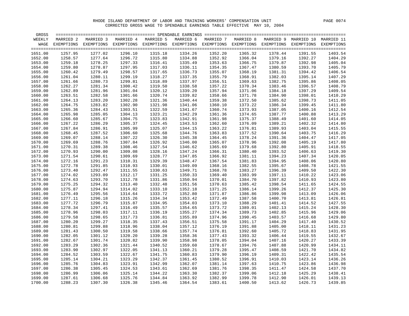| GROSS   |           |                                                                                                               |           |           |           |           |           |         |                                 |         |
|---------|-----------|---------------------------------------------------------------------------------------------------------------|-----------|-----------|-----------|-----------|-----------|---------|---------------------------------|---------|
| WEEKLY  | MARRIED 2 | MARRIED 3                                                                                                     | MARRIED 4 | MARRIED 5 | MARRIED 6 | MARRIED 7 | MARRIED 8 |         | MARRIED 9 MARRIED 10 MARRIED 11 |         |
| WAGE    |           | EXEMPTIONS EXEMPTIONS EXEMPTIONS EXEMPTIONS EXEMPTIONS EXEMPTIONS EXEMPTIONS EXEMPTIONS EXEMPTIONS EXEMPTIONS |           |           |           |           |           |         |                                 |         |
|         |           |                                                                                                               |           |           |           |           |           |         |                                 |         |
| 1651.00 | 1257.95   | 1277.02                                                                                                       | 1296.10   | 1315.18   | 1334.26   | 1352.20   | 1365.32   | 1378.44 | 1391.55                         | 1403.54 |
| 1652.00 | 1258.57   | 1277.64                                                                                                       | 1296.72   | 1315.80   | 1334.88   | 1352.92   | 1366.04   | 1379.16 | 1392.27                         | 1404.29 |
| 1653.00 | 1259.18   | 1278.25                                                                                                       | 1297.33   | 1316.41   | 1335.49   | 1353.63   | 1366.75   | 1379.87 | 1392.98                         | 1405.04 |
| 1654.00 | 1259.80   | 1278.87                                                                                                       | 1297.95   | 1317.03   | 1336.11   | 1354.35   | 1367.47   | 1380.59 | 1393.70                         | 1405.79 |
| 1655.00 | 1260.42   | 1279.49                                                                                                       | 1298.57   | 1317.65   | 1336.73   | 1355.07   | 1368.19   | 1381.31 | 1394.42                         | 1406.54 |
| 1656.00 | 1261.04   | 1280.11                                                                                                       | 1299.19   | 1318.27   | 1337.35   | 1355.79   | 1368.91   | 1382.03 | 1395.14                         | 1407.29 |
| 1657.00 | 1261.66   | 1280.73                                                                                                       | 1299.81   | 1318.89   | 1337.97   | 1356.51   | 1369.63   | 1382.75 | 1395.86                         | 1408.05 |
| 1658.00 | 1262.27   | 1281.34                                                                                                       | 1300.42   | 1319.50   | 1338.58   | 1357.22   | 1370.34   | 1383.46 | 1396.57                         | 1408.79 |
| 1659.00 | 1262.89   | 1281.96                                                                                                       | 1301.04   | 1320.12   | 1339.20   | 1357.94   | 1371.06   | 1384.18 | 1397.29                         | 1409.54 |
| 1660.00 | 1263.51   | 1282.58                                                                                                       | 1301.66   | 1320.74   | 1339.82   | 1358.66   | 1371.78   | 1384.90 | 1398.01                         | 1410.29 |
| 1661.00 | 1264.13   | 1283.20                                                                                                       | 1302.28   | 1321.36   | 1340.44   | 1359.38   | 1372.50   | 1385.62 | 1398.73                         | 1411.05 |
| 1662.00 | 1264.75   | 1283.82                                                                                                       | 1302.90   | 1321.98   | 1341.06   | 1360.10   | 1373.22   | 1386.34 | 1399.45                         | 1411.80 |
| 1663.00 | 1265.36   | 1284.43                                                                                                       | 1303.51   | 1322.59   | 1341.67   | 1360.74   | 1373.93   | 1387.05 | 1400.16                         | 1412.54 |
| 1664.00 | 1265.98   | 1285.05                                                                                                       | 1304.13   | 1323.21   | 1342.29   | 1361.36   | 1374.65   | 1387.77 | 1400.88                         | 1413.29 |
| 1665.00 | 1266.60   | 1285.67                                                                                                       | 1304.75   | 1323.83   | 1342.91   | 1361.98   | 1375.37   | 1388.49 | 1401.60                         | 1414.05 |
| 1666.00 | 1267.22   | 1286.29                                                                                                       | 1305.37   | 1324.45   | 1343.53   | 1362.60   | 1376.09   | 1389.21 | 1402.32                         | 1414.80 |
| 1667.00 | 1267.84   | 1286.91                                                                                                       | 1305.99   | 1325.07   | 1344.15   | 1363.22   | 1376.81   | 1389.93 | 1403.04                         | 1415.55 |
| 1668.00 | 1268.45   | 1287.52                                                                                                       | 1306.60   | 1325.68   | 1344.76   | 1363.83   | 1377.52   | 1390.64 | 1403.75                         | 1416.29 |
| 1669.00 | 1269.07   | 1288.14                                                                                                       | 1307.22   | 1326.30   | 1345.38   | 1364.45   | 1378.24   | 1391.36 | 1404.47                         | 1417.05 |
| 1670.00 | 1269.69   | 1288.76                                                                                                       | 1307.84   | 1326.92   | 1346.00   | 1365.07   | 1378.96   | 1392.08 | 1405.19                         | 1417.80 |
| 1671.00 | 1270.31   | 1289.38                                                                                                       | 1308.46   | 1327.54   | 1346.62   | 1365.69   | 1379.68   | 1392.80 | 1405.91                         | 1418.55 |
| 1672.00 | 1270.93   | 1290.00                                                                                                       | 1309.08   | 1328.16   | 1347.24   | 1366.31   | 1380.40   | 1393.52 | 1406.63                         | 1419.30 |
| 1673.00 | 1271.54   | 1290.61                                                                                                       | 1309.69   | 1328.77   | 1347.85   | 1366.92   | 1381.11   | 1394.23 | 1407.34                         | 1420.05 |
| 1674.00 | 1272.16   | 1291.23                                                                                                       | 1310.31   | 1329.39   | 1348.47   | 1367.54   | 1381.83   | 1394.95 | 1408.06                         | 1420.80 |
| 1675.00 | 1272.78   | 1291.85                                                                                                       | 1310.93   | 1330.01   | 1349.09   | 1368.16   | 1382.55   | 1395.67 | 1408.78                         | 1421.55 |
| 1676.00 | 1273.40   | 1292.47                                                                                                       | 1311.55   | 1330.63   | 1349.71   | 1368.78   | 1383.27   | 1396.39 | 1409.50                         | 1422.30 |
| 1677.00 | 1274.02   | 1293.09                                                                                                       | 1312.17   | 1331.25   | 1350.33   | 1369.40   | 1383.99   | 1397.11 | 1410.22                         | 1423.06 |
| 1678.00 | 1274.63   | 1293.70                                                                                                       | 1312.78   | 1331.86   | 1350.94   | 1370.01   | 1384.70   | 1397.82 | 1410.93                         | 1423.80 |
| 1679.00 | 1275.25   | 1294.32                                                                                                       | 1313.40   | 1332.48   | 1351.56   | 1370.63   | 1385.42   | 1398.54 | 1411.65                         | 1424.55 |
| 1680.00 | 1275.87   | 1294.94                                                                                                       | 1314.02   | 1333.10   | 1352.18   | 1371.25   | 1386.14   | 1399.26 | 1412.37                         | 1425.30 |
| 1681.00 | 1276.49   | 1295.56                                                                                                       | 1314.64   | 1333.72   | 1352.80   | 1371.87   | 1386.86   | 1399.98 | 1413.09                         | 1426.06 |
| 1682.00 | 1277.11   | 1296.18                                                                                                       | 1315.26   | 1334.34   | 1353.42   | 1372.49   | 1387.58   | 1400.70 | 1413.81                         | 1426.81 |
| 1683.00 | 1277.72   | 1296.79                                                                                                       | 1315.87   | 1334.95   | 1354.03   | 1373.10   | 1388.29   | 1401.41 | 1414.52                         | 1427.55 |
| 1684.00 | 1278.34   | 1297.41                                                                                                       | 1316.49   | 1335.57   | 1354.65   | 1373.72   | 1389.01   | 1402.13 | 1415.24                         | 1428.30 |
| 1685.00 | 1278.96   | 1298.03                                                                                                       | 1317.11   | 1336.19   | 1355.27   | 1374.34   | 1389.73   | 1402.85 | 1415.96                         | 1429.06 |
| 1686.00 | 1279.58   | 1298.65                                                                                                       | 1317.73   | 1336.81   | 1355.89   | 1374.96   | 1390.45   | 1403.57 | 1416.68                         | 1429.80 |
| 1687.00 | 1280.20   | 1299.27                                                                                                       | 1318.35   | 1337.43   | 1356.51   | 1375.58   | 1391.17   | 1404.29 | 1417.40                         | 1430.52 |
| 1688.00 | 1280.81   | 1299.88                                                                                                       | 1318.96   | 1338.04   | 1357.12   | 1376.19   | 1391.88   | 1405.00 | 1418.11                         | 1431.23 |
| 1689.00 | 1281.43   | 1300.50                                                                                                       | 1319.58   | 1338.66   | 1357.74   | 1376.81   | 1392.60   | 1405.72 | 1418.83                         | 1431.95 |
| 1690.00 | 1282.05   | 1301.12                                                                                                       | 1320.20   | 1339.28   | 1358.36   | 1377.43   | 1393.32   | 1406.44 | 1419.55                         | 1432.67 |
| 1691.00 | 1282.67   | 1301.74                                                                                                       | 1320.82   | 1339.90   | 1358.98   | 1378.05   | 1394.04   | 1407.16 | 1420.27                         | 1433.39 |
| 1692.00 | 1283.29   | 1302.36                                                                                                       | 1321.44   | 1340.52   | 1359.60   | 1378.67   | 1394.76   | 1407.88 | 1420.99                         | 1434.11 |
| 1693.00 | 1283.90   | 1302.97                                                                                                       | 1322.05   | 1341.13   | 1360.21   | 1379.28   | 1395.47   | 1408.59 | 1421.70                         | 1434.82 |
| 1694.00 | 1284.52   | 1303.59                                                                                                       | 1322.67   | 1341.75   | 1360.83   | 1379.90   | 1396.19   | 1409.31 | 1422.42                         | 1435.54 |
| 1695.00 | 1285.14   | 1304.21                                                                                                       | 1323.29   | 1342.37   | 1361.45   | 1380.52   | 1396.91   | 1410.03 | 1423.14                         | 1436.26 |
| 1696.00 | 1285.76   | 1304.83                                                                                                       | 1323.91   | 1342.99   | 1362.07   | 1381.14   | 1397.63   | 1410.75 | 1423.86                         | 1436.98 |
| 1697.00 | 1286.38   | 1305.45                                                                                                       | 1324.53   | 1343.61   | 1362.69   | 1381.76   | 1398.35   | 1411.47 | 1424.58                         | 1437.70 |
| 1698.00 | 1286.99   | 1306.06                                                                                                       | 1325.14   | 1344.22   | 1363.30   | 1382.37   | 1399.06   | 1412.18 | 1425.29                         | 1438.41 |
| 1699.00 | 1287.61   | 1306.68                                                                                                       | 1325.76   | 1344.84   | 1363.92   | 1382.99   | 1399.78   | 1412.90 | 1426.01                         | 1439.13 |
| 1700.00 | 1288.23   | 1307.30                                                                                                       | 1326.38   | 1345.46   | 1364.54   | 1383.61   | 1400.50   | 1413.62 | 1426.73                         | 1439.85 |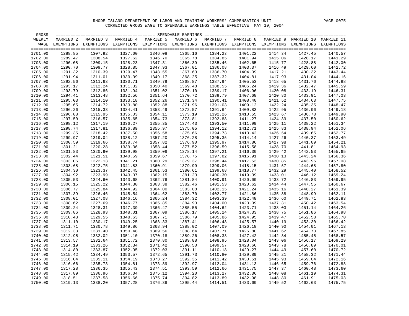| GROSS   |           |                                                                                                               |           |           |           |           |           |         |                                 |         |
|---------|-----------|---------------------------------------------------------------------------------------------------------------|-----------|-----------|-----------|-----------|-----------|---------|---------------------------------|---------|
| WEEKLY  | MARRIED 2 | MARRIED 3                                                                                                     | MARRIED 4 | MARRIED 5 | MARRIED 6 | MARRIED 7 | MARRIED 8 |         | MARRIED 9 MARRIED 10 MARRIED 11 |         |
| WAGE    |           | EXEMPTIONS EXEMPTIONS EXEMPTIONS EXEMPTIONS EXEMPTIONS EXEMPTIONS EXEMPTIONS EXEMPTIONS EXEMPTIONS EXEMPTIONS |           |           |           |           |           |         |                                 |         |
|         |           |                                                                                                               |           |           |           |           |           |         |                                 |         |
| 1701.00 | 1288.85   | 1307.92                                                                                                       | 1327.00   | 1346.08   | 1365.16   | 1384.23   | 1401.22   | 1414.34 | 1427.45                         | 1440.57 |
| 1702.00 | 1289.47   | 1308.54                                                                                                       | 1327.62   | 1346.70   | 1365.78   | 1384.85   | 1401.94   | 1415.06 | 1428.17                         | 1441.29 |
| 1703.00 | 1290.08   | 1309.15                                                                                                       | 1328.23   | 1347.31   | 1366.39   | 1385.46   | 1402.65   | 1415.77 | 1428.88                         | 1442.00 |
| 1704.00 | 1290.70   | 1309.77                                                                                                       | 1328.85   | 1347.93   | 1367.01   | 1386.08   | 1403.37   | 1416.49 | 1429.60                         | 1442.72 |
| 1705.00 | 1291.32   | 1310.39                                                                                                       | 1329.47   | 1348.55   | 1367.63   | 1386.70   | 1404.09   | 1417.21 | 1430.32                         | 1443.44 |
| 1706.00 | 1291.94   | 1311.01                                                                                                       | 1330.09   | 1349.17   | 1368.25   | 1387.32   | 1404.81   | 1417.93 | 1431.04                         | 1444.16 |
| 1707.00 | 1292.56   | 1311.63                                                                                                       | 1330.71   | 1349.79   | 1368.87   | 1387.94   | 1405.53   | 1418.65 | 1431.76                         | 1444.88 |
| 1708.00 | 1293.17   | 1312.24                                                                                                       | 1331.32   | 1350.40   | 1369.48   | 1388.55   | 1406.24   | 1419.36 | 1432.47                         | 1445.59 |
| 1709.00 | 1293.79   | 1312.86                                                                                                       | 1331.94   | 1351.02   | 1370.10   | 1389.17   | 1406.96   | 1420.08 | 1433.19                         | 1446.31 |
| 1710.00 | 1294.41   | 1313.48                                                                                                       | 1332.56   | 1351.64   | 1370.72   | 1389.79   | 1407.68   | 1420.80 | 1433.91                         | 1447.03 |
| 1711.00 | 1295.03   | 1314.10                                                                                                       | 1333.18   | 1352.26   | 1371.34   | 1390.41   | 1408.40   | 1421.52 | 1434.63                         | 1447.75 |
| 1712.00 | 1295.65   | 1314.72                                                                                                       | 1333.80   | 1352.88   | 1371.96   | 1391.03   | 1409.12   | 1422.24 | 1435.35                         | 1448.47 |
| 1713.00 | 1296.26   | 1315.33                                                                                                       | 1334.41   | 1353.49   | 1372.57   | 1391.64   | 1409.83   | 1422.95 | 1436.06                         | 1449.18 |
| 1714.00 | 1296.88   | 1315.95                                                                                                       | 1335.03   | 1354.11   | 1373.19   | 1392.26   | 1410.55   | 1423.67 | 1436.78                         | 1449.90 |
| 1715.00 | 1297.50   | 1316.57                                                                                                       | 1335.65   | 1354.73   | 1373.81   | 1392.88   | 1411.27   | 1424.39 | 1437.50                         | 1450.62 |
| 1716.00 | 1298.12   | 1317.19                                                                                                       | 1336.27   | 1355.35   | 1374.43   | 1393.50   | 1411.99   | 1425.11 | 1438.22                         | 1451.34 |
| 1717.00 | 1298.74   | 1317.81                                                                                                       | 1336.89   | 1355.97   | 1375.05   | 1394.12   | 1412.71   | 1425.83 | 1438.94                         | 1452.06 |
| 1718.00 | 1299.35   | 1318.42                                                                                                       | 1337.50   | 1356.58   | 1375.66   | 1394.73   | 1413.42   | 1426.54 | 1439.65                         | 1452.77 |
| 1719.00 | 1299.97   | 1319.04                                                                                                       | 1338.12   | 1357.20   | 1376.28   | 1395.35   | 1414.14   | 1427.26 | 1440.37                         | 1453.49 |
| 1720.00 | 1300.59   | 1319.66                                                                                                       | 1338.74   | 1357.82   | 1376.90   | 1395.97   | 1414.86   | 1427.98 | 1441.09                         | 1454.21 |
| 1721.00 | 1301.21   | 1320.28                                                                                                       | 1339.36   | 1358.44   | 1377.52   | 1396.59   | 1415.58   | 1428.70 | 1441.81                         | 1454.93 |
| 1722.00 | 1301.83   | 1320.90                                                                                                       | 1339.98   | 1359.06   | 1378.14   | 1397.21   | 1416.30   | 1429.42 | 1442.53                         | 1455.65 |
| 1723.00 | 1302.44   | 1321.51                                                                                                       | 1340.59   | 1359.67   | 1378.75   | 1397.82   | 1416.91   | 1430.13 | 1443.24                         | 1456.36 |
| 1724.00 | 1303.06   | 1322.13                                                                                                       | 1341.21   | 1360.29   | 1379.37   | 1398.44   | 1417.53   | 1430.85 | 1443.96                         | 1457.08 |
| 1725.00 | 1303.68   | 1322.75                                                                                                       | 1341.83   | 1360.91   | 1379.99   | 1399.06   | 1418.15   | 1431.57 | 1444.68                         | 1457.80 |
| 1726.00 | 1304.30   | 1323.37                                                                                                       | 1342.45   | 1361.53   | 1380.61   | 1399.68   | 1418.77   | 1432.29 | 1445.40                         | 1458.52 |
| 1727.00 | 1304.92   | 1323.99                                                                                                       | 1343.07   | 1362.15   | 1381.23   | 1400.30   | 1419.39   | 1433.01 | 1446.12                         | 1459.24 |
| 1728.00 | 1305.53   | 1324.60                                                                                                       | 1343.68   | 1362.76   | 1381.84   | 1400.91   | 1420.00   | 1433.72 | 1446.83                         | 1459.95 |
| 1729.00 | 1306.15   | 1325.22                                                                                                       | 1344.30   | 1363.38   | 1382.46   | 1401.53   | 1420.62   | 1434.44 | 1447.55                         | 1460.67 |
| 1730.00 | 1306.77   | 1325.84                                                                                                       | 1344.92   | 1364.00   | 1383.08   | 1402.15   | 1421.24   | 1435.16 | 1448.27                         | 1461.39 |
| 1731.00 | 1307.39   | 1326.46                                                                                                       | 1345.54   | 1364.62   | 1383.70   | 1402.77   | 1421.86   | 1435.88 | 1448.99                         | 1462.11 |
| 1732.00 | 1308.01   | 1327.08                                                                                                       | 1346.16   | 1365.24   | 1384.32   | 1403.39   | 1422.48   | 1436.60 | 1449.71                         | 1462.83 |
| 1733.00 | 1308.62   | 1327.69                                                                                                       | 1346.77   | 1365.85   | 1384.93   | 1404.00   | 1423.09   | 1437.31 | 1450.42                         | 1463.54 |
| 1734.00 | 1309.24   | 1328.31                                                                                                       | 1347.39   | 1366.47   | 1385.55   | 1404.62   | 1423.71   | 1438.03 | 1451.14                         | 1464.26 |
| 1735.00 | 1309.86   | 1328.93                                                                                                       | 1348.01   | 1367.09   | 1386.17   | 1405.24   | 1424.33   | 1438.75 | 1451.86                         | 1464.98 |
| 1736.00 | 1310.48   | 1329.55                                                                                                       | 1348.63   | 1367.71   | 1386.79   | 1405.86   | 1424.95   | 1439.47 | 1452.58                         | 1465.70 |
| 1737.00 | 1311.10   | 1330.17                                                                                                       | 1349.25   | 1368.33   | 1387.41   | 1406.48   | 1425.57   | 1440.19 | 1453.30                         | 1466.42 |
| 1738.00 | 1311.71   | 1330.78                                                                                                       | 1349.86   | 1368.94   | 1388.02   | 1407.09   | 1426.18   | 1440.90 | 1454.01                         | 1467.13 |
| 1739.00 | 1312.33   | 1331.40                                                                                                       | 1350.48   | 1369.56   | 1388.64   | 1407.71   | 1426.80   | 1441.62 | 1454.73                         | 1467.85 |
| 1740.00 | 1312.95   | 1332.02                                                                                                       | 1351.10   | 1370.18   | 1389.26   | 1408.33   | 1427.42   | 1442.34 | 1455.45                         | 1468.57 |
| 1741.00 | 1313.57   | 1332.64                                                                                                       | 1351.72   | 1370.80   | 1389.88   | 1408.95   | 1428.04   | 1443.06 | 1456.17                         | 1469.29 |
| 1742.00 | 1314.19   | 1333.26                                                                                                       | 1352.34   | 1371.42   | 1390.50   | 1409.57   | 1428.66   | 1443.78 | 1456.89                         | 1470.01 |
| 1743.00 | 1314.80   | 1333.87                                                                                                       | 1352.95   | 1372.03   | 1391.11   | 1410.18   | 1429.27   | 1444.49 | 1457.60                         | 1470.72 |
| 1744.00 | 1315.42   | 1334.49                                                                                                       | 1353.57   | 1372.65   | 1391.73   | 1410.80   | 1429.89   | 1445.21 | 1458.32                         | 1471.44 |
| 1745.00 | 1316.04   | 1335.11                                                                                                       | 1354.19   | 1373.27   | 1392.35   | 1411.42   | 1430.51   | 1445.93 | 1459.04                         | 1472.16 |
| 1746.00 | 1316.66   | 1335.73                                                                                                       | 1354.81   | 1373.89   | 1392.97   | 1412.04   | 1431.13   | 1446.65 | 1459.76                         | 1472.88 |
| 1747.00 | 1317.28   | 1336.35                                                                                                       | 1355.43   | 1374.51   | 1393.59   | 1412.66   | 1431.75   | 1447.37 | 1460.48                         | 1473.60 |
| 1748.00 | 1317.89   | 1336.96                                                                                                       | 1356.04   | 1375.12   | 1394.20   | 1413.27   | 1432.36   | 1448.08 | 1461.19                         | 1474.31 |
| 1749.00 | 1318.51   | 1337.58                                                                                                       | 1356.66   | 1375.74   | 1394.82   | 1413.89   | 1432.98   | 1448.80 | 1461.91                         | 1475.03 |
| 1750.00 | 1319.13   | 1338.20                                                                                                       | 1357.28   | 1376.36   | 1395.44   | 1414.51   | 1433.60   | 1449.52 | 1462.63                         | 1475.75 |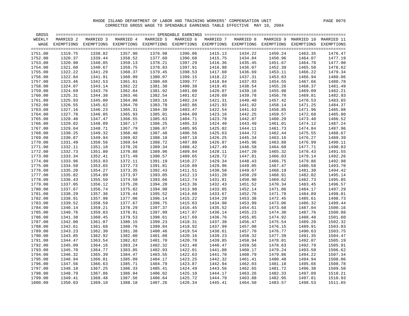| GROSS   |           |                                                                                                               |           |           |           |           |           |         |                                 |         |
|---------|-----------|---------------------------------------------------------------------------------------------------------------|-----------|-----------|-----------|-----------|-----------|---------|---------------------------------|---------|
| WEEKLY  | MARRIED 2 | MARRIED 3                                                                                                     | MARRIED 4 | MARRIED 5 | MARRIED 6 | MARRIED 7 | MARRIED 8 |         | MARRIED 9 MARRIED 10 MARRIED 11 |         |
| WAGE    |           | EXEMPTIONS EXEMPTIONS EXEMPTIONS EXEMPTIONS EXEMPTIONS EXEMPTIONS EXEMPTIONS EXEMPTIONS EXEMPTIONS EXEMPTIONS |           |           |           |           |           |         |                                 |         |
|         |           |                                                                                                               |           |           |           |           |           |         |                                 |         |
| 1751.00 | 1319.75   | 1338.82                                                                                                       | 1357.90   | 1376.98   | 1396.06   | 1415.13   | 1434.22   | 1450.24 | 1463.35                         | 1476.47 |
| 1752.00 | 1320.37   | 1339.44                                                                                                       | 1358.52   | 1377.60   | 1396.68   | 1415.75   | 1434.84   | 1450.96 | 1464.07                         | 1477.19 |
| 1753.00 | 1320.98   | 1340.05                                                                                                       | 1359.13   | 1378.21   | 1397.29   | 1416.36   | 1435.45   | 1451.67 | 1464.78                         | 1477.90 |
| 1754.00 | 1321.60   | 1340.67                                                                                                       | 1359.75   | 1378.83   | 1397.91   | 1416.98   | 1436.07   | 1452.39 | 1465.50                         | 1478.62 |
| 1755.00 | 1322.22   | 1341.29                                                                                                       | 1360.37   | 1379.45   | 1398.53   | 1417.60   | 1436.69   | 1453.11 | 1466.22                         | 1479.34 |
| 1756.00 | 1322.84   | 1341.91                                                                                                       | 1360.99   | 1380.07   | 1399.15   | 1418.22   | 1437.31   | 1453.83 | 1466.94                         | 1480.06 |
| 1757.00 | 1323.46   | 1342.53                                                                                                       | 1361.61   | 1380.69   | 1399.77   | 1418.84   | 1437.93   | 1454.55 | 1467.66                         | 1480.78 |
| 1758.00 | 1324.07   | 1343.14                                                                                                       | 1362.22   | 1381.30   | 1400.38   | 1419.45   | 1438.54   | 1455.26 | 1468.37                         | 1481.49 |
| 1759.00 | 1324.69   | 1343.76                                                                                                       | 1362.84   | 1381.92   | 1401.00   | 1420.07   | 1439.16   | 1455.98 | 1469.09                         | 1482.21 |
| 1760.00 | 1325.31   | 1344.38                                                                                                       | 1363.46   | 1382.54   | 1401.62   | 1420.69   | 1439.78   | 1456.70 | 1469.81                         | 1482.93 |
| 1761.00 | 1325.93   | 1345.00                                                                                                       | 1364.08   | 1383.16   | 1402.24   | 1421.31   | 1440.40   | 1457.42 | 1470.53                         | 1483.65 |
| 1762.00 | 1326.55   | 1345.62                                                                                                       | 1364.70   | 1383.78   | 1402.86   | 1421.93   | 1441.02   | 1458.14 | 1471.25                         | 1484.37 |
| 1763.00 | 1327.16   | 1346.23                                                                                                       | 1365.31   | 1384.39   | 1403.47   | 1422.54   | 1441.63   | 1458.85 | 1471.96                         | 1485.08 |
| 1764.00 | 1327.78   | 1346.85                                                                                                       | 1365.93   | 1385.01   | 1404.09   | 1423.16   | 1442.25   | 1459.57 | 1472.68                         | 1485.80 |
| 1765.00 | 1328.40   | 1347.47                                                                                                       | 1366.55   | 1385.63   | 1404.71   | 1423.78   | 1442.87   | 1460.29 | 1473.40                         | 1486.52 |
| 1766.00 | 1329.02   | 1348.09                                                                                                       | 1367.17   | 1386.25   | 1405.33   | 1424.40   | 1443.49   | 1461.01 | 1474.12                         | 1487.24 |
| 1767.00 | 1329.64   | 1348.71                                                                                                       | 1367.79   | 1386.87   | 1405.95   | 1425.02   | 1444.11   | 1461.73 | 1474.84                         | 1487.96 |
| 1768.00 | 1330.25   | 1349.32                                                                                                       | 1368.40   | 1387.48   | 1406.56   | 1425.63   | 1444.72   | 1462.44 | 1475.55                         | 1488.67 |
| 1769.00 | 1330.87   | 1349.94                                                                                                       | 1369.02   | 1388.10   | 1407.18   | 1426.25   | 1445.34   | 1463.16 | 1476.27                         | 1489.39 |
| 1770.00 | 1331.49   | 1350.56                                                                                                       | 1369.64   | 1388.72   | 1407.80   | 1426.87   | 1445.96   | 1463.88 | 1476.99                         | 1490.11 |
| 1771.00 | 1332.11   | 1351.18                                                                                                       | 1370.26   | 1389.34   | 1408.42   | 1427.49   | 1446.58   | 1464.60 | 1477.71                         | 1490.83 |
| 1772.00 | 1332.73   | 1351.80                                                                                                       | 1370.88   | 1389.96   | 1409.04   | 1428.11   | 1447.20   | 1465.32 | 1478.43                         | 1491.55 |
| 1773.00 | 1333.34   | 1352.41                                                                                                       | 1371.49   | 1390.57   | 1409.65   | 1428.72   | 1447.81   | 1466.03 | 1479.14                         | 1492.26 |
| 1774.00 | 1333.96   | 1353.03                                                                                                       | 1372.11   | 1391.19   | 1410.27   | 1429.34   | 1448.43   | 1466.75 | 1479.86                         | 1492.98 |
| 1775.00 | 1334.58   | 1353.65                                                                                                       | 1372.73   | 1391.81   | 1410.89   | 1429.96   | 1449.05   | 1467.47 | 1480.58                         | 1493.70 |
| 1776.00 | 1335.20   | 1354.27                                                                                                       | 1373.35   | 1392.43   | 1411.51   | 1430.58   | 1449.67   | 1468.19 | 1481.30                         | 1494.42 |
| 1777.00 | 1335.82   | 1354.89                                                                                                       | 1373.97   | 1393.05   | 1412.13   | 1431.20   | 1450.29   | 1468.91 | 1482.02                         | 1495.14 |
| 1778.00 | 1336.43   | 1355.50                                                                                                       | 1374.58   | 1393.66   | 1412.74   | 1431.81   | 1450.90   | 1469.62 | 1482.73                         | 1495.85 |
| 1779.00 | 1337.05   | 1356.12                                                                                                       | 1375.20   | 1394.28   | 1413.36   | 1432.43   | 1451.52   | 1470.34 | 1483.45                         | 1496.57 |
| 1780.00 | 1337.67   | 1356.74                                                                                                       | 1375.82   | 1394.90   | 1413.98   | 1433.05   | 1452.14   | 1471.06 | 1484.17                         | 1497.29 |
| 1781.00 | 1338.29   | 1357.36                                                                                                       | 1376.44   | 1395.52   | 1414.60   | 1433.67   | 1452.76   | 1471.78 | 1484.89                         | 1498.01 |
| 1782.00 | 1338.91   | 1357.98                                                                                                       | 1377.06   | 1396.14   | 1415.22   | 1434.29   | 1453.38   | 1472.45 | 1485.61                         | 1498.73 |
| 1783.00 | 1339.52   | 1358.59                                                                                                       | 1377.67   | 1396.75   | 1415.83   | 1434.90   | 1453.99   | 1473.06 | 1486.32                         | 1499.44 |
| 1784.00 | 1340.14   | 1359.21                                                                                                       | 1378.29   | 1397.37   | 1416.45   | 1435.52   | 1454.61   | 1473.68 | 1487.04                         | 1500.16 |
| 1785.00 | 1340.76   | 1359.83                                                                                                       | 1378.91   | 1397.99   | 1417.07   | 1436.14   | 1455.23   | 1474.30 | 1487.76                         | 1500.88 |
| 1786.00 | 1341.38   | 1360.45                                                                                                       | 1379.53   | 1398.61   | 1417.69   | 1436.76   | 1455.85   | 1474.92 | 1488.48                         | 1501.60 |
| 1787.00 | 1342.00   | 1361.07                                                                                                       | 1380.15   | 1399.23   | 1418.31   | 1437.38   | 1456.47   | 1475.54 | 1489.20                         | 1502.32 |
| 1788.00 | 1342.61   | 1361.68                                                                                                       | 1380.76   | 1399.84   | 1418.92   | 1437.99   | 1457.08   | 1476.15 | 1489.91                         | 1503.03 |
| 1789.00 | 1343.23   | 1362.30                                                                                                       | 1381.38   | 1400.46   | 1419.54   | 1438.61   | 1457.70   | 1476.77 | 1490.63                         | 1503.75 |
| 1790.00 | 1343.85   | 1362.92                                                                                                       | 1382.00   | 1401.08   | 1420.16   | 1439.23   | 1458.32   | 1477.39 | 1491.35                         | 1504.47 |
| 1791.00 | 1344.47   | 1363.54                                                                                                       | 1382.62   | 1401.70   | 1420.78   | 1439.85   | 1458.94   | 1478.01 | 1492.07                         | 1505.19 |
| 1792.00 | 1345.09   | 1364.16                                                                                                       | 1383.24   | 1402.32   | 1421.40   | 1440.47   | 1459.56   | 1478.63 | 1492.79                         | 1505.91 |
| 1793.00 | 1345.70   | 1364.77                                                                                                       | 1383.85   | 1402.93   | 1422.01   | 1441.08   | 1460.17   | 1479.24 | 1493.50                         | 1506.62 |
| 1794.00 | 1346.32   | 1365.39                                                                                                       | 1384.47   | 1403.55   | 1422.63   | 1441.70   | 1460.79   | 1479.86 | 1494.22                         | 1507.34 |
| 1795.00 | 1346.94   | 1366.01                                                                                                       | 1385.09   | 1404.17   | 1423.25   | 1442.32   | 1461.41   | 1480.48 | 1494.94                         | 1508.06 |
| 1796.00 | 1347.56   | 1366.63                                                                                                       | 1385.71   | 1404.79   | 1423.87   | 1442.94   | 1462.03   | 1481.10 | 1495.66                         | 1508.78 |
| 1797.00 | 1348.18   | 1367.25                                                                                                       | 1386.33   | 1405.41   | 1424.49   | 1443.56   | 1462.65   | 1481.72 | 1496.38                         | 1509.50 |
| 1798.00 | 1348.79   | 1367.86                                                                                                       | 1386.94   | 1406.02   | 1425.10   | 1444.17   | 1463.26   | 1482.33 | 1497.09                         | 1510.21 |
| 1799.00 | 1349.41   | 1368.48                                                                                                       | 1387.56   | 1406.64   | 1425.72   | 1444.79   | 1463.88   | 1482.95 | 1497.81                         | 1510.93 |
| 1800.00 | 1350.03   | 1369.10                                                                                                       | 1388.18   | 1407.26   | 1426.34   | 1445.41   | 1464.50   | 1483.57 | 1498.53                         | 1511.65 |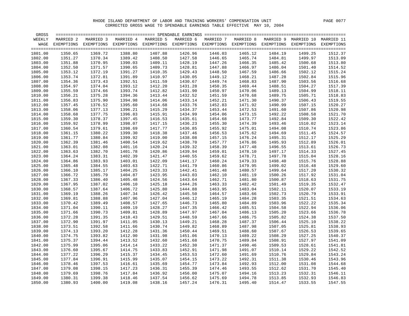| GROSS   |           |                                                                                                               |           |           |           |           |           |         |                                 |         |
|---------|-----------|---------------------------------------------------------------------------------------------------------------|-----------|-----------|-----------|-----------|-----------|---------|---------------------------------|---------|
| WEEKLY  | MARRIED 2 | MARRIED 3                                                                                                     | MARRIED 4 | MARRIED 5 | MARRIED 6 | MARRIED 7 | MARRIED 8 |         | MARRIED 9 MARRIED 10 MARRIED 11 |         |
| WAGE    |           | EXEMPTIONS EXEMPTIONS EXEMPTIONS EXEMPTIONS EXEMPTIONS EXEMPTIONS EXEMPTIONS EXEMPTIONS EXEMPTIONS EXEMPTIONS |           |           |           |           |           |         |                                 |         |
|         |           |                                                                                                               |           |           |           |           |           |         |                                 |         |
| 1801.00 | 1350.65   | 1369.72                                                                                                       | 1388.80   | 1407.88   | 1426.96   | 1446.03   | 1465.12   | 1484.19 | 1499.25                         | 1512.37 |
| 1802.00 | 1351.27   | 1370.34                                                                                                       | 1389.42   | 1408.50   | 1427.58   | 1446.65   | 1465.74   | 1484.81 | 1499.97                         | 1513.09 |
| 1803.00 | 1351.88   | 1370.95                                                                                                       | 1390.03   | 1409.11   | 1428.19   | 1447.26   | 1466.35   | 1485.42 | 1500.68                         | 1513.80 |
| 1804.00 | 1352.50   | 1371.57                                                                                                       | 1390.65   | 1409.73   | 1428.81   | 1447.88   | 1466.97   | 1486.04 | 1501.40                         | 1514.52 |
| 1805.00 | 1353.12   | 1372.19                                                                                                       | 1391.27   | 1410.35   | 1429.43   | 1448.50   | 1467.59   | 1486.66 | 1502.12                         | 1515.24 |
| 1806.00 | 1353.74   | 1372.81                                                                                                       | 1391.89   | 1410.97   | 1430.05   | 1449.12   | 1468.21   | 1487.28 | 1502.84                         | 1515.96 |
| 1807.00 | 1354.36   | 1373.43                                                                                                       | 1392.51   | 1411.59   | 1430.67   | 1449.74   | 1468.83   | 1487.90 | 1503.56                         | 1516.68 |
| 1808.00 | 1354.97   | 1374.04                                                                                                       | 1393.12   | 1412.20   | 1431.28   | 1450.35   | 1469.44   | 1488.51 | 1504.27                         | 1517.39 |
| 1809.00 | 1355.59   | 1374.66                                                                                                       | 1393.74   | 1412.82   | 1431.90   | 1450.97   | 1470.06   | 1489.13 | 1504.99                         | 1518.11 |
| 1810.00 | 1356.21   | 1375.28                                                                                                       | 1394.36   | 1413.44   | 1432.52   | 1451.59   | 1470.68   | 1489.75 | 1505.71                         | 1518.83 |
| 1811.00 | 1356.83   | 1375.90                                                                                                       | 1394.98   | 1414.06   | 1433.14   | 1452.21   | 1471.30   | 1490.37 | 1506.43                         | 1519.55 |
| 1812.00 | 1357.45   | 1376.52                                                                                                       | 1395.60   | 1414.68   | 1433.76   | 1452.83   | 1471.92   | 1490.99 | 1507.15                         | 1520.27 |
| 1813.00 | 1358.06   | 1377.13                                                                                                       | 1396.21   | 1415.29   | 1434.37   | 1453.44   | 1472.53   | 1491.60 | 1507.86                         | 1520.98 |
| 1814.00 | 1358.68   | 1377.75                                                                                                       | 1396.83   | 1415.91   | 1434.99   | 1454.06   | 1473.15   | 1492.22 | 1508.58                         | 1521.70 |
| 1815.00 | 1359.30   | 1378.37                                                                                                       | 1397.45   | 1416.53   | 1435.61   | 1454.68   | 1473.77   | 1492.84 | 1509.30                         | 1522.42 |
| 1816.00 | 1359.92   | 1378.99                                                                                                       | 1398.07   | 1417.15   | 1436.23   | 1455.30   | 1474.39   | 1493.46 | 1510.02                         | 1523.14 |
| 1817.00 | 1360.54   | 1379.61                                                                                                       | 1398.69   | 1417.77   | 1436.85   | 1455.92   | 1475.01   | 1494.08 | 1510.74                         | 1523.86 |
| 1818.00 | 1361.15   | 1380.22                                                                                                       | 1399.30   | 1418.38   | 1437.46   | 1456.53   | 1475.62   | 1494.69 | 1511.45                         | 1524.57 |
| 1819.00 | 1361.77   | 1380.84                                                                                                       | 1399.92   | 1419.00   | 1438.08   | 1457.15   | 1476.24   | 1495.31 | 1512.17                         | 1525.29 |
| 1820.00 | 1362.39   | 1381.46                                                                                                       | 1400.54   | 1419.62   | 1438.70   | 1457.77   | 1476.86   | 1495.93 | 1512.89                         | 1526.01 |
| 1821.00 | 1363.01   | 1382.08                                                                                                       | 1401.16   | 1420.24   | 1439.32   | 1458.39   | 1477.48   | 1496.55 | 1513.61                         | 1526.73 |
| 1822.00 | 1363.63   | 1382.70                                                                                                       | 1401.78   | 1420.86   | 1439.94   | 1459.01   | 1478.10   | 1497.17 | 1514.33                         | 1527.45 |
| 1823.00 | 1364.24   | 1383.31                                                                                                       | 1402.39   | 1421.47   | 1440.55   | 1459.62   | 1478.71   | 1497.78 | 1515.04                         | 1528.16 |
| 1824.00 | 1364.86   | 1383.93                                                                                                       | 1403.01   | 1422.09   | 1441.17   | 1460.24   | 1479.33   | 1498.40 | 1515.76                         | 1528.88 |
| 1825.00 | 1365.48   | 1384.55                                                                                                       | 1403.63   | 1422.71   | 1441.79   | 1460.86   | 1479.95   | 1499.02 | 1516.48                         | 1529.60 |
| 1826.00 | 1366.10   | 1385.17                                                                                                       | 1404.25   | 1423.33   | 1442.41   | 1461.48   | 1480.57   | 1499.64 | 1517.20                         | 1530.32 |
| 1827.00 | 1366.72   | 1385.79                                                                                                       | 1404.87   | 1423.95   | 1443.03   | 1462.10   | 1481.19   | 1500.26 | 1517.92                         | 1531.04 |
| 1828.00 | 1367.33   | 1386.40                                                                                                       | 1405.48   | 1424.56   | 1443.64   | 1462.71   | 1481.80   | 1500.87 | 1518.63                         | 1531.75 |
| 1829.00 | 1367.95   | 1387.02                                                                                                       | 1406.10   | 1425.18   | 1444.26   | 1463.33   | 1482.42   | 1501.49 | 1519.35                         | 1532.47 |
| 1830.00 | 1368.57   | 1387.64                                                                                                       | 1406.72   | 1425.80   | 1444.88   | 1463.95   | 1483.04   | 1502.11 | 1520.07                         | 1533.19 |
| 1831.00 | 1369.19   | 1388.26                                                                                                       | 1407.34   | 1426.42   | 1445.50   | 1464.57   | 1483.66   | 1502.73 | 1520.79                         | 1533.91 |
| 1832.00 | 1369.81   | 1388.88                                                                                                       | 1407.96   | 1427.04   | 1446.12   | 1465.19   | 1484.28   | 1503.35 | 1521.51                         | 1534.63 |
| 1833.00 | 1370.42   | 1389.49                                                                                                       | 1408.57   | 1427.65   | 1446.73   | 1465.80   | 1484.89   | 1503.96 | 1522.22                         | 1535.34 |
| 1834.00 | 1371.04   | 1390.11                                                                                                       | 1409.19   | 1428.27   | 1447.35   | 1466.42   | 1485.51   | 1504.58 | 1522.94                         | 1536.06 |
| 1835.00 | 1371.66   | 1390.73                                                                                                       | 1409.81   | 1428.89   | 1447.97   | 1467.04   | 1486.13   | 1505.20 | 1523.66                         | 1536.78 |
| 1836.00 | 1372.28   | 1391.35                                                                                                       | 1410.43   | 1429.51   | 1448.59   | 1467.66   | 1486.75   | 1505.82 | 1524.38                         | 1537.50 |
| 1837.00 | 1372.90   | 1391.97                                                                                                       | 1411.05   | 1430.13   | 1449.21   | 1468.28   | 1487.37   | 1506.44 | 1525.10                         | 1538.22 |
| 1838.00 | 1373.51   | 1392.58                                                                                                       | 1411.66   | 1430.74   | 1449.82   | 1468.89   | 1487.98   | 1507.05 | 1525.81                         | 1538.93 |
| 1839.00 | 1374.13   | 1393.20                                                                                                       | 1412.28   | 1431.36   | 1450.44   | 1469.51   | 1488.60   | 1507.67 | 1526.53                         | 1539.65 |
| 1840.00 | 1374.75   | 1393.82                                                                                                       | 1412.90   | 1431.98   | 1451.06   | 1470.13   | 1489.22   | 1508.29 | 1527.25                         | 1540.37 |
| 1841.00 | 1375.37   | 1394.44                                                                                                       | 1413.52   | 1432.60   | 1451.68   | 1470.75   | 1489.84   | 1508.91 | 1527.97                         | 1541.09 |
| 1842.00 | 1375.99   | 1395.06                                                                                                       | 1414.14   | 1433.22   | 1452.30   | 1471.37   | 1490.46   | 1509.53 | 1528.61                         | 1541.81 |
| 1843.00 | 1376.60   | 1395.67                                                                                                       | 1414.75   | 1433.83   | 1452.91   | 1471.98   | 1491.07   | 1510.14 | 1529.22                         | 1542.52 |
| 1844.00 | 1377.22   | 1396.29                                                                                                       | 1415.37   | 1434.45   | 1453.53   | 1472.60   | 1491.69   | 1510.76 | 1529.84                         | 1543.24 |
| 1845.00 | 1377.84   | 1396.91                                                                                                       | 1415.99   | 1435.07   | 1454.15   | 1473.22   | 1492.31   | 1511.38 | 1530.46                         | 1543.96 |
| 1846.00 | 1378.46   | 1397.53                                                                                                       | 1416.61   | 1435.69   | 1454.77   | 1473.84   | 1492.93   | 1512.00 | 1531.08                         | 1544.68 |
| 1847.00 | 1379.08   | 1398.15                                                                                                       | 1417.23   | 1436.31   | 1455.39   | 1474.46   | 1493.55   | 1512.62 | 1531.70                         | 1545.40 |
| 1848.00 | 1379.69   | 1398.76                                                                                                       | 1417.84   | 1436.92   | 1456.00   | 1475.07   | 1494.16   | 1513.23 | 1532.31                         | 1546.11 |
| 1849.00 | 1380.31   | 1399.38                                                                                                       | 1418.46   | 1437.54   | 1456.62   | 1475.69   | 1494.78   | 1513.85 | 1532.93                         | 1546.83 |
| 1850.00 | 1380.93   | 1400.00                                                                                                       | 1419.08   | 1438.16   | 1457.24   | 1476.31   | 1495.40   | 1514.47 | 1533.55                         | 1547.55 |
|         |           |                                                                                                               |           |           |           |           |           |         |                                 |         |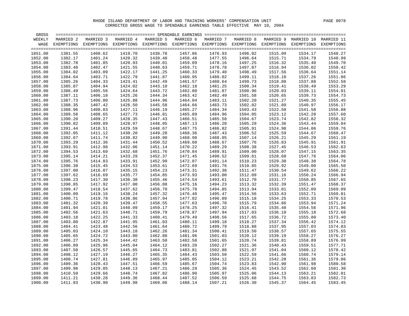| GROSS   |            |                       | ================================= SPENDABLE EARNINGS ================================== |           |           |                                                        |           |           |            |                       |
|---------|------------|-----------------------|-----------------------------------------------------------------------------------------|-----------|-----------|--------------------------------------------------------|-----------|-----------|------------|-----------------------|
| WEEKLY  | MARRIED 2  | MARRIED 3             | MARRIED 4                                                                               | MARRIED 5 | MARRIED 6 | MARRIED 7                                              | MARRIED 8 | MARRIED 9 |            | MARRIED 10 MARRIED 11 |
| WAGE    | EXEMPTIONS | EXEMPTIONS EXEMPTIONS |                                                                                         |           |           | EXEMPTIONS EXEMPTIONS EXEMPTIONS EXEMPTIONS EXEMPTIONS |           |           | EXEMPTIONS | EXEMPTIONS            |
|         |            |                       |                                                                                         |           |           |                                                        |           |           |            |                       |
| 1851.00 | 1381.55    | 1400.62               | 1419.70                                                                                 | 1438.78   | 1457.86   | 1476.93                                                | 1496.02   | 1515.09   | 1534.17    | 1548.27               |
| 1852.00 | 1382.17    | 1401.24               | 1420.32                                                                                 | 1439.40   | 1458.48   | 1477.55                                                | 1496.64   | 1515.71   | 1534.79    | 1548.99               |
| 1853.00 | 1382.78    | 1401.85               | 1420.93                                                                                 | 1440.01   | 1459.09   | 1478.16                                                | 1497.25   | 1516.32   | 1535.40    | 1549.70               |
| 1854.00 | 1383.40    | 1402.47               | 1421.55                                                                                 | 1440.63   | 1459.71   | 1478.78                                                | 1497.87   | 1516.94   | 1536.02    | 1550.42               |
| 1855.00 | 1384.02    | 1403.09               | 1422.17                                                                                 | 1441.25   | 1460.33   | 1479.40                                                | 1498.49   | 1517.56   | 1536.64    | 1551.14               |
| 1856.00 | 1384.64    | 1403.71               | 1422.79                                                                                 | 1441.87   | 1460.95   | 1480.02                                                | 1499.11   | 1518.18   | 1537.26    | 1551.86               |
| 1857.00 | 1385.26    | 1404.33               | 1423.41                                                                                 | 1442.49   | 1461.57   | 1480.64                                                | 1499.73   | 1518.80   | 1537.88    | 1552.58               |
| 1858.00 | 1385.87    | 1404.94               | 1424.02                                                                                 | 1443.10   | 1462.18   | 1481.25                                                | 1500.34   | 1519.41   | 1538.49    | 1553.29               |
| 1859.00 | 1386.49    | 1405.56               | 1424.64                                                                                 | 1443.72   | 1462.80   | 1481.87                                                | 1500.96   | 1520.03   | 1539.11    | 1554.01               |
| 1860.00 | 1387.11    | 1406.18               | 1425.26                                                                                 | 1444.34   | 1463.42   | 1482.49                                                | 1501.58   | 1520.65   | 1539.73    | 1554.73               |
| 1861.00 | 1387.73    | 1406.80               | 1425.88                                                                                 | 1444.96   | 1464.04   | 1483.11                                                | 1502.20   | 1521.27   | 1540.35    | 1555.45               |
|         |            |                       |                                                                                         |           |           |                                                        |           |           |            |                       |
| 1862.00 | 1388.35    | 1407.42               | 1426.50                                                                                 | 1445.58   | 1464.66   | 1483.73                                                | 1502.82   | 1521.89   | 1540.97    | 1556.17               |
| 1863.00 | 1388.96    | 1408.03               | 1427.11                                                                                 | 1446.19   | 1465.27   | 1484.34                                                | 1503.43   | 1522.50   | 1541.58    | 1556.88               |
| 1864.00 | 1389.58    | 1408.65               | 1427.73                                                                                 | 1446.81   | 1465.89   | 1484.96                                                | 1504.05   | 1523.12   | 1542.20    | 1557.60               |
| 1865.00 | 1390.20    | 1409.27               | 1428.35                                                                                 | 1447.43   | 1466.51   | 1485.58                                                | 1504.67   | 1523.74   | 1542.82    | 1558.32               |
| 1866.00 | 1390.82    | 1409.89               | 1428.97                                                                                 | 1448.05   | 1467.13   | 1486.20                                                | 1505.29   | 1524.36   | 1543.44    | 1559.04               |
| 1867.00 | 1391.44    | 1410.51               | 1429.59                                                                                 | 1448.67   | 1467.75   | 1486.82                                                | 1505.91   | 1524.98   | 1544.06    | 1559.76               |
| 1868.00 | 1392.05    | 1411.12               | 1430.20                                                                                 | 1449.28   | 1468.36   | 1487.43                                                | 1506.52   | 1525.59   | 1544.67    | 1560.47               |
| 1869.00 | 1392.67    | 1411.74               | 1430.82                                                                                 | 1449.90   | 1468.98   | 1488.05                                                | 1507.14   | 1526.21   | 1545.29    | 1561.19               |
| 1870.00 | 1393.29    | 1412.36               | 1431.44                                                                                 | 1450.52   | 1469.60   | 1488.67                                                | 1507.76   | 1526.83   | 1545.91    | 1561.91               |
| 1871.00 | 1393.91    | 1412.98               | 1432.06                                                                                 | 1451.14   | 1470.22   | 1489.29                                                | 1508.38   | 1527.45   | 1546.53    | 1562.63               |
| 1872.00 | 1394.53    | 1413.60               | 1432.68                                                                                 | 1451.76   | 1470.84   | 1489.91                                                | 1509.00   | 1528.07   | 1547.15    | 1563.35               |
| 1873.00 | 1395.14    | 1414.21               | 1433.29                                                                                 | 1452.37   | 1471.45   | 1490.52                                                | 1509.61   | 1528.68   | 1547.76    | 1564.06               |
| 1874.00 | 1395.76    | 1414.83               | 1433.91                                                                                 | 1452.99   | 1472.07   | 1491.14                                                | 1510.23   | 1529.30   | 1548.38    | 1564.78               |
| 1875.00 | 1396.38    | 1415.45               | 1434.53                                                                                 | 1453.61   | 1472.69   | 1491.76                                                | 1510.85   | 1529.92   | 1549.00    | 1565.50               |
| 1876.00 | 1397.00    | 1416.07               | 1435.15                                                                                 | 1454.23   | 1473.31   | 1492.38                                                | 1511.47   | 1530.54   | 1549.62    | 1566.22               |
| 1877.00 | 1397.62    | 1416.69               | 1435.77                                                                                 | 1454.85   | 1473.93   | 1493.00                                                | 1512.09   | 1531.16   | 1550.24    | 1566.94               |
| 1878.00 | 1398.23    | 1417.30               | 1436.38                                                                                 | 1455.46   | 1474.54   | 1493.61                                                | 1512.70   | 1531.77   | 1550.85    | 1567.65               |
| 1879.00 | 1398.85    | 1417.92               | 1437.00                                                                                 | 1456.08   | 1475.16   | 1494.23                                                | 1513.32   | 1532.39   | 1551.47    | 1568.37               |
| 1880.00 | 1399.47    | 1418.54               | 1437.62                                                                                 | 1456.70   | 1475.78   | 1494.85                                                | 1513.94   | 1533.01   | 1552.09    | 1569.09               |
| 1881.00 | 1400.09    | 1419.16               | 1438.24                                                                                 | 1457.32   | 1476.40   | 1495.47                                                | 1514.56   | 1533.63   | 1552.71    | 1569.81               |
| 1882.00 | 1400.71    | 1419.78               | 1438.86                                                                                 | 1457.94   | 1477.02   | 1496.09                                                | 1515.18   | 1534.25   | 1553.33    | 1570.53               |
| 1883.00 | 1401.32    | 1420.39               | 1439.47                                                                                 | 1458.55   | 1477.63   | 1496.70                                                | 1515.79   | 1534.86   | 1553.94    | 1571.24               |
| 1884.00 | 1401.94    | 1421.01               | 1440.09                                                                                 | 1459.17   | 1478.25   | 1497.32                                                | 1516.41   | 1535.48   | 1554.56    | 1571.96               |
| 1885.00 | 1402.56    | 1421.63               | 1440.71                                                                                 | 1459.79   | 1478.87   | 1497.94                                                | 1517.03   | 1536.10   | 1555.18    | 1572.68               |
| 1886.00 | 1403.18    | 1422.25               | 1441.33                                                                                 | 1460.41   | 1479.49   | 1498.56                                                | 1517.65   | 1536.72   | 1555.80    | 1573.40               |
| 1887.00 | 1403.80    | 1422.87               | 1441.95                                                                                 | 1461.03   | 1480.11   | 1499.18                                                | 1518.27   | 1537.34   | 1556.42    | 1574.12               |
| 1888.00 | 1404.41    | 1423.48               | 1442.56                                                                                 | 1461.64   | 1480.72   | 1499.79                                                | 1518.88   | 1537.95   | 1557.03    | 1574.83               |
|         |            |                       |                                                                                         |           |           |                                                        |           |           |            |                       |
| 1889.00 | 1405.03    | 1424.10               | 1443.18                                                                                 | 1462.26   | 1481.34   | 1500.41                                                | 1519.50   | 1538.57   | 1557.65    | 1575.55               |
| 1890.00 | 1405.65    | 1424.72               | 1443.80                                                                                 | 1462.88   | 1481.96   | 1501.03                                                | 1520.12   | 1539.19   | 1558.27    | 1576.27               |
| 1891.00 | 1406.27    | 1425.34               | 1444.42                                                                                 | 1463.50   | 1482.58   | 1501.65                                                | 1520.74   | 1539.81   | 1558.89    | 1576.99               |
| 1892.00 | 1406.89    | 1425.96               | 1445.04                                                                                 | 1464.12   | 1483.20   | 1502.27                                                | 1521.36   | 1540.43   | 1559.51    | 1577.71               |
| 1893.00 | 1407.50    | 1426.57               | 1445.65                                                                                 | 1464.73   | 1483.81   | 1502.88                                                | 1521.97   | 1541.04   | 1560.12    | 1578.42               |
| 1894.00 | 1408.12    | 1427.19               | 1446.27                                                                                 | 1465.35   | 1484.43   | 1503.50                                                | 1522.59   | 1541.66   | 1560.74    | 1579.14               |
| 1895.00 | 1408.74    | 1427.81               | 1446.89                                                                                 | 1465.97   | 1485.05   | 1504.12                                                | 1523.21   | 1542.28   | 1561.36    | 1579.86               |
| 1896.00 | 1409.36    | 1428.43               | 1447.51                                                                                 | 1466.59   | 1485.67   | 1504.74                                                | 1523.83   | 1542.90   | 1561.98    | 1580.58               |
| 1897.00 | 1409.98    | 1429.05               | 1448.13                                                                                 | 1467.21   | 1486.29   | 1505.36                                                | 1524.45   | 1543.52   | 1562.60    | 1581.30               |
| 1898.00 | 1410.59    | 1429.66               | 1448.74                                                                                 | 1467.82   | 1486.90   | 1505.97                                                | 1525.06   | 1544.13   | 1563.21    | 1582.01               |
| 1899.00 | 1411.21    | 1430.28               | 1449.36                                                                                 | 1468.44   | 1487.52   | 1506.59                                                | 1525.68   | 1544.75   | 1563.83    | 1582.73               |
| 1900.00 | 1411.83    | 1430.90               | 1449.98                                                                                 | 1469.06   | 1488.14   | 1507.21                                                | 1526.30   | 1545.37   | 1564.45    | 1583.45               |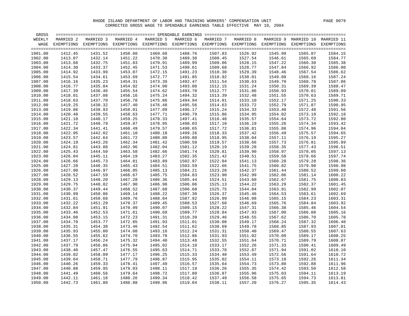| GROSS   |           |                                                                                                               |           |           |           |           |           |         |                                 |         |
|---------|-----------|---------------------------------------------------------------------------------------------------------------|-----------|-----------|-----------|-----------|-----------|---------|---------------------------------|---------|
| WEEKLY  | MARRIED 2 | MARRIED 3                                                                                                     | MARRIED 4 | MARRIED 5 | MARRIED 6 | MARRIED 7 | MARRIED 8 |         | MARRIED 9 MARRIED 10 MARRIED 11 |         |
| WAGE    |           | EXEMPTIONS EXEMPTIONS EXEMPTIONS EXEMPTIONS EXEMPTIONS EXEMPTIONS EXEMPTIONS EXEMPTIONS EXEMPTIONS EXEMPTIONS |           |           |           |           |           |         |                                 |         |
|         |           |                                                                                                               |           |           |           |           |           |         |                                 |         |
| 1901.00 | 1412.45   | 1431.52                                                                                                       | 1450.60   | 1469.68   | 1488.76   | 1507.83   | 1526.92   | 1545.99 | 1565.07                         | 1584.15 |
| 1902.00 | 1413.07   | 1432.14                                                                                                       | 1451.22   | 1470.30   | 1489.38   | 1508.45   | 1527.54   | 1546.61 | 1565.69                         | 1584.77 |
| 1903.00 | 1413.68   | 1432.75                                                                                                       | 1451.83   | 1470.91   | 1489.99   | 1509.06   | 1528.15   | 1547.22 | 1566.30                         | 1585.38 |
| 1904.00 | 1414.30   | 1433.37                                                                                                       | 1452.45   | 1471.53   | 1490.61   | 1509.68   | 1528.77   | 1547.84 | 1566.92                         | 1586.00 |
| 1905.00 | 1414.92   | 1433.99                                                                                                       | 1453.07   | 1472.15   | 1491.23   | 1510.30   | 1529.39   | 1548.46 | 1567.54                         | 1586.62 |
| 1906.00 | 1415.54   | 1434.61                                                                                                       | 1453.69   | 1472.77   | 1491.85   | 1510.92   | 1530.01   | 1549.08 | 1568.16                         | 1587.24 |
| 1907.00 | 1416.16   | 1435.23                                                                                                       | 1454.31   | 1473.39   | 1492.47   | 1511.54   | 1530.63   | 1549.70 | 1568.78                         | 1587.86 |
| 1908.00 | 1416.77   | 1435.84                                                                                                       | 1454.92   | 1474.00   | 1493.08   | 1512.15   | 1531.24   | 1550.31 | 1569.39                         | 1588.47 |
| 1909.00 | 1417.39   | 1436.46                                                                                                       | 1455.54   | 1474.62   | 1493.70   | 1512.77   | 1531.86   | 1550.93 | 1570.01                         | 1589.09 |
| 1910.00 | 1418.01   | 1437.08                                                                                                       | 1456.16   | 1475.24   | 1494.32   | 1513.39   | 1532.48   | 1551.55 | 1570.63                         | 1589.71 |
| 1911.00 | 1418.63   | 1437.70                                                                                                       | 1456.78   | 1475.86   | 1494.94   | 1514.01   | 1533.10   | 1552.17 | 1571.25                         | 1590.33 |
| 1912.00 | 1419.25   | 1438.32                                                                                                       | 1457.40   | 1476.48   | 1495.56   | 1514.63   | 1533.72   | 1552.79 | 1571.87                         | 1590.95 |
| 1913.00 | 1419.86   | 1438.93                                                                                                       | 1458.01   | 1477.09   | 1496.17   | 1515.24   | 1534.33   | 1553.40 | 1572.48                         | 1591.56 |
| 1914.00 | 1420.48   | 1439.55                                                                                                       | 1458.63   | 1477.71   | 1496.79   | 1515.86   | 1534.95   | 1554.02 | 1573.10                         | 1592.18 |
| 1915.00 | 1421.10   | 1440.17                                                                                                       | 1459.25   | 1478.33   | 1497.41   | 1516.48   | 1535.57   | 1554.64 | 1573.72                         | 1592.80 |
| 1916.00 | 1421.72   | 1440.79                                                                                                       | 1459.87   | 1478.95   | 1498.03   | 1517.10   | 1536.19   | 1555.26 | 1574.34                         | 1593.42 |
| 1917.00 | 1422.34   | 1441.41                                                                                                       | 1460.49   | 1479.57   | 1498.65   | 1517.72   | 1536.81   | 1555.88 | 1574.96                         | 1594.04 |
| 1918.00 | 1422.95   | 1442.02                                                                                                       | 1461.10   | 1480.18   | 1499.26   | 1518.33   | 1537.42   | 1556.49 | 1575.57                         | 1594.65 |
| 1919.00 | 1423.57   | 1442.64                                                                                                       | 1461.72   | 1480.80   | 1499.88   | 1518.95   | 1538.04   | 1557.11 | 1576.19                         | 1595.27 |
| 1920.00 | 1424.19   | 1443.26                                                                                                       | 1462.34   | 1481.42   | 1500.50   | 1519.57   | 1538.66   | 1557.73 | 1576.81                         | 1595.89 |
| 1921.00 | 1424.81   | 1443.88                                                                                                       | 1462.96   | 1482.04   | 1501.12   | 1520.19   | 1539.28   | 1558.35 | 1577.43                         | 1596.51 |
| 1922.00 | 1425.43   | 1444.50                                                                                                       | 1463.58   | 1482.66   | 1501.74   | 1520.81   | 1539.90   | 1558.97 | 1578.05                         | 1597.13 |
| 1923.00 | 1426.04   | 1445.11                                                                                                       | 1464.19   | 1483.27   | 1502.35   | 1521.42   | 1540.51   | 1559.58 | 1578.66                         | 1597.74 |
| 1924.00 | 1426.66   | 1445.73                                                                                                       | 1464.81   | 1483.89   | 1502.97   | 1522.04   | 1541.13   | 1560.20 | 1579.28                         | 1598.36 |
| 1925.00 | 1427.28   | 1446.35                                                                                                       | 1465.43   | 1484.51   | 1503.59   | 1522.66   | 1541.75   | 1560.82 | 1579.90                         | 1598.98 |
| 1926.00 | 1427.90   | 1446.97                                                                                                       | 1466.05   | 1485.13   | 1504.21   | 1523.28   | 1542.37   | 1561.44 | 1580.52                         | 1599.60 |
| 1927.00 | 1428.52   | 1447.59                                                                                                       | 1466.67   | 1485.75   | 1504.83   | 1523.90   | 1542.99   | 1562.06 | 1581.14                         | 1600.22 |
| 1928.00 | 1429.13   | 1448.20                                                                                                       | 1467.28   | 1486.36   | 1505.44   | 1524.51   | 1543.60   | 1562.67 | 1581.75                         | 1600.83 |
| 1929.00 | 1429.75   | 1448.82                                                                                                       | 1467.90   | 1486.98   | 1506.06   | 1525.13   | 1544.22   | 1563.29 | 1582.37                         | 1601.45 |
| 1930.00 | 1430.37   | 1449.44                                                                                                       | 1468.52   | 1487.60   | 1506.68   | 1525.75   | 1544.84   | 1563.91 | 1582.99                         | 1602.07 |
| 1931.00 | 1430.99   | 1450.06                                                                                                       | 1469.14   | 1488.22   | 1507.30   | 1526.37   | 1545.46   | 1564.53 | 1583.61                         | 1602.69 |
| 1932.00 | 1431.61   | 1450.68                                                                                                       | 1469.76   | 1488.84   | 1507.92   | 1526.99   | 1546.08   | 1565.15 | 1584.23                         | 1603.31 |
| 1933.00 | 1432.22   | 1451.29                                                                                                       | 1470.37   | 1489.45   | 1508.53   | 1527.60   | 1546.69   | 1565.76 | 1584.84                         | 1603.92 |
| 1934.00 | 1432.84   | 1451.91                                                                                                       | 1470.99   | 1490.07   | 1509.15   | 1528.22   | 1547.31   | 1566.38 | 1585.46                         | 1604.54 |
| 1935.00 | 1433.46   | 1452.53                                                                                                       | 1471.61   | 1490.69   | 1509.77   | 1528.84   | 1547.93   | 1567.00 | 1586.08                         | 1605.16 |
| 1936.00 | 1434.08   | 1453.15                                                                                                       | 1472.23   | 1491.31   | 1510.39   | 1529.46   | 1548.55   | 1567.62 | 1586.70                         | 1605.78 |
| 1937.00 | 1434.70   | 1453.77                                                                                                       | 1472.85   | 1491.93   | 1511.01   | 1530.08   | 1549.17   | 1568.24 | 1587.32                         | 1606.40 |
| 1938.00 | 1435.31   | 1454.38                                                                                                       | 1473.46   | 1492.54   | 1511.62   | 1530.69   | 1549.78   | 1568.85 | 1587.93                         | 1607.01 |
| 1939.00 | 1435.93   | 1455.00                                                                                                       | 1474.08   | 1493.16   | 1512.24   | 1531.31   | 1550.40   | 1569.47 | 1588.55                         | 1607.63 |
| 1940.00 | 1436.55   | 1455.62                                                                                                       | 1474.70   | 1493.78   | 1512.86   | 1531.93   | 1551.02   | 1570.09 | 1589.17                         | 1608.25 |
| 1941.00 | 1437.17   | 1456.24                                                                                                       | 1475.32   | 1494.40   | 1513.48   | 1532.55   | 1551.64   | 1570.71 | 1589.79                         | 1608.87 |
| 1942.00 | 1437.79   | 1456.86                                                                                                       | 1475.94   | 1495.02   | 1514.10   | 1533.17   | 1552.26   | 1571.33 | 1590.41                         | 1609.49 |
| 1943.00 | 1438.40   | 1457.47                                                                                                       | 1476.55   | 1495.63   | 1514.71   | 1533.78   | 1552.87   | 1571.94 | 1591.02                         | 1610.10 |
| 1944.00 | 1439.02   | 1458.09                                                                                                       | 1477.17   | 1496.25   | 1515.33   | 1534.40   | 1553.49   | 1572.56 | 1591.64                         | 1610.72 |
| 1945.00 | 1439.64   | 1458.71                                                                                                       | 1477.79   | 1496.87   | 1515.95   | 1535.02   | 1554.11   | 1573.18 | 1592.26                         | 1611.34 |
| 1946.00 | 1440.26   | 1459.33                                                                                                       | 1478.41   | 1497.49   | 1516.57   | 1535.64   | 1554.73   | 1573.80 | 1592.88                         | 1611.96 |
| 1947.00 | 1440.88   | 1459.95                                                                                                       | 1479.03   | 1498.11   | 1517.19   | 1536.26   | 1555.35   | 1574.42 | 1593.50                         | 1612.58 |
| 1948.00 | 1441.49   | 1460.56                                                                                                       | 1479.64   | 1498.72   | 1517.80   | 1536.87   | 1555.96   | 1575.03 | 1594.11                         | 1613.19 |
| 1949.00 | 1442.11   | 1461.18                                                                                                       | 1480.26   | 1499.34   | 1518.42   | 1537.49   | 1556.58   | 1575.65 | 1594.73                         | 1613.81 |
| 1950.00 | 1442.73   | 1461.80                                                                                                       | 1480.88   | 1499.96   | 1519.04   | 1538.11   | 1557.20   |         | 1576.27 1595.35                 | 1614.43 |